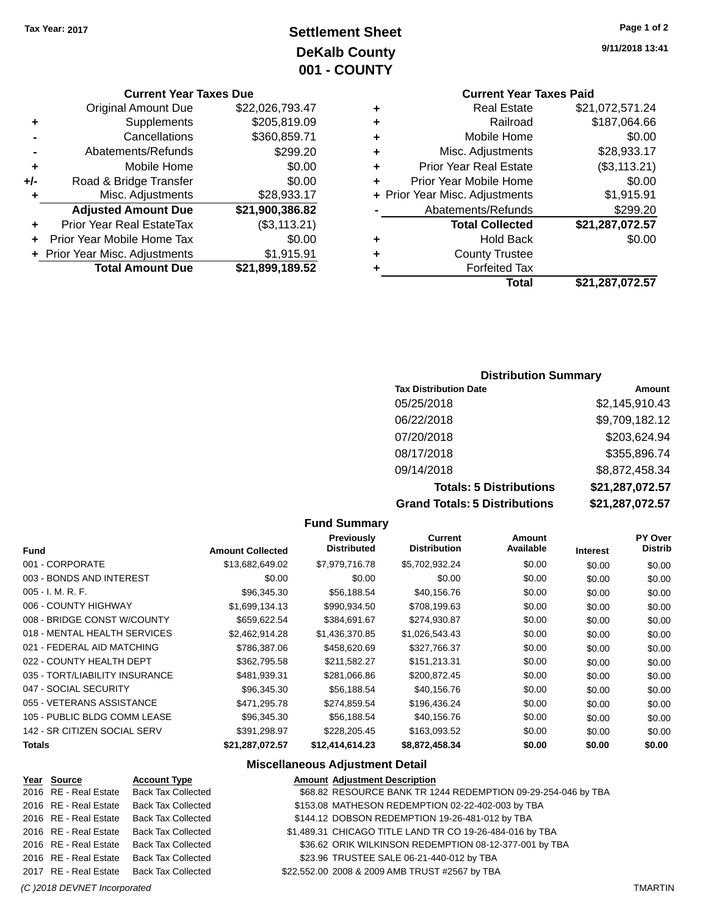## **Settlement Sheet Tax Year: 2017 Page 1 of 2 DeKalb County 001 - COUNTY**

**Current Year Taxes Due**

| <b>Original Amount Due</b> | \$22,026,793.47                |
|----------------------------|--------------------------------|
| Supplements                | \$205,819.09                   |
| Cancellations              | \$360,859.71                   |
| Abatements/Refunds         | \$299.20                       |
| Mobile Home                | \$0.00                         |
| Road & Bridge Transfer     | \$0.00                         |
| Misc. Adjustments          | \$28,933.17                    |
| <b>Adjusted Amount Due</b> | \$21,900,386.82                |
| Prior Year Real EstateTax  | (\$3,113.21)                   |
| Prior Year Mobile Home Tax | \$0.00                         |
|                            | \$1,915.91                     |
| <b>Total Amount Due</b>    | \$21,899,189.52                |
|                            | + Prior Year Misc. Adjustments |

**9/11/2018 13:41**

## **Current Year Taxes Paid**

| ٠ | <b>Real Estate</b>             | \$21,072,571.24 |
|---|--------------------------------|-----------------|
| ٠ | Railroad                       | \$187,064.66    |
| ٠ | Mobile Home                    | \$0.00          |
| ٠ | Misc. Adjustments              | \$28,933.17     |
| ٠ | <b>Prior Year Real Estate</b>  | (\$3,113.21)    |
| ٠ | Prior Year Mobile Home         | \$0.00          |
|   | + Prior Year Misc. Adjustments | \$1,915.91      |
|   | Abatements/Refunds             | \$299.20        |
|   | <b>Total Collected</b>         | \$21,287,072.57 |
| ٠ | <b>Hold Back</b>               | \$0.00          |
| ٠ | <b>County Trustee</b>          |                 |
| ٠ | <b>Forfeited Tax</b>           |                 |
|   | Total                          | \$21,287,072.57 |
|   |                                |                 |

#### **Distribution Summary**

| <b>Tax Distribution Date</b>         | Amount          |
|--------------------------------------|-----------------|
| 05/25/2018                           | \$2,145,910.43  |
| 06/22/2018                           | \$9,709,182.12  |
| 07/20/2018                           | \$203,624.94    |
| 08/17/2018                           | \$355,896.74    |
| 09/14/2018                           | \$8,872,458.34  |
| <b>Totals: 5 Distributions</b>       | \$21,287,072.57 |
| <b>Grand Totals: 5 Distributions</b> | \$21,287,072.57 |

#### **Fund Summary Fund Interest Amount Collected Distributed PY Over Distrib Amount Available Current Distribution Previously** 001 - CORPORATE \$13,682,649.02 \$7,979,716.78 \$5,702,932.24 \$0.00 \$0.00 \$0.00 \$0.00 003 - BONDS AND INTEREST  $$0.00$   $$0.00$   $$0.00$   $$0.00$   $$0.00$   $$0.00$   $$0.00$   $$0.00$ 005 - I. M. R. F. \$96,345.30 \$56,188.54 \$40,156.76 \$0.00 \$0.00 \$0.00 006 - COUNTY HIGHWAY **\$1,699,134.13** \$990,934.50 \$708,199.63 \$0.00 \$0.00 \$0.00 \$0.00 008 - BRIDGE CONST W/COUNTY  $$659,622.54$   $$384,691.67$   $$274,930.87$   $$0.00$   $$0.00$   $$0.00$ 018 - MENTAL HEALTH SERVICES \$2,462,914.28 \$1,436,370.85 \$1,026,543.43 \$0.00 \$0.00 \$0.00 021 - FEDERAL AID MATCHING  $$786,387.06$   $$458,620.69$   $$327,766.37$  \$0.00 \$0.00 \$0.00 \$0.00 022 - COUNTY HEALTH DEPT  $$362,795.58$  \$211,582.27 \$151,213.31 \$0.00 \$0.00 \$0.00 \$0.00 035 - TORT/LIABILITY INSURANCE \$481,939.31 \$281,066.86 \$200,872.45 \$0.00 \$0.00 \$0.00 \$0.00 047 - SOCIAL SECURITY \$96,345.30 \$56,188.54 \$40,156.76 \$0.00 \$0.00 \$0.00 055 - VETERANS ASSISTANCE \$471,295.78 \$274,859.54 \$196,436.24 \$0.00 \$0.00 \$0.00 105 - PUBLIC BLDG COMM LEASE  $$96,345.30$   $$56,188.54$   $$40,156.76$   $$0.00$   $$0.00$   $$0.00$ 142 - SR CITIZEN SOCIAL SERV \$391,298.97 \$228,205.45 \$163,093.52 \$0.00 \$0.00 \$0.00 \$0.00 **Totals \$21,287,072.57 \$12,414,614.23 \$8,872,458.34 \$0.00 \$0.00 \$0.00**

#### **Miscellaneous Adjustment Detail**

| Year Source           | <b>Account Type</b>                      | <b>Amount Adjustment Description</b>                          |
|-----------------------|------------------------------------------|---------------------------------------------------------------|
| 2016 RE - Real Estate | <b>Back Tax Collected</b>                | \$68.82 RESOURCE BANK TR 1244 REDEMPTION 09-29-254-046 by TBA |
| 2016 RE - Real Estate | <b>Back Tax Collected</b>                | \$153.08 MATHESON REDEMPTION 02-22-402-003 by TBA             |
| 2016 RE - Real Estate | <b>Back Tax Collected</b>                | \$144.12 DOBSON REDEMPTION 19-26-481-012 by TBA               |
| 2016 RE - Real Estate | <b>Back Tax Collected</b>                | \$1,489.31 CHICAGO TITLE LAND TR CO 19-26-484-016 by TBA      |
| 2016 RE - Real Estate | <b>Back Tax Collected</b>                | \$36.62 ORIK WILKINSON REDEMPTION 08-12-377-001 by TBA        |
| 2016 RE - Real Estate | <b>Back Tax Collected</b>                | \$23.96 TRUSTEE SALE 06-21-440-012 by TBA                     |
|                       | 2017 RE - Real Estate Back Tax Collected | \$22,552.00 2008 & 2009 AMB TRUST #2567 by TBA                |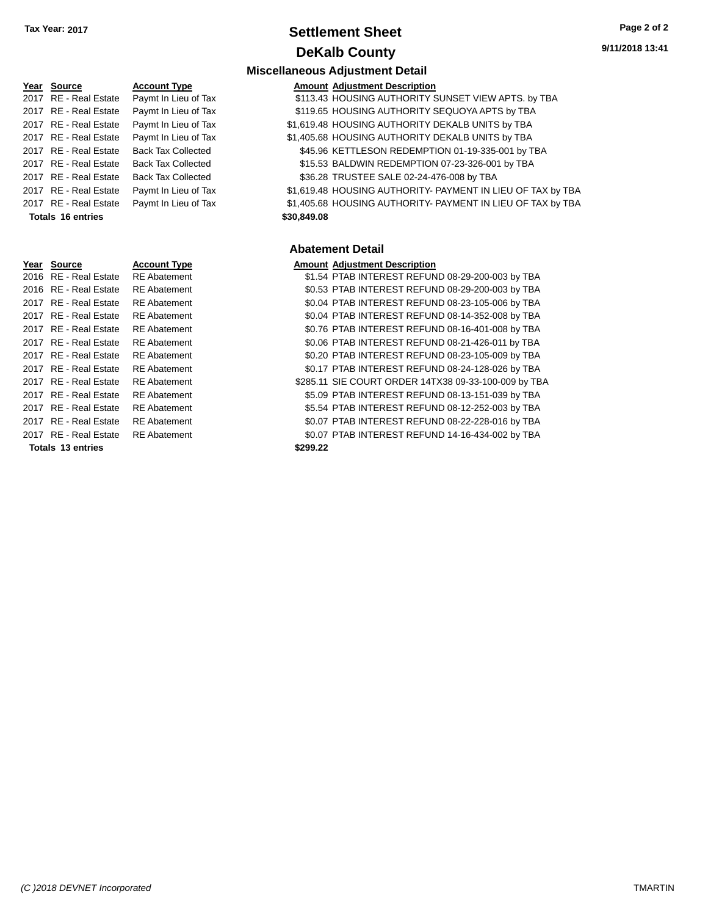## **Settlement Sheet Tax Year: 2017 Page 2 of 2 DeKalb County**

**Amount Adjustment Description** 

**Miscellaneous Adjustment Detail**

|      | Year Source             | <b>Account Type</b>       |
|------|-------------------------|---------------------------|
| 2017 | RE - Real Estate        | Paymt In Lieu of Tax      |
| 2017 | <b>RE</b> - Real Estate | Paymt In Lieu of Tax      |
| 2017 | <b>RE</b> - Real Estate | Paymt In Lieu of Tax      |
| 2017 | RE - Real Estate        | Paymt In Lieu of Tax      |
| 2017 | RF - Real Estate        | <b>Back Tax Collected</b> |
| 2017 | RF - Real Estate        | <b>Back Tax Collected</b> |
| 2017 | <b>RE</b> - Real Estate | <b>Back Tax Collected</b> |
| 2017 | <b>RE</b> - Real Estate | Paymt In Lieu of Tax      |
|      | 2017 RE - Real Estate   | Paymt In Lieu of Tax      |
|      | Totals 16 entries       |                           |
|      |                         |                           |
|      |                         |                           |
|      |                         |                           |
| Year | <b>Source</b>           | <b>Account Type</b>       |
| 2016 | <b>RE</b> - Real Estate | <b>RF</b> Abatement       |
| 2016 | RE - Real Estate        | <b>RE</b> Abatement       |
| 2017 | <b>RE</b> - Real Estate | <b>RE</b> Abatement       |
| 2017 | RE - Real Estate        | <b>RE</b> Abatement       |
| 2017 | RF - Real Estate        | <b>RE</b> Abatement       |
| 2017 | <b>RE</b> - Real Estate | <b>RE</b> Abatement       |
| 2017 | RE - Real Estate        | <b>RE</b> Abatement       |
| 2017 |                         |                           |
|      | <b>RE</b> - Real Estate | <b>RE</b> Abatement       |
| 2017 | RF - Real Estate        | <b>RE</b> Abatement       |

**Totals \$299.22 13 entries**

**Abatement Detail**

**Totals \$30,849.08 16 entries**

#### **Amount Adjustment Description**

\$1.54 PTAB INTEREST REFUND 08-29-200-003 by TBA \$0.53 PTAB INTEREST REFUND 08-29-200-003 by TBA \$0.04 PTAB INTEREST REFUND 08-23-105-006 by TBA \$0.04 PTAB INTEREST REFUND 08-14-352-008 by TBA \$0.76 PTAB INTEREST REFUND 08-16-401-008 by TBA \$0.06 PTAB INTEREST REFUND 08-21-426-011 by TBA \$0.20 PTAB INTEREST REFUND 08-23-105-009 by TBA \$0.17 PTAB INTEREST REFUND 08-24-128-026 by TBA \$285.11 SIE COURT ORDER 14TX38 09-33-100-009 by TBA 2017 RE - Real Estate RE Abatement **1200 PTAB INTEREST REFUND 08-13-151-039 by TBA** 2017 RE - Real Estate RE Abatement \$5.54 PTAB INTEREST REFUND 08-12-252-003 by TBA 2017 RE - Real Estate RE Abatement \$0.07 PTAB INTEREST REFUND 08-22-228-016 by TBA 2017 RE - Real Estate RE Abatement \$0.07 PTAB INTEREST REFUND 14-16-434-002 by TBA

\$113.43 HOUSING AUTHORITY SUNSET VIEW APTS. by TBA \$119.65 HOUSING AUTHORITY SEQUOYA APTS by TBA \$1,619.48 HOUSING AUTHORITY DEKALB UNITS by TBA \$1,405.68 HOUSING AUTHORITY DEKALB UNITS by TBA \$45.96 KETTLESON REDEMPTION 01-19-335-001 by TBA \$15.53 BALDWIN REDEMPTION 07-23-326-001 by TBA \$36.28 TRUSTEE SALE 02-24-476-008 by TBA

\$1,619.48 HOUSING AUTHORITY- PAYMENT IN LIEU OF TAX by TBA \$1,405.68 HOUSING AUTHORITY- PAYMENT IN LIEU OF TAX by TBA

*(C )2018 DEVNET Incorporated* TMARTIN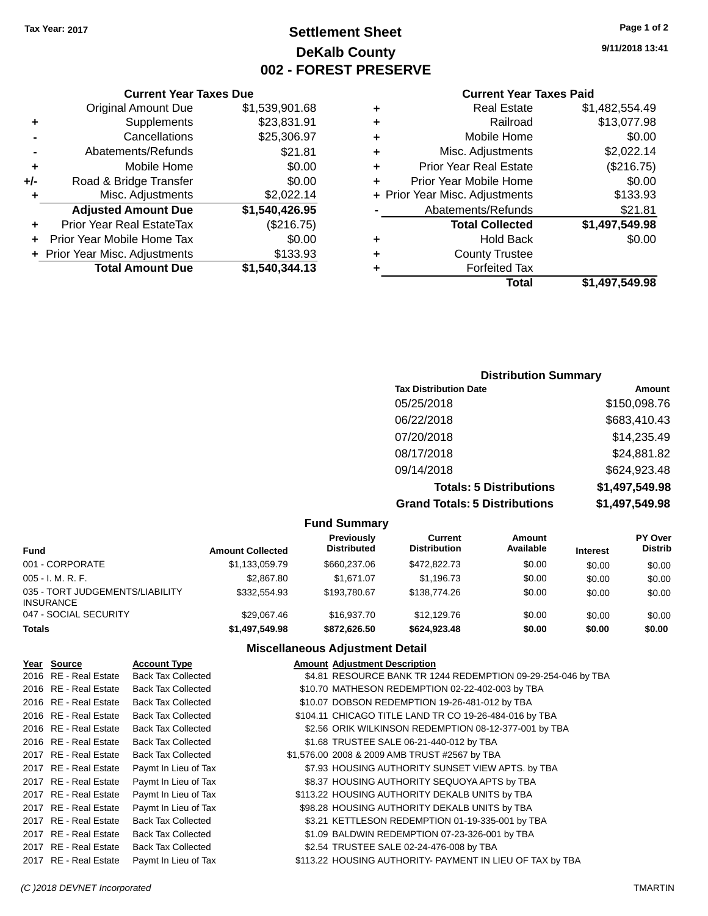## **Settlement Sheet Tax Year: 2017 Page 1 of 2 DeKalb County 002 - FOREST PRESERVE**

**9/11/2018 13:41**

|     | <b>Current Year Taxes Due</b>  |                |      |
|-----|--------------------------------|----------------|------|
|     | <b>Original Amount Due</b>     | \$1,539,901.68 | ٠    |
|     | Supplements                    | \$23,831.91    | ٠    |
|     | Cancellations                  | \$25,306.97    | ٠    |
|     | Abatements/Refunds             | \$21.81        | ٠    |
|     | Mobile Home                    | \$0.00         | ٠    |
| +/- | Road & Bridge Transfer         | \$0.00         | ٠    |
|     | Misc. Adjustments              | \$2,022.14     | + Pr |
|     | <b>Adjusted Amount Due</b>     | \$1,540,426.95 |      |
| ٠   | Prior Year Real EstateTax      | (\$216.75)     |      |
|     | Prior Year Mobile Home Tax     | \$0.00         | ٠    |
|     | + Prior Year Misc. Adjustments | \$133.93       |      |
|     | <b>Total Amount Due</b>        | \$1,540,344.13 |      |
|     |                                |                |      |

#### **Current Year Taxes Paid Physical Estate 51,482,554.49<br><b>813,077.98** Railroad **+** Railroad \$13,077.98 **1000 Mobile Home \$0.00<br>Adjustments \$2.022.14 Misc. Adjustments**

|   | Total                          | \$1,497,549.98    |
|---|--------------------------------|-------------------|
| ÷ | <b>Forfeited Tax</b>           |                   |
| ÷ | <b>County Trustee</b>          |                   |
| ٠ | <b>Hold Back</b>               | \$0.00            |
|   | <b>Total Collected</b>         | \$1,497,549.98    |
|   | Abatements/Refunds             | \$21.81           |
|   | + Prior Year Misc. Adjustments | \$133.93          |
| ÷ | Prior Year Mobile Home         | \$0.00            |
| ÷ | <b>Prior Year Real Estate</b>  | (\$216.75)        |
|   | <b>IVIISC. AUJUSTITEITS</b>    | <b>J</b> Z,UZZ.14 |

### **Distribution Summary Tax Distribution Date Amount** 05/25/2018 \$150,098.76 06/22/2018 \$683,410.43 07/20/2018 \$14,235.49 08/17/2018 \$24,881.82 09/14/2018 \$624,923.48 **Totals: 5 Distributions \$1,497,549.98 Grand Totals: 5 Distributions \$1,497,549.98**

|                                              |                         | <b>Fund Summary</b>              |                                |                     |                 |                                  |
|----------------------------------------------|-------------------------|----------------------------------|--------------------------------|---------------------|-----------------|----------------------------------|
| <b>Fund</b>                                  | <b>Amount Collected</b> | Previously<br><b>Distributed</b> | Current<br><b>Distribution</b> | Amount<br>Available | <b>Interest</b> | <b>PY Over</b><br><b>Distrib</b> |
| 001 - CORPORATE                              | \$1,133,059.79          | \$660,237.06                     | \$472,822,73                   | \$0.00              | \$0.00          | \$0.00                           |
| 005 - I. M. R. F.                            | \$2,867.80              | \$1.671.07                       | \$1.196.73                     | \$0.00              | \$0.00          | \$0.00                           |
| 035 - TORT JUDGEMENTS/LIABILITY<br>INSURANCE | \$332,554.93            | \$193,780.67                     | \$138,774.26                   | \$0.00              | \$0.00          | \$0.00                           |
| 047 - SOCIAL SECURITY                        | \$29.067.46             | \$16,937.70                      | \$12,129.76                    | \$0.00              | \$0.00          | \$0.00                           |
| <b>Totals</b>                                | \$1,497,549.98          | \$872.626.50                     | \$624,923,48                   | \$0.00              | \$0.00          | \$0.00                           |

#### **Miscellaneous Adjustment Detail**

| Year Source           | <b>Account Type</b>       | <b>Amount Adjustment Description</b>                         |
|-----------------------|---------------------------|--------------------------------------------------------------|
| 2016 RE - Real Estate | <b>Back Tax Collected</b> | \$4.81 RESOURCE BANK TR 1244 REDEMPTION 09-29-254-046 by TBA |
| 2016 RE - Real Estate | <b>Back Tax Collected</b> | \$10.70 MATHESON REDEMPTION 02-22-402-003 by TBA             |
| 2016 RE - Real Estate | <b>Back Tax Collected</b> | \$10.07 DOBSON REDEMPTION 19-26-481-012 by TBA               |
| 2016 RE - Real Estate | <b>Back Tax Collected</b> | \$104.11 CHICAGO TITLE LAND TR CO 19-26-484-016 by TBA       |
| 2016 RE - Real Estate | <b>Back Tax Collected</b> | \$2.56 ORIK WILKINSON REDEMPTION 08-12-377-001 by TBA        |
| 2016 RE - Real Estate | <b>Back Tax Collected</b> | \$1.68 TRUSTEE SALE 06-21-440-012 by TBA                     |
| 2017 RE - Real Estate | <b>Back Tax Collected</b> | \$1,576.00 2008 & 2009 AMB TRUST #2567 by TBA                |
| 2017 RE - Real Estate | Paymt In Lieu of Tax      | \$7.93 HOUSING AUTHORITY SUNSET VIEW APTS. by TBA            |
| 2017 RE - Real Estate | Paymt In Lieu of Tax      | \$8.37 HOUSING AUTHORITY SEQUOYA APTS by TBA                 |
| 2017 RE - Real Estate | Paymt In Lieu of Tax      | \$113.22 HOUSING AUTHORITY DEKALB UNITS by TBA               |
| 2017 RE - Real Estate | Paymt In Lieu of Tax      | \$98.28 HOUSING AUTHORITY DEKALB UNITS by TBA                |
| 2017 RE - Real Estate | <b>Back Tax Collected</b> | \$3.21 KETTLESON REDEMPTION 01-19-335-001 by TBA             |
| 2017 RE - Real Estate | <b>Back Tax Collected</b> | \$1.09 BALDWIN REDEMPTION 07-23-326-001 by TBA               |
| 2017 RE - Real Estate | Back Tax Collected        | \$2.54 TRUSTEE SALE 02-24-476-008 by TBA                     |
| 2017 RE - Real Estate | Paymt In Lieu of Tax      | \$113.22 HOUSING AUTHORITY- PAYMENT IN LIEU OF TAX by TBA    |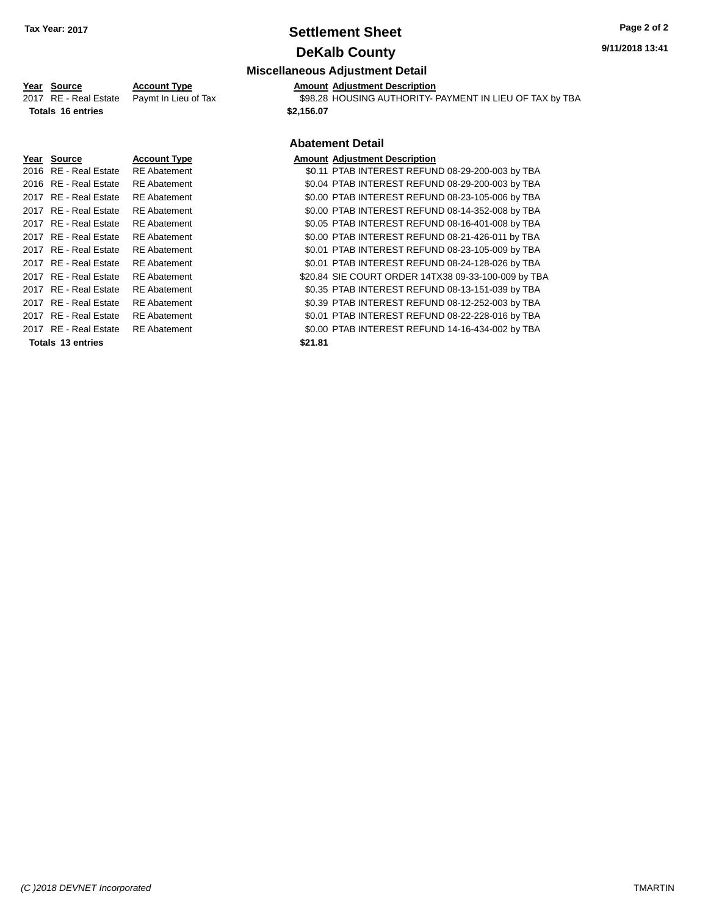## **Settlement Sheet Tax Year: 2017 Page 2 of 2 DeKalb County**

#### **9/11/2018 13:41**

### **Miscellaneous Adjustment Detail**

**Year Source Account Type Amount Adjustment Description**<br>2017 RE - Real Estate Paymt In Lieu of Tax \$98.28 HOUSING AUTHORITY-\$98.28 HOUSING AUTHORITY- PAYMENT IN LIEU OF TAX by TBA **Totals \$2,156.07 16 entries**

## **Abatement Detail**

|                       |                     | Abatement Detail                                    |
|-----------------------|---------------------|-----------------------------------------------------|
| Year Source           | <b>Account Type</b> | <b>Amount Adjustment Description</b>                |
| 2016 RE - Real Estate | <b>RE</b> Abatement | \$0.11 PTAB INTEREST REFUND 08-29-200-003 by TBA    |
| 2016 RE - Real Estate | <b>RE</b> Abatement | \$0.04 PTAB INTEREST REFUND 08-29-200-003 by TBA    |
| 2017 RE - Real Estate | <b>RE</b> Abatement | \$0.00 PTAB INTEREST REFUND 08-23-105-006 by TBA    |
| 2017 RE - Real Estate | <b>RE</b> Abatement | \$0.00 PTAB INTEREST REFUND 08-14-352-008 by TBA    |
| 2017 RE - Real Estate | <b>RE</b> Abatement | \$0.05 PTAB INTEREST REFUND 08-16-401-008 by TBA    |
| 2017 RE - Real Estate | <b>RE</b> Abatement | \$0.00 PTAB INTEREST REFUND 08-21-426-011 by TBA    |
| 2017 RE - Real Estate | <b>RE</b> Abatement | \$0.01 PTAB INTEREST REFUND 08-23-105-009 by TBA    |
| 2017 RE - Real Estate | <b>RE</b> Abatement | \$0.01 PTAB INTEREST REFUND 08-24-128-026 by TBA    |
| 2017 RE - Real Estate | <b>RE</b> Abatement | \$20.84 SIE COURT ORDER 14TX38 09-33-100-009 by TBA |
| 2017 RE - Real Estate | <b>RE</b> Abatement | \$0.35 PTAB INTEREST REFUND 08-13-151-039 by TBA    |
| 2017 RE - Real Estate | <b>RE</b> Abatement | \$0.39 PTAB INTEREST REFUND 08-12-252-003 by TBA    |
| 2017 RE - Real Estate | <b>RE</b> Abatement | \$0.01 PTAB INTEREST REFUND 08-22-228-016 by TBA    |
| 2017 RE - Real Estate | <b>RE</b> Abatement | \$0.00 PTAB INTEREST REFUND 14-16-434-002 by TBA    |
| Totals 13 entries     |                     | \$21.81                                             |
|                       |                     |                                                     |

*(C )2018 DEVNET Incorporated* TMARTIN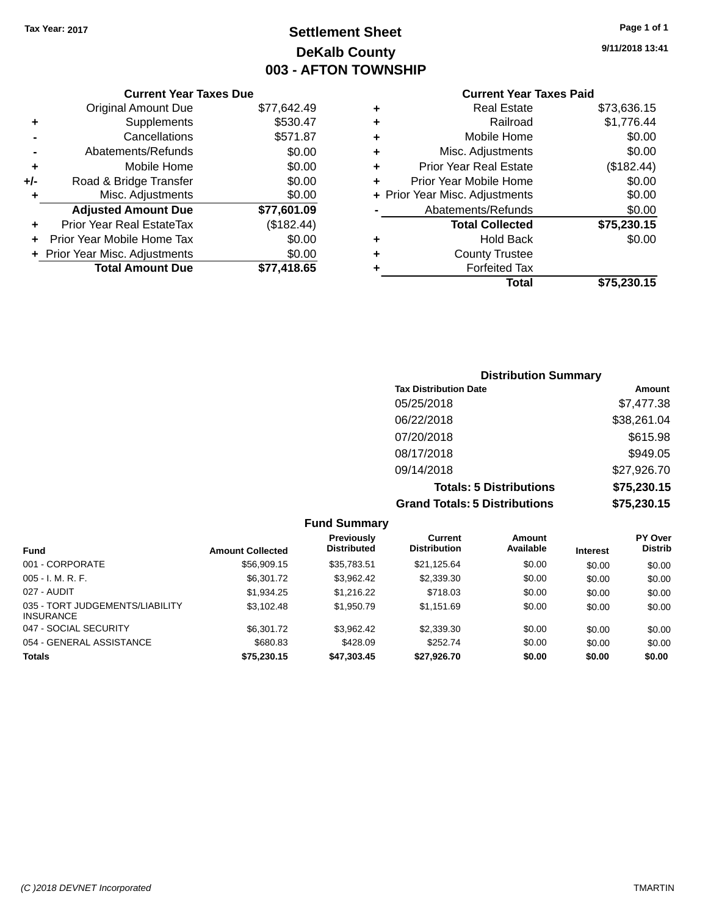## **Settlement Sheet Tax Year: 2017 Page 1 of 1 DeKalb County 003 - AFTON TOWNSHIP**

**9/11/2018 13:41**

|     | <b>Current Year Taxes Due</b>  |             |
|-----|--------------------------------|-------------|
|     | <b>Original Amount Due</b>     | \$77,642.49 |
| ٠   | Supplements                    | \$530.47    |
|     | Cancellations                  | \$571.87    |
|     | Abatements/Refunds             | \$0.00      |
| ٠   | Mobile Home                    | \$0.00      |
| +/- | Road & Bridge Transfer         | \$0.00      |
| ٠   | Misc. Adjustments              | \$0.00      |
|     | <b>Adjusted Amount Due</b>     | \$77,601.09 |
| ÷   | Prior Year Real EstateTax      | (\$182.44)  |
|     | Prior Year Mobile Home Tax     | \$0.00      |
|     | + Prior Year Misc. Adjustments | \$0.00      |
|     | <b>Total Amount Due</b>        | \$77,418.65 |
|     |                                |             |

| ٠ | <b>Real Estate</b>             | \$73,636.15 |
|---|--------------------------------|-------------|
| ٠ | Railroad                       | \$1,776.44  |
| ٠ | Mobile Home                    | \$0.00      |
| ÷ | Misc. Adjustments              | \$0.00      |
| ٠ | <b>Prior Year Real Estate</b>  | (\$182.44)  |
| ٠ | Prior Year Mobile Home         | \$0.00      |
|   | + Prior Year Misc. Adjustments | \$0.00      |
|   | Abatements/Refunds             | \$0.00      |
|   | <b>Total Collected</b>         | \$75,230.15 |
| ٠ | <b>Hold Back</b>               | \$0.00      |
| ٠ | <b>County Trustee</b>          |             |
| ٠ | <b>Forfeited Tax</b>           |             |
|   | Total                          | \$75,230.15 |
|   |                                |             |

| <b>Distribution Summary</b>          |             |  |  |  |  |
|--------------------------------------|-------------|--|--|--|--|
| <b>Tax Distribution Date</b>         | Amount      |  |  |  |  |
| 05/25/2018                           | \$7,477.38  |  |  |  |  |
| 06/22/2018                           | \$38,261.04 |  |  |  |  |
| 07/20/2018                           | \$615.98    |  |  |  |  |
| 08/17/2018                           | \$949.05    |  |  |  |  |
| 09/14/2018                           | \$27,926.70 |  |  |  |  |
| <b>Totals: 5 Distributions</b>       | \$75,230.15 |  |  |  |  |
| <b>Grand Totals: 5 Distributions</b> | \$75,230.15 |  |  |  |  |

|                                                     |                         | <b>Fund Summary</b>                     |                                |                     |                 |                           |
|-----------------------------------------------------|-------------------------|-----------------------------------------|--------------------------------|---------------------|-----------------|---------------------------|
| <b>Fund</b>                                         | <b>Amount Collected</b> | <b>Previously</b><br><b>Distributed</b> | Current<br><b>Distribution</b> | Amount<br>Available | <b>Interest</b> | PY Over<br><b>Distrib</b> |
| 001 - CORPORATE                                     | \$56,909.15             | \$35,783.51                             | \$21,125.64                    | \$0.00              | \$0.00          | \$0.00                    |
| $005 - I. M. R. F.$                                 | \$6,301.72              | \$3.962.42                              | \$2,339.30                     | \$0.00              | \$0.00          | \$0.00                    |
| 027 - AUDIT                                         | \$1,934.25              | \$1,216.22                              | \$718.03                       | \$0.00              | \$0.00          | \$0.00                    |
| 035 - TORT JUDGEMENTS/LIABILITY<br><b>INSURANCE</b> | \$3,102.48              | \$1,950.79                              | \$1.151.69                     | \$0.00              | \$0.00          | \$0.00                    |
| 047 - SOCIAL SECURITY                               | \$6,301.72              | \$3,962.42                              | \$2,339.30                     | \$0.00              | \$0.00          | \$0.00                    |
| 054 - GENERAL ASSISTANCE                            | \$680.83                | \$428.09                                | \$252.74                       | \$0.00              | \$0.00          | \$0.00                    |
| <b>Totals</b>                                       | \$75,230.15             | \$47,303.45                             | \$27,926.70                    | \$0.00              | \$0.00          | \$0.00                    |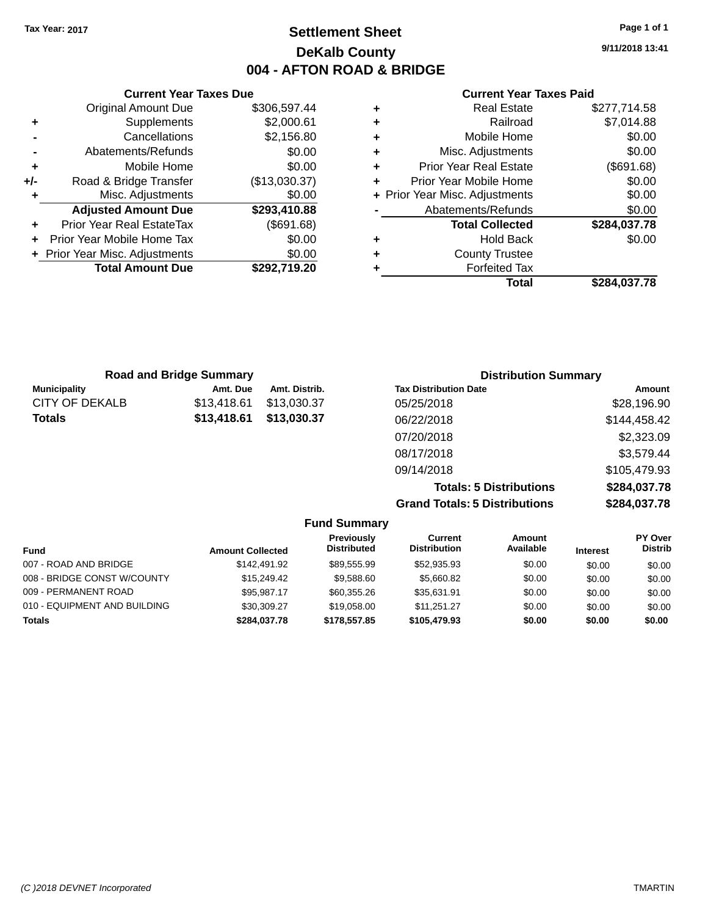## **Settlement Sheet Tax Year: 2017 Page 1 of 1 DeKalb County 004 - AFTON ROAD & BRIDGE**

**9/11/2018 13:41**

|   | <b>County Trustee</b><br><b>Forfeited Tax</b> |                                |
|---|-----------------------------------------------|--------------------------------|
|   |                                               |                                |
|   |                                               |                                |
|   | <b>Hold Back</b>                              | \$0.00                         |
|   | <b>Total Collected</b>                        | \$284,037.78                   |
|   | Abatements/Refunds                            | \$0.00                         |
|   |                                               | \$0.00                         |
|   | Prior Year Mobile Home                        | \$0.00                         |
| ٠ | <b>Prior Year Real Estate</b>                 | (\$691.68)                     |
| ٠ | Misc. Adjustments                             | \$0.00                         |
|   | Mobile Home                                   | \$0.00                         |
|   | Railroad                                      | \$7,014.88                     |
|   | <b>Real Estate</b>                            | \$277,714.58                   |
|   |                                               | + Prior Year Misc. Adjustments |

|     | <b>Current Year Taxes Due</b>    |               |  |  |  |  |
|-----|----------------------------------|---------------|--|--|--|--|
|     | <b>Original Amount Due</b>       | \$306,597.44  |  |  |  |  |
| ٠   | Supplements                      | \$2,000.61    |  |  |  |  |
|     | Cancellations                    | \$2,156.80    |  |  |  |  |
|     | Abatements/Refunds               | \$0.00        |  |  |  |  |
| ٠   | Mobile Home                      | \$0.00        |  |  |  |  |
| +/- | Road & Bridge Transfer           | (\$13,030.37) |  |  |  |  |
| ٠   | Misc. Adjustments                | \$0.00        |  |  |  |  |
|     | <b>Adjusted Amount Due</b>       | \$293,410.88  |  |  |  |  |
|     | <b>Prior Year Real EstateTax</b> | (\$691.68)    |  |  |  |  |
|     | Prior Year Mobile Home Tax       | \$0.00        |  |  |  |  |
|     | + Prior Year Misc. Adjustments   | \$0.00        |  |  |  |  |
|     | <b>Total Amount Due</b>          | \$292,719.20  |  |  |  |  |
|     |                                  |               |  |  |  |  |

|                     | <b>Road and Bridge Summary</b> |               | <b>Distribution Summary</b>          |               |
|---------------------|--------------------------------|---------------|--------------------------------------|---------------|
| <b>Municipality</b> | Amt. Due                       | Amt. Distrib. | <b>Tax Distribution Date</b>         | <b>Amount</b> |
| CITY OF DEKALB      | \$13,418.61                    | \$13,030.37   | 05/25/2018                           | \$28,196.90   |
| Totals              | \$13,418.61                    | \$13,030.37   | 06/22/2018                           | \$144,458.42  |
|                     |                                |               | 07/20/2018                           | \$2,323.09    |
|                     |                                |               | 08/17/2018                           | \$3,579.44    |
|                     |                                |               | 09/14/2018                           | \$105,479.93  |
|                     |                                |               | <b>Totals: 5 Distributions</b>       | \$284,037.78  |
|                     |                                |               | <b>Grand Totals: 5 Distributions</b> | \$284,037.78  |

|                              |                         | <b>Fund Summary</b>              |                                |                     |                 |                                  |
|------------------------------|-------------------------|----------------------------------|--------------------------------|---------------------|-----------------|----------------------------------|
| <b>Fund</b>                  | <b>Amount Collected</b> | Previously<br><b>Distributed</b> | Current<br><b>Distribution</b> | Amount<br>Available | <b>Interest</b> | <b>PY Over</b><br><b>Distrib</b> |
| 007 - ROAD AND BRIDGE        | \$142.491.92            | \$89.555.99                      | \$52,935.93                    | \$0.00              | \$0.00          | \$0.00                           |
| 008 - BRIDGE CONST W/COUNTY  | \$15,249,42             | \$9,588.60                       | \$5,660.82                     | \$0.00              | \$0.00          | \$0.00                           |
| 009 - PERMANENT ROAD         | \$95.987.17             | \$60,355.26                      | \$35.631.91                    | \$0.00              | \$0.00          | \$0.00                           |
| 010 - EQUIPMENT AND BUILDING | \$30,309.27             | \$19,058,00                      | \$11.251.27                    | \$0.00              | \$0.00          | \$0.00                           |
| <b>Totals</b>                | \$284,037.78            | \$178,557.85                     | \$105,479.93                   | \$0.00              | \$0.00          | \$0.00                           |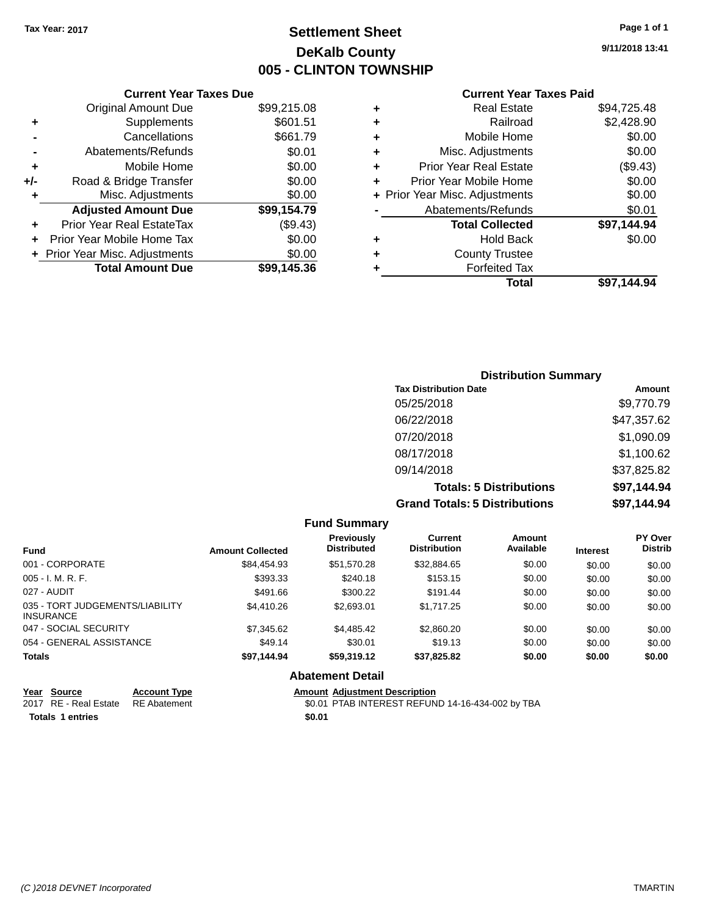## **Settlement Sheet Tax Year: 2017 Page 1 of 1 DeKalb County 005 - CLINTON TOWNSHIP**

**9/11/2018 13:41**

|     | <b>Current Year Taxes Due</b>    |             |     |
|-----|----------------------------------|-------------|-----|
|     | <b>Original Amount Due</b>       | \$99,215.08 |     |
|     | Supplements                      | \$601.51    |     |
|     | Cancellations                    | \$661.79    | ٠   |
|     | Abatements/Refunds               | \$0.01      |     |
|     | Mobile Home                      | \$0.00      |     |
| +/- | Road & Bridge Transfer           | \$0.00      | ٠   |
|     | Misc. Adjustments                | \$0.00      | + F |
|     | <b>Adjusted Amount Due</b>       | \$99,154.79 |     |
|     | <b>Prior Year Real EstateTax</b> | (\$9.43)    |     |
|     | Prior Year Mobile Home Tax       | \$0.00      |     |
|     | Drior Voor Mice, Adjustmants     | ድስ ሰስ       |     |

| <b>Total Amount Due</b>        | \$99,145.36 |
|--------------------------------|-------------|
| + Prior Year Misc. Adjustments | \$0.00      |
|                                |             |

## **Current Year Taxes Paid**

|   | <b>Real Estate</b>             | \$94,725.48 |
|---|--------------------------------|-------------|
| ٠ | Railroad                       | \$2,428.90  |
| ٠ | Mobile Home                    | \$0.00      |
| ٠ | Misc. Adjustments              | \$0.00      |
| ٠ | <b>Prior Year Real Estate</b>  | (\$9.43)    |
| ٠ | Prior Year Mobile Home         | \$0.00      |
|   | + Prior Year Misc. Adjustments | \$0.00      |
|   | Abatements/Refunds             | \$0.01      |
|   | <b>Total Collected</b>         | \$97,144.94 |
| ٠ | <b>Hold Back</b>               | \$0.00      |
| ٠ | <b>County Trustee</b>          |             |
| ٠ | <b>Forfeited Tax</b>           |             |
|   | Total                          | \$97.144.94 |
|   |                                |             |

### **Distribution Summary Tax Distribution Date Amount** 05/25/2018 \$9,770.79 06/22/2018 \$47,357.62 07/20/2018 \$1,090.09 08/17/2018 \$1,100.62 09/14/2018 \$37,825.82 **Totals: 5 Distributions \$97,144.94 Grand Totals: 5 Distributions \$97,144.94**

|                                                     |                         | <b>Fund Summary</b>                     |                                       |                     |                 |                           |
|-----------------------------------------------------|-------------------------|-----------------------------------------|---------------------------------------|---------------------|-----------------|---------------------------|
| <b>Fund</b>                                         | <b>Amount Collected</b> | <b>Previously</b><br><b>Distributed</b> | <b>Current</b><br><b>Distribution</b> | Amount<br>Available | <b>Interest</b> | PY Over<br><b>Distrib</b> |
| 001 - CORPORATE                                     | \$84.454.93             | \$51.570.28                             | \$32.884.65                           | \$0.00              | \$0.00          | \$0.00                    |
| $005 - I. M. R. F.$                                 | \$393.33                | \$240.18                                | \$153.15                              | \$0.00              | \$0.00          | \$0.00                    |
| 027 - AUDIT                                         | \$491.66                | \$300.22                                | \$191.44                              | \$0.00              | \$0.00          | \$0.00                    |
| 035 - TORT JUDGEMENTS/LIABILITY<br><b>INSURANCE</b> | \$4,410.26              | \$2,693.01                              | \$1,717.25                            | \$0.00              | \$0.00          | \$0.00                    |
| 047 - SOCIAL SECURITY                               | \$7,345.62              | \$4,485.42                              | \$2,860.20                            | \$0.00              | \$0.00          | \$0.00                    |
| 054 - GENERAL ASSISTANCE                            | \$49.14                 | \$30.01                                 | \$19.13                               | \$0.00              | \$0.00          | \$0.00                    |
| <b>Totals</b>                                       | \$97.144.94             | \$59,319.12                             | \$37,825.82                           | \$0.00              | \$0.00          | \$0.00                    |
|                                                     |                         | <b>Abatement Detail</b>                 |                                       |                     |                 |                           |

| <u>Year Source</u>                 | <b>Account Type</b> | <b>Amount Adjustment Description</b>             |
|------------------------------------|---------------------|--------------------------------------------------|
| 2017 RE - Real Estate RE Abatement |                     | \$0.01 PTAB INTEREST REFUND 14-16-434-002 by TBA |
| <b>Totals 1 entries</b>            |                     | \$0.01                                           |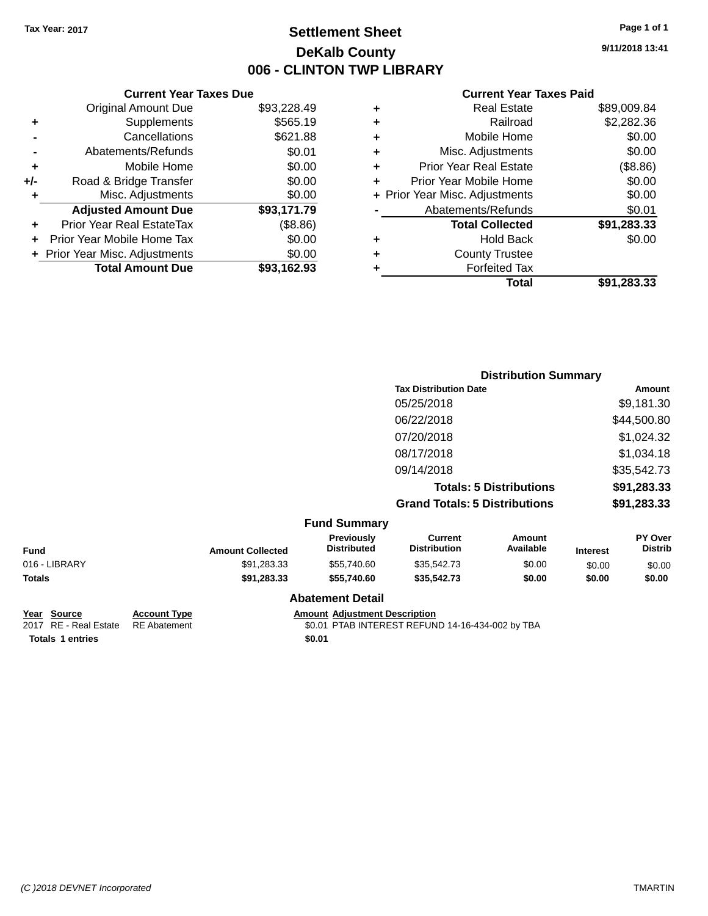## **Settlement Sheet Tax Year: 2017 Page 1 of 1 DeKalb County 006 - CLINTON TWP LIBRARY**

**9/11/2018 13:41**

#### **Current Year Taxes Paid**

| <b>Current Year Taxes Due</b>  |             |  |  |  |  |
|--------------------------------|-------------|--|--|--|--|
| <b>Original Amount Due</b>     | \$93,228.49 |  |  |  |  |
| Supplements                    | \$565.19    |  |  |  |  |
| Cancellations                  | \$621.88    |  |  |  |  |
| Abatements/Refunds             | \$0.01      |  |  |  |  |
| Mobile Home                    | \$0.00      |  |  |  |  |
| Road & Bridge Transfer         | \$0.00      |  |  |  |  |
| Misc. Adjustments              | \$0.00      |  |  |  |  |
| <b>Adjusted Amount Due</b>     | \$93,171.79 |  |  |  |  |
| Prior Year Real EstateTax      | (\$8.86)    |  |  |  |  |
| Prior Year Mobile Home Tax     | \$0.00      |  |  |  |  |
| + Prior Year Misc. Adjustments | \$0.00      |  |  |  |  |
| <b>Total Amount Due</b>        | \$93.162.93 |  |  |  |  |
|                                |             |  |  |  |  |

|   | <b>Real Estate</b>             | \$89,009.84 |
|---|--------------------------------|-------------|
| ٠ | Railroad                       | \$2,282.36  |
| ٠ | Mobile Home                    | \$0.00      |
| ٠ | Misc. Adjustments              | \$0.00      |
| ٠ | Prior Year Real Estate         | (\$8.86)    |
| ٠ | Prior Year Mobile Home         | \$0.00      |
|   | + Prior Year Misc. Adjustments | \$0.00      |
|   | Abatements/Refunds             | \$0.01      |
|   | <b>Total Collected</b>         | \$91,283.33 |
| ٠ | <b>Hold Back</b>               | \$0.00      |
| ٠ | <b>County Trustee</b>          |             |
| ٠ | <b>Forfeited Tax</b>           |             |
|   | <b>Total</b>                   | \$91,283.33 |
|   |                                |             |

|               |                         |                                  |                                       | <b>Distribution Summary</b>    |                 |                           |
|---------------|-------------------------|----------------------------------|---------------------------------------|--------------------------------|-----------------|---------------------------|
|               |                         |                                  | <b>Tax Distribution Date</b>          |                                |                 | Amount                    |
|               |                         |                                  | 05/25/2018                            |                                |                 | \$9,181.30                |
|               |                         |                                  | 06/22/2018                            |                                |                 | \$44,500.80               |
|               |                         |                                  | 07/20/2018                            |                                |                 | \$1,024.32                |
|               |                         |                                  | 08/17/2018                            |                                |                 | \$1,034.18                |
|               |                         |                                  | 09/14/2018                            |                                |                 | \$35,542.73               |
|               |                         |                                  |                                       | <b>Totals: 5 Distributions</b> |                 | \$91,283.33               |
|               |                         |                                  | <b>Grand Totals: 5 Distributions</b>  |                                |                 | \$91,283.33               |
|               |                         | <b>Fund Summary</b>              |                                       |                                |                 |                           |
| <b>Fund</b>   | <b>Amount Collected</b> | Previously<br><b>Distributed</b> | <b>Current</b><br><b>Distribution</b> | <b>Amount</b><br>Available     | <b>Interest</b> | PY Over<br><b>Distrib</b> |
| 016 - LIBRARY | \$91,283.33             | \$55,740.60                      | \$35,542.73                           | \$0.00                         | \$0.00          | \$0.00                    |
| Totals        | \$91,283.33             | \$55,740.60                      | \$35,542.73                           | \$0.00                         | \$0.00          | \$0.00                    |

## **Year Source Account Type Amount Adjustment Description**<br>2017 RE - Real Estate RE Abatement **Amount Adjustment Adjustment** ACCONDING ARTEREST REFUN **Totals 1 entries** \$0.01

#### **Abatement Detail**

\$0.01 PTAB INTEREST REFUND 14-16-434-002 by TBA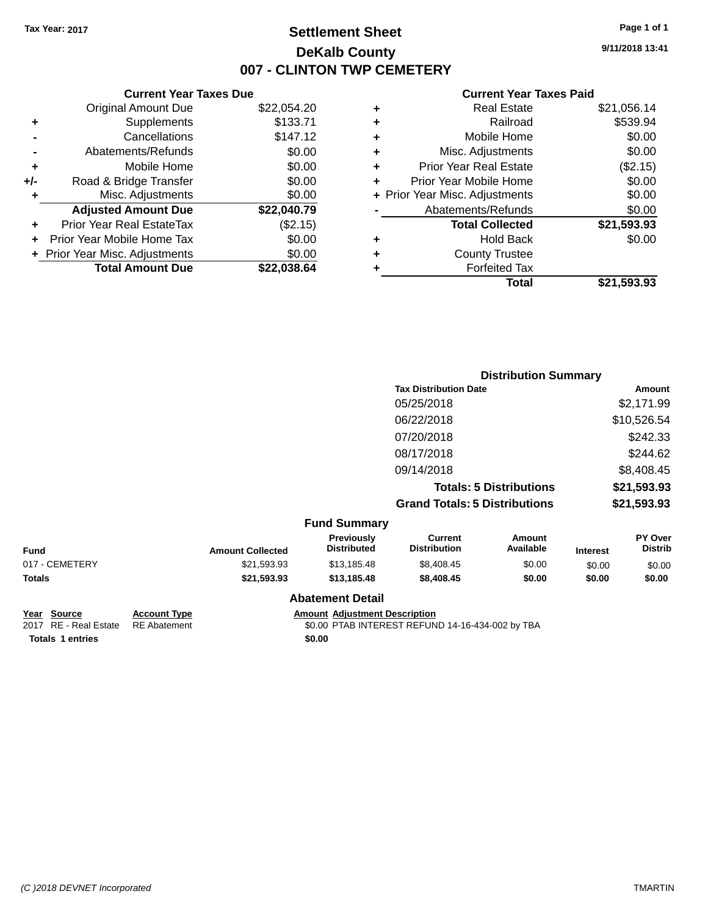## **Settlement Sheet Tax Year: 2017 Page 1 of 1 DeKalb County 007 - CLINTON TWP CEMETERY**

**9/11/2018 13:41**

#### **Current Year Taxes Paid**

|     | <b>Current Year Taxes Due</b>  |             |
|-----|--------------------------------|-------------|
|     | <b>Original Amount Due</b>     | \$22,054.20 |
| ٠   | Supplements                    | \$133.71    |
|     | Cancellations                  | \$147.12    |
|     | Abatements/Refunds             | \$0.00      |
| ٠   | Mobile Home                    | \$0.00      |
| +/- | Road & Bridge Transfer         | \$0.00      |
| ٠   | Misc. Adjustments              | \$0.00      |
|     | <b>Adjusted Amount Due</b>     | \$22,040.79 |
| ٠   | Prior Year Real EstateTax      | (\$2.15)    |
|     | Prior Year Mobile Home Tax     | \$0.00      |
|     | + Prior Year Misc. Adjustments | \$0.00      |
|     | <b>Total Amount Due</b>        | \$22,038.64 |
|     |                                |             |

| ٠ | <b>Real Estate</b>             | \$21,056.14 |
|---|--------------------------------|-------------|
| ٠ | Railroad                       | \$539.94    |
| ٠ | Mobile Home                    | \$0.00      |
| ٠ | Misc. Adjustments              | \$0.00      |
| ٠ | <b>Prior Year Real Estate</b>  | (\$2.15)    |
| ÷ | Prior Year Mobile Home         | \$0.00      |
|   | + Prior Year Misc. Adjustments | \$0.00      |
|   | Abatements/Refunds             | \$0.00      |
|   | <b>Total Collected</b>         | \$21,593.93 |
| ٠ | <b>Hold Back</b>               | \$0.00      |
| ÷ | <b>County Trustee</b>          |             |
| ٠ | <b>Forfeited Tax</b>           |             |
|   | Total                          | \$21,593.93 |
|   |                                |             |

|              |                         |                                  |                                       | <b>Distribution Summary</b>    |                 |                                  |
|--------------|-------------------------|----------------------------------|---------------------------------------|--------------------------------|-----------------|----------------------------------|
|              |                         |                                  | <b>Tax Distribution Date</b>          |                                |                 | <b>Amount</b>                    |
|              |                         |                                  | 05/25/2018                            |                                |                 | \$2,171.99                       |
|              |                         |                                  | 06/22/2018                            |                                |                 | \$10,526.54                      |
|              |                         |                                  | 07/20/2018                            |                                |                 | \$242.33                         |
|              |                         |                                  | 08/17/2018                            |                                |                 | \$244.62                         |
|              |                         |                                  | 09/14/2018                            |                                |                 | \$8,408.45                       |
|              |                         |                                  |                                       | <b>Totals: 5 Distributions</b> |                 | \$21,593.93                      |
|              |                         |                                  | <b>Grand Totals: 5 Distributions</b>  |                                |                 | \$21,593.93                      |
|              |                         | <b>Fund Summary</b>              |                                       |                                |                 |                                  |
|              | <b>Amount Collected</b> | Previously<br><b>Distributed</b> | <b>Current</b><br><b>Distribution</b> | <b>Amount</b><br>Available     | <b>Interest</b> | <b>PY Over</b><br><b>Distrib</b> |
| <b>FTEDV</b> | 0.4.500.00              | $0.40 \times 10^{-10}$           | $0.400 \pm 0.00$                      | 0000                           | $\sim$ $\sim$   | $\sim$ $\sim$                    |

| <b>Fund</b>           |                     | <b>Amount Collected</b> | <b>Previously</b><br><b>Distributed</b>          | Current<br><b>Distribution</b> | Amount<br>Available | <b>Interest</b> | PY Over<br><b>Distrib</b> |
|-----------------------|---------------------|-------------------------|--------------------------------------------------|--------------------------------|---------------------|-----------------|---------------------------|
| 017 - CEMETERY        |                     | \$21,593.93             | \$13,185,48                                      | \$8,408,45                     | \$0.00              | \$0.00          | \$0.00                    |
| <b>Totals</b>         |                     | \$21,593.93             | \$13,185,48                                      | \$8,408,45                     | \$0.00              | \$0.00          | \$0.00                    |
|                       |                     |                         | <b>Abatement Detail</b>                          |                                |                     |                 |                           |
| Year<br>Source        | <b>Account Type</b> |                         | <b>Amount Adiustment Description</b>             |                                |                     |                 |                           |
| 2017 RE - Real Estate | <b>RE</b> Abatement |                         | \$0.00 PTAB INTEREST REFUND 14-16-434-002 by TBA |                                |                     |                 |                           |

**Totals 1 entries** \$0.00

\$0.00 PTAB INTEREST REFUND 14-16-434-002 by TBA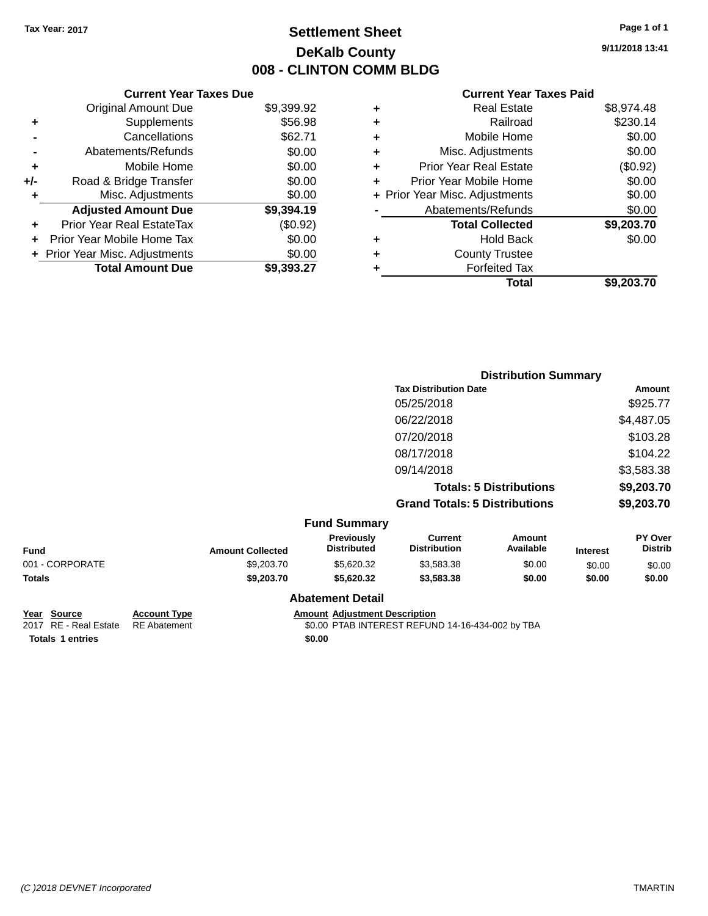## **Settlement Sheet Tax Year: 2017 Page 1 of 1 DeKalb County 008 - CLINTON COMM BLDG**

**9/11/2018 13:41**

#### **Current Year Taxes Paid**

|     | <b>Current Year Taxes Due</b>  |            |
|-----|--------------------------------|------------|
|     | <b>Original Amount Due</b>     | \$9,399.92 |
| ٠   | Supplements                    | \$56.98    |
|     | Cancellations                  | \$62.71    |
|     | Abatements/Refunds             | \$0.00     |
| ٠   | Mobile Home                    | \$0.00     |
| +/- | Road & Bridge Transfer         | \$0.00     |
| ٠   | Misc. Adjustments              | \$0.00     |
|     | <b>Adjusted Amount Due</b>     | \$9,394.19 |
| ÷   | Prior Year Real EstateTax      | (\$0.92)   |
| ÷   | Prior Year Mobile Home Tax     | \$0.00     |
|     | + Prior Year Misc. Adjustments | \$0.00     |
|     | <b>Total Amount Due</b>        | \$9.393.27 |

|   | <b>Real Estate</b>             | \$8,974.48 |
|---|--------------------------------|------------|
| ٠ | Railroad                       | \$230.14   |
| ٠ | Mobile Home                    | \$0.00     |
| ٠ | Misc. Adjustments              | \$0.00     |
| ٠ | <b>Prior Year Real Estate</b>  | (\$0.92)   |
| ٠ | Prior Year Mobile Home         | \$0.00     |
|   | + Prior Year Misc. Adjustments | \$0.00     |
|   | Abatements/Refunds             | \$0.00     |
|   | <b>Total Collected</b>         | \$9,203.70 |
| ٠ | <b>Hold Back</b>               | \$0.00     |
| ٠ | <b>County Trustee</b>          |            |
| ٠ | <b>Forfeited Tax</b>           |            |
|   | Total                          | \$9,203.70 |
|   |                                |            |

|                 |                         |                                  |                                       | <b>Distribution Summary</b>    |                 |                           |
|-----------------|-------------------------|----------------------------------|---------------------------------------|--------------------------------|-----------------|---------------------------|
|                 |                         |                                  | <b>Tax Distribution Date</b>          |                                |                 | Amount                    |
|                 |                         |                                  | 05/25/2018                            |                                |                 | \$925.77                  |
|                 |                         |                                  | 06/22/2018                            |                                |                 | \$4,487.05                |
|                 |                         |                                  | 07/20/2018                            |                                |                 | \$103.28                  |
|                 |                         |                                  | 08/17/2018                            |                                |                 | \$104.22                  |
|                 |                         |                                  | 09/14/2018                            |                                |                 | \$3,583.38                |
|                 |                         |                                  |                                       | <b>Totals: 5 Distributions</b> |                 | \$9,203.70                |
|                 |                         |                                  | <b>Grand Totals: 5 Distributions</b>  |                                |                 | \$9,203.70                |
|                 |                         | <b>Fund Summary</b>              |                                       |                                |                 |                           |
| Fund            | <b>Amount Collected</b> | Previously<br><b>Distributed</b> | <b>Current</b><br><b>Distribution</b> | <b>Amount</b><br>Available     | <b>Interest</b> | PY Over<br><b>Distrib</b> |
| 001 - CORPORATE | \$9,203.70              | \$5,620.32                       | \$3,583.38                            | \$0.00                         | \$0.00          | \$0.00                    |
| Totals          | \$9,203.70              | \$5,620.32                       | \$3,583.38                            | \$0.00                         | \$0.00          | \$0.00                    |

## **Year Source Account Type Amount Adjustment Description**<br>2017 RE - Real Estate RE Abatement **Amount Adjustment Adjustment** ACOUPTAB INTEREST REFUN **Totals 1 entries** \$0.00

**Abatement Detail**

\$0.00 PTAB INTEREST REFUND 14-16-434-002 by TBA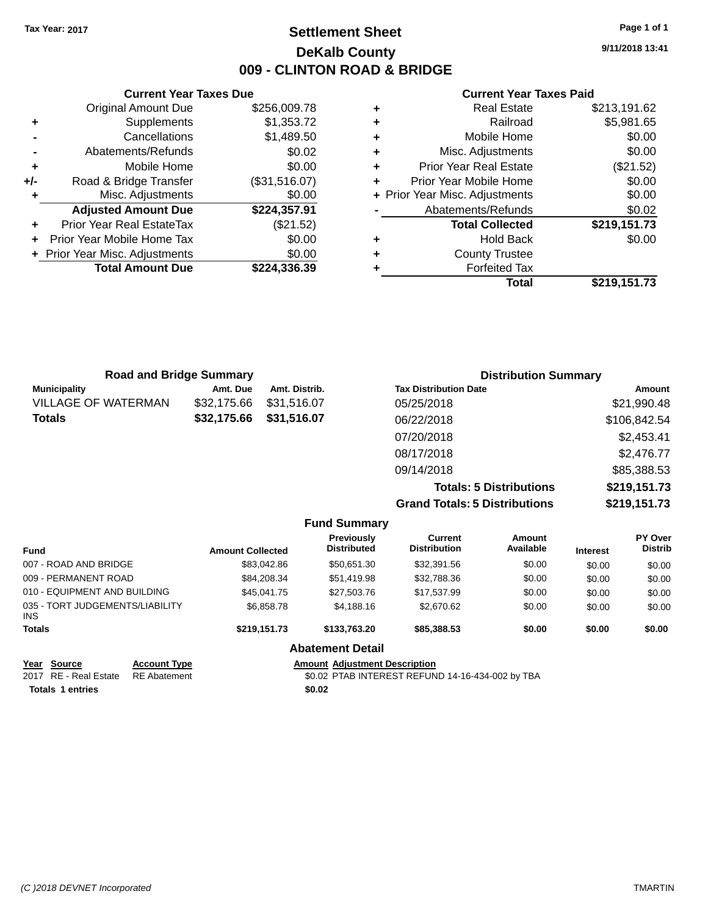## **Settlement Sheet Tax Year: 2017 Page 1 of 1 DeKalb County 009 - CLINTON ROAD & BRIDGE**

**9/11/2018 13:41**

#### **Current Year Taxes Paid**

|       | <b>Current Year Taxes Due</b>  |               |
|-------|--------------------------------|---------------|
|       | <b>Original Amount Due</b>     | \$256,009.78  |
| ٠     | Supplements                    | \$1,353.72    |
|       | Cancellations                  | \$1,489.50    |
|       | Abatements/Refunds             | \$0.02        |
| ٠     | Mobile Home                    | \$0.00        |
| $+/-$ | Road & Bridge Transfer         | (\$31,516.07) |
| ٠     | Misc. Adjustments              | \$0.00        |
|       | <b>Adjusted Amount Due</b>     | \$224,357.91  |
|       | Prior Year Real EstateTax      | (\$21.52)     |
|       | Prior Year Mobile Home Tax     | \$0.00        |
|       | + Prior Year Misc. Adjustments | \$0.00        |
|       | <b>Total Amount Due</b>        | \$224,336.39  |
|       |                                |               |

|   | <b>Real Estate</b>             | \$213,191.62 |
|---|--------------------------------|--------------|
| ٠ | Railroad                       | \$5,981.65   |
| ٠ | Mobile Home                    | \$0.00       |
| ٠ | Misc. Adjustments              | \$0.00       |
| ٠ | <b>Prior Year Real Estate</b>  | (\$21.52)    |
| ٠ | Prior Year Mobile Home         | \$0.00       |
|   | + Prior Year Misc. Adjustments | \$0.00       |
|   | Abatements/Refunds             | \$0.02       |
|   | <b>Total Collected</b>         | \$219,151.73 |
| ٠ | <b>Hold Back</b>               | \$0.00       |
| ٠ | <b>County Trustee</b>          |              |
| ٠ | <b>Forfeited Tax</b>           |              |
|   | Total                          | \$219,151.73 |
|   |                                |              |

| <b>Distribution Summary</b>                    |  |  |
|------------------------------------------------|--|--|
| <b>Tax Distribution Date</b><br>Amount         |  |  |
| \$21,990.48                                    |  |  |
| \$106,842.54                                   |  |  |
| \$2,453.41<br>07/20/2018                       |  |  |
| \$2,476.77                                     |  |  |
| \$85,388.53                                    |  |  |
| \$219,151.73<br><b>Totals: 5 Distributions</b> |  |  |
|                                                |  |  |

**Grand Totals: 5 Distributions \$219,151.73**

|                                         |                     |                         | <b>Fund Summary</b>                     |                                       |                     |                 |                           |
|-----------------------------------------|---------------------|-------------------------|-----------------------------------------|---------------------------------------|---------------------|-----------------|---------------------------|
| <b>Fund</b>                             |                     | <b>Amount Collected</b> | <b>Previously</b><br><b>Distributed</b> | <b>Current</b><br><b>Distribution</b> | Amount<br>Available | <b>Interest</b> | PY Over<br><b>Distrib</b> |
| 007 - ROAD AND BRIDGE                   |                     | \$83,042.86             | \$50,651.30                             | \$32,391.56                           | \$0.00              | \$0.00          | \$0.00                    |
| 009 - PERMANENT ROAD                    |                     | \$84,208.34             | \$51,419.98                             | \$32,788.36                           | \$0.00              | \$0.00          | \$0.00                    |
| 010 - EQUIPMENT AND BUILDING            |                     | \$45,041.75             | \$27,503.76                             | \$17,537.99                           | \$0.00              | \$0.00          | \$0.00                    |
| 035 - TORT JUDGEMENTS/LIABILITY<br>INS. |                     | \$6,858.78              | \$4,188.16                              | \$2,670.62                            | \$0.00              | \$0.00          | \$0.00                    |
| <b>Totals</b>                           |                     | \$219,151.73            | \$133,763,20                            | \$85,388.53                           | \$0.00              | \$0.00          | \$0.00                    |
|                                         |                     |                         | <b>Abatement Detail</b>                 |                                       |                     |                 |                           |
| Year<br>Source                          | <b>Account Type</b> |                         | <b>Amount Adjustment Description</b>    |                                       |                     |                 |                           |

**Totals 1 entries** 

2017 RE - Real Estate RE Abatement \$0.02 PTAB INTEREST REFUND 14-16-434-002 by TBA<br> **Totals 1 entries** \$0.02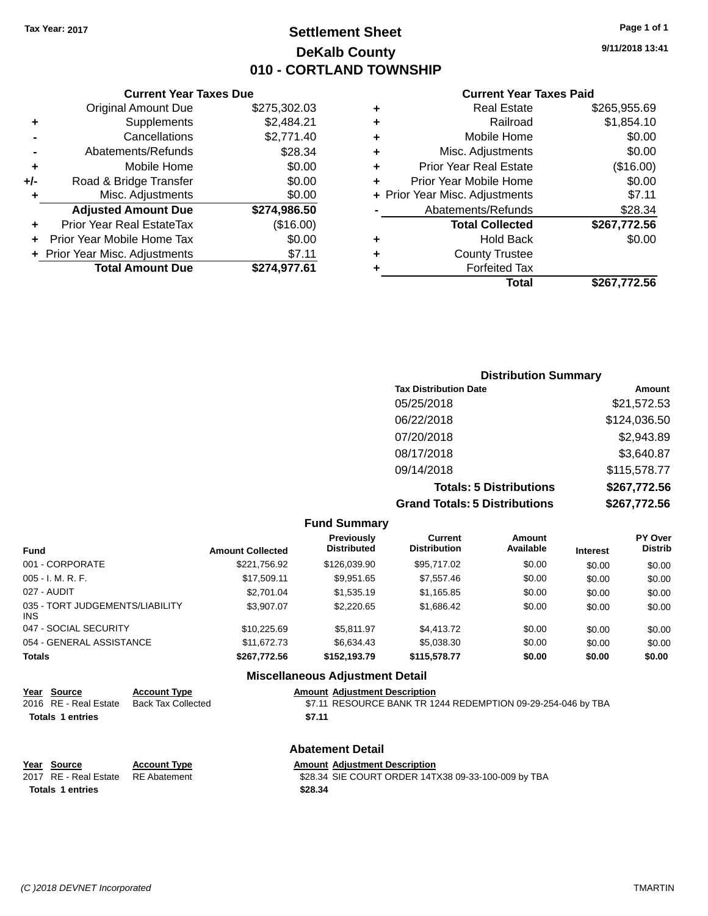## **Settlement Sheet Tax Year: 2017 Page 1 of 1 DeKalb County 010 - CORTLAND TOWNSHIP**

**9/11/2018 13:41**

|     | <b>Current Year Taxes Due</b>  |              |  |  |  |  |  |  |
|-----|--------------------------------|--------------|--|--|--|--|--|--|
|     | <b>Original Amount Due</b>     | \$275,302.03 |  |  |  |  |  |  |
| ٠   | Supplements                    | \$2,484.21   |  |  |  |  |  |  |
|     | Cancellations                  | \$2,771.40   |  |  |  |  |  |  |
|     | Abatements/Refunds             | \$28.34      |  |  |  |  |  |  |
| ٠   | Mobile Home                    | \$0.00       |  |  |  |  |  |  |
| +/- | Road & Bridge Transfer         | \$0.00       |  |  |  |  |  |  |
| ٠   | Misc. Adjustments              | \$0.00       |  |  |  |  |  |  |
|     | <b>Adjusted Amount Due</b>     | \$274,986.50 |  |  |  |  |  |  |
|     | Prior Year Real EstateTax      | (\$16.00)    |  |  |  |  |  |  |
|     | Prior Year Mobile Home Tax     | \$0.00       |  |  |  |  |  |  |
|     | + Prior Year Misc. Adjustments | \$7.11       |  |  |  |  |  |  |
|     | <b>Total Amount Due</b>        | \$274,977.61 |  |  |  |  |  |  |
|     |                                |              |  |  |  |  |  |  |

|   | <b>Real Estate</b>             | \$265,955.69 |
|---|--------------------------------|--------------|
| ٠ | Railroad                       | \$1,854.10   |
| ٠ | Mobile Home                    | \$0.00       |
| ٠ | Misc. Adjustments              | \$0.00       |
| ٠ | <b>Prior Year Real Estate</b>  | (\$16.00)    |
| ٠ | Prior Year Mobile Home         | \$0.00       |
|   | + Prior Year Misc. Adjustments | \$7.11       |
|   | Abatements/Refunds             | \$28.34      |
|   | <b>Total Collected</b>         | \$267,772.56 |
| ٠ | <b>Hold Back</b>               | \$0.00       |
|   | <b>County Trustee</b>          |              |
| ٠ | <b>Forfeited Tax</b>           |              |
|   | Total                          | \$267,772.56 |
|   |                                |              |

| <b>Distribution Summary</b>          |              |
|--------------------------------------|--------------|
| <b>Tax Distribution Date</b>         | Amount       |
| 05/25/2018                           | \$21,572.53  |
| 06/22/2018                           | \$124,036.50 |
| 07/20/2018                           | \$2,943.89   |
| 08/17/2018                           | \$3,640.87   |
| 09/14/2018                           | \$115,578.77 |
| <b>Totals: 5 Distributions</b>       | \$267,772.56 |
| <b>Grand Totals: 5 Distributions</b> | \$267,772.56 |

| <b>Fund Summary</b>                     |                         |                                         |                                       |                            |                 |                                  |  |
|-----------------------------------------|-------------------------|-----------------------------------------|---------------------------------------|----------------------------|-----------------|----------------------------------|--|
| <b>Fund</b>                             | <b>Amount Collected</b> | <b>Previously</b><br><b>Distributed</b> | <b>Current</b><br><b>Distribution</b> | <b>Amount</b><br>Available | <b>Interest</b> | <b>PY Over</b><br><b>Distrib</b> |  |
| 001 - CORPORATE                         | \$221,756.92            | \$126,039.90                            | \$95,717.02                           | \$0.00                     | \$0.00          | \$0.00                           |  |
| $005 - I. M. R. F.$                     | \$17.509.11             | \$9.951.65                              | \$7.557.46                            | \$0.00                     | \$0.00          | \$0.00                           |  |
| 027 - AUDIT                             | \$2,701.04              | \$1,535.19                              | \$1,165.85                            | \$0.00                     | \$0.00          | \$0.00                           |  |
| 035 - TORT JUDGEMENTS/LIABILITY<br>INS. | \$3.907.07              | \$2,220.65                              | \$1,686.42                            | \$0.00                     | \$0.00          | \$0.00                           |  |
| 047 - SOCIAL SECURITY                   | \$10.225.69             | \$5.811.97                              | \$4,413.72                            | \$0.00                     | \$0.00          | \$0.00                           |  |
| 054 - GENERAL ASSISTANCE                | \$11,672,73             | \$6,634.43                              | \$5,038,30                            | \$0.00                     | \$0.00          | \$0.00                           |  |
| <b>Totals</b>                           | \$267,772.56            | \$152.193.79                            | \$115,578.77                          | \$0.00                     | \$0.00          | \$0.00                           |  |
|                                         |                         | <b>Miscellaneous Adjustment Detail</b>  |                                       |                            |                 |                                  |  |

| Year Source             | <b>Account Type</b>       | <b>Amount Adjustment Description</b>                         |
|-------------------------|---------------------------|--------------------------------------------------------------|
| 2016 RE - Real Estate   | <b>Back Tax Collected</b> | \$7.11 RESOURCE BANK TR 1244 REDEMPTION 09-29-254-046 by TBA |
| <b>Totals 1 entries</b> |                           | \$7.11                                                       |
|                         |                           | <b>Abatement Detail</b>                                      |
| Year Source             | <b>Account Type</b>       | <b>Amount Adjustment Description</b>                         |
| 2017 RE - Real Estate   | <b>RE</b> Abatement       | \$28.34 SIE COURT ORDER 14TX38 09-33-100-009 by TBA          |
| <b>Totals 1 entries</b> |                           | \$28.34                                                      |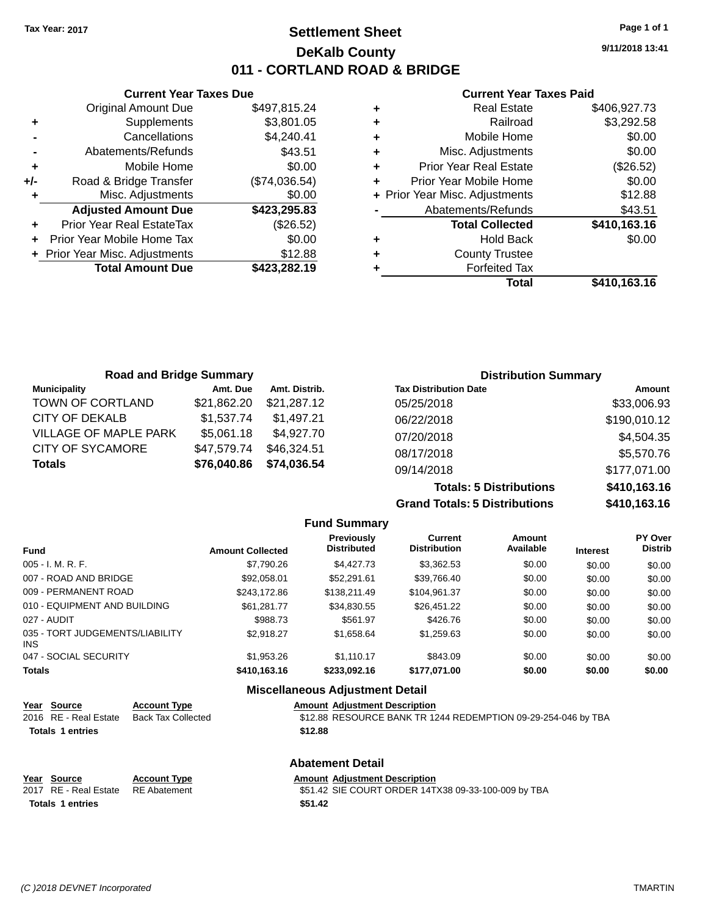## **Settlement Sheet Tax Year: 2017 Page 1 of 1 DeKalb County 011 - CORTLAND ROAD & BRIDGE**

**9/11/2018 13:41**

#### **Current Year Taxes Paid**

|     | <b>Current Year Taxes Due</b>  |               |  |  |  |  |  |
|-----|--------------------------------|---------------|--|--|--|--|--|
|     | <b>Original Amount Due</b>     | \$497,815.24  |  |  |  |  |  |
| ٠   | Supplements                    | \$3,801.05    |  |  |  |  |  |
|     | Cancellations                  | \$4,240.41    |  |  |  |  |  |
|     | Abatements/Refunds             | \$43.51       |  |  |  |  |  |
| ٠   | Mobile Home                    | \$0.00        |  |  |  |  |  |
| +/- | Road & Bridge Transfer         | (\$74,036.54) |  |  |  |  |  |
|     | Misc. Adjustments              | \$0.00        |  |  |  |  |  |
|     | <b>Adjusted Amount Due</b>     | \$423,295.83  |  |  |  |  |  |
| ٠   | Prior Year Real EstateTax      | (\$26.52)     |  |  |  |  |  |
|     | Prior Year Mobile Home Tax     | \$0.00        |  |  |  |  |  |
|     | + Prior Year Misc. Adjustments | \$12.88       |  |  |  |  |  |
|     | <b>Total Amount Due</b>        | \$423,282.19  |  |  |  |  |  |
|     |                                |               |  |  |  |  |  |

| ٠ | <b>Real Estate</b>             | \$406,927.73 |
|---|--------------------------------|--------------|
| ٠ | Railroad                       | \$3,292.58   |
| ٠ | Mobile Home                    | \$0.00       |
| ٠ | Misc. Adjustments              | \$0.00       |
| ٠ | <b>Prior Year Real Estate</b>  | (\$26.52)    |
| ٠ | Prior Year Mobile Home         | \$0.00       |
|   | + Prior Year Misc. Adjustments | \$12.88      |
|   | Abatements/Refunds             | \$43.51      |
|   | <b>Total Collected</b>         | \$410,163.16 |
| ٠ | <b>Hold Back</b>               | \$0.00       |
| ٠ | <b>County Trustee</b>          |              |
| ٠ | <b>Forfeited Tax</b>           |              |
|   | Total                          | \$410,163.16 |
|   |                                |              |

| <b>Road and Bridge Summary</b> |             |               | <b>Distribution Summary</b>    |              |
|--------------------------------|-------------|---------------|--------------------------------|--------------|
| <b>Municipality</b>            | Amt. Due    | Amt. Distrib. | <b>Tax Distribution Date</b>   | Amount       |
| <b>TOWN OF CORTLAND</b>        | \$21,862.20 | \$21,287.12   | 05/25/2018                     | \$33,006.93  |
| CITY OF DEKALB                 | \$1,537.74  | \$1,497.21    | 06/22/2018                     | \$190,010.12 |
| <b>VILLAGE OF MAPLE PARK</b>   | \$5,061.18  | \$4,927.70    | 07/20/2018                     | \$4,504.35   |
| <b>CITY OF SYCAMORE</b>        | \$47,579.74 | \$46,324.51   | 08/17/2018                     | \$5,570.76   |
| <b>Totals</b>                  | \$76,040.86 | \$74,036.54   | 09/14/2018                     | \$177,071.00 |
|                                |             |               | <b>Totals: 5 Distributions</b> | \$410.163.16 |

**Grand To** 

|                      | d Totals: 5 Distributions  |                 | <b>TIVIIVVIIV</b><br>\$410,163.16 |
|----------------------|----------------------------|-----------------|-----------------------------------|
| Current<br>tribution | <b>Amount</b><br>Available | <b>Interest</b> | <b>PY Over</b><br><b>Distrib</b>  |
| る すせる ピタ             | ድስ ሰስ                      | ድስ ሰሰ           | ድስ ሰሰ                             |

| <b>Fund</b>                            | <b>Amount Collected</b> | Previously<br><b>Distributed</b> | Current<br><b>Distribution</b> | Amount<br>Available | <b>Interest</b> | <b>PY Over</b><br><b>Distrib</b> |
|----------------------------------------|-------------------------|----------------------------------|--------------------------------|---------------------|-----------------|----------------------------------|
| 005 - I. M. R. F.                      | \$7,790.26              | \$4,427.73                       | \$3,362.53                     | \$0.00              | \$0.00          | \$0.00                           |
| 007 - ROAD AND BRIDGE                  | \$92.058.01             | \$52,291.61                      | \$39,766.40                    | \$0.00              | \$0.00          | \$0.00                           |
| 009 - PERMANENT ROAD                   | \$243,172.86            | \$138,211.49                     | \$104,961.37                   | \$0.00              | \$0.00          | \$0.00                           |
| 010 - EQUIPMENT AND BUILDING           | \$61.281.77             | \$34,830.55                      | \$26.451.22                    | \$0.00              | \$0.00          | \$0.00                           |
| 027 - AUDIT                            | \$988.73                | \$561.97                         | \$426.76                       | \$0.00              | \$0.00          | \$0.00                           |
| 035 - TORT JUDGEMENTS/LIABILITY<br>INS | \$2.918.27              | \$1,658.64                       | \$1,259.63                     | \$0.00              | \$0.00          | \$0.00                           |
| 047 - SOCIAL SECURITY                  | \$1,953.26              | \$1.110.17                       | \$843.09                       | \$0.00              | \$0.00          | \$0.00                           |
| Totals                                 | \$410,163.16            | \$233,092.16                     | \$177,071.00                   | \$0.00              | \$0.00          | \$0.00                           |

**Fund Summary**

#### **Miscellaneous Adjustment Detail**

|  | Year Source           | <b>Account Type</b> |         | <b>Amount Adiustment Description</b>                          |  |
|--|-----------------------|---------------------|---------|---------------------------------------------------------------|--|
|  | 2016 RE - Real Estate | Back Tax Collected  |         | \$12.88 RESOURCE BANK TR 1244 REDEMPTION 09-29-254-046 by TBA |  |
|  | Totals 1 entries      |                     | \$12.88 |                                                               |  |

| <b>Abatement Detail</b> |                     |                                      |  |
|-------------------------|---------------------|--------------------------------------|--|
| Year Source             | <b>Account Type</b> | <b>Amount Adiustment Description</b> |  |
| 2017 RE - Real Estate   | RE Abatement        | \$51.42 SIE COURT ORDER 14T)         |  |

**Totals \$51.42 1 entries**

\$51.42 SIE COURT ORDER 14TX38 09-33-100-009 by TBA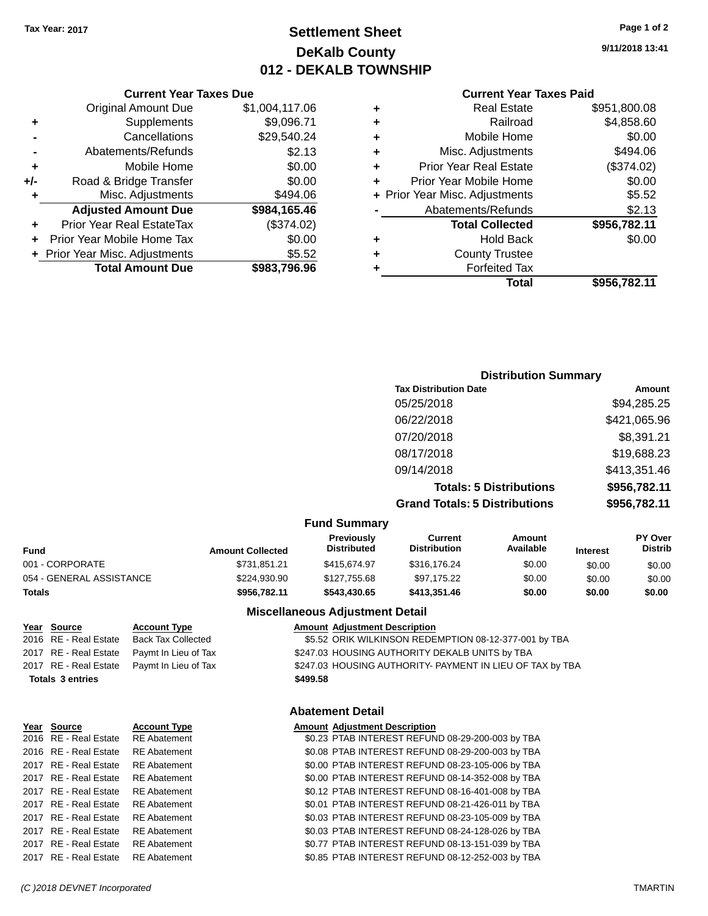## **Settlement Sheet Tax Year: 2017 Page 1 of 2 DeKalb County 012 - DEKALB TOWNSHIP**

**9/11/2018 13:41**

|   | <b>Current Year Taxes Paid</b> |              |
|---|--------------------------------|--------------|
| ٠ | Real Estate                    | \$951,800.08 |
| ٠ | Railroad                       | \$4,858.60   |
| ÷ | Mobile Home                    | \$0.00       |
| ٠ | Misc. Adjustments              | \$494.06     |
| ÷ | <b>Prior Year Real Estate</b>  | (\$374.02)   |
| ٠ | Prior Year Mobile Home         | \$0.00       |
|   | + Prior Year Misc. Adjustments | \$5.52       |
|   | Abatements/Refunds             | \$2.13       |
|   | <b>Total Collected</b>         | \$956,782.11 |
| ٠ | <b>Hold Back</b>               | \$0.00       |
| ٠ | <b>County Trustee</b>          |              |
| ٠ | <b>Forfeited Tax</b>           |              |
|   | Total                          | \$956,782.11 |
|   |                                |              |

#### **Current Year Taxes Due** Original Amount Due \$1,004,117.06 **+** Supplements \$9,096.71 **-** Cancellations \$29,540.24 **-** Abatements/Refunds \$2.13 **+** Mobile Home \$0.00 **+/-** Road & Bridge Transfer \$0.00 **+** Misc. Adjustments \$494.06 **Adjusted Amount Due \$984,165.46 +** Prior Year Real EstateTax (\$374.02) **+** Prior Year Mobile Home Tax \$0.00 **+** Prior Year Misc. Adjustments \$5.52 **Total Amount Due \$983,796.96**

| <b>Distribution Summary</b>          |              |
|--------------------------------------|--------------|
| <b>Tax Distribution Date</b>         | Amount       |
| 05/25/2018                           | \$94,285.25  |
| 06/22/2018                           | \$421,065.96 |
| 07/20/2018                           | \$8,391.21   |
| 08/17/2018                           | \$19,688.23  |
| 09/14/2018                           | \$413,351.46 |
| <b>Totals: 5 Distributions</b>       | \$956,782.11 |
| <b>Grand Totals: 5 Distributions</b> | \$956,782.11 |

#### **Fund Summary**

| Fund                     | <b>Amount Collected</b> | <b>Previously</b><br><b>Distributed</b> | Current<br><b>Distribution</b> | Amount<br>Available | <b>Interest</b> | <b>PY Over</b><br><b>Distrib</b> |
|--------------------------|-------------------------|-----------------------------------------|--------------------------------|---------------------|-----------------|----------------------------------|
| 001 - CORPORATE          | \$731.851.21            | \$415.674.97                            | \$316,176.24                   | \$0.00              | \$0.00          | \$0.00                           |
| 054 - GENERAL ASSISTANCE | \$224.930.90            | \$127.755.68                            | \$97.175.22                    | \$0.00              | \$0.00          | \$0.00                           |
| Totals                   | \$956,782.11            | \$543.430.65                            | \$413,351,46                   | \$0.00              | \$0.00          | \$0.00                           |

**Totals \$499.58 3 entries**

| rear source           | ACCOUNT TV        |
|-----------------------|-------------------|
| 2016 RE - Real Estate | <b>RE</b> Abateme |
| 2016 RE - Real Estate | <b>RE</b> Abateme |
| 2017 RE - Real Estate | <b>RE</b> Abateme |
| 2017 RE - Real Estate | <b>RE</b> Abateme |
| 2017 RE - Real Estate | <b>RE</b> Abateme |
| 2017 RE - Real Estate | <b>RE</b> Abateme |
| 2017 RE - Real Estate | <b>RE</b> Abateme |
| 2017 RE - Real Estate | <b>RE</b> Abateme |
| 2017 RE - Real Estate | <b>RE</b> Abateme |
| 2017 RE - Real Estate | <b>RE</b> Abateme |

#### **Miscellaneous Adjustment Detail Year Source Account Type Amount Adjustment Description**

2016 RE - Real Estate Back Tax Collected **12.533 ORIK WILK BACK BACK BACK BACK BACK TAX COLL** BACK BACK SESS ORIK WILKINSON REDEMPTION 08-12-377-001 by TBA 2017 RE - Real Estate Paymt In Lieu of Tax **\$247.03 HOUSING AUTHORITY DEKALB UNITS by TBA** 2017 RE - Real Estate Paymt In Lieu of Tax S247.03 HOUSING AUTHORITY- PAYMENT IN LIEU OF TAX by TBA

#### **Abatement Detail**

#### **Year Source Account Type Amount Adjustment Description** 2016 RE - Real Estate RE Abatement \$0.23 PTAB INTEREST REFUND 08-29-200-003 by TBA 2016 RE - Real Estate RE Abatement \$0.08 PTAB INTEREST REFUND 08-29-200-003 by TBA 2017 RE - Real Estate RE Abatement \$0.00 PTAB INTEREST REFUND 08-23-105-006 by TBA 2017 RE - Real Estate RE Abatement \$0.00 PTAB INTEREST REFUND 08-14-352-008 by TBA 2017 RE - Real Estate RE Abatement \$0.12 PTAB INTEREST REFUND 08-16-401-008 by TBA 2017 RE - Real Estate RE Abatement \$0.01 PTAB INTEREST REFUND 08-21-426-011 by TBA 2017 RE - Real Estate RE Abatement \$0.03 PTAB INTEREST REFUND 08-23-105-009 by TBA 2017 RE - Real Estate RE Abatement \$0.03 PTAB INTEREST REFUND 08-24-128-026 by TBA 2017 RE - Real Estate RE Abatement \$0.77 PTAB INTEREST REFUND 08-13-151-039 by TBA 2017 RE - Real Estate RE Abatement \$0.85 PTAB INTEREST REFUND 08-12-252-003 by TBA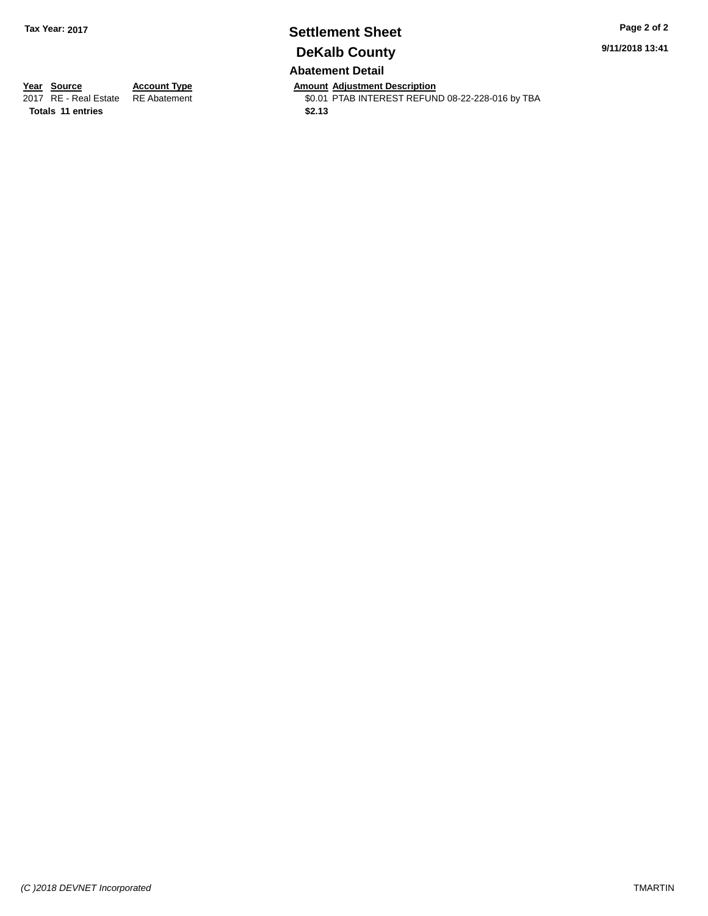## **Settlement Sheet Tax Year: 2017 Page 2 of 2 DeKalb County Abatement Detail**

**9/11/2018 13:41**

**Totals \$2.13 11 entries**

**Year Source Account Type Anneunt Adjustment Description**<br>
2017 RE - Real Estate RE Abatement **Amount Adjustment Description** \$0.01 PTAB INTEREST REFUND 08-22-228-016 by TBA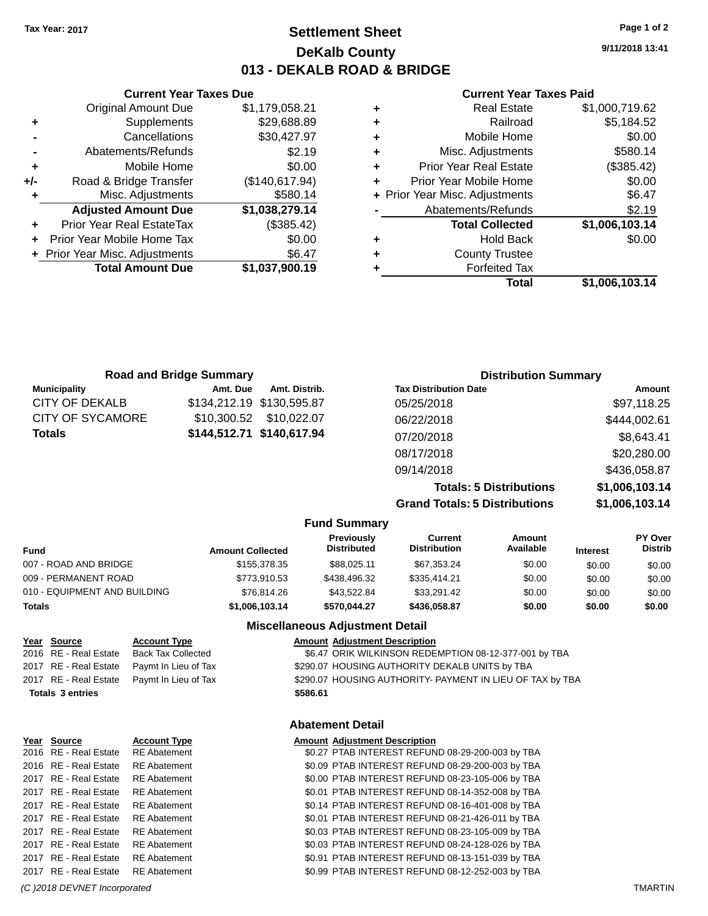## **Settlement Sheet Tax Year: 2017 Page 1 of 2 DeKalb County 013 - DEKALB ROAD & BRIDGE**

**9/11/2018 13:41**

#### **Current Year Taxes Paid**

|   | Real Estate                    | \$1,000,719.62 |
|---|--------------------------------|----------------|
| ٠ | Railroad                       | \$5,184.52     |
| ÷ | Mobile Home                    | \$0.00         |
| ٠ | Misc. Adjustments              | \$580.14       |
| ٠ | Prior Year Real Estate         | (\$385.42)     |
| ٠ | Prior Year Mobile Home         | \$0.00         |
|   | + Prior Year Misc. Adjustments | \$6.47         |
|   | Abatements/Refunds             | \$2.19         |
|   | <b>Total Collected</b>         | \$1,006,103.14 |
| ٠ | Hold Back                      | \$0.00         |
| ٠ | <b>County Trustee</b>          |                |
|   | <b>Forfeited Tax</b>           |                |
|   | Total                          | \$1,006,103.14 |

|       | <b>Current Year Taxes Due</b>    |                |  |  |  |  |
|-------|----------------------------------|----------------|--|--|--|--|
|       | <b>Original Amount Due</b>       | \$1,179,058.21 |  |  |  |  |
| ٠     | Supplements                      | \$29,688.89    |  |  |  |  |
|       | Cancellations                    | \$30,427.97    |  |  |  |  |
|       | Abatements/Refunds               | \$2.19         |  |  |  |  |
| ٠     | Mobile Home                      | \$0.00         |  |  |  |  |
| $+/-$ | Road & Bridge Transfer           | (\$140,617.94) |  |  |  |  |
| ٠     | Misc. Adjustments                | \$580.14       |  |  |  |  |
|       | <b>Adjusted Amount Due</b>       | \$1,038,279.14 |  |  |  |  |
|       | <b>Prior Year Real EstateTax</b> | (\$385.42)     |  |  |  |  |
|       | Prior Year Mobile Home Tax       | \$0.00         |  |  |  |  |
|       | + Prior Year Misc. Adjustments   | \$6.47         |  |  |  |  |
|       | <b>Total Amount Due</b>          | \$1,037,900.19 |  |  |  |  |
|       |                                  |                |  |  |  |  |

|                     | <b>Road and Bridge Summary</b> |                           | <b>Distribution Summary</b>    |                |  |
|---------------------|--------------------------------|---------------------------|--------------------------------|----------------|--|
| <b>Municipality</b> | Amt. Due                       | Amt. Distrib.             | <b>Tax Distribution Date</b>   | Amount         |  |
| CITY OF DEKALB      |                                | \$134,212.19 \$130,595.87 | 05/25/2018                     | \$97,118.25    |  |
| CITY OF SYCAMORE    | \$10.300.52                    | \$10,022.07               | 06/22/2018                     | \$444,002.61   |  |
| Totals              |                                | \$144,512.71 \$140,617.94 | 07/20/2018                     | \$8,643.41     |  |
|                     |                                |                           | 08/17/2018                     | \$20,280.00    |  |
|                     |                                |                           | 09/14/2018                     | \$436,058.87   |  |
|                     |                                |                           | <b>Totals: 5 Distributions</b> | \$1,006,103.14 |  |

**Grand Totals: 5 Distributions \$1,006,103.14**

|                              |                         | <b>Fund Summary</b>              |                                |                     |                 |                                  |
|------------------------------|-------------------------|----------------------------------|--------------------------------|---------------------|-----------------|----------------------------------|
| <b>Fund</b>                  | <b>Amount Collected</b> | Previously<br><b>Distributed</b> | Current<br><b>Distribution</b> | Amount<br>Available | <b>Interest</b> | <b>PY Over</b><br><b>Distrib</b> |
| 007 - ROAD AND BRIDGE        | \$155,378,35            | \$88.025.11                      | \$67,353.24                    | \$0.00              | \$0.00          | \$0.00                           |
| 009 - PERMANENT ROAD         | \$773,910.53            | \$438,496.32                     | \$335,414.21                   | \$0.00              | \$0.00          | \$0.00                           |
| 010 - EQUIPMENT AND BUILDING | \$76,814.26             | \$43.522.84                      | \$33.291.42                    | \$0.00              | \$0.00          | \$0.00                           |
| <b>Totals</b>                | \$1,006,103.14          | \$570.044.27                     | \$436.058.87                   | \$0.00              | \$0.00          | \$0.00                           |

#### **Miscellaneous Adjustment Detail**

| <u>Year Source</u>      | <b>Account Type</b>  |          | <b>Amount Adjustment Description</b>                      |
|-------------------------|----------------------|----------|-----------------------------------------------------------|
| 2016 RE - Real Estate   | Back Tax Collected   |          | \$6.47 ORIK WILKINSON REDEMPTION 08-12-377-001 by TBA     |
| 2017 RE - Real Estate   | Paymt In Lieu of Tax |          | \$290.07 HOUSING AUTHORITY DEKALB UNITS by TBA            |
| 2017 RE - Real Estate   | Paymt In Lieu of Tax |          | \$290.07 HOUSING AUTHORITY- PAYMENT IN LIEU OF TAX by TBA |
| <b>Totals 3 entries</b> |                      | \$586.61 |                                                           |
|                         |                      |          |                                                           |

### **Abatement Detail**

| Year Source           | <b>Account Type</b> | <b>Amount Adjustment Description</b>             |
|-----------------------|---------------------|--------------------------------------------------|
| 2016 RE - Real Estate | <b>RE</b> Abatement | \$0.27 PTAB INTEREST REFUND 08-29-200-003 by TBA |
| 2016 RE - Real Estate | <b>RE</b> Abatement | \$0.09 PTAB INTEREST REFUND 08-29-200-003 by TBA |
| 2017 RE - Real Estate | <b>RE</b> Abatement | \$0.00 PTAB INTEREST REFUND 08-23-105-006 by TBA |
| 2017 RE - Real Estate | <b>RE</b> Abatement | \$0.01 PTAB INTEREST REFUND 08-14-352-008 by TBA |
| 2017 RE - Real Estate | <b>RE</b> Abatement | \$0.14 PTAB INTEREST REFUND 08-16-401-008 by TBA |
| 2017 RE - Real Estate | <b>RE</b> Abatement | \$0.01 PTAB INTEREST REFUND 08-21-426-011 by TBA |
| 2017 RE - Real Estate | <b>RE</b> Abatement | \$0.03 PTAB INTEREST REFUND 08-23-105-009 by TBA |
| 2017 RE - Real Estate | <b>RE</b> Abatement | \$0.03 PTAB INTEREST REFUND 08-24-128-026 by TBA |
| 2017 RE - Real Estate | <b>RE</b> Abatement | \$0.91 PTAB INTEREST REFUND 08-13-151-039 by TBA |
| 2017 RE - Real Estate | <b>RE</b> Abatement | \$0.99 PTAB INTEREST REFUND 08-12-252-003 by TBA |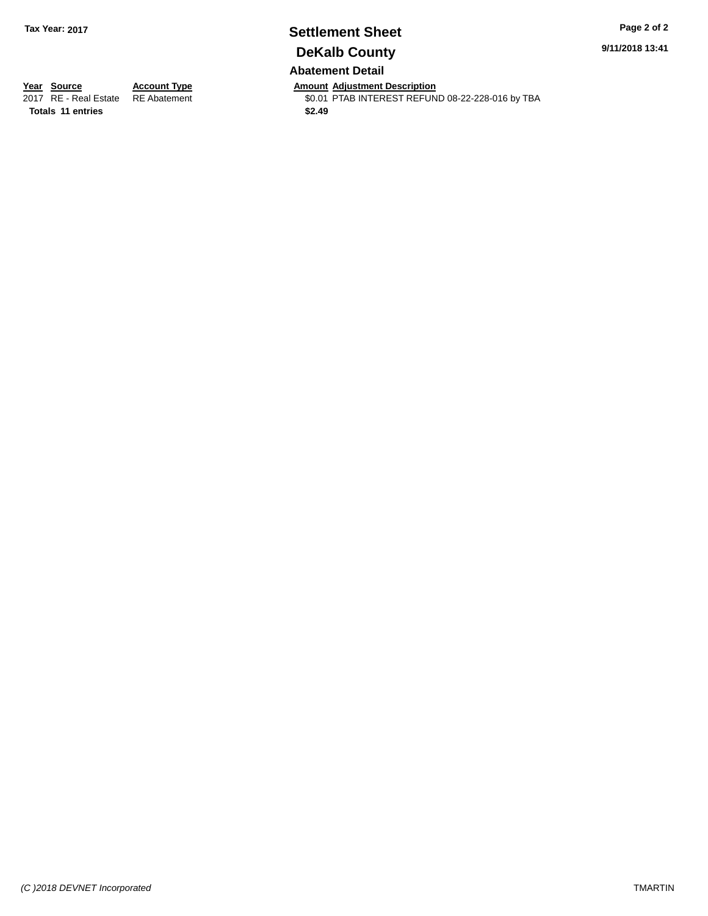## **Settlement Sheet Tax Year: 2017 Page 2 of 2 DeKalb County Abatement Detail**

**9/11/2018 13:41**

**Totals \$2.49 11 entries**

**Year Source Account Type Anneunt Adjustment Description**<br>
2017 RE - Real Estate RE Abatement **Amount Adjustment Description** \$0.01 PTAB INTEREST REFUND 08-22-228-016 by TBA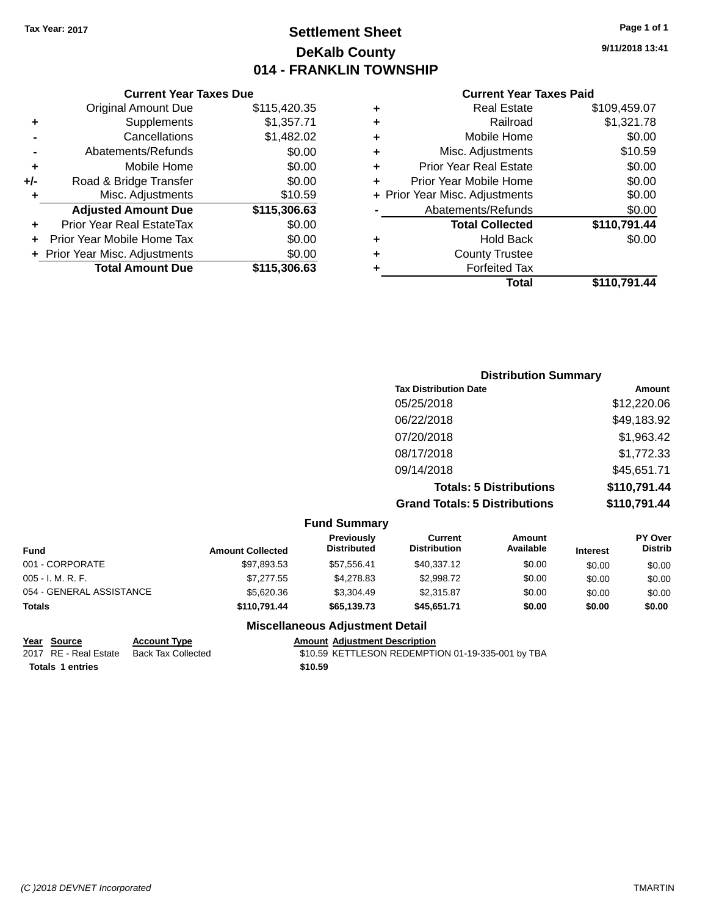## **Settlement Sheet Tax Year: 2017 Page 1 of 1 DeKalb County 014 - FRANKLIN TOWNSHIP**

**9/11/2018 13:41**

| <b>Current Year Taxes Paid</b> |  |  |
|--------------------------------|--|--|
|                                |  |  |

|       | <b>Current Year Taxes Due</b>  |              |
|-------|--------------------------------|--------------|
|       | <b>Original Amount Due</b>     | \$115,420.35 |
| ٠     | Supplements                    | \$1,357.71   |
|       | Cancellations                  | \$1,482.02   |
|       | Abatements/Refunds             | \$0.00       |
| ٠     | Mobile Home                    | \$0.00       |
| $+/-$ | Road & Bridge Transfer         | \$0.00       |
| ÷     | Misc. Adjustments              | \$10.59      |
|       | <b>Adjusted Amount Due</b>     | \$115,306.63 |
| ٠     | Prior Year Real EstateTax      | \$0.00       |
|       | Prior Year Mobile Home Tax     | \$0.00       |
|       | + Prior Year Misc. Adjustments | \$0.00       |
|       | <b>Total Amount Due</b>        | \$115,306.63 |
|       |                                |              |

|   | <b>Real Estate</b>             | \$109,459.07 |
|---|--------------------------------|--------------|
| ٠ | Railroad                       | \$1,321.78   |
| ٠ | Mobile Home                    | \$0.00       |
| ٠ | Misc. Adjustments              | \$10.59      |
| ٠ | <b>Prior Year Real Estate</b>  | \$0.00       |
| ٠ | Prior Year Mobile Home         | \$0.00       |
|   | + Prior Year Misc. Adjustments | \$0.00       |
|   | Abatements/Refunds             | \$0.00       |
|   | <b>Total Collected</b>         | \$110,791.44 |
| ٠ | <b>Hold Back</b>               | \$0.00       |
| ٠ | <b>County Trustee</b>          |              |
| ٠ | <b>Forfeited Tax</b>           |              |
|   | Total                          | \$110,791.44 |
|   |                                |              |

| <b>Distribution Summary</b>          |              |
|--------------------------------------|--------------|
| <b>Tax Distribution Date</b>         | Amount       |
| 05/25/2018                           | \$12,220.06  |
| 06/22/2018                           | \$49,183.92  |
| 07/20/2018                           | \$1,963.42   |
| 08/17/2018                           | \$1,772.33   |
| 09/14/2018                           | \$45,651.71  |
| <b>Totals: 5 Distributions</b>       | \$110,791.44 |
| <b>Grand Totals: 5 Distributions</b> | \$110,791.44 |

| <b>Fund Summary</b>      |                         |                                  |                                |                            |                 |                                  |
|--------------------------|-------------------------|----------------------------------|--------------------------------|----------------------------|-----------------|----------------------------------|
| <b>Fund</b>              | <b>Amount Collected</b> | Previously<br><b>Distributed</b> | Current<br><b>Distribution</b> | <b>Amount</b><br>Available | <b>Interest</b> | <b>PY Over</b><br><b>Distrib</b> |
| 001 - CORPORATE          | \$97,893.53             | \$57.556.41                      | \$40,337.12                    | \$0.00                     | \$0.00          | \$0.00                           |
| 005 - I. M. R. F.        | \$7.277.55              | \$4,278.83                       | \$2.998.72                     | \$0.00                     | \$0.00          | \$0.00                           |
| 054 - GENERAL ASSISTANCE | \$5,620,36              | \$3,304.49                       | \$2.315.87                     | \$0.00                     | \$0.00          | \$0.00                           |
| <b>Totals</b>            | \$110.791.44            | \$65,139.73                      | \$45.651.71                    | \$0.00                     | \$0.00          | \$0.00                           |

### **Miscellaneous Adjustment Detail**

**<u>Year Source</u> Account Type<br>
2017 RE - Real Estate Back Tax Collected** 

**Totals \$10.59 1 entries**

Amount Adjustment Description<br>\$10.59 KETTLESON REDEMPTION 01-19-335-001 by TBA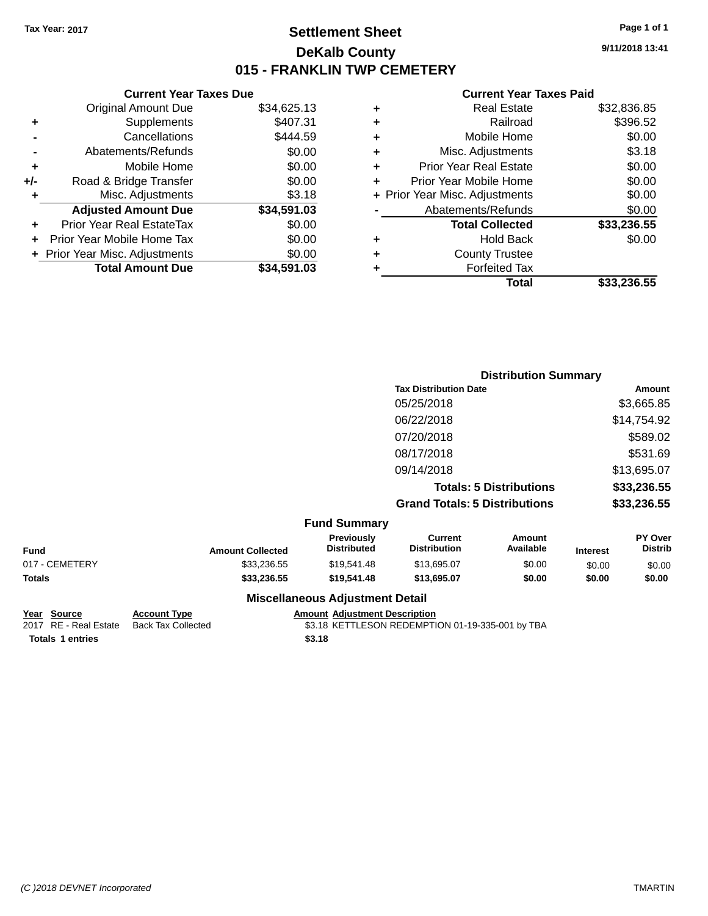## **Settlement Sheet Tax Year: 2017 Page 1 of 1 DeKalb County 015 - FRANKLIN TWP CEMETERY**

**9/11/2018 13:41**

#### **Current Year Taxes Paid**

|       | <b>Current Year Taxes Due</b>  |             |
|-------|--------------------------------|-------------|
|       | <b>Original Amount Due</b>     | \$34,625.13 |
| ٠     | Supplements                    | \$407.31    |
|       | Cancellations                  | \$444.59    |
|       | Abatements/Refunds             | \$0.00      |
| ٠     | Mobile Home                    | \$0.00      |
| $+/-$ | Road & Bridge Transfer         | \$0.00      |
|       | Misc. Adjustments              | \$3.18      |
|       | <b>Adjusted Amount Due</b>     | \$34,591.03 |
| ٠     | Prior Year Real EstateTax      | \$0.00      |
|       | Prior Year Mobile Home Tax     | \$0.00      |
|       | + Prior Year Misc. Adjustments | \$0.00      |
|       | <b>Total Amount Due</b>        | \$34,591.03 |
|       |                                |             |

|   | <b>Real Estate</b>             | \$32,836.85 |
|---|--------------------------------|-------------|
| ٠ | Railroad                       | \$396.52    |
| ٠ | Mobile Home                    | \$0.00      |
| ٠ | Misc. Adjustments              | \$3.18      |
| ٠ | <b>Prior Year Real Estate</b>  | \$0.00      |
| ٠ | Prior Year Mobile Home         | \$0.00      |
|   | + Prior Year Misc. Adjustments | \$0.00      |
|   | Abatements/Refunds             | \$0.00      |
|   | <b>Total Collected</b>         | \$33,236.55 |
| ٠ | <b>Hold Back</b>               | \$0.00      |
| ٠ | <b>County Trustee</b>          |             |
|   | <b>Forfeited Tax</b>           |             |
|   | Total                          | \$33,236.55 |
|   |                                |             |

|                     | <b>Distribution Summary</b>          |             |
|---------------------|--------------------------------------|-------------|
|                     | <b>Tax Distribution Date</b>         | Amount      |
|                     | 05/25/2018                           | \$3,665.85  |
|                     | 06/22/2018                           | \$14,754.92 |
|                     | 07/20/2018                           | \$589.02    |
|                     | 08/17/2018                           | \$531.69    |
|                     | 09/14/2018                           | \$13,695.07 |
|                     | <b>Totals: 5 Distributions</b>       | \$33,236.55 |
|                     | <b>Grand Totals: 5 Distributions</b> | \$33,236.55 |
| <b>Fund Summary</b> |                                      |             |

|                |                         | unu Junnia y                           |                                |                            |                 |                                  |
|----------------|-------------------------|----------------------------------------|--------------------------------|----------------------------|-----------------|----------------------------------|
| <b>Fund</b>    | <b>Amount Collected</b> | <b>Previously</b><br>Distributed       | Current<br><b>Distribution</b> | <b>Amount</b><br>Available | <b>Interest</b> | <b>PY Over</b><br><b>Distrib</b> |
| 017 - CEMETERY | \$33,236.55             | \$19.541.48                            | \$13,695.07                    | \$0.00                     | \$0.00          | \$0.00                           |
| Totals         | \$33,236.55             | \$19,541.48                            | \$13.695.07                    | \$0.00                     | \$0.00          | \$0.00                           |
|                |                         | <b>Miscellaneous Adjustment Detail</b> |                                |                            |                 |                                  |

# **Totals \$3.18 1 entries**

## **Year Source Account Type Account Type Amount Adjustment Description**<br>2017 RE - Real Estate Back Tax Collected \$3.18 KETTLESON REDEMPTI

\$3.18 KETTLESON REDEMPTION 01-19-335-001 by TBA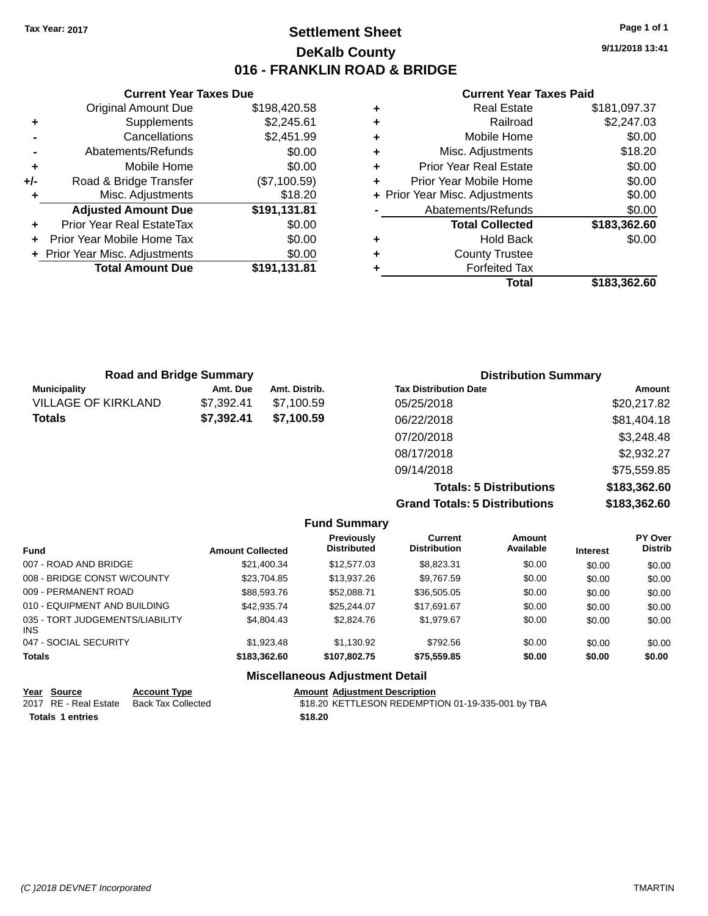## **Settlement Sheet Tax Year: 2017 Page 1 of 1 DeKalb County 016 - FRANKLIN ROAD & BRIDGE**

**9/11/2018 13:41**

#### **Current Year Taxes Paid**

|     | <b>Current Year Taxes Due</b>  |              |
|-----|--------------------------------|--------------|
|     | <b>Original Amount Due</b>     | \$198,420.58 |
| ٠   | Supplements                    | \$2,245.61   |
|     | Cancellations                  | \$2,451.99   |
|     | Abatements/Refunds             | \$0.00       |
| ٠   | Mobile Home                    | \$0.00       |
| +/- | Road & Bridge Transfer         | (\$7,100.59) |
|     | Misc. Adjustments              | \$18.20      |
|     | <b>Adjusted Amount Due</b>     | \$191,131.81 |
| ÷   | Prior Year Real EstateTax      | \$0.00       |
|     | Prior Year Mobile Home Tax     | \$0.00       |
|     | + Prior Year Misc. Adjustments | \$0.00       |
|     | <b>Total Amount Due</b>        | \$191,131.81 |
|     |                                |              |

|   | Total                          | \$183,362.60 |
|---|--------------------------------|--------------|
| ٠ | <b>Forfeited Tax</b>           |              |
| ٠ | <b>County Trustee</b>          |              |
| ٠ | <b>Hold Back</b>               | \$0.00       |
|   | <b>Total Collected</b>         | \$183,362.60 |
|   | Abatements/Refunds             | \$0.00       |
|   | + Prior Year Misc. Adjustments | \$0.00       |
| ٠ | Prior Year Mobile Home         | \$0.00       |
| ٠ | <b>Prior Year Real Estate</b>  | \$0.00       |
| ٠ | Misc. Adjustments              | \$18.20      |
| ٠ | Mobile Home                    | \$0.00       |
| ٠ | Railroad                       | \$2,247.03   |
| ٠ | <b>Real Estate</b>             | \$181,097.37 |

| <b>Road and Bridge Summary</b> |            |               | <b>Distribution Summary</b>  |             |
|--------------------------------|------------|---------------|------------------------------|-------------|
| <b>Municipality</b>            | Amt. Due   | Amt. Distrib. | <b>Tax Distribution Date</b> | Amount      |
| <b>VILLAGE OF KIRKLAND</b>     | \$7,392.41 | \$7.100.59    | 05/25/2018                   | \$20,217.82 |
| <b>Totals</b>                  | \$7,392.41 | \$7,100.59    | 06/22/2018                   | \$81,404.18 |
|                                |            |               | 07/20/2018                   | \$3,248.48  |
|                                |            |               | 08/17/2018                   | \$2,932.27  |
|                                |            |               | 09/14/2018                   | \$75,559.85 |

**Totals: 5 Distributions \$183,362.60 Grand Totals: 5 Distributions \$183,362.60**

|                                         |                         | <b>Fund Summary</b>                     |                                       |                     |                 |                           |
|-----------------------------------------|-------------------------|-----------------------------------------|---------------------------------------|---------------------|-----------------|---------------------------|
| <b>Fund</b>                             | <b>Amount Collected</b> | <b>Previously</b><br><b>Distributed</b> | <b>Current</b><br><b>Distribution</b> | Amount<br>Available | <b>Interest</b> | PY Over<br><b>Distrib</b> |
| 007 - ROAD AND BRIDGE                   | \$21.400.34             | \$12,577.03                             | \$8,823.31                            | \$0.00              | \$0.00          | \$0.00                    |
| 008 - BRIDGE CONST W/COUNTY             | \$23.704.85             | \$13,937.26                             | \$9.767.59                            | \$0.00              | \$0.00          | \$0.00                    |
| 009 - PERMANENT ROAD                    | \$88.593.76             | \$52,088.71                             | \$36,505.05                           | \$0.00              | \$0.00          | \$0.00                    |
| 010 - EQUIPMENT AND BUILDING            | \$42.935.74             | \$25.244.07                             | \$17.691.67                           | \$0.00              | \$0.00          | \$0.00                    |
| 035 - TORT JUDGEMENTS/LIABILITY<br>INS. | \$4.804.43              | \$2,824.76                              | \$1,979.67                            | \$0.00              | \$0.00          | \$0.00                    |
| 047 - SOCIAL SECURITY                   | \$1.923.48              | \$1.130.92                              | \$792.56                              | \$0.00              | \$0.00          | \$0.00                    |
| <b>Totals</b>                           | \$183,362,60            | \$107.802.75                            | \$75,559.85                           | \$0.00              | \$0.00          | \$0.00                    |
|                                         |                         | <b>Miscellaneous Adjustment Detail</b>  |                                       |                     |                 |                           |

| Year Source           | <b>Account Type</b> | <b>Amount Adiustment Description</b>              |
|-----------------------|---------------------|---------------------------------------------------|
| 2017 RE - Real Estate | Back Tax Collected  | \$18.20 KETTLESON REDEMPTION 01-19-335-001 by TBA |
| Totals 1 entries      |                     | \$18.20                                           |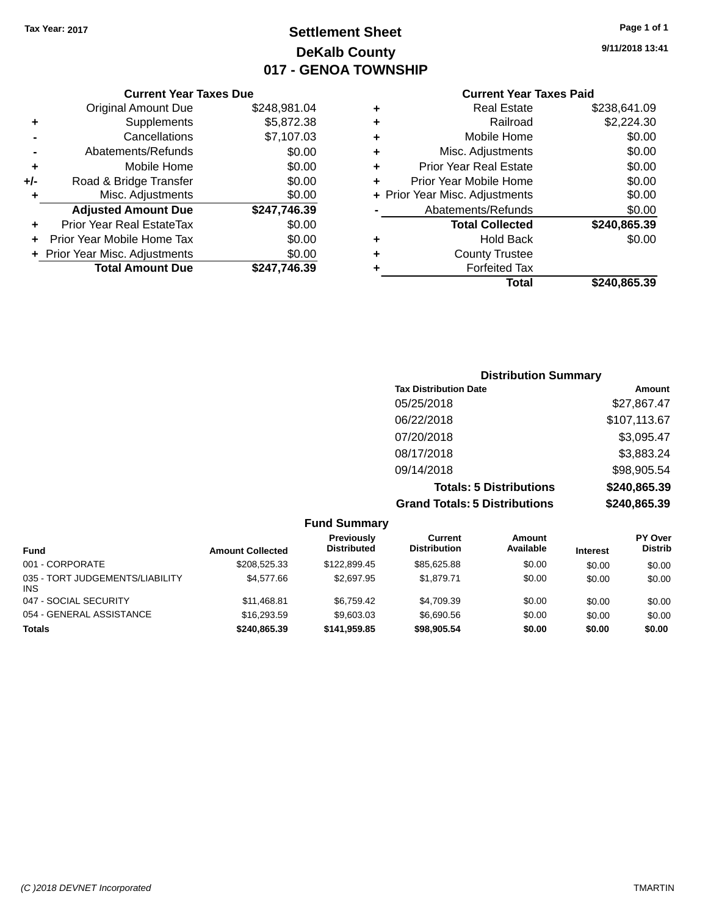## **Settlement Sheet Tax Year: 2017 Page 1 of 1 DeKalb County 017 - GENOA TOWNSHIP**

**9/11/2018 13:41**

|     | <b>Current Year Taxes Due</b>  |              |  |  |  |  |
|-----|--------------------------------|--------------|--|--|--|--|
|     | <b>Original Amount Due</b>     | \$248,981.04 |  |  |  |  |
| ٠   | Supplements                    | \$5,872.38   |  |  |  |  |
|     | Cancellations                  | \$7,107.03   |  |  |  |  |
|     | Abatements/Refunds             | \$0.00       |  |  |  |  |
| ÷   | Mobile Home                    | \$0.00       |  |  |  |  |
| +/- | Road & Bridge Transfer         | \$0.00       |  |  |  |  |
|     | Misc. Adjustments              | \$0.00       |  |  |  |  |
|     | <b>Adjusted Amount Due</b>     | \$247,746.39 |  |  |  |  |
| ÷   | Prior Year Real EstateTax      | \$0.00       |  |  |  |  |
|     | Prior Year Mobile Home Tax     | \$0.00       |  |  |  |  |
|     | + Prior Year Misc. Adjustments | \$0.00       |  |  |  |  |
|     | <b>Total Amount Due</b>        | \$247.746.39 |  |  |  |  |
|     |                                |              |  |  |  |  |

| ٠ | <b>Real Estate</b>             | \$238,641.09 |
|---|--------------------------------|--------------|
| ٠ | Railroad                       | \$2,224.30   |
| ٠ | Mobile Home                    | \$0.00       |
| ٠ | Misc. Adjustments              | \$0.00       |
| ٠ | <b>Prior Year Real Estate</b>  | \$0.00       |
| ٠ | Prior Year Mobile Home         | \$0.00       |
|   | + Prior Year Misc. Adjustments | \$0.00       |
|   | Abatements/Refunds             | \$0.00       |
|   | <b>Total Collected</b>         | \$240,865.39 |
| ٠ | <b>Hold Back</b>               | \$0.00       |
| ÷ | <b>County Trustee</b>          |              |
| ٠ | <b>Forfeited Tax</b>           |              |
|   | Total                          | \$240,865.39 |

| <b>Distribution Summary</b>          |              |
|--------------------------------------|--------------|
| <b>Tax Distribution Date</b>         | Amount       |
| 05/25/2018                           | \$27,867.47  |
| 06/22/2018                           | \$107,113.67 |
| 07/20/2018                           | \$3,095.47   |
| 08/17/2018                           | \$3,883.24   |
| 09/14/2018                           | \$98,905.54  |
| <b>Totals: 5 Distributions</b>       | \$240,865.39 |
| <b>Grand Totals: 5 Distributions</b> | \$240,865.39 |

|                                        |                         | <b>Fund Summary</b>                     |                                |                     |                 |                                  |
|----------------------------------------|-------------------------|-----------------------------------------|--------------------------------|---------------------|-----------------|----------------------------------|
| <b>Fund</b>                            | <b>Amount Collected</b> | <b>Previously</b><br><b>Distributed</b> | Current<br><b>Distribution</b> | Amount<br>Available | <b>Interest</b> | <b>PY Over</b><br><b>Distrib</b> |
| 001 - CORPORATE                        | \$208,525,33            | \$122,899.45                            | \$85,625.88                    | \$0.00              | \$0.00          | \$0.00                           |
| 035 - TORT JUDGEMENTS/LIABILITY<br>INS | \$4.577.66              | \$2,697.95                              | \$1.879.71                     | \$0.00              | \$0.00          | \$0.00                           |
| 047 - SOCIAL SECURITY                  | \$11,468.81             | \$6.759.42                              | \$4.709.39                     | \$0.00              | \$0.00          | \$0.00                           |
| 054 - GENERAL ASSISTANCE               | \$16,293.59             | \$9.603.03                              | \$6,690.56                     | \$0.00              | \$0.00          | \$0.00                           |
| <b>Totals</b>                          | \$240.865.39            | \$141.959.85                            | \$98,905.54                    | \$0.00              | \$0.00          | \$0.00                           |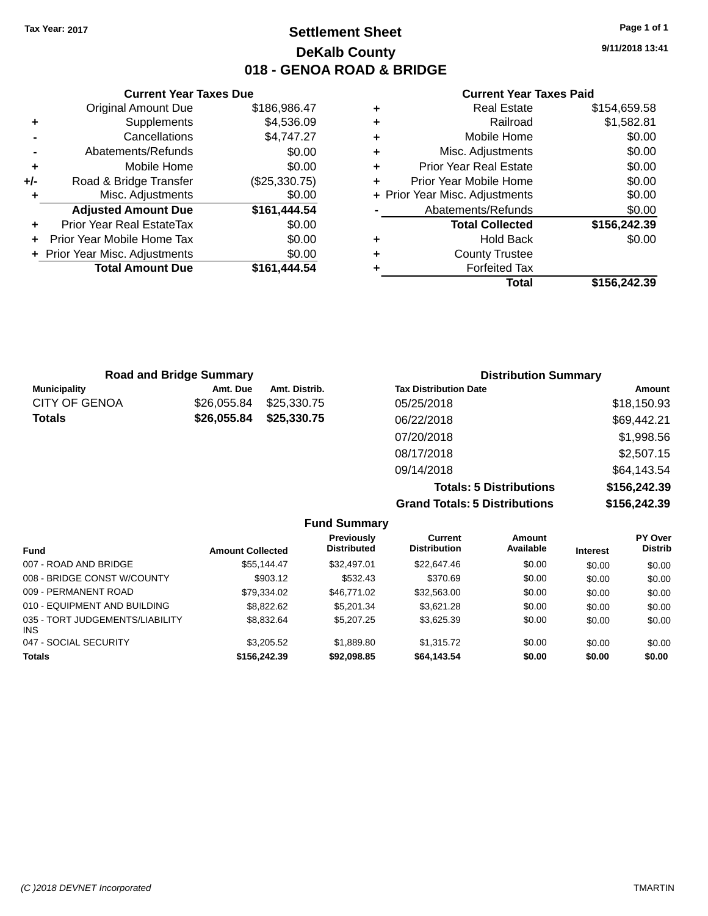## **Settlement Sheet Tax Year: 2017 Page 1 of 1 DeKalb County 018 - GENOA ROAD & BRIDGE**

**9/11/2018 13:41**

#### **Current Year Taxes Paid**

|     | <b>Current Year Taxes Due</b>  |               |  |
|-----|--------------------------------|---------------|--|
|     | <b>Original Amount Due</b>     | \$186,986.47  |  |
|     | Supplements                    | \$4,536.09    |  |
|     | Cancellations                  | \$4,747.27    |  |
|     | Abatements/Refunds             | \$0.00        |  |
|     | Mobile Home                    | \$0.00        |  |
| +/- | Road & Bridge Transfer         | (\$25,330.75) |  |
|     | Misc. Adjustments              | \$0.00        |  |
|     | <b>Adjusted Amount Due</b>     | \$161,444.54  |  |
| ٠   | Prior Year Real EstateTax      | \$0.00        |  |
|     | Prior Year Mobile Home Tax     | \$0.00        |  |
|     | + Prior Year Misc. Adjustments | \$0.00        |  |
|     | <b>Total Amount Due</b>        | \$161,444.54  |  |
|     |                                |               |  |

| ٠ | <b>Real Estate</b>             | \$154,659.58 |
|---|--------------------------------|--------------|
| ÷ | Railroad                       | \$1,582.81   |
| ÷ | Mobile Home                    | \$0.00       |
| ٠ | Misc. Adjustments              | \$0.00       |
| ٠ | <b>Prior Year Real Estate</b>  | \$0.00       |
| ٠ | Prior Year Mobile Home         | \$0.00       |
|   | + Prior Year Misc. Adjustments | \$0.00       |
|   | Abatements/Refunds             | \$0.00       |
|   | <b>Total Collected</b>         | \$156,242.39 |
| ٠ | Hold Back                      | \$0.00       |
| ٠ | <b>County Trustee</b>          |              |
| ٠ | <b>Forfeited Tax</b>           |              |
|   | Total                          | \$156,242.39 |
|   |                                |              |

| <b>Road and Bridge Summary</b> |             |               | <b>Distribution Summary</b>  |             |  |
|--------------------------------|-------------|---------------|------------------------------|-------------|--|
| <b>Municipality</b>            | Amt. Due    | Amt. Distrib. | <b>Tax Distribution Date</b> | Amount      |  |
| <b>CITY OF GENOA</b>           | \$26,055.84 | \$25,330,75   | 05/25/2018                   | \$18,150.93 |  |
| <b>Totals</b>                  | \$26,055.84 | \$25,330.75   | 06/22/2018                   | \$69,442.21 |  |
|                                |             |               | 07/20/2018                   | \$1,998.56  |  |
|                                |             |               | 08/17/2018                   | \$2,507.15  |  |
|                                |             |               | 09/14/2018                   | \$64,143.54 |  |
|                                |             |               |                              |             |  |

**Totals: 5 Distributions \$156,242.39 Grand Totals: 5 Distributions \$156,242.39**

|                                         |                         | <b>Fund Summary</b>              |                                |                     |                 |                                  |
|-----------------------------------------|-------------------------|----------------------------------|--------------------------------|---------------------|-----------------|----------------------------------|
| <b>Fund</b>                             | <b>Amount Collected</b> | Previously<br><b>Distributed</b> | Current<br><b>Distribution</b> | Amount<br>Available | <b>Interest</b> | <b>PY Over</b><br><b>Distrib</b> |
| 007 - ROAD AND BRIDGE                   | \$55.144.47             | \$32,497.01                      | \$22,647.46                    | \$0.00              | \$0.00          | \$0.00                           |
| 008 - BRIDGE CONST W/COUNTY             | \$903.12                | \$532.43                         | \$370.69                       | \$0.00              | \$0.00          | \$0.00                           |
| 009 - PERMANENT ROAD                    | \$79.334.02             | \$46,771.02                      | \$32,563.00                    | \$0.00              | \$0.00          | \$0.00                           |
| 010 - EQUIPMENT AND BUILDING            | \$8,822,62              | \$5,201.34                       | \$3.621.28                     | \$0.00              | \$0.00          | \$0.00                           |
| 035 - TORT JUDGEMENTS/LIABILITY<br>INS. | \$8,832.64              | \$5,207.25                       | \$3,625.39                     | \$0.00              | \$0.00          | \$0.00                           |
| 047 - SOCIAL SECURITY                   | \$3,205.52              | \$1,889.80                       | \$1,315.72                     | \$0.00              | \$0.00          | \$0.00                           |
| Totals                                  | \$156,242.39            | \$92,098.85                      | \$64,143.54                    | \$0.00              | \$0.00          | \$0.00                           |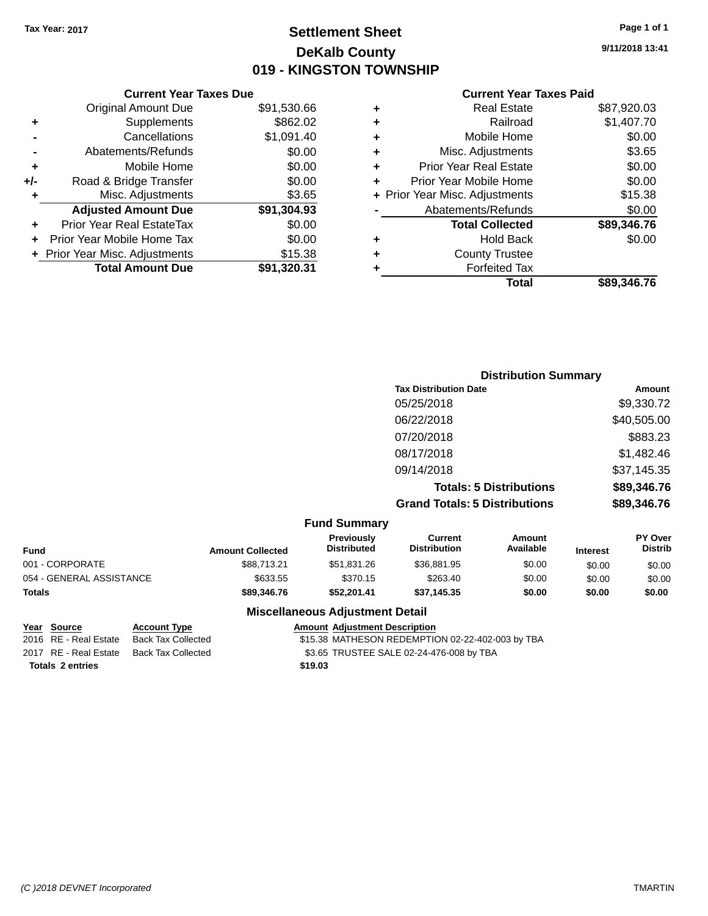## **Settlement Sheet Tax Year: 2017 Page 1 of 1 DeKalb County 019 - KINGSTON TOWNSHIP**

**9/11/2018 13:41**

| <b>Current Year Taxes Paid</b> |  |  |
|--------------------------------|--|--|
|                                |  |  |

|     | <b>Current Year Taxes Due</b>  |             |
|-----|--------------------------------|-------------|
|     | <b>Original Amount Due</b>     | \$91,530.66 |
| ٠   | Supplements                    | \$862.02    |
|     | Cancellations                  | \$1,091.40  |
|     | Abatements/Refunds             | \$0.00      |
| ٠   | Mobile Home                    | \$0.00      |
| +/- | Road & Bridge Transfer         | \$0.00      |
| ٠   | Misc. Adjustments              | \$3.65      |
|     | <b>Adjusted Amount Due</b>     | \$91,304.93 |
| ٠   | Prior Year Real EstateTax      | \$0.00      |
| ÷   | Prior Year Mobile Home Tax     | \$0.00      |
|     | + Prior Year Misc. Adjustments | \$15.38     |
|     | <b>Total Amount Due</b>        | \$91,320.31 |

|   | <b>Real Estate</b>             | \$87,920.03 |
|---|--------------------------------|-------------|
| ٠ | Railroad                       | \$1,407.70  |
| ٠ | Mobile Home                    | \$0.00      |
| ٠ | Misc. Adjustments              | \$3.65      |
| ٠ | <b>Prior Year Real Estate</b>  | \$0.00      |
| ÷ | Prior Year Mobile Home         | \$0.00      |
|   | + Prior Year Misc. Adjustments | \$15.38     |
|   | Abatements/Refunds             | \$0.00      |
|   | <b>Total Collected</b>         | \$89,346.76 |
| ٠ | <b>Hold Back</b>               | \$0.00      |
| ٠ | <b>County Trustee</b>          |             |
| ٠ | <b>Forfeited Tax</b>           |             |
|   | Total                          | \$89,346.76 |
|   |                                |             |

|                     | <b>Distribution Summary</b>          |             |
|---------------------|--------------------------------------|-------------|
|                     | <b>Tax Distribution Date</b>         | Amount      |
|                     | 05/25/2018                           | \$9,330.72  |
|                     | 06/22/2018                           | \$40,505.00 |
|                     | 07/20/2018                           | \$883.23    |
|                     | 08/17/2018                           | \$1,482.46  |
|                     | 09/14/2018                           | \$37,145.35 |
|                     | <b>Totals: 5 Distributions</b>       | \$89,346.76 |
|                     | <b>Grand Totals: 5 Distributions</b> | \$89,346.76 |
| <b>Fund Summary</b> |                                      |             |

| unu vunnuary             |                         |                                         |                                |                     |                 |                                  |
|--------------------------|-------------------------|-----------------------------------------|--------------------------------|---------------------|-----------------|----------------------------------|
| Fund                     | <b>Amount Collected</b> | <b>Previously</b><br><b>Distributed</b> | Current<br><b>Distribution</b> | Amount<br>Available | <b>Interest</b> | <b>PY Over</b><br><b>Distrib</b> |
| 001 - CORPORATE          | \$88,713.21             | \$51,831.26                             | \$36,881.95                    | \$0.00              | \$0.00          | \$0.00                           |
| 054 - GENERAL ASSISTANCE | \$633.55                | \$370.15                                | \$263.40                       | \$0.00              | \$0.00          | \$0.00                           |
| <b>Totals</b>            | \$89,346,76             | \$52.201.41                             | \$37.145.35                    | \$0.00              | \$0.00          | \$0.00                           |

#### **Miscellaneous Adjustment Detail**

**Totals \$19.03 2 entries**

**Year Source Account Type Amount Adjustment Description**<br>2016 RE - Real Estate Back Tax Collected \$15.38 MATHESON REDEMPTIC \$15.38 MATHESON REDEMPTION 02-22-402-003 by TBA 2017 RE - Real Estate Back Tax Collected \$3.65 TRUSTEE SALE 02-24-476-008 by TBA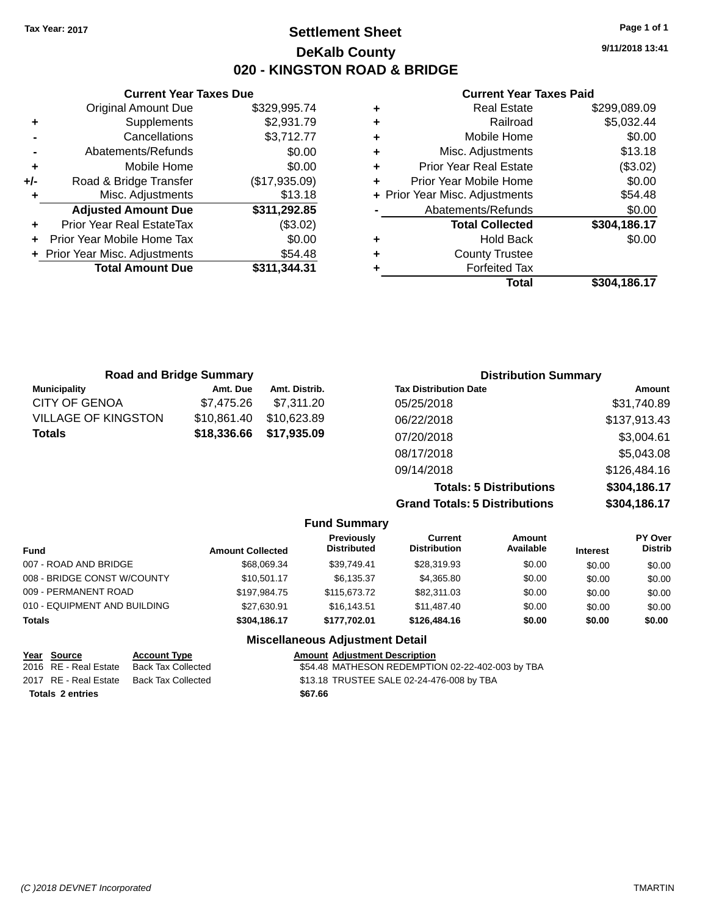## **Settlement Sheet Tax Year: 2017 Page 1 of 1 DeKalb County 020 - KINGSTON ROAD & BRIDGE**

**9/11/2018 13:41**

#### **Current Year Taxes Paid**

|     | <b>Current Year Taxes Due</b>  |               |  |  |  |
|-----|--------------------------------|---------------|--|--|--|
|     | <b>Original Amount Due</b>     | \$329,995.74  |  |  |  |
| ٠   | Supplements                    | \$2,931.79    |  |  |  |
|     | Cancellations                  | \$3,712.77    |  |  |  |
|     | Abatements/Refunds             | \$0.00        |  |  |  |
| ٠   | Mobile Home                    | \$0.00        |  |  |  |
| +/- | Road & Bridge Transfer         | (\$17,935.09) |  |  |  |
| ٠   | Misc. Adjustments              | \$13.18       |  |  |  |
|     | <b>Adjusted Amount Due</b>     | \$311,292.85  |  |  |  |
| ٠   | Prior Year Real EstateTax      | (\$3.02)      |  |  |  |
|     | Prior Year Mobile Home Tax     | \$0.00        |  |  |  |
|     | + Prior Year Misc. Adjustments | \$54.48       |  |  |  |
|     | <b>Total Amount Due</b>        | \$311,344.31  |  |  |  |
|     |                                |               |  |  |  |

| ٠ | <b>Real Estate</b>             | \$299,089.09 |
|---|--------------------------------|--------------|
| ٠ | Railroad                       | \$5,032.44   |
| ٠ | Mobile Home                    | \$0.00       |
| ٠ | Misc. Adjustments              | \$13.18      |
| ٠ | <b>Prior Year Real Estate</b>  | (\$3.02)     |
| ÷ | Prior Year Mobile Home         | \$0.00       |
|   | + Prior Year Misc. Adjustments | \$54.48      |
|   | Abatements/Refunds             | \$0.00       |
|   | <b>Total Collected</b>         | \$304,186.17 |
| ٠ | <b>Hold Back</b>               | \$0.00       |
| ٠ | <b>County Trustee</b>          |              |
| ٠ | <b>Forfeited Tax</b>           |              |
|   | Total                          | \$304,186.17 |
|   |                                |              |

| <b>Road and Bridge Summary</b> |             |               | <b>Distribution Summary</b>    |              |  |  |
|--------------------------------|-------------|---------------|--------------------------------|--------------|--|--|
| <b>Municipality</b>            | Amt. Due    | Amt. Distrib. | <b>Tax Distribution Date</b>   | Amount       |  |  |
| CITY OF GENOA                  | \$7,475.26  | \$7,311.20    | 05/25/2018                     | \$31,740.89  |  |  |
| VILLAGE OF KINGSTON            | \$10,861.40 | \$10,623.89   | 06/22/2018                     | \$137,913.43 |  |  |
| Totals                         | \$18,336.66 | \$17,935.09   | 07/20/2018                     | \$3,004.61   |  |  |
|                                |             |               | 08/17/2018                     | \$5,043.08   |  |  |
|                                |             |               | 09/14/2018                     | \$126,484.16 |  |  |
|                                |             |               | <b>Totals: 5 Distributions</b> | \$304,186.17 |  |  |

**Grand Totals: 5 Distributions** 

|    | .            |
|----|--------------|
| אמ | \$304,186.17 |
|    |              |
|    |              |

| <b>Fund Summary</b>          |                         |                                  |                                |                     |                 |                           |
|------------------------------|-------------------------|----------------------------------|--------------------------------|---------------------|-----------------|---------------------------|
| <b>Fund</b>                  | <b>Amount Collected</b> | Previously<br><b>Distributed</b> | Current<br><b>Distribution</b> | Amount<br>Available | <b>Interest</b> | PY Over<br><b>Distrib</b> |
| 007 - ROAD AND BRIDGE        | \$68,069.34             | \$39,749.41                      | \$28,319.93                    | \$0.00              | \$0.00          | \$0.00                    |
| 008 - BRIDGE CONST W/COUNTY  | \$10.501.17             | \$6,135.37                       | \$4,365.80                     | \$0.00              | \$0.00          | \$0.00                    |
| 009 - PERMANENT ROAD         | \$197.984.75            | \$115,673,72                     | \$82,311,03                    | \$0.00              | \$0.00          | \$0.00                    |
| 010 - EQUIPMENT AND BUILDING | \$27,630.91             | \$16,143.51                      | \$11,487.40                    | \$0.00              | \$0.00          | \$0.00                    |
| <b>Totals</b>                | \$304,186.17            | \$177.702.01                     | \$126,484.16                   | \$0.00              | \$0.00          | \$0.00                    |
|                              |                         | Miscellaneous Adiustment Detail  |                                |                     |                 |                           |

| Year Source             | <b>Account Type</b>       |         | <b>Amount Adjustment Description</b>             |
|-------------------------|---------------------------|---------|--------------------------------------------------|
| 2016 RE - Real Estate   | <b>Back Tax Collected</b> |         | \$54.48 MATHESON REDEMPTION 02-22-402-003 by TBA |
| 2017 RE - Real Estate   | Back Tax Collected        |         | \$13.18 TRUSTEE SALE 02-24-476-008 by TBA        |
| <b>Totals 2 entries</b> |                           | \$67.66 |                                                  |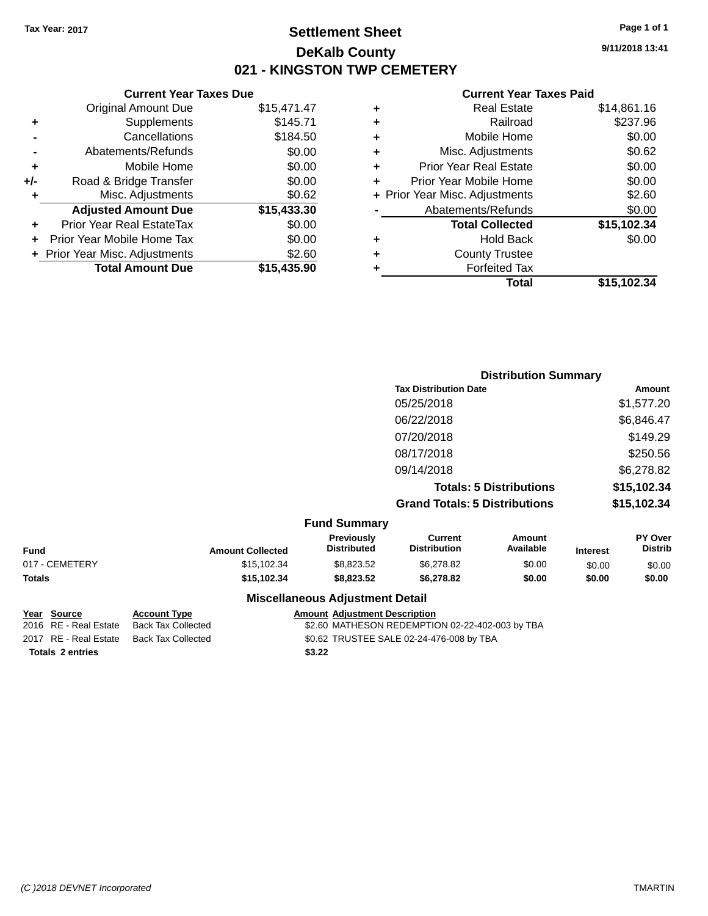## **Settlement Sheet Tax Year: 2017 Page 1 of 1 DeKalb County 021 - KINGSTON TWP CEMETERY**

**9/11/2018 13:41**

#### **Current Year Taxes Paid**

|       | <b>Current Year Taxes Due</b>  |             |
|-------|--------------------------------|-------------|
|       | <b>Original Amount Due</b>     | \$15,471.47 |
| ÷     | Supplements                    | \$145.71    |
|       | Cancellations                  | \$184.50    |
|       | Abatements/Refunds             | \$0.00      |
| ٠     | Mobile Home                    | \$0.00      |
| $+/-$ | Road & Bridge Transfer         | \$0.00      |
|       | Misc. Adjustments              | \$0.62      |
|       | <b>Adjusted Amount Due</b>     | \$15,433.30 |
| ÷     | Prior Year Real EstateTax      | \$0.00      |
|       | Prior Year Mobile Home Tax     | \$0.00      |
|       | + Prior Year Misc. Adjustments | \$2.60      |
|       | <b>Total Amount Due</b>        | \$15,435.90 |
|       |                                |             |

|   | <b>Real Estate</b>             | \$14,861.16 |
|---|--------------------------------|-------------|
| ÷ | Railroad                       | \$237.96    |
| ٠ | Mobile Home                    | \$0.00      |
| ٠ | Misc. Adjustments              | \$0.62      |
| ٠ | <b>Prior Year Real Estate</b>  | \$0.00      |
| ٠ | Prior Year Mobile Home         | \$0.00      |
|   | + Prior Year Misc. Adjustments | \$2.60      |
|   | Abatements/Refunds             | \$0.00      |
|   | <b>Total Collected</b>         | \$15,102.34 |
| ٠ | <b>Hold Back</b>               | \$0.00      |
| ٠ | <b>County Trustee</b>          |             |
| ٠ | <b>Forfeited Tax</b>           |             |
|   | Total                          | \$15,102.34 |
|   |                                |             |

| <b>Distribution Summary</b>          |             |
|--------------------------------------|-------------|
| <b>Tax Distribution Date</b>         | Amount      |
| 05/25/2018                           | \$1,577.20  |
| 06/22/2018                           | \$6,846.47  |
| 07/20/2018                           | \$149.29    |
| 08/17/2018                           | \$250.56    |
| 09/14/2018                           | \$6,278.82  |
| <b>Totals: 5 Distributions</b>       | \$15,102.34 |
| <b>Grand Totals: 5 Distributions</b> | \$15,102.34 |
|                                      |             |

|                |                         | <b>Fund Summary</b>                    |                                |                     |                 |                           |
|----------------|-------------------------|----------------------------------------|--------------------------------|---------------------|-----------------|---------------------------|
| <b>Fund</b>    | <b>Amount Collected</b> | Previously<br><b>Distributed</b>       | Current<br><b>Distribution</b> | Amount<br>Available | <b>Interest</b> | PY Over<br><b>Distrib</b> |
| 017 - CEMETERY | \$15,102.34             | \$8.823.52                             | \$6,278,82                     | \$0.00              | \$0.00          | \$0.00                    |
| <b>Totals</b>  | \$15,102.34             | \$8.823.52                             | \$6,278,82                     | \$0.00              | \$0.00          | \$0.00                    |
|                |                         | <b>Miscellaneous Adjustment Detail</b> |                                |                     |                 |                           |

| Year Source           |  |
|-----------------------|--|
| 2016 RE - Real Estate |  |
| $2047$ BE Beel Estate |  |

**Account Type Allergie Amount Adjustment Description** Back Tax Collected **2016 COLLECT STATE SON REDEMPTION 02-22-402-003 by TBA** 2017 RE - Real Estate Back Tax Collected \$0.62 TRUSTEE SALE 02-24-476-008 by TBA Totals 2 entries **2 and 2 and 2 and 2 and 2 and 2 and 2 and 2 and 2 and 2 and 2 and 2 and 2 and 2 and 2 and 2 and 2 and 2 and 2 and 2 and 2 and 2 and 2 and 2 and 2 and 2 and 2 and 2 and 2 and 2 and 2 and 2 and 2 and 2 and**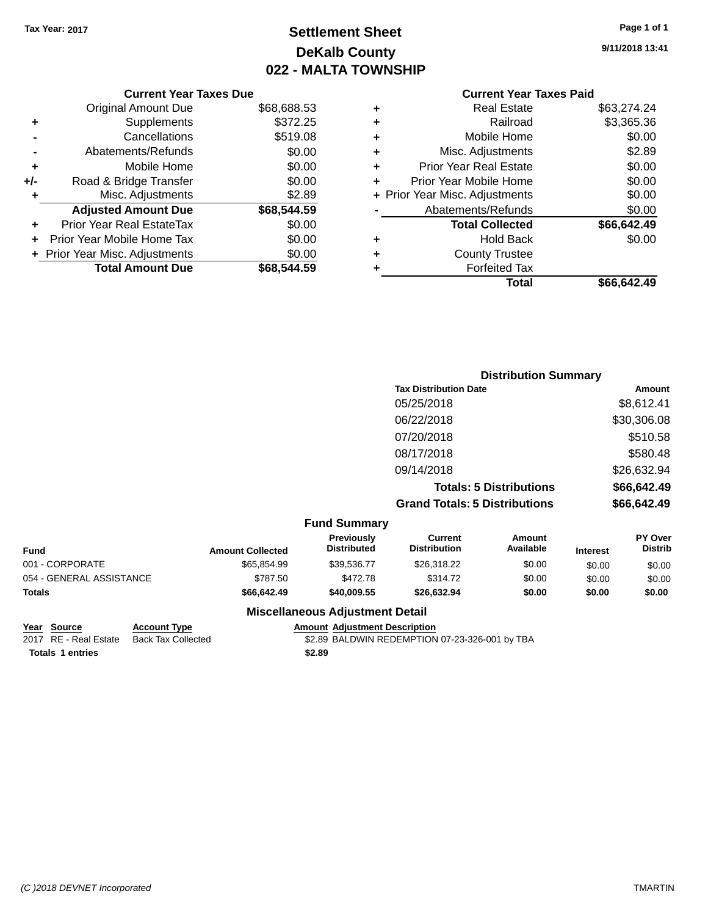## **Settlement Sheet Tax Year: 2017 Page 1 of 1 DeKalb County 022 - MALTA TOWNSHIP**

**9/11/2018 13:41**

## **Current Year Taxes Paid**

|     | <b>Current Year Taxes Due</b>  |             |        |
|-----|--------------------------------|-------------|--------|
|     | <b>Original Amount Due</b>     | \$68,688.53 | ٠      |
|     | Supplements                    | \$372.25    | ٠      |
|     | Cancellations                  | \$519.08    | ٠      |
|     | Abatements/Refunds             | \$0.00      | ٠      |
|     | Mobile Home                    | \$0.00      | ٠      |
| +/- | Road & Bridge Transfer         | \$0.00      | ٠      |
|     | Misc. Adjustments              | \$2.89      | + Pric |
|     | <b>Adjusted Amount Due</b>     | \$68,544.59 |        |
|     | Prior Year Real EstateTax      | \$0.00      |        |
|     | Prior Year Mobile Home Tax     | \$0.00      |        |
|     | + Prior Year Misc. Adjustments | \$0.00      | ٠      |
|     | <b>Total Amount Due</b>        | \$68,544.59 |        |
|     |                                |             |        |

|   | <b>Real Estate</b>             | \$63,274.24 |
|---|--------------------------------|-------------|
| ٠ | Railroad                       | \$3,365.36  |
| ٠ | Mobile Home                    | \$0.00      |
| ٠ | Misc. Adjustments              | \$2.89      |
| ٠ | <b>Prior Year Real Estate</b>  | \$0.00      |
| ٠ | Prior Year Mobile Home         | \$0.00      |
|   | + Prior Year Misc. Adjustments | \$0.00      |
|   | Abatements/Refunds             | \$0.00      |
|   | <b>Total Collected</b>         | \$66,642.49 |
| ٠ | <b>Hold Back</b>               | \$0.00      |
| ٠ | <b>County Trustee</b>          |             |
| ٠ | <b>Forfeited Tax</b>           |             |
|   | Total                          | \$66,642.49 |
|   |                                |             |

| <b>Distribution Summary</b>          |             |
|--------------------------------------|-------------|
| <b>Tax Distribution Date</b>         | Amount      |
| 05/25/2018                           | \$8,612.41  |
| 06/22/2018                           | \$30,306.08 |
| 07/20/2018                           | \$510.58    |
| 08/17/2018                           | \$580.48    |
| 09/14/2018                           | \$26,632.94 |
| <b>Totals: 5 Distributions</b>       | \$66,642.49 |
| <b>Grand Totals: 5 Distributions</b> | \$66,642.49 |

|                          |                         | <b>Fund Summary</b>                     |                                       |                     |                 |                                  |
|--------------------------|-------------------------|-----------------------------------------|---------------------------------------|---------------------|-----------------|----------------------------------|
| Fund                     | <b>Amount Collected</b> | <b>Previously</b><br><b>Distributed</b> | <b>Current</b><br><b>Distribution</b> | Amount<br>Available | <b>Interest</b> | <b>PY Over</b><br><b>Distrib</b> |
| 001 - CORPORATE          | \$65,854.99             | \$39,536,77                             | \$26,318.22                           | \$0.00              | \$0.00          | \$0.00                           |
| 054 - GENERAL ASSISTANCE | \$787.50                | \$472.78                                | \$314.72                              | \$0.00              | \$0.00          | \$0.00                           |
| <b>Totals</b>            | \$66,642.49             | \$40,009.55                             | \$26,632.94                           | \$0.00              | \$0.00          | \$0.00                           |
|                          |                         |                                         |                                       |                     |                 |                                  |

**Totals \$2.89 1 entries**

**Miscellaneous Adjustment Detail**

## **Year Source Account Type Amount Adjustment Description**

\$2.89 BALDWIN REDEMPTION 07-23-326-001 by TBA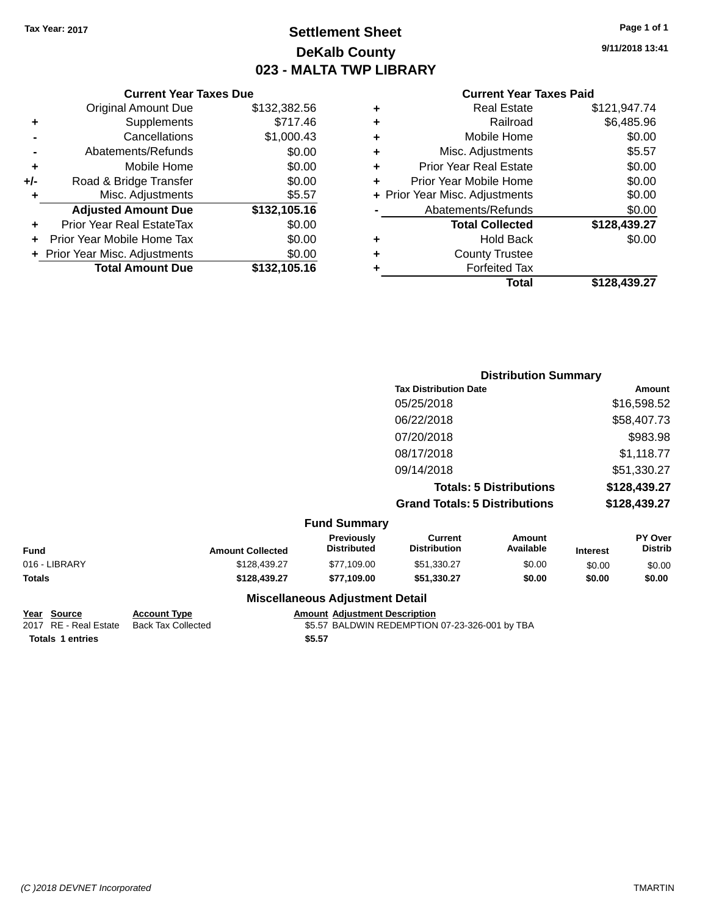## **Settlement Sheet Tax Year: 2017 Page 1 of 1 DeKalb County 023 - MALTA TWP LIBRARY**

**9/11/2018 13:41**

#### **Current Year Taxes Paid**

|     | <b>Current Year Taxes Due</b>  |              |  |  |  |
|-----|--------------------------------|--------------|--|--|--|
|     | <b>Original Amount Due</b>     | \$132,382.56 |  |  |  |
| ٠   | Supplements                    | \$717.46     |  |  |  |
|     | Cancellations                  | \$1,000.43   |  |  |  |
|     | Abatements/Refunds             | \$0.00       |  |  |  |
| ٠   | Mobile Home                    | \$0.00       |  |  |  |
| +/- | Road & Bridge Transfer         | \$0.00       |  |  |  |
| ٠   | Misc. Adjustments              | \$5.57       |  |  |  |
|     | <b>Adjusted Amount Due</b>     | \$132,105.16 |  |  |  |
|     | Prior Year Real EstateTax      | \$0.00       |  |  |  |
|     | Prior Year Mobile Home Tax     | \$0.00       |  |  |  |
|     | + Prior Year Misc. Adjustments | \$0.00       |  |  |  |
|     | <b>Total Amount Due</b>        | \$132,105.16 |  |  |  |
|     |                                |              |  |  |  |

| ٠ | <b>Real Estate</b>             | \$121,947.74 |
|---|--------------------------------|--------------|
| ٠ | Railroad                       | \$6,485.96   |
| ٠ | Mobile Home                    | \$0.00       |
| ٠ | Misc. Adjustments              | \$5.57       |
| ٠ | <b>Prior Year Real Estate</b>  | \$0.00       |
| ٠ | Prior Year Mobile Home         | \$0.00       |
|   | + Prior Year Misc. Adjustments | \$0.00       |
|   | Abatements/Refunds             | \$0.00       |
|   | <b>Total Collected</b>         | \$128,439.27 |
| ٠ | <b>Hold Back</b>               | \$0.00       |
| ٠ | <b>County Trustee</b>          |              |
| ٠ | <b>Forfeited Tax</b>           |              |
|   | Total                          | \$128,439.27 |
|   |                                |              |

|     | <b>Distribution Summary</b>          |              |
|-----|--------------------------------------|--------------|
|     | <b>Tax Distribution Date</b>         | Amount       |
|     | 05/25/2018                           | \$16,598.52  |
|     | 06/22/2018                           | \$58,407.73  |
|     | 07/20/2018                           | \$983.98     |
|     | 08/17/2018                           | \$1,118.77   |
|     | 09/14/2018                           | \$51,330.27  |
|     | <b>Totals: 5 Distributions</b>       | \$128,439.27 |
|     | <b>Grand Totals: 5 Distributions</b> | \$128,439.27 |
| $E$ |                                      |              |

|               |                         | <b>FUILD SUILLING V</b>                |                                |                     |                 |                           |
|---------------|-------------------------|----------------------------------------|--------------------------------|---------------------|-----------------|---------------------------|
| Fund          | <b>Amount Collected</b> | Previously<br><b>Distributed</b>       | Current<br><b>Distribution</b> | Amount<br>Available | <b>Interest</b> | PY Over<br><b>Distrib</b> |
| 016 - LIBRARY | \$128,439.27            | \$77,109.00                            | \$51,330.27                    | \$0.00              | \$0.00          | \$0.00                    |
| Totals        | \$128,439.27            | \$77.109.00                            | \$51.330.27                    | \$0.00              | \$0.00          | \$0.00                    |
|               |                         | <b>Miscellaneous Adjustment Detail</b> |                                |                     |                 |                           |

**Totals \$5.57 1 entries**

**Year Source Account Type Amount Adjustment Description**

\$5.57 BALDWIN REDEMPTION 07-23-326-001 by TBA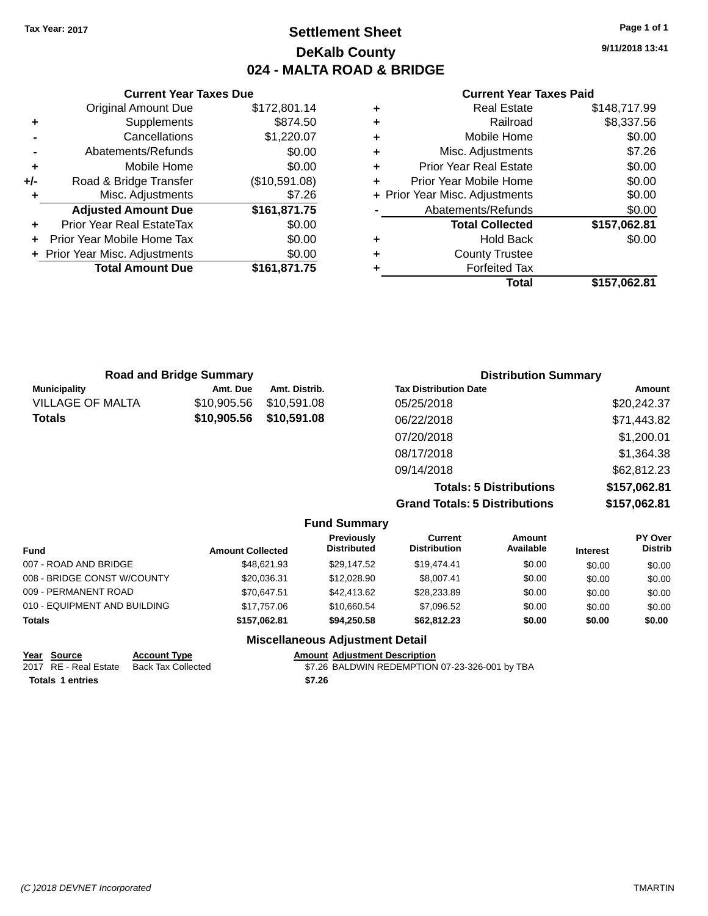## **Settlement Sheet Tax Year: 2017 Page 1 of 1 DeKalb County 024 - MALTA ROAD & BRIDGE**

**9/11/2018 13:41**

|       | <b>Current Year Taxes Due</b>  |               |  |  |
|-------|--------------------------------|---------------|--|--|
|       | <b>Original Amount Due</b>     | \$172,801.14  |  |  |
| ٠     | Supplements                    | \$874.50      |  |  |
|       | Cancellations                  | \$1,220.07    |  |  |
|       | Abatements/Refunds             | \$0.00        |  |  |
| ÷     | Mobile Home                    | \$0.00        |  |  |
| $+/-$ | Road & Bridge Transfer         | (\$10,591.08) |  |  |
|       | Misc. Adjustments              | \$7.26        |  |  |
|       | <b>Adjusted Amount Due</b>     | \$161,871.75  |  |  |
| ٠     | Prior Year Real EstateTax      | \$0.00        |  |  |
|       | Prior Year Mobile Home Tax     | \$0.00        |  |  |
|       | + Prior Year Misc. Adjustments | \$0.00        |  |  |
|       | <b>Total Amount Due</b>        | \$161,871.75  |  |  |
|       |                                |               |  |  |

|   | <b>Real Estate</b>             | \$148,717.99 |
|---|--------------------------------|--------------|
| ٠ | Railroad                       | \$8,337.56   |
| ٠ | Mobile Home                    | \$0.00       |
| ٠ | Misc. Adjustments              | \$7.26       |
| ٠ | <b>Prior Year Real Estate</b>  | \$0.00       |
| ٠ | Prior Year Mobile Home         | \$0.00       |
|   | + Prior Year Misc. Adjustments | \$0.00       |
|   | Abatements/Refunds             | \$0.00       |
|   | <b>Total Collected</b>         | \$157,062.81 |
| ٠ | <b>Hold Back</b>               | \$0.00       |
| ٠ | <b>County Trustee</b>          |              |
| ٠ | <b>Forfeited Tax</b>           |              |
|   | Total                          | \$157,062.81 |

| <b>Road and Bridge Summary</b> |             | <b>Distribution Summary</b> |                                      |              |
|--------------------------------|-------------|-----------------------------|--------------------------------------|--------------|
| <b>Municipality</b>            | Amt. Due    | Amt. Distrib.               | <b>Tax Distribution Date</b>         | Amount       |
| <b>VILLAGE OF MALTA</b>        | \$10,905.56 | \$10,591.08                 | 05/25/2018                           | \$20,242.37  |
| Totals                         | \$10,905.56 | \$10,591.08                 | 06/22/2018                           | \$71,443.82  |
|                                |             |                             | 07/20/2018                           | \$1,200.01   |
|                                |             |                             | 08/17/2018                           | \$1,364.38   |
|                                |             |                             | 09/14/2018                           | \$62,812.23  |
|                                |             |                             | <b>Totals: 5 Distributions</b>       | \$157,062.81 |
|                                |             |                             | <b>Grand Totals: 5 Distributions</b> | \$157,062.81 |

|                              |                         | <b>Fund Summary</b>                     |                                |                     |                 |                           |
|------------------------------|-------------------------|-----------------------------------------|--------------------------------|---------------------|-----------------|---------------------------|
| Fund                         | <b>Amount Collected</b> | <b>Previously</b><br><b>Distributed</b> | Current<br><b>Distribution</b> | Amount<br>Available | <b>Interest</b> | PY Over<br><b>Distrib</b> |
| 007 - ROAD AND BRIDGE        | \$48.621.93             | \$29.147.52                             | \$19,474.41                    | \$0.00              | \$0.00          | \$0.00                    |
| 008 - BRIDGE CONST W/COUNTY  | \$20,036.31             | \$12,028.90                             | \$8,007.41                     | \$0.00              | \$0.00          | \$0.00                    |
| 009 - PERMANENT ROAD         | \$70.647.51             | \$42,413.62                             | \$28,233.89                    | \$0.00              | \$0.00          | \$0.00                    |
| 010 - EQUIPMENT AND BUILDING | \$17.757.06             | \$10.660.54                             | \$7,096.52                     | \$0.00              | \$0.00          | \$0.00                    |
| <b>Totals</b>                | \$157.062.81            | \$94.250.58                             | \$62,812.23                    | \$0.00              | \$0.00          | \$0.00                    |
|                              |                         | <b>Miscellaneous Adjustment Detail</b>  |                                |                     |                 |                           |

| Year Source           | <b>Account Type</b> |        | <b>Amount Adiustment Description</b>           |
|-----------------------|---------------------|--------|------------------------------------------------|
| 2017 RE - Real Estate | Back Tax Collected  |        | \$7.26 BALDWIN REDEMPTION 07-23-326-001 by TBA |
| Totals 1 entries      |                     | \$7.26 |                                                |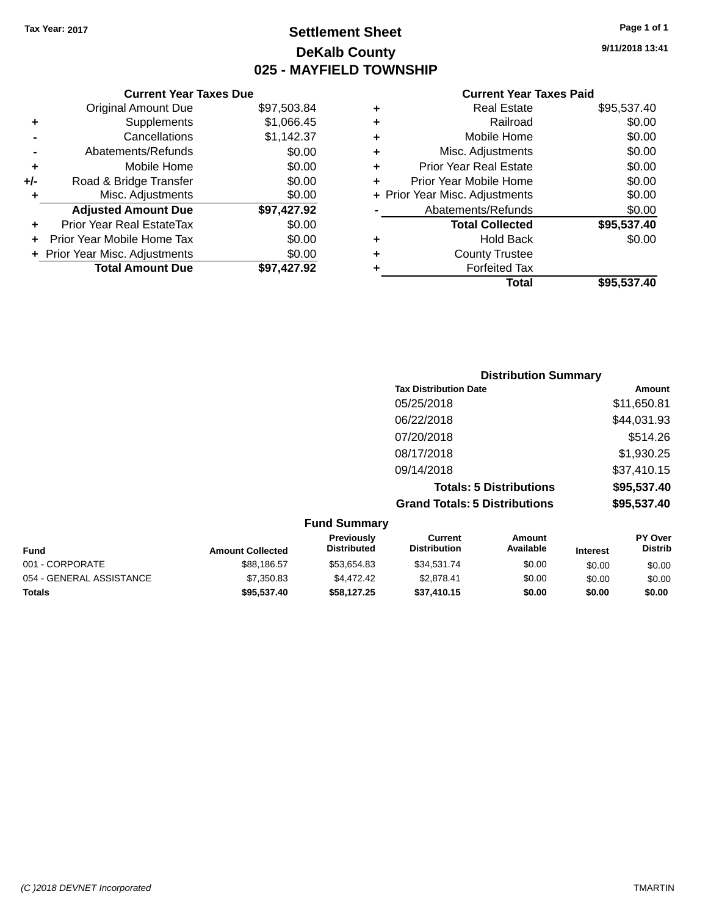## **Settlement Sheet Tax Year: 2017 Page 1 of 1 DeKalb County 025 - MAYFIELD TOWNSHIP**

**9/11/2018 13:41**

|     | <b>Current Year Taxes Due</b>  |             |  |
|-----|--------------------------------|-------------|--|
|     | <b>Original Amount Due</b>     | \$97,503.84 |  |
| ٠   | Supplements                    | \$1,066.45  |  |
|     | Cancellations                  | \$1,142.37  |  |
|     | Abatements/Refunds             | \$0.00      |  |
| ٠   | Mobile Home                    | \$0.00      |  |
| +/- | Road & Bridge Transfer         | \$0.00      |  |
| ٠   | Misc. Adjustments              | \$0.00      |  |
|     | <b>Adjusted Amount Due</b>     | \$97,427.92 |  |
| ÷   | Prior Year Real EstateTax      | \$0.00      |  |
| ÷   | Prior Year Mobile Home Tax     | \$0.00      |  |
|     | + Prior Year Misc. Adjustments | \$0.00      |  |
|     | <b>Total Amount Due</b>        | \$97.427.92 |  |
|     |                                |             |  |

|   | Real Estate                    | \$95,537.40 |
|---|--------------------------------|-------------|
| ٠ | Railroad                       | \$0.00      |
| ٠ | Mobile Home                    | \$0.00      |
| ٠ | Misc. Adjustments              | \$0.00      |
| ٠ | <b>Prior Year Real Estate</b>  | \$0.00      |
| ٠ | Prior Year Mobile Home         | \$0.00      |
|   | + Prior Year Misc. Adjustments | \$0.00      |
|   | Abatements/Refunds             | \$0.00      |
|   | <b>Total Collected</b>         | \$95,537.40 |
| ٠ | <b>Hold Back</b>               | \$0.00      |
| ٠ | <b>County Trustee</b>          |             |
| ٠ | <b>Forfeited Tax</b>           |             |
|   | Total                          | \$95,537.40 |
|   |                                |             |

| <b>Distribution Summary</b>          |             |
|--------------------------------------|-------------|
| <b>Tax Distribution Date</b>         | Amount      |
| 05/25/2018                           | \$11,650.81 |
| 06/22/2018                           | \$44,031.93 |
| 07/20/2018                           | \$514.26    |
| 08/17/2018                           | \$1,930.25  |
| 09/14/2018                           | \$37,410.15 |
| <b>Totals: 5 Distributions</b>       | \$95,537.40 |
| <b>Grand Totals: 5 Distributions</b> | \$95,537.40 |

|                          |                         | <b>Fund Summary</b>              |                                |                     |                 |                                  |
|--------------------------|-------------------------|----------------------------------|--------------------------------|---------------------|-----------------|----------------------------------|
| <b>Fund</b>              | <b>Amount Collected</b> | Previously<br><b>Distributed</b> | Current<br><b>Distribution</b> | Amount<br>Available | <b>Interest</b> | <b>PY Over</b><br><b>Distrib</b> |
| 001 - CORPORATE          | \$88.186.57             | \$53.654.83                      | \$34,531.74                    | \$0.00              | \$0.00          | \$0.00                           |
| 054 - GENERAL ASSISTANCE | \$7,350.83              | \$4.472.42                       | \$2.878.41                     | \$0.00              | \$0.00          | \$0.00                           |
| <b>Totals</b>            | \$95,537,40             | \$58,127,25                      | \$37,410.15                    | \$0.00              | \$0.00          | \$0.00                           |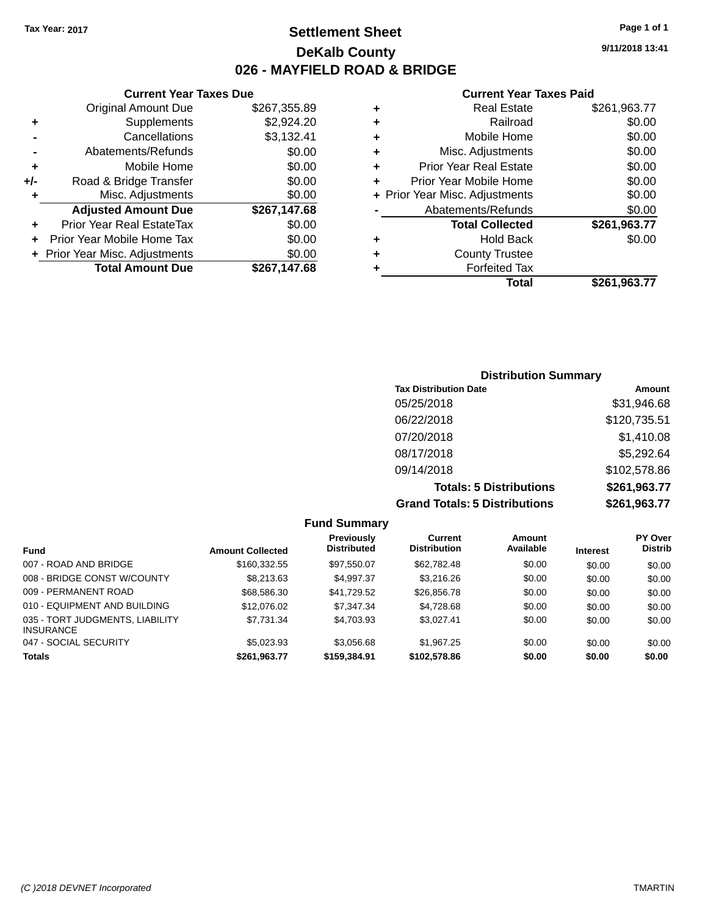## **Settlement Sheet Tax Year: 2017 Page 1 of 1 DeKalb County 026 - MAYFIELD ROAD & BRIDGE**

|     | <b>Current Year Taxes Due</b>  |              |
|-----|--------------------------------|--------------|
|     | <b>Original Amount Due</b>     | \$267,355.89 |
|     | Supplements                    | \$2,924.20   |
|     | Cancellations                  | \$3,132.41   |
|     | Abatements/Refunds             | \$0.00       |
| ٠   | Mobile Home                    | \$0.00       |
| +/- | Road & Bridge Transfer         | \$0.00       |
| ٠   | Misc. Adjustments              | \$0.00       |
|     | <b>Adjusted Amount Due</b>     | \$267,147.68 |
| ٠   | Prior Year Real EstateTax      | \$0.00       |
|     | Prior Year Mobile Home Tax     | \$0.00       |
|     | + Prior Year Misc. Adjustments | \$0.00       |
|     | <b>Total Amount Due</b>        | \$267.147.68 |
|     |                                |              |

#### **Current Year Taxes Paid +** Real Estate \$261,963.77 **+** Railroad \$0.00 **+** Mobile Home \$0.00 **+** Misc. Adjustments \$0.00 **+** Prior Year Real Estate \$0.00 **+** Prior Year Mobile Home \$0.00<br> **Allian Year Miss Adjustments**

|                      | Total                          | \$261,963.77 |
|----------------------|--------------------------------|--------------|
| ÷                    | <b>Forfeited Tax</b>           |              |
|                      | <b>County Trustee</b>          |              |
| $\ddot{\phantom{1}}$ | <b>Hold Back</b>               | \$0.00       |
|                      | <b>Total Collected</b>         | \$261,963.77 |
|                      | Abatements/Refunds             | \$0.00       |
|                      | + Prior Year Misc. Adjustments | \$0.00       |

### **Distribution Summary Tax Distribution Date Amount** 05/25/2018 \$31,946.68 06/22/2018 \$120,735.51 07/20/2018 \$1,410.08 08/17/2018 \$5,292.64 09/14/2018 \$102,578.86 **Totals: 5 Distributions \$261,963.77 Grand Totals: 5 Distributions \$261,963.77**

|                                                     |                         | <b>Fund Summary</b>              |                                |                     |                 |                                  |
|-----------------------------------------------------|-------------------------|----------------------------------|--------------------------------|---------------------|-----------------|----------------------------------|
| <b>Fund</b>                                         | <b>Amount Collected</b> | Previously<br><b>Distributed</b> | Current<br><b>Distribution</b> | Amount<br>Available | <b>Interest</b> | <b>PY Over</b><br><b>Distrib</b> |
| 007 - ROAD AND BRIDGE                               | \$160,332.55            | \$97,550.07                      | \$62,782.48                    | \$0.00              | \$0.00          | \$0.00                           |
| 008 - BRIDGE CONST W/COUNTY                         | \$8,213,63              | \$4.997.37                       | \$3,216,26                     | \$0.00              | \$0.00          | \$0.00                           |
| 009 - PERMANENT ROAD                                | \$68,586.30             | \$41,729.52                      | \$26,856.78                    | \$0.00              | \$0.00          | \$0.00                           |
| 010 - EQUIPMENT AND BUILDING                        | \$12,076.02             | \$7.347.34                       | \$4,728.68                     | \$0.00              | \$0.00          | \$0.00                           |
| 035 - TORT JUDGMENTS, LIABILITY<br><b>INSURANCE</b> | \$7,731.34              | \$4,703.93                       | \$3.027.41                     | \$0.00              | \$0.00          | \$0.00                           |
| 047 - SOCIAL SECURITY                               | \$5.023.93              | \$3.056.68                       | \$1,967.25                     | \$0.00              | \$0.00          | \$0.00                           |
| <b>Totals</b>                                       | \$261,963.77            | \$159,384.91                     | \$102,578.86                   | \$0.00              | \$0.00          | \$0.00                           |

**9/11/2018 13:41**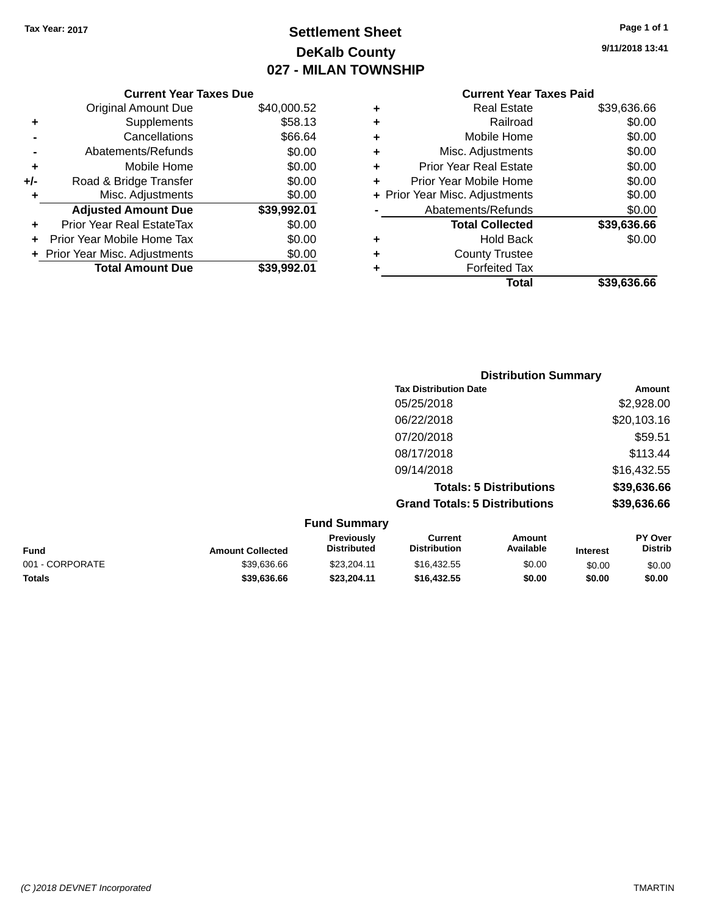## **Settlement Sheet Tax Year: 2017 Page 1 of 1 DeKalb County 027 - MILAN TOWNSHIP**

**9/11/2018 13:41**

|       | <b>Current Year Taxes Due</b>  |             |
|-------|--------------------------------|-------------|
|       | <b>Original Amount Due</b>     | \$40,000.52 |
| ٠     | Supplements                    | \$58.13     |
|       | Cancellations                  | \$66.64     |
|       | Abatements/Refunds             | \$0.00      |
| ٠     | Mobile Home                    | \$0.00      |
| $+/-$ | Road & Bridge Transfer         | \$0.00      |
| ٠     | Misc. Adjustments              | \$0.00      |
|       | <b>Adjusted Amount Due</b>     | \$39,992.01 |
| ٠     | Prior Year Real EstateTax      | \$0.00      |
|       | Prior Year Mobile Home Tax     | \$0.00      |
|       | + Prior Year Misc. Adjustments | \$0.00      |
|       | <b>Total Amount Due</b>        | \$39.992.01 |
|       |                                |             |

| ٠ | <b>Real Estate</b>             | \$39,636.66 |
|---|--------------------------------|-------------|
| ٠ | Railroad                       | \$0.00      |
| ٠ | Mobile Home                    | \$0.00      |
| ٠ | Misc. Adjustments              | \$0.00      |
| ٠ | <b>Prior Year Real Estate</b>  | \$0.00      |
| ٠ | Prior Year Mobile Home         | \$0.00      |
|   | + Prior Year Misc. Adjustments | \$0.00      |
|   | Abatements/Refunds             | \$0.00      |
|   | <b>Total Collected</b>         | \$39,636.66 |
| ٠ | <b>Hold Back</b>               | \$0.00      |
| ٠ | <b>County Trustee</b>          |             |
| ٠ | <b>Forfeited Tax</b>           |             |
|   | Total                          | \$39,636.66 |
|   |                                |             |

|                                      | <b>Distribution Summary</b> |
|--------------------------------------|-----------------------------|
| <b>Tax Distribution Date</b>         | Amount                      |
| 05/25/2018                           | \$2,928.00                  |
| 06/22/2018                           | \$20,103.16                 |
| 07/20/2018                           | \$59.51                     |
| 08/17/2018                           | \$113.44                    |
| 09/14/2018                           | \$16,432.55                 |
| <b>Totals: 5 Distributions</b>       | \$39,636.66                 |
| <b>Grand Totals: 5 Distributions</b> | \$39,636.66                 |
| $E$ und $R$ ummorv                   |                             |

| <b>Fund Summary</b> |                         |                                         |                                |                     |                 |                                  |
|---------------------|-------------------------|-----------------------------------------|--------------------------------|---------------------|-----------------|----------------------------------|
| <b>Fund</b>         | <b>Amount Collected</b> | <b>Previously</b><br><b>Distributed</b> | Current<br><b>Distribution</b> | Amount<br>Available | <b>Interest</b> | <b>PY Over</b><br><b>Distrib</b> |
| 001 - CORPORATE     | \$39,636.66             | \$23.204.11                             | \$16,432.55                    | \$0.00              | \$0.00          | \$0.00                           |
| <b>Totals</b>       | \$39,636,66             | \$23.204.11                             | \$16,432.55                    | \$0.00              | \$0.00          | \$0.00                           |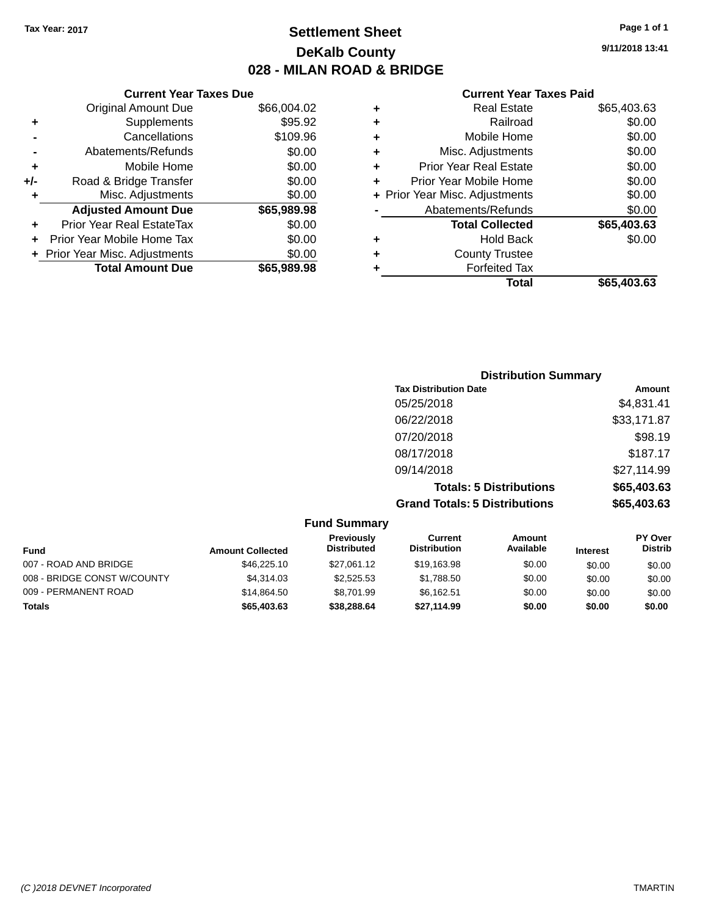## **Settlement Sheet Tax Year: 2017 Page 1 of 1 DeKalb County 028 - MILAN ROAD & BRIDGE**

**9/11/2018 13:41**

|     | <b>Current Year Taxes Due</b>  |             |  |
|-----|--------------------------------|-------------|--|
|     | <b>Original Amount Due</b>     | \$66,004.02 |  |
| ٠   | Supplements                    | \$95.92     |  |
|     | Cancellations                  | \$109.96    |  |
|     | Abatements/Refunds             | \$0.00      |  |
| ٠   | Mobile Home                    | \$0.00      |  |
| +/- | Road & Bridge Transfer         | \$0.00      |  |
| ٠   | Misc. Adjustments              | \$0.00      |  |
|     | <b>Adjusted Amount Due</b>     | \$65,989.98 |  |
| ÷   | Prior Year Real EstateTax      | \$0.00      |  |
|     | Prior Year Mobile Home Tax     | \$0.00      |  |
|     | + Prior Year Misc. Adjustments | \$0.00      |  |
|     | <b>Total Amount Due</b>        | \$65,989.98 |  |
|     |                                |             |  |

|   | <b>Real Estate</b>             | \$65,403.63 |
|---|--------------------------------|-------------|
| ٠ | Railroad                       | \$0.00      |
| ٠ | Mobile Home                    | \$0.00      |
| ٠ | Misc. Adjustments              | \$0.00      |
| ٠ | <b>Prior Year Real Estate</b>  | \$0.00      |
| ٠ | Prior Year Mobile Home         | \$0.00      |
|   | + Prior Year Misc. Adjustments | \$0.00      |
|   | Abatements/Refunds             | \$0.00      |
|   | <b>Total Collected</b>         | \$65,403.63 |
| ٠ | <b>Hold Back</b>               | \$0.00      |
|   | <b>County Trustee</b>          |             |
| ٠ | <b>Forfeited Tax</b>           |             |
|   | Total                          | \$65,403.63 |
|   |                                |             |

| <b>Distribution Summary</b>          |             |
|--------------------------------------|-------------|
| <b>Tax Distribution Date</b>         | Amount      |
| 05/25/2018                           | \$4,831.41  |
| 06/22/2018                           | \$33,171.87 |
| 07/20/2018                           | \$98.19     |
| 08/17/2018                           | \$187.17    |
| 09/14/2018                           | \$27,114.99 |
| <b>Totals: 5 Distributions</b>       | \$65,403.63 |
| <b>Grand Totals: 5 Distributions</b> | \$65,403.63 |

| <b>Fund Summary</b>         |                         |                                  |                                |                            |                 |                                  |
|-----------------------------|-------------------------|----------------------------------|--------------------------------|----------------------------|-----------------|----------------------------------|
| <b>Fund</b>                 | <b>Amount Collected</b> | Previously<br><b>Distributed</b> | Current<br><b>Distribution</b> | <b>Amount</b><br>Available | <b>Interest</b> | <b>PY Over</b><br><b>Distrib</b> |
| 007 - ROAD AND BRIDGE       | \$46,225.10             | \$27.061.12                      | \$19.163.98                    | \$0.00                     | \$0.00          | \$0.00                           |
| 008 - BRIDGE CONST W/COUNTY | \$4.314.03              | \$2,525.53                       | \$1.788.50                     | \$0.00                     | \$0.00          | \$0.00                           |
| 009 - PERMANENT ROAD        | \$14.864.50             | \$8.701.99                       | \$6,162.51                     | \$0.00                     | \$0.00          | \$0.00                           |
| <b>Totals</b>               | \$65,403,63             | \$38,288,64                      | \$27.114.99                    | \$0.00                     | \$0.00          | \$0.00                           |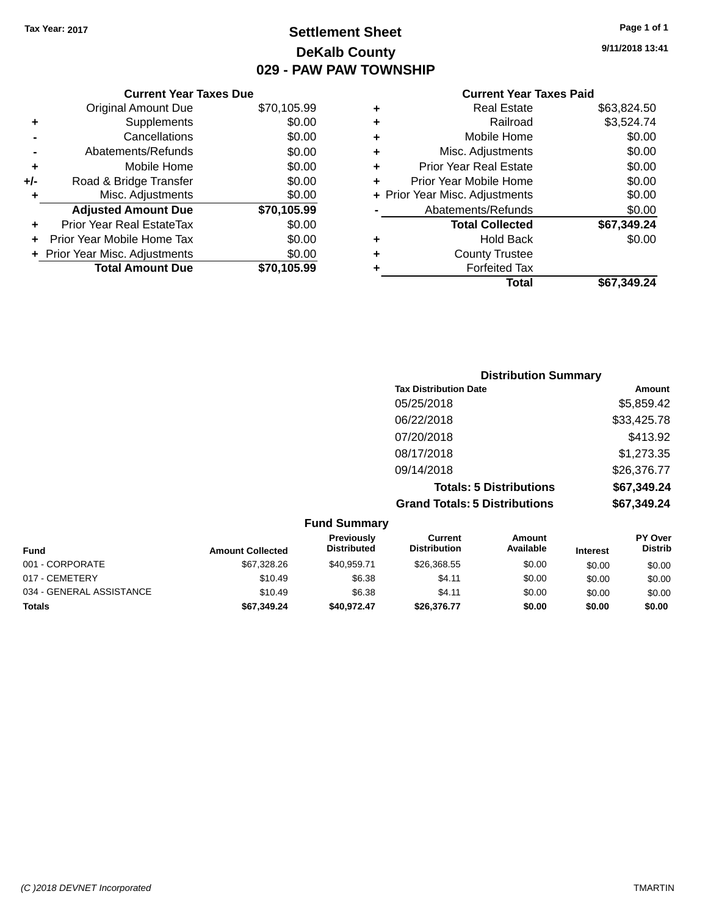## **Settlement Sheet Tax Year: 2017 Page 1 of 1 DeKalb County 029 - PAW PAW TOWNSHIP**

#### **Current Year Taxes Due** Original Amount Due \$70,105.99 **+** Supplements \$0.00 **-** Cancellations \$0.00 **-** Abatements/Refunds \$0.00 **+** Mobile Home \$0.00 **+/-** Road & Bridge Transfer \$0.00<br> **+** Misc. Adjustments \$0.00 **+** Misc. Adjustments **Adjusted Amount Due \$70,105.99 +** Prior Year Real EstateTax \$0.00 **+** Prior Year Mobile Home Tax \$0.00 **+ Prior Year Misc. Adjustments**  $$0.00$ **Total Amount Due \$70,105.99**

|   | <b>Real Estate</b>             | \$63,824.50 |
|---|--------------------------------|-------------|
| ٠ | Railroad                       | \$3,524.74  |
| ٠ | Mobile Home                    | \$0.00      |
| ٠ | Misc. Adjustments              | \$0.00      |
| ٠ | <b>Prior Year Real Estate</b>  | \$0.00      |
| ÷ | Prior Year Mobile Home         | \$0.00      |
|   | + Prior Year Misc. Adjustments | \$0.00      |
|   | Abatements/Refunds             | \$0.00      |
|   | <b>Total Collected</b>         | \$67,349.24 |
| ٠ | <b>Hold Back</b>               | \$0.00      |
| ٠ | <b>County Trustee</b>          |             |
| ٠ | <b>Forfeited Tax</b>           |             |
|   | Total                          | \$67,349.24 |
|   |                                |             |

| <b>Distribution Summary</b>          |             |
|--------------------------------------|-------------|
| <b>Tax Distribution Date</b>         | Amount      |
| 05/25/2018                           | \$5,859.42  |
| 06/22/2018                           | \$33,425.78 |
| 07/20/2018                           | \$413.92    |
| 08/17/2018                           | \$1,273.35  |
| 09/14/2018                           | \$26,376.77 |
| <b>Totals: 5 Distributions</b>       | \$67,349.24 |
| <b>Grand Totals: 5 Distributions</b> | \$67,349.24 |

| <b>Fund Summary</b>      |                         |                                  |                                       |                     |                 |                                  |
|--------------------------|-------------------------|----------------------------------|---------------------------------------|---------------------|-----------------|----------------------------------|
| <b>Fund</b>              | <b>Amount Collected</b> | Previously<br><b>Distributed</b> | <b>Current</b><br><b>Distribution</b> | Amount<br>Available | <b>Interest</b> | <b>PY Over</b><br><b>Distrib</b> |
| 001 - CORPORATE          | \$67,328.26             | \$40.959.71                      | \$26,368.55                           | \$0.00              | \$0.00          | \$0.00                           |
| 017 - CEMETERY           | \$10.49                 | \$6.38                           | \$4.11                                | \$0.00              | \$0.00          | \$0.00                           |
| 034 - GENERAL ASSISTANCE | \$10.49                 | \$6.38                           | \$4.11                                | \$0.00              | \$0.00          | \$0.00                           |
| <b>Totals</b>            | \$67,349.24             | \$40.972.47                      | \$26,376,77                           | \$0.00              | \$0.00          | \$0.00                           |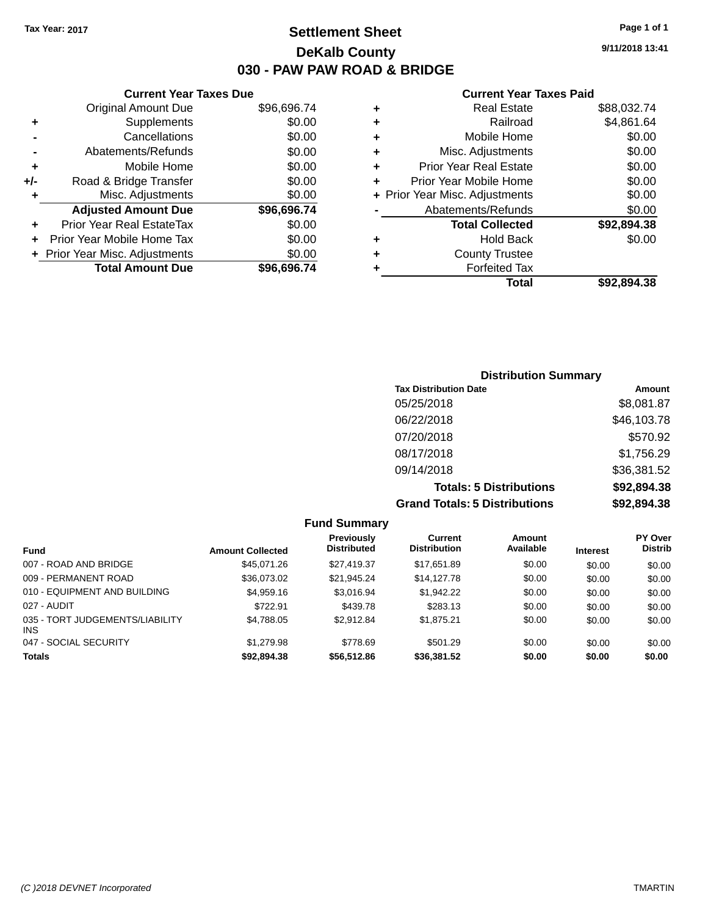## **Settlement Sheet Tax Year: 2017 Page 1 of 1 DeKalb County 030 - PAW PAW ROAD & BRIDGE**

**9/11/2018 13:41**

|     | <b>Current Year Taxes Due</b>  |             |        |
|-----|--------------------------------|-------------|--------|
|     | <b>Original Amount Due</b>     | \$96,696.74 |        |
|     | <b>Supplements</b>             | \$0.00      | ٠      |
|     | Cancellations                  | \$0.00      | ٠      |
|     | Abatements/Refunds             | \$0.00      | ٠      |
|     | Mobile Home                    | \$0.00      | ٠      |
| +/- | Road & Bridge Transfer         | \$0.00      |        |
|     | Misc. Adjustments              | \$0.00      | + Pric |
|     | <b>Adjusted Amount Due</b>     | \$96,696.74 |        |
|     | Prior Year Real EstateTax      | \$0.00      |        |
|     | Prior Year Mobile Home Tax     | \$0.00      | ٠      |
|     | + Prior Year Misc. Adjustments | \$0.00      | ٠      |
|     | <b>Total Amount Due</b>        | \$96,696.74 |        |
|     |                                |             |        |

|   | <b>Real Estate</b>             | \$88,032.74 |
|---|--------------------------------|-------------|
| ÷ | Railroad                       | \$4,861.64  |
| ٠ | Mobile Home                    | \$0.00      |
| ٠ | Misc. Adjustments              | \$0.00      |
| ٠ | <b>Prior Year Real Estate</b>  | \$0.00      |
| ٠ | Prior Year Mobile Home         | \$0.00      |
|   | + Prior Year Misc. Adjustments | \$0.00      |
|   | Abatements/Refunds             | \$0.00      |
|   | <b>Total Collected</b>         | \$92,894.38 |
| ٠ | Hold Back                      | \$0.00      |
| ٠ | <b>County Trustee</b>          |             |
| ٠ | <b>Forfeited Tax</b>           |             |
|   | Total                          | \$92,894.38 |
|   |                                |             |

| <b>Distribution Summary</b>          |             |
|--------------------------------------|-------------|
| <b>Tax Distribution Date</b>         | Amount      |
| 05/25/2018                           | \$8,081.87  |
| 06/22/2018                           | \$46,103.78 |
| 07/20/2018                           | \$570.92    |
| 08/17/2018                           | \$1,756.29  |
| 09/14/2018                           | \$36,381.52 |
| <b>Totals: 5 Distributions</b>       | \$92,894.38 |
| <b>Grand Totals: 5 Distributions</b> | \$92,894.38 |

|                                         |                         | <b>Fund Summary</b>                     |                                       |                     |                 |                           |
|-----------------------------------------|-------------------------|-----------------------------------------|---------------------------------------|---------------------|-----------------|---------------------------|
| <b>Fund</b>                             | <b>Amount Collected</b> | <b>Previously</b><br><b>Distributed</b> | <b>Current</b><br><b>Distribution</b> | Amount<br>Available | <b>Interest</b> | PY Over<br><b>Distrib</b> |
| 007 - ROAD AND BRIDGE                   | \$45,071,26             | \$27,419.37                             | \$17.651.89                           | \$0.00              | \$0.00          | \$0.00                    |
| 009 - PERMANENT ROAD                    | \$36,073.02             | \$21,945.24                             | \$14,127.78                           | \$0.00              | \$0.00          | \$0.00                    |
| 010 - EQUIPMENT AND BUILDING            | \$4,959.16              | \$3.016.94                              | \$1,942.22                            | \$0.00              | \$0.00          | \$0.00                    |
| 027 - AUDIT                             | \$722.91                | \$439.78                                | \$283.13                              | \$0.00              | \$0.00          | \$0.00                    |
| 035 - TORT JUDGEMENTS/LIABILITY<br>INS. | \$4,788.05              | \$2.912.84                              | \$1.875.21                            | \$0.00              | \$0.00          | \$0.00                    |
| 047 - SOCIAL SECURITY                   | \$1,279.98              | \$778.69                                | \$501.29                              | \$0.00              | \$0.00          | \$0.00                    |
| <b>Totals</b>                           | \$92,894.38             | \$56,512.86                             | \$36,381.52                           | \$0.00              | \$0.00          | \$0.00                    |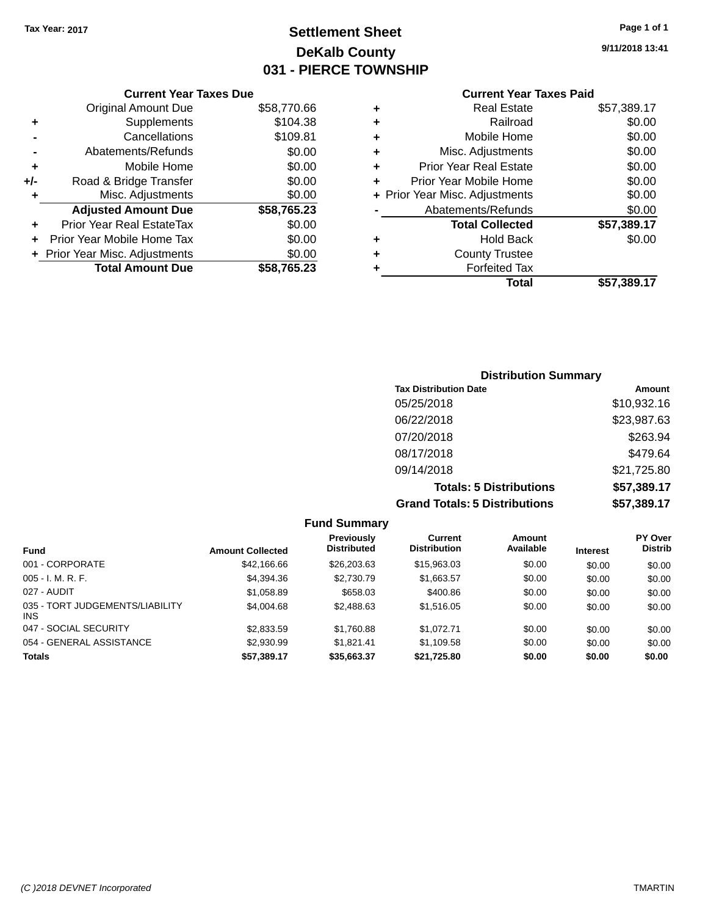## **Settlement Sheet Tax Year: 2017 Page 1 of 1 DeKalb County 031 - PIERCE TOWNSHIP**

**9/11/2018 13:41**

|     | <b>Current Year Taxes Due</b>      |             |  |  |  |  |  |
|-----|------------------------------------|-------------|--|--|--|--|--|
|     | \$58,770.66<br>Original Amount Due |             |  |  |  |  |  |
| ٠   | Supplements                        | \$104.38    |  |  |  |  |  |
|     | Cancellations                      | \$109.81    |  |  |  |  |  |
|     | Abatements/Refunds                 | \$0.00      |  |  |  |  |  |
| ٠   | Mobile Home                        | \$0.00      |  |  |  |  |  |
| +/- | Road & Bridge Transfer             | \$0.00      |  |  |  |  |  |
| ٠   | Misc. Adjustments                  | \$0.00      |  |  |  |  |  |
|     | <b>Adjusted Amount Due</b>         | \$58,765.23 |  |  |  |  |  |
|     | Prior Year Real EstateTax          | \$0.00      |  |  |  |  |  |
|     | Prior Year Mobile Home Tax         | \$0.00      |  |  |  |  |  |
|     | + Prior Year Misc. Adjustments     | \$0.00      |  |  |  |  |  |
|     | <b>Total Amount Due</b>            | \$58,765.23 |  |  |  |  |  |
|     |                                    |             |  |  |  |  |  |

| ٠ | <b>Real Estate</b>             | \$57,389.17 |
|---|--------------------------------|-------------|
| ٠ | Railroad                       | \$0.00      |
| ٠ | Mobile Home                    | \$0.00      |
| ٠ | Misc. Adjustments              | \$0.00      |
| ٠ | <b>Prior Year Real Estate</b>  | \$0.00      |
| ٠ | Prior Year Mobile Home         | \$0.00      |
|   | + Prior Year Misc. Adjustments | \$0.00      |
|   | Abatements/Refunds             | \$0.00      |
|   | <b>Total Collected</b>         | \$57,389.17 |
| ٠ | Hold Back                      | \$0.00      |
| ٠ | <b>County Trustee</b>          |             |
| ٠ | <b>Forfeited Tax</b>           |             |
|   | Total                          | \$57,389.17 |
|   |                                |             |

| <b>Distribution Summary</b>          |             |
|--------------------------------------|-------------|
| <b>Tax Distribution Date</b>         | Amount      |
| 05/25/2018                           | \$10,932.16 |
| 06/22/2018                           | \$23,987.63 |
| 07/20/2018                           | \$263.94    |
| 08/17/2018                           | \$479.64    |
| 09/14/2018                           | \$21,725.80 |
| <b>Totals: 5 Distributions</b>       | \$57,389.17 |
| <b>Grand Totals: 5 Distributions</b> | \$57,389.17 |

| <b>Fund Summary</b>                     |                         |                                  |                                |                     |                 |                                  |
|-----------------------------------------|-------------------------|----------------------------------|--------------------------------|---------------------|-----------------|----------------------------------|
| <b>Fund</b>                             | <b>Amount Collected</b> | Previously<br><b>Distributed</b> | Current<br><b>Distribution</b> | Amount<br>Available | <b>Interest</b> | <b>PY Over</b><br><b>Distrib</b> |
| 001 - CORPORATE                         | \$42,166.66             | \$26,203.63                      | \$15,963.03                    | \$0.00              | \$0.00          | \$0.00                           |
| $005 - I. M. R. F.$                     | \$4,394.36              | \$2,730.79                       | \$1,663.57                     | \$0.00              | \$0.00          | \$0.00                           |
| 027 - AUDIT                             | \$1,058.89              | \$658.03                         | \$400.86                       | \$0.00              | \$0.00          | \$0.00                           |
| 035 - TORT JUDGEMENTS/LIABILITY<br>INS. | \$4,004.68              | \$2,488.63                       | \$1,516.05                     | \$0.00              | \$0.00          | \$0.00                           |
| 047 - SOCIAL SECURITY                   | \$2,833.59              | \$1,760.88                       | \$1.072.71                     | \$0.00              | \$0.00          | \$0.00                           |
| 054 - GENERAL ASSISTANCE                | \$2,930.99              | \$1.821.41                       | \$1.109.58                     | \$0.00              | \$0.00          | \$0.00                           |
| <b>Totals</b>                           | \$57,389.17             | \$35,663.37                      | \$21,725.80                    | \$0.00              | \$0.00          | \$0.00                           |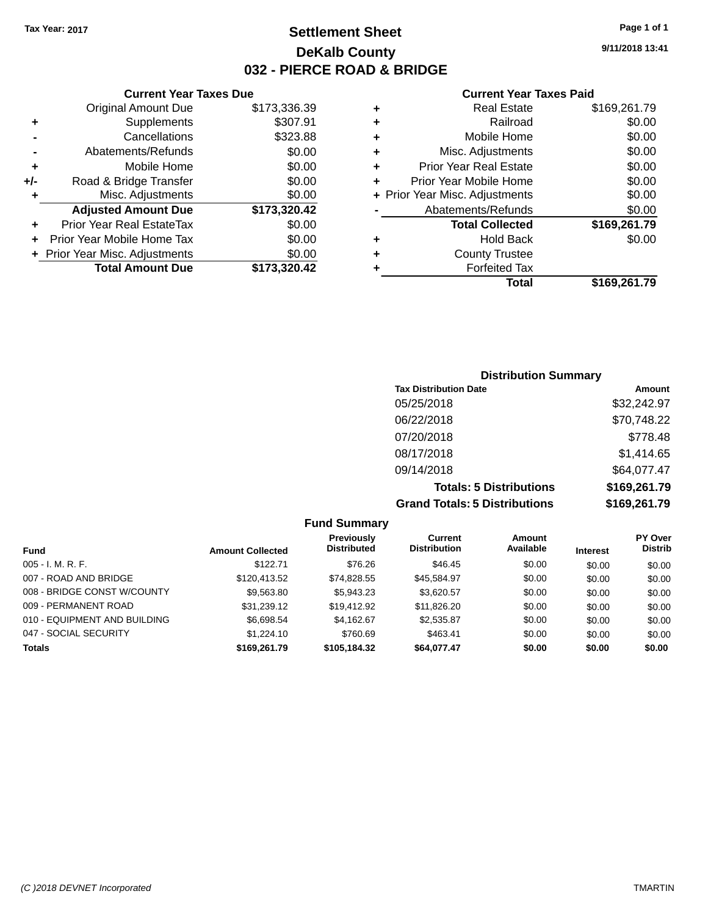## **Settlement Sheet Tax Year: 2017 Page 1 of 1 DeKalb County 032 - PIERCE ROAD & BRIDGE**

**9/11/2018 13:41**

|                            | <b>Current Year Taxes Due</b>  |              |  |  |  |  |
|----------------------------|--------------------------------|--------------|--|--|--|--|
|                            | <b>Original Amount Due</b>     | \$173,336.39 |  |  |  |  |
| ٠                          | Supplements                    | \$307.91     |  |  |  |  |
|                            | Cancellations                  | \$323.88     |  |  |  |  |
|                            | Abatements/Refunds             | \$0.00       |  |  |  |  |
| \$0.00<br>Mobile Home<br>٠ |                                |              |  |  |  |  |
| +/-                        | Road & Bridge Transfer         | \$0.00       |  |  |  |  |
| ٠                          | Misc. Adjustments              | \$0.00       |  |  |  |  |
|                            | <b>Adjusted Amount Due</b>     | \$173,320.42 |  |  |  |  |
| ٠                          | Prior Year Real EstateTax      | \$0.00       |  |  |  |  |
| ÷                          | Prior Year Mobile Home Tax     | \$0.00       |  |  |  |  |
|                            | + Prior Year Misc. Adjustments | \$0.00       |  |  |  |  |
|                            | <b>Total Amount Due</b>        | \$173.320.42 |  |  |  |  |
|                            |                                |              |  |  |  |  |

| ٠ | <b>Real Estate</b>             | \$169,261.79 |
|---|--------------------------------|--------------|
| ٠ | Railroad                       | \$0.00       |
| ٠ | Mobile Home                    | \$0.00       |
| ٠ | Misc. Adjustments              | \$0.00       |
| ٠ | <b>Prior Year Real Estate</b>  | \$0.00       |
| ٠ | Prior Year Mobile Home         | \$0.00       |
|   | + Prior Year Misc. Adjustments | \$0.00       |
|   | Abatements/Refunds             | \$0.00       |
|   | <b>Total Collected</b>         | \$169,261.79 |
| ٠ | Hold Back                      | \$0.00       |
| ٠ | <b>County Trustee</b>          |              |
| ٠ | <b>Forfeited Tax</b>           |              |
|   | Total                          | \$169,261.79 |
|   |                                |              |

| <b>Distribution Summary</b>          |              |  |  |  |
|--------------------------------------|--------------|--|--|--|
| <b>Tax Distribution Date</b>         | Amount       |  |  |  |
| 05/25/2018                           | \$32,242.97  |  |  |  |
| 06/22/2018                           | \$70,748.22  |  |  |  |
| 07/20/2018                           | \$778.48     |  |  |  |
| 08/17/2018                           | \$1,414.65   |  |  |  |
| 09/14/2018                           | \$64,077.47  |  |  |  |
| <b>Totals: 5 Distributions</b>       | \$169,261.79 |  |  |  |
| <b>Grand Totals: 5 Distributions</b> | \$169,261.79 |  |  |  |

| <b>Fund Summary</b>          |                         |                                         |                                       |                     |                 |                                  |
|------------------------------|-------------------------|-----------------------------------------|---------------------------------------|---------------------|-----------------|----------------------------------|
| <b>Fund</b>                  | <b>Amount Collected</b> | <b>Previously</b><br><b>Distributed</b> | <b>Current</b><br><b>Distribution</b> | Amount<br>Available | <b>Interest</b> | <b>PY Over</b><br><b>Distrib</b> |
| $005 - I. M. R. F.$          | \$122.71                | \$76.26                                 | \$46.45                               | \$0.00              | \$0.00          | \$0.00                           |
| 007 - ROAD AND BRIDGE        | \$120,413.52            | \$74,828.55                             | \$45.584.97                           | \$0.00              | \$0.00          | \$0.00                           |
| 008 - BRIDGE CONST W/COUNTY  | \$9.563.80              | \$5,943.23                              | \$3.620.57                            | \$0.00              | \$0.00          | \$0.00                           |
| 009 - PERMANENT ROAD         | \$31,239.12             | \$19,412.92                             | \$11,826.20                           | \$0.00              | \$0.00          | \$0.00                           |
| 010 - EQUIPMENT AND BUILDING | \$6,698.54              | \$4.162.67                              | \$2,535.87                            | \$0.00              | \$0.00          | \$0.00                           |
| 047 - SOCIAL SECURITY        | \$1,224.10              | \$760.69                                | \$463.41                              | \$0.00              | \$0.00          | \$0.00                           |
| <b>Totals</b>                | \$169,261.79            | \$105,184.32                            | \$64,077.47                           | \$0.00              | \$0.00          | \$0.00                           |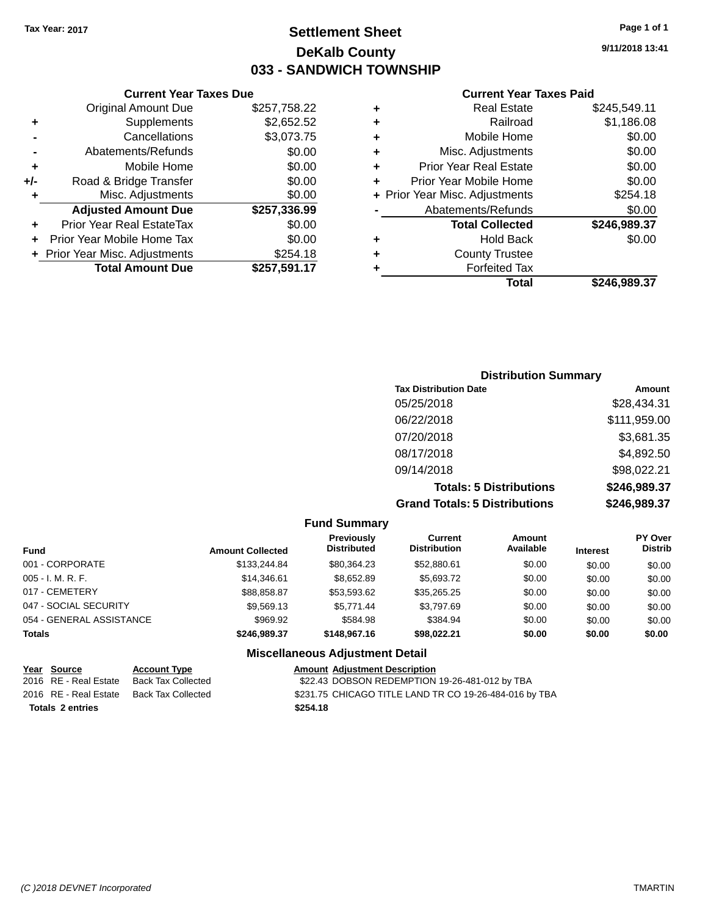### **Settlement Sheet Tax Year: 2017 Page 1 of 1 DeKalb County 033 - SANDWICH TOWNSHIP**

**9/11/2018 13:41**

#### **Current Year Taxes Paid**

| ٠ | <b>Real Estate</b>             | \$245,549.11 |
|---|--------------------------------|--------------|
| ٠ | Railroad                       | \$1,186.08   |
| ÷ | Mobile Home                    | \$0.00       |
| ٠ | Misc. Adjustments              | \$0.00       |
| ٠ | <b>Prior Year Real Estate</b>  | \$0.00       |
| ٠ | Prior Year Mobile Home         | \$0.00       |
|   | + Prior Year Misc. Adjustments | \$254.18     |
|   | Abatements/Refunds             | \$0.00       |
|   | <b>Total Collected</b>         | \$246,989.37 |
| ٠ | Hold Back                      | \$0.00       |
| ٠ | <b>County Trustee</b>          |              |
|   | <b>Forfeited Tax</b>           |              |
|   | Total                          | \$246.989.37 |
|   |                                |              |

|     | <b>Current Year Taxes Due</b>  |              |  |  |  |
|-----|--------------------------------|--------------|--|--|--|
|     | <b>Original Amount Due</b>     | \$257,758.22 |  |  |  |
| ٠   | Supplements                    | \$2,652.52   |  |  |  |
|     | Cancellations                  | \$3,073.75   |  |  |  |
|     | Abatements/Refunds             | \$0.00       |  |  |  |
| ٠   | Mobile Home                    | \$0.00       |  |  |  |
| +/- | Road & Bridge Transfer         | \$0.00       |  |  |  |
| ٠   | Misc. Adjustments              | \$0.00       |  |  |  |
|     | <b>Adjusted Amount Due</b>     | \$257,336.99 |  |  |  |
| ٠   | Prior Year Real EstateTax      | \$0.00       |  |  |  |
| ÷   | Prior Year Mobile Home Tax     | \$0.00       |  |  |  |
|     | + Prior Year Misc. Adjustments | \$254.18     |  |  |  |
|     | <b>Total Amount Due</b>        | \$257,591.17 |  |  |  |

| <b>Distribution Summary</b>          |              |  |  |  |  |
|--------------------------------------|--------------|--|--|--|--|
| <b>Tax Distribution Date</b>         | Amount       |  |  |  |  |
| 05/25/2018                           | \$28,434.31  |  |  |  |  |
| 06/22/2018                           | \$111,959.00 |  |  |  |  |
| 07/20/2018                           | \$3,681.35   |  |  |  |  |
| 08/17/2018                           | \$4,892.50   |  |  |  |  |
| 09/14/2018                           | \$98,022.21  |  |  |  |  |
| <b>Totals: 5 Distributions</b>       | \$246,989.37 |  |  |  |  |
| <b>Grand Totals: 5 Distributions</b> | \$246,989.37 |  |  |  |  |

|                          |                         | <b>Fund Summary</b>                     |                                |                     |                 |                           |
|--------------------------|-------------------------|-----------------------------------------|--------------------------------|---------------------|-----------------|---------------------------|
| <b>Fund</b>              | <b>Amount Collected</b> | <b>Previously</b><br><b>Distributed</b> | Current<br><b>Distribution</b> | Amount<br>Available | <b>Interest</b> | PY Over<br><b>Distrib</b> |
| 001 - CORPORATE          | \$133,244.84            | \$80,364.23                             | \$52,880.61                    | \$0.00              | \$0.00          | \$0.00                    |
| $005 - I. M. R. F.$      | \$14,346.61             | \$8,652.89                              | \$5,693.72                     | \$0.00              | \$0.00          | \$0.00                    |
| 017 - CEMETERY           | \$88,858.87             | \$53,593.62                             | \$35,265.25                    | \$0.00              | \$0.00          | \$0.00                    |
| 047 - SOCIAL SECURITY    | \$9,569.13              | \$5.771.44                              | \$3,797.69                     | \$0.00              | \$0.00          | \$0.00                    |
| 054 - GENERAL ASSISTANCE | \$969.92                | \$584.98                                | \$384.94                       | \$0.00              | \$0.00          | \$0.00                    |
| <b>Totals</b>            | \$246.989.37            | \$148,967.16                            | \$98,022.21                    | \$0.00              | \$0.00          | \$0.00                    |
|                          |                         | <b>Miscellaneous Adjustment Detail</b>  |                                |                     |                 |                           |

#### **Miscellaneous Adjustment Detail**

|                         | Year Source           | <b>Account Type</b>       | <b>Amount Adjustment Description</b> |  |
|-------------------------|-----------------------|---------------------------|--------------------------------------|--|
|                         | 2016 RE - Real Estate | <b>Back Tax Collected</b> | \$22.43 DOBSON REDEMPTION            |  |
|                         | 2016 RE - Real Estate | Back Tax Collected        | \$231.75 CHICAGO TITLE LAND T        |  |
| <b>Totals 2 entries</b> |                       |                           | \$254.18                             |  |

 $$22.43$  DOBSON REDEMPTION 19-26-481-012 by TBA \$231.75 CHICAGO TITLE LAND TR CO 19-26-484-016 by TBA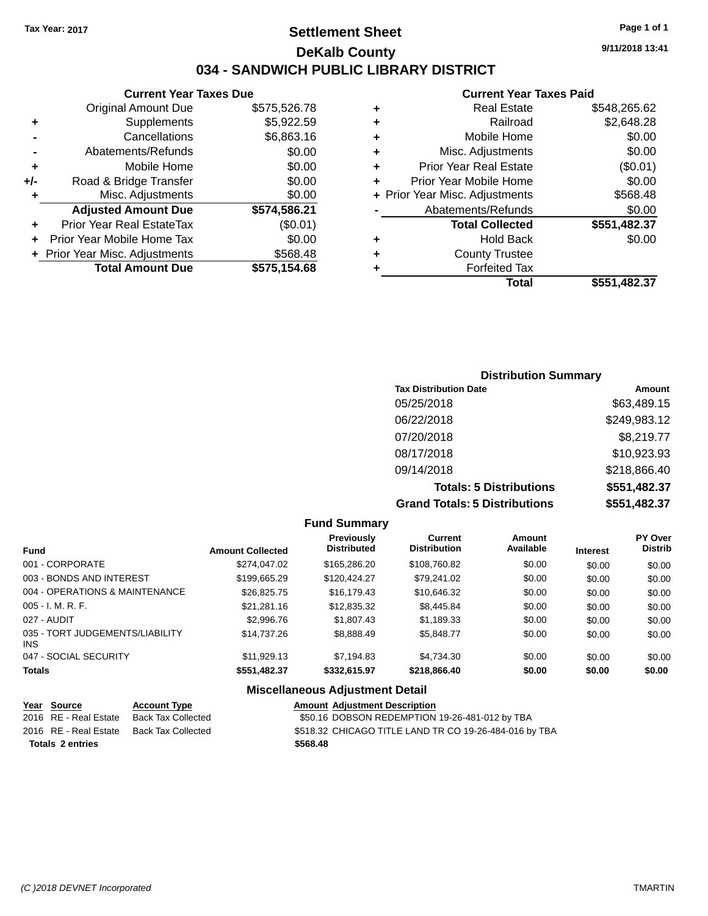### **Settlement Sheet Tax Year: 2017 Page 1 of 1 DeKalb County 034 - SANDWICH PUBLIC LIBRARY DISTRICT**

#### **Current Year Taxes Due**

|       | <b>Original Amount Due</b>     | \$575,526.78 |
|-------|--------------------------------|--------------|
|       | Supplements                    | \$5,922.59   |
|       | Cancellations                  | \$6,863.16   |
|       | Abatements/Refunds             | \$0.00       |
| ٠     | Mobile Home                    | \$0.00       |
| $+/-$ | Road & Bridge Transfer         | \$0.00       |
| ٠     | Misc. Adjustments              | \$0.00       |
|       | <b>Adjusted Amount Due</b>     | \$574,586.21 |
| ÷     | Prior Year Real EstateTax      | (\$0.01)     |
|       | Prior Year Mobile Home Tax     | \$0.00       |
|       | + Prior Year Misc. Adjustments | \$568.48     |
|       | <b>Total Amount Due</b>        | \$575,154.68 |
|       |                                |              |

#### **Current Year Taxes Paid**

| ٠ | <b>Real Estate</b>             | \$548,265.62 |
|---|--------------------------------|--------------|
| ٠ | Railroad                       | \$2,648.28   |
| ٠ | Mobile Home                    | \$0.00       |
| ٠ | Misc. Adjustments              | \$0.00       |
| ٠ | <b>Prior Year Real Estate</b>  | (\$0.01)     |
| ٠ | Prior Year Mobile Home         | \$0.00       |
|   | + Prior Year Misc. Adjustments | \$568.48     |
|   | Abatements/Refunds             | \$0.00       |
|   | <b>Total Collected</b>         | \$551,482.37 |
| ٠ | <b>Hold Back</b>               | \$0.00       |
| ٠ | <b>County Trustee</b>          |              |
| ٠ | <b>Forfeited Tax</b>           |              |
|   | Total                          | \$551,482,37 |
|   |                                |              |

### **Distribution Summary Tax Distribution Date Amount** 05/25/2018 \$63,489.15 06/22/2018 \$249,983.12 07/20/2018 \$8,219.77 08/17/2018 \$10,923.93 09/14/2018 \$218,866.40 **Totals: 5 Distributions \$551,482.37 Grand Totals: 5 Distributions \$551,482.37**

**Fund Summary Fund Interest Amount Collected Distributed PY Over Distrib Amount Available Current Distribution Previously** 001 - CORPORATE \$274,047.02 \$165,286.20 \$108,760.82 \$0.00 \$0.00 \$0.00 003 - BONDS AND INTEREST  $$199,665.29$   $$120,424.27$   $$79,241.02$   $$0.00$   $$0.00$   $$0.00$ 004 - OPERATIONS & MAINTENANCE \$26,825.75 \$16,179.43 \$10,646.32 \$0.00 \$0.00 \$0.00 005 - I. M. R. F. \$21,281.16 \$12,835.32 \$8,445.84 \$0.00 \$0.00 \$0.00 027 - AUDIT \$2,996.76 \$1,807.43 \$1,189.33 \$0.00 \$0.00 \$0.00 035 - TORT JUDGEMENTS/LIABILITY INS \$14,737.26 \$8,888.49 \$5,848.77 \$0.00 \$0.00 \$0.00 047 - SOCIAL SECURITY \$11,929.13 \$7,194.83 \$4,734.30 \$0.00 \$0.00 \$0.00 \$0.00 **Totals \$551,482.37 \$332,615.97 \$218,866.40 \$0.00 \$0.00 \$0.00 Miscellaneous Adjustment Detail**

#### **Year Source Account Type Amount Adjustment Description** 2016 RE - Real Estate Back Tax Collected \$50.16 DOBSON REDEMPTION 19-26-481-012 by TBA 2016 RE - Real Estate Back Tax Collected \$518.32 CHICAGO TITLE LAND TR CO 19-26-484-016 by TBA **Totals \$568.48 2 entries**

**9/11/2018 13:41**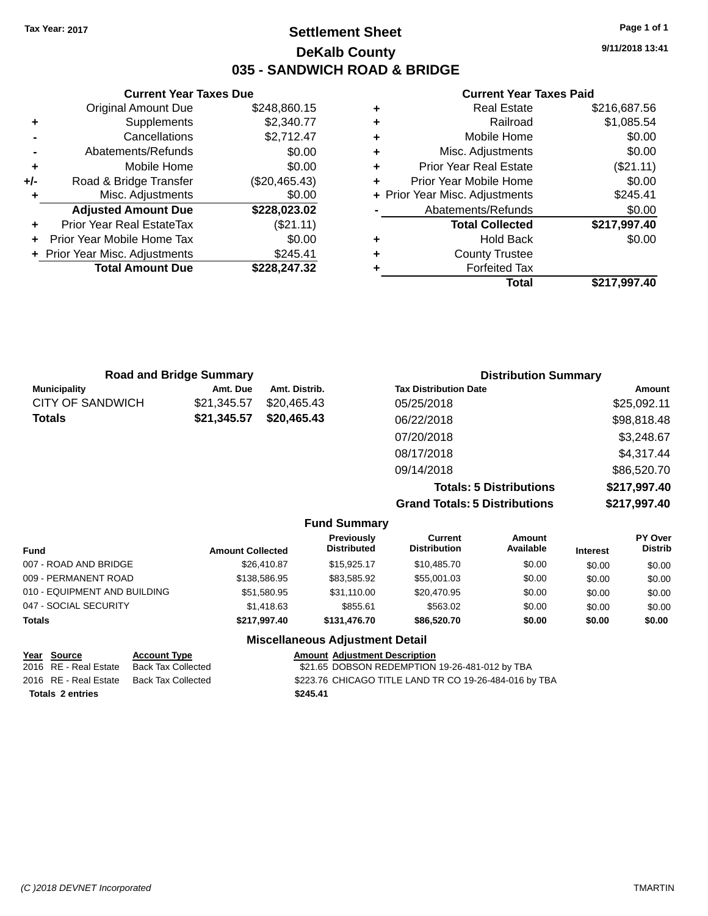### **Settlement Sheet Tax Year: 2017 Page 1 of 1 DeKalb County 035 - SANDWICH ROAD & BRIDGE**

**9/11/2018 13:41**

|     | <b>Current Year Taxes Due</b>    |               |  |
|-----|----------------------------------|---------------|--|
|     | <b>Original Amount Due</b>       | \$248,860.15  |  |
| ٠   | Supplements                      | \$2,340.77    |  |
|     | Cancellations                    | \$2,712.47    |  |
|     | Abatements/Refunds               | \$0.00        |  |
| ٠   | Mobile Home                      | \$0.00        |  |
| +/- | Road & Bridge Transfer           | (\$20,465.43) |  |
| ٠   | Misc. Adjustments                | \$0.00        |  |
|     | <b>Adjusted Amount Due</b>       | \$228,023.02  |  |
| ٠   | <b>Prior Year Real EstateTax</b> | (\$21.11)     |  |
|     | Prior Year Mobile Home Tax       | \$0.00        |  |
|     | + Prior Year Misc. Adjustments   | \$245.41      |  |
|     | <b>Total Amount Due</b>          | \$228.247.32  |  |
|     |                                  |               |  |

| ٠ | <b>Real Estate</b>             | \$216,687.56 |
|---|--------------------------------|--------------|
| ٠ | Railroad                       | \$1,085.54   |
| ٠ | Mobile Home                    | \$0.00       |
| ٠ | Misc. Adjustments              | \$0.00       |
| ٠ | <b>Prior Year Real Estate</b>  | (\$21.11)    |
| ٠ | Prior Year Mobile Home         | \$0.00       |
|   | + Prior Year Misc. Adjustments | \$245.41     |
|   | Abatements/Refunds             | \$0.00       |
|   | <b>Total Collected</b>         | \$217,997.40 |
| ٠ | Hold Back                      | \$0.00       |
| ٠ | <b>County Trustee</b>          |              |
| ٠ | <b>Forfeited Tax</b>           |              |
|   | Total                          | \$217,997.40 |
|   |                                |              |

|                         | <b>Road and Bridge Summary</b> |               | <b>Distribution Summary</b>          |              |
|-------------------------|--------------------------------|---------------|--------------------------------------|--------------|
| <b>Municipality</b>     | Amt. Due                       | Amt. Distrib. | <b>Tax Distribution Date</b>         | Amount       |
| <b>CITY OF SANDWICH</b> | \$21,345.57                    | \$20,465.43   | 05/25/2018                           | \$25,092.11  |
| Totals                  | \$21,345.57                    | \$20,465.43   | 06/22/2018                           | \$98,818.48  |
|                         |                                |               | 07/20/2018                           | \$3,248.67   |
|                         |                                |               | 08/17/2018                           | \$4,317.44   |
|                         |                                |               | 09/14/2018                           | \$86,520.70  |
|                         |                                |               | <b>Totals: 5 Distributions</b>       | \$217,997.40 |
|                         |                                |               | <b>Grand Totals: 5 Distributions</b> | \$217,997.40 |

|                              |                         | <b>Fund Summary</b>                     |                                       |                            |                 |                           |
|------------------------------|-------------------------|-----------------------------------------|---------------------------------------|----------------------------|-----------------|---------------------------|
| <b>Fund</b>                  | <b>Amount Collected</b> | <b>Previously</b><br><b>Distributed</b> | <b>Current</b><br><b>Distribution</b> | <b>Amount</b><br>Available | <b>Interest</b> | PY Over<br><b>Distrib</b> |
| 007 - ROAD AND BRIDGE        | \$26,410.87             | \$15,925.17                             | \$10.485.70                           | \$0.00                     | \$0.00          | \$0.00                    |
| 009 - PERMANENT ROAD         | \$138,586.95            | \$83,585.92                             | \$55,001.03                           | \$0.00                     | \$0.00          | \$0.00                    |
| 010 - EQUIPMENT AND BUILDING | \$51,580.95             | \$31,110,00                             | \$20.470.95                           | \$0.00                     | \$0.00          | \$0.00                    |
| 047 - SOCIAL SECURITY        | \$1,418.63              | \$855.61                                | \$563.02                              | \$0.00                     | \$0.00          | \$0.00                    |
| <b>Totals</b>                | \$217.997.40            | \$131.476.70                            | \$86,520,70                           | \$0.00                     | \$0.00          | \$0.00                    |
|                              |                         | <b>Miscellaneous Adiustment Detail</b>  |                                       |                            |                 |                           |

| Year Source             | <b>Account Type</b> | <b>Amount Adjustment Description</b> |                                                        |
|-------------------------|---------------------|--------------------------------------|--------------------------------------------------------|
| 2016 RE - Real Estate   | Back Tax Collected  |                                      | \$21.65 DOBSON REDEMPTION 19-26-481-012 by TBA         |
| 2016 RE - Real Estate   | Back Tax Collected  |                                      | \$223.76 CHICAGO TITLE LAND TR CO 19-26-484-016 by TBA |
| <b>Totals 2 entries</b> |                     | \$245.41                             |                                                        |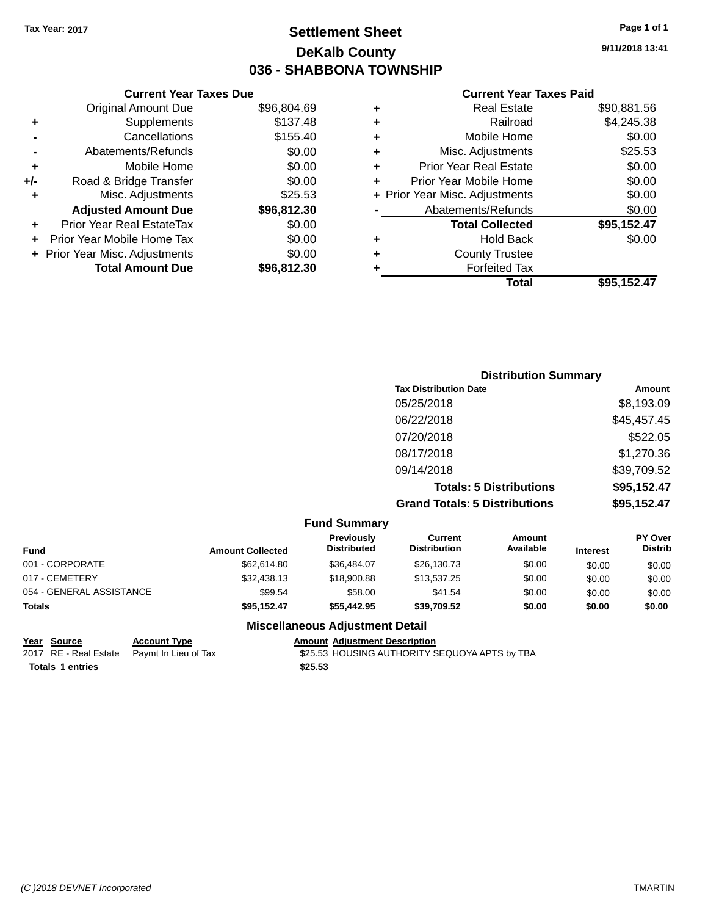### **Settlement Sheet Tax Year: 2017 Page 1 of 1 DeKalb County 036 - SHABBONA TOWNSHIP**

**9/11/2018 13:41**

#### **Current Year Taxes Paid**

| \$96,804.69                                                                                                               |
|---------------------------------------------------------------------------------------------------------------------------|
|                                                                                                                           |
|                                                                                                                           |
|                                                                                                                           |
|                                                                                                                           |
|                                                                                                                           |
|                                                                                                                           |
|                                                                                                                           |
|                                                                                                                           |
|                                                                                                                           |
|                                                                                                                           |
|                                                                                                                           |
|                                                                                                                           |
| \$137.48<br>\$155.40<br>\$0.00<br>\$0.00<br>\$0.00<br>\$25.53<br>\$96,812.30<br>\$0.00<br>\$0.00<br>\$0.00<br>\$96,812,30 |

|   | <b>Real Estate</b>             | \$90,881.56 |
|---|--------------------------------|-------------|
| ٠ | Railroad                       | \$4,245.38  |
| ٠ | Mobile Home                    | \$0.00      |
| ٠ | Misc. Adjustments              | \$25.53     |
| ٠ | Prior Year Real Estate         | \$0.00      |
| ÷ | Prior Year Mobile Home         | \$0.00      |
|   | + Prior Year Misc. Adjustments | \$0.00      |
|   | Abatements/Refunds             | \$0.00      |
|   | <b>Total Collected</b>         | \$95,152.47 |
| ٠ | Hold Back                      | \$0.00      |
| ٠ | <b>County Trustee</b>          |             |
| ٠ | <b>Forfeited Tax</b>           |             |
|   | Total                          | \$95,152.47 |
|   |                                |             |

| <b>Distribution Summary</b>          |             |
|--------------------------------------|-------------|
| <b>Tax Distribution Date</b>         | Amount      |
| 05/25/2018                           | \$8,193.09  |
| 06/22/2018                           | \$45,457.45 |
| 07/20/2018                           | \$522.05    |
| 08/17/2018                           | \$1,270.36  |
| 09/14/2018                           | \$39,709.52 |
| <b>Totals: 5 Distributions</b>       | \$95,152.47 |
| <b>Grand Totals: 5 Distributions</b> | \$95,152.47 |

| <b>Fund Summary</b>                                                                                                                                                                                      |             |             |             |        |        |        |
|----------------------------------------------------------------------------------------------------------------------------------------------------------------------------------------------------------|-------------|-------------|-------------|--------|--------|--------|
| <b>PY Over</b><br>Previously<br><b>Current</b><br><b>Amount</b><br>Available<br><b>Distrib</b><br><b>Distribution</b><br><b>Distributed</b><br><b>Fund</b><br><b>Amount Collected</b><br><b>Interest</b> |             |             |             |        |        |        |
| 001 - CORPORATE                                                                                                                                                                                          | \$62,614.80 | \$36,484.07 | \$26,130.73 | \$0.00 | \$0.00 | \$0.00 |
| 017 - CEMETERY                                                                                                                                                                                           | \$32,438.13 | \$18,900.88 | \$13,537.25 | \$0.00 | \$0.00 | \$0.00 |
| 054 - GENERAL ASSISTANCE                                                                                                                                                                                 | \$99.54     | \$58.00     | \$41.54     | \$0.00 | \$0.00 | \$0.00 |
| <b>Totals</b>                                                                                                                                                                                            | \$95.152.47 | \$55,442.95 | \$39.709.52 | \$0.00 | \$0.00 | \$0.00 |

### **Miscellaneous Adjustment Detail**

**<u>Year Source</u> Account Type**<br>
2017 RE - Real Estate Paymt In Lieu of Tax Amount Adjustment Description<br>\$25.53 HOUSING AUTHORITY SEQUOYA APTS by TBA **Totals \$25.53 1 entries**

*(C )2018 DEVNET Incorporated* TMARTIN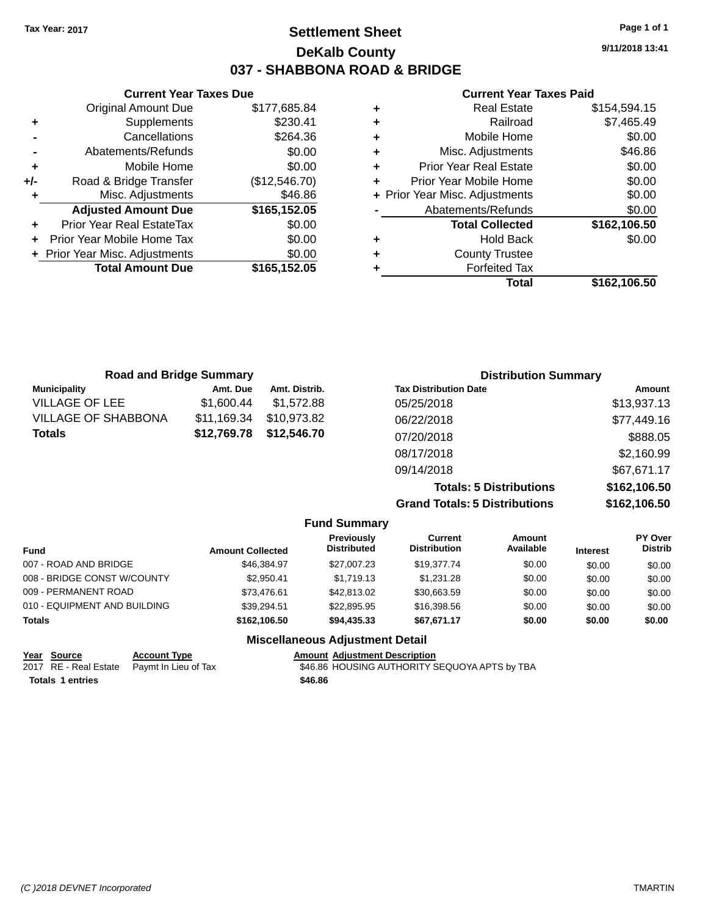### **Settlement Sheet Tax Year: 2017 Page 1 of 1 DeKalb County 037 - SHABBONA ROAD & BRIDGE**

**9/11/2018 13:41**

#### **Current Year Taxes Paid**

|     | <b>Current Year Taxes Due</b>  |               |
|-----|--------------------------------|---------------|
|     | <b>Original Amount Due</b>     | \$177,685.84  |
| ٠   | Supplements                    | \$230.41      |
|     | Cancellations                  | \$264.36      |
|     | Abatements/Refunds             | \$0.00        |
| ÷   | Mobile Home                    | \$0.00        |
| +/- | Road & Bridge Transfer         | (\$12,546.70) |
|     | Misc. Adjustments              | \$46.86       |
|     | <b>Adjusted Amount Due</b>     | \$165,152.05  |
|     | Prior Year Real EstateTax      | \$0.00        |
|     | Prior Year Mobile Home Tax     | \$0.00        |
|     | + Prior Year Misc. Adjustments | \$0.00        |
|     | <b>Total Amount Due</b>        | \$165,152.05  |
|     |                                |               |

| ٠ | <b>Real Estate</b>             | \$154,594.15 |
|---|--------------------------------|--------------|
| ٠ | Railroad                       | \$7,465.49   |
| ٠ | Mobile Home                    | \$0.00       |
| ٠ | Misc. Adjustments              | \$46.86      |
| ٠ | <b>Prior Year Real Estate</b>  | \$0.00       |
| ÷ | Prior Year Mobile Home         | \$0.00       |
|   | + Prior Year Misc. Adjustments | \$0.00       |
|   | Abatements/Refunds             | \$0.00       |
|   | <b>Total Collected</b>         | \$162,106.50 |
| ٠ | <b>Hold Back</b>               | \$0.00       |
| ٠ | <b>County Trustee</b>          |              |
| ٠ | <b>Forfeited Tax</b>           |              |
|   | Total                          | \$162,106.50 |
|   |                                |              |

| <b>Road and Bridge Summary</b> |             | <b>Distribution Summary</b> |                                |              |
|--------------------------------|-------------|-----------------------------|--------------------------------|--------------|
| <b>Municipality</b>            | Amt. Due    | Amt. Distrib.               | <b>Tax Distribution Date</b>   | Amount       |
| <b>VILLAGE OF LEE</b>          | \$1,600.44  | \$1,572.88                  | 05/25/2018                     | \$13,937.13  |
| <b>VILLAGE OF SHABBONA</b>     | \$11,169.34 | \$10,973.82                 | 06/22/2018                     | \$77,449.16  |
| <b>Totals</b>                  | \$12,769.78 | \$12,546.70                 | 07/20/2018                     | \$888.05     |
|                                |             |                             | 08/17/2018                     | \$2,160.99   |
|                                |             |                             | 09/14/2018                     | \$67,671.17  |
|                                |             |                             | <b>Totals: 5 Distributions</b> | \$162,106.50 |

|              |                                         |                                |                     |                                      | \$162,106.50              |
|--------------|-----------------------------------------|--------------------------------|---------------------|--------------------------------------|---------------------------|
|              | <b>Fund Summary</b>                     |                                |                     |                                      |                           |
|              | <b>Previously</b><br><b>Distributed</b> | Current<br><b>Distribution</b> | Amount<br>Available | <b>Interest</b>                      | PY Over<br><b>Distrib</b> |
| \$46,384.97  | \$27,007.23                             | \$19,377,74                    | \$0.00              | \$0.00                               | \$0.00                    |
| \$2.950.41   | \$1,719.13                              | \$1,231.28                     | \$0.00              | \$0.00                               | \$0.00                    |
| \$73,476.61  | \$42,813,02                             | \$30,663.59                    | \$0.00              | \$0.00                               | \$0.00                    |
| \$39.294.51  | \$22,895.95                             | \$16,398.56                    | \$0.00              | \$0.00                               | \$0.00                    |
| \$162,106.50 | \$94,435.33                             | \$67,671.17                    | \$0.00              | \$0.00                               | \$0.00                    |
|              | <b>Amount Collected</b>                 |                                |                     | <b>Grand Totals: 5 Distributions</b> |                           |

#### **Miscellaneous Adjustment Detail**

| Year Source             | <b>Account Type</b>                        | <b>Amount Adjustment Description</b>          |
|-------------------------|--------------------------------------------|-----------------------------------------------|
|                         | 2017 RE - Real Estate Paymt In Lieu of Tax | \$46.86 HOUSING AUTHORITY SEQUOYA APTS by TBA |
| <b>Totals 1 entries</b> |                                            | \$46.86                                       |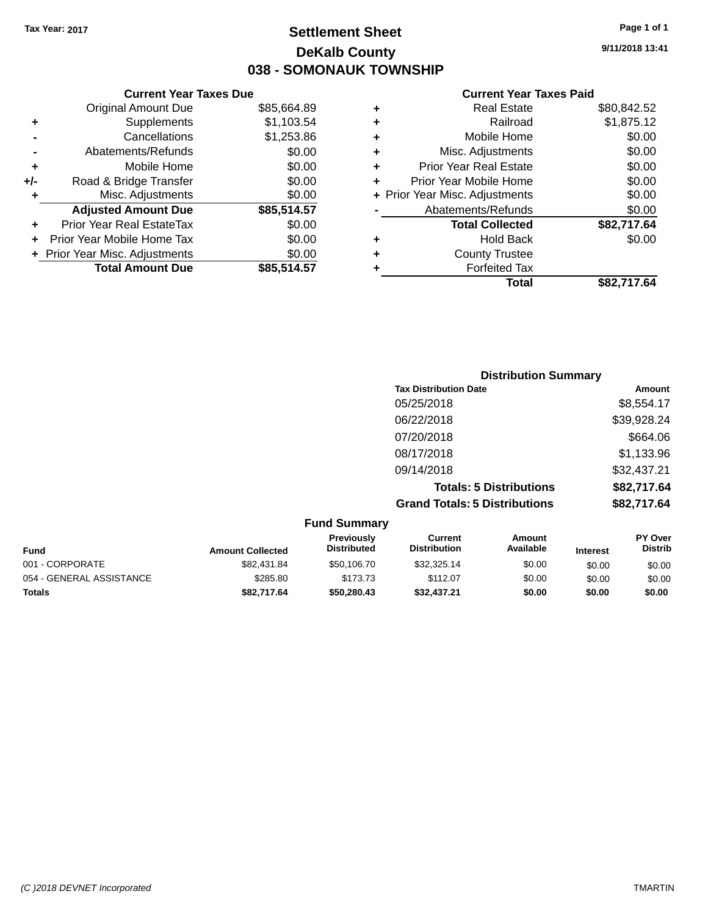### **Settlement Sheet Tax Year: 2017 Page 1 of 1 DeKalb County 038 - SOMONAUK TOWNSHIP**

**9/11/2018 13:41**

|       | <b>Current Year Taxes Due</b>  |             |
|-------|--------------------------------|-------------|
|       | <b>Original Amount Due</b>     | \$85,664.89 |
| ٠     | Supplements                    | \$1,103.54  |
|       | Cancellations                  | \$1,253.86  |
|       | Abatements/Refunds             | \$0.00      |
| ٠     | Mobile Home                    | \$0.00      |
| $+/-$ | Road & Bridge Transfer         | \$0.00      |
|       | Misc. Adjustments              | \$0.00      |
|       | <b>Adjusted Amount Due</b>     | \$85,514.57 |
| ٠     | Prior Year Real EstateTax      | \$0.00      |
|       | Prior Year Mobile Home Tax     | \$0.00      |
|       | + Prior Year Misc. Adjustments | \$0.00      |
|       | <b>Total Amount Due</b>        | \$85,514.57 |
|       |                                |             |

|   | <b>Real Estate</b>             | \$80,842.52 |
|---|--------------------------------|-------------|
| ٠ | Railroad                       | \$1,875.12  |
| ٠ | Mobile Home                    | \$0.00      |
| ٠ | Misc. Adjustments              | \$0.00      |
| ٠ | <b>Prior Year Real Estate</b>  | \$0.00      |
| ٠ | Prior Year Mobile Home         | \$0.00      |
|   | + Prior Year Misc. Adjustments | \$0.00      |
|   | Abatements/Refunds             | \$0.00      |
|   | <b>Total Collected</b>         | \$82,717.64 |
| ٠ | <b>Hold Back</b>               | \$0.00      |
| ٠ | <b>County Trustee</b>          |             |
| ٠ | <b>Forfeited Tax</b>           |             |
|   | Total                          | \$82.717.64 |
|   |                                |             |

| <b>Distribution Summary</b>          |             |
|--------------------------------------|-------------|
| <b>Tax Distribution Date</b>         | Amount      |
| 05/25/2018                           | \$8,554.17  |
| 06/22/2018                           | \$39,928.24 |
| 07/20/2018                           | \$664.06    |
| 08/17/2018                           | \$1,133.96  |
| 09/14/2018                           | \$32,437.21 |
| <b>Totals: 5 Distributions</b>       | \$82,717.64 |
| <b>Grand Totals: 5 Distributions</b> | \$82,717.64 |

| <b>Fund Summary</b>      |                         |                                  |                                |                            |                 |                           |
|--------------------------|-------------------------|----------------------------------|--------------------------------|----------------------------|-----------------|---------------------------|
| <b>Fund</b>              | <b>Amount Collected</b> | Previously<br><b>Distributed</b> | Current<br><b>Distribution</b> | <b>Amount</b><br>Available | <b>Interest</b> | PY Over<br><b>Distrib</b> |
| 001 - CORPORATE          | \$82.431.84             | \$50,106,70                      | \$32,325.14                    | \$0.00                     | \$0.00          | \$0.00                    |
| 054 - GENERAL ASSISTANCE | \$285.80                | \$173.73                         | \$112.07                       | \$0.00                     | \$0.00          | \$0.00                    |
| <b>Totals</b>            | \$82,717.64             | \$50,280,43                      | \$32,437,21                    | \$0.00                     | \$0.00          | \$0.00                    |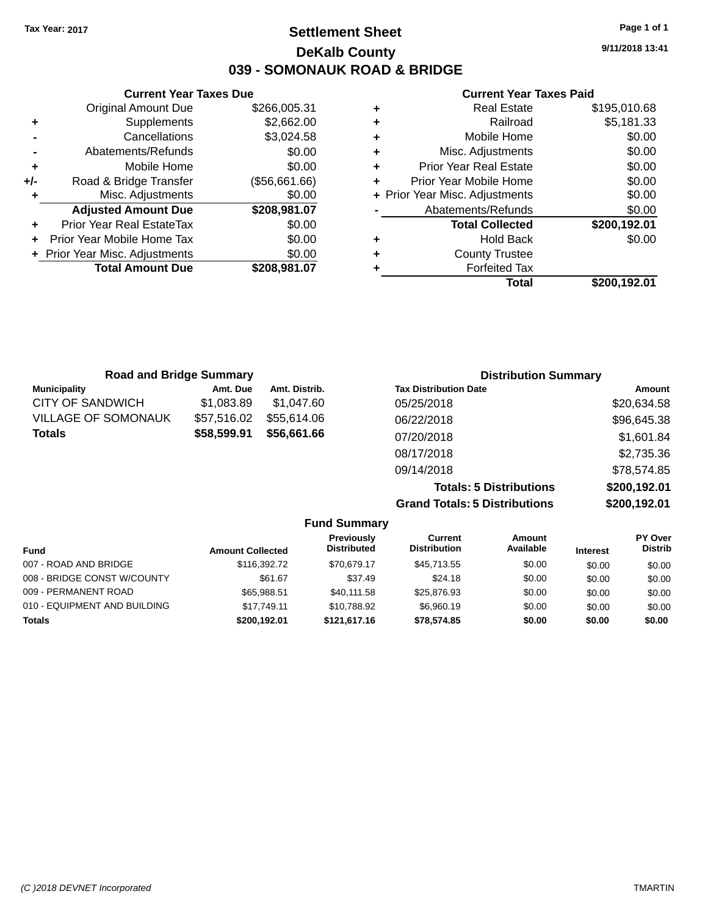### **Settlement Sheet Tax Year: 2017 Page 1 of 1 DeKalb County 039 - SOMONAUK ROAD & BRIDGE**

**9/11/2018 13:41**

#### **Current Year Taxes Paid**

|                | <b>Current Year Taxes Due</b>  |               |  |  |  |  |
|----------------|--------------------------------|---------------|--|--|--|--|
|                | <b>Original Amount Due</b>     | \$266,005.31  |  |  |  |  |
| ٠              | Supplements                    | \$2,662.00    |  |  |  |  |
|                | Cancellations                  | \$3,024.58    |  |  |  |  |
| $\blacksquare$ | Abatements/Refunds             | \$0.00        |  |  |  |  |
| ٠              | Mobile Home                    | \$0.00        |  |  |  |  |
| +/-            | Road & Bridge Transfer         | (\$56,661.66) |  |  |  |  |
| ٠              | Misc. Adjustments              | \$0.00        |  |  |  |  |
|                | <b>Adjusted Amount Due</b>     | \$208,981.07  |  |  |  |  |
| ٠              | Prior Year Real EstateTax      | \$0.00        |  |  |  |  |
| ÷              | Prior Year Mobile Home Tax     | \$0.00        |  |  |  |  |
|                | + Prior Year Misc. Adjustments | \$0.00        |  |  |  |  |
|                | <b>Total Amount Due</b>        | \$208,981.07  |  |  |  |  |
|                |                                |               |  |  |  |  |

|   | <b>Real Estate</b>             | \$195,010.68 |
|---|--------------------------------|--------------|
| ÷ | Railroad                       | \$5,181.33   |
| ٠ | Mobile Home                    | \$0.00       |
| ٠ | Misc. Adjustments              | \$0.00       |
| ٠ | <b>Prior Year Real Estate</b>  | \$0.00       |
| ٠ | Prior Year Mobile Home         | \$0.00       |
|   | + Prior Year Misc. Adjustments | \$0.00       |
|   | Abatements/Refunds             | \$0.00       |
|   | <b>Total Collected</b>         | \$200,192.01 |
| ٠ | <b>Hold Back</b>               | \$0.00       |
| ٠ | <b>County Trustee</b>          |              |
| ٠ | <b>Forfeited Tax</b>           |              |
|   | Total                          | \$200,192.01 |
|   |                                |              |

| <b>Road and Bridge Summary</b> |             |               | <b>Distribution Summary</b>  |             |
|--------------------------------|-------------|---------------|------------------------------|-------------|
| <b>Municipality</b>            | Amt. Due    | Amt. Distrib. | <b>Tax Distribution Date</b> | Amount      |
| CITY OF SANDWICH               | \$1,083.89  | \$1.047.60    | 05/25/2018                   | \$20,634.58 |
| <b>VILLAGE OF SOMONAUK</b>     | \$57,516.02 | \$55.614.06   | 06/22/2018                   | \$96,645.38 |
| <b>Totals</b>                  | \$58,599.91 | \$56,661.66   | 07/20/2018                   | \$1,601.84  |
|                                |             |               | 08/17/2018                   | \$2,735.36  |
|                                |             |               | 09/14/2018                   | \$78,574.85 |

**Totals: 5 Distributions \$200,192.01 Grand Totals: 5 Distributions \$200,192.01**

| <b>Fund Summary</b>          |                         |                                  |                                |                     |                 |                           |
|------------------------------|-------------------------|----------------------------------|--------------------------------|---------------------|-----------------|---------------------------|
| <b>Fund</b>                  | <b>Amount Collected</b> | Previously<br><b>Distributed</b> | Current<br><b>Distribution</b> | Amount<br>Available | <b>Interest</b> | PY Over<br><b>Distrib</b> |
| 007 - ROAD AND BRIDGE        | \$116,392.72            | \$70.679.17                      | \$45,713.55                    | \$0.00              | \$0.00          | \$0.00                    |
| 008 - BRIDGE CONST W/COUNTY  | \$61.67                 | \$37.49                          | \$24.18                        | \$0.00              | \$0.00          | \$0.00                    |
| 009 - PERMANENT ROAD         | \$65.988.51             | \$40,111.58                      | \$25,876.93                    | \$0.00              | \$0.00          | \$0.00                    |
| 010 - EQUIPMENT AND BUILDING | \$17.749.11             | \$10.788.92                      | \$6,960.19                     | \$0.00              | \$0.00          | \$0.00                    |
| <b>Totals</b>                | \$200,192.01            | \$121,617.16                     | \$78,574.85                    | \$0.00              | \$0.00          | \$0.00                    |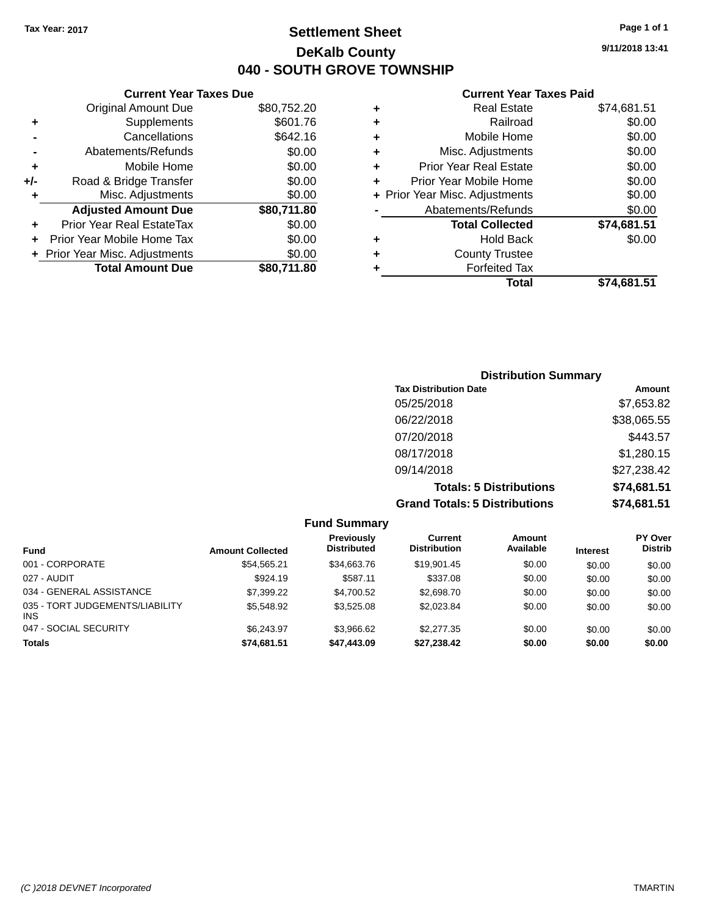**Original Amount Due** 

**Adjusted Amount Due** 

**Total Amount Due** 

**+** Supplements **-** Cancellations **-** Abatements/Refunds **+** Mobile Home **+/-** Road & Bridge Transfer **+** Misc. Adjustments

**+** Prior Year Real EstateTax \$0.00 **+** Prior Year Mobile Home Tax **+** Prior Year Misc. Adjustments

### **Settlement Sheet Tax Year: 2017 Page 1 of 1 DeKalb County 040 - SOUTH GROVE TOWNSHIP**

**9/11/2018 13:41**

**Total \$74,681.51**

| <b>Current Year Taxes Due</b> |             |   | <b>Current Year Taxes Paid</b> |             |  |  |
|-------------------------------|-------------|---|--------------------------------|-------------|--|--|
| ่<br>เl Amount Due            | \$80,752.20 | ٠ | <b>Real Estate</b>             | \$74,681.51 |  |  |
| Supplements                   | \$601.76    | ٠ | Railroad                       | \$0.00      |  |  |
| Cancellations                 | \$642.16    | ÷ | Mobile Home                    | \$0.00      |  |  |
| าents/Refunds                 | \$0.00      | ÷ | Misc. Adjustments              | \$0.00      |  |  |
| Mobile Home                   | \$0.00      | ÷ | <b>Prior Year Real Estate</b>  | \$0.00      |  |  |
| ridge Transfer                | \$0.00      | ٠ | Prior Year Mobile Home         | \$0.00      |  |  |
| :. Adjustments                | \$0.00      |   | + Prior Year Misc. Adjustments | \$0.00      |  |  |
| <b>Amount Due</b>             | \$80,711.80 |   | Abatements/Refunds             | \$0.00      |  |  |
| leal EstateTax≀               | \$0.00      |   | <b>Total Collected</b>         | \$74,681.51 |  |  |
| bile Home Tax                 | \$0.00      | ٠ | <b>Hold Back</b>               | \$0.00      |  |  |
| . Adjustments                 | \$0.00      | ÷ | <b>County Trustee</b>          |             |  |  |
| <b>Amount Due</b>             | \$80,711.80 |   | <b>Forfeited Tax</b>           |             |  |  |
|                               |             |   | Total                          | \$74,681.51 |  |  |

| <b>Distribution Summary</b>          |             |  |  |  |  |
|--------------------------------------|-------------|--|--|--|--|
| <b>Tax Distribution Date</b>         | Amount      |  |  |  |  |
| 05/25/2018                           | \$7,653.82  |  |  |  |  |
| 06/22/2018                           | \$38,065.55 |  |  |  |  |
| 07/20/2018                           | \$443.57    |  |  |  |  |
| 08/17/2018                           | \$1,280.15  |  |  |  |  |
| 09/14/2018                           | \$27,238.42 |  |  |  |  |
| <b>Totals: 5 Distributions</b>       | \$74,681.51 |  |  |  |  |
| <b>Grand Totals: 5 Distributions</b> | \$74,681.51 |  |  |  |  |

| <b>Fund Summary</b>                     |                         |                                         |                                |                     |                 |                                  |
|-----------------------------------------|-------------------------|-----------------------------------------|--------------------------------|---------------------|-----------------|----------------------------------|
| <b>Fund</b>                             | <b>Amount Collected</b> | <b>Previously</b><br><b>Distributed</b> | Current<br><b>Distribution</b> | Amount<br>Available | <b>Interest</b> | <b>PY Over</b><br><b>Distrib</b> |
| 001 - CORPORATE                         | \$54,565.21             | \$34,663.76                             | \$19,901.45                    | \$0.00              | \$0.00          | \$0.00                           |
| 027 - AUDIT                             | \$924.19                | \$587.11                                | \$337.08                       | \$0.00              | \$0.00          | \$0.00                           |
| 034 - GENERAL ASSISTANCE                | \$7,399.22              | \$4.700.52                              | \$2,698.70                     | \$0.00              | \$0.00          | \$0.00                           |
| 035 - TORT JUDGEMENTS/LIABILITY<br>INS. | \$5,548.92              | \$3,525.08                              | \$2,023.84                     | \$0.00              | \$0.00          | \$0.00                           |
| 047 - SOCIAL SECURITY                   | \$6.243.97              | \$3.966.62                              | \$2,277.35                     | \$0.00              | \$0.00          | \$0.00                           |
| Totals                                  | \$74,681.51             | \$47,443.09                             | \$27,238.42                    | \$0.00              | \$0.00          | \$0.00                           |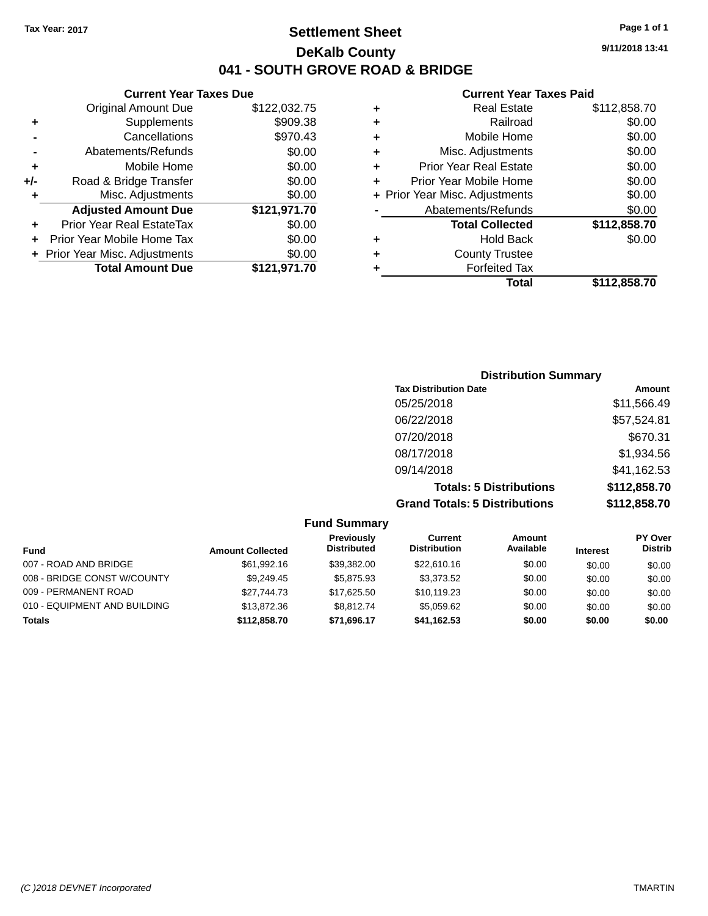### **Settlement Sheet Tax Year: 2017 Page 1 of 1 DeKalb County 041 - SOUTH GROVE ROAD & BRIDGE**

**9/11/2018 13:41**

|     | <b>Current Year Taxes Due</b>  |              |   |
|-----|--------------------------------|--------------|---|
|     | <b>Original Amount Due</b>     | \$122,032.75 |   |
| ٠   | <b>Supplements</b>             | \$909.38     | ٠ |
|     | Cancellations                  | \$970.43     |   |
|     | Abatements/Refunds             | \$0.00       |   |
|     | Mobile Home                    | \$0.00       | ٠ |
| +/- | Road & Bridge Transfer         | \$0.00       |   |
| ٠   | Misc. Adjustments              | \$0.00       |   |
|     | <b>Adjusted Amount Due</b>     | \$121,971.70 |   |
|     | Prior Year Real EstateTax      | \$0.00       |   |
|     | Prior Year Mobile Home Tax     | \$0.00       | ٠ |
|     | + Prior Year Misc. Adjustments | \$0.00       |   |
|     | <b>Total Amount Due</b>        | \$121,971.70 |   |
|     |                                |              |   |

|   | <b>Real Estate</b>             | \$112,858.70 |
|---|--------------------------------|--------------|
| ٠ | Railroad                       | \$0.00       |
| ٠ | Mobile Home                    | \$0.00       |
| ٠ | Misc. Adjustments              | \$0.00       |
| ٠ | <b>Prior Year Real Estate</b>  | \$0.00       |
| ٠ | Prior Year Mobile Home         | \$0.00       |
|   | + Prior Year Misc. Adjustments | \$0.00       |
|   | Abatements/Refunds             | \$0.00       |
|   | <b>Total Collected</b>         | \$112,858.70 |
| ٠ | <b>Hold Back</b>               | \$0.00       |
| ٠ | <b>County Trustee</b>          |              |
|   | <b>Forfeited Tax</b>           |              |
|   | Total                          | \$112,858.70 |
|   |                                |              |

| <b>Distribution Summary</b>          |              |
|--------------------------------------|--------------|
| <b>Tax Distribution Date</b>         | Amount       |
| 05/25/2018                           | \$11,566.49  |
| 06/22/2018                           | \$57,524.81  |
| 07/20/2018                           | \$670.31     |
| 08/17/2018                           | \$1,934.56   |
| 09/14/2018                           | \$41,162.53  |
| <b>Totals: 5 Distributions</b>       | \$112,858.70 |
| <b>Grand Totals: 5 Distributions</b> | \$112,858.70 |

| <b>Fund Summary</b>          |                         |                                         |                                |                     |                 |                           |
|------------------------------|-------------------------|-----------------------------------------|--------------------------------|---------------------|-----------------|---------------------------|
| <b>Fund</b>                  | <b>Amount Collected</b> | <b>Previously</b><br><b>Distributed</b> | Current<br><b>Distribution</b> | Amount<br>Available | <b>Interest</b> | PY Over<br><b>Distrib</b> |
| 007 - ROAD AND BRIDGE        | \$61.992.16             | \$39.382.00                             | \$22,610.16                    | \$0.00              | \$0.00          | \$0.00                    |
| 008 - BRIDGE CONST W/COUNTY  | \$9.249.45              | \$5,875.93                              | \$3,373.52                     | \$0.00              | \$0.00          | \$0.00                    |
| 009 - PERMANENT ROAD         | \$27.744.73             | \$17.625.50                             | \$10.119.23                    | \$0.00              | \$0.00          | \$0.00                    |
| 010 - EQUIPMENT AND BUILDING | \$13,872.36             | \$8.812.74                              | \$5,059.62                     | \$0.00              | \$0.00          | \$0.00                    |
| <b>Totals</b>                | \$112,858.70            | \$71.696.17                             | \$41,162.53                    | \$0.00              | \$0.00          | \$0.00                    |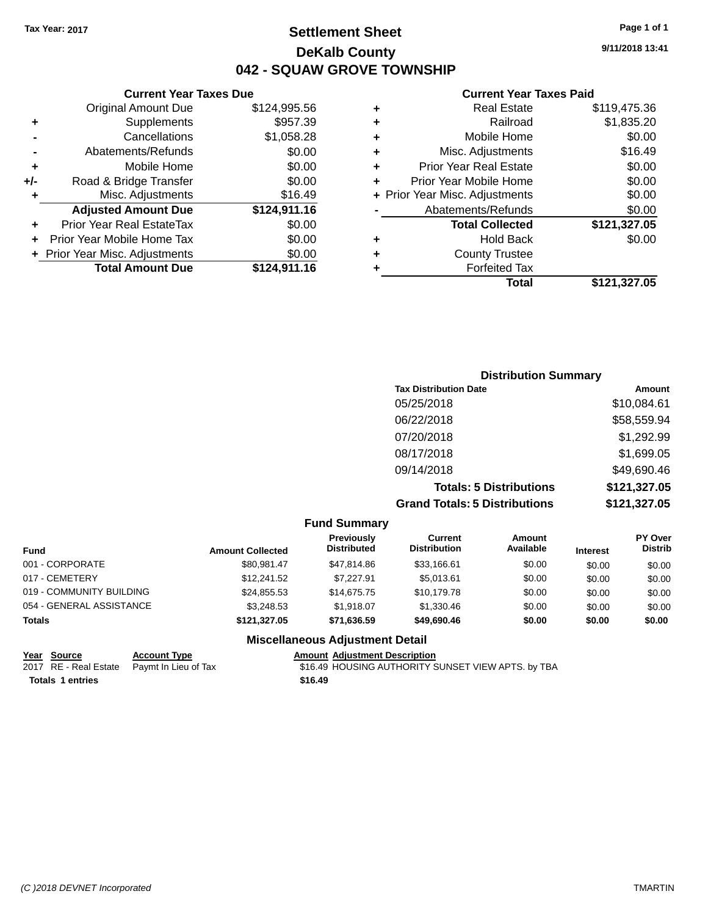### **Settlement Sheet Tax Year: 2017 Page 1 of 1 DeKalb County 042 - SQUAW GROVE TOWNSHIP**

**9/11/2018 13:41**

| <b>Real Estate</b>             | \$119,475.36 |
|--------------------------------|--------------|
| Railroad                       | \$1,835.20   |
| Mobile Home                    | \$0.00       |
| Misc. Adjustments              | \$16.49      |
| <b>Prior Year Real Estate</b>  | \$0.00       |
| Prior Year Mobile Home         | \$0.00       |
| + Prior Year Misc. Adjustments | \$0.00       |
| Abatements/Refunds             | \$0.00       |
| <b>Total Collected</b>         | \$121,327.05 |
| <b>Hold Back</b>               | \$0.00       |
| <b>County Trustee</b>          |              |
| <b>Forfeited Tax</b>           |              |
| Total                          | \$121,327.05 |
|                                |              |

|     | <b>Current Year Taxes Due</b>  |              |
|-----|--------------------------------|--------------|
|     | <b>Original Amount Due</b>     | \$124,995.56 |
| ٠   | Supplements                    | \$957.39     |
|     | Cancellations                  | \$1,058.28   |
|     | Abatements/Refunds             | \$0.00       |
| ٠   | Mobile Home                    | \$0.00       |
| +/- | Road & Bridge Transfer         | \$0.00       |
| ٠   | Misc. Adjustments              | \$16.49      |
|     | <b>Adjusted Amount Due</b>     | \$124,911.16 |
| ٠   | Prior Year Real EstateTax      | \$0.00       |
|     | Prior Year Mobile Home Tax     | \$0.00       |
|     | + Prior Year Misc. Adjustments | \$0.00       |
|     | <b>Total Amount Due</b>        | \$124,911.16 |

| <b>Distribution Summary</b>          |              |  |
|--------------------------------------|--------------|--|
| <b>Tax Distribution Date</b>         | Amount       |  |
| 05/25/2018                           | \$10,084.61  |  |
| 06/22/2018                           | \$58,559.94  |  |
| 07/20/2018                           | \$1,292.99   |  |
| 08/17/2018                           | \$1,699.05   |  |
| 09/14/2018                           | \$49,690.46  |  |
| <b>Totals: 5 Distributions</b>       | \$121,327.05 |  |
| <b>Grand Totals: 5 Distributions</b> | \$121,327.05 |  |

|                          |                         | <b>Fund Summary</b>                     |                                |                     |                 |                                  |
|--------------------------|-------------------------|-----------------------------------------|--------------------------------|---------------------|-----------------|----------------------------------|
| <b>Fund</b>              | <b>Amount Collected</b> | <b>Previously</b><br><b>Distributed</b> | Current<br><b>Distribution</b> | Amount<br>Available | <b>Interest</b> | <b>PY Over</b><br><b>Distrib</b> |
| 001 - CORPORATE          | \$80.981.47             | \$47,814.86                             | \$33,166.61                    | \$0.00              | \$0.00          | \$0.00                           |
| 017 - CEMETERY           | \$12,241.52             | \$7,227.91                              | \$5,013.61                     | \$0.00              | \$0.00          | \$0.00                           |
| 019 - COMMUNITY BUILDING | \$24,855.53             | \$14,675.75                             | \$10,179.78                    | \$0.00              | \$0.00          | \$0.00                           |
| 054 - GENERAL ASSISTANCE | \$3,248.53              | \$1,918.07                              | \$1,330.46                     | \$0.00              | \$0.00          | \$0.00                           |
| <b>Totals</b>            | \$121.327.05            | \$71,636.59                             | \$49,690.46                    | \$0.00              | \$0.00          | \$0.00                           |
|                          |                         | <b>Miscellaneous Adjustment Detail</b>  |                                |                     |                 |                                  |

| Year Source             | <b>Account Type</b>                        | <b>Amount Adjustment Description</b>               |
|-------------------------|--------------------------------------------|----------------------------------------------------|
|                         | 2017 RE - Real Estate Paymt In Lieu of Tax | \$16.49 HOUSING AUTHORITY SUNSET VIEW APTS. by TBA |
| <b>Totals 1 entries</b> |                                            | \$16.49                                            |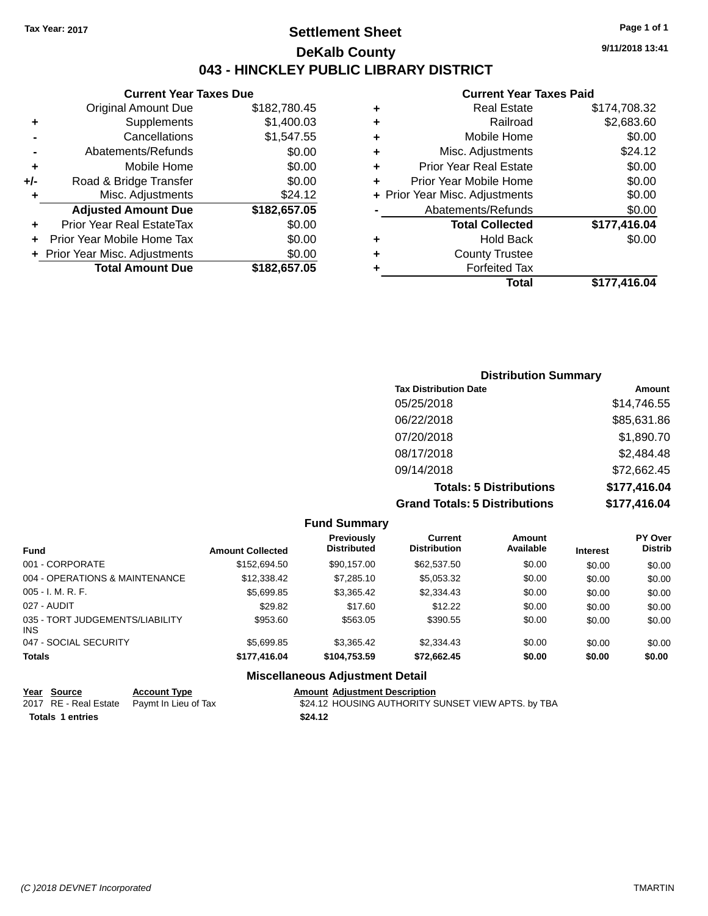### **Settlement Sheet Tax Year: 2017 Page 1 of 1 DeKalb County 043 - HINCKLEY PUBLIC LIBRARY DISTRICT**

**9/11/2018 13:41**

#### **Current Year Taxes Paid**

|     | <b>Current Year Taxes Due</b>            |              |  |  |
|-----|------------------------------------------|--------------|--|--|
|     | <b>Original Amount Due</b>               | \$182,780.45 |  |  |
| ٠   | Supplements                              | \$1,400.03   |  |  |
|     | Cancellations                            | \$1,547.55   |  |  |
|     | Abatements/Refunds                       | \$0.00       |  |  |
| ٠   | Mobile Home                              | \$0.00       |  |  |
| +/- | Road & Bridge Transfer                   | \$0.00       |  |  |
| ٠   | Misc. Adjustments                        | \$24.12      |  |  |
|     | <b>Adjusted Amount Due</b>               | \$182,657.05 |  |  |
| ÷   | Prior Year Real EstateTax                | \$0.00       |  |  |
|     | Prior Year Mobile Home Tax               | \$0.00       |  |  |
|     | \$0.00<br>+ Prior Year Misc. Adjustments |              |  |  |
|     | <b>Total Amount Due</b>                  | \$182,657.05 |  |  |
|     |                                          |              |  |  |

| ٠ | <b>Real Estate</b>             | \$174,708.32 |
|---|--------------------------------|--------------|
| ٠ | Railroad                       | \$2,683.60   |
| ٠ | Mobile Home                    | \$0.00       |
| ٠ | Misc. Adjustments              | \$24.12      |
| ٠ | <b>Prior Year Real Estate</b>  | \$0.00       |
| ٠ | Prior Year Mobile Home         | \$0.00       |
|   | + Prior Year Misc. Adjustments | \$0.00       |
|   | Abatements/Refunds             | \$0.00       |
|   | <b>Total Collected</b>         | \$177,416.04 |
| ٠ | <b>Hold Back</b>               | \$0.00       |
| ٠ | <b>County Trustee</b>          |              |
| ٠ | <b>Forfeited Tax</b>           |              |
|   | Total                          | \$177.416.04 |
|   |                                |              |

| <b>Distribution Summary</b>          |              |
|--------------------------------------|--------------|
| <b>Tax Distribution Date</b>         | Amount       |
| 05/25/2018                           | \$14,746.55  |
| 06/22/2018                           | \$85,631.86  |
| 07/20/2018                           | \$1,890.70   |
| 08/17/2018                           | \$2,484.48   |
| 09/14/2018                           | \$72,662.45  |
| <b>Totals: 5 Distributions</b>       | \$177,416.04 |
| <b>Grand Totals: 5 Distributions</b> | \$177,416.04 |

|                                               |                         | <b>Fund Summary</b>                     |                                       |                     |                 |                                  |
|-----------------------------------------------|-------------------------|-----------------------------------------|---------------------------------------|---------------------|-----------------|----------------------------------|
| <b>Fund</b>                                   | <b>Amount Collected</b> | <b>Previously</b><br><b>Distributed</b> | <b>Current</b><br><b>Distribution</b> | Amount<br>Available | <b>Interest</b> | <b>PY Over</b><br><b>Distrib</b> |
| 001 - CORPORATE                               | \$152,694.50            | \$90,157.00                             | \$62,537.50                           | \$0.00              | \$0.00          | \$0.00                           |
| 004 - OPERATIONS & MAINTENANCE                | \$12,338,42             | \$7,285.10                              | \$5,053.32                            | \$0.00              | \$0.00          | \$0.00                           |
| $005 - I. M. R. F.$                           | \$5,699.85              | \$3,365.42                              | \$2,334.43                            | \$0.00              | \$0.00          | \$0.00                           |
| 027 - AUDIT                                   | \$29.82                 | \$17.60                                 | \$12.22                               | \$0.00              | \$0.00          | \$0.00                           |
| 035 - TORT JUDGEMENTS/LIABILITY<br><b>INS</b> | \$953.60                | \$563.05                                | \$390.55                              | \$0.00              | \$0.00          | \$0.00                           |
| 047 - SOCIAL SECURITY                         | \$5,699.85              | \$3,365.42                              | \$2,334.43                            | \$0.00              | \$0.00          | \$0.00                           |
| <b>Totals</b>                                 | \$177,416.04            | \$104,753.59                            | \$72,662.45                           | \$0.00              | \$0.00          | \$0.00                           |
|                                               |                         |                                         |                                       |                     |                 |                                  |

#### **Miscellaneous Adjustment Detail**

|                  | Year Source | <b>Account Type</b>                        | <b>Amount Adjustment Description</b>               |
|------------------|-------------|--------------------------------------------|----------------------------------------------------|
|                  |             | 2017 RE - Real Estate Paymt In Lieu of Tax | \$24.12 HOUSING AUTHORITY SUNSET VIEW APTS. by TBA |
| Totals 1 entries |             |                                            | \$24.12                                            |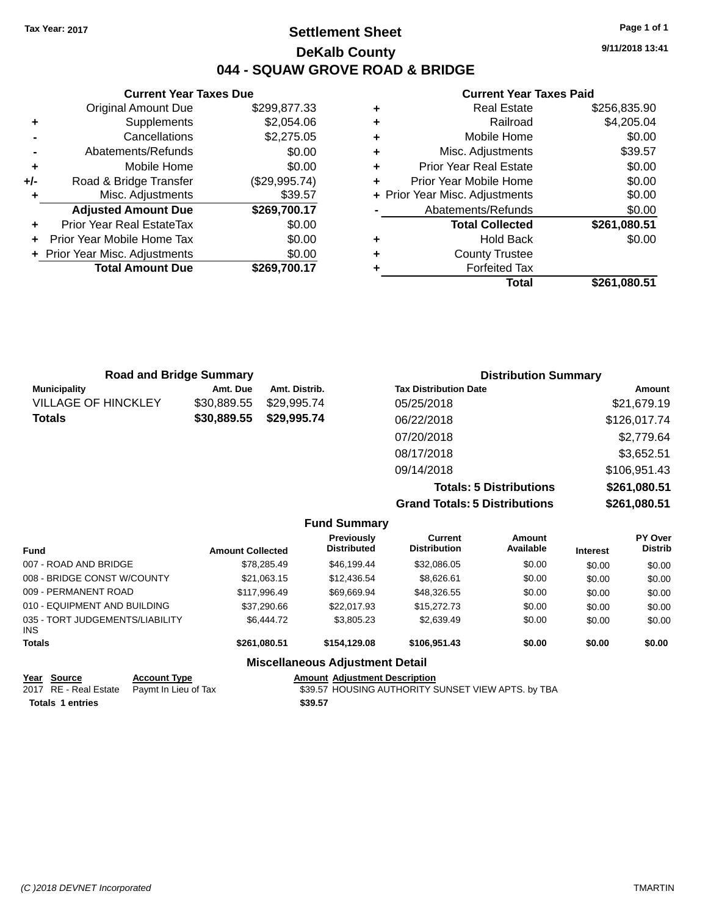### **Settlement Sheet Tax Year: 2017 Page 1 of 1 DeKalb County 044 - SQUAW GROVE ROAD & BRIDGE**

**9/11/2018 13:41**

|       | <b>Current Year Taxes Due</b>  |               |
|-------|--------------------------------|---------------|
|       | <b>Original Amount Due</b>     | \$299,877.33  |
| ٠     | Supplements                    | \$2,054.06    |
|       | Cancellations                  | \$2,275.05    |
|       | Abatements/Refunds             | \$0.00        |
| ٠     | Mobile Home                    | \$0.00        |
| $+/-$ | Road & Bridge Transfer         | (\$29,995.74) |
|       | Misc. Adjustments              | \$39.57       |
|       | <b>Adjusted Amount Due</b>     | \$269,700.17  |
|       | Prior Year Real EstateTax      | \$0.00        |
|       | Prior Year Mobile Home Tax     | \$0.00        |
|       | + Prior Year Misc. Adjustments | \$0.00        |
|       | <b>Total Amount Due</b>        | \$269.700.17  |
|       |                                |               |

|   | <b>Real Estate</b>             | \$256,835.90 |
|---|--------------------------------|--------------|
| ٠ | Railroad                       | \$4,205.04   |
| ٠ | Mobile Home                    | \$0.00       |
| ٠ | Misc. Adjustments              | \$39.57      |
| ٠ | <b>Prior Year Real Estate</b>  | \$0.00       |
| ٠ | Prior Year Mobile Home         | \$0.00       |
|   | + Prior Year Misc. Adjustments | \$0.00       |
|   | Abatements/Refunds             | \$0.00       |
|   | <b>Total Collected</b>         | \$261,080.51 |
| ٠ | <b>Hold Back</b>               | \$0.00       |
| ٠ | <b>County Trustee</b>          |              |
|   | <b>Forfeited Tax</b>           |              |
|   | Total                          | \$261,080.51 |

|                            | <b>Road and Bridge Summary</b> |               | <b>Distribution Summary</b>          |              |  |
|----------------------------|--------------------------------|---------------|--------------------------------------|--------------|--|
| <b>Municipality</b>        | Amt. Due                       | Amt. Distrib. | <b>Tax Distribution Date</b>         | Amount       |  |
| <b>VILLAGE OF HINCKLEY</b> | \$30,889.55                    | \$29,995.74   | 05/25/2018                           | \$21,679.19  |  |
| <b>Totals</b>              | \$30,889.55                    | \$29,995.74   | 06/22/2018                           | \$126,017.74 |  |
|                            |                                |               | 07/20/2018                           | \$2,779.64   |  |
|                            |                                |               | 08/17/2018                           | \$3,652.51   |  |
|                            |                                |               | 09/14/2018                           | \$106,951.43 |  |
|                            |                                |               | <b>Totals: 5 Distributions</b>       | \$261,080.51 |  |
|                            |                                |               | <b>Grand Totals: 5 Distributions</b> | \$261,080.51 |  |

|                                         |                         | <b>Fund Summary</b>                     |                                |                     |                 |                           |
|-----------------------------------------|-------------------------|-----------------------------------------|--------------------------------|---------------------|-----------------|---------------------------|
| <b>Fund</b>                             | <b>Amount Collected</b> | <b>Previously</b><br><b>Distributed</b> | Current<br><b>Distribution</b> | Amount<br>Available | <b>Interest</b> | PY Over<br><b>Distrib</b> |
| 007 - ROAD AND BRIDGE                   | \$78,285.49             | \$46,199.44                             | \$32,086.05                    | \$0.00              | \$0.00          | \$0.00                    |
| 008 - BRIDGE CONST W/COUNTY             | \$21.063.15             | \$12,436.54                             | \$8.626.61                     | \$0.00              | \$0.00          | \$0.00                    |
| 009 - PERMANENT ROAD                    | \$117.996.49            | \$69,669.94                             | \$48,326.55                    | \$0.00              | \$0.00          | \$0.00                    |
| 010 - EQUIPMENT AND BUILDING            | \$37,290.66             | \$22,017.93                             | \$15,272.73                    | \$0.00              | \$0.00          | \$0.00                    |
| 035 - TORT JUDGEMENTS/LIABILITY<br>INS. | \$6,444.72              | \$3,805.23                              | \$2,639.49                     | \$0.00              | \$0.00          | \$0.00                    |
| <b>Totals</b>                           | \$261.080.51            | \$154,129,08                            | \$106,951.43                   | \$0.00              | \$0.00          | \$0.00                    |
|                                         |                         | <b>Miscellaneous Adjustment Detail</b>  |                                |                     |                 |                           |

| Year Source             | <b>Account Type</b>                        | <b>Amount Adiustment Description</b>               |
|-------------------------|--------------------------------------------|----------------------------------------------------|
|                         | 2017 RE - Real Estate Paymt In Lieu of Tax | \$39.57 HOUSING AUTHORITY SUNSET VIEW APTS. by TBA |
| <b>Totals 1 entries</b> |                                            | \$39.57                                            |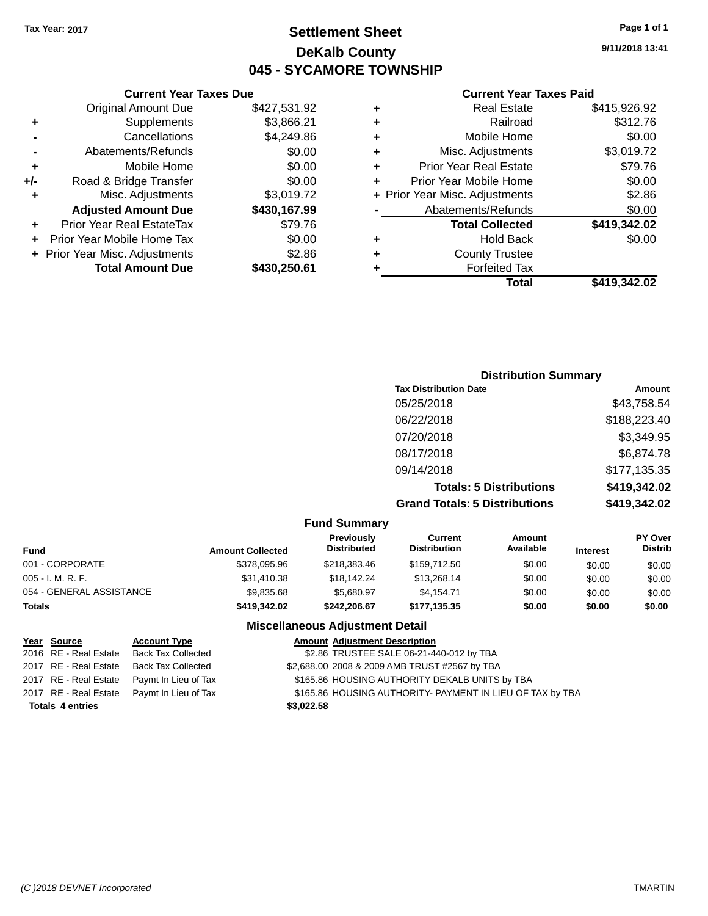### **Settlement Sheet Tax Year: 2017 Page 1 of 1 DeKalb County 045 - SYCAMORE TOWNSHIP**

**9/11/2018 13:41**

#### **Current Year Taxes Paid**

|     | <b>Current Year Taxes Due</b>  |              |  |  |  |  |
|-----|--------------------------------|--------------|--|--|--|--|
|     | <b>Original Amount Due</b>     | \$427,531.92 |  |  |  |  |
| ٠   | Supplements                    | \$3,866.21   |  |  |  |  |
|     | \$4,249.86<br>Cancellations    |              |  |  |  |  |
|     | Abatements/Refunds             | \$0.00       |  |  |  |  |
| ٠   | Mobile Home                    | \$0.00       |  |  |  |  |
| +/- | Road & Bridge Transfer         | \$0.00       |  |  |  |  |
| ٠   | Misc. Adjustments              | \$3,019.72   |  |  |  |  |
|     | <b>Adjusted Amount Due</b>     | \$430,167.99 |  |  |  |  |
|     | Prior Year Real EstateTax      | \$79.76      |  |  |  |  |
|     | Prior Year Mobile Home Tax     | \$0.00       |  |  |  |  |
|     | + Prior Year Misc. Adjustments | \$2.86       |  |  |  |  |
|     | <b>Total Amount Due</b>        | \$430,250.61 |  |  |  |  |
|     |                                |              |  |  |  |  |

|   | <b>Real Estate</b>             | \$415,926.92 |
|---|--------------------------------|--------------|
| ٠ | Railroad                       | \$312.76     |
| ٠ | Mobile Home                    | \$0.00       |
| ٠ | Misc. Adjustments              | \$3,019.72   |
| ٠ | <b>Prior Year Real Estate</b>  | \$79.76      |
| ٠ | Prior Year Mobile Home         | \$0.00       |
|   | + Prior Year Misc. Adjustments | \$2.86       |
|   | Abatements/Refunds             | \$0.00       |
|   | <b>Total Collected</b>         | \$419,342.02 |
| ٠ | <b>Hold Back</b>               | \$0.00       |
| ٠ | <b>County Trustee</b>          |              |
| ٠ | <b>Forfeited Tax</b>           |              |
|   | <b>Total</b>                   | \$419,342.02 |
|   |                                |              |

| <b>Distribution Summary</b>          |              |
|--------------------------------------|--------------|
| <b>Tax Distribution Date</b>         | Amount       |
| 05/25/2018                           | \$43,758.54  |
| 06/22/2018                           | \$188,223.40 |
| 07/20/2018                           | \$3,349.95   |
| 08/17/2018                           | \$6,874.78   |
| 09/14/2018                           | \$177,135.35 |
| <b>Totals: 5 Distributions</b>       | \$419,342.02 |
| <b>Grand Totals: 5 Distributions</b> | \$419,342.02 |

|                          |                         | <b>Fund Summary</b>              |                                |                            |                 |                                  |
|--------------------------|-------------------------|----------------------------------|--------------------------------|----------------------------|-----------------|----------------------------------|
| Fund                     | <b>Amount Collected</b> | Previously<br><b>Distributed</b> | Current<br><b>Distribution</b> | <b>Amount</b><br>Available | <b>Interest</b> | <b>PY Over</b><br><b>Distrib</b> |
| 001 - CORPORATE          | \$378,095.96            | \$218,383,46                     | \$159,712.50                   | \$0.00                     | \$0.00          | \$0.00                           |
| 005 - I. M. R. F.        | \$31,410.38             | \$18,142.24                      | \$13.268.14                    | \$0.00                     | \$0.00          | \$0.00                           |
| 054 - GENERAL ASSISTANCE | \$9,835,68              | \$5.680.97                       | \$4.154.71                     | \$0.00                     | \$0.00          | \$0.00                           |
| <b>Totals</b>            | \$419,342.02            | \$242,206.67                     | \$177.135.35                   | \$0.00                     | \$0.00          | \$0.00                           |

### **Miscellaneous Adjustment Detail**

| Year Source             | <b>Account Type</b>       | <b>Amount Adjustment Description</b>                      |
|-------------------------|---------------------------|-----------------------------------------------------------|
| 2016 RE - Real Estate   | <b>Back Tax Collected</b> | \$2.86 TRUSTEE SALE 06-21-440-012 by TBA                  |
| 2017 RE - Real Estate   | Back Tax Collected        | \$2,688.00 2008 & 2009 AMB TRUST #2567 by TBA             |
| 2017 RE - Real Estate   | Paymt In Lieu of Tax      | \$165.86 HOUSING AUTHORITY DEKALB UNITS by TBA            |
| 2017 RE - Real Estate   | Paymt In Lieu of Tax      | \$165.86 HOUSING AUTHORITY- PAYMENT IN LIEU OF TAX by TBA |
| <b>Totals 4 entries</b> |                           | \$3,022.58                                                |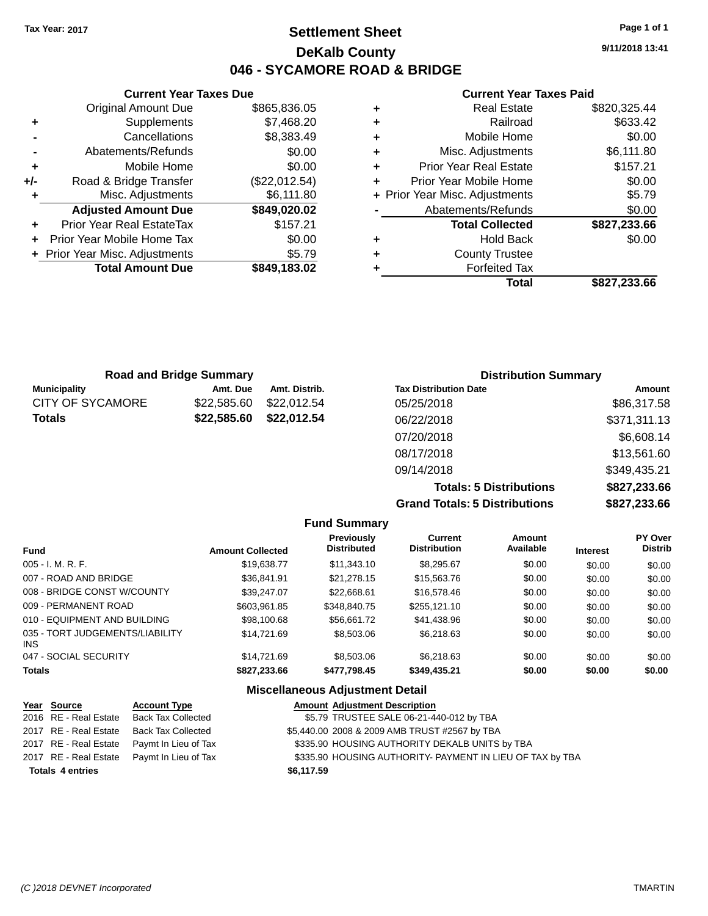**Original Amount Due** 

**Adjusted Amount Due** 

**Total Amount Due** 

**+** Supplements **-** Cancellations **-** Abatements/Refunds **+** Mobile Home **+/-** Road & Bridge Transfer **+** Misc. Adjustments

**+** Prior Year Real EstateTax **+** Prior Year Mobile Home Tax **+ Prior Year Misc. Adjustments** 

### **Settlement Sheet Tax Year: 2017 Page 1 of 1 DeKalb County 046 - SYCAMORE ROAD & BRIDGE**

**9/11/2018 13:41**

#### **Current Year Taxes Paid**

| <b>Current Year Taxes Due</b> |               |   | <b>Current Year Taxes Paid</b> |              |  |  |  |
|-------------------------------|---------------|---|--------------------------------|--------------|--|--|--|
| ่<br>เl Amount Due            | \$865,836.05  | ÷ | <b>Real Estate</b>             | \$820,325.44 |  |  |  |
| Supplements                   | \$7,468.20    | ÷ | Railroad                       | \$633.42     |  |  |  |
| Cancellations                 | \$8,383.49    | ÷ | Mobile Home                    | \$0.00       |  |  |  |
| าents/Refunds                 | \$0.00        | ÷ | Misc. Adjustments              | \$6,111.80   |  |  |  |
| Mobile Home                   | \$0.00        | ÷ | <b>Prior Year Real Estate</b>  | \$157.21     |  |  |  |
| ridge Transfer                | (\$22,012.54) | ÷ | Prior Year Mobile Home         | \$0.00       |  |  |  |
| . Adjustments                 | \$6,111.80    |   | + Prior Year Misc. Adjustments | \$5.79       |  |  |  |
| <b>Amount Due</b>             | \$849,020.02  |   | Abatements/Refunds             | \$0.00       |  |  |  |
| leal EstateTax≀               | \$157.21      |   | <b>Total Collected</b>         | \$827,233.66 |  |  |  |
| bile Home Tax                 | \$0.00        | ٠ | <b>Hold Back</b>               | \$0.00       |  |  |  |
| . Adjustments                 | \$5.79        | ÷ | <b>County Trustee</b>          |              |  |  |  |
| <b>Amount Due</b>             | \$849,183.02  |   | <b>Forfeited Tax</b>           |              |  |  |  |
|                               |               |   | <b>Total</b>                   | \$827,233.66 |  |  |  |

| <b>Road and Bridge Summary</b> |             |               | <b>Distribution Summary</b>  |              |
|--------------------------------|-------------|---------------|------------------------------|--------------|
| <b>Municipality</b>            | Amt. Due    | Amt. Distrib. | <b>Tax Distribution Date</b> | Amount       |
| <b>CITY OF SYCAMORE</b>        | \$22,585.60 | \$22,012.54   | 05/25/2018                   | \$86,317.58  |
| <b>Totals</b>                  | \$22,585.60 | \$22,012.54   | 06/22/2018                   | \$371,311.13 |
|                                |             |               | 07/20/2018                   | \$6,608.14   |
|                                |             |               | 08/17/2018                   | \$13,561.60  |

**Grand Totals: 5 Distributions \$827,233.66**

09/14/2018 \$349,435.21

**Totals: 5 Distributions \$827,233.66**

|                                         |                         | <b>Fund Summary</b>                     |                                       |                     |                 |                           |
|-----------------------------------------|-------------------------|-----------------------------------------|---------------------------------------|---------------------|-----------------|---------------------------|
| <b>Fund</b>                             | <b>Amount Collected</b> | <b>Previously</b><br><b>Distributed</b> | <b>Current</b><br><b>Distribution</b> | Amount<br>Available | <b>Interest</b> | PY Over<br><b>Distrib</b> |
| $005 - I. M. R. F.$                     | \$19,638.77             | \$11.343.10                             | \$8.295.67                            | \$0.00              | \$0.00          | \$0.00                    |
| 007 - ROAD AND BRIDGE                   | \$36.841.91             | \$21.278.15                             | \$15,563,76                           | \$0.00              | \$0.00          | \$0.00                    |
| 008 - BRIDGE CONST W/COUNTY             | \$39,247.07             | \$22,668.61                             | \$16,578.46                           | \$0.00              | \$0.00          | \$0.00                    |
| 009 - PERMANENT ROAD                    | \$603.961.85            | \$348,840.75                            | \$255,121.10                          | \$0.00              | \$0.00          | \$0.00                    |
| 010 - EQUIPMENT AND BUILDING            | \$98,100.68             | \$56.661.72                             | \$41.438.96                           | \$0.00              | \$0.00          | \$0.00                    |
| 035 - TORT JUDGEMENTS/LIABILITY<br>INS. | \$14.721.69             | \$8,503.06                              | \$6.218.63                            | \$0.00              | \$0.00          | \$0.00                    |
| 047 - SOCIAL SECURITY                   | \$14.721.69             | \$8,503,06                              | \$6.218.63                            | \$0.00              | \$0.00          | \$0.00                    |
| <b>Totals</b>                           | \$827,233.66            | \$477,798.45                            | \$349,435.21                          | \$0.00              | \$0.00          | \$0.00                    |

#### **Miscellaneous Adjustment Detail**

| Year Source             | <b>Account Type</b>                        | <b>Amount Adjustment Description</b>                      |
|-------------------------|--------------------------------------------|-----------------------------------------------------------|
|                         | 2016 RE - Real Estate Back Tax Collected   | \$5.79 TRUSTEE SALE 06-21-440-012 by TBA                  |
| 2017 RE - Real Estate   | Back Tax Collected                         | \$5,440.00 2008 & 2009 AMB TRUST #2567 by TBA             |
|                         | 2017 RE - Real Estate Paymt In Lieu of Tax | \$335.90 HOUSING AUTHORITY DEKALB UNITS by TBA            |
|                         | 2017 RE - Real Estate Paymt In Lieu of Tax | \$335.90 HOUSING AUTHORITY- PAYMENT IN LIEU OF TAX by TBA |
| <b>Totals 4 entries</b> |                                            | \$6,117.59                                                |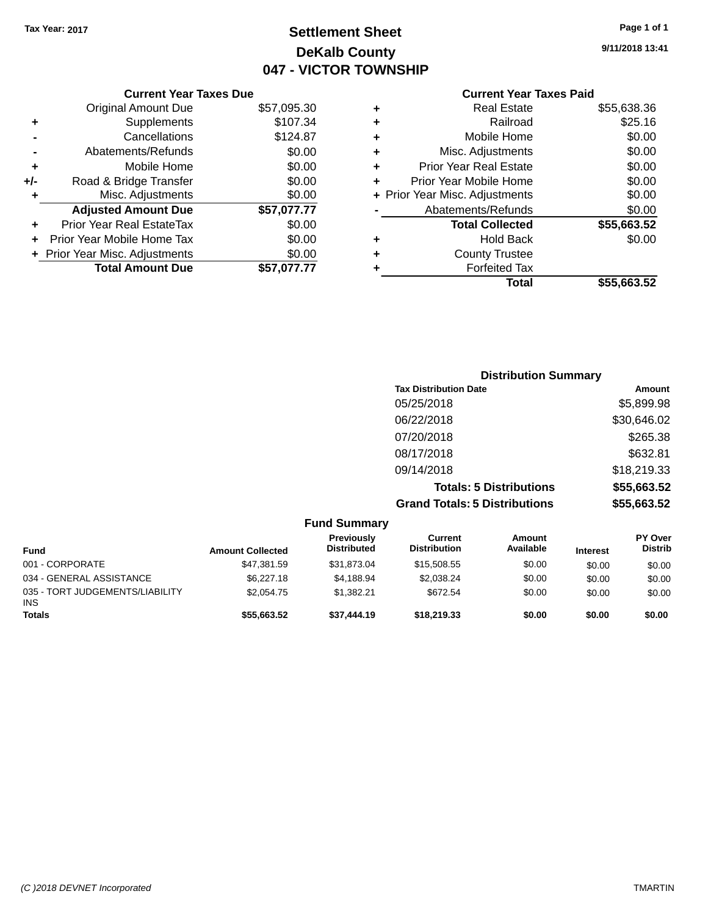### **Settlement Sheet Tax Year: 2017 Page 1 of 1 DeKalb County 047 - VICTOR TOWNSHIP**

**9/11/2018 13:41**

|     | <b>Current Year Taxes Due</b>  |             |  |  |
|-----|--------------------------------|-------------|--|--|
|     | <b>Original Amount Due</b>     | \$57,095.30 |  |  |
| ٠   | Supplements                    | \$107.34    |  |  |
|     | Cancellations                  | \$124.87    |  |  |
|     | Abatements/Refunds             | \$0.00      |  |  |
| ٠   | Mobile Home                    | \$0.00      |  |  |
| +/- | Road & Bridge Transfer         | \$0.00      |  |  |
|     | \$0.00<br>Misc. Adjustments    |             |  |  |
|     | <b>Adjusted Amount Due</b>     | \$57,077.77 |  |  |
|     | Prior Year Real EstateTax      | \$0.00      |  |  |
|     | Prior Year Mobile Home Tax     | \$0.00      |  |  |
|     | + Prior Year Misc. Adjustments | \$0.00      |  |  |
|     | <b>Total Amount Due</b>        | \$57.077.77 |  |  |
|     |                                |             |  |  |

| ٠ | <b>Real Estate</b>             | \$55,638.36 |
|---|--------------------------------|-------------|
| ٠ | Railroad                       | \$25.16     |
| ٠ | Mobile Home                    | \$0.00      |
| ٠ | Misc. Adjustments              | \$0.00      |
| ٠ | <b>Prior Year Real Estate</b>  | \$0.00      |
| ٠ | Prior Year Mobile Home         | \$0.00      |
|   | + Prior Year Misc. Adjustments | \$0.00      |
|   | Abatements/Refunds             | \$0.00      |
|   | <b>Total Collected</b>         | \$55,663.52 |
| ٠ | <b>Hold Back</b>               | \$0.00      |
| ٠ | <b>County Trustee</b>          |             |
| ٠ | <b>Forfeited Tax</b>           |             |
|   | Total                          | \$55,663.52 |
|   |                                |             |

| <b>Distribution Summary</b>          |             |
|--------------------------------------|-------------|
| <b>Tax Distribution Date</b>         | Amount      |
| 05/25/2018                           | \$5,899.98  |
| 06/22/2018                           | \$30,646.02 |
| 07/20/2018                           | \$265.38    |
| 08/17/2018                           | \$632.81    |
| 09/14/2018                           | \$18,219.33 |
| <b>Totals: 5 Distributions</b>       | \$55,663.52 |
| <b>Grand Totals: 5 Distributions</b> | \$55,663.52 |

|                                               |                         | <b>Fund Summary</b>              |                                |                     |                 |                                  |
|-----------------------------------------------|-------------------------|----------------------------------|--------------------------------|---------------------|-----------------|----------------------------------|
| <b>Fund</b>                                   | <b>Amount Collected</b> | Previously<br><b>Distributed</b> | Current<br><b>Distribution</b> | Amount<br>Available | <b>Interest</b> | <b>PY Over</b><br><b>Distrib</b> |
| 001 - CORPORATE                               | \$47.381.59             | \$31,873.04                      | \$15,508.55                    | \$0.00              | \$0.00          | \$0.00                           |
| 034 - GENERAL ASSISTANCE                      | \$6.227.18              | \$4.188.94                       | \$2.038.24                     | \$0.00              | \$0.00          | \$0.00                           |
| 035 - TORT JUDGEMENTS/LIABILITY<br><b>INS</b> | \$2.054.75              | \$1.382.21                       | \$672.54                       | \$0.00              | \$0.00          | \$0.00                           |
| <b>Totals</b>                                 | \$55,663.52             | \$37,444.19                      | \$18,219,33                    | \$0.00              | \$0.00          | \$0.00                           |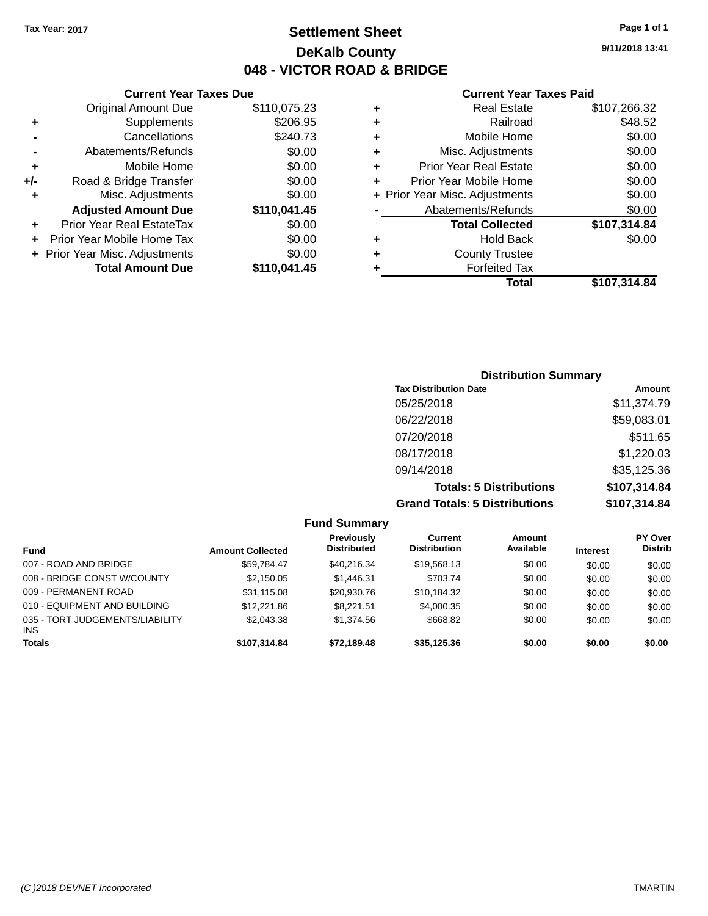### **Settlement Sheet Tax Year: 2017 Page 1 of 1 DeKalb County 048 - VICTOR ROAD & BRIDGE**

**9/11/2018 13:41**

| <b>Current Year Taxes Paid</b> |  |  |  |
|--------------------------------|--|--|--|
|--------------------------------|--|--|--|

|     | <b>Current Year Taxes Due</b>  |              |  |  |
|-----|--------------------------------|--------------|--|--|
|     | <b>Original Amount Due</b>     | \$110,075.23 |  |  |
| ٠   | Supplements                    | \$206.95     |  |  |
|     | Cancellations                  | \$240.73     |  |  |
|     | Abatements/Refunds             | \$0.00       |  |  |
| ٠   | Mobile Home                    | \$0.00       |  |  |
| +/- | Road & Bridge Transfer         | \$0.00       |  |  |
| ٠   | Misc. Adjustments              | \$0.00       |  |  |
|     | <b>Adjusted Amount Due</b>     | \$110,041.45 |  |  |
| ٠   | Prior Year Real EstateTax      | \$0.00       |  |  |
| ٠   | Prior Year Mobile Home Tax     | \$0.00       |  |  |
|     | + Prior Year Misc. Adjustments | \$0.00       |  |  |
|     | <b>Total Amount Due</b>        | \$110,041.45 |  |  |

|   | <b>Real Estate</b>             | \$107,266.32 |
|---|--------------------------------|--------------|
| ٠ | Railroad                       | \$48.52      |
| ٠ | Mobile Home                    | \$0.00       |
| ٠ | Misc. Adjustments              | \$0.00       |
| ٠ | <b>Prior Year Real Estate</b>  | \$0.00       |
| ٠ | Prior Year Mobile Home         | \$0.00       |
|   | + Prior Year Misc. Adjustments | \$0.00       |
|   | Abatements/Refunds             | \$0.00       |
|   | <b>Total Collected</b>         | \$107,314.84 |
| ٠ | <b>Hold Back</b>               | \$0.00       |
| ٠ | <b>County Trustee</b>          |              |
| ٠ | <b>Forfeited Tax</b>           |              |
|   | Total                          | \$107,314.84 |
|   |                                |              |

| <b>Distribution Summary</b>          |              |  |  |  |
|--------------------------------------|--------------|--|--|--|
| <b>Tax Distribution Date</b>         | Amount       |  |  |  |
| 05/25/2018                           | \$11,374.79  |  |  |  |
| 06/22/2018                           | \$59,083.01  |  |  |  |
| 07/20/2018                           | \$511.65     |  |  |  |
| 08/17/2018                           | \$1,220.03   |  |  |  |
| 09/14/2018                           | \$35,125.36  |  |  |  |
| <b>Totals: 5 Distributions</b>       | \$107,314.84 |  |  |  |
| <b>Grand Totals: 5 Distributions</b> | \$107,314.84 |  |  |  |

| <b>Fund Summary</b>                     |                         |                                         |                                       |                     |                 |                                  |
|-----------------------------------------|-------------------------|-----------------------------------------|---------------------------------------|---------------------|-----------------|----------------------------------|
| <b>Fund</b>                             | <b>Amount Collected</b> | <b>Previously</b><br><b>Distributed</b> | <b>Current</b><br><b>Distribution</b> | Amount<br>Available | <b>Interest</b> | <b>PY Over</b><br><b>Distrib</b> |
| 007 - ROAD AND BRIDGE                   | \$59.784.47             | \$40,216.34                             | \$19,568.13                           | \$0.00              | \$0.00          | \$0.00                           |
| 008 - BRIDGE CONST W/COUNTY             | \$2,150.05              | \$1,446.31                              | \$703.74                              | \$0.00              | \$0.00          | \$0.00                           |
| 009 - PERMANENT ROAD                    | \$31.115.08             | \$20,930.76                             | \$10,184.32                           | \$0.00              | \$0.00          | \$0.00                           |
| 010 - EQUIPMENT AND BUILDING            | \$12,221.86             | \$8.221.51                              | \$4,000.35                            | \$0.00              | \$0.00          | \$0.00                           |
| 035 - TORT JUDGEMENTS/LIABILITY<br>INS. | \$2,043,38              | \$1,374.56                              | \$668.82                              | \$0.00              | \$0.00          | \$0.00                           |
| Totals                                  | \$107,314.84            | \$72,189.48                             | \$35,125.36                           | \$0.00              | \$0.00          | \$0.00                           |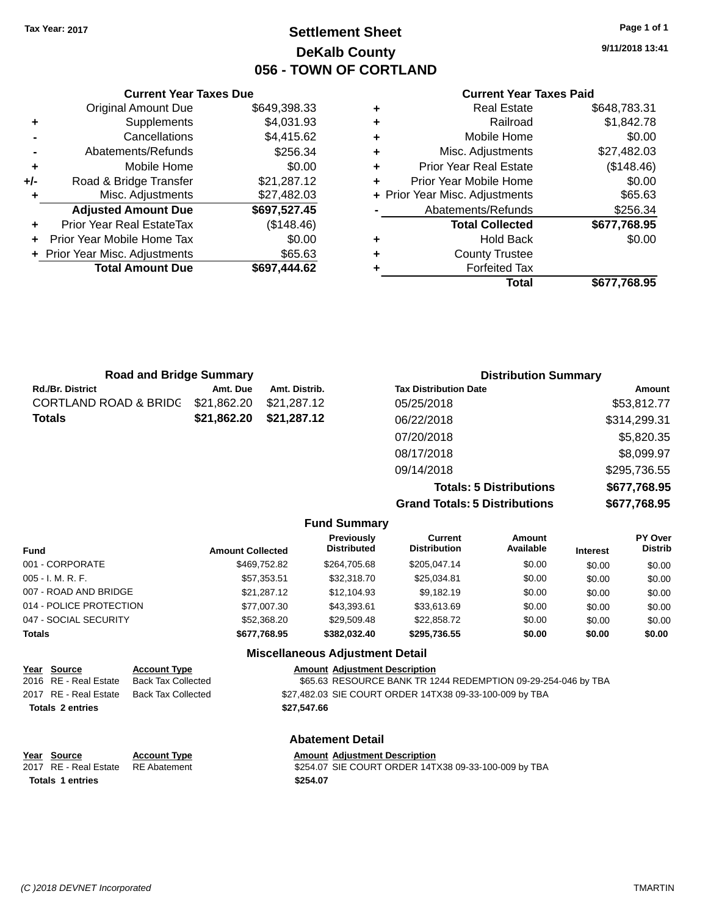### **Settlement Sheet Tax Year: 2017 Page 1 of 1 DeKalb County 056 - TOWN OF CORTLAND**

**9/11/2018 13:41**

#### **Current Year Taxes Paid**

|   | Total                          | \$677.768.95 |
|---|--------------------------------|--------------|
|   | <b>Forfeited Tax</b>           |              |
| ٠ | <b>County Trustee</b>          |              |
| ٠ | <b>Hold Back</b>               | \$0.00       |
|   | <b>Total Collected</b>         | \$677,768.95 |
|   | Abatements/Refunds             | \$256.34     |
|   | + Prior Year Misc. Adjustments | \$65.63      |
| ÷ | Prior Year Mobile Home         | \$0.00       |
| ٠ | <b>Prior Year Real Estate</b>  | (\$148.46)   |
| ٠ | Misc. Adjustments              | \$27,482.03  |
| ÷ | Mobile Home                    | \$0.00       |
| ٠ | Railroad                       | \$1,842.78   |
| ٠ | <b>Real Estate</b>             | \$648,783.31 |

| +/- | Road & Bridge Transfer           | \$21,287.12  |   | Prior Year        |
|-----|----------------------------------|--------------|---|-------------------|
| ٠   | Misc. Adjustments                | \$27,482.03  |   | + Prior Year Mise |
|     | <b>Adjusted Amount Due</b>       | \$697,527.45 |   | Abater            |
| ٠   | <b>Prior Year Real EstateTax</b> | (\$148.46)   |   | Т                 |
|     | + Prior Year Mobile Home Tax     | \$0.00       | ٠ |                   |
|     | + Prior Year Misc. Adjustments   | \$65.63      | ٠ |                   |
|     | <b>Total Amount Due</b>          | \$697,444.62 |   |                   |
|     |                                  |              |   |                   |
|     |                                  |              |   |                   |
|     |                                  |              |   |                   |

**Current Year Taxes Due** Original Amount Due \$649,398.33

**+** Supplements \$4,031.93 **-** Cancellations \$4,415.62 **-** Abatements/Refunds \$256.34 **+** Mobile Home \$0.00

| <b>Road and Bridge Summary</b> |             |               | <b>Distribution Summary</b>    |               |  |
|--------------------------------|-------------|---------------|--------------------------------|---------------|--|
| Rd./Br. District               | Amt. Due    | Amt. Distrib. | <b>Tax Distribution Date</b>   | <b>Amount</b> |  |
| CORTLAND ROAD & BRIDG          | \$21,862.20 | \$21,287.12   | 05/25/2018                     | \$53,812.77   |  |
| Totals                         | \$21,862.20 | \$21.287.12   | 06/22/2018                     | \$314,299.31  |  |
|                                |             |               | 07/20/2018                     | \$5,820.35    |  |
|                                |             |               | 08/17/2018                     | \$8,099.97    |  |
|                                |             |               | 09/14/2018                     | \$295,736.55  |  |
|                                |             |               | <b>Totals: 5 Distributions</b> | \$677,768.95  |  |

**Grand Totals: 5 Distributions \$677,768.95**

|                         |                         | <b>Fund Summary</b>                     |                                |                     |                 |                           |
|-------------------------|-------------------------|-----------------------------------------|--------------------------------|---------------------|-----------------|---------------------------|
| <b>Fund</b>             | <b>Amount Collected</b> | <b>Previously</b><br><b>Distributed</b> | Current<br><b>Distribution</b> | Amount<br>Available | <b>Interest</b> | PY Over<br><b>Distrib</b> |
| 001 - CORPORATE         | \$469,752.82            | \$264,705.68                            | \$205,047.14                   | \$0.00              | \$0.00          | \$0.00                    |
| 005 - I. M. R. F.       | \$57,353.51             | \$32,318.70                             | \$25,034.81                    | \$0.00              | \$0.00          | \$0.00                    |
| 007 - ROAD AND BRIDGE   | \$21.287.12             | \$12,104.93                             | \$9.182.19                     | \$0.00              | \$0.00          | \$0.00                    |
| 014 - POLICE PROTECTION | \$77,007.30             | \$43,393.61                             | \$33,613.69                    | \$0.00              | \$0.00          | \$0.00                    |
| 047 - SOCIAL SECURITY   | \$52,368.20             | \$29.509.48                             | \$22,858.72                    | \$0.00              | \$0.00          | \$0.00                    |
| <b>Totals</b>           | \$677,768.95            | \$382.032.40                            | \$295,736.55                   | \$0.00              | \$0.00          | \$0.00                    |
|                         |                         | <b>Miscellaneous Adjustment Detail</b>  |                                |                     |                 |                           |

| Year Source             | <b>Account Type</b>                      |             | <b>Amount Adjustment Description</b>                          |
|-------------------------|------------------------------------------|-------------|---------------------------------------------------------------|
| 2016 RE - Real Estate   | Back Tax Collected                       |             | \$65.63 RESOURCE BANK TR 1244 REDEMPTION 09-29-254-046 by TBA |
|                         | 2017 RE - Real Estate Back Tax Collected |             | \$27,482.03 SIE COURT ORDER 14TX38 09-33-100-009 by TBA       |
| <b>Totals 2 entries</b> |                                          | \$27,547.66 |                                                               |

#### **Abatement Detail**

| Year Source | <b>Account Type</b> | <b>Amount Adjustment Description</b> |  |
|-------------|---------------------|--------------------------------------|--|
|             |                     |                                      |  |

2017 RE - Real Estate RE Abatement \$254.07 SIE COURT ORDER 14TX38 09-33-100-009 by TBA **Totals \$254.07 1 entries**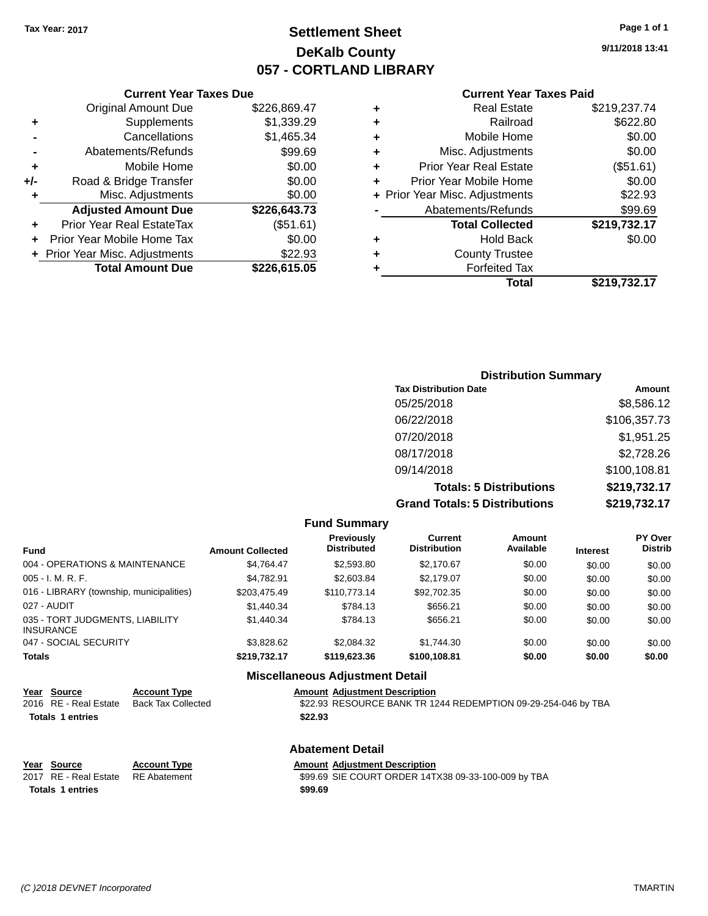### **Settlement Sheet Tax Year: 2017 Page 1 of 1 DeKalb County 057 - CORTLAND LIBRARY**

**9/11/2018 13:41**

|       | <b>Current Year Taxes Due</b>  |              |
|-------|--------------------------------|--------------|
|       | <b>Original Amount Due</b>     | \$226,869.47 |
| ٠     | Supplements                    | \$1,339.29   |
|       | Cancellations                  | \$1,465.34   |
|       | Abatements/Refunds             | \$99.69      |
| ٠     | Mobile Home                    | \$0.00       |
| $+/-$ | Road & Bridge Transfer         | \$0.00       |
| ٠     | Misc. Adjustments              | \$0.00       |
|       | <b>Adjusted Amount Due</b>     | \$226,643.73 |
| ٠     | Prior Year Real EstateTax      | (\$51.61)    |
| ÷     | Prior Year Mobile Home Tax     | \$0.00       |
|       | + Prior Year Misc. Adjustments | \$22.93      |
|       | <b>Total Amount Due</b>        | \$226.615.05 |
|       |                                |              |

|   | <b>Real Estate</b>             | \$219,237.74 |
|---|--------------------------------|--------------|
| ٠ | Railroad                       | \$622.80     |
| ٠ | Mobile Home                    | \$0.00       |
| ٠ | Misc. Adjustments              | \$0.00       |
| ٠ | <b>Prior Year Real Estate</b>  | (\$51.61)    |
| ٠ | Prior Year Mobile Home         | \$0.00       |
|   | + Prior Year Misc. Adjustments | \$22.93      |
|   | Abatements/Refunds             | \$99.69      |
|   | <b>Total Collected</b>         | \$219,732.17 |
| ٠ | <b>Hold Back</b>               | \$0.00       |
| ٠ | <b>County Trustee</b>          |              |
| ٠ | <b>Forfeited Tax</b>           |              |
|   | Total                          | \$219,732.17 |
|   |                                |              |

| <b>Distribution Summary</b>          |              |
|--------------------------------------|--------------|
| <b>Tax Distribution Date</b>         | Amount       |
| 05/25/2018                           | \$8,586.12   |
| 06/22/2018                           | \$106,357.73 |
| 07/20/2018                           | \$1,951.25   |
| 08/17/2018                           | \$2,728.26   |
| 09/14/2018                           | \$100,108.81 |
| <b>Totals: 5 Distributions</b>       | \$219,732.17 |
| <b>Grand Totals: 5 Distributions</b> | \$219,732.17 |

|                                                     |                         | <b>Fund Summary</b>                     |                                       |                     |                 |                           |
|-----------------------------------------------------|-------------------------|-----------------------------------------|---------------------------------------|---------------------|-----------------|---------------------------|
| <b>Fund</b>                                         | <b>Amount Collected</b> | <b>Previously</b><br><b>Distributed</b> | <b>Current</b><br><b>Distribution</b> | Amount<br>Available | <b>Interest</b> | PY Over<br><b>Distrib</b> |
| 004 - OPERATIONS & MAINTENANCE                      | \$4.764.47              | \$2,593.80                              | \$2.170.67                            | \$0.00              | \$0.00          | \$0.00                    |
| $005 - I. M. R. F.$                                 | \$4.782.91              | \$2,603.84                              | \$2.179.07                            | \$0.00              | \$0.00          | \$0.00                    |
| 016 - LIBRARY (township, municipalities)            | \$203,475.49            | \$110.773.14                            | \$92,702.35                           | \$0.00              | \$0.00          | \$0.00                    |
| 027 - AUDIT                                         | \$1,440.34              | \$784.13                                | \$656.21                              | \$0.00              | \$0.00          | \$0.00                    |
| 035 - TORT JUDGMENTS, LIABILITY<br><b>INSURANCE</b> | \$1,440.34              | \$784.13                                | \$656.21                              | \$0.00              | \$0.00          | \$0.00                    |
| 047 - SOCIAL SECURITY                               | \$3.828.62              | \$2,084.32                              | \$1.744.30                            | \$0.00              | \$0.00          | \$0.00                    |
| <b>Totals</b>                                       | \$219,732.17            | \$119,623.36                            | \$100,108.81                          | \$0.00              | \$0.00          | \$0.00                    |
|                                                     |                         | Missellenseus Adjustment Detail         |                                       |                     |                 |                           |

|                                      |                                                  | <b>Miscellaneous Adjustment Detail</b>                                                                |  |  |  |
|--------------------------------------|--------------------------------------------------|-------------------------------------------------------------------------------------------------------|--|--|--|
| Year Source<br>2016 RE - Real Estate | <b>Account Type</b><br><b>Back Tax Collected</b> | <b>Amount Adjustment Description</b><br>\$22.93 RESOURCE BANK TR 1244 REDEMPTION 09-29-254-046 by TBA |  |  |  |
| <b>Totals 1 entries</b>              |                                                  | \$22.93                                                                                               |  |  |  |
|                                      | <b>Abatement Detail</b>                          |                                                                                                       |  |  |  |
| Year Source                          | <b>Account Type</b>                              | <b>Amount Adiustment Description</b>                                                                  |  |  |  |
| 2017 RE - Real Estate                | <b>RE</b> Abatement                              | \$99.69 SIE COURT ORDER 14TX38 09-33-100-009 by TBA                                                   |  |  |  |
| <b>Totals 1 entries</b>              |                                                  | \$99.69                                                                                               |  |  |  |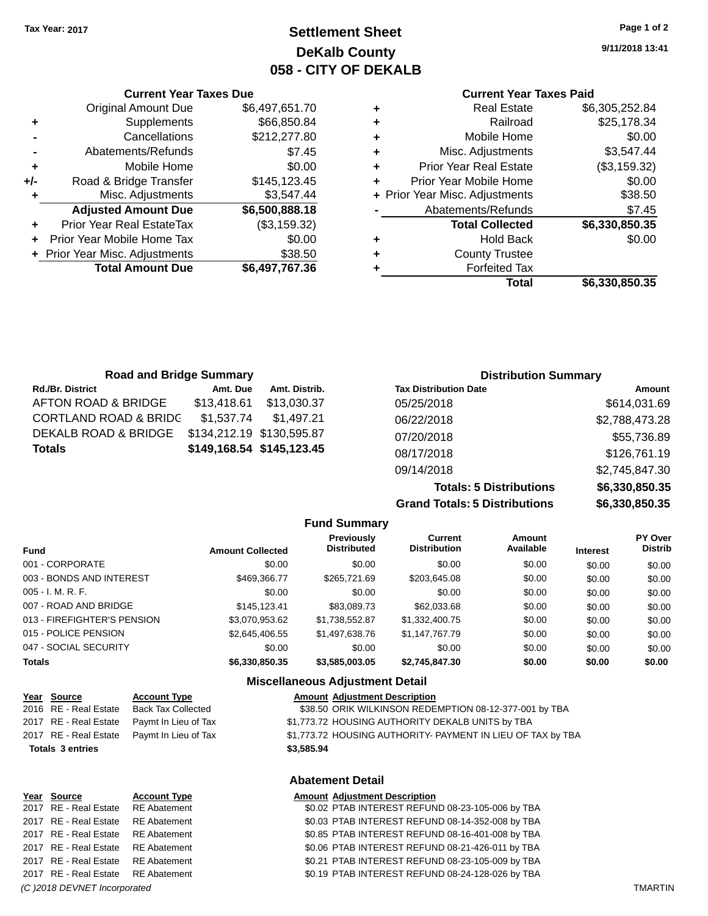**Current Year Taxes Due**

### **Settlement Sheet Tax Year: 2017 Page 1 of 2 DeKalb County 058 - CITY OF DEKALB**

**9/11/2018 13:41**

#### **Current Year Taxes Paid**

|     |                                |                |   | Total                          | \$6,330,850.35 |
|-----|--------------------------------|----------------|---|--------------------------------|----------------|
|     | <b>Total Amount Due</b>        | \$6,497,767.36 |   | <b>Forfeited Tax</b>           |                |
|     | + Prior Year Misc. Adjustments | \$38.50        | ٠ | <b>County Trustee</b>          |                |
| ÷.  | Prior Year Mobile Home Tax     | \$0.00         | ٠ | <b>Hold Back</b>               | \$0.00         |
| ÷.  | Prior Year Real EstateTax      | (\$3,159.32)   |   | <b>Total Collected</b>         | \$6,330,850.35 |
|     | <b>Adjusted Amount Due</b>     | \$6,500,888.18 |   | Abatements/Refunds             | \$7.45         |
|     | Misc. Adjustments              | \$3,547.44     |   | + Prior Year Misc. Adjustments | \$38.50        |
| +/- | Road & Bridge Transfer         | \$145,123.45   |   | Prior Year Mobile Home         | \$0.00         |
| ٠   | Mobile Home                    | \$0.00         | ٠ | <b>Prior Year Real Estate</b>  | (\$3,159.32)   |
|     | Abatements/Refunds             | \$7.45         | ٠ | Misc. Adjustments              | \$3,547.44     |
|     | Cancellations                  | \$212,277.80   | ٠ | Mobile Home                    | \$0.00         |
| ٠   | Supplements                    | \$66,850.84    | ٠ | Railroad                       | \$25,178.34    |
|     | <b>Original Amount Due</b>     | \$6,497,651.70 | ٠ | <b>Real Estate</b>             | \$6,305,252.84 |
|     |                                |                |   |                                |                |

| <b>Road and Bridge Summary</b>   |                           |                           | <b>Distribution Summary</b>  |                |  |
|----------------------------------|---------------------------|---------------------------|------------------------------|----------------|--|
| <b>Rd./Br. District</b>          | Amt. Due                  | Amt. Distrib.             | <b>Tax Distribution Date</b> | Amount         |  |
| AFTON ROAD & BRIDGE              | \$13,418.61               | \$13.030.37               | 05/25/2018                   | \$614,031.69   |  |
| <b>CORTLAND ROAD &amp; BRIDC</b> | \$1.537.74                | \$1.497.21                | 06/22/2018                   | \$2,788,473.28 |  |
| DEKALB ROAD & BRIDGE             | \$134,212.19 \$130,595.87 |                           | 07/20/2018                   | \$55,736.89    |  |
| <b>Totals</b>                    |                           | \$149,168.54 \$145,123.45 | 08/17/2018                   | \$126,761.19   |  |

**Totals: 5 Distributions \$6,330,850.35 Grand Totals: 5 Distributions \$6,330,850.35**

09/14/2018 \$2,745,847.30

|                             |                         | <b>Fund Summary</b>                     |                                       |                     |                 |                           |
|-----------------------------|-------------------------|-----------------------------------------|---------------------------------------|---------------------|-----------------|---------------------------|
| <b>Fund</b>                 | <b>Amount Collected</b> | <b>Previously</b><br><b>Distributed</b> | <b>Current</b><br><b>Distribution</b> | Amount<br>Available | <b>Interest</b> | PY Over<br><b>Distrib</b> |
| 001 - CORPORATE             | \$0.00                  | \$0.00                                  | \$0.00                                | \$0.00              | \$0.00          | \$0.00                    |
| 003 - BONDS AND INTEREST    | \$469,366.77            | \$265,721.69                            | \$203,645.08                          | \$0.00              | \$0.00          | \$0.00                    |
| 005 - I. M. R. F.           | \$0.00                  | \$0.00                                  | \$0.00                                | \$0.00              | \$0.00          | \$0.00                    |
| 007 - ROAD AND BRIDGE       | \$145.123.41            | \$83,089.73                             | \$62,033.68                           | \$0.00              | \$0.00          | \$0.00                    |
| 013 - FIREFIGHTER'S PENSION | \$3,070,953.62          | \$1,738,552.87                          | \$1,332,400.75                        | \$0.00              | \$0.00          | \$0.00                    |
| 015 - POLICE PENSION        | \$2,645,406.55          | \$1,497,638.76                          | \$1,147,767.79                        | \$0.00              | \$0.00          | \$0.00                    |
| 047 - SOCIAL SECURITY       | \$0.00                  | \$0.00                                  | \$0.00                                | \$0.00              | \$0.00          | \$0.00                    |
| <b>Totals</b>               | \$6,330,850.35          | \$3,585,003.05                          | \$2,745,847.30                        | \$0.00              | \$0.00          | \$0.00                    |

#### **Miscellaneous Adjustment Detail**

| Year Source             | <b>Account Type</b>       |            | <b>Amount Adjustment Description</b>                        |
|-------------------------|---------------------------|------------|-------------------------------------------------------------|
| 2016 RE - Real Estate   | <b>Back Tax Collected</b> |            | \$38.50 ORIK WILKINSON REDEMPTION 08-12-377-001 by TBA      |
| 2017 RE - Real Estate   | Paymt In Lieu of Tax      |            | \$1,773.72 HOUSING AUTHORITY DEKALB UNITS by TBA            |
| 2017 RE - Real Estate   | Paymt In Lieu of Tax      |            | \$1,773.72 HOUSING AUTHORITY- PAYMENT IN LIEU OF TAX by TBA |
| <b>Totals 3 entries</b> |                           | \$3,585.94 |                                                             |
|                         |                           |            | <b>Abatement Detail</b>                                     |

#### **Abatement Detail**

| Year Source                        | <b>Account Type</b> | <b>Amount Adjustment Description</b>             |
|------------------------------------|---------------------|--------------------------------------------------|
| 2017 RE - Real Estate RE Abatement |                     | \$0.02 PTAB INTEREST REFUND 08-23-105-006 by TBA |
| 2017 RE - Real Estate RE Abatement |                     | \$0.03 PTAB INTEREST REFUND 08-14-352-008 by TBA |
| 2017 RE - Real Estate RE Abatement |                     | \$0.85 PTAB INTEREST REFUND 08-16-401-008 by TBA |
| 2017 RE - Real Estate RE Abatement |                     | \$0.06 PTAB INTEREST REFUND 08-21-426-011 by TBA |
| 2017 RE - Real Estate RE Abatement |                     | \$0.21 PTAB INTEREST REFUND 08-23-105-009 by TBA |
| 2017 RE - Real Estate RE Abatement |                     | \$0.19 PTAB INTEREST REFUND 08-24-128-026 by TBA |
|                                    |                     |                                                  |

#### *(C )2018 DEVNET Incorporated* TMARTIN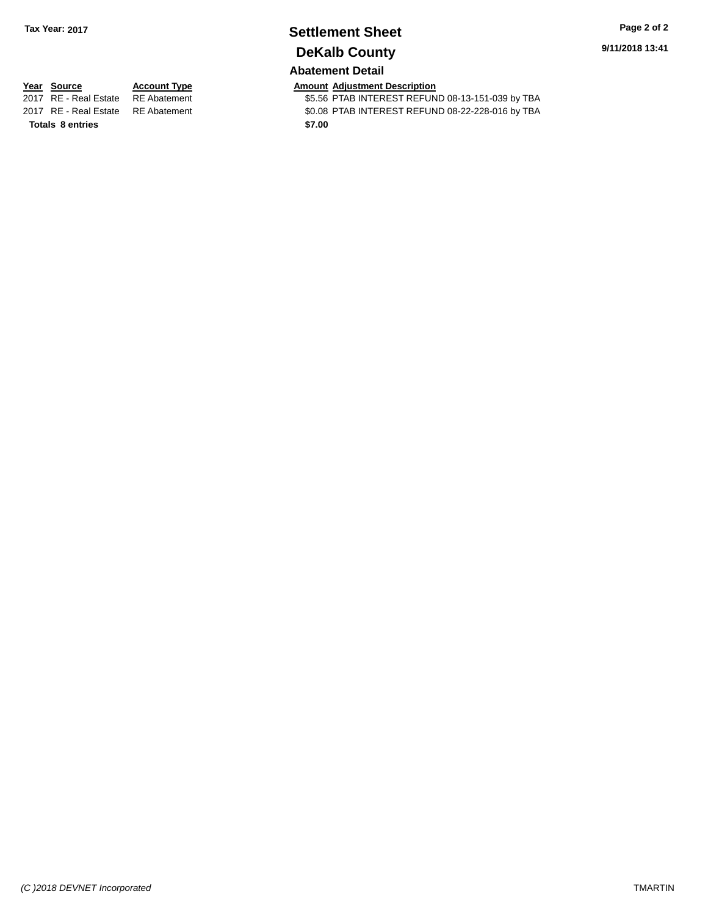### **Settlement Sheet Tax Year: 2017 Page 2 of 2 DeKalb County**

### **Abatement Detail**

**9/11/2018 13:41**

**Totals 8 entries** \$7.00

**Year Source Account Type Amount Adjustment Description**<br>2017 RE - Real Estate RE Abatement **Amount SE.56 PTAB INTEREST REFUN** \$5.56 PTAB INTEREST REFUND 08-13-151-039 by TBA 2017 RE - Real Estate RE Abatement \$0.08 PTAB INTEREST REFUND 08-22-228-016 by TBA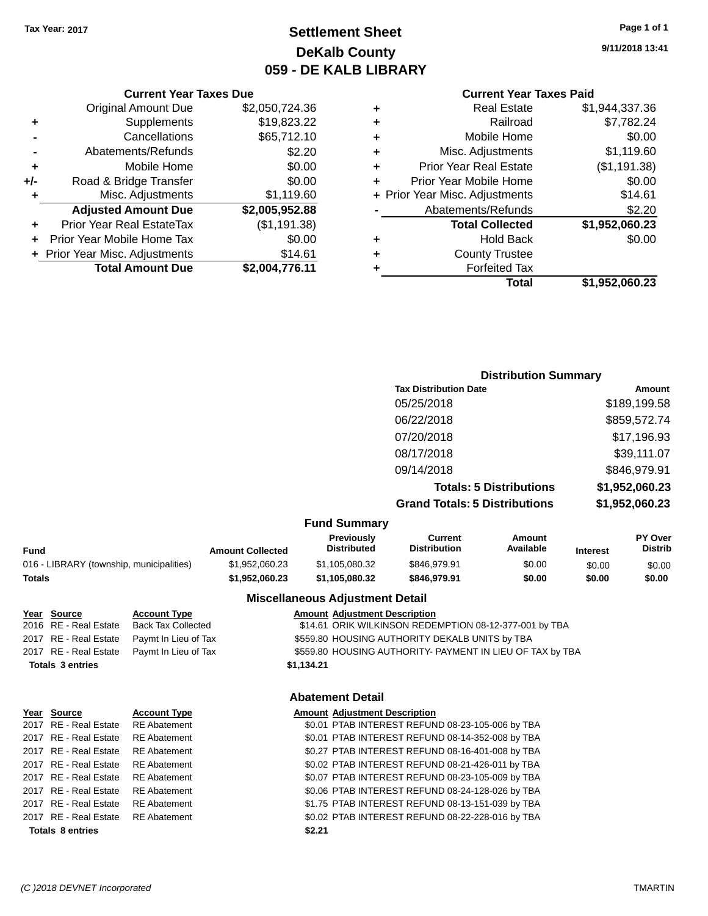**Original Amount Due** 

**Adjusted Amount Due** 

**Total Amount Due** 

**+** Supplements **-** Cancellations **-** Abatements/Refunds **+** Mobile Home **+/-** Road & Bridge Transfer **+** Misc. Adjustments

**+** Prior Year Real EstateTax **+** Prior Year Mobile Home Tax **+** Prior Year Misc. Adjustments

### **Settlement Sheet Tax Year: 2017 Page 1 of 1 DeKalb County 059 - DE KALB LIBRARY**

**9/11/2018 13:41**

**Total \$1,952,060.23**

### **Current Year Taxes Paid**

| <b>Current Year Taxes Due</b> |                |   | <b>Current Year Taxes Paid</b> |                |
|-------------------------------|----------------|---|--------------------------------|----------------|
| ıl Amount Due                 | \$2,050,724.36 | ÷ | <b>Real Estate</b>             | \$1,944,337.36 |
| <b>Supplements</b>            | \$19,823.22    | ÷ | Railroad                       | \$7,782.24     |
| Cancellations                 | \$65,712.10    | ÷ | Mobile Home                    | \$0.00         |
| ents/Refunds                  | \$2.20         | ÷ | Misc. Adjustments              | \$1,119.60     |
| Mobile Home                   | \$0.00         | ÷ | <b>Prior Year Real Estate</b>  | (\$1,191.38)   |
| ridge Transfer                | \$0.00         | ÷ | Prior Year Mobile Home         | \$0.00         |
| . Adjustments                 | \$1,119.60     |   | + Prior Year Misc. Adjustments | \$14.61        |
| <b>Amount Due</b>             | \$2,005,952.88 |   | Abatements/Refunds             | \$2.20         |
| eal EstateTax:                | (\$1,191.38)   |   | <b>Total Collected</b>         | \$1,952,060.23 |
| pile Home Tax                 | \$0.00         | ٠ | <b>Hold Back</b>               | \$0.00         |
| . Adjustments                 | \$14.61        | ÷ | <b>County Trustee</b>          |                |
| <b>Amount Due</b>             | \$2,004,776.11 | ٠ | <b>Forfeited Tax</b>           |                |
|                               |                |   | Total                          | \$1,952,060.23 |

### **Distribution Summary Tax Distribution Date Amount** 05/25/2018 \$189,199.58 06/22/2018 \$859,572.74 07/20/2018 \$17,196.93 08/17/2018 \$39,111.07 09/14/2018 \$846,979.91 **Totals: 5 Distributions \$1,952,060.23 Grand Totals: 5 Distributions \$1,952,060.23**

#### **Fund Summary**

| Fund                                     | <b>Amount Collected</b> | <b>Previously</b><br><b>Distributed</b> | Current<br><b>Distribution</b> | Amount<br>Available | <b>Interest</b> | <b>PY Over</b><br><b>Distrib</b> |
|------------------------------------------|-------------------------|-----------------------------------------|--------------------------------|---------------------|-----------------|----------------------------------|
| 016 - LIBRARY (township, municipalities) | \$1,952,060.23          | \$1.105.080.32                          | \$846.979.91                   | \$0.00              | \$0.00          | \$0.00                           |
| Totals                                   | \$1.952.060.23          | \$1.105.080.32                          | \$846,979.91                   | \$0.00              | \$0.00          | \$0.00                           |
|                                          |                         |                                         |                                |                     |                 |                                  |

#### **Miscellaneous Adjustment Detail**

| Year Source             | <b>Account Type</b>       | <b>Amount Adjustment Description</b>                      |
|-------------------------|---------------------------|-----------------------------------------------------------|
| 2016 RE - Real Estate   | <b>Back Tax Collected</b> | \$14.61 ORIK WILKINSON REDEMPTION 08-12-377-001 by TBA    |
| 2017 RE - Real Estate   | Paymt In Lieu of Tax      | \$559.80 HOUSING AUTHORITY DEKALB UNITS by TBA            |
| 2017 RE - Real Estate   | Paymt In Lieu of Tax      | \$559.80 HOUSING AUTHORITY- PAYMENT IN LIEU OF TAX by TBA |
| <b>Totals 3 entries</b> |                           | \$1,134.21                                                |
|                         |                           |                                                           |
|                         |                           |                                                           |

### **Abatement Detail**

| Year Source             | <b>Account Type</b> |        | <b>Amount Adjustment Description</b>             |
|-------------------------|---------------------|--------|--------------------------------------------------|
| 2017 RE - Real Estate   | <b>RE</b> Abatement |        | \$0.01 PTAB INTEREST REFUND 08-23-105-006 by TBA |
| 2017 RE - Real Estate   | <b>RE</b> Abatement |        | \$0.01 PTAB INTEREST REFUND 08-14-352-008 by TBA |
| 2017 RE - Real Estate   | <b>RE</b> Abatement |        | \$0.27 PTAB INTEREST REFUND 08-16-401-008 by TBA |
| 2017 RE - Real Estate   | <b>RE</b> Abatement |        | \$0.02 PTAB INTEREST REFUND 08-21-426-011 by TBA |
| 2017 RE - Real Estate   | <b>RE</b> Abatement |        | \$0.07 PTAB INTEREST REFUND 08-23-105-009 by TBA |
| 2017 RE - Real Estate   | <b>RE</b> Abatement |        | \$0.06 PTAB INTEREST REFUND 08-24-128-026 by TBA |
| 2017 RE - Real Estate   | <b>RE</b> Abatement |        | \$1.75 PTAB INTEREST REFUND 08-13-151-039 by TBA |
| 2017 RE - Real Estate   | <b>RE</b> Abatement |        | \$0.02 PTAB INTEREST REFUND 08-22-228-016 by TBA |
| <b>Totals 8 entries</b> |                     | \$2.21 |                                                  |
|                         |                     |        |                                                  |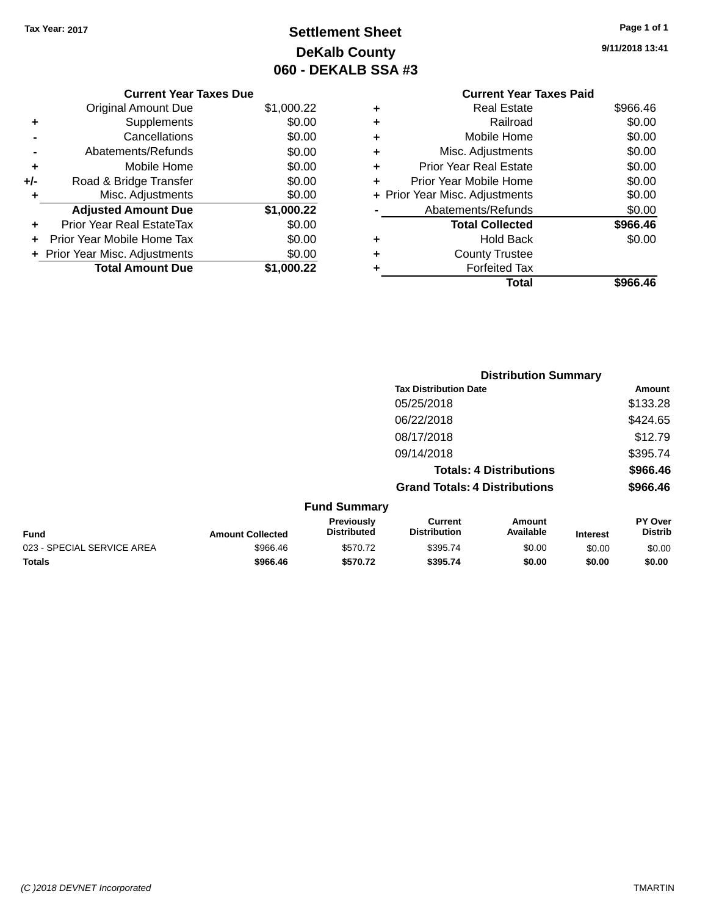### **Settlement Sheet Tax Year: 2017 Page 1 of 1 DeKalb County 060 - DEKALB SSA #3**

**9/11/2018 13:41**

|   | <b>Current Year Taxes Paid</b> |          |
|---|--------------------------------|----------|
| ٠ | Real Estate                    | \$966.46 |
| ٠ | Railroad                       | \$0.00   |
| ٠ | Mobile Home                    | \$0.00   |
| ٠ | Misc. Adjustments              | \$0.00   |
| ٠ | <b>Prior Year Real Estate</b>  | \$0.00   |
| ٠ | Prior Year Mobile Home         | \$0.00   |
|   | + Prior Year Misc. Adjustments | \$0.00   |
|   | Abatements/Refunds             | \$0.00   |
|   | <b>Total Collected</b>         | \$966.46 |
| ٠ | <b>Hold Back</b>               | \$0.00   |
|   | <b>County Trustee</b>          |          |
| ٠ | <b>Forfeited Tax</b>           |          |
|   | Total                          | \$966.46 |

|     | <b>Current Year Taxes Due</b>    |            |
|-----|----------------------------------|------------|
|     | <b>Original Amount Due</b>       | \$1,000.22 |
| ٠   | Supplements                      | \$0.00     |
|     | Cancellations                    | \$0.00     |
|     | Abatements/Refunds               | \$0.00     |
| ٠   | Mobile Home                      | \$0.00     |
| +/- | Road & Bridge Transfer           | \$0.00     |
| ٠   | Misc. Adjustments                | \$0.00     |
|     | <b>Adjusted Amount Due</b>       | \$1,000.22 |
|     | <b>Prior Year Real EstateTax</b> | \$0.00     |
|     | Prior Year Mobile Home Tax       | \$0.00     |
|     | + Prior Year Misc. Adjustments   | \$0.00     |
|     | <b>Total Amount Due</b>          | \$1,000.22 |
|     |                                  |            |

|                            |                         |                                  |                                       | <b>Distribution Summary</b>    |                 |                           |
|----------------------------|-------------------------|----------------------------------|---------------------------------------|--------------------------------|-----------------|---------------------------|
|                            |                         |                                  | <b>Tax Distribution Date</b>          |                                |                 | Amount                    |
|                            |                         |                                  | 05/25/2018                            |                                |                 | \$133.28                  |
|                            |                         |                                  | 06/22/2018                            |                                |                 | \$424.65                  |
|                            |                         |                                  | 08/17/2018                            |                                |                 | \$12.79                   |
|                            |                         |                                  | 09/14/2018                            |                                |                 | \$395.74                  |
|                            |                         |                                  |                                       | <b>Totals: 4 Distributions</b> |                 | \$966.46                  |
|                            |                         |                                  | <b>Grand Totals: 4 Distributions</b>  |                                |                 | \$966.46                  |
|                            |                         | <b>Fund Summary</b>              |                                       |                                |                 |                           |
| <b>Fund</b>                | <b>Amount Collected</b> | Previously<br><b>Distributed</b> | <b>Current</b><br><b>Distribution</b> | Amount<br>Available            | <b>Interest</b> | PY Over<br><b>Distrib</b> |
| 023 - SPECIAL SERVICE AREA | \$966.46                | \$570.72                         | \$395.74                              | \$0.00                         | \$0.00          | \$0.00                    |

**Totals \$966.46 \$570.72 \$395.74 \$0.00 \$0.00 \$0.00**

#### *(C )2018 DEVNET Incorporated* TMARTIN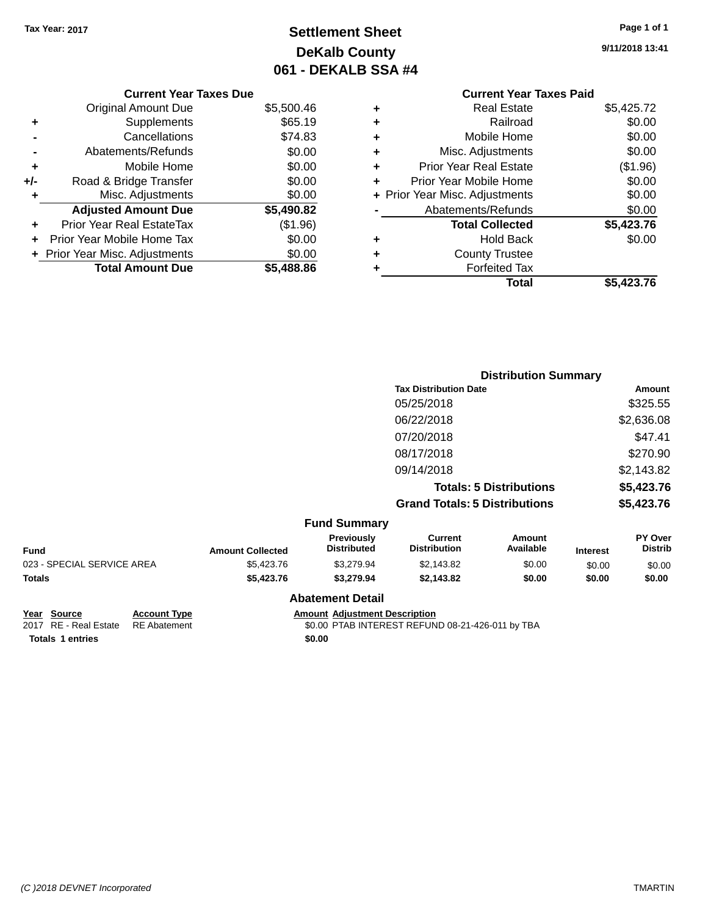### **Settlement Sheet Tax Year: 2017 Page 1 of 1 DeKalb County 061 - DEKALB SSA #4**

**9/11/2018 13:41**

|   | <b>Current Year Taxes Paid</b> |            |
|---|--------------------------------|------------|
| ٠ | <b>Real Estate</b>             | \$5,425.72 |
| ٠ | Railroad                       | \$0.00     |
| ٠ | Mobile Home                    | \$0.00     |
| ٠ | Misc. Adjustments              | \$0.00     |
| ٠ | <b>Prior Year Real Estate</b>  | (\$1.96)   |
| ÷ | Prior Year Mobile Home         | \$0.00     |
|   | + Prior Year Misc. Adjustments | \$0.00     |
|   | Abatements/Refunds             | \$0.00     |
|   | <b>Total Collected</b>         | \$5,423.76 |
| ٠ | <b>Hold Back</b>               | \$0.00     |
|   | <b>County Trustee</b>          |            |
|   | <b>Forfeited Tax</b>           |            |
|   | Total                          | \$5.423.76 |

|     | <b>Current Year Taxes Due</b>    |            |
|-----|----------------------------------|------------|
|     | <b>Original Amount Due</b>       | \$5,500.46 |
| ٠   | Supplements                      | \$65.19    |
|     | Cancellations                    | \$74.83    |
|     | Abatements/Refunds               | \$0.00     |
| ٠   | Mobile Home                      | \$0.00     |
| +/- | Road & Bridge Transfer           | \$0.00     |
| ٠   | Misc. Adjustments                | \$0.00     |
|     | <b>Adjusted Amount Due</b>       | \$5,490.82 |
|     | <b>Prior Year Real EstateTax</b> | (\$1.96)   |
|     | Prior Year Mobile Home Tax       | \$0.00     |
|     | + Prior Year Misc. Adjustments   | \$0.00     |
|     | <b>Total Amount Due</b>          | \$5.488.86 |
|     |                                  |            |

|                         |                                  |                                       | <b>Distribution Summary</b>    |          |                           |
|-------------------------|----------------------------------|---------------------------------------|--------------------------------|----------|---------------------------|
|                         |                                  | <b>Tax Distribution Date</b>          |                                |          | Amount                    |
|                         |                                  | 05/25/2018                            |                                |          | \$325.55                  |
|                         |                                  | 06/22/2018                            |                                |          | \$2,636.08                |
|                         |                                  | 07/20/2018                            |                                |          | \$47.41                   |
|                         |                                  | 08/17/2018                            |                                |          | \$270.90                  |
|                         |                                  | 09/14/2018                            |                                |          | \$2,143.82                |
|                         |                                  |                                       | <b>Totals: 5 Distributions</b> |          | \$5,423.76                |
|                         |                                  | <b>Grand Totals: 5 Distributions</b>  |                                |          | \$5,423.76                |
|                         | <b>Fund Summary</b>              |                                       |                                |          |                           |
| <b>Amount Collected</b> | Previously<br><b>Distributed</b> | <b>Current</b><br><b>Distribution</b> | Amount<br>Available            | Interest | PY Over<br><b>Distrib</b> |

| Fund                       | <b>Amount Collected</b> | <b>Previously</b><br><b>Distributed</b> | Current<br><b>Distribution</b> | Amount<br>Available | <b>Interest</b> | <b>PY Over</b><br><b>Distrib</b> |
|----------------------------|-------------------------|-----------------------------------------|--------------------------------|---------------------|-----------------|----------------------------------|
| 023 - SPECIAL SERVICE AREA | \$5,423.76              | \$3.279.94                              | \$2.143.82                     | \$0.00              | \$0.00          | \$0.00                           |
| Totals                     | \$5,423,76              | \$3.279.94                              | \$2,143.82                     | \$0.00              | \$0.00          | \$0.00                           |
|                            |                         | <b>Abatement Detail</b>                 |                                |                     |                 |                                  |

**Totals 1 entries** \$0.00

**Year Source Account Type Amount Adjustment Description**<br>2017 RE - Real Estate RE Abatement \$0.00 PTAB INTEREST REFUN \$0.00 PTAB INTEREST REFUND 08-21-426-011 by TBA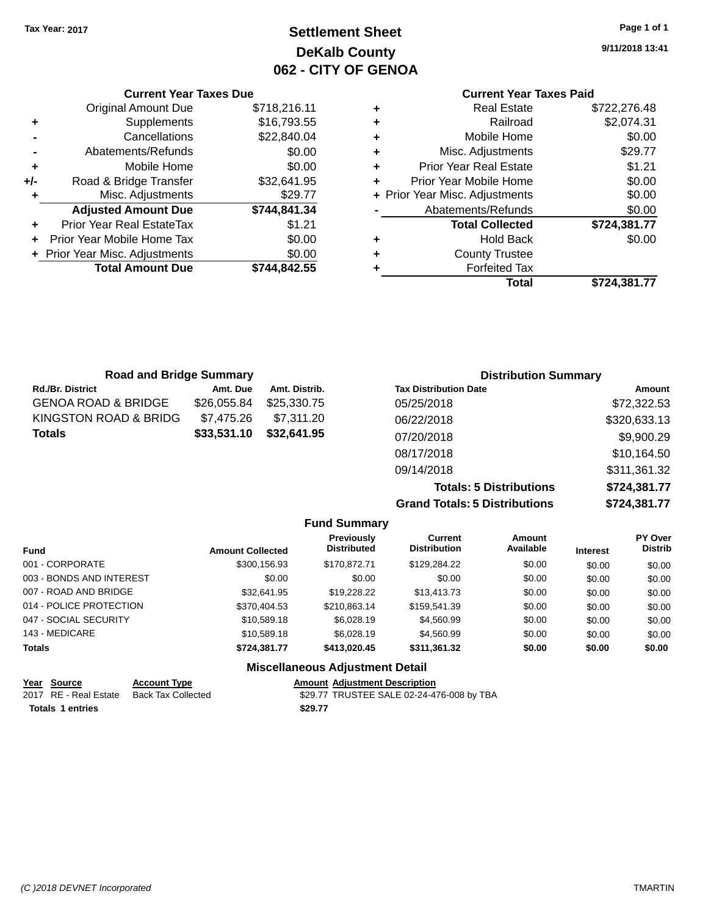### **Settlement Sheet Tax Year: 2017 Page 1 of 1 DeKalb County 062 - CITY OF GENOA**

**9/11/2018 13:41**

## **Current Year Taxes Paid**

|     | <b>Current Year Taxes Due</b>  |              |
|-----|--------------------------------|--------------|
|     | <b>Original Amount Due</b>     | \$718,216.11 |
| ٠   | Supplements                    | \$16,793.55  |
|     | Cancellations                  | \$22,840.04  |
|     | Abatements/Refunds             | \$0.00       |
| ٠   | Mobile Home                    | \$0.00       |
| +/- | Road & Bridge Transfer         | \$32,641.95  |
| ٠   | Misc. Adjustments              | \$29.77      |
|     | <b>Adjusted Amount Due</b>     | \$744,841.34 |
|     | Prior Year Real EstateTax      | \$1.21       |
|     | Prior Year Mobile Home Tax     | \$0.00       |
|     | + Prior Year Misc. Adjustments | \$0.00       |
|     | <b>Total Amount Due</b>        | \$744.842.55 |
|     |                                |              |

| ٠ | <b>Real Estate</b>             | \$722,276.48 |
|---|--------------------------------|--------------|
| ٠ | Railroad                       | \$2,074.31   |
| ٠ | Mobile Home                    | \$0.00       |
| ٠ | Misc. Adjustments              | \$29.77      |
| ٠ | <b>Prior Year Real Estate</b>  | \$1.21       |
| ٠ | Prior Year Mobile Home         | \$0.00       |
|   | + Prior Year Misc. Adjustments | \$0.00       |
|   | Abatements/Refunds             | \$0.00       |
|   | <b>Total Collected</b>         | \$724,381.77 |
| ٠ | Hold Back                      | \$0.00       |
| ٠ | <b>County Trustee</b>          |              |
| ٠ | <b>Forfeited Tax</b>           |              |
|   | Total                          | \$724,381.77 |
|   |                                |              |

| <b>Road and Bridge Summary</b> |             |               | <b>Distribution Summary</b>  |              |  |
|--------------------------------|-------------|---------------|------------------------------|--------------|--|
| <b>Rd./Br. District</b>        | Amt. Due    | Amt. Distrib. | <b>Tax Distribution Date</b> | Amount       |  |
| <b>GENOA ROAD &amp; BRIDGE</b> | \$26,055.84 | \$25,330,75   | 05/25/2018                   | \$72,322.53  |  |
| KINGSTON ROAD & BRIDG          | \$7,475.26  | \$7.311.20    | 06/22/2018                   | \$320,633.13 |  |
| <b>Totals</b>                  | \$33,531.10 | \$32,641.95   | 07/20/2018                   | \$9,900.29   |  |
|                                |             |               | 08/17/2018                   | \$10,164.50  |  |
|                                |             |               | 09/14/2018                   | \$311,361.32 |  |

**Totals: 5 Distributions \$724,381.77 Grand Totals: 5 Distributions \$724,381.77**

|                          |                         | <b>Fund Summary</b>                     |                                       |                            |                 |                           |
|--------------------------|-------------------------|-----------------------------------------|---------------------------------------|----------------------------|-----------------|---------------------------|
| <b>Fund</b>              | <b>Amount Collected</b> | <b>Previously</b><br><b>Distributed</b> | <b>Current</b><br><b>Distribution</b> | <b>Amount</b><br>Available | <b>Interest</b> | PY Over<br><b>Distrib</b> |
| 001 - CORPORATE          | \$300,156.93            | \$170,872.71                            | \$129,284.22                          | \$0.00                     | \$0.00          | \$0.00                    |
| 003 - BONDS AND INTEREST | \$0.00                  | \$0.00                                  | \$0.00                                | \$0.00                     | \$0.00          | \$0.00                    |
| 007 - ROAD AND BRIDGE    | \$32.641.95             | \$19,228.22                             | \$13,413.73                           | \$0.00                     | \$0.00          | \$0.00                    |
| 014 - POLICE PROTECTION  | \$370.404.53            | \$210.863.14                            | \$159.541.39                          | \$0.00                     | \$0.00          | \$0.00                    |
| 047 - SOCIAL SECURITY    | \$10,589.18             | \$6,028.19                              | \$4,560.99                            | \$0.00                     | \$0.00          | \$0.00                    |
| 143 - MEDICARE           | \$10,589.18             | \$6,028.19                              | \$4,560.99                            | \$0.00                     | \$0.00          | \$0.00                    |
| <b>Totals</b>            | \$724.381.77            | \$413.020.45                            | \$311,361.32                          | \$0.00                     | \$0.00          | \$0.00                    |
|                          |                         | <b>Miscellaneous Adjustment Detail</b>  |                                       |                            |                 |                           |

| Year Source             | <b>Account Type</b> | <b>Amount Adiustment Description</b>      |
|-------------------------|---------------------|-------------------------------------------|
| 2017 RE - Real Estate   | Back Tax Collected  | \$29.77 TRUSTEE SALE 02-24-476-008 by TBA |
| <b>Totals 1 entries</b> |                     | \$29.77                                   |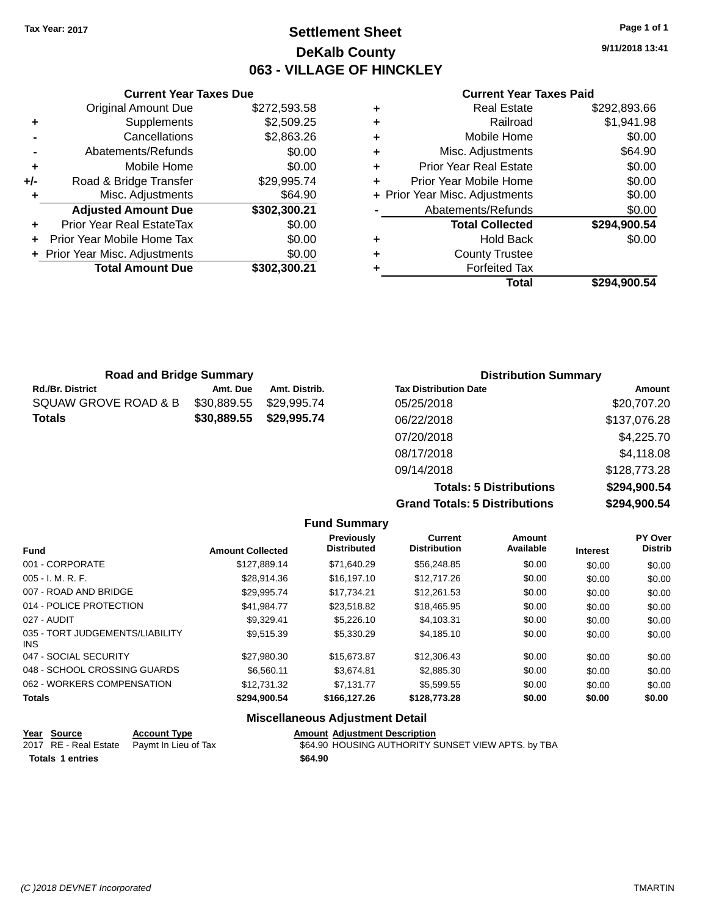### **Settlement Sheet Tax Year: 2017 Page 1 of 1 DeKalb County 063 - VILLAGE OF HINCKLEY**

**9/11/2018 13:41**

|     | <b>Current Year Taxes Due</b>  |              |   |
|-----|--------------------------------|--------------|---|
|     | <b>Original Amount Due</b>     | \$272,593.58 | ٠ |
| ٠   | Supplements                    | \$2,509.25   | ٠ |
|     | Cancellations                  | \$2,863.26   | ٠ |
|     | Abatements/Refunds             | \$0.00       | ٠ |
|     | Mobile Home                    | \$0.00       | ٠ |
| +/- | Road & Bridge Transfer         | \$29,995.74  | ٠ |
|     | Misc. Adjustments              | \$64.90      | ٠ |
|     | <b>Adjusted Amount Due</b>     | \$302,300.21 |   |
| ٠   | Prior Year Real EstateTax      | \$0.00       |   |
|     | Prior Year Mobile Home Tax     | \$0.00       | ٠ |
|     | + Prior Year Misc. Adjustments | \$0.00       |   |
|     | <b>Total Amount Due</b>        | \$302,300.21 |   |
|     |                                |              |   |

|   | <b>Real Estate</b>             | \$292,893.66 |
|---|--------------------------------|--------------|
| ٠ | Railroad                       | \$1,941.98   |
| ٠ | Mobile Home                    | \$0.00       |
| ٠ | Misc. Adjustments              | \$64.90      |
| ٠ | <b>Prior Year Real Estate</b>  | \$0.00       |
| ٠ | Prior Year Mobile Home         | \$0.00       |
|   | + Prior Year Misc. Adjustments | \$0.00       |
|   | Abatements/Refunds             | \$0.00       |
|   | <b>Total Collected</b>         | \$294,900.54 |
| ٠ | <b>Hold Back</b>               | \$0.00       |
| ٠ | <b>County Trustee</b>          |              |
|   | <b>Forfeited Tax</b>           |              |
|   | Total                          | \$294,900.54 |
|   |                                |              |

| <b>Road and Bridge Summary</b> |             |               | <b>Distribution Summary</b>    |                  |  |
|--------------------------------|-------------|---------------|--------------------------------|------------------|--|
| Rd./Br. District               | Amt. Due    | Amt. Distrib. | <b>Tax Distribution Date</b>   | Amount           |  |
| SQUAW GROVE ROAD & B           | \$30,889.55 | \$29,995.74   | 05/25/2018                     | \$20,707.20      |  |
| Totals                         | \$30,889.55 | \$29.995.74   | 06/22/2018                     | \$137,076.28     |  |
|                                |             |               | 07/20/2018                     | \$4,225.70       |  |
|                                |             |               | 08/17/2018                     | \$4,118.08       |  |
|                                |             |               | 09/14/2018                     | \$128,773.28     |  |
|                                |             |               | <b>Totale: 5 Dictributione</b> | $$20A$$ and $5A$ |  |

**Totals: 5 Distributions \$294,900.54 Grand Totals: 5 Distributions \$294,900.54**

|                                         |                         |                                         | Grand Totals: 5 Distributions         |                     | \$294,900.54    |                           |
|-----------------------------------------|-------------------------|-----------------------------------------|---------------------------------------|---------------------|-----------------|---------------------------|
|                                         |                         | <b>Fund Summary</b>                     |                                       |                     |                 |                           |
| <b>Fund</b>                             | <b>Amount Collected</b> | <b>Previously</b><br><b>Distributed</b> | <b>Current</b><br><b>Distribution</b> | Amount<br>Available | <b>Interest</b> | PY Over<br><b>Distrib</b> |
| 001 - CORPORATE                         | \$127,889.14            | \$71,640.29                             | \$56,248.85                           | \$0.00              | \$0.00          | \$0.00                    |
| $005 - I. M. R. F.$                     | \$28.914.36             | \$16,197.10                             | \$12,717.26                           | \$0.00              | \$0.00          | \$0.00                    |
| 007 - ROAD AND BRIDGE                   | \$29,995.74             | \$17,734.21                             | \$12,261.53                           | \$0.00              | \$0.00          | \$0.00                    |
| 014 - POLICE PROTECTION                 | \$41.984.77             | \$23,518.82                             | \$18,465.95                           | \$0.00              | \$0.00          | \$0.00                    |
| 027 - AUDIT                             | \$9,329.41              | \$5,226.10                              | \$4,103.31                            | \$0.00              | \$0.00          | \$0.00                    |
| 035 - TORT JUDGEMENTS/LIABILITY<br>INS. | \$9,515.39              | \$5,330.29                              | \$4,185.10                            | \$0.00              | \$0.00          | \$0.00                    |
| 047 - SOCIAL SECURITY                   | \$27,980.30             | \$15,673.87                             | \$12,306.43                           | \$0.00              | \$0.00          | \$0.00                    |
| 048 - SCHOOL CROSSING GUARDS            | \$6,560.11              | \$3,674.81                              | \$2,885.30                            | \$0.00              | \$0.00          | \$0.00                    |
| 062 - WORKERS COMPENSATION              | \$12,731.32             | \$7,131.77                              | \$5,599.55                            | \$0.00              | \$0.00          | \$0.00                    |
| Totals                                  | \$294,900.54            | \$166,127.26                            | \$128,773.28                          | \$0.00              | \$0.00          | \$0.00                    |
|                                         |                         | Missellanes: a Adjustment Datail        |                                       |                     |                 |                           |

#### **Miscellaneous Adjustment Detail**

|                         | <u>Year Source</u> | <b>Account Type</b>                        | <b>Amount Adjustment Description</b>               |
|-------------------------|--------------------|--------------------------------------------|----------------------------------------------------|
|                         |                    | 2017 RE - Real Estate Paymt In Lieu of Tax | \$64.90 HOUSING AUTHORITY SUNSET VIEW APTS. by TBA |
| <b>Totals 1 entries</b> |                    |                                            | \$64.90                                            |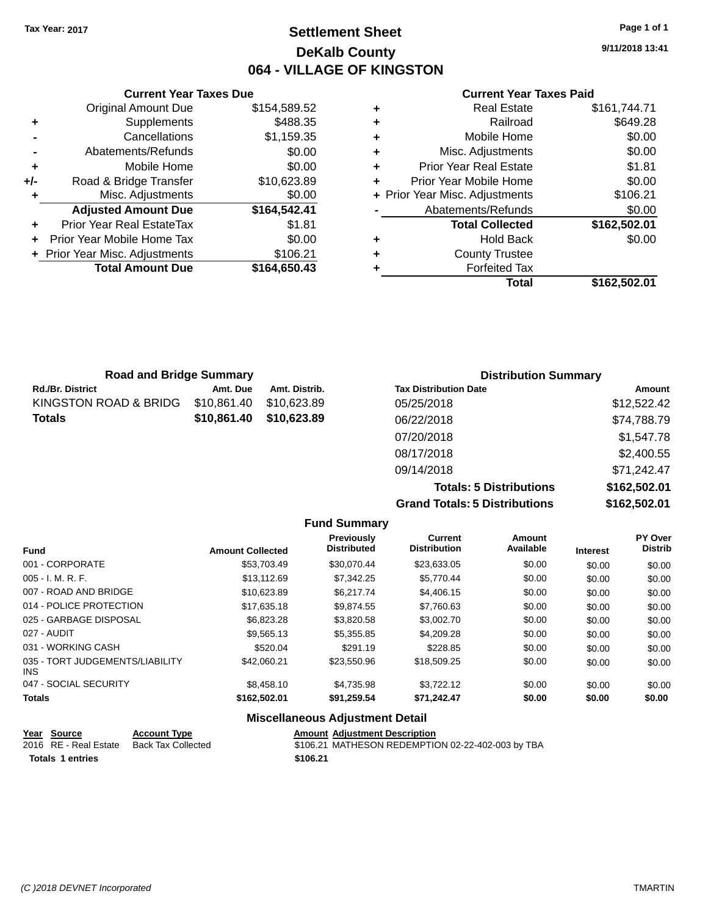### **Settlement Sheet Tax Year: 2017 Page 1 of 1 DeKalb County 064 - VILLAGE OF KINGSTON**

**9/11/2018 13:41**

#### **Current Year Taxes Paid**

|     | <b>Current Year Taxes Due</b>    |              |  |  |  |
|-----|----------------------------------|--------------|--|--|--|
|     | <b>Original Amount Due</b>       | \$154,589.52 |  |  |  |
| ٠   | Supplements                      | \$488.35     |  |  |  |
|     | Cancellations                    | \$1,159.35   |  |  |  |
|     | Abatements/Refunds               | \$0.00       |  |  |  |
| ٠   | Mobile Home                      | \$0.00       |  |  |  |
| +/- | Road & Bridge Transfer           | \$10,623.89  |  |  |  |
|     | Misc. Adjustments                | \$0.00       |  |  |  |
|     | <b>Adjusted Amount Due</b>       | \$164,542.41 |  |  |  |
|     | <b>Prior Year Real EstateTax</b> | \$1.81       |  |  |  |
|     | Prior Year Mobile Home Tax       | \$0.00       |  |  |  |
|     | + Prior Year Misc. Adjustments   | \$106.21     |  |  |  |
|     | <b>Total Amount Due</b>          | \$164,650.43 |  |  |  |
|     |                                  |              |  |  |  |

| ٠ | <b>Real Estate</b>             | \$161,744.71 |
|---|--------------------------------|--------------|
| ٠ | Railroad                       | \$649.28     |
| ٠ | Mobile Home                    | \$0.00       |
| ٠ | Misc. Adjustments              | \$0.00       |
| ٠ | <b>Prior Year Real Estate</b>  | \$1.81       |
| ٠ | Prior Year Mobile Home         | \$0.00       |
|   | + Prior Year Misc. Adjustments | \$106.21     |
|   | Abatements/Refunds             | \$0.00       |
|   | <b>Total Collected</b>         | \$162,502.01 |
| ٠ | <b>Hold Back</b>               | \$0.00       |
| ٠ | <b>County Trustee</b>          |              |
| ٠ | <b>Forfeited Tax</b>           |              |
|   | Total                          | \$162,502.01 |
|   |                                |              |

| <b>Road and Bridge Summary</b> |             |               | <b>Distribution Summary</b>  |             |
|--------------------------------|-------------|---------------|------------------------------|-------------|
| Rd./Br. District               | Amt. Due    | Amt. Distrib. | <b>Tax Distribution Date</b> | Amount      |
| KINGSTON ROAD & BRIDG          | \$10,861.40 | \$10,623.89   | 05/25/2018                   | \$12,522.42 |
| Totals                         | \$10.861.40 | \$10,623,89   | 06/22/2018                   | \$74,788.79 |
|                                |             |               | 07/20/2018                   | \$1,547.78  |
|                                |             |               | 08/17/2018                   | \$2,400.55  |
|                                |             |               | 09/14/2018                   | \$71,242.47 |

**Totals: 5 Distributions \$162,502.01 Grand Totals: 5 Distributions \$162,502.01**

|                                         |                         | <b>Fund Summary</b>              |                                |                     |                 |                           |
|-----------------------------------------|-------------------------|----------------------------------|--------------------------------|---------------------|-----------------|---------------------------|
| <b>Fund</b>                             | <b>Amount Collected</b> | Previously<br><b>Distributed</b> | Current<br><b>Distribution</b> | Amount<br>Available | <b>Interest</b> | PY Over<br><b>Distrib</b> |
| 001 - CORPORATE                         | \$53,703.49             | \$30.070.44                      | \$23,633.05                    | \$0.00              | \$0.00          | \$0.00                    |
| $005 - I. M. R. F.$                     | \$13,112.69             | \$7.342.25                       | \$5,770.44                     | \$0.00              | \$0.00          | \$0.00                    |
| 007 - ROAD AND BRIDGE                   | \$10,623.89             | \$6,217.74                       | \$4,406.15                     | \$0.00              | \$0.00          | \$0.00                    |
| 014 - POLICE PROTECTION                 | \$17,635.18             | \$9,874.55                       | \$7,760.63                     | \$0.00              | \$0.00          | \$0.00                    |
| 025 - GARBAGE DISPOSAL                  | \$6,823.28              | \$3,820.58                       | \$3,002.70                     | \$0.00              | \$0.00          | \$0.00                    |
| 027 - AUDIT                             | \$9,565.13              | \$5,355.85                       | \$4,209.28                     | \$0.00              | \$0.00          | \$0.00                    |
| 031 - WORKING CASH                      | \$520.04                | \$291.19                         | \$228.85                       | \$0.00              | \$0.00          | \$0.00                    |
| 035 - TORT JUDGEMENTS/LIABILITY<br>INS. | \$42,060.21             | \$23,550.96                      | \$18,509.25                    | \$0.00              | \$0.00          | \$0.00                    |
| 047 - SOCIAL SECURITY                   | \$8,458,10              | \$4,735.98                       | \$3.722.12                     | \$0.00              | \$0.00          | \$0.00                    |
| <b>Totals</b>                           | \$162,502.01            | \$91,259.54                      | \$71,242.47                    | \$0.00              | \$0.00          | \$0.00                    |
|                                         | --- --                  |                                  |                                |                     |                 |                           |

#### **Miscellaneous Adjustment Detail**

| <u>Year Source</u>      | <b>Account Type</b> | <b>Amount Adiustment Description</b>              |
|-------------------------|---------------------|---------------------------------------------------|
| 2016 RE - Real Estate   | Back Tax Collected  | \$106.21 MATHESON REDEMPTION 02-22-402-003 by TBA |
| <b>Totals 1 entries</b> |                     | \$106.21                                          |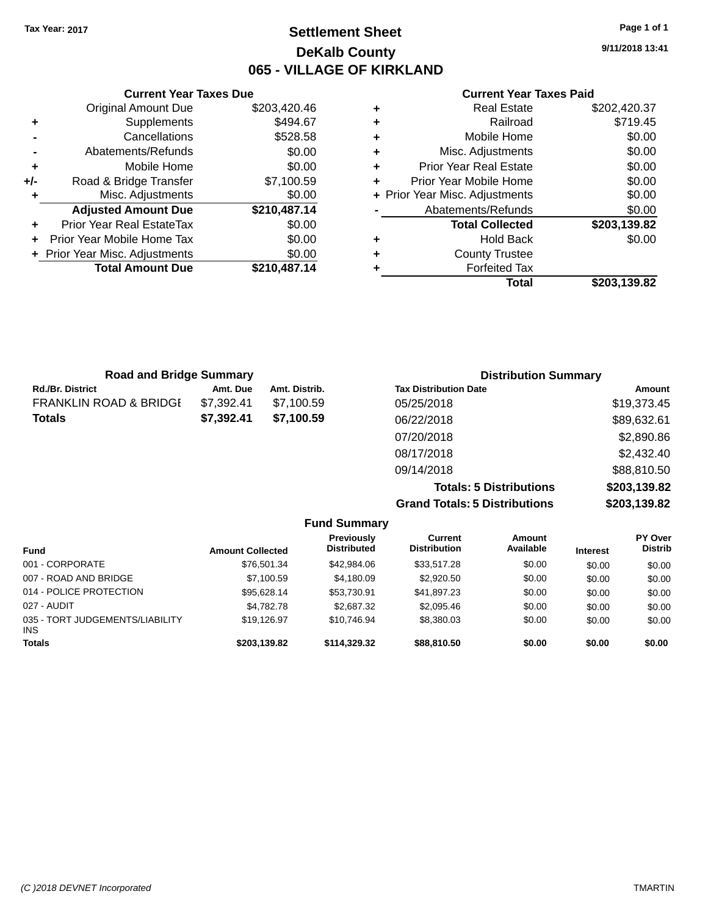### **Settlement Sheet Tax Year: 2017 Page 1 of 1 DeKalb County 065 - VILLAGE OF KIRKLAND**

**9/11/2018 13:41**

| <b>Current Year Taxes Paid</b> |  |
|--------------------------------|--|
| Real Estate                    |  |

|     | <b>Original Amount Due</b>     | \$203,420.46 |
|-----|--------------------------------|--------------|
| ٠   | Supplements                    | \$494.67     |
|     | Cancellations                  | \$528.58     |
|     | Abatements/Refunds             | \$0.00       |
| ٠   | Mobile Home                    | \$0.00       |
| +/- | Road & Bridge Transfer         | \$7,100.59   |
| ٠   | Misc. Adjustments              | \$0.00       |
|     |                                |              |
|     | <b>Adjusted Amount Due</b>     | \$210,487.14 |
| ٠   | Prior Year Real EstateTax      | \$0.00       |
| ÷   | Prior Year Mobile Home Tax     | \$0.00       |
|     | + Prior Year Misc. Adjustments | \$0.00       |
|     | <b>Total Amount Due</b>        | \$210,487.14 |

**Current Year Taxes Due**

| ٠ | <b>Real Estate</b>             | \$202,420.37 |
|---|--------------------------------|--------------|
| ٠ | Railroad                       | \$719.45     |
| ٠ | Mobile Home                    | \$0.00       |
| ٠ | Misc. Adjustments              | \$0.00       |
| ٠ | <b>Prior Year Real Estate</b>  | \$0.00       |
| ٠ | Prior Year Mobile Home         | \$0.00       |
|   | + Prior Year Misc. Adjustments | \$0.00       |
|   | Abatements/Refunds             | \$0.00       |
|   | <b>Total Collected</b>         | \$203,139.82 |
| ٠ | <b>Hold Back</b>               | \$0.00       |
| ٠ | <b>County Trustee</b>          |              |
| ٠ | <b>Forfeited Tax</b>           |              |
|   | Total                          | \$203,139.82 |
|   |                                |              |

| <b>Road and Bridge Summary</b> |            |               | <b>Distribution Summary</b>    |               |
|--------------------------------|------------|---------------|--------------------------------|---------------|
| <b>Rd./Br. District</b>        | Amt. Due   | Amt. Distrib. | <b>Tax Distribution Date</b>   | <b>Amount</b> |
| FRANKLIN ROAD & BRIDGI         | \$7,392.41 | \$7,100.59    | 05/25/2018                     | \$19,373.45   |
| Totals                         | \$7,392.41 | \$7,100.59    | 06/22/2018                     | \$89,632.61   |
|                                |            |               | 07/20/2018                     | \$2,890.86    |
|                                |            |               | 08/17/2018                     | \$2,432.40    |
|                                |            |               | 09/14/2018                     | \$88,810.50   |
|                                |            |               | <b>Totals: 5 Distributions</b> | \$203,139.82  |

**Grand Totals: 5 Distributions \$203,139.82**

|                                               |                         | <b>Fund Summary</b>                     |                                |                     |                 |                                  |
|-----------------------------------------------|-------------------------|-----------------------------------------|--------------------------------|---------------------|-----------------|----------------------------------|
| <b>Fund</b>                                   | <b>Amount Collected</b> | <b>Previously</b><br><b>Distributed</b> | Current<br><b>Distribution</b> | Amount<br>Available | <b>Interest</b> | <b>PY Over</b><br><b>Distrib</b> |
| 001 - CORPORATE                               | \$76,501.34             | \$42,984.06                             | \$33,517.28                    | \$0.00              | \$0.00          | \$0.00                           |
| 007 - ROAD AND BRIDGE                         | \$7,100.59              | \$4,180.09                              | \$2,920.50                     | \$0.00              | \$0.00          | \$0.00                           |
| 014 - POLICE PROTECTION                       | \$95,628.14             | \$53.730.91                             | \$41,897.23                    | \$0.00              | \$0.00          | \$0.00                           |
| 027 - AUDIT                                   | \$4.782.78              | \$2,687.32                              | \$2,095.46                     | \$0.00              | \$0.00          | \$0.00                           |
| 035 - TORT JUDGEMENTS/LIABILITY<br><b>INS</b> | \$19.126.97             | \$10.746.94                             | \$8,380.03                     | \$0.00              | \$0.00          | \$0.00                           |
| <b>Totals</b>                                 | \$203,139.82            | \$114,329.32                            | \$88,810,50                    | \$0.00              | \$0.00          | \$0.00                           |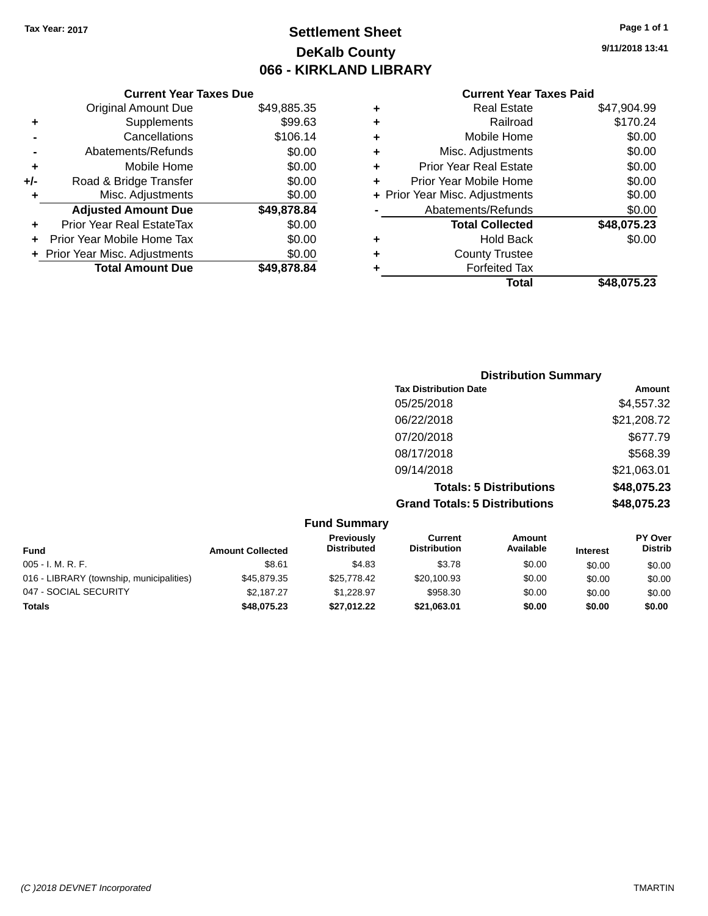### **Settlement Sheet Tax Year: 2017 Page 1 of 1 DeKalb County 066 - KIRKLAND LIBRARY**

#### **Current Year Taxes Due**

|     | <b>Original Amount Due</b>     | \$49,885.35 |
|-----|--------------------------------|-------------|
| ٠   | Supplements                    | \$99.63     |
|     | Cancellations                  | \$106.14    |
|     | Abatements/Refunds             | \$0.00      |
| ٠   | Mobile Home                    | \$0.00      |
| +/- | Road & Bridge Transfer         | \$0.00      |
| ٠   | Misc. Adjustments              | \$0.00      |
|     | <b>Adjusted Amount Due</b>     | \$49,878.84 |
| ÷   | Prior Year Real EstateTax      | \$0.00      |
|     | Prior Year Mobile Home Tax     | \$0.00      |
|     | + Prior Year Misc. Adjustments | \$0.00      |
|     | <b>Total Amount Due</b>        | \$49.878.84 |

### **Current Year Taxes Paid**

| <b>Real Estate</b>            | \$47,904.99                    |
|-------------------------------|--------------------------------|
| Railroad                      | \$170.24                       |
| Mobile Home                   | \$0.00                         |
| Misc. Adjustments             | \$0.00                         |
| <b>Prior Year Real Estate</b> | \$0.00                         |
| Prior Year Mobile Home        | \$0.00                         |
|                               | \$0.00                         |
| Abatements/Refunds            | \$0.00                         |
| <b>Total Collected</b>        | \$48,075.23                    |
| Hold Back                     | \$0.00                         |
| <b>County Trustee</b>         |                                |
| <b>Forfeited Tax</b>          |                                |
| Total                         | \$48,075.23                    |
|                               | + Prior Year Misc. Adjustments |

### **Distribution Summary Tax Distribution Date Amount** 05/25/2018 \$4,557.32 06/22/2018 \$21,208.72 07/20/2018 \$677.79 08/17/2018 \$568.39 09/14/2018 \$21,063.01 **Totals: 5 Distributions \$48,075.23 Grand Totals: 5 Distributions \$48,075.23**

| <b>Fund Summary</b>                      |                         |                                  |                                |                     |                 |                                  |
|------------------------------------------|-------------------------|----------------------------------|--------------------------------|---------------------|-----------------|----------------------------------|
| <b>Fund</b>                              | <b>Amount Collected</b> | Previously<br><b>Distributed</b> | Current<br><b>Distribution</b> | Amount<br>Available | <b>Interest</b> | <b>PY Over</b><br><b>Distrib</b> |
| $005 - I. M. R. F.$                      | \$8.61                  | \$4.83                           | \$3.78                         | \$0.00              | \$0.00          | \$0.00                           |
| 016 - LIBRARY (township, municipalities) | \$45,879.35             | \$25,778.42                      | \$20,100.93                    | \$0.00              | \$0.00          | \$0.00                           |
| 047 - SOCIAL SECURITY                    | \$2.187.27              | \$1.228.97                       | \$958.30                       | \$0.00              | \$0.00          | \$0.00                           |
| <b>Totals</b>                            | \$48,075.23             | \$27,012.22                      | \$21,063.01                    | \$0.00              | \$0.00          | \$0.00                           |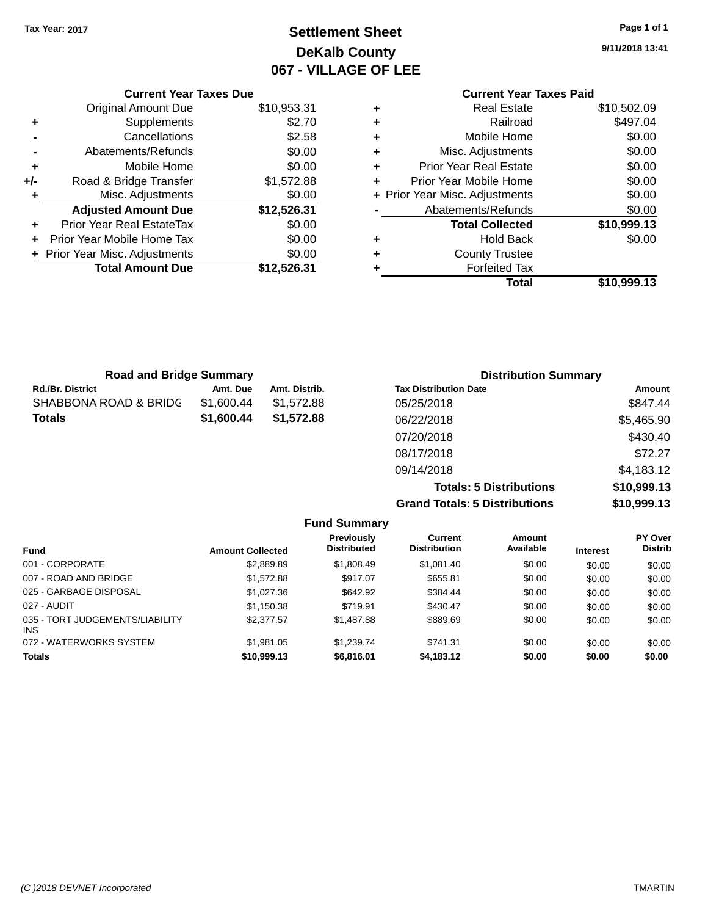### **Settlement Sheet Tax Year: 2017 Page 1 of 1 DeKalb County 067 - VILLAGE OF LEE**

**9/11/2018 13:41**

#### **Current Year Taxes Paid +** Real Estate \$10,502.09 **+** Railroad \$497.04 **+** Mobile Home \$0.00 **+** Misc. Adjustments \$0.00 **+** Prior Year Real Estate \$0.00 **+** Prior Year Mobile Home \$0.00<br> **+** Prior Year Misc. Adjustments \$0.00 **+ Prior Year Misc. Adjustments -** Abatements/Refunds \$0.00 **Total Collected \$10,999.13 +** Hold Back \$0.00 **+** County Trustee **+** Forfeited Tax **Total \$10,999.13**

|     | <b>Current Year Taxes Due</b>  |             |  |  |  |  |  |
|-----|--------------------------------|-------------|--|--|--|--|--|
|     | <b>Original Amount Due</b>     | \$10,953.31 |  |  |  |  |  |
| ٠   | Supplements                    | \$2.70      |  |  |  |  |  |
|     | Cancellations                  | \$2.58      |  |  |  |  |  |
|     | Abatements/Refunds             | \$0.00      |  |  |  |  |  |
| ٠   | Mobile Home                    | \$0.00      |  |  |  |  |  |
| +/- | Road & Bridge Transfer         | \$1,572.88  |  |  |  |  |  |
| ٠   | Misc. Adjustments              | \$0.00      |  |  |  |  |  |
|     | <b>Adjusted Amount Due</b>     | \$12,526.31 |  |  |  |  |  |
|     | Prior Year Real EstateTax      | \$0.00      |  |  |  |  |  |
|     | Prior Year Mobile Home Tax     | \$0.00      |  |  |  |  |  |
|     | + Prior Year Misc. Adjustments | \$0.00      |  |  |  |  |  |
|     | <b>Total Amount Due</b>        | \$12,526.31 |  |  |  |  |  |
|     |                                |             |  |  |  |  |  |

| <b>Road and Bridge Summary</b>   |            |               | <b>Distribution Summary</b>    |               |
|----------------------------------|------------|---------------|--------------------------------|---------------|
| <b>Rd./Br. District</b>          | Amt. Due   | Amt. Distrib. | <b>Tax Distribution Date</b>   | <b>Amount</b> |
| <b>SHABBONA ROAD &amp; BRIDG</b> | \$1,600.44 | \$1,572.88    | 05/25/2018                     | \$847.44      |
| Totals                           | \$1,600.44 | \$1,572.88    | 06/22/2018                     | \$5,465.90    |
|                                  |            |               | 07/20/2018                     | \$430.40      |
|                                  |            |               | 08/17/2018                     | \$72.27       |
|                                  |            |               | 09/14/2018                     | \$4,183.12    |
|                                  |            |               | <b>Totals: 5 Distributions</b> | \$10,999.13   |

**Grand Totals: 5 Distributions \$10,999.13**

| <b>Fund Summary</b>                     |                         |                                         |                                       |                     |                 |                           |  |  |
|-----------------------------------------|-------------------------|-----------------------------------------|---------------------------------------|---------------------|-----------------|---------------------------|--|--|
| <b>Fund</b>                             | <b>Amount Collected</b> | <b>Previously</b><br><b>Distributed</b> | <b>Current</b><br><b>Distribution</b> | Amount<br>Available | <b>Interest</b> | PY Over<br><b>Distrib</b> |  |  |
| 001 - CORPORATE                         | \$2,889.89              | \$1,808.49                              | \$1,081.40                            | \$0.00              | \$0.00          | \$0.00                    |  |  |
| 007 - ROAD AND BRIDGE                   | \$1,572.88              | \$917.07                                | \$655.81                              | \$0.00              | \$0.00          | \$0.00                    |  |  |
| 025 - GARBAGE DISPOSAL                  | \$1,027.36              | \$642.92                                | \$384.44                              | \$0.00              | \$0.00          | \$0.00                    |  |  |
| 027 - AUDIT                             | \$1,150.38              | \$719.91                                | \$430.47                              | \$0.00              | \$0.00          | \$0.00                    |  |  |
| 035 - TORT JUDGEMENTS/LIABILITY<br>INS. | \$2,377.57              | \$1,487.88                              | \$889.69                              | \$0.00              | \$0.00          | \$0.00                    |  |  |
| 072 - WATERWORKS SYSTEM                 | \$1,981.05              | \$1.239.74                              | \$741.31                              | \$0.00              | \$0.00          | \$0.00                    |  |  |
| <b>Totals</b>                           | \$10,999.13             | \$6,816.01                              | \$4,183.12                            | \$0.00              | \$0.00          | \$0.00                    |  |  |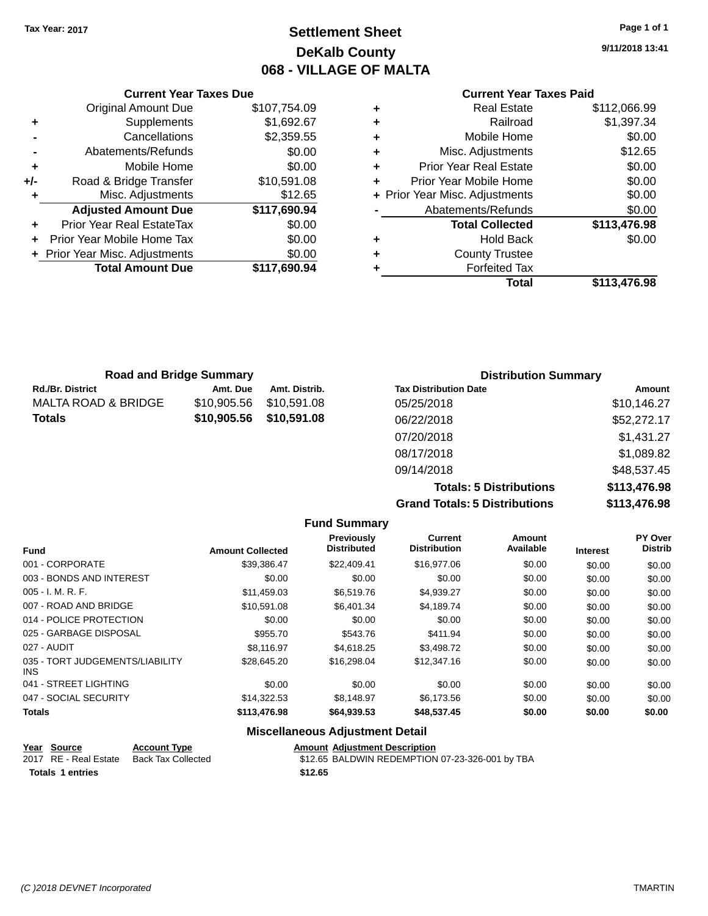### **Settlement Sheet Tax Year: 2017 Page 1 of 1 DeKalb County 068 - VILLAGE OF MALTA**

**9/11/2018 13:41**

#### **Current Year Taxes Paid**

|     | <b>Current Year Taxes Due</b>  |              |
|-----|--------------------------------|--------------|
|     | <b>Original Amount Due</b>     | \$107,754.09 |
| ٠   | Supplements                    | \$1,692.67   |
|     | Cancellations                  | \$2,359.55   |
|     | Abatements/Refunds             | \$0.00       |
| ٠   | Mobile Home                    | \$0.00       |
| +/- | Road & Bridge Transfer         | \$10,591.08  |
|     | Misc. Adjustments              | \$12.65      |
|     | <b>Adjusted Amount Due</b>     | \$117,690.94 |
| ٠   | Prior Year Real EstateTax      | \$0.00       |
|     | Prior Year Mobile Home Tax     | \$0.00       |
|     | + Prior Year Misc. Adjustments | \$0.00       |
|     | <b>Total Amount Due</b>        | \$117,690.94 |
|     |                                |              |

| ٠ | <b>Real Estate</b>             | \$112,066.99 |
|---|--------------------------------|--------------|
| ٠ | Railroad                       | \$1,397.34   |
| ٠ | Mobile Home                    | \$0.00       |
| ٠ | Misc. Adjustments              | \$12.65      |
| ٠ | <b>Prior Year Real Estate</b>  | \$0.00       |
| ٠ | Prior Year Mobile Home         | \$0.00       |
|   | + Prior Year Misc. Adjustments | \$0.00       |
|   | Abatements/Refunds             | \$0.00       |
|   | <b>Total Collected</b>         | \$113,476.98 |
| ٠ | Hold Back                      | \$0.00       |
|   | <b>County Trustee</b>          |              |
| ٠ | <b>Forfeited Tax</b>           |              |
|   | <b>Total</b>                   | \$113,476.98 |
|   |                                |              |

| <b>Road and Bridge Summary</b> |             |               | <b>Distribution Summary</b>  |             |  |
|--------------------------------|-------------|---------------|------------------------------|-------------|--|
| <b>Rd./Br. District</b>        | Amt. Due    | Amt. Distrib. | <b>Tax Distribution Date</b> | Amount      |  |
| <b>MALTA ROAD &amp; BRIDGE</b> | \$10,905.56 | \$10,591.08   | 05/25/2018                   | \$10,146.27 |  |
| <b>Totals</b>                  | \$10,905.56 | \$10,591.08   | 06/22/2018                   | \$52,272.17 |  |
|                                |             |               | 07/20/2018                   | \$1,431.27  |  |
|                                |             |               | 08/17/2018                   | \$1,089.82  |  |
|                                |             |               | 09/14/2018                   | \$48,537.45 |  |

**Totals: 5 Distributions \$113,476.98 Grand Totals: 5 Distributions \$113,476.98**

|                                         |                         | <b>Fund Summary</b>              |                                |                     |                 |                           |
|-----------------------------------------|-------------------------|----------------------------------|--------------------------------|---------------------|-----------------|---------------------------|
| <b>Fund</b>                             | <b>Amount Collected</b> | Previously<br><b>Distributed</b> | Current<br><b>Distribution</b> | Amount<br>Available | <b>Interest</b> | PY Over<br><b>Distrib</b> |
| 001 - CORPORATE                         | \$39,386.47             | \$22,409.41                      | \$16,977.06                    | \$0.00              | \$0.00          | \$0.00                    |
| 003 - BONDS AND INTEREST                | \$0.00                  | \$0.00                           | \$0.00                         | \$0.00              | \$0.00          | \$0.00                    |
| $005 - I. M. R. F.$                     | \$11,459.03             | \$6,519.76                       | \$4,939.27                     | \$0.00              | \$0.00          | \$0.00                    |
| 007 - ROAD AND BRIDGE                   | \$10.591.08             | \$6,401.34                       | \$4,189.74                     | \$0.00              | \$0.00          | \$0.00                    |
| 014 - POLICE PROTECTION                 | \$0.00                  | \$0.00                           | \$0.00                         | \$0.00              | \$0.00          | \$0.00                    |
| 025 - GARBAGE DISPOSAL                  | \$955.70                | \$543.76                         | \$411.94                       | \$0.00              | \$0.00          | \$0.00                    |
| 027 - AUDIT                             | \$8.116.97              | \$4.618.25                       | \$3,498.72                     | \$0.00              | \$0.00          | \$0.00                    |
| 035 - TORT JUDGEMENTS/LIABILITY<br>INS. | \$28,645.20             | \$16,298.04                      | \$12,347.16                    | \$0.00              | \$0.00          | \$0.00                    |
| 041 - STREET LIGHTING                   | \$0.00                  | \$0.00                           | \$0.00                         | \$0.00              | \$0.00          | \$0.00                    |
| 047 - SOCIAL SECURITY                   | \$14,322.53             | \$8,148.97                       | \$6,173.56                     | \$0.00              | \$0.00          | \$0.00                    |
| <b>Totals</b>                           | \$113,476.98            | \$64,939.53                      | \$48,537.45                    | \$0.00              | \$0.00          | \$0.00                    |

#### **Miscellaneous Adjustment Detail**

| Year Source             | <b>Account Type</b> |         | <b>Amount Adiustment Description</b>            |
|-------------------------|---------------------|---------|-------------------------------------------------|
| 2017 RE - Real Estate   | Back Tax Collected  |         | \$12.65 BALDWIN REDEMPTION 07-23-326-001 by TBA |
| <b>Totals 1 entries</b> |                     | \$12.65 |                                                 |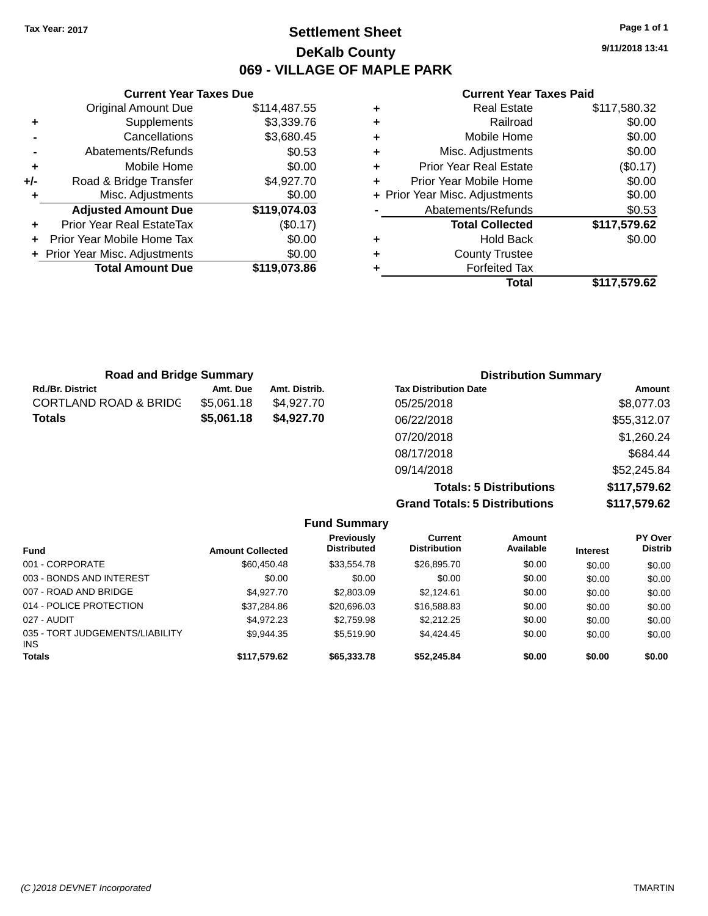### **Settlement Sheet Tax Year: 2017 Page 1 of 1 DeKalb County 069 - VILLAGE OF MAPLE PARK**

**9/11/2018 13:41**

#### **Current Year Taxes Paid**

|     | <b>Current Year Taxes Due</b>  |              |
|-----|--------------------------------|--------------|
|     | <b>Original Amount Due</b>     | \$114,487.55 |
| ٠   | Supplements                    | \$3,339.76   |
|     | Cancellations                  | \$3,680.45   |
|     | Abatements/Refunds             | \$0.53       |
| ٠   | Mobile Home                    | \$0.00       |
| +/- | Road & Bridge Transfer         | \$4,927.70   |
|     | Misc. Adjustments              | \$0.00       |
|     | <b>Adjusted Amount Due</b>     | \$119,074.03 |
| ٠   | Prior Year Real EstateTax      | (\$0.17)     |
|     | Prior Year Mobile Home Tax     | \$0.00       |
|     | + Prior Year Misc. Adjustments | \$0.00       |
|     | <b>Total Amount Due</b>        | \$119.073.86 |
|     |                                |              |

| ٠ | <b>Real Estate</b>             | \$117,580.32 |
|---|--------------------------------|--------------|
| ٠ | Railroad                       | \$0.00       |
| ٠ | Mobile Home                    | \$0.00       |
| ٠ | Misc. Adjustments              | \$0.00       |
| ٠ | <b>Prior Year Real Estate</b>  | (\$0.17)     |
| ٠ | Prior Year Mobile Home         | \$0.00       |
|   | + Prior Year Misc. Adjustments | \$0.00       |
|   | Abatements/Refunds             | \$0.53       |
|   | <b>Total Collected</b>         | \$117,579.62 |
| ٠ | <b>Hold Back</b>               | \$0.00       |
| ٠ | <b>County Trustee</b>          |              |
|   | <b>Forfeited Tax</b>           |              |
|   | Total                          | \$117,579.62 |

| <b>Road and Bridge Summary</b>   |            |               | <b>Distribution Summary</b>  |                                 |  |
|----------------------------------|------------|---------------|------------------------------|---------------------------------|--|
| <b>Rd./Br. District</b>          | Amt. Due   | Amt. Distrib. | <b>Tax Distribution Date</b> | Amount                          |  |
| <b>CORTLAND ROAD &amp; BRIDG</b> | \$5,061.18 | \$4,927.70    | 05/25/2018                   | \$8,077.03                      |  |
| <b>Totals</b>                    | \$5,061.18 | \$4,927.70    | 06/22/2018                   | \$55,312.07                     |  |
|                                  |            |               | 07/20/2018                   | \$1,260.24                      |  |
|                                  |            |               | 08/17/2018                   | \$684.44                        |  |
|                                  |            |               | 09/14/2018                   | \$52,245.84                     |  |
|                                  |            |               | Tatalan F. Biatollantiana.   | $A \rightarrow F \rightarrow A$ |  |

**Totals: 5 Distributions \$117,579.62 Grand Totals: 5 Distributions \$117,579.62**

|                                               |                         | <b>Fund Summary</b>              |                                |                     |                 |                           |
|-----------------------------------------------|-------------------------|----------------------------------|--------------------------------|---------------------|-----------------|---------------------------|
| <b>Fund</b>                                   | <b>Amount Collected</b> | Previously<br><b>Distributed</b> | Current<br><b>Distribution</b> | Amount<br>Available | <b>Interest</b> | PY Over<br><b>Distrib</b> |
| 001 - CORPORATE                               | \$60,450.48             | \$33,554.78                      | \$26,895.70                    | \$0.00              | \$0.00          | \$0.00                    |
| 003 - BONDS AND INTEREST                      | \$0.00                  | \$0.00                           | \$0.00                         | \$0.00              | \$0.00          | \$0.00                    |
| 007 - ROAD AND BRIDGE                         | \$4,927.70              | \$2,803.09                       | \$2.124.61                     | \$0.00              | \$0.00          | \$0.00                    |
| 014 - POLICE PROTECTION                       | \$37,284.86             | \$20,696.03                      | \$16,588.83                    | \$0.00              | \$0.00          | \$0.00                    |
| 027 - AUDIT                                   | \$4,972.23              | \$2,759.98                       | \$2,212.25                     | \$0.00              | \$0.00          | \$0.00                    |
| 035 - TORT JUDGEMENTS/LIABILITY<br><b>INS</b> | \$9,944.35              | \$5,519.90                       | \$4,424.45                     | \$0.00              | \$0.00          | \$0.00                    |
| <b>Totals</b>                                 | \$117,579.62            | \$65,333.78                      | \$52,245.84                    | \$0.00              | \$0.00          | \$0.00                    |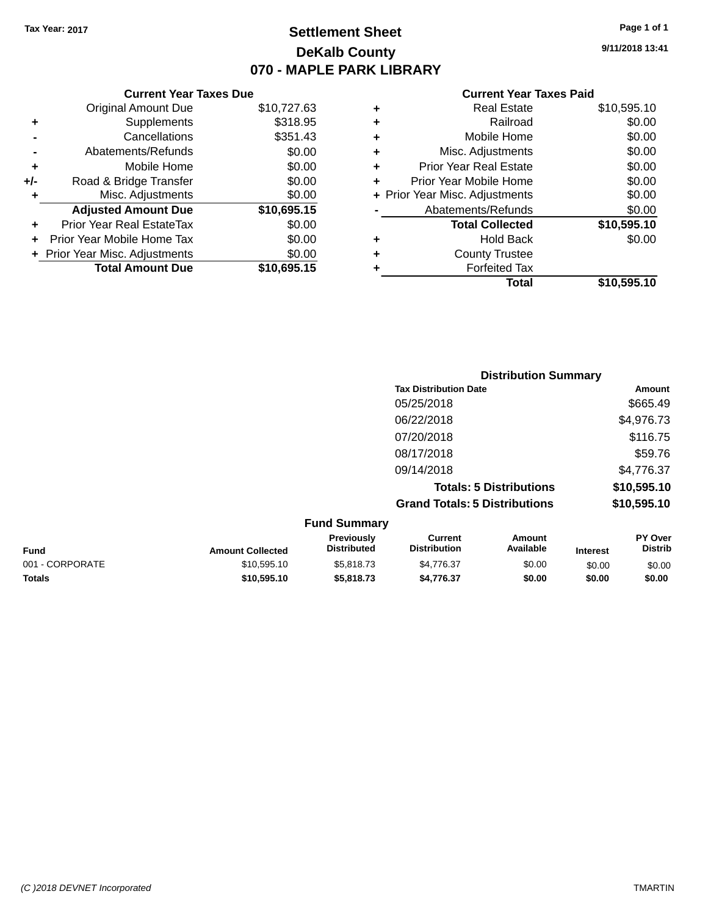### **Settlement Sheet Tax Year: 2017 Page 1 of 1 DeKalb County 070 - MAPLE PARK LIBRARY**

**9/11/2018 13:41**

|     | <b>Current Year Taxes Due</b>  |             |                     |
|-----|--------------------------------|-------------|---------------------|
|     | <b>Original Amount Due</b>     | \$10,727.63 | ٠                   |
|     | Supplements                    | \$318.95    |                     |
|     | Cancellations                  | \$351.43    | ٠                   |
|     | Abatements/Refunds             | \$0.00      |                     |
|     | Mobile Home                    | \$0.00      |                     |
| +/- | Road & Bridge Transfer         | \$0.00      |                     |
|     | Misc. Adjustments              | \$0.00      | $+$ Prior $\lambda$ |
|     | <b>Adjusted Amount Due</b>     | \$10,695.15 |                     |
| ÷   | Prior Year Real EstateTax      | \$0.00      |                     |
|     | Prior Year Mobile Home Tax     | \$0.00      |                     |
|     | + Prior Year Misc. Adjustments | \$0.00      |                     |
|     | <b>Total Amount Due</b>        | \$10,695.15 |                     |
|     |                                |             |                     |

| ٠ | <b>Real Estate</b>             | \$10,595.10 |
|---|--------------------------------|-------------|
| ٠ | Railroad                       | \$0.00      |
| ٠ | Mobile Home                    | \$0.00      |
| ٠ | Misc. Adjustments              | \$0.00      |
| ٠ | <b>Prior Year Real Estate</b>  | \$0.00      |
| ÷ | Prior Year Mobile Home         | \$0.00      |
|   | + Prior Year Misc. Adjustments | \$0.00      |
|   | Abatements/Refunds             | \$0.00      |
|   | <b>Total Collected</b>         | \$10,595.10 |
| ٠ | <b>Hold Back</b>               | \$0.00      |
| ٠ | <b>County Trustee</b>          |             |
| ٠ | <b>Forfeited Tax</b>           |             |
|   | Total                          | \$10,595.10 |
|   |                                |             |

|                                      | <b>Distribution Summary</b> |  |  |  |  |
|--------------------------------------|-----------------------------|--|--|--|--|
| <b>Tax Distribution Date</b>         | Amount                      |  |  |  |  |
| 05/25/2018                           | \$665.49                    |  |  |  |  |
| 06/22/2018                           | \$4,976.73                  |  |  |  |  |
| 07/20/2018                           | \$116.75                    |  |  |  |  |
| 08/17/2018                           | \$59.76                     |  |  |  |  |
| 09/14/2018                           | \$4,776.37                  |  |  |  |  |
| <b>Totals: 5 Distributions</b>       | \$10,595.10                 |  |  |  |  |
| <b>Grand Totals: 5 Distributions</b> | \$10,595.10                 |  |  |  |  |
| $E_{t}$ and $C_{t}$ in $B_{t}$       |                             |  |  |  |  |

| <b>Fund Summary</b> |                         |                                         |                                |                     |                 |                                  |
|---------------------|-------------------------|-----------------------------------------|--------------------------------|---------------------|-----------------|----------------------------------|
| <b>Fund</b>         | <b>Amount Collected</b> | <b>Previously</b><br><b>Distributed</b> | Current<br><b>Distribution</b> | Amount<br>Available | <b>Interest</b> | <b>PY Over</b><br><b>Distrib</b> |
| 001 - CORPORATE     | \$10.595.10             | \$5,818,73                              | \$4.776.37                     | \$0.00              | \$0.00          | \$0.00                           |
| <b>Totals</b>       | \$10.595.10             | \$5,818,73                              | \$4.776.37                     | \$0.00              | \$0.00          | \$0.00                           |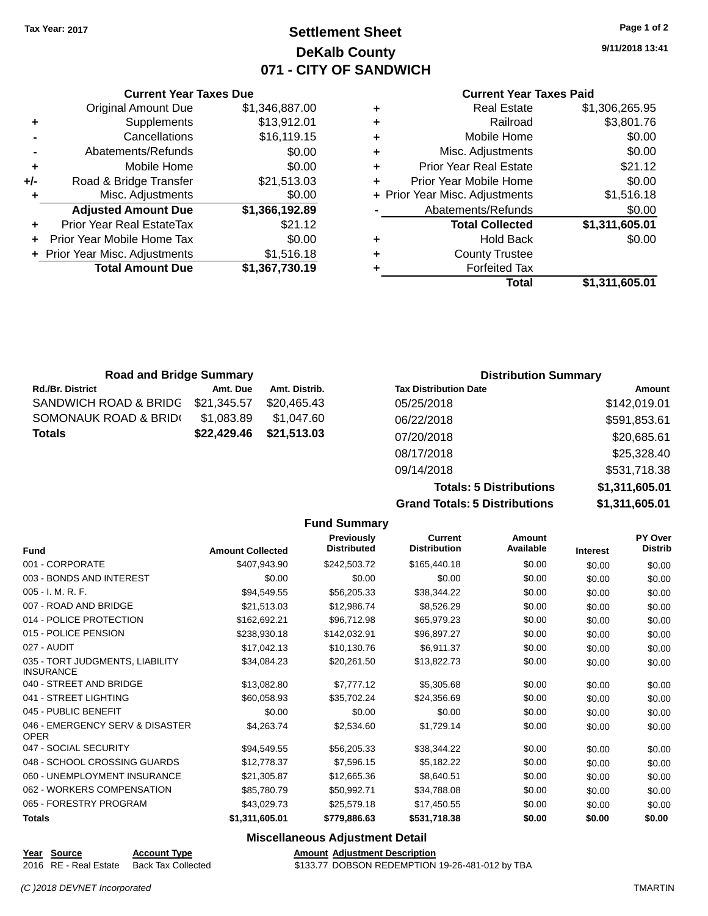### **Settlement Sheet Tax Year: 2017 Page 1 of 2 DeKalb County 071 - CITY OF SANDWICH**

**9/11/2018 13:41**

#### **Current Year Taxes Paid**

|     | <b>Current Year Taxes Due</b>    |                |   |
|-----|----------------------------------|----------------|---|
|     | <b>Original Amount Due</b>       | \$1,346,887.00 |   |
| ٠   | Supplements                      | \$13,912.01    | ٠ |
|     | Cancellations                    | \$16,119.15    |   |
|     | Abatements/Refunds               | \$0.00         | ٠ |
|     | Mobile Home                      | \$0.00         | ٠ |
| +/- | Road & Bridge Transfer           | \$21,513.03    |   |
| ٠   | Misc. Adjustments                | \$0.00         | ٠ |
|     | <b>Adjusted Amount Due</b>       | \$1,366,192.89 |   |
| ٠   | <b>Prior Year Real EstateTax</b> | \$21.12        |   |
|     | Prior Year Mobile Home Tax       | \$0.00         |   |
|     | + Prior Year Misc. Adjustments   | \$1,516.18     |   |
|     | <b>Total Amount Due</b>          | \$1,367,730.19 |   |
|     |                                  |                |   |

| ٠ | <b>Real Estate</b>             | \$1,306,265.95 |
|---|--------------------------------|----------------|
| ٠ | Railroad                       | \$3,801.76     |
| ٠ | Mobile Home                    | \$0.00         |
| ٠ | Misc. Adjustments              | \$0.00         |
| ٠ | <b>Prior Year Real Estate</b>  | \$21.12        |
| ÷ | Prior Year Mobile Home         | \$0.00         |
|   | + Prior Year Misc. Adjustments | \$1,516.18     |
|   | Abatements/Refunds             | \$0.00         |
|   | <b>Total Collected</b>         | \$1,311,605.01 |
| ٠ | Hold Back                      | \$0.00         |
| ٠ | <b>County Trustee</b>          |                |
| ٠ | <b>Forfeited Tax</b>           |                |
|   | Total                          | \$1,311,605.01 |
|   |                                |                |

| <b>Road and Bridge Summary</b> |             |               | <b>Distribution Summary</b>  |              |  |
|--------------------------------|-------------|---------------|------------------------------|--------------|--|
| <b>Rd./Br. District</b>        | Amt. Due    | Amt. Distrib. | <b>Tax Distribution Date</b> | Amount       |  |
| SANDWICH ROAD & BRIDG          | \$21,345.57 | \$20,465.43   | 05/25/2018                   | \$142,019.01 |  |
| SOMONAUK ROAD & BRIDI          | \$1,083.89  | \$1.047.60    | 06/22/2018                   | \$591,853.61 |  |
| <b>Totals</b>                  | \$22,429.46 | \$21,513.03   | 07/20/2018                   | \$20,685.61  |  |
|                                |             |               | 08/17/2018                   | \$25,328.40  |  |

| 09/14/2018                           | \$531.718.38   |
|--------------------------------------|----------------|
| <b>Totals: 5 Distributions</b>       | \$1,311,605.01 |
| <b>Grand Totals: 5 Distributions</b> | \$1,311,605.01 |
|                                      |                |

|                                                     |                         | <b>Fund Summary</b>                    |                                       |                            |                 |                           |
|-----------------------------------------------------|-------------------------|----------------------------------------|---------------------------------------|----------------------------|-----------------|---------------------------|
| <b>Fund</b>                                         | <b>Amount Collected</b> | Previously<br><b>Distributed</b>       | <b>Current</b><br><b>Distribution</b> | <b>Amount</b><br>Available | <b>Interest</b> | PY Over<br><b>Distrib</b> |
| 001 - CORPORATE                                     | \$407,943.90            | \$242,503.72                           | \$165,440.18                          | \$0.00                     | \$0.00          | \$0.00                    |
| 003 - BONDS AND INTEREST                            | \$0.00                  | \$0.00                                 | \$0.00                                | \$0.00                     | \$0.00          | \$0.00                    |
| 005 - I. M. R. F.                                   | \$94,549.55             | \$56,205.33                            | \$38,344.22                           | \$0.00                     | \$0.00          | \$0.00                    |
| 007 - ROAD AND BRIDGE                               | \$21,513.03             | \$12,986.74                            | \$8,526.29                            | \$0.00                     | \$0.00          | \$0.00                    |
| 014 - POLICE PROTECTION                             | \$162,692.21            | \$96,712.98                            | \$65,979.23                           | \$0.00                     | \$0.00          | \$0.00                    |
| 015 - POLICE PENSION                                | \$238,930.18            | \$142,032.91                           | \$96,897.27                           | \$0.00                     | \$0.00          | \$0.00                    |
| 027 - AUDIT                                         | \$17,042.13             | \$10,130.76                            | \$6,911.37                            | \$0.00                     | \$0.00          | \$0.00                    |
| 035 - TORT JUDGMENTS, LIABILITY<br><b>INSURANCE</b> | \$34.084.23             | \$20,261.50                            | \$13,822.73                           | \$0.00                     | \$0.00          | \$0.00                    |
| 040 - STREET AND BRIDGE                             | \$13,082.80             | \$7,777.12                             | \$5,305.68                            | \$0.00                     | \$0.00          | \$0.00                    |
| 041 - STREET LIGHTING                               | \$60,058.93             | \$35,702.24                            | \$24,356.69                           | \$0.00                     | \$0.00          | \$0.00                    |
| 045 - PUBLIC BENEFIT                                | \$0.00                  | \$0.00                                 | \$0.00                                | \$0.00                     | \$0.00          | \$0.00                    |
| 046 - EMERGENCY SERV & DISASTER<br><b>OPER</b>      | \$4,263.74              | \$2,534.60                             | \$1,729.14                            | \$0.00                     | \$0.00          | \$0.00                    |
| 047 - SOCIAL SECURITY                               | \$94.549.55             | \$56,205.33                            | \$38,344.22                           | \$0.00                     | \$0.00          | \$0.00                    |
| 048 - SCHOOL CROSSING GUARDS                        | \$12,778.37             | \$7,596.15                             | \$5,182.22                            | \$0.00                     | \$0.00          | \$0.00                    |
| 060 - UNEMPLOYMENT INSURANCE                        | \$21,305.87             | \$12,665.36                            | \$8,640.51                            | \$0.00                     | \$0.00          | \$0.00                    |
| 062 - WORKERS COMPENSATION                          | \$85,780.79             | \$50,992.71                            | \$34,788.08                           | \$0.00                     | \$0.00          | \$0.00                    |
| 065 - FORESTRY PROGRAM                              | \$43,029.73             | \$25,579.18                            | \$17,450.55                           | \$0.00                     | \$0.00          | \$0.00                    |
| <b>Totals</b>                                       | \$1,311,605.01          | \$779,886.63                           | \$531,718.38                          | \$0.00                     | \$0.00          | \$0.00                    |
|                                                     |                         | <b>Miscellaneous Adjustment Detail</b> |                                       |                            |                 |                           |

**Year Source Account Type Account Type Amount Adjustment Description**<br>2016 RE - Real Estate Back Tax Collected \$133.77 DOBSON REDEMPTION

\$133.77 DOBSON REDEMPTION 19-26-481-012 by TBA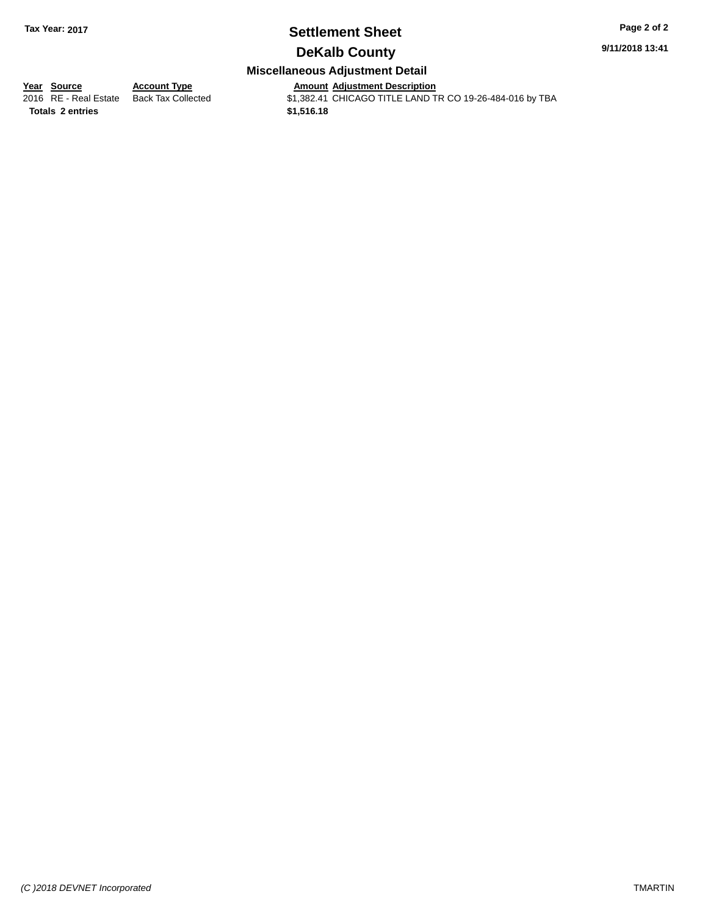### **Settlement Sheet Tax Year: 2017 Page 2 of 2**

**9/11/2018 13:41**

### **DeKalb County**

#### **Miscellaneous Adjustment Detail**

**<u>Year Source</u> Account Type<br>
2016 RE - Real Estate Back Tax Collected** 

**Totals \$1,516.18 2 entries**

Amount Adjustment Description<br>\$1,382.41 CHICAGO TITLE LAND TR CO 19-26-484-016 by TBA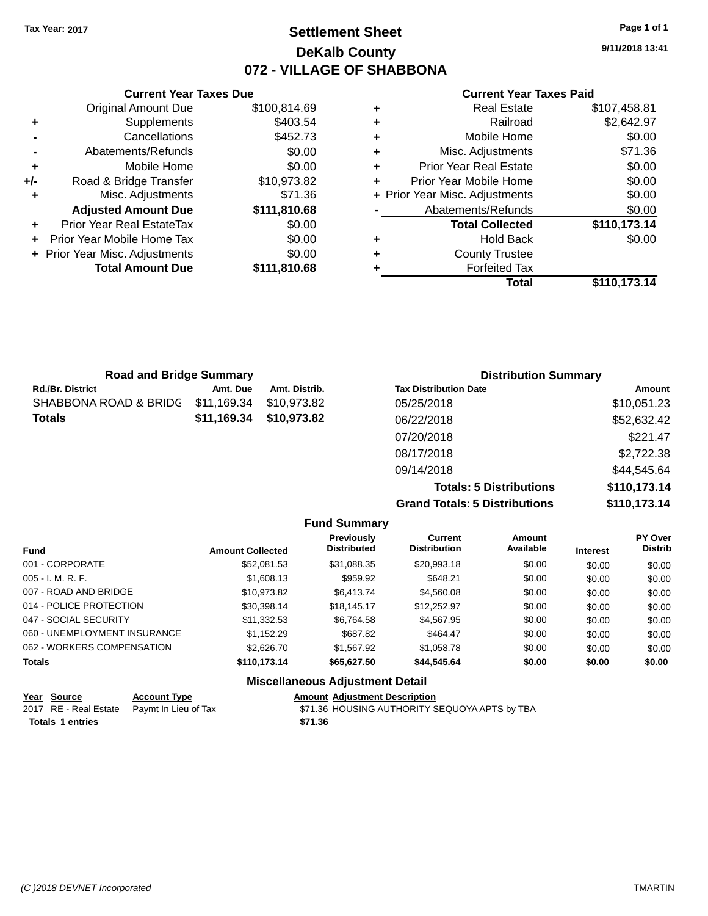### **Settlement Sheet Tax Year: 2017 Page 1 of 1 DeKalb County 072 - VILLAGE OF SHABBONA**

**9/11/2018 13:41**

#### **Current Year Taxes Paid**

|       | <b>Current Year Taxes Due</b>    |              |   | <b>Current Year 1</b>          |
|-------|----------------------------------|--------------|---|--------------------------------|
|       | <b>Original Amount Due</b>       | \$100,814.69 | ٠ | <b>Real Estate</b>             |
|       | Supplements                      | \$403.54     | ٠ | Railroad                       |
|       | Cancellations                    | \$452.73     | ٠ | Mobile Home                    |
|       | Abatements/Refunds               | \$0.00       | ٠ | Misc. Adjustments              |
| ٠     | Mobile Home                      | \$0.00       | ٠ | <b>Prior Year Real Estate</b>  |
| $+/-$ | Road & Bridge Transfer           | \$10,973.82  | ٠ | Prior Year Mobile Home         |
|       | Misc. Adjustments                | \$71.36      |   | + Prior Year Misc. Adjustments |
|       | <b>Adjusted Amount Due</b>       | \$111,810.68 |   | Abatements/Refunds             |
|       | <b>Prior Year Real EstateTax</b> | \$0.00       |   | <b>Total Collected</b>         |
|       | Prior Year Mobile Home Tax       | \$0.00       | ٠ | <b>Hold Back</b>               |
|       | + Prior Year Misc. Adjustments   | \$0.00       | ٠ | <b>County Trustee</b>          |
|       | <b>Total Amount Due</b>          | \$111,810.68 |   | <b>Forfeited Tax</b>           |
|       |                                  |              |   | Total                          |

|   | Total                          | \$110,173.14 |
|---|--------------------------------|--------------|
| ٠ | <b>Forfeited Tax</b>           |              |
| ÷ | <b>County Trustee</b>          |              |
| ÷ | <b>Hold Back</b>               | \$0.00       |
|   | <b>Total Collected</b>         | \$110,173.14 |
|   | Abatements/Refunds             | \$0.00       |
|   | + Prior Year Misc. Adjustments | \$0.00       |
| ٠ | Prior Year Mobile Home         | \$0.00       |
| ÷ | <b>Prior Year Real Estate</b>  | \$0.00       |
| ÷ | Misc. Adjustments              | \$71.36      |
| ÷ | Mobile Home                    | \$0.00       |
| ÷ | Railroad                       | \$2,642.97   |
| ÷ | <b>Real Estate</b>             | \$107,458.81 |

| <b>Road and Bridge Summary</b> |             |               | <b>Distribution Summary</b>  |             |  |
|--------------------------------|-------------|---------------|------------------------------|-------------|--|
| <b>Rd./Br. District</b>        | Amt. Due    | Amt. Distrib. | <b>Tax Distribution Date</b> | Amount      |  |
| SHABBONA ROAD & BRIDG          | \$11,169.34 | \$10,973.82   | 05/25/2018                   | \$10,051.23 |  |
| <b>Totals</b>                  | \$11,169.34 | \$10,973.82   | 06/22/2018                   | \$52,632.42 |  |
|                                |             |               | 07/20/2018                   | \$221.47    |  |
|                                |             |               | 08/17/2018                   | \$2,722.38  |  |
|                                |             |               | 09/14/2018                   | \$44,545.64 |  |

**Totals: 5 Distributions \$110,173.14 Grand Totals: 5 Distributions \$110,173.14**

| <b>Fund Summary</b>          |                         |                                         |                                       |                            |                 |                           |
|------------------------------|-------------------------|-----------------------------------------|---------------------------------------|----------------------------|-----------------|---------------------------|
| <b>Fund</b>                  | <b>Amount Collected</b> | <b>Previously</b><br><b>Distributed</b> | <b>Current</b><br><b>Distribution</b> | <b>Amount</b><br>Available | <b>Interest</b> | PY Over<br><b>Distrib</b> |
| 001 - CORPORATE              | \$52,081.53             | \$31.088.35                             | \$20.993.18                           | \$0.00                     | \$0.00          | \$0.00                    |
| $005 - I. M. R. F.$          | \$1,608.13              | \$959.92                                | \$648.21                              | \$0.00                     | \$0.00          | \$0.00                    |
| 007 - ROAD AND BRIDGE        | \$10.973.82             | \$6,413.74                              | \$4,560.08                            | \$0.00                     | \$0.00          | \$0.00                    |
| 014 - POLICE PROTECTION      | \$30.398.14             | \$18.145.17                             | \$12,252.97                           | \$0.00                     | \$0.00          | \$0.00                    |
| 047 - SOCIAL SECURITY        | \$11.332.53             | \$6.764.58                              | \$4,567.95                            | \$0.00                     | \$0.00          | \$0.00                    |
| 060 - UNEMPLOYMENT INSURANCE | \$1.152.29              | \$687.82                                | \$464.47                              | \$0.00                     | \$0.00          | \$0.00                    |
| 062 - WORKERS COMPENSATION   | \$2,626,70              | \$1,567.92                              | \$1,058.78                            | \$0.00                     | \$0.00          | \$0.00                    |
| <b>Totals</b>                | \$110,173.14            | \$65,627.50                             | \$44,545,64                           | \$0.00                     | \$0.00          | \$0.00                    |
|                              |                         | <b>Miscellaneous Adjustment Detail</b>  |                                       |                            |                 |                           |

| Year Source             | <b>Account Type</b>                        | <b>Amount Adiustment Description</b>          |  |
|-------------------------|--------------------------------------------|-----------------------------------------------|--|
|                         | 2017 RE - Real Estate Paymt In Lieu of Tax | \$71.36 HOUSING AUTHORITY SEQUOYA APTS by TBA |  |
| <b>Totals 1 entries</b> |                                            | \$71.36                                       |  |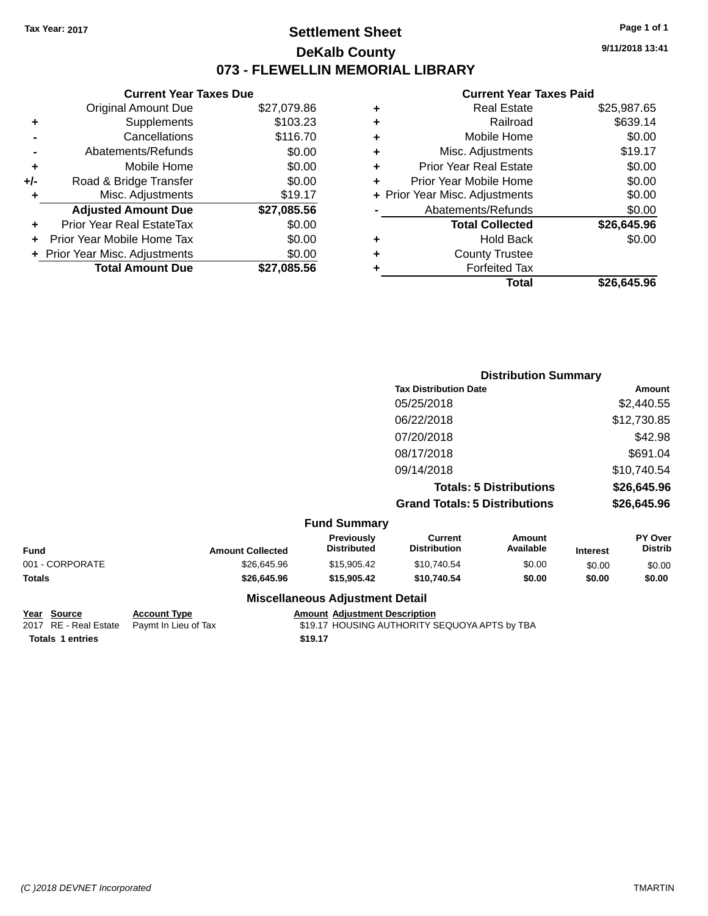### **Settlement Sheet Tax Year: 2017 Page 1 of 1 DeKalb County 073 - FLEWELLIN MEMORIAL LIBRARY**

**9/11/2018 13:41**

#### **Current Year Taxes Paid**

| <b>Current Year Taxes Due</b> |                                |
|-------------------------------|--------------------------------|
| <b>Original Amount Due</b>    | \$27,079.86                    |
| Supplements                   | \$103.23                       |
| Cancellations                 | \$116.70                       |
| Abatements/Refunds            | \$0.00                         |
| Mobile Home                   | \$0.00                         |
| Road & Bridge Transfer        | \$0.00                         |
| Misc. Adjustments             | \$19.17                        |
| <b>Adjusted Amount Due</b>    | \$27,085.56                    |
| Prior Year Real EstateTax     | \$0.00                         |
| Prior Year Mobile Home Tax    | \$0.00                         |
|                               | \$0.00                         |
| <b>Total Amount Due</b>       | \$27.085.56                    |
|                               | + Prior Year Misc. Adjustments |

|   | <b>Real Estate</b>             | \$25,987.65 |
|---|--------------------------------|-------------|
| ٠ | Railroad                       | \$639.14    |
| ٠ | Mobile Home                    | \$0.00      |
| ٠ | Misc. Adjustments              | \$19.17     |
| ٠ | <b>Prior Year Real Estate</b>  | \$0.00      |
|   | Prior Year Mobile Home         | \$0.00      |
|   | + Prior Year Misc. Adjustments | \$0.00      |
|   | Abatements/Refunds             | \$0.00      |
|   | <b>Total Collected</b>         | \$26,645.96 |
| ٠ | Hold Back                      | \$0.00      |
| ٠ | <b>County Trustee</b>          |             |
| ٠ | <b>Forfeited Tax</b>           |             |
|   | Total                          | \$26,645.96 |
|   |                                |             |

|                     | <b>Distribution Summary</b>          |             |  |
|---------------------|--------------------------------------|-------------|--|
|                     | <b>Tax Distribution Date</b>         | Amount      |  |
|                     | 05/25/2018                           | \$2,440.55  |  |
|                     | 06/22/2018                           | \$12,730.85 |  |
|                     | 07/20/2018                           | \$42.98     |  |
|                     | 08/17/2018                           | \$691.04    |  |
|                     | 09/14/2018                           | \$10,740.54 |  |
|                     | <b>Totals: 5 Distributions</b>       | \$26,645.96 |  |
|                     | <b>Grand Totals: 5 Distributions</b> | \$26,645.96 |  |
| <b>Fund Summary</b> |                                      |             |  |

|                 |                         | unu Junnuary                            |                                |                     |                 |                                  |
|-----------------|-------------------------|-----------------------------------------|--------------------------------|---------------------|-----------------|----------------------------------|
| Fund            | <b>Amount Collected</b> | <b>Previously</b><br><b>Distributed</b> | Current<br><b>Distribution</b> | Amount<br>Available | <b>Interest</b> | <b>PY Over</b><br><b>Distrib</b> |
| 001 - CORPORATE | \$26,645.96             | \$15,905.42                             | \$10,740.54                    | \$0.00              | \$0.00          | \$0.00                           |
| Totals          | \$26,645.96             | \$15,905,42                             | \$10.740.54                    | \$0.00              | \$0.00          | \$0.00                           |
|                 |                         | Missellanesse Adhistocat Datall         |                                |                     |                 |                                  |

# **Totals 1 entries 1.17 1.17 1.17 1.17 1.17**

### **Miscellaneous Adjustment Detail**

**Year Source Account Type Amount Adjustment Description**<br>2017 RE - Real Estate Paymt In Lieu of Tax \$19.17 HOUSING AUTHORITY S \$19.17 HOUSING AUTHORITY SEQUOYA APTS by TBA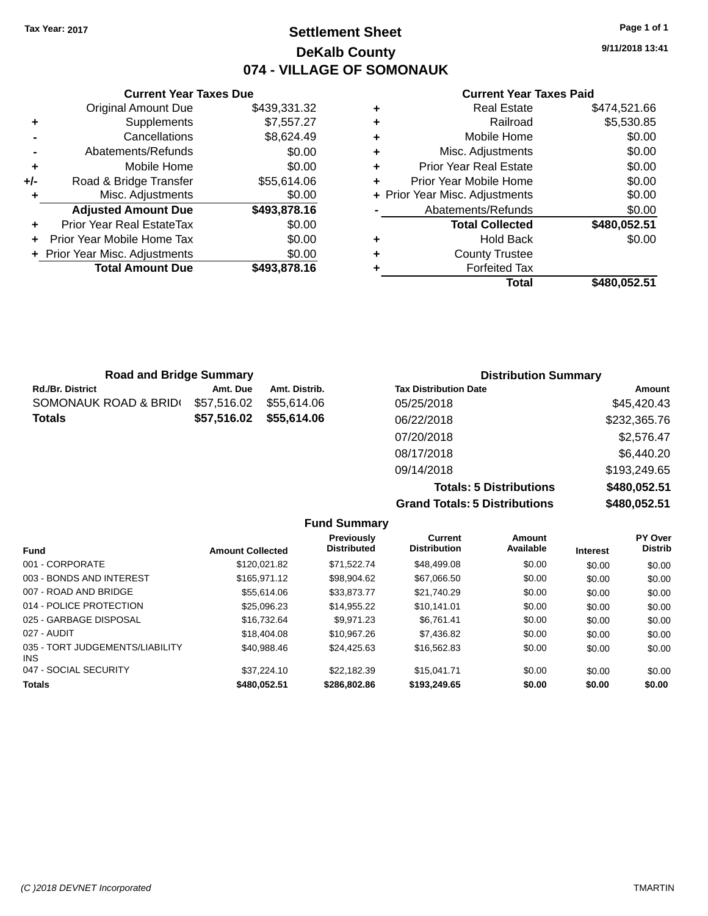## **Settlement Sheet Tax Year: 2017 Page 1 of 1 DeKalb County 074 - VILLAGE OF SOMONAUK**

**9/11/2018 13:41**

## **Current Year Taxes Paid**

|     | <b>Current Year Taxes Due</b>  |              |
|-----|--------------------------------|--------------|
|     | <b>Original Amount Due</b>     | \$439,331.32 |
| ٠   | Supplements                    | \$7,557.27   |
|     | Cancellations                  | \$8,624.49   |
|     | Abatements/Refunds             | \$0.00       |
| ٠   | Mobile Home                    | \$0.00       |
| +/- | Road & Bridge Transfer         | \$55,614.06  |
| ٠   | Misc. Adjustments              | \$0.00       |
|     | <b>Adjusted Amount Due</b>     | \$493,878.16 |
| ٠   | Prior Year Real EstateTax      | \$0.00       |
|     | Prior Year Mobile Home Tax     | \$0.00       |
|     | + Prior Year Misc. Adjustments | \$0.00       |
|     | <b>Total Amount Due</b>        | \$493.878.16 |
|     |                                |              |

| <b>Real Estate</b>             | \$474,521.66 |
|--------------------------------|--------------|
| Railroad                       | \$5,530.85   |
| Mobile Home                    | \$0.00       |
| Misc. Adjustments              | \$0.00       |
| <b>Prior Year Real Estate</b>  | \$0.00       |
| Prior Year Mobile Home         | \$0.00       |
| + Prior Year Misc. Adjustments | \$0.00       |
| Abatements/Refunds             | \$0.00       |
| <b>Total Collected</b>         | \$480,052.51 |
| <b>Hold Back</b>               | \$0.00       |
| <b>County Trustee</b>          |              |
| <b>Forfeited Tax</b>           |              |
| Total                          | \$480,052.51 |
|                                |              |

| <b>Road and Bridge Summary</b> |             |               | <b>Distribution Summary</b>  |              |  |
|--------------------------------|-------------|---------------|------------------------------|--------------|--|
| <b>Rd./Br. District</b>        | Amt. Due    | Amt. Distrib. | <b>Tax Distribution Date</b> | Amount       |  |
| SOMONAUK ROAD & BRID(          | \$57,516.02 | \$55,614.06   | 05/25/2018                   | \$45,420.43  |  |
| <b>Totals</b>                  | \$57,516.02 | \$55,614.06   | 06/22/2018                   | \$232,365.76 |  |
|                                |             |               | 07/20/2018                   | \$2,576.47   |  |
|                                |             |               | 08/17/2018                   | \$6,440.20   |  |
|                                |             |               | 09/14/2018                   | \$193,249.65 |  |

**Totals: 5 Distributions \$480,052.51 Grand Totals: 5 Distributions \$480,052.51**

|                                         |                         | <b>Fund Summary</b>              |                                       |                     |                 |                           |
|-----------------------------------------|-------------------------|----------------------------------|---------------------------------------|---------------------|-----------------|---------------------------|
| <b>Fund</b>                             | <b>Amount Collected</b> | Previously<br><b>Distributed</b> | <b>Current</b><br><b>Distribution</b> | Amount<br>Available | <b>Interest</b> | PY Over<br><b>Distrib</b> |
| 001 - CORPORATE                         | \$120.021.82            | \$71.522.74                      | \$48,499.08                           | \$0.00              | \$0.00          | \$0.00                    |
| 003 - BONDS AND INTEREST                | \$165,971.12            | \$98,904.62                      | \$67.066.50                           | \$0.00              | \$0.00          | \$0.00                    |
| 007 - ROAD AND BRIDGE                   | \$55,614.06             | \$33,873,77                      | \$21.740.29                           | \$0.00              | \$0.00          | \$0.00                    |
| 014 - POLICE PROTECTION                 | \$25,096.23             | \$14,955.22                      | \$10.141.01                           | \$0.00              | \$0.00          | \$0.00                    |
| 025 - GARBAGE DISPOSAL                  | \$16,732,64             | \$9.971.23                       | \$6.761.41                            | \$0.00              | \$0.00          | \$0.00                    |
| 027 - AUDIT                             | \$18,404.08             | \$10.967.26                      | \$7,436.82                            | \$0.00              | \$0.00          | \$0.00                    |
| 035 - TORT JUDGEMENTS/LIABILITY<br>INS. | \$40.988.46             | \$24,425.63                      | \$16,562.83                           | \$0.00              | \$0.00          | \$0.00                    |
| 047 - SOCIAL SECURITY                   | \$37.224.10             | \$22.182.39                      | \$15.041.71                           | \$0.00              | \$0.00          | \$0.00                    |
| <b>Totals</b>                           | \$480.052.51            | \$286,802.86                     | \$193,249.65                          | \$0.00              | \$0.00          | \$0.00                    |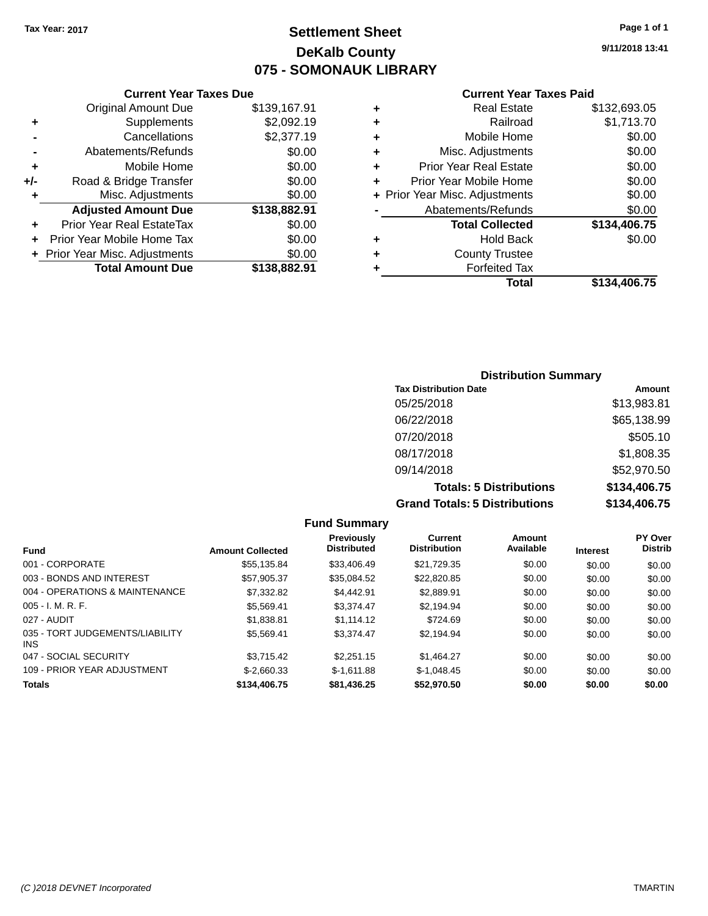# **Settlement Sheet Tax Year: 2017 Page 1 of 1 DeKalb County 075 - SOMONAUK LIBRARY**

**9/11/2018 13:41**

### **Current Year Taxes Paid**

|     | <b>Current Year Taxes Due</b>  |              |
|-----|--------------------------------|--------------|
|     | <b>Original Amount Due</b>     | \$139,167.91 |
| ٠   | Supplements                    | \$2,092.19   |
|     | Cancellations                  | \$2,377.19   |
| -   | Abatements/Refunds             | \$0.00       |
| ٠   | Mobile Home                    | \$0.00       |
| +/- | Road & Bridge Transfer         | \$0.00       |
| ٠   | Misc. Adjustments              | \$0.00       |
|     | <b>Adjusted Amount Due</b>     | \$138,882.91 |
| ٠   | Prior Year Real EstateTax      | \$0.00       |
| ÷   | Prior Year Mobile Home Tax     | \$0.00       |
|     | + Prior Year Misc. Adjustments | \$0.00       |
|     | <b>Total Amount Due</b>        | \$138,882.91 |
|     |                                |              |

| ٠ | <b>Real Estate</b>             | \$132,693.05 |
|---|--------------------------------|--------------|
| ٠ | Railroad                       | \$1,713.70   |
| ٠ | Mobile Home                    | \$0.00       |
| ٠ | Misc. Adjustments              | \$0.00       |
| ٠ | <b>Prior Year Real Estate</b>  | \$0.00       |
| ٠ | Prior Year Mobile Home         | \$0.00       |
|   | + Prior Year Misc. Adjustments | \$0.00       |
|   | Abatements/Refunds             | \$0.00       |
|   | <b>Total Collected</b>         | \$134,406.75 |
| ٠ | <b>Hold Back</b>               | \$0.00       |
| ٠ | <b>County Trustee</b>          |              |
| ٠ | <b>Forfeited Tax</b>           |              |
|   | Total                          | \$134,406.75 |
|   |                                |              |

| <b>Distribution Summary</b>          |              |
|--------------------------------------|--------------|
| <b>Tax Distribution Date</b>         | Amount       |
| 05/25/2018                           | \$13,983.81  |
| 06/22/2018                           | \$65,138.99  |
| 07/20/2018                           | \$505.10     |
| 08/17/2018                           | \$1,808.35   |
| 09/14/2018                           | \$52,970.50  |
| <b>Totals: 5 Distributions</b>       | \$134,406.75 |
| <b>Grand Totals: 5 Distributions</b> | \$134,406.75 |

|                                         |                         | <b>Fund Summary</b>              |                                       |                     |                 |                           |
|-----------------------------------------|-------------------------|----------------------------------|---------------------------------------|---------------------|-----------------|---------------------------|
| <b>Fund</b>                             | <b>Amount Collected</b> | Previously<br><b>Distributed</b> | <b>Current</b><br><b>Distribution</b> | Amount<br>Available | <b>Interest</b> | PY Over<br><b>Distrib</b> |
| 001 - CORPORATE                         | \$55.135.84             | \$33,406.49                      | \$21.729.35                           | \$0.00              | \$0.00          | \$0.00                    |
| 003 - BONDS AND INTEREST                | \$57,905.37             | \$35,084.52                      | \$22,820.85                           | \$0.00              | \$0.00          | \$0.00                    |
| 004 - OPERATIONS & MAINTENANCE          | \$7,332.82              | \$4.442.91                       | \$2,889.91                            | \$0.00              | \$0.00          | \$0.00                    |
| $005 - I. M. R. F.$                     | \$5.569.41              | \$3.374.47                       | \$2.194.94                            | \$0.00              | \$0.00          | \$0.00                    |
| 027 - AUDIT                             | \$1,838.81              | \$1.114.12                       | \$724.69                              | \$0.00              | \$0.00          | \$0.00                    |
| 035 - TORT JUDGEMENTS/LIABILITY<br>INS. | \$5.569.41              | \$3.374.47                       | \$2.194.94                            | \$0.00              | \$0.00          | \$0.00                    |
| 047 - SOCIAL SECURITY                   | \$3.715.42              | \$2,251.15                       | \$1,464.27                            | \$0.00              | \$0.00          | \$0.00                    |
| 109 - PRIOR YEAR ADJUSTMENT             | $$-2.660.33$            | $$-1.611.88$                     | $$-1.048.45$                          | \$0.00              | \$0.00          | \$0.00                    |
| <b>Totals</b>                           | \$134,406.75            | \$81,436.25                      | \$52,970.50                           | \$0.00              | \$0.00          | \$0.00                    |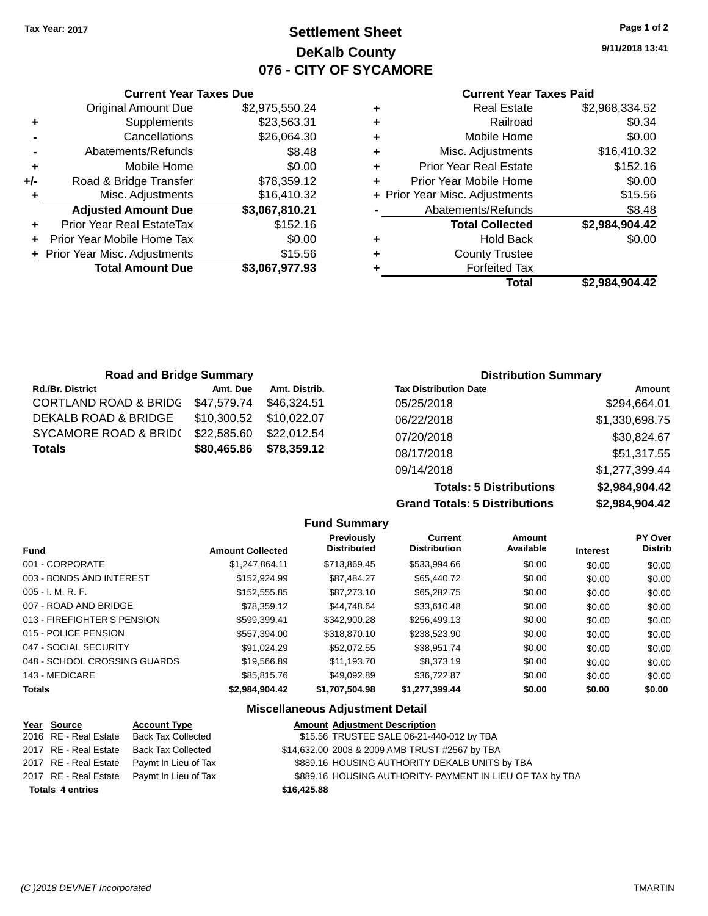# **Settlement Sheet Tax Year: 2017 Page 1 of 2 DeKalb County 076 - CITY OF SYCAMORE**

**9/11/2018 13:41**

### **Current Year Taxes Paid**

|     | <b>Current Year Taxes Due</b>  |                |   |
|-----|--------------------------------|----------------|---|
|     | <b>Original Amount Due</b>     | \$2,975,550.24 | ٠ |
| ٠   | Supplements                    | \$23,563.31    | ٠ |
|     | Cancellations                  | \$26,064.30    | ٠ |
|     | Abatements/Refunds             | \$8.48         | ٠ |
|     | Mobile Home                    | \$0.00         | ٠ |
| +/- | Road & Bridge Transfer         | \$78,359.12    | ٠ |
|     | Misc. Adjustments              | \$16,410.32    | ٠ |
|     | <b>Adjusted Amount Due</b>     | \$3,067,810.21 |   |
| ÷   | Prior Year Real EstateTax      | \$152.16       |   |
|     | Prior Year Mobile Home Tax     | \$0.00         |   |
|     | + Prior Year Misc. Adjustments | \$15.56        | ÷ |
|     | <b>Total Amount Due</b>        | \$3,067,977.93 |   |
|     |                                |                |   |

|   | <b>Real Estate</b>             | \$2,968,334.52 |
|---|--------------------------------|----------------|
| ٠ | Railroad                       | \$0.34         |
| ٠ | Mobile Home                    | \$0.00         |
| ٠ | Misc. Adjustments              | \$16,410.32    |
| ٠ | <b>Prior Year Real Estate</b>  | \$152.16       |
| ÷ | Prior Year Mobile Home         | \$0.00         |
|   | + Prior Year Misc. Adjustments | \$15.56        |
|   | Abatements/Refunds             | \$8.48         |
|   | <b>Total Collected</b>         | \$2,984,904.42 |
| ٠ | <b>Hold Back</b>               | \$0.00         |
| ÷ | <b>County Trustee</b>          |                |
|   | <b>Forfeited Tax</b>           |                |
|   | Total                          | \$2,984,904.42 |
|   |                                |                |

| <b>Road and Bridge Summary</b>   |             |               | <b>Distribution Summary</b>  |                |
|----------------------------------|-------------|---------------|------------------------------|----------------|
| <b>Rd./Br. District</b>          | Amt. Due    | Amt. Distrib. | <b>Tax Distribution Date</b> | Amount         |
| <b>CORTLAND ROAD &amp; BRIDG</b> | \$47,579.74 | \$46.324.51   | 05/25/2018                   | \$294,664.01   |
| DEKALB ROAD & BRIDGE             | \$10,300.52 | \$10.022.07   | 06/22/2018                   | \$1,330,698.75 |
| SYCAMORE ROAD & BRID(            | \$22,585.60 | \$22,012.54   | 07/20/2018                   | \$30,824.67    |
| <b>Totals</b>                    | \$80,465.86 | \$78,359.12   | 08/17/2018                   | \$51,317.55    |
|                                  |             |               | 09/14/2018                   | \$1,277,399.44 |

**Totals: 5 Distributions Grand Totals: 5 Distributions** 

| \$2,984,904.42 |
|----------------|
| \$2,984,904.42 |
|                |

|                              |                         | <b>Fund Summary</b>                     |                                       |                            |                 |                           |
|------------------------------|-------------------------|-----------------------------------------|---------------------------------------|----------------------------|-----------------|---------------------------|
| <b>Fund</b>                  | <b>Amount Collected</b> | <b>Previously</b><br><b>Distributed</b> | <b>Current</b><br><b>Distribution</b> | <b>Amount</b><br>Available | <b>Interest</b> | PY Over<br><b>Distrib</b> |
| 001 - CORPORATE              | \$1,247,864.11          | \$713,869.45                            | \$533,994.66                          | \$0.00                     | \$0.00          | \$0.00                    |
| 003 - BONDS AND INTEREST     | \$152.924.99            | \$87.484.27                             | \$65,440.72                           | \$0.00                     | \$0.00          | \$0.00                    |
| 005 - I. M. R. F.            | \$152,555.85            | \$87,273,10                             | \$65,282,75                           | \$0.00                     | \$0.00          | \$0.00                    |
| 007 - ROAD AND BRIDGE        | \$78.359.12             | \$44.748.64                             | \$33,610.48                           | \$0.00                     | \$0.00          | \$0.00                    |
| 013 - FIREFIGHTER'S PENSION  | \$599.399.41            | \$342,900.28                            | \$256,499.13                          | \$0.00                     | \$0.00          | \$0.00                    |
| 015 - POLICE PENSION         | \$557.394.00            | \$318,870.10                            | \$238,523.90                          | \$0.00                     | \$0.00          | \$0.00                    |
| 047 - SOCIAL SECURITY        | \$91.024.29             | \$52,072.55                             | \$38.951.74                           | \$0.00                     | \$0.00          | \$0.00                    |
| 048 - SCHOOL CROSSING GUARDS | \$19,566.89             | \$11,193.70                             | \$8,373.19                            | \$0.00                     | \$0.00          | \$0.00                    |
| 143 - MEDICARE               | \$85,815,76             | \$49.092.89                             | \$36,722.87                           | \$0.00                     | \$0.00          | \$0.00                    |
| <b>Totals</b>                | \$2,984,904.42          | \$1,707,504.98                          | \$1,277,399.44                        | \$0.00                     | \$0.00          | \$0.00                    |
|                              |                         |                                         |                                       |                            |                 |                           |

### **Miscellaneous Adjustment Detail**

| Year Source             | <b>Account Type</b>                        |             | <b>Amount Adjustment Description</b>                      |
|-------------------------|--------------------------------------------|-------------|-----------------------------------------------------------|
| 2016 RE - Real Estate   | <b>Back Tax Collected</b>                  |             | \$15.56 TRUSTEE SALE 06-21-440-012 by TBA                 |
| 2017 RE - Real Estate   | Back Tax Collected                         |             | \$14,632.00 2008 & 2009 AMB TRUST #2567 by TBA            |
| 2017 RE - Real Estate   | Paymt In Lieu of Tax                       |             | \$889.16 HOUSING AUTHORITY DEKALB UNITS by TBA            |
|                         | 2017 RE - Real Estate Paymt In Lieu of Tax |             | \$889.16 HOUSING AUTHORITY- PAYMENT IN LIEU OF TAX by TBA |
| <b>Totals 4 entries</b> |                                            | \$16,425.88 |                                                           |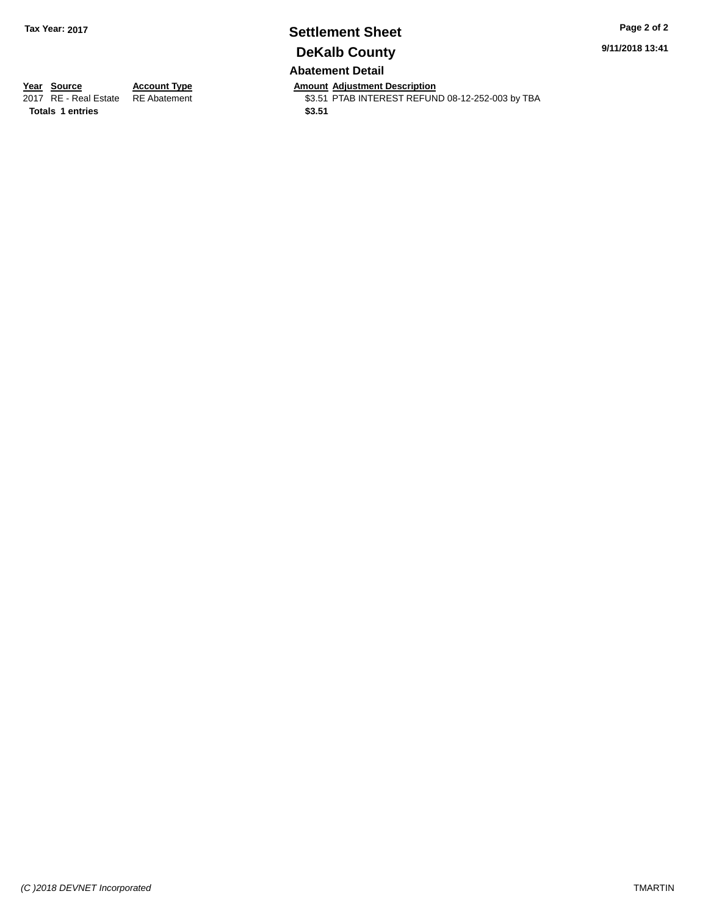## **Settlement Sheet Tax Year: 2017 Page 2 of 2 DeKalb County Abatement Detail**

**9/11/2018 13:41**

**Totals 1 entries** \$3.51

**Year Source Account Type And Amount Adjustment Description**<br>2017 RE - Real Estate RE Abatement **Account 1998 AMOU SENSE ARE ADDER** S3.51 PTAB INTEREST REFUN \$3.51 PTAB INTEREST REFUND 08-12-252-003 by TBA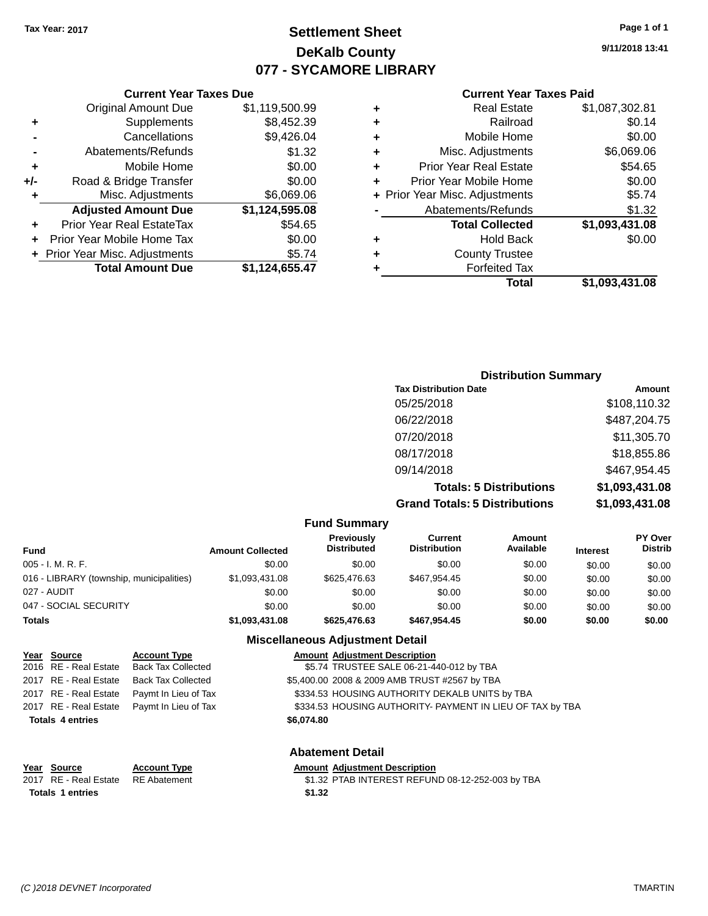# **Settlement Sheet Tax Year: 2017 Page 1 of 1 DeKalb County 077 - SYCAMORE LIBRARY**

**9/11/2018 13:41**

### **Current Year Taxes Paid**

|   | Total                          | \$1,093,431.08 |
|---|--------------------------------|----------------|
|   | <b>Forfeited Tax</b>           |                |
|   | <b>County Trustee</b>          |                |
|   | <b>Hold Back</b>               | \$0.00         |
|   | <b>Total Collected</b>         | \$1,093,431.08 |
|   | Abatements/Refunds             | \$1.32         |
|   | + Prior Year Misc. Adjustments | \$5.74         |
|   | Prior Year Mobile Home         | \$0.00         |
| ٠ | <b>Prior Year Real Estate</b>  | \$54.65        |
| ٠ | Misc. Adjustments              | \$6,069.06     |
|   | Mobile Home                    | \$0.00         |
|   | Railroad                       | \$0.14         |
| ٠ | <b>Real Estate</b>             | \$1,087,302.81 |
|   |                                |                |

## **Current Year Taxes Due** Original Amount Due \$1,119,500.99 **+** Supplements \$8,452.39 **-** Cancellations \$9,426.04 **-** Abatements/Refunds \$1.32 **+** Mobile Home \$0.00 **+/-** Road & Bridge Transfer \$0.00<br>**+** Misc. Adjustments \$6,069.06 **+** Misc. Adjustments **Adjusted Amount Due \$1,124,595.08 +** Prior Year Real EstateTax \$54.65 **+** Prior Year Mobile Home Tax \$0.00 **+** Prior Year Misc. Adjustments \$5.74 **Total Amount Due \$1,124,655.47**

|                                      | <b>Distribution Summary</b> |
|--------------------------------------|-----------------------------|
| <b>Tax Distribution Date</b>         | Amount                      |
| 05/25/2018                           | \$108,110.32                |
| 06/22/2018                           | \$487,204.75                |
| 07/20/2018                           | \$11,305.70                 |
| 08/17/2018                           | \$18,855.86                 |
| 09/14/2018                           | \$467.954.45                |
| <b>Totals: 5 Distributions</b>       | \$1,093,431.08              |
| <b>Grand Totals: 5 Distributions</b> | \$1,093,431.08              |

|                                          |                         | <b>Fund Summary</b>              |                                       |                            |                 |                                  |
|------------------------------------------|-------------------------|----------------------------------|---------------------------------------|----------------------------|-----------------|----------------------------------|
| <b>Fund</b>                              | <b>Amount Collected</b> | Previously<br><b>Distributed</b> | <b>Current</b><br><b>Distribution</b> | <b>Amount</b><br>Available | <b>Interest</b> | <b>PY Over</b><br><b>Distrib</b> |
| $005 - I. M. R. F.$                      | \$0.00                  | \$0.00                           | \$0.00                                | \$0.00                     | \$0.00          | \$0.00                           |
| 016 - LIBRARY (township, municipalities) | \$1,093,431.08          | \$625,476.63                     | \$467.954.45                          | \$0.00                     | \$0.00          | \$0.00                           |
| 027 - AUDIT                              | \$0.00                  | \$0.00                           | \$0.00                                | \$0.00                     | \$0.00          | \$0.00                           |
| 047 - SOCIAL SECURITY                    | \$0.00                  | \$0.00                           | \$0.00                                | \$0.00                     | \$0.00          | \$0.00                           |
| <b>Totals</b>                            | \$1,093,431.08          | \$625,476.63                     | \$467.954.45                          | \$0.00                     | \$0.00          | \$0.00                           |

### **Miscellaneous Adjustment Detail**

| Year Source             | <b>Account Type</b>       | <b>Amount Adjustment Description</b>                      |
|-------------------------|---------------------------|-----------------------------------------------------------|
| 2016 RE - Real Estate   | <b>Back Tax Collected</b> | \$5.74 TRUSTEE SALE 06-21-440-012 by TBA                  |
| 2017 RE - Real Estate   | <b>Back Tax Collected</b> | \$5,400.00 2008 & 2009 AMB TRUST #2567 by TBA             |
| 2017 RE - Real Estate   | Paymt In Lieu of Tax      | \$334.53 HOUSING AUTHORITY DEKALB UNITS by TBA            |
| 2017 RE - Real Estate   | Paymt In Lieu of Tax      | \$334.53 HOUSING AUTHORITY- PAYMENT IN LIEU OF TAX by TBA |
| <b>Totals 4 entries</b> |                           | \$6,074.80                                                |
|                         |                           | <b>Abatement Detail</b>                                   |

| Year Source                        | <b>Account Type</b> | <b>Amount Adiustment Description</b>             |
|------------------------------------|---------------------|--------------------------------------------------|
| 2017 RE - Real Estate RE Abatement |                     | \$1.32 PTAB INTEREST REFUND 08-12-252-003 by TBA |
| <b>Totals 1 entries</b>            |                     | \$1.32                                           |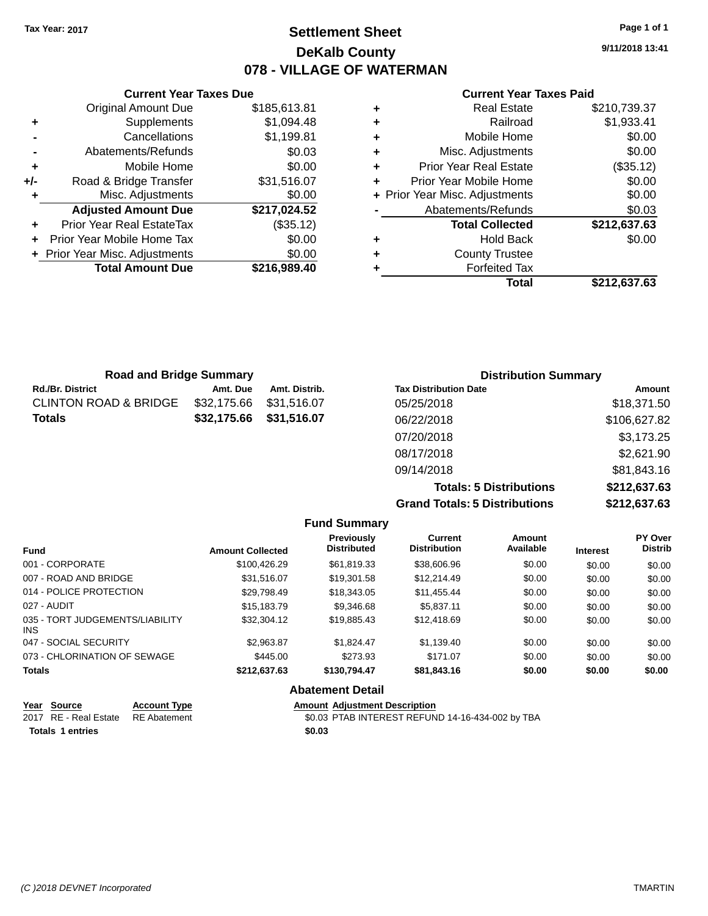## **Settlement Sheet Tax Year: 2017 Page 1 of 1 DeKalb County 078 - VILLAGE OF WATERMAN**

**9/11/2018 13:41**

## **Current Year Taxes Paid**

|     | <b>Current Year Taxes Due</b>    |              |
|-----|----------------------------------|--------------|
|     | <b>Original Amount Due</b>       | \$185,613.81 |
| ٠   | Supplements                      | \$1,094.48   |
|     | Cancellations                    | \$1,199.81   |
|     | Abatements/Refunds               | \$0.03       |
| ÷   | Mobile Home                      | \$0.00       |
| +/- | Road & Bridge Transfer           | \$31,516.07  |
| ٠   | Misc. Adjustments                | \$0.00       |
|     | <b>Adjusted Amount Due</b>       | \$217,024.52 |
|     | <b>Prior Year Real EstateTax</b> | (\$35.12)    |
|     | Prior Year Mobile Home Tax       | \$0.00       |
|     | + Prior Year Misc. Adjustments   | \$0.00       |
|     | <b>Total Amount Due</b>          | \$216,989.40 |
|     |                                  |              |

| ٠ | <b>Real Estate</b>             | \$210,739.37 |
|---|--------------------------------|--------------|
| ٠ | Railroad                       | \$1,933.41   |
| ٠ | Mobile Home                    | \$0.00       |
| ٠ | Misc. Adjustments              | \$0.00       |
| ٠ | <b>Prior Year Real Estate</b>  | (\$35.12)    |
| ٠ | Prior Year Mobile Home         | \$0.00       |
|   | + Prior Year Misc. Adjustments | \$0.00       |
|   | Abatements/Refunds             | \$0.03       |
|   | <b>Total Collected</b>         | \$212,637.63 |
| ٠ | <b>Hold Back</b>               | \$0.00       |
| ٠ | <b>County Trustee</b>          |              |
| ٠ | <b>Forfeited Tax</b>           |              |
|   | Total                          | \$212,637.63 |
|   |                                |              |

| <b>Road and Bridge Summary</b>   |             |               |                              | <b>Distribution Summary</b> |
|----------------------------------|-------------|---------------|------------------------------|-----------------------------|
| Rd./Br. District                 | Amt. Due    | Amt. Distrib. | <b>Tax Distribution Date</b> | Amount                      |
| <b>CLINTON ROAD &amp; BRIDGE</b> | \$32,175.66 | \$31,516.07   | 05/25/2018                   | \$18,371.50                 |
| Totals                           | \$32,175.66 | \$31,516.07   | 06/22/2018                   | \$106,627.82                |
|                                  |             |               | 07/20/2018                   | \$3,173.25                  |
|                                  |             |               | 08/17/2018                   | \$2,621.90                  |
|                                  |             |               | 09/14/2018                   | \$81,843.16                 |
|                                  |             |               |                              |                             |

**Totals: 5 Distributions \$212,637.63 Grand Totals: 5 Distributions \$212,637.63**

|                                         |                         | <b>Fund Summary</b>              |                                       |                     |                 |                           |
|-----------------------------------------|-------------------------|----------------------------------|---------------------------------------|---------------------|-----------------|---------------------------|
| <b>Fund</b>                             | <b>Amount Collected</b> | Previously<br><b>Distributed</b> | <b>Current</b><br><b>Distribution</b> | Amount<br>Available | <b>Interest</b> | PY Over<br><b>Distrib</b> |
| 001 - CORPORATE                         | \$100.426.29            | \$61.819.33                      | \$38,606.96                           | \$0.00              | \$0.00          | \$0.00                    |
| 007 - ROAD AND BRIDGE                   | \$31.516.07             | \$19.301.58                      | \$12,214.49                           | \$0.00              | \$0.00          | \$0.00                    |
| 014 - POLICE PROTECTION                 | \$29.798.49             | \$18,343.05                      | \$11,455.44                           | \$0.00              | \$0.00          | \$0.00                    |
| 027 - AUDIT                             | \$15,183.79             | \$9,346.68                       | \$5.837.11                            | \$0.00              | \$0.00          | \$0.00                    |
| 035 - TORT JUDGEMENTS/LIABILITY<br>INS. | \$32,304.12             | \$19,885.43                      | \$12,418.69                           | \$0.00              | \$0.00          | \$0.00                    |
| 047 - SOCIAL SECURITY                   | \$2.963.87              | \$1.824.47                       | \$1.139.40                            | \$0.00              | \$0.00          | \$0.00                    |
| 073 - CHLORINATION OF SEWAGE            | \$445.00                | \$273.93                         | \$171.07                              | \$0.00              | \$0.00          | \$0.00                    |
| <b>Totals</b>                           | \$212,637.63            | \$130,794.47                     | \$81,843.16                           | \$0.00              | \$0.00          | \$0.00                    |
|                                         |                         | <b>Abatement Detail</b>          |                                       |                     |                 |                           |

| Year Source                        | <b>Account Type</b> | <b>Amount Adiustment Description</b>             |
|------------------------------------|---------------------|--------------------------------------------------|
| 2017 RE - Real Estate RE Abatement |                     | \$0.03 PTAB INTEREST REFUND 14-16-434-002 by TBA |
| Totals 1 entries                   |                     | \$0.03                                           |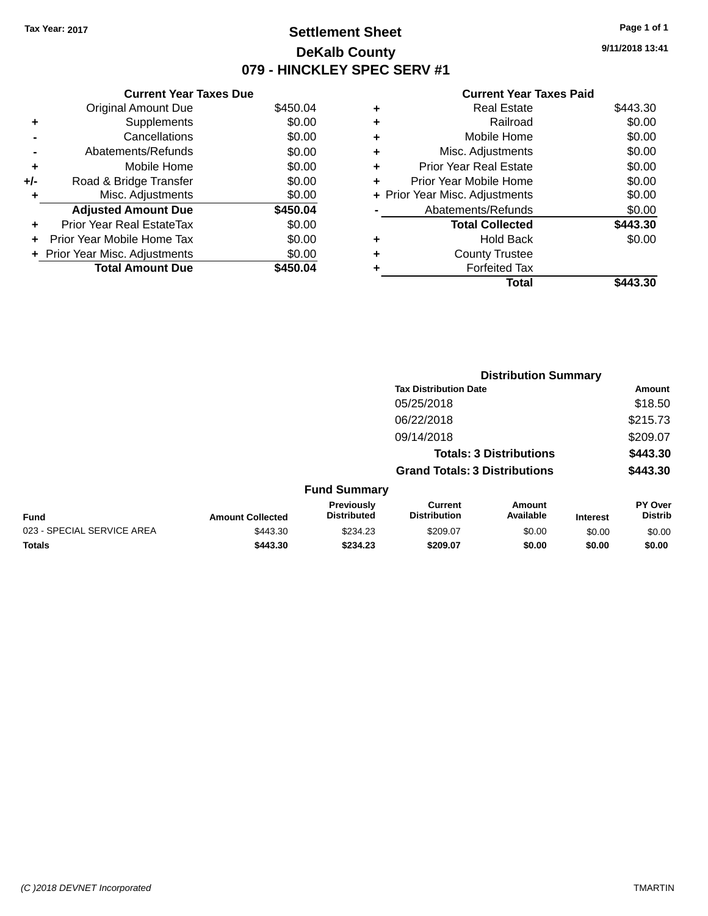# **Settlement Sheet Tax Year: 2017 Page 1 of 1 DeKalb County 079 - HINCKLEY SPEC SERV #1**

**9/11/2018 13:41**

### **Current Year Taxes Paid**

|     | <b>Current Year Taxes Due</b>     |          |  |  |  |
|-----|-----------------------------------|----------|--|--|--|
|     | <b>Original Amount Due</b>        | \$450.04 |  |  |  |
| ÷   | Supplements                       | \$0.00   |  |  |  |
|     | Cancellations                     | \$0.00   |  |  |  |
|     | Abatements/Refunds                | \$0.00   |  |  |  |
| ٠   | Mobile Home                       | \$0.00   |  |  |  |
| +/- | Road & Bridge Transfer            | \$0.00   |  |  |  |
| ٠   | Misc. Adjustments                 | \$0.00   |  |  |  |
|     | <b>Adjusted Amount Due</b>        | \$450.04 |  |  |  |
| ÷   | Prior Year Real EstateTax         | \$0.00   |  |  |  |
| ÷   | <b>Prior Year Mobile Home Tax</b> | \$0.00   |  |  |  |
|     | + Prior Year Misc. Adjustments    | \$0.00   |  |  |  |
|     | <b>Total Amount Due</b>           | \$450.04 |  |  |  |

| ٠ | <b>Real Estate</b>             | \$443.30 |
|---|--------------------------------|----------|
| ٠ | Railroad                       | \$0.00   |
| ٠ | Mobile Home                    | \$0.00   |
| ٠ | Misc. Adjustments              | \$0.00   |
| ٠ | <b>Prior Year Real Estate</b>  | \$0.00   |
| ٠ | Prior Year Mobile Home         | \$0.00   |
|   | + Prior Year Misc. Adjustments | \$0.00   |
|   | Abatements/Refunds             | \$0.00   |
|   | <b>Total Collected</b>         | \$443.30 |
| ٠ | <b>Hold Back</b>               | \$0.00   |
| ٠ | <b>County Trustee</b>          |          |
| ٠ | <b>Forfeited Tax</b>           |          |
|   | Total                          | \$443.30 |
|   |                                |          |

|                            |                         |                                  | <b>Distribution Summary</b>           |                                |                 |                                  |  |
|----------------------------|-------------------------|----------------------------------|---------------------------------------|--------------------------------|-----------------|----------------------------------|--|
|                            |                         |                                  | <b>Tax Distribution Date</b>          |                                |                 | Amount                           |  |
|                            |                         |                                  | 05/25/2018                            |                                |                 | \$18.50                          |  |
|                            |                         |                                  | 06/22/2018                            |                                |                 | \$215.73                         |  |
|                            |                         |                                  | 09/14/2018                            |                                |                 | \$209.07                         |  |
|                            |                         |                                  |                                       | <b>Totals: 3 Distributions</b> |                 | \$443.30                         |  |
|                            |                         |                                  | <b>Grand Totals: 3 Distributions</b>  |                                |                 | \$443.30                         |  |
|                            |                         | <b>Fund Summary</b>              |                                       |                                |                 |                                  |  |
| <b>Fund</b>                | <b>Amount Collected</b> | Previously<br><b>Distributed</b> | <b>Current</b><br><b>Distribution</b> | Amount<br>Available            | <b>Interest</b> | <b>PY Over</b><br><b>Distrib</b> |  |
| 023 - SPECIAL SERVICE AREA | \$443.30                | \$234.23                         | \$209.07                              | \$0.00                         | \$0.00          | \$0.00                           |  |
| <b>Totals</b>              | \$443.30                | \$234.23                         | \$209.07                              | \$0.00                         | \$0.00          | \$0.00                           |  |
|                            |                         |                                  |                                       |                                |                 |                                  |  |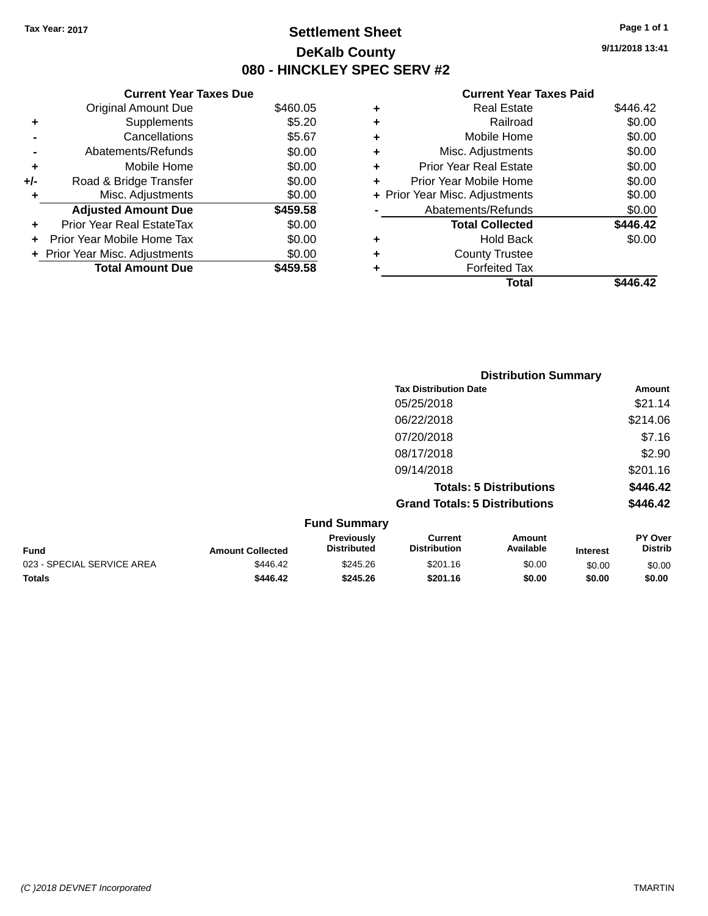**Current Year Taxes Due** Original Amount Due \$460.05

**Adjusted Amount Due \$459.58**

Total Amount Due \$459.58

**+** Supplements \$5.20 **-** Cancellations \$5.67 **-** Abatements/Refunds \$0.00 **+** Mobile Home \$0.00 **+/-** Road & Bridge Transfer \$0.00 **+** Misc. Adjustments \$0.00

**+** Prior Year Real EstateTax \$0.00 **+** Prior Year Mobile Home Tax \$0.00 **+ Prior Year Misc. Adjustments**  $$0.00$ 

## **Settlement Sheet Tax Year: 2017 Page 1 of 1 DeKalb County 080 - HINCKLEY SPEC SERV #2**

**9/11/2018 13:41**

### **Current Year Taxes Paid**

| Total                         | \$446.42                                                                    |
|-------------------------------|-----------------------------------------------------------------------------|
| <b>Forfeited Tax</b>          |                                                                             |
| <b>County Trustee</b>         |                                                                             |
| <b>Hold Back</b>              | \$0.00                                                                      |
| <b>Total Collected</b>        | \$446.42                                                                    |
| Abatements/Refunds            | \$0.00                                                                      |
|                               | \$0.00                                                                      |
| Prior Year Mobile Home        | \$0.00                                                                      |
| <b>Prior Year Real Estate</b> | \$0.00                                                                      |
| Misc. Adjustments             | \$0.00                                                                      |
| Mobile Home                   | \$0.00                                                                      |
| Railroad                      | \$0.00                                                                      |
| <b>Real Estate</b>            | \$446.42                                                                    |
|                               | ٠<br>٠<br>÷<br>٠<br>÷<br>٠<br>+ Prior Year Misc. Adjustments<br>٠<br>٠<br>٠ |

|                            |                         |                                  |                                       | <b>Distribution Summary</b>    |                 |                           |
|----------------------------|-------------------------|----------------------------------|---------------------------------------|--------------------------------|-----------------|---------------------------|
|                            |                         |                                  | <b>Tax Distribution Date</b>          |                                |                 | Amount                    |
|                            |                         |                                  | 05/25/2018                            |                                |                 | \$21.14                   |
|                            |                         |                                  | 06/22/2018                            |                                |                 | \$214.06                  |
|                            |                         |                                  | 07/20/2018                            |                                |                 | \$7.16                    |
|                            |                         |                                  | 08/17/2018                            |                                |                 | \$2.90                    |
|                            |                         |                                  | 09/14/2018                            |                                |                 | \$201.16                  |
|                            |                         |                                  |                                       | <b>Totals: 5 Distributions</b> |                 | \$446.42                  |
|                            |                         |                                  | <b>Grand Totals: 5 Distributions</b>  |                                |                 | \$446.42                  |
|                            |                         | <b>Fund Summary</b>              |                                       |                                |                 |                           |
| <b>Fund</b>                | <b>Amount Collected</b> | Previously<br><b>Distributed</b> | <b>Current</b><br><b>Distribution</b> | Amount<br>Available            | <b>Interest</b> | PY Over<br><b>Distrib</b> |
| 023 - SPECIAL SERVICE AREA | \$446.42                | \$245.26                         | \$201.16                              | \$0.00                         | \$0.00          | \$0.00                    |

**Totals \$446.42 \$245.26 \$201.16 \$0.00 \$0.00 \$0.00**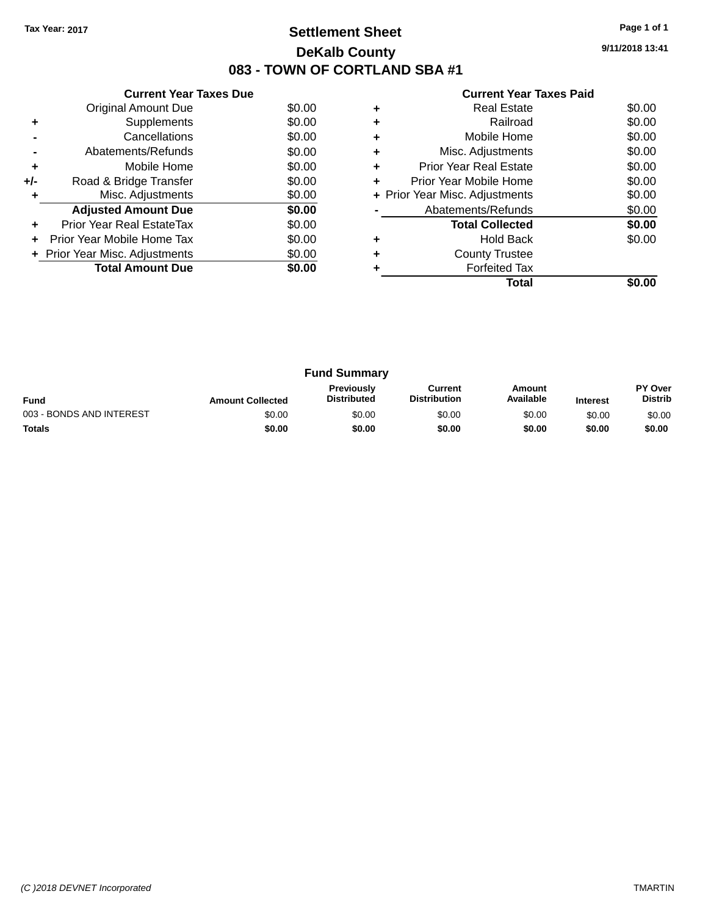# **Settlement Sheet Tax Year: 2017 Page 1 of 1 DeKalb County 083 - TOWN OF CORTLAND SBA #1**

**9/11/2018 13:41**

| <b>Current Year Taxes Paid</b> |  |  |
|--------------------------------|--|--|
|                                |  |  |

|     | <b>Current Year Taxes Due</b>  |        |  |  |  |
|-----|--------------------------------|--------|--|--|--|
|     | Original Amount Due            | \$0.00 |  |  |  |
| ÷   | Supplements                    | \$0.00 |  |  |  |
|     | Cancellations                  | \$0.00 |  |  |  |
|     | Abatements/Refunds             | \$0.00 |  |  |  |
| ٠   | Mobile Home                    | \$0.00 |  |  |  |
| +/- | Road & Bridge Transfer         | \$0.00 |  |  |  |
| ٠   | Misc. Adjustments              | \$0.00 |  |  |  |
|     | <b>Adjusted Amount Due</b>     | \$0.00 |  |  |  |
| ÷   | Prior Year Real EstateTax      | \$0.00 |  |  |  |
| ÷   | Prior Year Mobile Home Tax     | \$0.00 |  |  |  |
|     | + Prior Year Misc. Adjustments | \$0.00 |  |  |  |
|     | <b>Total Amount Due</b>        | \$0.00 |  |  |  |
|     |                                |        |  |  |  |

|   | <b>Real Estate</b>             | \$0.00 |
|---|--------------------------------|--------|
| ٠ | Railroad                       | \$0.00 |
| ٠ | Mobile Home                    | \$0.00 |
| ٠ | Misc. Adjustments              | \$0.00 |
| ٠ | <b>Prior Year Real Estate</b>  | \$0.00 |
| ٠ | Prior Year Mobile Home         | \$0.00 |
|   | + Prior Year Misc. Adjustments | \$0.00 |
|   | Abatements/Refunds             | \$0.00 |
|   | <b>Total Collected</b>         | \$0.00 |
|   | <b>Hold Back</b>               | \$0.00 |
| ٠ | <b>County Trustee</b>          |        |
|   | <b>Forfeited Tax</b>           |        |
|   | Total                          |        |

| <b>Fund Summary</b>                                                                                                                                           |        |        |        |        |        |                                  |
|---------------------------------------------------------------------------------------------------------------------------------------------------------------|--------|--------|--------|--------|--------|----------------------------------|
| <b>Previously</b><br>Amount<br>Current<br>Available<br><b>Distribution</b><br><b>Distributed</b><br><b>Fund</b><br><b>Amount Collected</b><br><b>Interest</b> |        |        |        |        |        | <b>PY Over</b><br><b>Distrib</b> |
| 003 - BONDS AND INTEREST                                                                                                                                      | \$0.00 | \$0.00 | \$0.00 | \$0.00 | \$0.00 | \$0.00                           |
| <b>Totals</b>                                                                                                                                                 | \$0.00 | \$0.00 | \$0.00 | \$0.00 | \$0.00 | \$0.00                           |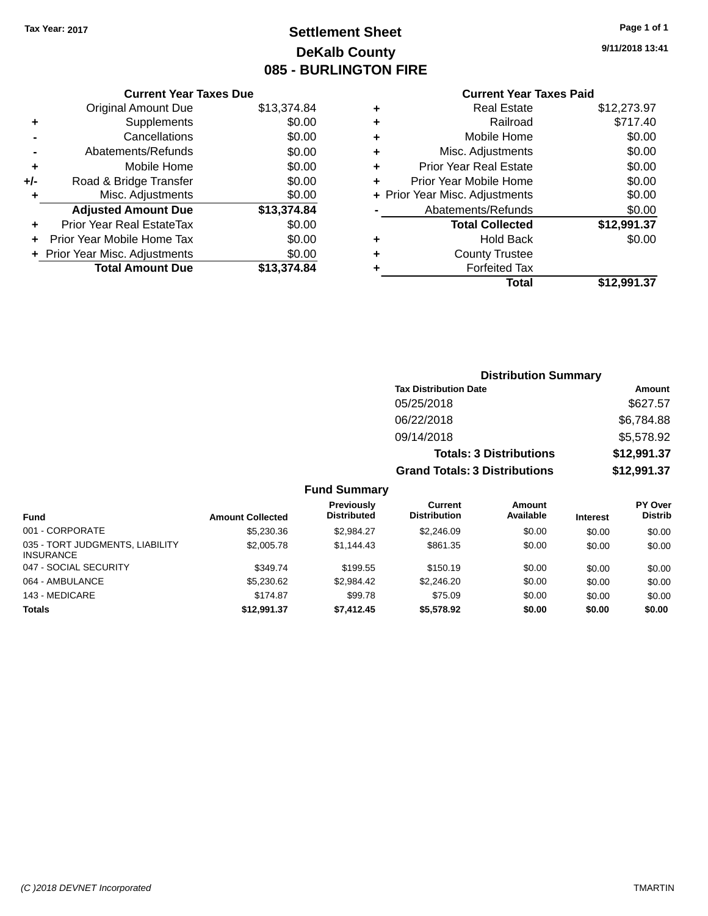# **Settlement Sheet Tax Year: 2017 Page 1 of 1 DeKalb County 085 - BURLINGTON FIRE**

**9/11/2018 13:41**

# **Current Year Taxes Paid**

|     | <b>Current Year Taxes Due</b>  |             |
|-----|--------------------------------|-------------|
|     | <b>Original Amount Due</b>     | \$13,374.84 |
| ٠   | Supplements                    | \$0.00      |
|     | Cancellations                  | \$0.00      |
|     | Abatements/Refunds             | \$0.00      |
| ٠   | Mobile Home                    | \$0.00      |
| +/- | Road & Bridge Transfer         | \$0.00      |
| ٠   | Misc. Adjustments              | \$0.00      |
|     | <b>Adjusted Amount Due</b>     | \$13,374.84 |
| ٠   | Prior Year Real EstateTax      | \$0.00      |
|     | Prior Year Mobile Home Tax     | \$0.00      |
|     | + Prior Year Misc. Adjustments | \$0.00      |
|     | <b>Total Amount Due</b>        | \$13,374.84 |
|     |                                |             |

| ٠ | <b>Real Estate</b>             | \$12,273.97 |
|---|--------------------------------|-------------|
| ٠ | Railroad                       | \$717.40    |
| ٠ | Mobile Home                    | \$0.00      |
| ٠ | Misc. Adjustments              | \$0.00      |
| ٠ | <b>Prior Year Real Estate</b>  | \$0.00      |
|   | Prior Year Mobile Home         | \$0.00      |
|   | + Prior Year Misc. Adjustments | \$0.00      |
|   | Abatements/Refunds             | \$0.00      |
|   | <b>Total Collected</b>         | \$12,991.37 |
| ٠ | <b>Hold Back</b>               | \$0.00      |
| ٠ | <b>County Trustee</b>          |             |
|   | <b>Forfeited Tax</b>           |             |
|   | Total                          | \$12.991.37 |
|   |                                |             |

| <b>Distribution Summary</b>          |             |
|--------------------------------------|-------------|
| <b>Tax Distribution Date</b>         | Amount      |
| 05/25/2018                           | \$627.57    |
| 06/22/2018                           | \$6,784.88  |
| 09/14/2018                           | \$5,578.92  |
| <b>Totals: 3 Distributions</b>       | \$12,991.37 |
| <b>Grand Totals: 3 Distributions</b> | \$12,991.37 |

## **Fund Summary**

| <b>Fund</b>                                         | <b>Amount Collected</b> | Previously<br><b>Distributed</b> | Current<br><b>Distribution</b> | Amount<br>Available | <b>Interest</b> | <b>PY Over</b><br><b>Distrib</b> |
|-----------------------------------------------------|-------------------------|----------------------------------|--------------------------------|---------------------|-----------------|----------------------------------|
| 001 - CORPORATE                                     | \$5,230.36              | \$2.984.27                       | \$2,246.09                     | \$0.00              | \$0.00          | \$0.00                           |
| 035 - TORT JUDGMENTS, LIABILITY<br><b>INSURANCE</b> | \$2,005.78              | \$1,144,43                       | \$861.35                       | \$0.00              | \$0.00          | \$0.00                           |
| 047 - SOCIAL SECURITY                               | \$349.74                | \$199.55                         | \$150.19                       | \$0.00              | \$0.00          | \$0.00                           |
| 064 - AMBULANCE                                     | \$5,230.62              | \$2.984.42                       | \$2,246,20                     | \$0.00              | \$0.00          | \$0.00                           |
| 143 - MEDICARE                                      | \$174.87                | \$99.78                          | \$75.09                        | \$0.00              | \$0.00          | \$0.00                           |
| <b>Totals</b>                                       | \$12.991.37             | \$7.412.45                       | \$5,578.92                     | \$0.00              | \$0.00          | \$0.00                           |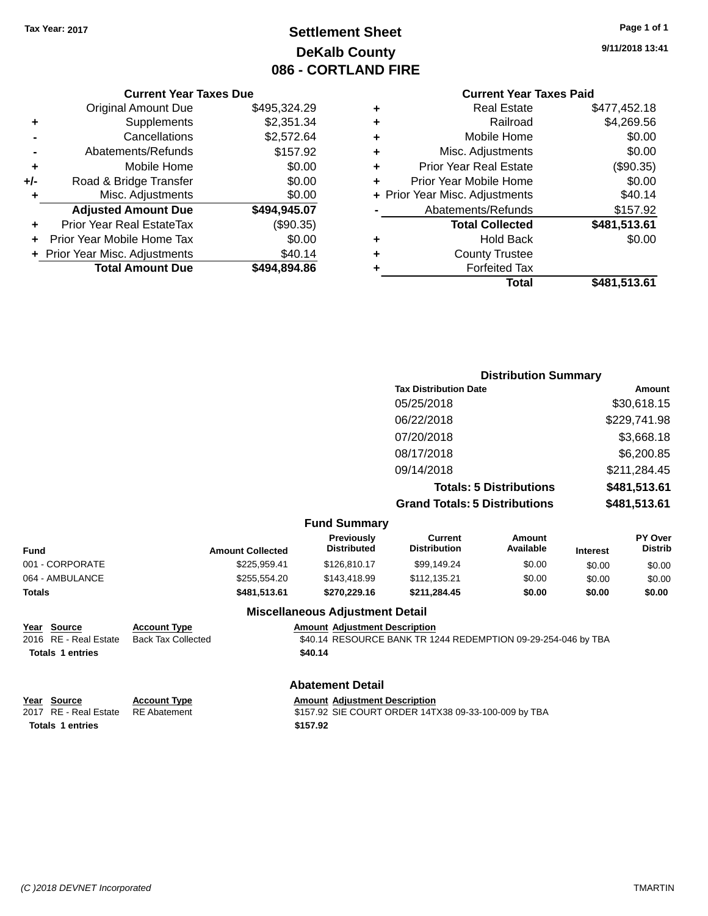# **Settlement Sheet Tax Year: 2017 Page 1 of 1 DeKalb County 086 - CORTLAND FIRE**

#### **Current Year Taxes Due**

|       | <b>Total Amount Due</b>        | \$494,894.86 |
|-------|--------------------------------|--------------|
|       | + Prior Year Misc. Adjustments | \$40.14      |
|       | Prior Year Mobile Home Tax     | \$0.00       |
|       | Prior Year Real EstateTax      | (\$90.35)    |
|       | <b>Adjusted Amount Due</b>     | \$494,945.07 |
| ٠     | Misc. Adjustments              | \$0.00       |
| $+/-$ | Road & Bridge Transfer         | \$0.00       |
| ÷     | Mobile Home                    | \$0.00       |
|       | Abatements/Refunds             | \$157.92     |
|       | Cancellations                  | \$2,572.64   |
| ٠     | Supplements                    | \$2,351.34   |
|       | <b>Original Amount Due</b>     | \$495,324.29 |
|       |                                |              |

## **Current Year Taxes Paid**

| ٠ | <b>Real Estate</b>             | \$477.452.18 |
|---|--------------------------------|--------------|
| ٠ | Railroad                       | \$4,269.56   |
| ٠ | Mobile Home                    | \$0.00       |
| ٠ | Misc. Adjustments              | \$0.00       |
| ٠ | <b>Prior Year Real Estate</b>  | (\$90.35)    |
| ٠ | Prior Year Mobile Home         | \$0.00       |
|   | + Prior Year Misc. Adjustments | \$40.14      |
|   | Abatements/Refunds             | \$157.92     |
|   | <b>Total Collected</b>         | \$481,513.61 |
| ٠ | <b>Hold Back</b>               | \$0.00       |
| ٠ | <b>County Trustee</b>          |              |
| ٠ | <b>Forfeited Tax</b>           |              |
|   | Total                          | \$481,513.61 |
|   |                                |              |

## **Distribution Summary Tax Distribution Date Amount** 05/25/2018 \$30,618.15 06/22/2018 \$229,741.98 07/20/2018 \$3,668.18 08/17/2018 \$6,200.85 09/14/2018 \$211,284.45 **Totals: 5 Distributions \$481,513.61 Grand Totals: 5 Distributions \$481,513.61**

|                 |                         | <b>Fund Summary</b>                     |                                       |                     |                 |                                  |
|-----------------|-------------------------|-----------------------------------------|---------------------------------------|---------------------|-----------------|----------------------------------|
| <b>Fund</b>     | <b>Amount Collected</b> | <b>Previously</b><br><b>Distributed</b> | <b>Current</b><br><b>Distribution</b> | Amount<br>Available | <b>Interest</b> | <b>PY Over</b><br><b>Distrib</b> |
| 001 - CORPORATE | \$225.959.41            | \$126,810.17                            | \$99,149.24                           | \$0.00              | \$0.00          | \$0.00                           |
| 064 - AMBULANCE | \$255,554.20            | \$143,418.99                            | \$112.135.21                          | \$0.00              | \$0.00          | \$0.00                           |
| <b>Totals</b>   | \$481.513.61            | \$270,229.16                            | \$211.284.45                          | \$0.00              | \$0.00          | \$0.00                           |
|                 |                         | <b>Miscellaneous Adjustment Detail</b>  |                                       |                     |                 |                                  |

**Totals \$40.14 1 entries**

**Year Source Account Type Amount Adjustment Description**

\$40.14 RESOURCE BANK TR 1244 REDEMPTION 09-29-254-046 by TBA

#### **Abatement Detail**

| Year Source             | <b>Account Type</b> | <b>Amount Adjustment Description</b>                 |
|-------------------------|---------------------|------------------------------------------------------|
| 2017 RE - Real Estate   | RE Abatement        | \$157.92 SIE COURT ORDER 14TX38 09-33-100-009 by TBA |
| <b>Totals 1 entries</b> |                     | \$157.92                                             |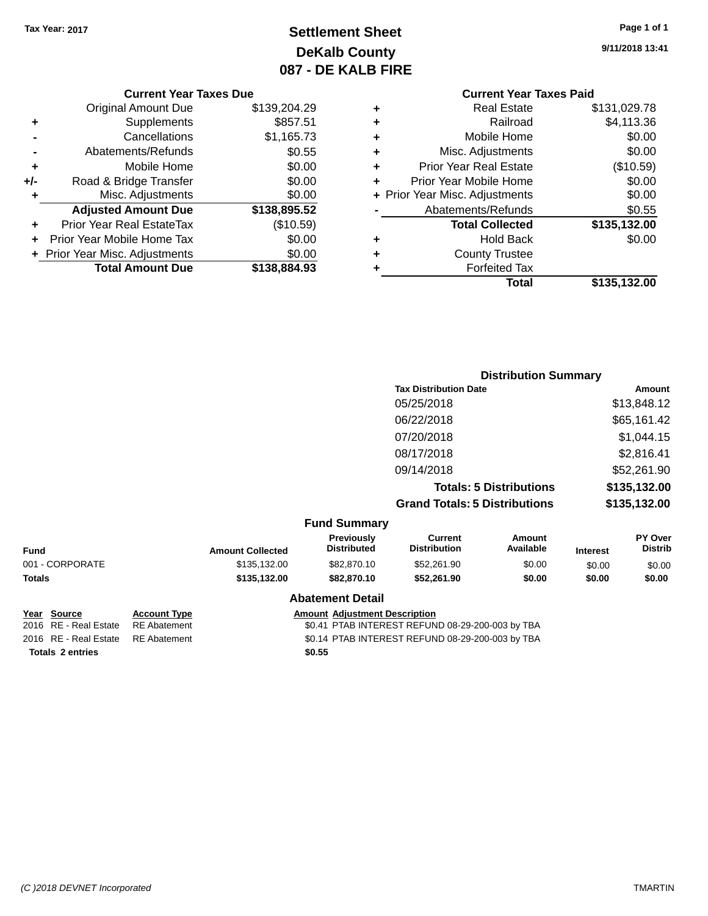# **Settlement Sheet Tax Year: 2017 Page 1 of 1 DeKalb County 087 - DE KALB FIRE**

**9/11/2018 13:41**

|     | <b>Original Amount Due</b>     | \$139,204.29 |
|-----|--------------------------------|--------------|
| ٠   | Supplements                    | \$857.51     |
|     | Cancellations                  | \$1,165.73   |
|     | Abatements/Refunds             | \$0.55       |
| ٠   | Mobile Home                    | \$0.00       |
| +/- | Road & Bridge Transfer         | \$0.00       |
| ٠   | Misc. Adjustments              | \$0.00       |
|     | <b>Adjusted Amount Due</b>     | \$138,895.52 |
| ٠   | Prior Year Real EstateTax      | (\$10.59)    |
|     | Prior Year Mobile Home Tax     | \$0.00       |
|     | + Prior Year Misc. Adjustments | \$0.00       |
|     | <b>Total Amount Due</b>        | \$138,884.93 |

#### **Current Year Taxes Paid +** Real Estate \$131,029.78

|   | Total                          | \$135,132.00 |
|---|--------------------------------|--------------|
|   | <b>Forfeited Tax</b>           |              |
| ٠ | <b>County Trustee</b>          |              |
| ٠ | <b>Hold Back</b>               | \$0.00       |
|   | <b>Total Collected</b>         | \$135,132.00 |
|   | Abatements/Refunds             | \$0.55       |
|   | + Prior Year Misc. Adjustments | \$0.00       |
| ٠ | Prior Year Mobile Home         | \$0.00       |
| ٠ | <b>Prior Year Real Estate</b>  | (\$10.59)    |
| ٠ | Misc. Adjustments              | \$0.00       |
| ÷ | Mobile Home                    | \$0.00       |
| ÷ | Railroad                       | \$4,113.36   |
| ٠ | Real Estate                    | \$131,029.78 |

|                     | <b>Distribution Summary</b>          |              |
|---------------------|--------------------------------------|--------------|
|                     | <b>Tax Distribution Date</b>         | Amount       |
|                     | 05/25/2018                           | \$13,848.12  |
|                     | 06/22/2018                           | \$65,161.42  |
|                     | 07/20/2018                           | \$1,044.15   |
|                     | 08/17/2018                           | \$2,816.41   |
|                     | 09/14/2018                           | \$52,261.90  |
|                     | <b>Totals: 5 Distributions</b>       | \$135,132.00 |
|                     | <b>Grand Totals: 5 Distributions</b> | \$135,132.00 |
| <b>Fund Summary</b> |                                      |              |

|                 |                     |                                      | .  -                                    |                                |                     |                 |                           |
|-----------------|---------------------|--------------------------------------|-----------------------------------------|--------------------------------|---------------------|-----------------|---------------------------|
| <b>Fund</b>     |                     | <b>Amount Collected</b>              | <b>Previously</b><br><b>Distributed</b> | Current<br><b>Distribution</b> | Amount<br>Available | <b>Interest</b> | PY Over<br><b>Distrib</b> |
| 001 - CORPORATE |                     | \$135,132.00                         | \$82,870.10                             | \$52,261.90                    | \$0.00              | \$0.00          | \$0.00                    |
| <b>Totals</b>   |                     | \$135,132.00                         | \$82,870.10                             | \$52,261.90                    | \$0.00              | \$0.00          | \$0.00                    |
|                 |                     |                                      | <b>Abatement Detail</b>                 |                                |                     |                 |                           |
| Year<br>Source  | <b>Account Type</b> | <b>Amount Adjustment Description</b> |                                         |                                |                     |                 |                           |

**Totals \$0.55 2 entries**

2016 RE - Real Estate RE Abatement \$0.41 PTAB INTEREST REFUND 08-29-200-003 by TBA 2016 RE - Real Estate RE Abatement \$0.14 PTAB INTEREST REFUND 08-29-200-003 by TBA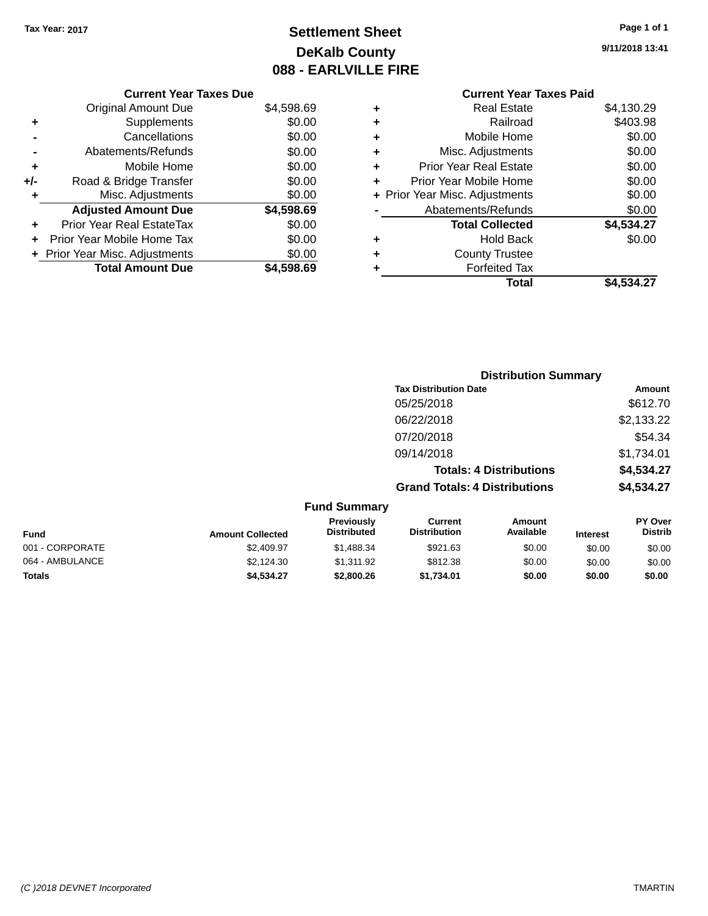# **Settlement Sheet Tax Year: 2017 Page 1 of 1 DeKalb County 088 - EARLVILLE FIRE**

**9/11/2018 13:41**

# **Current Year Taxes Paid**

| <b>Current Year Taxes Due</b>  |            |
|--------------------------------|------------|
| <b>Original Amount Due</b>     | \$4,598.69 |
| Supplements                    | \$0.00     |
| Cancellations                  | \$0.00     |
| Abatements/Refunds             | \$0.00     |
| Mobile Home                    | \$0.00     |
| Road & Bridge Transfer         | \$0.00     |
| Misc. Adjustments              | \$0.00     |
| <b>Adjusted Amount Due</b>     | \$4,598.69 |
| Prior Year Real EstateTax      | \$0.00     |
| Prior Year Mobile Home Tax     | \$0.00     |
| + Prior Year Misc. Adjustments | \$0.00     |
| <b>Total Amount Due</b>        | \$4.598.69 |
|                                |            |

|   | <b>Real Estate</b>             | \$4,130.29 |
|---|--------------------------------|------------|
| ٠ | Railroad                       | \$403.98   |
| ٠ | Mobile Home                    | \$0.00     |
| ٠ | Misc. Adjustments              | \$0.00     |
| ٠ | <b>Prior Year Real Estate</b>  | \$0.00     |
| ÷ | Prior Year Mobile Home         | \$0.00     |
|   | + Prior Year Misc. Adjustments | \$0.00     |
|   | Abatements/Refunds             | \$0.00     |
|   | <b>Total Collected</b>         | \$4,534.27 |
| ٠ | <b>Hold Back</b>               | \$0.00     |
| ÷ | <b>County Trustee</b>          |            |
| ٠ | <b>Forfeited Tax</b>           |            |
|   | Total                          | \$4.534.27 |

| <b>Distribution Summary</b>          |            |
|--------------------------------------|------------|
| <b>Tax Distribution Date</b>         | Amount     |
| 05/25/2018                           | \$612.70   |
| 06/22/2018                           | \$2,133.22 |
| 07/20/2018                           | \$54.34    |
| 09/14/2018                           | \$1,734.01 |
| <b>Totals: 4 Distributions</b>       | \$4,534.27 |
| <b>Grand Totals: 4 Distributions</b> | \$4,534.27 |
| <b>Fund Summary</b>                  |            |

| <b>Fund</b>     | <b>Amount Collected</b> | <b>Previously</b><br><b>Distributed</b> | Current<br><b>Distribution</b> | Amount<br>Available | <b>Interest</b> | <b>PY Over</b><br><b>Distrib</b> |
|-----------------|-------------------------|-----------------------------------------|--------------------------------|---------------------|-----------------|----------------------------------|
| 001 - CORPORATE | \$2.409.97              | \$1,488.34                              | \$921.63                       | \$0.00              | \$0.00          | \$0.00                           |
| 064 - AMBULANCE | \$2.124.30              | \$1.311.92                              | \$812.38                       | \$0.00              | \$0.00          | \$0.00                           |
| Totals          | \$4.534.27              | \$2,800.26                              | \$1.734.01                     | \$0.00              | \$0.00          | \$0.00                           |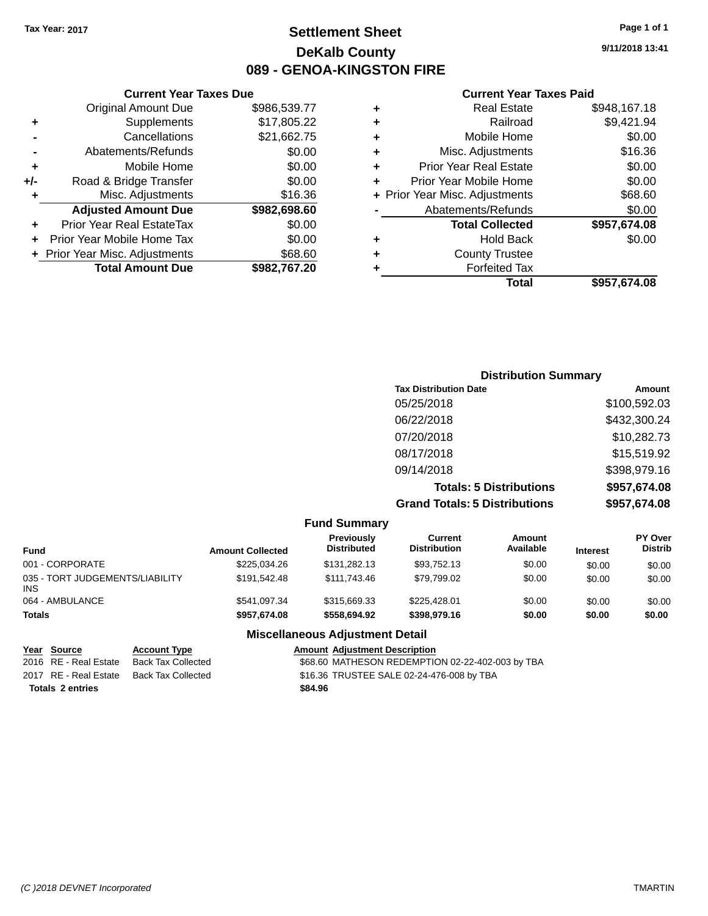# **Settlement Sheet Tax Year: 2017 Page 1 of 1 DeKalb County 089 - GENOA-KINGSTON FIRE**

**9/11/2018 13:41**

## **Current Year Taxes Paid**

|   | Total                          | \$957,674.08 |
|---|--------------------------------|--------------|
|   | <b>Forfeited Tax</b>           |              |
| ٠ | <b>County Trustee</b>          |              |
| ٠ | <b>Hold Back</b>               | \$0.00       |
|   | <b>Total Collected</b>         | \$957,674.08 |
|   | Abatements/Refunds             | \$0.00       |
|   | + Prior Year Misc. Adjustments | \$68.60      |
| ٠ | Prior Year Mobile Home         | \$0.00       |
| ٠ | <b>Prior Year Real Estate</b>  | \$0.00       |
| ÷ | Misc. Adjustments              | \$16.36      |
| ٠ | Mobile Home                    | \$0.00       |
| ٠ | Railroad                       | \$9,421.94   |
| ٠ | <b>Real Estate</b>             | \$948,167.18 |
|   |                                |              |

|     | <b>Current Year Taxes Due</b>  |              |
|-----|--------------------------------|--------------|
|     | <b>Original Amount Due</b>     | \$986,539.77 |
| ٠   | Supplements                    | \$17,805.22  |
|     | Cancellations                  | \$21,662.75  |
|     | Abatements/Refunds             | \$0.00       |
| ٠   | Mobile Home                    | \$0.00       |
| +/- | Road & Bridge Transfer         | \$0.00       |
| ٠   | Misc. Adjustments              | \$16.36      |
|     | <b>Adjusted Amount Due</b>     | \$982,698.60 |
| ٠   | Prior Year Real EstateTax      | \$0.00       |
| ٠   | Prior Year Mobile Home Tax     | \$0.00       |
|     | + Prior Year Misc. Adjustments | \$68.60      |
|     | <b>Total Amount Due</b>        | \$982,767.20 |

| <b>Distribution Summary</b>          |              |
|--------------------------------------|--------------|
| <b>Tax Distribution Date</b>         | Amount       |
| 05/25/2018                           | \$100,592.03 |
| 06/22/2018                           | \$432,300.24 |
| 07/20/2018                           | \$10,282.73  |
| 08/17/2018                           | \$15,519.92  |
| 09/14/2018                           | \$398,979.16 |
| <b>Totals: 5 Distributions</b>       | \$957,674.08 |
| <b>Grand Totals: 5 Distributions</b> | \$957,674.08 |

|                                               |                         | <b>Fund Summary</b>              |                                |                     |                 |                                  |
|-----------------------------------------------|-------------------------|----------------------------------|--------------------------------|---------------------|-----------------|----------------------------------|
| <b>Fund</b>                                   | <b>Amount Collected</b> | Previously<br><b>Distributed</b> | Current<br><b>Distribution</b> | Amount<br>Available | <b>Interest</b> | <b>PY Over</b><br><b>Distrib</b> |
| 001 - CORPORATE                               | \$225.034.26            | \$131,282.13                     | \$93.752.13                    | \$0.00              | \$0.00          | \$0.00                           |
| 035 - TORT JUDGEMENTS/LIABILITY<br><b>INS</b> | \$191.542.48            | \$111,743.46                     | \$79,799.02                    | \$0.00              | \$0.00          | \$0.00                           |
| 064 - AMBULANCE                               | \$541,097.34            | \$315,669.33                     | \$225.428.01                   | \$0.00              | \$0.00          | \$0.00                           |
| <b>Totals</b>                                 | \$957.674.08            | \$558,694.92                     | \$398,979.16                   | \$0.00              | \$0.00          | \$0.00                           |
|                                               |                         |                                  |                                |                     |                 |                                  |

## **Miscellaneous Adjustment Detail**

| <u>Year Source</u>      | <b>Account Type</b> | <b>Amount Adjustment Description</b>             |
|-------------------------|---------------------|--------------------------------------------------|
| 2016 RE - Real Estate   | Back Tax Collected  | \$68.60 MATHESON REDEMPTION 02-22-402-003 by TBA |
| 2017 RE - Real Estate   | Back Tax Collected  | \$16.36 TRUSTEE SALE 02-24-476-008 by TBA        |
| <b>Totals 2 entries</b> |                     | \$84.96                                          |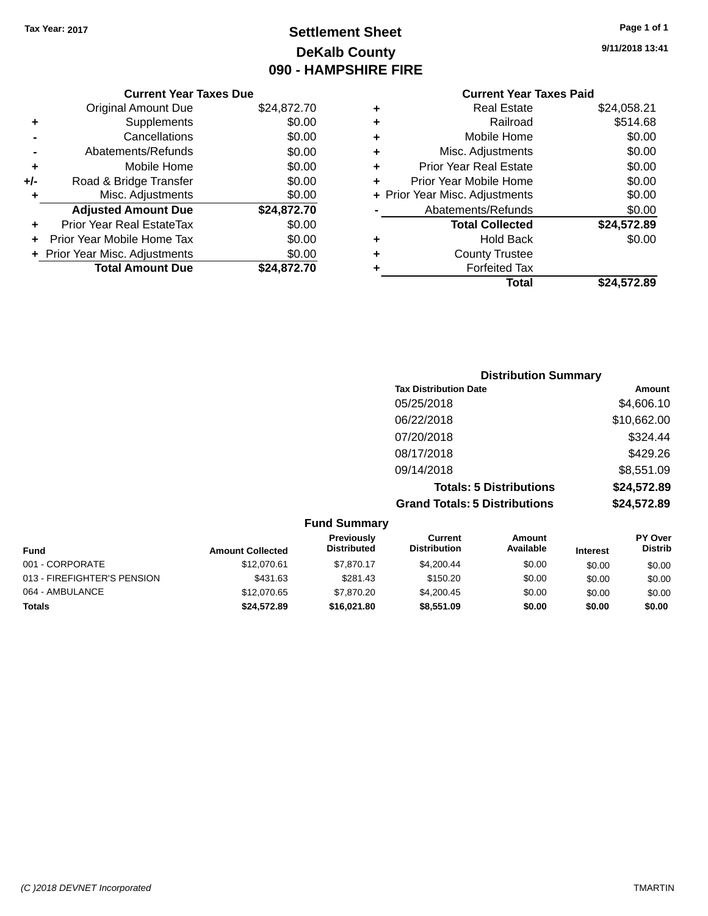# **Settlement Sheet Tax Year: 2017 Page 1 of 1 DeKalb County 090 - HAMPSHIRE FIRE**

**9/11/2018 13:41**

|     | <b>Current Year Taxes Due</b>  |             |
|-----|--------------------------------|-------------|
|     | <b>Original Amount Due</b>     | \$24,872.70 |
| ٠   | Supplements                    | \$0.00      |
|     | Cancellations                  | \$0.00      |
|     | Abatements/Refunds             | \$0.00      |
| ٠   | Mobile Home                    | \$0.00      |
| +/- | Road & Bridge Transfer         | \$0.00      |
|     | Misc. Adjustments              | \$0.00      |
|     | <b>Adjusted Amount Due</b>     | \$24,872.70 |
| ÷   | Prior Year Real EstateTax      | \$0.00      |
| ÷   | Prior Year Mobile Home Tax     | \$0.00      |
|     | + Prior Year Misc. Adjustments | \$0.00      |
|     | <b>Total Amount Due</b>        | \$24.872.70 |
|     |                                |             |

|   | <b>Current Year Taxes Paid</b> |             |
|---|--------------------------------|-------------|
| ٠ | <b>Real Estate</b>             | \$24,058.21 |
| ٠ | Railroad                       | \$514.68    |
| ٠ | Mobile Home                    | \$0.00      |
| ٠ | Misc. Adjustments              | \$0.00      |
| ٠ | <b>Prior Year Real Estate</b>  | \$0.00      |
| ÷ | Prior Year Mobile Home         | \$0.00      |
|   | + Prior Year Misc. Adjustments | \$0.00      |
|   | Abatements/Refunds             | \$0.00      |
|   | <b>Total Collected</b>         | \$24,572.89 |
| ٠ | <b>Hold Back</b>               | \$0.00      |
| ٠ | <b>County Trustee</b>          |             |
| ٠ | <b>Forfeited Tax</b>           |             |
|   | <b>Total</b>                   | \$24,572.89 |

| <b>Distribution Summary</b>          |             |
|--------------------------------------|-------------|
| <b>Tax Distribution Date</b>         | Amount      |
| 05/25/2018                           | \$4,606.10  |
| 06/22/2018                           | \$10,662.00 |
| 07/20/2018                           | \$324.44    |
| 08/17/2018                           | \$429.26    |
| 09/14/2018                           | \$8,551.09  |
| <b>Totals: 5 Distributions</b>       | \$24,572.89 |
| <b>Grand Totals: 5 Distributions</b> | \$24,572.89 |

|                             |                         | <b>Fund Summary</b>              |                                       |                     |                 |                                  |
|-----------------------------|-------------------------|----------------------------------|---------------------------------------|---------------------|-----------------|----------------------------------|
| <b>Fund</b>                 | <b>Amount Collected</b> | Previously<br><b>Distributed</b> | <b>Current</b><br><b>Distribution</b> | Amount<br>Available | <b>Interest</b> | <b>PY Over</b><br><b>Distrib</b> |
| 001 - CORPORATE             | \$12,070.61             | \$7,870.17                       | \$4,200.44                            | \$0.00              | \$0.00          | \$0.00                           |
| 013 - FIREFIGHTER'S PENSION | \$431.63                | \$281.43                         | \$150.20                              | \$0.00              | \$0.00          | \$0.00                           |
| 064 - AMBULANCE             | \$12,070.65             | \$7,870.20                       | \$4,200.45                            | \$0.00              | \$0.00          | \$0.00                           |
| <b>Totals</b>               | \$24,572.89             | \$16,021.80                      | \$8,551.09                            | \$0.00              | \$0.00          | \$0.00                           |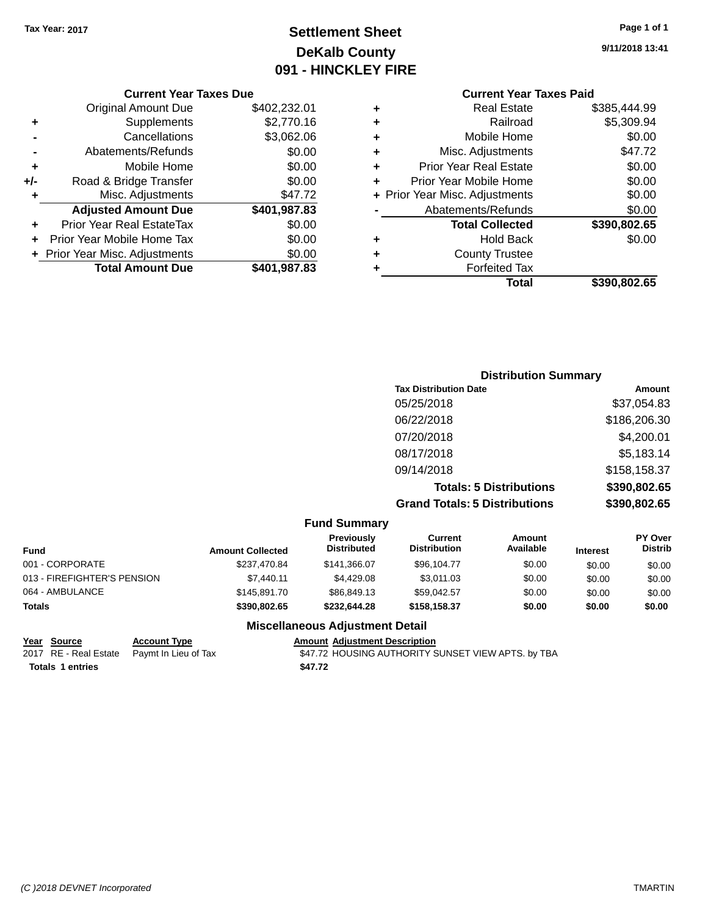# **Settlement Sheet Tax Year: 2017 Page 1 of 1 DeKalb County 091 - HINCKLEY FIRE**

**9/11/2018 13:41**

## **Current Year Taxes Due**

|       | <b>Original Amount Due</b>     | \$402,232.01 |
|-------|--------------------------------|--------------|
| ٠     | Supplements                    | \$2,770.16   |
|       | Cancellations                  | \$3,062.06   |
|       | Abatements/Refunds             | \$0.00       |
| ٠     | Mobile Home                    | \$0.00       |
| $+/-$ | Road & Bridge Transfer         | \$0.00       |
| ٠     | Misc. Adjustments              | \$47.72      |
|       | <b>Adjusted Amount Due</b>     | \$401,987.83 |
|       | Prior Year Real EstateTax      | \$0.00       |
|       | Prior Year Mobile Home Tax     | \$0.00       |
|       | + Prior Year Misc. Adjustments | \$0.00       |
|       | <b>Total Amount Due</b>        | \$401,987.83 |

|   | <b>Current Year Taxes Paid</b> |              |  |  |
|---|--------------------------------|--------------|--|--|
| ٠ | <b>Real Estate</b>             | \$385,444.99 |  |  |
| ٠ | Railroad                       | \$5,309.94   |  |  |
| ٠ | Mobile Home                    | \$0.00       |  |  |
| ٠ | Misc. Adjustments              | \$47.72      |  |  |
| ٠ | <b>Prior Year Real Estate</b>  | \$0.00       |  |  |
| ٠ | Prior Year Mobile Home         | \$0.00       |  |  |
|   | + Prior Year Misc. Adjustments | \$0.00       |  |  |
|   | Abatements/Refunds             | \$0.00       |  |  |
|   | <b>Total Collected</b>         | \$390,802.65 |  |  |
| ٠ | <b>Hold Back</b>               | \$0.00       |  |  |
| ٠ | <b>County Trustee</b>          |              |  |  |
| ٠ | <b>Forfeited Tax</b>           |              |  |  |
|   | Total                          | \$390,802.65 |  |  |
|   |                                |              |  |  |

| <b>Distribution Summary</b>          |              |
|--------------------------------------|--------------|
| <b>Tax Distribution Date</b>         | Amount       |
| 05/25/2018                           | \$37,054.83  |
| 06/22/2018                           | \$186,206.30 |
| 07/20/2018                           | \$4,200.01   |
| 08/17/2018                           | \$5,183.14   |
| 09/14/2018                           | \$158,158.37 |
| <b>Totals: 5 Distributions</b>       | \$390,802.65 |
| <b>Grand Totals: 5 Distributions</b> | \$390,802.65 |

|                             |                         | <b>Fund Summary</b>              |                                |                     |                 |                           |
|-----------------------------|-------------------------|----------------------------------|--------------------------------|---------------------|-----------------|---------------------------|
| <b>Fund</b>                 | <b>Amount Collected</b> | Previously<br><b>Distributed</b> | Current<br><b>Distribution</b> | Amount<br>Available | <b>Interest</b> | PY Over<br><b>Distrib</b> |
| 001 - CORPORATE             | \$237.470.84            | \$141.366.07                     | \$96.104.77                    | \$0.00              | \$0.00          | \$0.00                    |
| 013 - FIREFIGHTER'S PENSION | \$7,440.11              | \$4,429.08                       | \$3,011.03                     | \$0.00              | \$0.00          | \$0.00                    |
| 064 - AMBULANCE             | \$145,891.70            | \$86,849.13                      | \$59.042.57                    | \$0.00              | \$0.00          | \$0.00                    |
| <b>Totals</b>               | \$390,802.65            | \$232.644.28                     | \$158,158,37                   | \$0.00              | \$0.00          | \$0.00                    |

## **Miscellaneous Adjustment Detail**

**<u>Year Source</u> Account Type**<br>
2017 RE - Real Estate Paymt In Lieu of Tax **Totals \$47.72 1 entries**

Amount Adjustment Description<br>\$47.72 HOUSING AUTHORITY SUNSET VIEW APTS. by TBA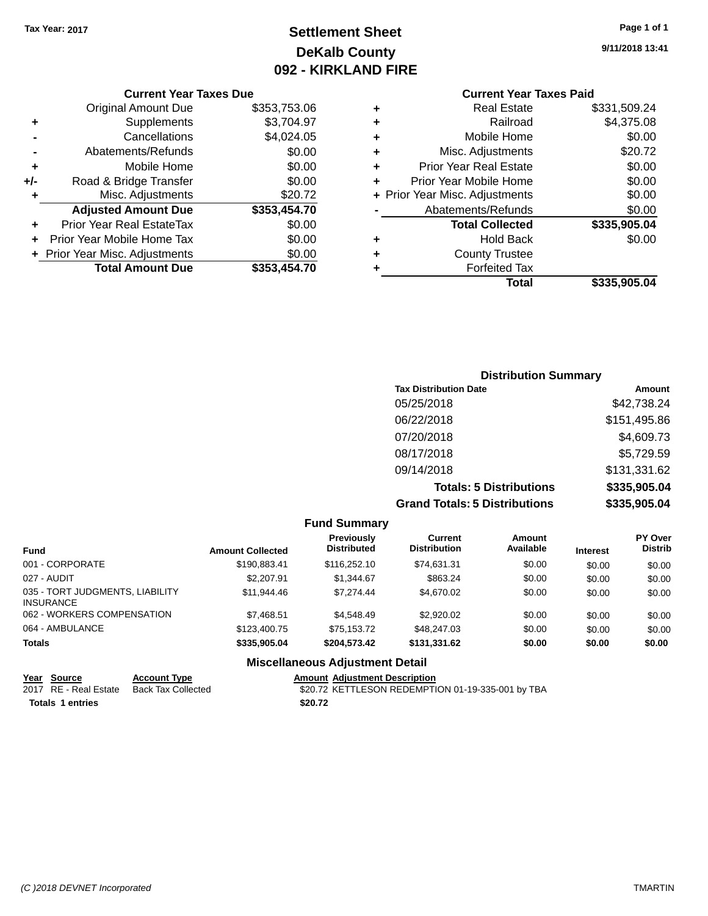# **Settlement Sheet Tax Year: 2017 Page 1 of 1 DeKalb County 092 - KIRKLAND FIRE**

**9/11/2018 13:41**

## **Current Year Taxes Paid**

|     | <b>Current Year Taxes Due</b>  |              |  |  |
|-----|--------------------------------|--------------|--|--|
|     | <b>Original Amount Due</b>     | \$353,753.06 |  |  |
| ٠   | Supplements                    | \$3,704.97   |  |  |
|     | Cancellations                  | \$4,024.05   |  |  |
|     | Abatements/Refunds             | \$0.00       |  |  |
| ٠   | Mobile Home                    | \$0.00       |  |  |
| +/- | Road & Bridge Transfer         | \$0.00       |  |  |
| ٠   | Misc. Adjustments              | \$20.72      |  |  |
|     | <b>Adjusted Amount Due</b>     | \$353,454.70 |  |  |
|     | Prior Year Real EstateTax      | \$0.00       |  |  |
|     | Prior Year Mobile Home Tax     | \$0.00       |  |  |
|     | + Prior Year Misc. Adjustments | \$0.00       |  |  |
|     | <b>Total Amount Due</b>        | \$353,454.70 |  |  |
|     |                                |              |  |  |

| ٠ | <b>Real Estate</b>             | \$331,509.24 |
|---|--------------------------------|--------------|
| ٠ | Railroad                       | \$4,375.08   |
| ٠ | Mobile Home                    | \$0.00       |
| ٠ | Misc. Adjustments              | \$20.72      |
| ٠ | <b>Prior Year Real Estate</b>  | \$0.00       |
| ÷ | Prior Year Mobile Home         | \$0.00       |
|   | + Prior Year Misc. Adjustments | \$0.00       |
|   | Abatements/Refunds             | \$0.00       |
|   | <b>Total Collected</b>         | \$335,905.04 |
| ٠ | Hold Back                      | \$0.00       |
| ٠ | <b>County Trustee</b>          |              |
| ٠ | <b>Forfeited Tax</b>           |              |
|   | Total                          | \$335,905.04 |
|   |                                |              |

| <b>Distribution Summary</b>          |              |
|--------------------------------------|--------------|
| <b>Tax Distribution Date</b>         | Amount       |
| 05/25/2018                           | \$42,738.24  |
| 06/22/2018                           | \$151,495.86 |
| 07/20/2018                           | \$4,609.73   |
| 08/17/2018                           | \$5,729.59   |
| 09/14/2018                           | \$131,331.62 |
| <b>Totals: 5 Distributions</b>       | \$335,905.04 |
| <b>Grand Totals: 5 Distributions</b> | \$335,905.04 |

|                                                     |                         | <b>Fund Summary</b>                              |                                       |                     |                 |                                  |
|-----------------------------------------------------|-------------------------|--------------------------------------------------|---------------------------------------|---------------------|-----------------|----------------------------------|
| <b>Fund</b>                                         | <b>Amount Collected</b> | <b>Previously</b><br><b>Distributed</b>          | <b>Current</b><br><b>Distribution</b> | Amount<br>Available | <b>Interest</b> | <b>PY Over</b><br><b>Distrib</b> |
| 001 - CORPORATE                                     | \$190,883.41            | \$116,252.10                                     | \$74,631.31                           | \$0.00              | \$0.00          | \$0.00                           |
| 027 - AUDIT                                         | \$2,207.91              | \$1,344.67                                       | \$863.24                              | \$0.00              | \$0.00          | \$0.00                           |
| 035 - TORT JUDGMENTS, LIABILITY<br><b>INSURANCE</b> | \$11.944.46             | \$7,274,44                                       | \$4,670.02                            | \$0.00              | \$0.00          | \$0.00                           |
| 062 - WORKERS COMPENSATION                          | \$7.468.51              | \$4,548,49                                       | \$2,920.02                            | \$0.00              | \$0.00          | \$0.00                           |
| 064 - AMBULANCE                                     | \$123,400.75            | \$75,153.72                                      | \$48,247,03                           | \$0.00              | \$0.00          | \$0.00                           |
| Totals                                              | \$335,905.04            | \$204.573.42                                     | \$131.331.62                          | \$0.00              | \$0.00          | \$0.00                           |
|                                                     |                         | <b>Address House Court A. Househouse Books H</b> |                                       |                     |                 |                                  |

## **Miscellaneous Adjustment Detail**

| Year Source             | <b>Account Type</b> | <b>Amount Adjustment Description</b>              |
|-------------------------|---------------------|---------------------------------------------------|
| 2017 RE - Real Estate   | Back Tax Collected  | \$20.72 KETTLESON REDEMPTION 01-19-335-001 by TBA |
| <b>Totals 1 entries</b> |                     | \$20.72                                           |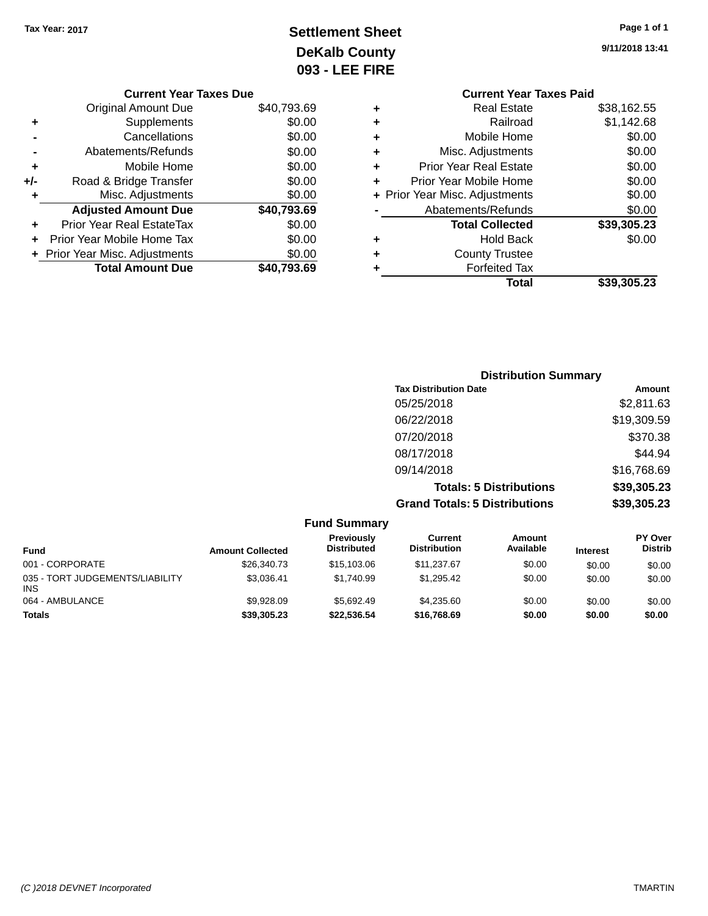# **Settlement Sheet Tax Year: 2017 Page 1 of 1 DeKalb County 093 - LEE FIRE**

|     | <b>Current Year Taxes Due</b>  |             |
|-----|--------------------------------|-------------|
|     | <b>Original Amount Due</b>     | \$40,793.69 |
| ٠   | Supplements                    | \$0.00      |
|     | Cancellations                  | \$0.00      |
|     | Abatements/Refunds             | \$0.00      |
| ٠   | Mobile Home                    | \$0.00      |
| +/- | Road & Bridge Transfer         | \$0.00      |
| ٠   | Misc. Adjustments              | \$0.00      |
|     | <b>Adjusted Amount Due</b>     | \$40,793.69 |
|     | Prior Year Real EstateTax      | \$0.00      |
|     | Prior Year Mobile Home Tax     | \$0.00      |
|     | + Prior Year Misc. Adjustments | \$0.00      |
|     | <b>Total Amount Due</b>        | \$40.793.69 |

|   | <b>Current Year Taxes Paid</b> |             |
|---|--------------------------------|-------------|
| ÷ | Real Estate                    | \$38,162.55 |
| ÷ | Railroad                       | \$1,142.68  |
| ÷ | Mobile Home                    | \$0.00      |
| ÷ | Misc. Adjustments              | \$0.00      |
| ÷ | <b>Prior Year Real Estate</b>  | \$0.00      |
| ÷ | Prior Year Mobile Home         | \$0.00      |
|   | + Prior Year Misc. Adjustments | \$0.00      |
|   | Abatements/Refunds             | \$0.00      |
|   | <b>Total Collected</b>         | \$39,305.23 |
| ٠ | <b>Hold Back</b>               | \$0.00      |
| ÷ | <b>County Trustee</b>          |             |
| ٠ | <b>Forfeited Tax</b>           |             |
|   | Total                          | \$39,305.23 |

| <b>Distribution Summary</b>          |             |
|--------------------------------------|-------------|
| <b>Tax Distribution Date</b>         | Amount      |
| 05/25/2018                           | \$2,811.63  |
| 06/22/2018                           | \$19,309.59 |
| 07/20/2018                           | \$370.38    |
| 08/17/2018                           | \$44.94     |
| 09/14/2018                           | \$16,768.69 |
| <b>Totals: 5 Distributions</b>       | \$39,305.23 |
| <b>Grand Totals: 5 Distributions</b> | \$39,305.23 |

|                                               |                         | <b>Fund Summary</b>              |                                |                     |                 |                                  |
|-----------------------------------------------|-------------------------|----------------------------------|--------------------------------|---------------------|-----------------|----------------------------------|
| <b>Fund</b>                                   | <b>Amount Collected</b> | Previously<br><b>Distributed</b> | Current<br><b>Distribution</b> | Amount<br>Available | <b>Interest</b> | <b>PY Over</b><br><b>Distrib</b> |
| 001 - CORPORATE                               | \$26,340.73             | \$15,103,06                      | \$11,237.67                    | \$0.00              | \$0.00          | \$0.00                           |
| 035 - TORT JUDGEMENTS/LIABILITY<br><b>INS</b> | \$3.036.41              | \$1.740.99                       | \$1.295.42                     | \$0.00              | \$0.00          | \$0.00                           |
| 064 - AMBULANCE                               | \$9.928.09              | \$5.692.49                       | \$4.235.60                     | \$0.00              | \$0.00          | \$0.00                           |
| <b>Totals</b>                                 | \$39,305.23             | \$22.536.54                      | \$16,768,69                    | \$0.00              | \$0.00          | \$0.00                           |

**9/11/2018 13:41**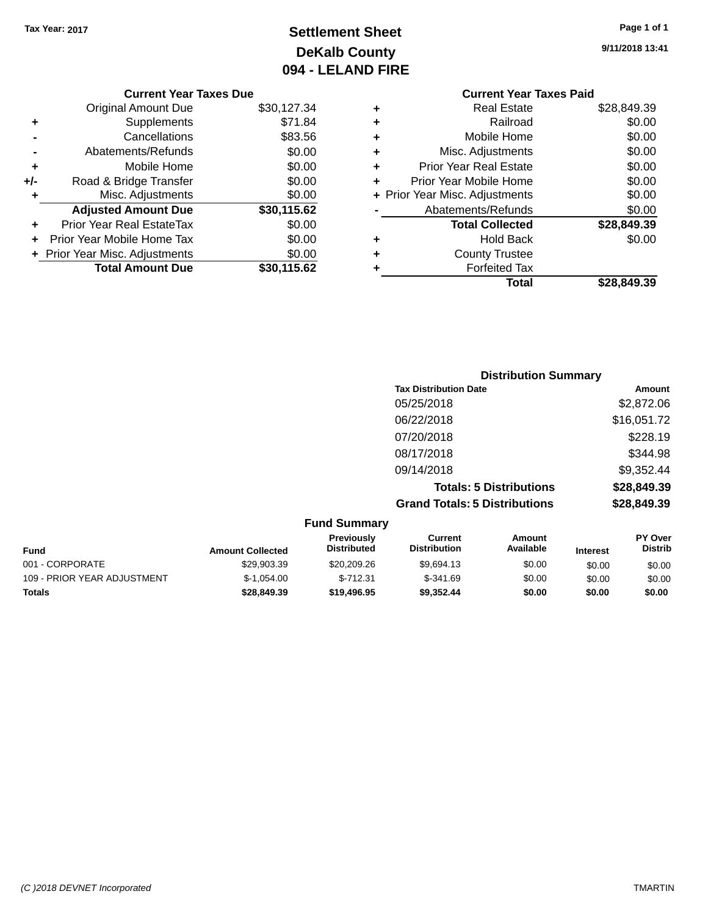# **Settlement Sheet Tax Year: 2017 Page 1 of 1 DeKalb County 094 - LELAND FIRE**

**9/11/2018 13:41**

# **Current Year Taxes Due**

|       | VUITCHL TCUL TUACS DUC           |             |
|-------|----------------------------------|-------------|
|       | <b>Original Amount Due</b>       | \$30,127.34 |
| ٠     | Supplements                      | \$71.84     |
|       | Cancellations                    | \$83.56     |
|       | Abatements/Refunds               | \$0.00      |
| ÷     | Mobile Home                      | \$0.00      |
| $+/-$ | Road & Bridge Transfer           | \$0.00      |
|       | Misc. Adjustments                | \$0.00      |
|       | <b>Adjusted Amount Due</b>       | \$30,115.62 |
|       | <b>Prior Year Real EstateTax</b> | \$0.00      |
|       | Prior Year Mobile Home Tax       | \$0.00      |
|       | + Prior Year Misc. Adjustments   | \$0.00      |
|       | <b>Total Amount Due</b>          | \$30,115.62 |
|       |                                  |             |

|   | <b>Current Year Taxes Paid</b> |             |  |  |  |  |
|---|--------------------------------|-------------|--|--|--|--|
| ٠ | <b>Real Estate</b>             | \$28,849.39 |  |  |  |  |
| ٠ | Railroad                       | \$0.00      |  |  |  |  |
| ٠ | Mobile Home                    | \$0.00      |  |  |  |  |
| ٠ | Misc. Adjustments              | \$0.00      |  |  |  |  |
| ÷ | <b>Prior Year Real Estate</b>  | \$0.00      |  |  |  |  |
| ٠ | Prior Year Mobile Home         | \$0.00      |  |  |  |  |
|   | + Prior Year Misc. Adjustments | \$0.00      |  |  |  |  |
|   | Abatements/Refunds             | \$0.00      |  |  |  |  |
|   | <b>Total Collected</b>         | \$28,849.39 |  |  |  |  |
| ٠ | Hold Back                      | \$0.00      |  |  |  |  |
|   | <b>County Trustee</b>          |             |  |  |  |  |
|   | <b>Forfeited Tax</b>           |             |  |  |  |  |
|   | Total                          | \$28.849.39 |  |  |  |  |
|   |                                |             |  |  |  |  |

| <b>Distribution Summary</b>          |             |
|--------------------------------------|-------------|
| <b>Tax Distribution Date</b>         | Amount      |
| 05/25/2018                           | \$2,872.06  |
| 06/22/2018                           | \$16,051.72 |
| 07/20/2018                           | \$228.19    |
| 08/17/2018                           | \$344.98    |
| 09/14/2018                           | \$9,352.44  |
| <b>Totals: 5 Distributions</b>       | \$28,849.39 |
| <b>Grand Totals: 5 Distributions</b> | \$28,849.39 |

|                             |                         | <b>Fund Summary</b>              |                                |                     |                 |                                  |
|-----------------------------|-------------------------|----------------------------------|--------------------------------|---------------------|-----------------|----------------------------------|
| <b>Fund</b>                 | <b>Amount Collected</b> | Previously<br><b>Distributed</b> | Current<br><b>Distribution</b> | Amount<br>Available | <b>Interest</b> | <b>PY Over</b><br><b>Distrib</b> |
| 001 - CORPORATE             | \$29.903.39             | \$20,209.26                      | \$9.694.13                     | \$0.00              | \$0.00          | \$0.00                           |
| 109 - PRIOR YEAR ADJUSTMENT | $$-1,054.00$            | $$-712.31$                       | $$-341.69$                     | \$0.00              | \$0.00          | \$0.00                           |
| <b>Totals</b>               | \$28,849.39             | \$19,496.95                      | \$9.352.44                     | \$0.00              | \$0.00          | \$0.00                           |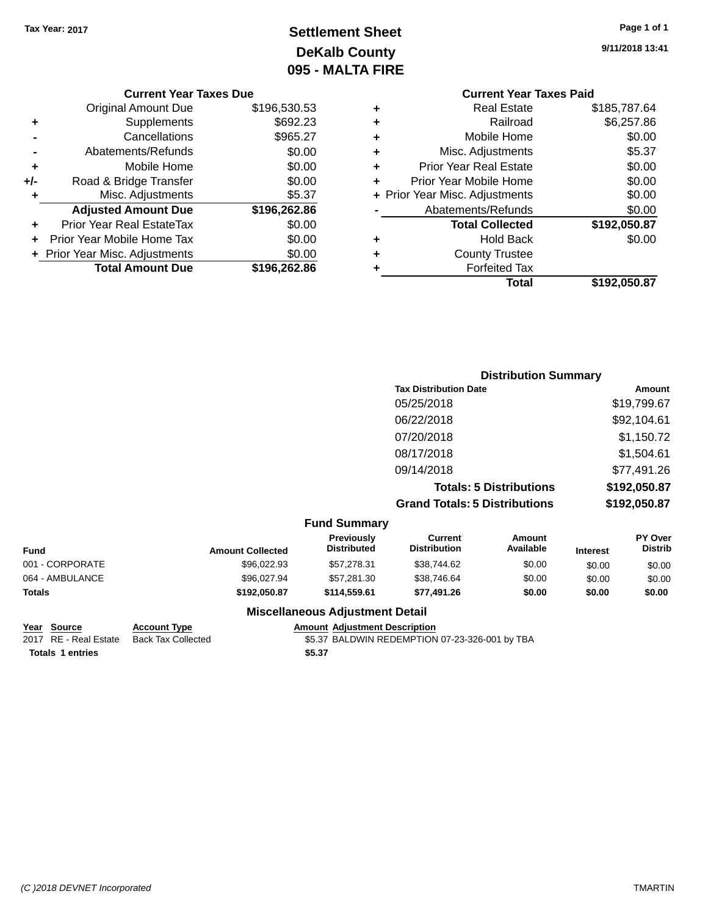# **Settlement Sheet Tax Year: 2017 Page 1 of 1 DeKalb County 095 - MALTA FIRE**

**9/11/2018 13:41**

### **Current Year Taxes Due**

|     | <b>Original Amount Due</b>     | \$196,530.53 |
|-----|--------------------------------|--------------|
| ٠   | Supplements                    | \$692.23     |
|     | Cancellations                  | \$965.27     |
|     | Abatements/Refunds             | \$0.00       |
| ٠   | Mobile Home                    | \$0.00       |
| +/- | Road & Bridge Transfer         | \$0.00       |
| ٠   | Misc. Adjustments              | \$5.37       |
|     | <b>Adjusted Amount Due</b>     | \$196,262.86 |
| ÷   | Prior Year Real EstateTax      | \$0.00       |
|     | Prior Year Mobile Home Tax     | \$0.00       |
|     | + Prior Year Misc. Adjustments | \$0.00       |
|     | <b>Total Amount Due</b>        | \$196,262.86 |

## **Current Year Taxes Paid +** Real Estate \$185,787.64 **+** Railroad \$6,257.86 **+** Mobile Home \$0.00 **+** Misc. Adjustments \$5.37 **+** Prior Year Real Estate \$0.00 **+** Prior Year Mobile Home \$0.00 **+ Prior Year Misc. Adjustments**  $$0.00$ Abatements/Refunds \$0.00 **Total Collected \$192,050.87 +** Hold Back \$0.00 **+** County Trustee **+** Forfeited **Total \$192,050.87**

| d Tax |  |
|-------|--|
| Total |  |

| <b>Distribution Summary</b>          |              |
|--------------------------------------|--------------|
| <b>Tax Distribution Date</b>         | Amount       |
| 05/25/2018                           | \$19,799.67  |
| 06/22/2018                           | \$92,104.61  |
| 07/20/2018                           | \$1,150.72   |
| 08/17/2018                           | \$1,504.61   |
| 09/14/2018                           | \$77,491.26  |
| <b>Totals: 5 Distributions</b>       | \$192,050.87 |
| <b>Grand Totals: 5 Distributions</b> | \$192,050.87 |

|                 |                         | <b>Fund Summary</b>                     |                                |                     |                 |                                  |
|-----------------|-------------------------|-----------------------------------------|--------------------------------|---------------------|-----------------|----------------------------------|
| <b>Fund</b>     | <b>Amount Collected</b> | <b>Previously</b><br><b>Distributed</b> | Current<br><b>Distribution</b> | Amount<br>Available | <b>Interest</b> | <b>PY Over</b><br><b>Distrib</b> |
| 001 - CORPORATE | \$96,022.93             | \$57,278,31                             | \$38,744.62                    | \$0.00              | \$0.00          | \$0.00                           |
| 064 - AMBULANCE | \$96,027.94             | \$57,281.30                             | \$38,746.64                    | \$0.00              | \$0.00          | \$0.00                           |
| <b>Totals</b>   | \$192,050.87            | \$114,559.61                            | \$77,491.26                    | \$0.00              | \$0.00          | \$0.00                           |

**Totals \$5.37 1 entries**

**Miscellaneous Adjustment Detail**

# **Year Source Account Type Amount Adjustment Description**

\$5.37 BALDWIN REDEMPTION 07-23-326-001 by TBA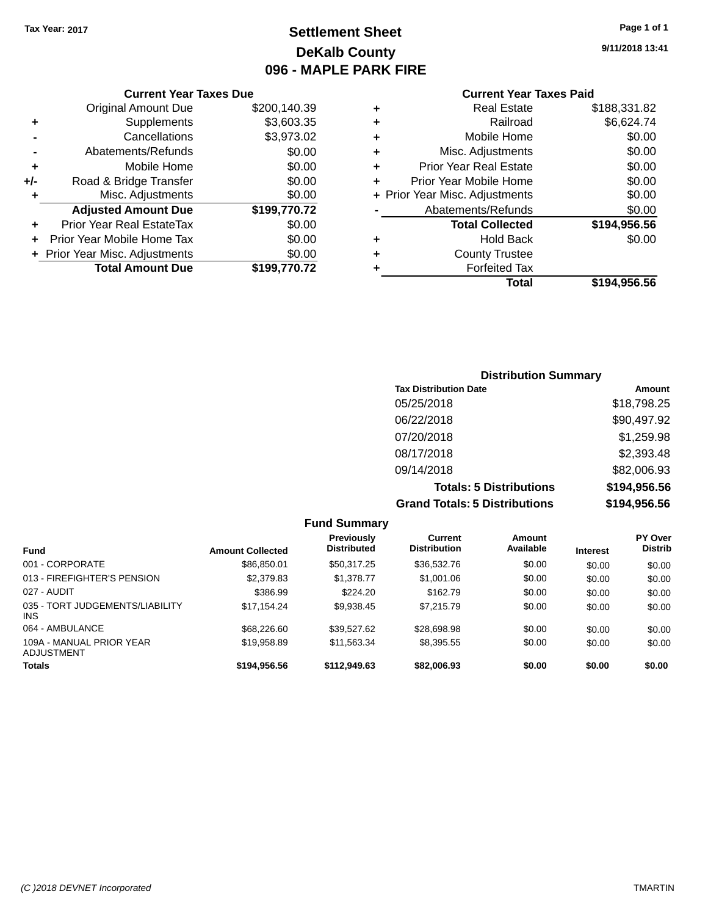# **Settlement Sheet Tax Year: 2017 Page 1 of 1 DeKalb County 096 - MAPLE PARK FIRE**

**9/11/2018 13:41**

### **Current Year Taxes Paid**

| <b>Current Year Taxes Due</b> |                                |              |  |  |  |
|-------------------------------|--------------------------------|--------------|--|--|--|
|                               | <b>Original Amount Due</b>     | \$200,140.39 |  |  |  |
| ٠                             | Supplements                    | \$3,603.35   |  |  |  |
|                               | Cancellations                  | \$3,973.02   |  |  |  |
|                               | Abatements/Refunds             | \$0.00       |  |  |  |
| ٠                             | Mobile Home                    | \$0.00       |  |  |  |
| +/-                           | Road & Bridge Transfer         | \$0.00       |  |  |  |
| ٠                             | Misc. Adjustments              | \$0.00       |  |  |  |
|                               | <b>Adjusted Amount Due</b>     | \$199,770.72 |  |  |  |
| ٠                             | Prior Year Real EstateTax      | \$0.00       |  |  |  |
| ٠                             | Prior Year Mobile Home Tax     | \$0.00       |  |  |  |
|                               | + Prior Year Misc. Adjustments | \$0.00       |  |  |  |
|                               | <b>Total Amount Due</b>        | \$199,770.72 |  |  |  |

|   | <b>Real Estate</b>             | \$188,331.82 |
|---|--------------------------------|--------------|
| ٠ | Railroad                       | \$6,624.74   |
| ٠ | Mobile Home                    | \$0.00       |
| ٠ | Misc. Adjustments              | \$0.00       |
| ٠ | <b>Prior Year Real Estate</b>  | \$0.00       |
| ÷ | Prior Year Mobile Home         | \$0.00       |
|   | + Prior Year Misc. Adjustments | \$0.00       |
|   | Abatements/Refunds             | \$0.00       |
|   | <b>Total Collected</b>         | \$194,956.56 |
| ٠ | Hold Back                      | \$0.00       |
| ٠ | <b>County Trustee</b>          |              |
| ٠ | <b>Forfeited Tax</b>           |              |
|   | Total                          | \$194,956.56 |
|   |                                |              |

## **Distribution Summary Tax Distribution Date Amount** 05/25/2018 \$18,798.25 06/22/2018 \$90,497.92 07/20/2018 \$1,259.98 08/17/2018 \$2,393.48 09/14/2018 \$82,006.93 **Totals: 5 Distributions \$194,956.56 Grand Totals: 5 Distributions \$194,956.56**

|                                         |                         | <b>Fund Summary</b>              |                                |                     |                 |                                  |
|-----------------------------------------|-------------------------|----------------------------------|--------------------------------|---------------------|-----------------|----------------------------------|
| <b>Fund</b>                             | <b>Amount Collected</b> | Previously<br><b>Distributed</b> | Current<br><b>Distribution</b> | Amount<br>Available | <b>Interest</b> | <b>PY Over</b><br><b>Distrib</b> |
| 001 - CORPORATE                         | \$86,850.01             | \$50.317.25                      | \$36,532.76                    | \$0.00              | \$0.00          | \$0.00                           |
| 013 - FIREFIGHTER'S PENSION             | \$2,379.83              | \$1.378.77                       | \$1,001.06                     | \$0.00              | \$0.00          | \$0.00                           |
| 027 - AUDIT                             | \$386.99                | \$224.20                         | \$162.79                       | \$0.00              | \$0.00          | \$0.00                           |
| 035 - TORT JUDGEMENTS/LIABILITY<br>INS. | \$17,154.24             | \$9,938.45                       | \$7,215.79                     | \$0.00              | \$0.00          | \$0.00                           |
| 064 - AMBULANCE                         | \$68,226.60             | \$39.527.62                      | \$28,698.98                    | \$0.00              | \$0.00          | \$0.00                           |
| 109A - MANUAL PRIOR YEAR<br>ADJUSTMENT  | \$19,958.89             | \$11,563.34                      | \$8,395.55                     | \$0.00              | \$0.00          | \$0.00                           |
| <b>Totals</b>                           | \$194,956.56            | \$112,949.63                     | \$82,006.93                    | \$0.00              | \$0.00          | \$0.00                           |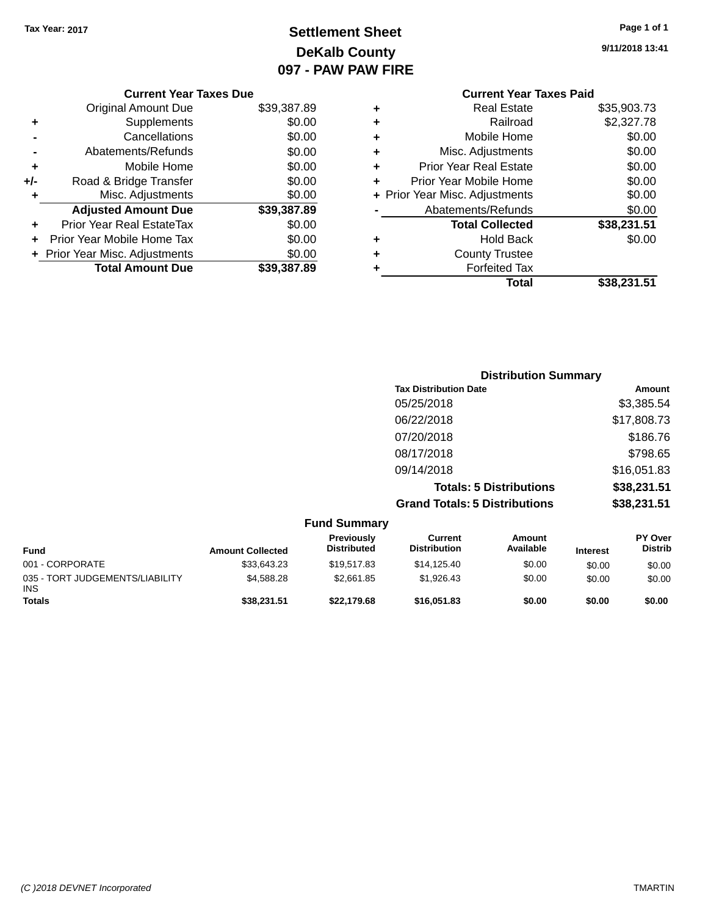# **Settlement Sheet Tax Year: 2017 Page 1 of 1 DeKalb County 097 - PAW PAW FIRE**

**9/11/2018 13:41**

|       | <b>Current Year Taxes Due</b>  |             |
|-------|--------------------------------|-------------|
|       | <b>Original Amount Due</b>     | \$39,387.89 |
| ٠     | Supplements                    | \$0.00      |
|       | Cancellations                  | \$0.00      |
|       | Abatements/Refunds             | \$0.00      |
| ٠     | Mobile Home                    | \$0.00      |
| $+/-$ | Road & Bridge Transfer         | \$0.00      |
| ٠     | Misc. Adjustments              | \$0.00      |
|       | <b>Adjusted Amount Due</b>     | \$39,387.89 |
| ÷     | Prior Year Real EstateTax      | \$0.00      |
|       | Prior Year Mobile Home Tax     | \$0.00      |
|       | + Prior Year Misc. Adjustments | \$0.00      |
|       | <b>Total Amount Due</b>        | \$39,387.89 |
|       |                                |             |

|   | <b>Current Year Taxes Paid</b> |             |
|---|--------------------------------|-------------|
| ٠ | Real Estate                    | \$35,903.73 |
| ٠ | Railroad                       | \$2,327.78  |
| ٠ | Mobile Home                    | \$0.00      |
| ٠ | Misc. Adjustments              | \$0.00      |
| ٠ | <b>Prior Year Real Estate</b>  | \$0.00      |
| ٠ | Prior Year Mobile Home         | \$0.00      |
|   | + Prior Year Misc. Adjustments | \$0.00      |
|   | Abatements/Refunds             | \$0.00      |
|   | <b>Total Collected</b>         | \$38,231.51 |
| ٠ | Hold Back                      | \$0.00      |
|   | <b>County Trustee</b>          |             |
| ٠ | <b>Forfeited Tax</b>           |             |
|   | Total                          | \$38,231.51 |
|   |                                |             |

| <b>Distribution Summary</b>          |             |
|--------------------------------------|-------------|
| <b>Tax Distribution Date</b>         | Amount      |
| 05/25/2018                           | \$3,385.54  |
| 06/22/2018                           | \$17,808.73 |
| 07/20/2018                           | \$186.76    |
| 08/17/2018                           | \$798.65    |
| 09/14/2018                           | \$16,051.83 |
| <b>Totals: 5 Distributions</b>       | \$38,231.51 |
| <b>Grand Totals: 5 Distributions</b> | \$38,231.51 |

|                                               |                         | <b>Fund Summary</b>              |                                |                     |                 |                                  |
|-----------------------------------------------|-------------------------|----------------------------------|--------------------------------|---------------------|-----------------|----------------------------------|
| <b>Fund</b>                                   | <b>Amount Collected</b> | Previously<br><b>Distributed</b> | Current<br><b>Distribution</b> | Amount<br>Available | <b>Interest</b> | <b>PY Over</b><br><b>Distrib</b> |
| 001 - CORPORATE                               | \$33,643.23             | \$19.517.83                      | \$14,125,40                    | \$0.00              | \$0.00          | \$0.00                           |
| 035 - TORT JUDGEMENTS/LIABILITY<br><b>INS</b> | \$4,588,28              | \$2,661.85                       | \$1,926,43                     | \$0.00              | \$0.00          | \$0.00                           |
| <b>Totals</b>                                 | \$38,231.51             | \$22,179.68                      | \$16,051.83                    | \$0.00              | \$0.00          | \$0.00                           |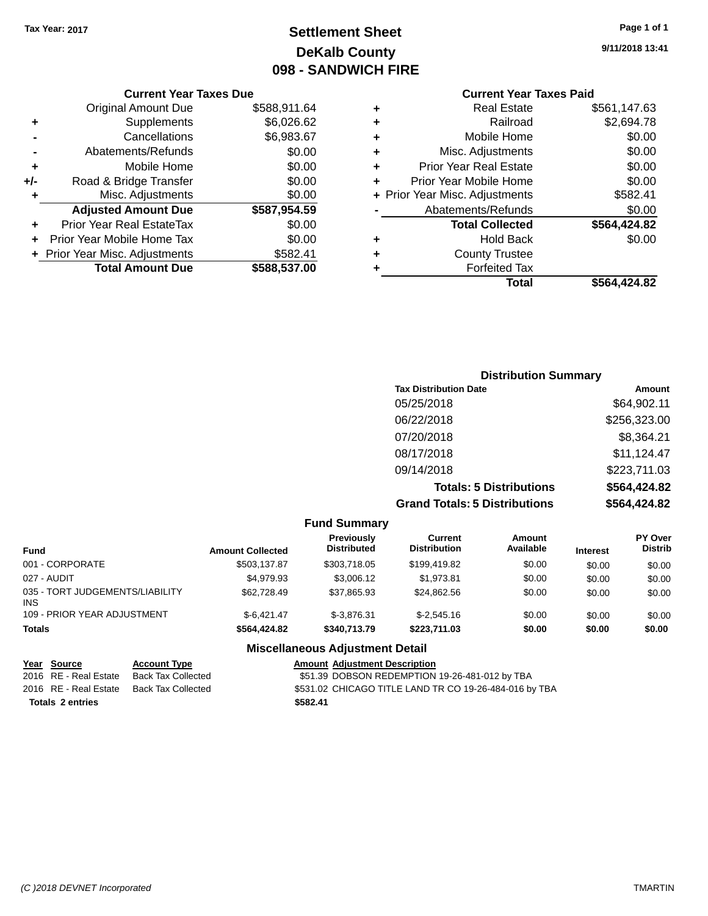**Current Year Taxes Due** Original Amount Due \$588,911.64

**Adjusted Amount Due \$587,954.59**

**Total Amount Due \$588,537.00**

**+** Supplements \$6,026.62 **-** Cancellations \$6,983.67 **-** Abatements/Refunds \$0.00 **+** Mobile Home \$0.00 **+/-** Road & Bridge Transfer \$0.00 **+** Misc. Adjustments \$0.00

**+** Prior Year Real EstateTax \$0.00 **+** Prior Year Mobile Home Tax \$0.00 **+ Prior Year Misc. Adjustments \$582.41** 

# **Settlement Sheet Tax Year: 2017 Page 1 of 1 DeKalb County 098 - SANDWICH FIRE**

**9/11/2018 13:41**

## **Current Year Taxes Paid**

|   | Total                          | \$564.424.82 |
|---|--------------------------------|--------------|
| ٠ | <b>Forfeited Tax</b>           |              |
| ٠ | <b>County Trustee</b>          |              |
| ٠ | <b>Hold Back</b>               | \$0.00       |
|   | <b>Total Collected</b>         | \$564,424.82 |
|   | Abatements/Refunds             | \$0.00       |
|   | + Prior Year Misc. Adjustments | \$582.41     |
| ٠ | Prior Year Mobile Home         | \$0.00       |
| ٠ | <b>Prior Year Real Estate</b>  | \$0.00       |
| ٠ | Misc. Adjustments              | \$0.00       |
| ٠ | Mobile Home                    | \$0.00       |
| ٠ | Railroad                       | \$2,694.78   |
| ٠ | <b>Real Estate</b>             | \$561,147.63 |
|   |                                |              |

# **Distribution Summary Tax Distribution Date Amount** 05/25/2018 \$64,902.11 06/22/2018 \$256,323.00 07/20/2018 \$8,364.21 08/17/2018 \$11,124.47 09/14/2018 \$223,711.03

**Totals: 5 Distributions \$564,424.82 Grand Totals: 5 Distributions \$564,424.82**

|                                         |                     |                         | <b>Fund Summary</b>                     |                                       |                     |                 |                                  |
|-----------------------------------------|---------------------|-------------------------|-----------------------------------------|---------------------------------------|---------------------|-----------------|----------------------------------|
| <b>Fund</b>                             |                     | <b>Amount Collected</b> | <b>Previously</b><br><b>Distributed</b> | <b>Current</b><br><b>Distribution</b> | Amount<br>Available | <b>Interest</b> | <b>PY Over</b><br><b>Distrib</b> |
| 001 - CORPORATE                         |                     | \$503.137.87            | \$303,718.05                            | \$199,419.82                          | \$0.00              | \$0.00          | \$0.00                           |
| 027 - AUDIT                             |                     | \$4,979.93              | \$3,006.12                              | \$1.973.81                            | \$0.00              | \$0.00          | \$0.00                           |
| 035 - TORT JUDGEMENTS/LIABILITY<br>INS. |                     | \$62,728.49             | \$37,865.93                             | \$24,862.56                           | \$0.00              | \$0.00          | \$0.00                           |
| 109 - PRIOR YEAR ADJUSTMENT             |                     | $$-6.421.47$            | $$-3.876.31$                            | $$-2.545.16$                          | \$0.00              | \$0.00          | \$0.00                           |
| <b>Totals</b>                           |                     | \$564,424.82            | \$340,713.79                            | \$223,711.03                          | \$0.00              | \$0.00          | \$0.00                           |
|                                         |                     |                         | <b>Miscellaneous Adjustment Detail</b>  |                                       |                     |                 |                                  |
| Year Source                             | <b>Account Type</b> |                         | <b>Amount Adjustment Description</b>    |                                       |                     |                 |                                  |

| Year Source             | <b>Account Type</b>       | Amount   |
|-------------------------|---------------------------|----------|
| 2016 RE - Real Estate   | <b>Back Tax Collected</b> | \$51.39  |
| 2016 RE - Real Estate   | Back Tax Collected        | \$531.02 |
| <b>Totals 2 entries</b> |                           | \$582.41 |

\$51.39 DOBSON REDEMPTION 19-26-481-012 by TBA \$531.02 CHICAGO TITLE LAND TR CO 19-26-484-016 by TBA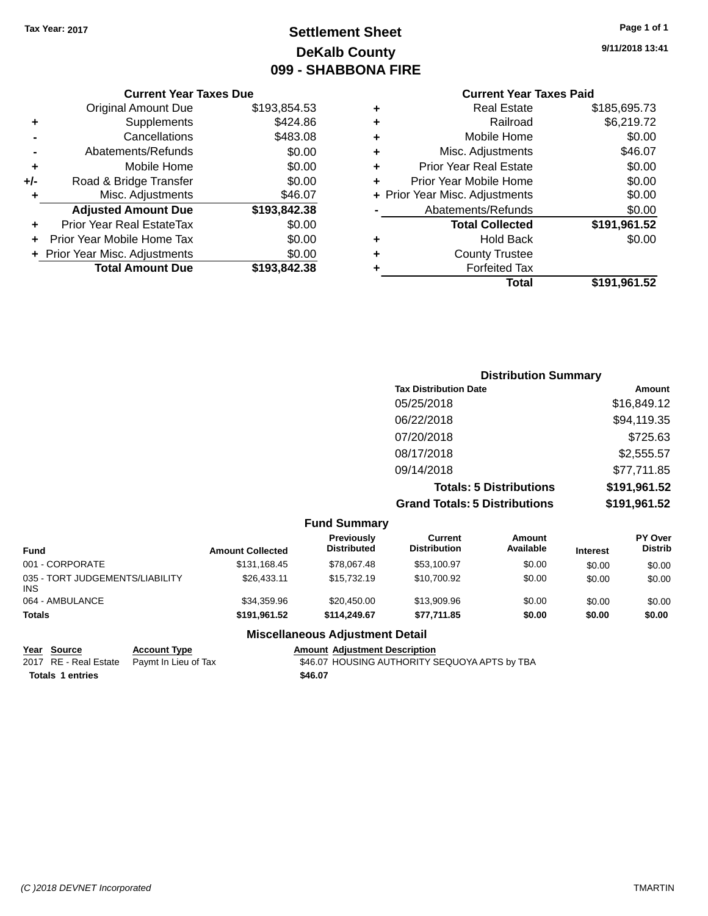# **Settlement Sheet Tax Year: 2017 Page 1 of 1 DeKalb County 099 - SHABBONA FIRE**

**9/11/2018 13:41**

## **Current Year Taxes Paid**

|     | <b>Current Year Taxes Due</b>  |              |  |  |  |  |
|-----|--------------------------------|--------------|--|--|--|--|
|     | <b>Original Amount Due</b>     | \$193,854.53 |  |  |  |  |
| ٠   | Supplements                    | \$424.86     |  |  |  |  |
|     | Cancellations                  | \$483.08     |  |  |  |  |
|     | Abatements/Refunds             | \$0.00       |  |  |  |  |
| ٠   | Mobile Home                    | \$0.00       |  |  |  |  |
| +/- | Road & Bridge Transfer         | \$0.00       |  |  |  |  |
| ٠   | Misc. Adjustments              | \$46.07      |  |  |  |  |
|     | <b>Adjusted Amount Due</b>     | \$193,842.38 |  |  |  |  |
| ٠   | Prior Year Real EstateTax      | \$0.00       |  |  |  |  |
|     | Prior Year Mobile Home Tax     | \$0.00       |  |  |  |  |
|     | + Prior Year Misc. Adjustments | \$0.00       |  |  |  |  |
|     | <b>Total Amount Due</b>        | \$193,842.38 |  |  |  |  |
|     |                                |              |  |  |  |  |

| ٠ | <b>Real Estate</b>             | \$185,695.73 |
|---|--------------------------------|--------------|
| ٠ | Railroad                       | \$6,219.72   |
| ٠ | Mobile Home                    | \$0.00       |
| ٠ | Misc. Adjustments              | \$46.07      |
| ٠ | <b>Prior Year Real Estate</b>  | \$0.00       |
| ÷ | Prior Year Mobile Home         | \$0.00       |
|   | + Prior Year Misc. Adjustments | \$0.00       |
|   | Abatements/Refunds             | \$0.00       |
|   | <b>Total Collected</b>         | \$191,961.52 |
| ٠ | <b>Hold Back</b>               | \$0.00       |
| ٠ | <b>County Trustee</b>          |              |
| ٠ | <b>Forfeited Tax</b>           |              |
|   | Total                          | \$191,961.52 |
|   |                                |              |

| <b>Distribution Summary</b>          |              |
|--------------------------------------|--------------|
| <b>Tax Distribution Date</b>         | Amount       |
| 05/25/2018                           | \$16,849.12  |
| 06/22/2018                           | \$94,119.35  |
| 07/20/2018                           | \$725.63     |
| 08/17/2018                           | \$2,555.57   |
| 09/14/2018                           | \$77,711.85  |
| <b>Totals: 5 Distributions</b>       | \$191,961.52 |
| <b>Grand Totals: 5 Distributions</b> | \$191,961.52 |

|                                               |                         | <b>Fund Summary</b>              |                                       |                     |                 |                                  |
|-----------------------------------------------|-------------------------|----------------------------------|---------------------------------------|---------------------|-----------------|----------------------------------|
| <b>Fund</b>                                   | <b>Amount Collected</b> | Previously<br><b>Distributed</b> | <b>Current</b><br><b>Distribution</b> | Amount<br>Available | <b>Interest</b> | <b>PY Over</b><br><b>Distrib</b> |
| 001 - CORPORATE                               | \$131,168.45            | \$78,067.48                      | \$53,100.97                           | \$0.00              | \$0.00          | \$0.00                           |
| 035 - TORT JUDGEMENTS/LIABILITY<br><b>INS</b> | \$26,433.11             | \$15,732.19                      | \$10,700.92                           | \$0.00              | \$0.00          | \$0.00                           |
| 064 - AMBULANCE                               | \$34,359.96             | \$20.450.00                      | \$13,909.96                           | \$0.00              | \$0.00          | \$0.00                           |
| <b>Totals</b>                                 | \$191.961.52            | \$114,249.67                     | \$77.711.85                           | \$0.00              | \$0.00          | \$0.00                           |
|                                               |                         | Missellenseus Adjustment Detail  |                                       |                     |                 |                                  |

**Miscellaneous Adjustment Detail**

**Year Source Account Type Account Type Amount Adjustment Description**<br>2017 RE - Real Estate Paymt In Lieu of Tax \$46.07 HOUSING AUTHORITY S

Totals 1 entries **\$46.07** 

\$46.07 HOUSING AUTHORITY SEQUOYA APTS by TBA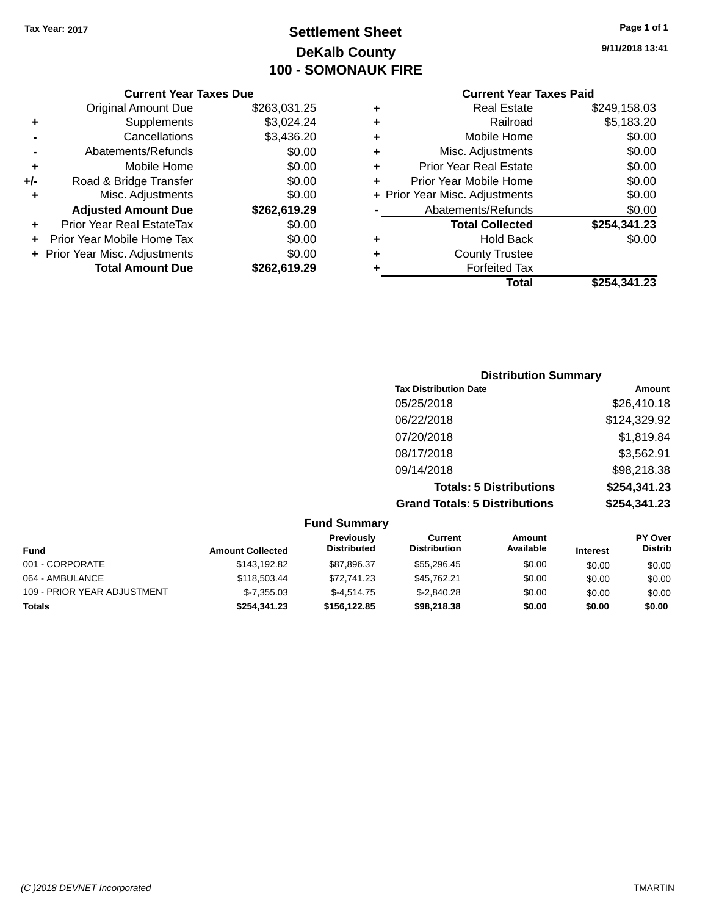# **Settlement Sheet Tax Year: 2017 Page 1 of 1 DeKalb County 100 - SOMONAUK FIRE**

| <b>Current Year Taxes Due</b>    |              |
|----------------------------------|--------------|
| <b>Original Amount Due</b>       | \$263,031.25 |
| Supplements                      | \$3,024.24   |
| Cancellations                    | \$3,436.20   |
| Abatements/Refunds               | \$0.00       |
| Mobile Home                      | \$0.00       |
| Road & Bridge Transfer           | \$0.00       |
| Misc. Adjustments                | \$0.00       |
| <b>Adjusted Amount Due</b>       | \$262,619.29 |
| <b>Prior Year Real EstateTax</b> | \$0.00       |
| Prior Year Mobile Home Tax       | \$0.00       |
| + Prior Year Misc. Adjustments   | \$0.00       |
| <b>Total Amount Due</b>          | \$262,619.29 |
|                                  |              |

# **Current Year Taxes Paid**

| ٠ | <b>Real Estate</b>             | \$249,158.03 |
|---|--------------------------------|--------------|
| ٠ | Railroad                       | \$5,183.20   |
| ٠ | Mobile Home                    | \$0.00       |
| ٠ | Misc. Adjustments              | \$0.00       |
| ٠ | <b>Prior Year Real Estate</b>  | \$0.00       |
| ٠ | Prior Year Mobile Home         | \$0.00       |
|   | + Prior Year Misc. Adjustments | \$0.00       |
|   | Abatements/Refunds             | \$0.00       |
|   | <b>Total Collected</b>         | \$254,341.23 |
| ٠ | <b>Hold Back</b>               | \$0.00       |
| ٠ | <b>County Trustee</b>          |              |
| ٠ | <b>Forfeited Tax</b>           |              |
|   | Total                          | \$254,341.23 |
|   |                                |              |

## **Distribution Summary Tax Distribution Date Amount** 05/25/2018 \$26,410.18 06/22/2018 \$124,329.92 07/20/2018 \$1,819.84 08/17/2018 \$3,562.91 09/14/2018 \$98,218.38 **Totals: 5 Distributions \$254,341.23 Grand Totals: 5 Distributions \$254,341.23**

|                             |                         | <b>Fund Summary</b>                     |                                |                     |                 |                                  |
|-----------------------------|-------------------------|-----------------------------------------|--------------------------------|---------------------|-----------------|----------------------------------|
| <b>Fund</b>                 | <b>Amount Collected</b> | <b>Previously</b><br><b>Distributed</b> | Current<br><b>Distribution</b> | Amount<br>Available | <b>Interest</b> | <b>PY Over</b><br><b>Distrib</b> |
| 001 - CORPORATE             | \$143,192.82            | \$87,896.37                             | \$55,296.45                    | \$0.00              | \$0.00          | \$0.00                           |
| 064 - AMBULANCE             | \$118,503.44            | \$72.741.23                             | \$45,762.21                    | \$0.00              | \$0.00          | \$0.00                           |
| 109 - PRIOR YEAR ADJUSTMENT | $$-7,355.03$            | $$-4.514.75$                            | $$-2,840.28$                   | \$0.00              | \$0.00          | \$0.00                           |
| <b>Totals</b>               | \$254,341.23            | \$156,122.85                            | \$98,218.38                    | \$0.00              | \$0.00          | \$0.00                           |

**9/11/2018 13:41**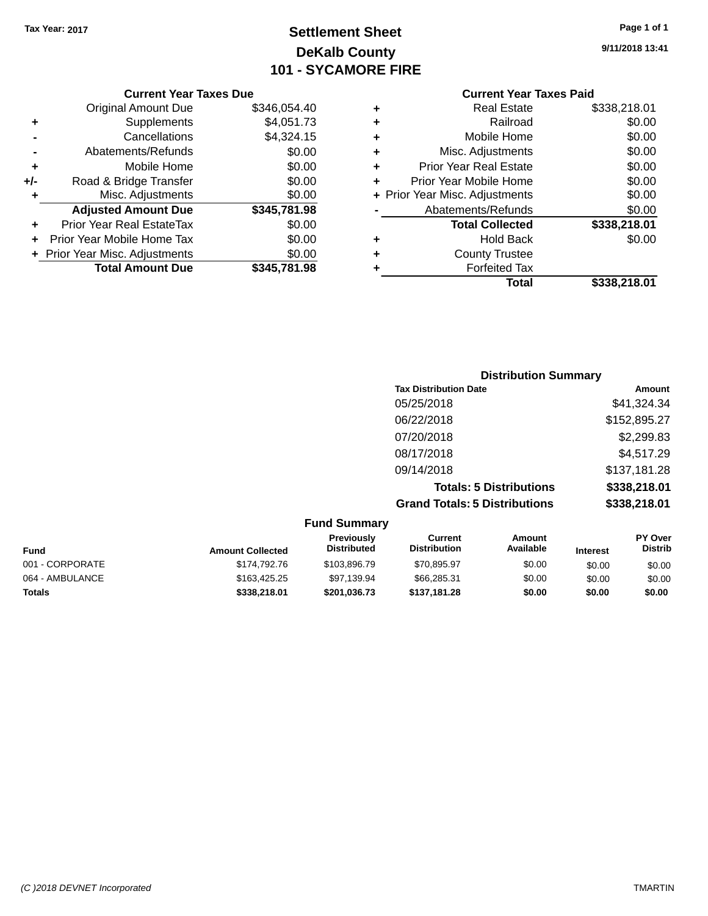# **Settlement Sheet Tax Year: 2017 Page 1 of 1 DeKalb County 101 - SYCAMORE FIRE**

#### **Current Year Taxes Due**

|       | <b>Original Amount Due</b>     | \$346,054.40 |
|-------|--------------------------------|--------------|
| ٠     | Supplements                    | \$4,051.73   |
|       | Cancellations                  | \$4,324.15   |
|       | Abatements/Refunds             | \$0.00       |
| ٠     | Mobile Home                    | \$0.00       |
| $+/-$ | Road & Bridge Transfer         | \$0.00       |
| ٠     | Misc. Adjustments              | \$0.00       |
|       | <b>Adjusted Amount Due</b>     | \$345,781.98 |
|       | Prior Year Real EstateTax      | \$0.00       |
|       | Prior Year Mobile Home Tax     | \$0.00       |
|       | + Prior Year Misc. Adjustments | \$0.00       |
|       | <b>Total Amount Due</b>        | \$345.781.98 |

## **Current Year Taxes Paid**

| ٠ | <b>Real Estate</b>             | \$338,218.01 |
|---|--------------------------------|--------------|
| ٠ | Railroad                       | \$0.00       |
| ٠ | Mobile Home                    | \$0.00       |
| ٠ | Misc. Adjustments              | \$0.00       |
| ٠ | <b>Prior Year Real Estate</b>  | \$0.00       |
| ٠ | Prior Year Mobile Home         | \$0.00       |
|   | + Prior Year Misc. Adjustments | \$0.00       |
|   | Abatements/Refunds             | \$0.00       |
|   | <b>Total Collected</b>         | \$338,218.01 |
| ٠ | <b>Hold Back</b>               | \$0.00       |
| ٠ | <b>County Trustee</b>          |              |
|   | <b>Forfeited Tax</b>           |              |
|   | Total                          | \$338.218.01 |
|   |                                |              |

## **Distribution Summary Tax Distribution Date Amount** 05/25/2018 \$41,324.34 06/22/2018 \$152,895.27 07/20/2018 \$2,299.83 08/17/2018 \$4,517.29 09/14/2018 \$137,181.28 **Totals: 5 Distributions \$338,218.01 Grand Totals: 5 Distributions \$338,218.01**

|                 |                         | <b>Fund Summary</b>              |                                |                            |                 |                                  |
|-----------------|-------------------------|----------------------------------|--------------------------------|----------------------------|-----------------|----------------------------------|
| Fund            | <b>Amount Collected</b> | Previously<br><b>Distributed</b> | Current<br><b>Distribution</b> | <b>Amount</b><br>Available | <b>Interest</b> | <b>PY Over</b><br><b>Distrib</b> |
| 001 - CORPORATE | \$174,792.76            | \$103,896,79                     | \$70,895.97                    | \$0.00                     | \$0.00          | \$0.00                           |
| 064 - AMBULANCE | \$163,425.25            | \$97,139.94                      | \$66,285.31                    | \$0.00                     | \$0.00          | \$0.00                           |
| <b>Totals</b>   | \$338,218,01            | \$201,036.73                     | \$137,181.28                   | \$0.00                     | \$0.00          | \$0.00                           |

**9/11/2018 13:41**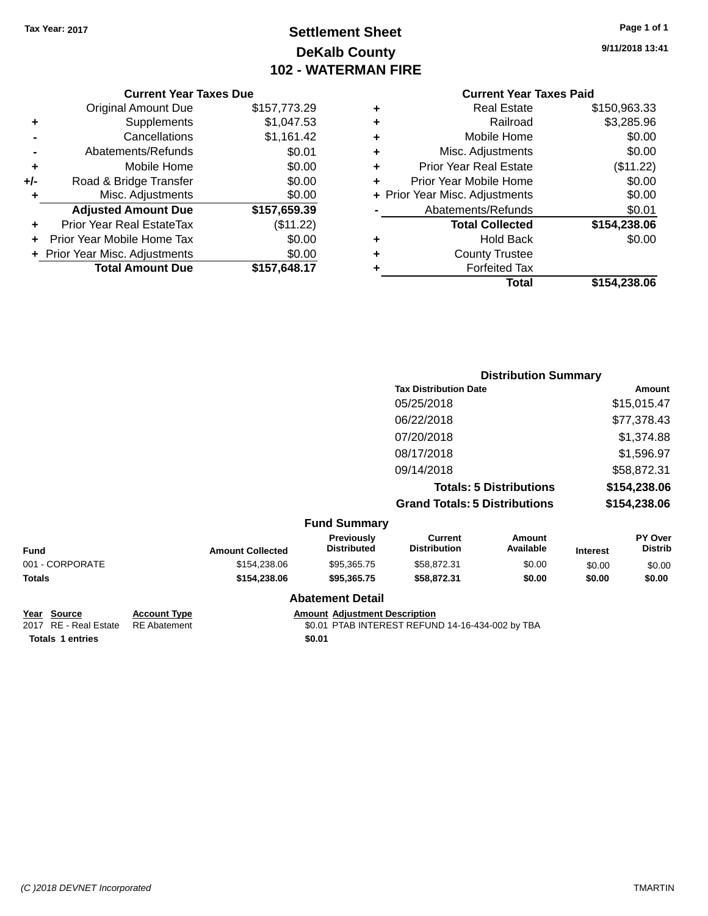# **Settlement Sheet Tax Year: 2017 Page 1 of 1 DeKalb County 102 - WATERMAN FIRE**

**9/11/2018 13:41**

|  | t Year Taxes Due |  |  |
|--|------------------|--|--|

|       | <b>Current Year Taxes Due</b>    |              |
|-------|----------------------------------|--------------|
|       | <b>Original Amount Due</b>       | \$157,773.29 |
| ٠     | Supplements                      | \$1,047.53   |
|       | Cancellations                    | \$1,161.42   |
|       | Abatements/Refunds               | \$0.01       |
| ٠     | Mobile Home                      | \$0.00       |
| $+/-$ | Road & Bridge Transfer           | \$0.00       |
| ٠     | Misc. Adjustments                | \$0.00       |
|       | <b>Adjusted Amount Due</b>       | \$157,659.39 |
| ÷     | <b>Prior Year Real EstateTax</b> | (\$11.22)    |
|       | Prior Year Mobile Home Tax       | \$0.00       |
|       | + Prior Year Misc. Adjustments   | \$0.00       |
|       | <b>Total Amount Due</b>          | \$157,648.17 |
|       |                                  |              |

# **Current Year Taxes Paid**

| ٠ | <b>Real Estate</b>             | \$150,963.33 |
|---|--------------------------------|--------------|
| ٠ | Railroad                       | \$3,285.96   |
| ٠ | Mobile Home                    | \$0.00       |
| ٠ | Misc. Adjustments              | \$0.00       |
| ٠ | <b>Prior Year Real Estate</b>  | (\$11.22)    |
| ٠ | Prior Year Mobile Home         | \$0.00       |
|   | + Prior Year Misc. Adjustments | \$0.00       |
|   | Abatements/Refunds             | \$0.01       |
|   | <b>Total Collected</b>         | \$154,238.06 |
| ٠ | <b>Hold Back</b>               | \$0.00       |
| ٠ | <b>County Trustee</b>          |              |
| ٠ | <b>Forfeited Tax</b>           |              |
|   | Total                          | \$154,238.06 |
|   |                                |              |

| <b>Tax Distribution Date</b><br>05/25/2018<br>06/22/2018<br>07/20/2018<br>08/17/2018<br>09/14/2018<br><b>Totals: 5 Distributions</b><br><b>Grand Totals: 5 Distributions</b><br><b>Fund Summary</b><br>Previously<br><b>Current</b><br><b>Amount</b><br>Available<br><b>Distributed</b><br><b>Distribution</b><br><b>Fund</b><br><b>Amount Collected</b><br><b>Interest</b><br>001 - CORPORATE<br>\$0.00<br>\$154,238.06<br>\$95,365.75<br>\$58,872.31<br>\$0.00 |  |  | <b>Distribution Summary</b> |  |                           |
|------------------------------------------------------------------------------------------------------------------------------------------------------------------------------------------------------------------------------------------------------------------------------------------------------------------------------------------------------------------------------------------------------------------------------------------------------------------|--|--|-----------------------------|--|---------------------------|
|                                                                                                                                                                                                                                                                                                                                                                                                                                                                  |  |  |                             |  | <b>Amount</b>             |
|                                                                                                                                                                                                                                                                                                                                                                                                                                                                  |  |  |                             |  | \$15,015.47               |
|                                                                                                                                                                                                                                                                                                                                                                                                                                                                  |  |  |                             |  | \$77,378.43               |
|                                                                                                                                                                                                                                                                                                                                                                                                                                                                  |  |  |                             |  | \$1,374.88                |
|                                                                                                                                                                                                                                                                                                                                                                                                                                                                  |  |  |                             |  | \$1,596.97                |
|                                                                                                                                                                                                                                                                                                                                                                                                                                                                  |  |  |                             |  | \$58,872.31               |
|                                                                                                                                                                                                                                                                                                                                                                                                                                                                  |  |  |                             |  | \$154,238.06              |
|                                                                                                                                                                                                                                                                                                                                                                                                                                                                  |  |  |                             |  | \$154,238.06              |
|                                                                                                                                                                                                                                                                                                                                                                                                                                                                  |  |  |                             |  |                           |
|                                                                                                                                                                                                                                                                                                                                                                                                                                                                  |  |  |                             |  | PY Over<br><b>Distrib</b> |
|                                                                                                                                                                                                                                                                                                                                                                                                                                                                  |  |  |                             |  | \$0.00                    |
| Totals<br>\$154,238.06<br>\$95,365.75<br>\$58,872.31<br>\$0.00<br>\$0.00                                                                                                                                                                                                                                                                                                                                                                                         |  |  |                             |  | \$0.00                    |

**Year Source Account Type Amount Adjustment Description**<br>2017 RE - Real Estate RE Abatement **Amount 1998** 1999 **AMOUNT ADJUSTER** ACCOUNTEREST REFUN **Totals 1 entries** \$0.01

**Abatement Detail**

\$0.01 PTAB INTEREST REFUND 14-16-434-002 by TBA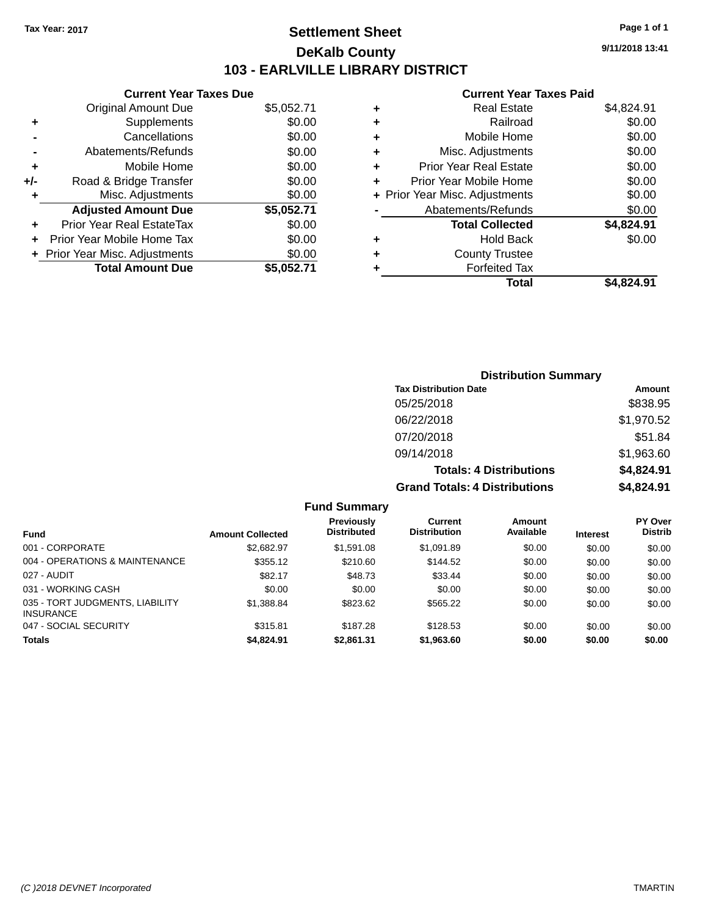## **Settlement Sheet Tax Year: 2017 Page 1 of 1 DeKalb County 103 - EARLVILLE LIBRARY DISTRICT**

**9/11/2018 13:41**

## **Current Year Taxes Paid**

|     | <b>Current Year Taxes Due</b> |            |
|-----|-------------------------------|------------|
|     | <b>Original Amount Due</b>    | \$5,052.71 |
| ٠   | Supplements                   | \$0.00     |
|     | Cancellations                 | \$0.00     |
|     | Abatements/Refunds            | \$0.00     |
| ٠   | Mobile Home                   | \$0.00     |
| +/- | Road & Bridge Transfer        | \$0.00     |
| ٠   | Misc. Adjustments             | \$0.00     |
|     | <b>Adjusted Amount Due</b>    | \$5,052.71 |
| ÷   | Prior Year Real EstateTax     | \$0.00     |
|     | Prior Year Mobile Home Tax    | \$0.00     |
|     | Prior Year Misc. Adjustments  | \$0.00     |
|     | <b>Total Amount Due</b>       | \$5,052.71 |

| <b>Distribution Summary</b>          |            |
|--------------------------------------|------------|
| <b>Tax Distribution Date</b>         | Amount     |
| 05/25/2018                           | \$838.95   |
| 06/22/2018                           | \$1,970.52 |
| 07/20/2018                           | \$51.84    |
| 09/14/2018                           | \$1,963.60 |
| <b>Totals: 4 Distributions</b>       | \$4,824.91 |
| <b>Grand Totals: 4 Distributions</b> | \$4,824.91 |

| <b>Fund Summary</b>                                 |                         |                                         |                                       |                     |                 |                                  |
|-----------------------------------------------------|-------------------------|-----------------------------------------|---------------------------------------|---------------------|-----------------|----------------------------------|
| <b>Fund</b>                                         | <b>Amount Collected</b> | <b>Previously</b><br><b>Distributed</b> | <b>Current</b><br><b>Distribution</b> | Amount<br>Available | <b>Interest</b> | <b>PY Over</b><br><b>Distrib</b> |
| 001 - CORPORATE                                     | \$2,682.97              | \$1,591.08                              | \$1.091.89                            | \$0.00              | \$0.00          | \$0.00                           |
| 004 - OPERATIONS & MAINTENANCE                      | \$355.12                | \$210.60                                | \$144.52                              | \$0.00              | \$0.00          | \$0.00                           |
| 027 - AUDIT                                         | \$82.17                 | \$48.73                                 | \$33.44                               | \$0.00              | \$0.00          | \$0.00                           |
| 031 - WORKING CASH                                  | \$0.00                  | \$0.00                                  | \$0.00                                | \$0.00              | \$0.00          | \$0.00                           |
| 035 - TORT JUDGMENTS, LIABILITY<br><b>INSURANCE</b> | \$1,388.84              | \$823.62                                | \$565.22                              | \$0.00              | \$0.00          | \$0.00                           |
| 047 - SOCIAL SECURITY                               | \$315.81                | \$187.28                                | \$128.53                              | \$0.00              | \$0.00          | \$0.00                           |
| <b>Totals</b>                                       | \$4,824.91              | \$2,861.31                              | \$1,963.60                            | \$0.00              | \$0.00          | \$0.00                           |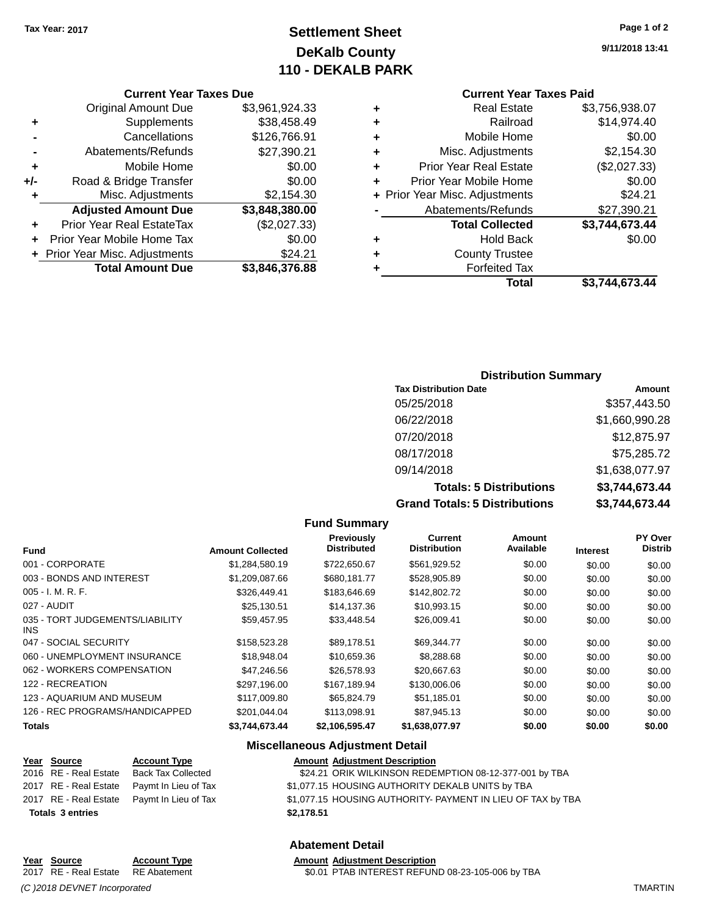# **Settlement Sheet Tax Year: 2017 Page 1 of 2 DeKalb County 110 - DEKALB PARK**

**9/11/2018 13:41**

| <b>Current Year Taxes Due</b> |  |
|-------------------------------|--|
|-------------------------------|--|

|       | <b>Original Amount Due</b>     | \$3,961,924.33 |
|-------|--------------------------------|----------------|
| ٠     | Supplements                    | \$38,458.49    |
|       | Cancellations                  | \$126,766.91   |
|       | Abatements/Refunds             | \$27,390.21    |
| ٠     | Mobile Home                    | \$0.00         |
| $+/-$ | Road & Bridge Transfer         | \$0.00         |
| ٠     | Misc. Adjustments              | \$2,154.30     |
|       | <b>Adjusted Amount Due</b>     | \$3,848,380.00 |
|       | Prior Year Real EstateTax      | (\$2,027.33)   |
|       | Prior Year Mobile Home Tax     | \$0.00         |
|       | + Prior Year Misc. Adjustments | \$24.21        |
|       | <b>Total Amount Due</b>        | \$3,846,376.88 |

## **Current Year Taxes Paid**

| ٠ | <b>Real Estate</b>             | \$3,756,938.07 |
|---|--------------------------------|----------------|
| ٠ | Railroad                       | \$14,974.40    |
| ٠ | Mobile Home                    | \$0.00         |
| ٠ | Misc. Adjustments              | \$2,154.30     |
| ٠ | <b>Prior Year Real Estate</b>  | (\$2,027.33)   |
| ٠ | Prior Year Mobile Home         | \$0.00         |
|   | + Prior Year Misc. Adjustments | \$24.21        |
|   | Abatements/Refunds             | \$27,390.21    |
|   | <b>Total Collected</b>         | \$3,744,673.44 |
| ٠ | <b>Hold Back</b>               | \$0.00         |
| ٠ | <b>County Trustee</b>          |                |
| ٠ | <b>Forfeited Tax</b>           |                |
|   | Total                          | \$3,744,673.44 |
|   |                                |                |

## **Distribution Summary**

| <b>Tax Distribution Date</b>         | Amount         |
|--------------------------------------|----------------|
| 05/25/2018                           | \$357,443.50   |
| 06/22/2018                           | \$1,660,990.28 |
| 07/20/2018                           | \$12,875.97    |
| 08/17/2018                           | \$75,285.72    |
| 09/14/2018                           | \$1,638,077.97 |
| <b>Totals: 5 Distributions</b>       | \$3,744,673.44 |
| <b>Grand Totals: 5 Distributions</b> | \$3,744,673.44 |

#### **Fund Summary Fund Interest Amount Collected Distributed PY Over Distrib Amount Available Current Distribution Previously** 001 - CORPORATE 6 \$1,284,580.19 \$722,650.67 \$561,929.52 \$0.00 \$0.00 \$0.00 \$0.00 \$0.00 \$0.00 \$0.00 \$0.00 003 - BONDS AND INTEREST  $$1,209,087.66$   $$680,181.77$   $$528,905.89$  \$0.00 \$0.00 \$0.00 \$0.00 005 - I. M. R. F. \$326,449.41 \$183,646.69 \$142,802.72 \$0.00 \$0.00 \$0.00 027 - AUDIT \$25,130.51 \$14,137.36 \$10,993.15 \$0.00 \$0.00 \$0.00 035 - TORT JUDGEMENTS/LIABILITY INS \$59,457.95 \$33,448.54 \$26,009.41 \$0.00 \$0.00 \$0.00 047 - SOCIAL SECURITY 60.00 \$158,523.28 \$89,178.51 \$69,344.77 \$0.00 \$0.00 \$0.00 \$0.00 060 - UNEMPLOYMENT INSURANCE \$18,948.04 \$10,659.36 \$8,288.68 \$0.00 \$0.00 \$0.00 062 - WORKERS COMPENSATION \$47,246.56 \$26,578.93 \$20,667.63 \$0.00 \$0.00 \$0.00 \$0.00 122 - RECREATION \$297,196.00 \$167,189.94 \$130,006.06 \$0.00 \$0.00 \$0.00 123 - AQUARIUM AND MUSEUM \$117,009.80 \$65,824.79 \$51,185.01 \$0.00 \$0.00 \$0.00 126 - REC PROGRAMS/HANDICAPPED \$201,044.04 \$113,098.91 \$87,945.13 \$0.00 \$0.00 \$0.00 **Totals \$3,744,673.44 \$2,106,595.47 \$1,638,077.97 \$0.00 \$0.00 \$0.00**

#### **Miscellaneous Adjustment Detail**

| Year Source             | <b>Account Type</b>                        | <b>Amount Adjustment Description</b>                        |
|-------------------------|--------------------------------------------|-------------------------------------------------------------|
| 2016 RE - Real Estate   | <b>Back Tax Collected</b>                  | \$24.21 ORIK WILKINSON REDEMPTION 08-12-377-001 by TBA      |
|                         | 2017 RE - Real Estate Paymt In Lieu of Tax | \$1,077.15 HOUSING AUTHORITY DEKALB UNITS by TBA            |
|                         | 2017 RE - Real Estate Paymt In Lieu of Tax | \$1,077.15 HOUSING AUTHORITY- PAYMENT IN LIEU OF TAX by TBA |
| <b>Totals 3 entries</b> |                                            | \$2.178.51                                                  |

### **Abatement Detail**

# **Year Source Account Type Amount Adjustment Description**

2017 RE - Real Estate RE Abatement \$0.01 PTAB INTEREST REFUND 08-23-105-006 by TBA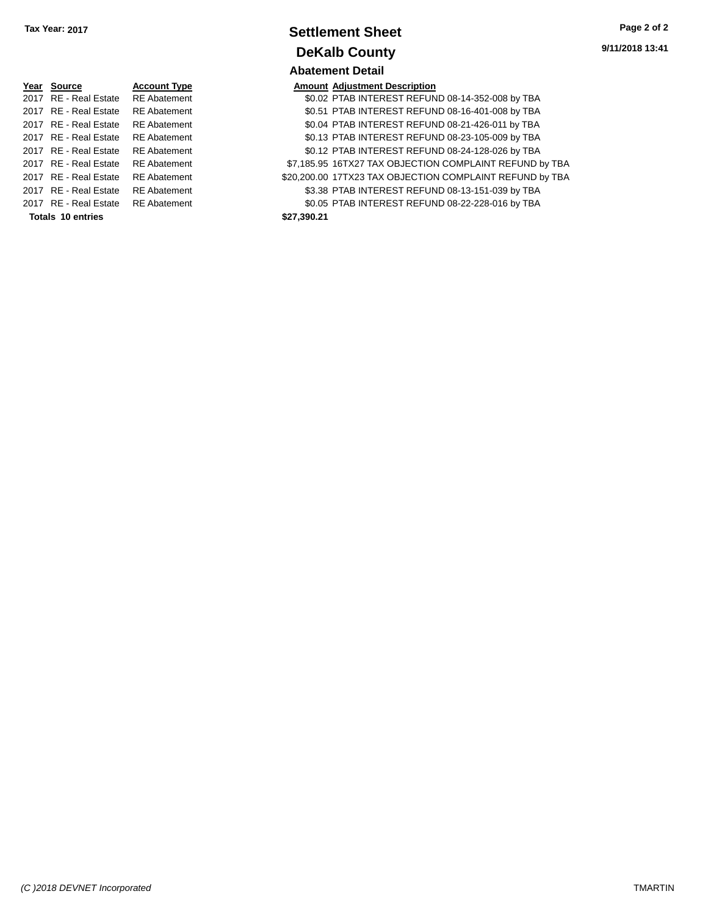| Year Source                        | <b>Account Type</b> |             | <b>Amount Adjustment Description</b> |
|------------------------------------|---------------------|-------------|--------------------------------------|
| 2017 RE - Real Estate              | <b>RE</b> Abatement |             | \$0.02 PTAB INTEREST REFUN           |
| 2017 RE - Real Estate              | <b>RE</b> Abatement |             | \$0.51 PTAB INTEREST REFUN           |
| 2017 RE - Real Estate              | <b>RE</b> Abatement |             | \$0.04 PTAB INTEREST REFUN           |
| 2017 RE - Real Estate              | <b>RE</b> Abatement |             | \$0.13 PTAB INTEREST REFUN           |
| 2017 RE - Real Estate              | <b>RE</b> Abatement |             | \$0.12 PTAB INTEREST REFUN           |
| 2017 RE - Real Estate              | <b>RE</b> Abatement |             | \$7.185.95 16TX27 TAX OBJECTION      |
| 2017 RE - Real Estate              | <b>RE</b> Abatement |             | \$20,200.00 17TX23 TAX OBJECTION     |
| 2017 RE - Real Estate              | <b>RE</b> Abatement |             | \$3.38 PTAB INTEREST REFUN           |
| 2017 RE - Real Estate RE Abatement |                     |             | \$0.05 PTAB INTEREST REFUN           |
| <b>Totals 10 entries</b>           |                     | \$27,390.21 |                                      |

## **Settlement Sheet Tax Year: 2017 Page 2 of 2 DeKalb County Abatement Detail**

|                          |                     |             | ANGICIIIGIIL DULAII                                      |
|--------------------------|---------------------|-------------|----------------------------------------------------------|
| Year Source              | <b>Account Type</b> |             | <b>Amount Adjustment Description</b>                     |
| 2017 RE - Real Estate    | <b>RE</b> Abatement |             | \$0.02 PTAB INTEREST REFUND 08-14-352-008 by TBA         |
| 2017 RE - Real Estate    | <b>RE</b> Abatement |             | \$0.51 PTAB INTEREST REFUND 08-16-401-008 by TBA         |
| 2017 RE - Real Estate    | <b>RE</b> Abatement |             | \$0.04 PTAB INTEREST REFUND 08-21-426-011 by TBA         |
| 2017 RE - Real Estate    | <b>RE</b> Abatement |             | \$0.13 PTAB INTEREST REFUND 08-23-105-009 by TBA         |
| 2017 RE - Real Estate    | <b>RE</b> Abatement |             | \$0.12 PTAB INTEREST REFUND 08-24-128-026 by TBA         |
| 2017 RE - Real Estate    | <b>RE</b> Abatement |             | \$7,185.95 16TX27 TAX OBJECTION COMPLAINT REFUND by TBA  |
| 2017 RE - Real Estate    | <b>RE</b> Abatement |             | \$20,200.00 17TX23 TAX OBJECTION COMPLAINT REFUND by TBA |
| 2017 RE - Real Estate    | <b>RE</b> Abatement |             | \$3.38 PTAB INTEREST REFUND 08-13-151-039 by TBA         |
| 2017 RE - Real Estate    | <b>RE</b> Abatement |             | \$0.05 PTAB INTEREST REFUND 08-22-228-016 by TBA         |
| <b>Totals 10 entries</b> |                     | \$27,390.21 |                                                          |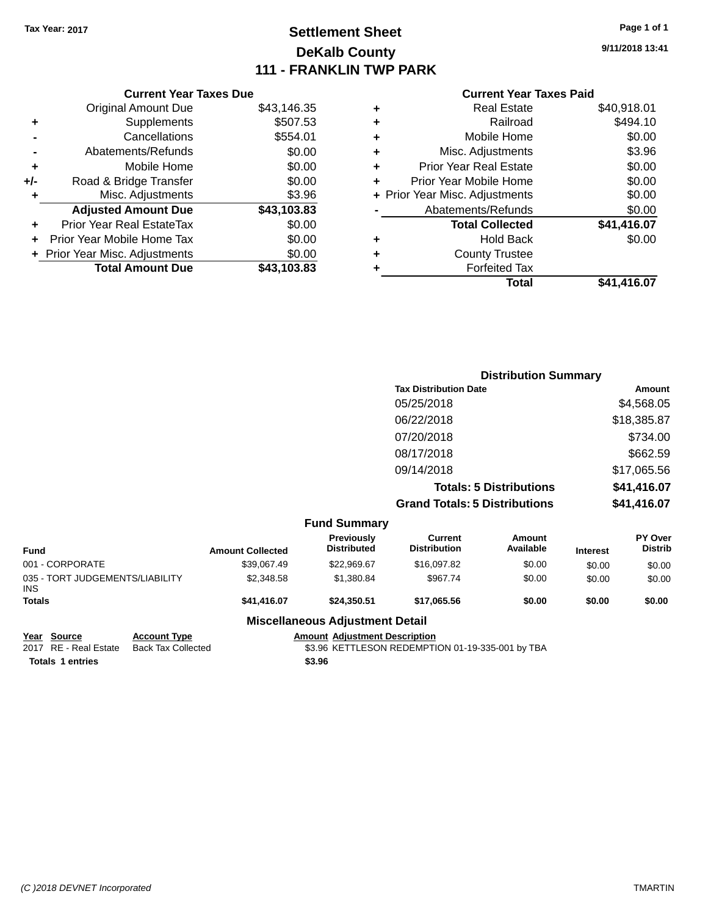# **Settlement Sheet Tax Year: 2017 Page 1 of 1 DeKalb County 111 - FRANKLIN TWP PARK**

**9/11/2018 13:41**

|     | <b>Current Year Taxes Due</b>             |             |  |  |  |  |
|-----|-------------------------------------------|-------------|--|--|--|--|
|     | <b>Original Amount Due</b><br>\$43,146.35 |             |  |  |  |  |
| ٠   | Supplements                               | \$507.53    |  |  |  |  |
|     | Cancellations                             | \$554.01    |  |  |  |  |
|     | Abatements/Refunds                        | \$0.00      |  |  |  |  |
| ٠   | Mobile Home                               | \$0.00      |  |  |  |  |
| +/- | Road & Bridge Transfer                    | \$0.00      |  |  |  |  |
|     | \$3.96<br>Misc. Adjustments               |             |  |  |  |  |
|     | <b>Adjusted Amount Due</b>                | \$43,103.83 |  |  |  |  |
| ÷   | Prior Year Real EstateTax                 | \$0.00      |  |  |  |  |
|     | Prior Year Mobile Home Tax                | \$0.00      |  |  |  |  |
|     | + Prior Year Misc. Adjustments            | \$0.00      |  |  |  |  |
|     | <b>Total Amount Due</b>                   | \$43,103.83 |  |  |  |  |
|     |                                           |             |  |  |  |  |

#### **Current Year Taxes Paid HITCHE IVAL TRAVO FRIMERS AND 018.01**

|   | Total                          | \$41,416.07 |
|---|--------------------------------|-------------|
| ٠ | <b>Forfeited Tax</b>           |             |
| ÷ | <b>County Trustee</b>          |             |
| ٠ | Hold Back                      | \$0.00      |
|   | <b>Total Collected</b>         | \$41,416.07 |
|   | Abatements/Refunds             | \$0.00      |
|   | + Prior Year Misc. Adjustments | \$0.00      |
| ٠ | Prior Year Mobile Home         | \$0.00      |
| ÷ | <b>Prior Year Real Estate</b>  | \$0.00      |
| ÷ | Misc. Adjustments              | \$3.96      |
| ÷ | Mobile Home                    | \$0.00      |
| ÷ | Railroad                       | \$494.10    |
| ٠ | Real Estate                    | \$40,918.01 |

|            |                         |                                  |                                       | <b>Distribution Summary</b>    |                 |                           |
|------------|-------------------------|----------------------------------|---------------------------------------|--------------------------------|-----------------|---------------------------|
|            |                         |                                  | <b>Tax Distribution Date</b>          |                                |                 | Amount                    |
|            |                         |                                  | 05/25/2018                            |                                |                 | \$4,568.05                |
|            |                         |                                  | 06/22/2018                            |                                |                 | \$18,385.87               |
|            |                         |                                  | 07/20/2018                            |                                |                 | \$734.00                  |
|            |                         |                                  | 08/17/2018                            |                                |                 | \$662.59                  |
|            |                         |                                  | 09/14/2018                            |                                |                 | \$17,065.56               |
|            |                         |                                  |                                       | <b>Totals: 5 Distributions</b> |                 | \$41,416.07               |
|            |                         |                                  | <b>Grand Totals: 5 Distributions</b>  |                                |                 | \$41,416.07               |
|            |                         | <b>Fund Summary</b>              |                                       |                                |                 |                           |
| nd         | <b>Amount Collected</b> | Previously<br><b>Distributed</b> | <b>Current</b><br><b>Distribution</b> | Amount<br>Available            | <b>Interest</b> | PY Over<br><b>Distrib</b> |
| 0000000000 | 0.00000000              | 0.0000007                        | 0.100200                              | $\sim$ $\sim$                  | $\cdots$        | $\cdots$                  |

| <b>Fund</b>                                   | <b>Amount Collected</b> | <b>Previously</b><br><b>Distributed</b> | Current<br><b>Distribution</b> | Amount<br>Available | <b>Interest</b> | <b>PY Over</b><br><b>Distrib</b> |
|-----------------------------------------------|-------------------------|-----------------------------------------|--------------------------------|---------------------|-----------------|----------------------------------|
| 001 - CORPORATE                               | \$39,067.49             | \$22.969.67                             | \$16,097.82                    | \$0.00              | \$0.00          | \$0.00                           |
| 035 - TORT JUDGEMENTS/LIABILITY<br><b>INS</b> | \$2,348.58              | \$1,380.84                              | \$967.74                       | \$0.00              | \$0.00          | \$0.00                           |
| <b>Totals</b>                                 | \$41,416.07             | \$24.350.51                             | \$17.065.56                    | \$0.00              | \$0.00          | \$0.00                           |
|                                               |                         | Miscellaneous Adjustment Detail         |                                |                     |                 |                                  |

## **Miscellaneous Adjustment Detail**

|                       | mooonanoodo Aajaothiont Botan |                                                  |  |
|-----------------------|-------------------------------|--------------------------------------------------|--|
| Year Source           | <b>Account Type</b>           | <b>Amount Adiustment Description</b>             |  |
| 2017 RE - Real Estate | Back Tax Collected            | \$3.96 KETTLESON REDEMPTION 01-19-335-001 by TBA |  |
| Totals 1 entries      |                               | \$3.96                                           |  |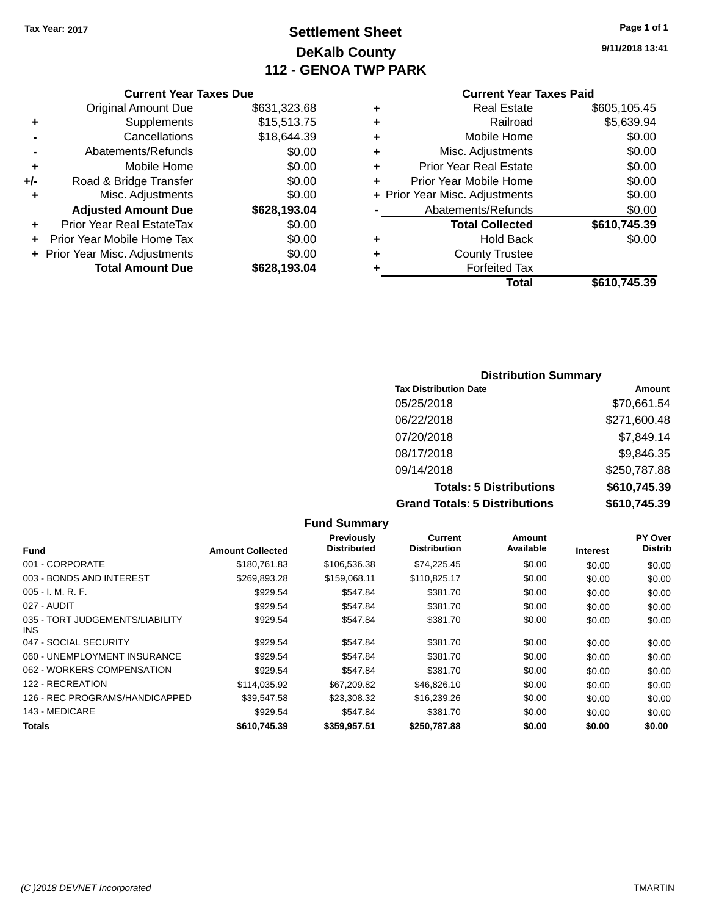# **Settlement Sheet Tax Year: 2017 Page 1 of 1 DeKalb County 112 - GENOA TWP PARK**

**9/11/2018 13:41**

|     | <b>Current Year Taxes Due</b>  |              |
|-----|--------------------------------|--------------|
|     | <b>Original Amount Due</b>     | \$631,323.68 |
| ٠   | Supplements                    | \$15,513.75  |
|     | Cancellations                  | \$18,644.39  |
|     | Abatements/Refunds             | \$0.00       |
| ٠   | Mobile Home                    | \$0.00       |
| +/- | Road & Bridge Transfer         | \$0.00       |
| ٠   | Misc. Adjustments              | \$0.00       |
|     | <b>Adjusted Amount Due</b>     | \$628,193.04 |
| ٠   | Prior Year Real EstateTax      | \$0.00       |
|     | Prior Year Mobile Home Tax     | \$0.00       |
|     | + Prior Year Misc. Adjustments | \$0.00       |
|     | <b>Total Amount Due</b>        | \$628,193.04 |
|     |                                |              |

## **Current Year Taxes Paid**

| ٠ | <b>Real Estate</b>             | \$605,105.45 |
|---|--------------------------------|--------------|
| ٠ | Railroad                       | \$5,639.94   |
| ٠ | Mobile Home                    | \$0.00       |
| ٠ | Misc. Adjustments              | \$0.00       |
| ٠ | <b>Prior Year Real Estate</b>  | \$0.00       |
| ٠ | Prior Year Mobile Home         | \$0.00       |
|   | + Prior Year Misc. Adjustments | \$0.00       |
|   | Abatements/Refunds             | \$0.00       |
|   | <b>Total Collected</b>         | \$610,745.39 |
| ٠ | Hold Back                      | \$0.00       |
| ٠ | <b>County Trustee</b>          |              |
| ٠ | <b>Forfeited Tax</b>           |              |
|   | Total                          | \$610,745.39 |
|   |                                |              |

## **Distribution Summary Tax Distribution Date Amount** 05/25/2018 \$70,661.54 06/22/2018 \$271,600.48 07/20/2018 \$7,849.14 08/17/2018 \$9,846.35 09/14/2018 \$250,787.88 **Totals: 5 Distributions \$610,745.39 Grand Totals: 5 Distributions \$610,745.39**

|                                         |                         | <b>Fund Summary</b>              |                                       |                     |                 |                                  |
|-----------------------------------------|-------------------------|----------------------------------|---------------------------------------|---------------------|-----------------|----------------------------------|
| <b>Fund</b>                             | <b>Amount Collected</b> | Previously<br><b>Distributed</b> | <b>Current</b><br><b>Distribution</b> | Amount<br>Available | <b>Interest</b> | <b>PY Over</b><br><b>Distrib</b> |
| 001 - CORPORATE                         | \$180,761.83            | \$106,536.38                     | \$74,225.45                           | \$0.00              | \$0.00          | \$0.00                           |
| 003 - BONDS AND INTEREST                | \$269,893.28            | \$159,068.11                     | \$110,825.17                          | \$0.00              | \$0.00          | \$0.00                           |
| $005 - I. M. R. F.$                     | \$929.54                | \$547.84                         | \$381.70                              | \$0.00              | \$0.00          | \$0.00                           |
| 027 - AUDIT                             | \$929.54                | \$547.84                         | \$381.70                              | \$0.00              | \$0.00          | \$0.00                           |
| 035 - TORT JUDGEMENTS/LIABILITY<br>INS. | \$929.54                | \$547.84                         | \$381.70                              | \$0.00              | \$0.00          | \$0.00                           |
| 047 - SOCIAL SECURITY                   | \$929.54                | \$547.84                         | \$381.70                              | \$0.00              | \$0.00          | \$0.00                           |
| 060 - UNEMPLOYMENT INSURANCE            | \$929.54                | \$547.84                         | \$381.70                              | \$0.00              | \$0.00          | \$0.00                           |
| 062 - WORKERS COMPENSATION              | \$929.54                | \$547.84                         | \$381.70                              | \$0.00              | \$0.00          | \$0.00                           |
| 122 - RECREATION                        | \$114,035.92            | \$67,209.82                      | \$46,826.10                           | \$0.00              | \$0.00          | \$0.00                           |
| 126 - REC PROGRAMS/HANDICAPPED          | \$39.547.58             | \$23,308.32                      | \$16,239.26                           | \$0.00              | \$0.00          | \$0.00                           |
| 143 - MEDICARE                          | \$929.54                | \$547.84                         | \$381.70                              | \$0.00              | \$0.00          | \$0.00                           |
| Totals                                  | \$610,745.39            | \$359,957.51                     | \$250,787.88                          | \$0.00              | \$0.00          | \$0.00                           |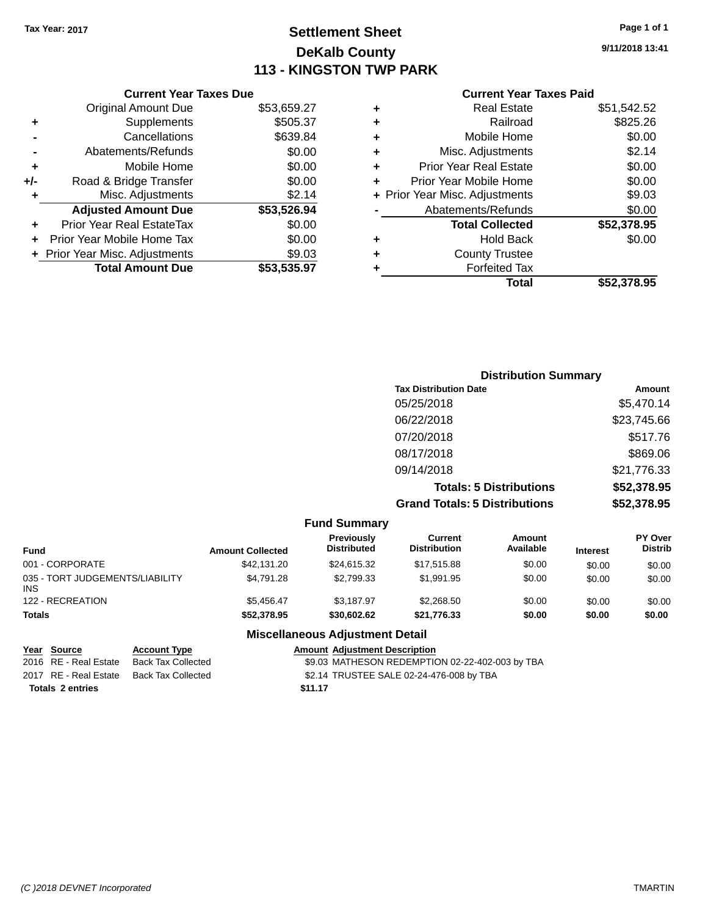# **Settlement Sheet Tax Year: 2017 Page 1 of 1 DeKalb County 113 - KINGSTON TWP PARK**

**9/11/2018 13:41**

|     | <b>Current Year Taxes Due</b>  |             |
|-----|--------------------------------|-------------|
|     | <b>Original Amount Due</b>     | \$53,659.27 |
| ٠   | Supplements                    | \$505.37    |
|     | Cancellations                  | \$639.84    |
|     | Abatements/Refunds             | \$0.00      |
| ÷   | Mobile Home                    | \$0.00      |
| +/- | Road & Bridge Transfer         | \$0.00      |
|     | Misc. Adjustments              | \$2.14      |
|     | <b>Adjusted Amount Due</b>     | \$53,526.94 |
| ٠   | Prior Year Real EstateTax      | \$0.00      |
|     | Prior Year Mobile Home Tax     | \$0.00      |
|     | + Prior Year Misc. Adjustments | \$9.03      |
|     | <b>Total Amount Due</b>        | \$53,535.97 |
|     |                                |             |

### **Current Year Taxes Paid**

|   | Total                          | \$52,378.95 |
|---|--------------------------------|-------------|
| ٠ | <b>Forfeited Tax</b>           |             |
| ٠ | <b>County Trustee</b>          |             |
| ٠ | Hold Back                      | \$0.00      |
|   | <b>Total Collected</b>         | \$52,378.95 |
|   | Abatements/Refunds             | \$0.00      |
|   | + Prior Year Misc. Adjustments | \$9.03      |
| ٠ | Prior Year Mobile Home         | \$0.00      |
| ٠ | <b>Prior Year Real Estate</b>  | \$0.00      |
| ٠ | Misc. Adjustments              | \$2.14      |
| ٠ | Mobile Home                    | \$0.00      |
| ÷ | Railroad                       | \$825.26    |
| ٠ | <b>Real Estate</b>             | \$51,542.52 |

| <b>Distribution Summary</b>          |               |
|--------------------------------------|---------------|
| <b>Tax Distribution Date</b>         | <b>Amount</b> |
| 05/25/2018                           | \$5,470.14    |
| 06/22/2018                           | \$23,745.66   |
| 07/20/2018                           | \$517.76      |
| 08/17/2018                           | \$869.06      |
| 09/14/2018                           | \$21,776.33   |
| <b>Totals: 5 Distributions</b>       | \$52,378.95   |
| <b>Grand Totals: 5 Distributions</b> | \$52,378.95   |

|                                               |                         | <b>Fund Summary</b>              |                                       |                     |                 |                                  |
|-----------------------------------------------|-------------------------|----------------------------------|---------------------------------------|---------------------|-----------------|----------------------------------|
| <b>Fund</b>                                   | <b>Amount Collected</b> | Previously<br><b>Distributed</b> | <b>Current</b><br><b>Distribution</b> | Amount<br>Available | <b>Interest</b> | <b>PY Over</b><br><b>Distrib</b> |
| 001 - CORPORATE                               | \$42,131,20             | \$24.615.32                      | \$17.515.88                           | \$0.00              | \$0.00          | \$0.00                           |
| 035 - TORT JUDGEMENTS/LIABILITY<br><b>INS</b> | \$4,791.28              | \$2.799.33                       | \$1.991.95                            | \$0.00              | \$0.00          | \$0.00                           |
| 122 - RECREATION                              | \$5.456.47              | \$3.187.97                       | \$2.268.50                            | \$0.00              | \$0.00          | \$0.00                           |
| <b>Totals</b>                                 | \$52,378.95             | \$30,602.62                      | \$21,776.33                           | \$0.00              | \$0.00          | \$0.00                           |

## **Miscellaneous Adjustment Detail**

#### **Year Source Account Type Amount Adjustment Description** \$9.03 MATHESON REDEMPTION 02-22-402-003 by TBA

2017 RE - Real Estate Back Tax Collected \$2.14 TRUSTEE SALE 02-24-476-008 by TBA

**Totals 2 entries** \$11.17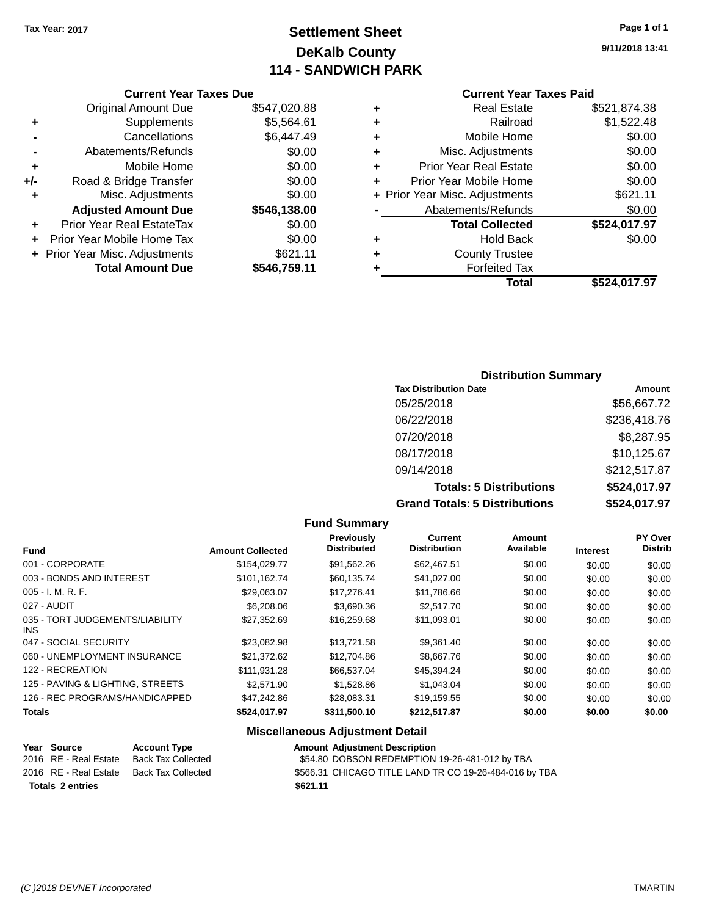# **Settlement Sheet Tax Year: 2017 Page 1 of 1 DeKalb County 114 - SANDWICH PARK**

**9/11/2018 13:41**

## **Current Year Taxes Paid**

|       | <b>Current Year Taxes Due</b>  |              |  |  |  |
|-------|--------------------------------|--------------|--|--|--|
|       | <b>Original Amount Due</b>     | \$547,020.88 |  |  |  |
| ٠     | Supplements                    | \$5,564.61   |  |  |  |
|       | Cancellations                  | \$6,447.49   |  |  |  |
|       | Abatements/Refunds             | \$0.00       |  |  |  |
| ٠     | Mobile Home                    | \$0.00       |  |  |  |
| $+/-$ | Road & Bridge Transfer         | \$0.00       |  |  |  |
| ٠     | Misc. Adjustments              | \$0.00       |  |  |  |
|       | <b>Adjusted Amount Due</b>     | \$546,138.00 |  |  |  |
| ٠     | Prior Year Real EstateTax      | \$0.00       |  |  |  |
|       | Prior Year Mobile Home Tax     | \$0.00       |  |  |  |
|       | + Prior Year Misc. Adjustments | \$621.11     |  |  |  |
|       | <b>Total Amount Due</b>        | \$546,759.11 |  |  |  |
|       |                                |              |  |  |  |

|   | <b>Real Estate</b>             | \$521,874.38 |
|---|--------------------------------|--------------|
| ٠ | Railroad                       | \$1,522.48   |
| ٠ | Mobile Home                    | \$0.00       |
| ٠ | Misc. Adjustments              | \$0.00       |
| ٠ | <b>Prior Year Real Estate</b>  | \$0.00       |
| ٠ | Prior Year Mobile Home         | \$0.00       |
|   | + Prior Year Misc. Adjustments | \$621.11     |
|   | Abatements/Refunds             | \$0.00       |
|   | <b>Total Collected</b>         | \$524,017.97 |
| ٠ | Hold Back                      | \$0.00       |
| ٠ | <b>County Trustee</b>          |              |
| ٠ | <b>Forfeited Tax</b>           |              |
|   | Total                          | \$524,017.97 |
|   |                                |              |

## **Distribution Summary Tax Distribution Date Amount** 05/25/2018 \$56,667.72 06/22/2018 \$236,418.76 07/20/2018 \$8,287.95 08/17/2018 \$10,125.67 09/14/2018 \$212,517.87 **Totals: 5 Distributions \$524,017.97 Grand Totals: 5 Distributions \$524,017.97**

|                                         |                         | <b>Fund Summary</b>              |                                |                            |                 |                                  |
|-----------------------------------------|-------------------------|----------------------------------|--------------------------------|----------------------------|-----------------|----------------------------------|
| <b>Fund</b>                             | <b>Amount Collected</b> | Previously<br><b>Distributed</b> | Current<br><b>Distribution</b> | <b>Amount</b><br>Available | <b>Interest</b> | <b>PY Over</b><br><b>Distrib</b> |
| 001 - CORPORATE                         | \$154,029,77            | \$91.562.26                      | \$62,467.51                    | \$0.00                     | \$0.00          | \$0.00                           |
| 003 - BONDS AND INTEREST                | \$101.162.74            | \$60.135.74                      | \$41,027.00                    | \$0.00                     | \$0.00          | \$0.00                           |
| $005 - I. M. R. F.$                     | \$29.063.07             | \$17,276.41                      | \$11,786.66                    | \$0.00                     | \$0.00          | \$0.00                           |
| 027 - AUDIT                             | \$6,208.06              | \$3,690.36                       | \$2,517.70                     | \$0.00                     | \$0.00          | \$0.00                           |
| 035 - TORT JUDGEMENTS/LIABILITY<br>INS. | \$27,352.69             | \$16,259.68                      | \$11,093.01                    | \$0.00                     | \$0.00          | \$0.00                           |
| 047 - SOCIAL SECURITY                   | \$23,082.98             | \$13,721.58                      | \$9,361.40                     | \$0.00                     | \$0.00          | \$0.00                           |
| 060 - UNEMPLOYMENT INSURANCE            | \$21.372.62             | \$12,704.86                      | \$8,667.76                     | \$0.00                     | \$0.00          | \$0.00                           |
| 122 - RECREATION                        | \$111,931.28            | \$66,537.04                      | \$45,394.24                    | \$0.00                     | \$0.00          | \$0.00                           |
| 125 - PAVING & LIGHTING, STREETS        | \$2,571.90              | \$1,528.86                       | \$1,043.04                     | \$0.00                     | \$0.00          | \$0.00                           |
| 126 - REC PROGRAMS/HANDICAPPED          | \$47,242.86             | \$28,083.31                      | \$19,159.55                    | \$0.00                     | \$0.00          | \$0.00                           |
| <b>Totals</b>                           | \$524,017.97            | \$311,500.10                     | \$212,517.87                   | \$0.00                     | \$0.00          | \$0.00                           |

## **Miscellaneous Adjustment Detail**

|                  | Year Source           | <b>Account Type</b> | <b>Amount Adjustment Description</b>                   |
|------------------|-----------------------|---------------------|--------------------------------------------------------|
|                  | 2016 RE - Real Estate | Back Tax Collected  | \$54.80 DOBSON REDEMPTION 19-26-481-012 by TBA         |
|                  | 2016 RE - Real Estate | Back Tax Collected  | \$566.31 CHICAGO TITLE LAND TR CO 19-26-484-016 by TBA |
| Totals 2 entries |                       |                     | \$621.11                                               |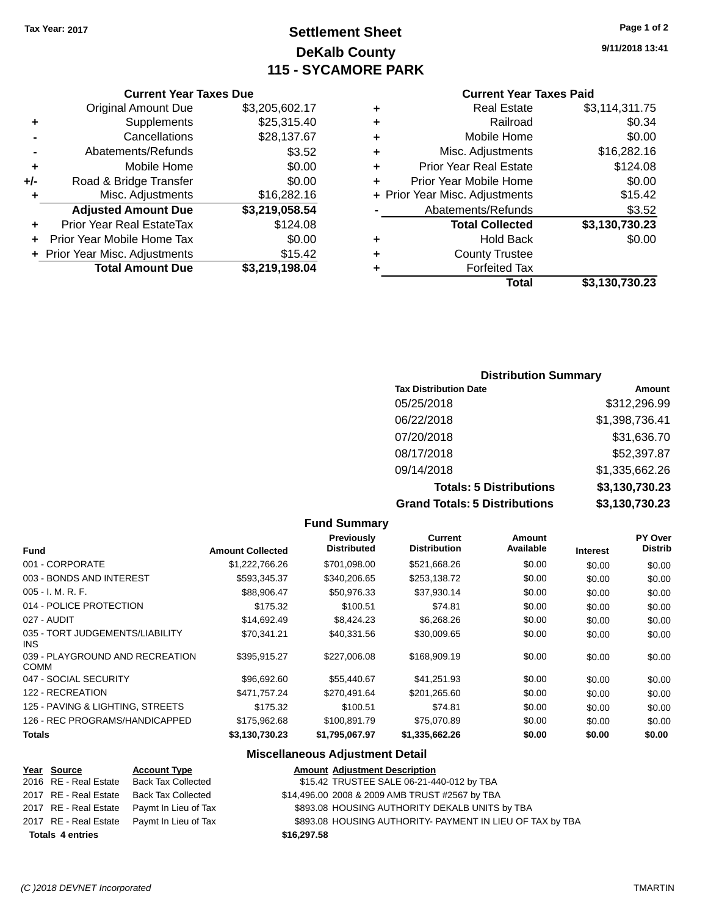# **Settlement Sheet Tax Year: 2017 Page 1 of 2 DeKalb County 115 - SYCAMORE PARK**

**9/11/2018 13:41**

## **Current Year Taxes Paid**

| ٠ | <b>Real Estate</b>             | \$3,114,311.75 |
|---|--------------------------------|----------------|
| ٠ | Railroad                       | \$0.34         |
| ٠ | Mobile Home                    | \$0.00         |
| ٠ | Misc. Adjustments              | \$16,282.16    |
| ٠ | <b>Prior Year Real Estate</b>  | \$124.08       |
| ÷ | Prior Year Mobile Home         | \$0.00         |
|   | + Prior Year Misc. Adjustments | \$15.42        |
|   | Abatements/Refunds             | \$3.52         |
|   | <b>Total Collected</b>         | \$3,130,730.23 |
| ٠ | <b>Hold Back</b>               | \$0.00         |
| ٠ | <b>County Trustee</b>          |                |
|   | <b>Forfeited Tax</b>           |                |
|   | Total                          | \$3,130,730.23 |
|   |                                |                |

|     | <b>Current Year Taxes Due</b>    |                |
|-----|----------------------------------|----------------|
|     | <b>Original Amount Due</b>       | \$3,205,602.17 |
| ٠   | Supplements                      | \$25,315.40    |
|     | Cancellations                    | \$28,137.67    |
|     | Abatements/Refunds               | \$3.52         |
| ٠   | Mobile Home                      | \$0.00         |
| +/- | Road & Bridge Transfer           | \$0.00         |
| ٠   | Misc. Adjustments                | \$16,282.16    |
|     | <b>Adjusted Amount Due</b>       | \$3,219,058.54 |
|     | <b>Prior Year Real EstateTax</b> | \$124.08       |
|     | Prior Year Mobile Home Tax       | \$0.00         |
|     | + Prior Year Misc. Adjustments   | \$15.42        |
|     | <b>Total Amount Due</b>          | \$3,219,198.04 |

## **Distribution Summary**

| <b>Tax Distribution Date</b>         | Amount         |  |  |
|--------------------------------------|----------------|--|--|
| 05/25/2018                           | \$312,296.99   |  |  |
| 06/22/2018                           | \$1,398,736.41 |  |  |
| 07/20/2018                           | \$31,636.70    |  |  |
| 08/17/2018                           | \$52,397.87    |  |  |
| 09/14/2018                           | \$1,335,662.26 |  |  |
| <b>Totals: 5 Distributions</b>       | \$3,130,730.23 |  |  |
| <b>Grand Totals: 5 Distributions</b> | \$3,130,730.23 |  |  |

|                                                |                         | <b>Fund Summary</b>              |                                |                     |                 |                           |
|------------------------------------------------|-------------------------|----------------------------------|--------------------------------|---------------------|-----------------|---------------------------|
| <b>Fund</b>                                    | <b>Amount Collected</b> | Previously<br><b>Distributed</b> | Current<br><b>Distribution</b> | Amount<br>Available | <b>Interest</b> | PY Over<br><b>Distrib</b> |
| 001 - CORPORATE                                | \$1,222,766.26          | \$701,098.00                     | \$521,668.26                   | \$0.00              | \$0.00          | \$0.00                    |
| 003 - BONDS AND INTEREST                       | \$593,345.37            | \$340,206.65                     | \$253,138.72                   | \$0.00              | \$0.00          | \$0.00                    |
| $005 - I. M. R. F.$                            | \$88,906.47             | \$50,976.33                      | \$37,930.14                    | \$0.00              | \$0.00          | \$0.00                    |
| 014 - POLICE PROTECTION                        | \$175.32                | \$100.51                         | \$74.81                        | \$0.00              | \$0.00          | \$0.00                    |
| 027 - AUDIT                                    | \$14,692.49             | \$8,424.23                       | \$6,268.26                     | \$0.00              | \$0.00          | \$0.00                    |
| 035 - TORT JUDGEMENTS/LIABILITY<br><b>INS</b>  | \$70,341.21             | \$40,331.56                      | \$30,009.65                    | \$0.00              | \$0.00          | \$0.00                    |
| 039 - PLAYGROUND AND RECREATION<br><b>COMM</b> | \$395,915.27            | \$227,006.08                     | \$168,909.19                   | \$0.00              | \$0.00          | \$0.00                    |
| 047 - SOCIAL SECURITY                          | \$96,692.60             | \$55,440.67                      | \$41,251.93                    | \$0.00              | \$0.00          | \$0.00                    |
| 122 - RECREATION                               | \$471,757.24            | \$270.491.64                     | \$201.265.60                   | \$0.00              | \$0.00          | \$0.00                    |
| 125 - PAVING & LIGHTING, STREETS               | \$175.32                | \$100.51                         | \$74.81                        | \$0.00              | \$0.00          | \$0.00                    |
| 126 - REC PROGRAMS/HANDICAPPED                 | \$175,962.68            | \$100,891.79                     | \$75,070.89                    | \$0.00              | \$0.00          | \$0.00                    |
| <b>Totals</b>                                  | \$3,130,730.23          | \$1,795,067.97                   | \$1,335,662.26                 | \$0.00              | \$0.00          | \$0.00                    |

## **Miscellaneous Adjustment Detail**

## **Year** Source **Account Type Account Type Amount Adjustment Description**

| <b>Totals 4 entries</b> |                       |                                            | \$16,297.58                                               |
|-------------------------|-----------------------|--------------------------------------------|-----------------------------------------------------------|
|                         |                       | 2017 RE - Real Estate Paymt In Lieu of Tax | \$893.08 HOUSING AUTHORITY- PAYMENT IN LIEU OF TAX by TBA |
|                         |                       | 2017 RE - Real Estate Paymt In Lieu of Tax | \$893.08 HOUSING AUTHORITY DEKALB UNITS by TBA            |
|                         | 2017 RE - Real Estate | Back Tax Collected                         | \$14,496.00 2008 & 2009 AMB TRUST #2567 by TBA            |
|                         | 2016 RE - Real Estate | Back Tax Collected                         | \$15.42 TRUSTEE SALE 06-21-440-012 by TBA                 |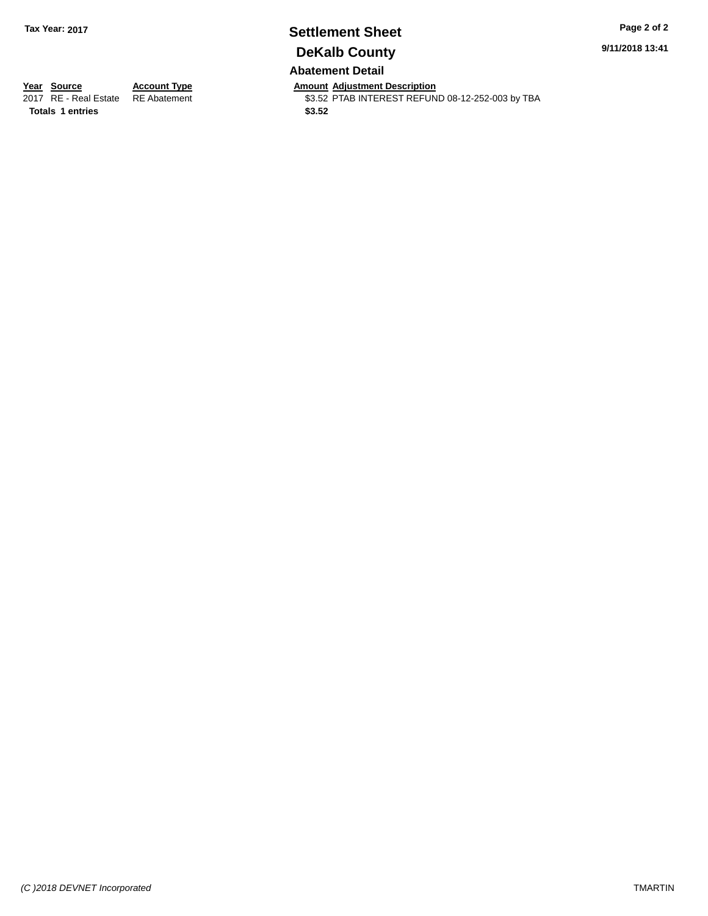## **Settlement Sheet Tax Year: 2017 Page 2 of 2 DeKalb County Abatement Detail**

**9/11/2018 13:41**

**Totals 1 entries** \$3.52

**Year Source Account Type And Amount Adjustment Description**<br>2017 RE - Real Estate RE Abatement **Account 1998 AMOU SENSE ARE ADDER** S3.52 PTAB INTEREST REFUN \$3.52 PTAB INTEREST REFUND 08-12-252-003 by TBA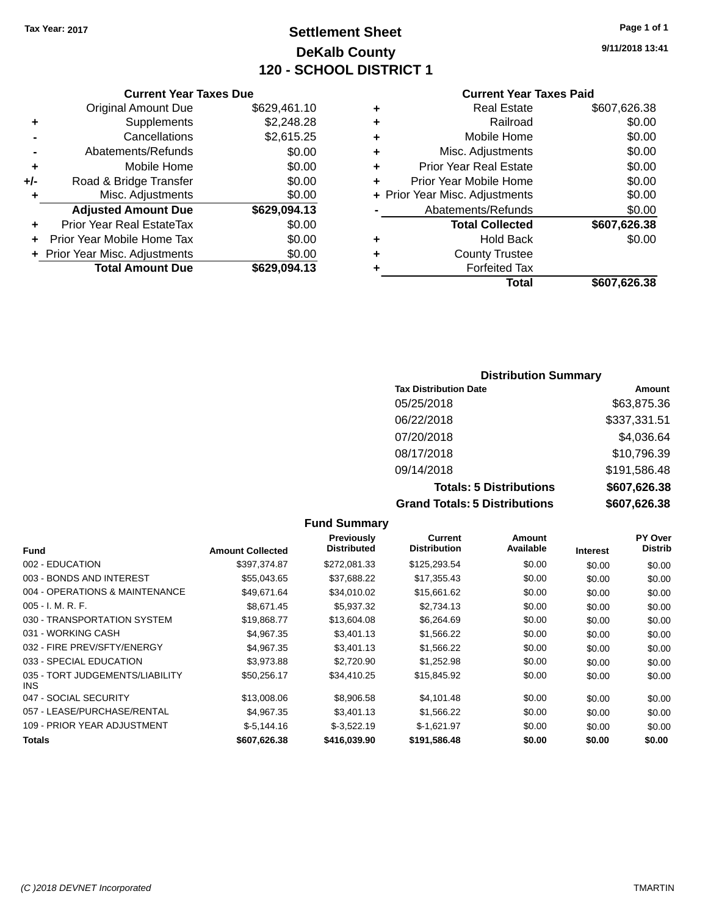# **Settlement Sheet Tax Year: 2017 Page 1 of 1 DeKalb County 120 - SCHOOL DISTRICT 1**

**9/11/2018 13:41**

### **Current Year Taxes Paid**

| 29,094.13  | ٠ | <b>Forfeited Tax</b>           | \$607,626.38 |
|------------|---|--------------------------------|--------------|
| \$0.00     | ٠ | <b>County Trustee</b>          |              |
| \$0.00     | ٠ | <b>Hold Back</b>               | \$0.00       |
| \$0.00     |   | <b>Total Collected</b>         | \$607,626.38 |
| 29,094.13  |   | Abatements/Refunds             | \$0.00       |
| \$0.00     |   | + Prior Year Misc. Adjustments | \$0.00       |
| \$0.00     | ÷ | Prior Year Mobile Home         | \$0.00       |
| \$0.00     | ٠ | <b>Prior Year Real Estate</b>  | \$0.00       |
| \$0.00     | ٠ | Misc. Adjustments              | \$0.00       |
| \$2,615.25 | ٠ | Mobile Home                    | \$0.00       |
| \$2,248.28 | ٠ | Railroad                       | \$0.00       |
| 29,461.10  | ٠ | <b>Real Estate</b>             | \$607,626.38 |
|            |   |                                |              |

|     | <b>Current Year Taxes Due</b>    |              |
|-----|----------------------------------|--------------|
|     | <b>Original Amount Due</b>       | \$629,461.10 |
| ٠   | Supplements                      | \$2,248.28   |
|     | Cancellations                    | \$2,615.25   |
|     | Abatements/Refunds               | \$0.00       |
| ٠   | Mobile Home                      | \$0.00       |
| +/- | Road & Bridge Transfer           | \$0.00       |
| ٠   | Misc. Adjustments                | \$0.00       |
|     | <b>Adjusted Amount Due</b>       | \$629,094.13 |
| ٠   | <b>Prior Year Real EstateTax</b> | \$0.00       |
| ÷   | Prior Year Mobile Home Tax       | \$0.00       |
|     | + Prior Year Misc. Adjustments   | \$0.00       |
|     | <b>Total Amount Due</b>          | \$629,094.13 |

### **Distribution Summary**

| <b>Tax Distribution Date</b>         | Amount       |
|--------------------------------------|--------------|
| 05/25/2018                           | \$63,875.36  |
| 06/22/2018                           | \$337,331.51 |
| 07/20/2018                           | \$4,036.64   |
| 08/17/2018                           | \$10,796.39  |
| 09/14/2018                           | \$191,586.48 |
| <b>Totals: 5 Distributions</b>       | \$607,626.38 |
| <b>Grand Totals: 5 Distributions</b> | \$607,626.38 |

|                                         |                         | <b>Fund Summary</b>                     |                                       |                            |                 |                                  |
|-----------------------------------------|-------------------------|-----------------------------------------|---------------------------------------|----------------------------|-----------------|----------------------------------|
| <b>Fund</b>                             | <b>Amount Collected</b> | <b>Previously</b><br><b>Distributed</b> | <b>Current</b><br><b>Distribution</b> | <b>Amount</b><br>Available | <b>Interest</b> | <b>PY Over</b><br><b>Distrib</b> |
| 002 - EDUCATION                         | \$397,374.87            | \$272,081.33                            | \$125,293.54                          | \$0.00                     | \$0.00          | \$0.00                           |
| 003 - BONDS AND INTEREST                | \$55,043.65             | \$37,688.22                             | \$17,355.43                           | \$0.00                     | \$0.00          | \$0.00                           |
| 004 - OPERATIONS & MAINTENANCE          | \$49,671.64             | \$34,010.02                             | \$15,661.62                           | \$0.00                     | \$0.00          | \$0.00                           |
| $005 - I. M. R. F.$                     | \$8,671.45              | \$5,937.32                              | \$2,734.13                            | \$0.00                     | \$0.00          | \$0.00                           |
| 030 - TRANSPORTATION SYSTEM             | \$19,868.77             | \$13,604.08                             | \$6,264.69                            | \$0.00                     | \$0.00          | \$0.00                           |
| 031 - WORKING CASH                      | \$4,967.35              | \$3,401.13                              | \$1,566.22                            | \$0.00                     | \$0.00          | \$0.00                           |
| 032 - FIRE PREV/SFTY/ENERGY             | \$4.967.35              | \$3,401.13                              | \$1,566.22                            | \$0.00                     | \$0.00          | \$0.00                           |
| 033 - SPECIAL EDUCATION                 | \$3,973.88              | \$2,720.90                              | \$1,252.98                            | \$0.00                     | \$0.00          | \$0.00                           |
| 035 - TORT JUDGEMENTS/LIABILITY<br>INS. | \$50,256.17             | \$34,410.25                             | \$15,845.92                           | \$0.00                     | \$0.00          | \$0.00                           |
| 047 - SOCIAL SECURITY                   | \$13,008.06             | \$8,906.58                              | \$4,101.48                            | \$0.00                     | \$0.00          | \$0.00                           |
| 057 - LEASE/PURCHASE/RENTAL             | \$4,967.35              | \$3,401.13                              | \$1,566.22                            | \$0.00                     | \$0.00          | \$0.00                           |
| 109 - PRIOR YEAR ADJUSTMENT             | $$-5,144.16$            | $$-3,522.19$                            | $$-1,621.97$                          | \$0.00                     | \$0.00          | \$0.00                           |
| Totals                                  | \$607,626.38            | \$416.039.90                            | \$191,586.48                          | \$0.00                     | \$0.00          | \$0.00                           |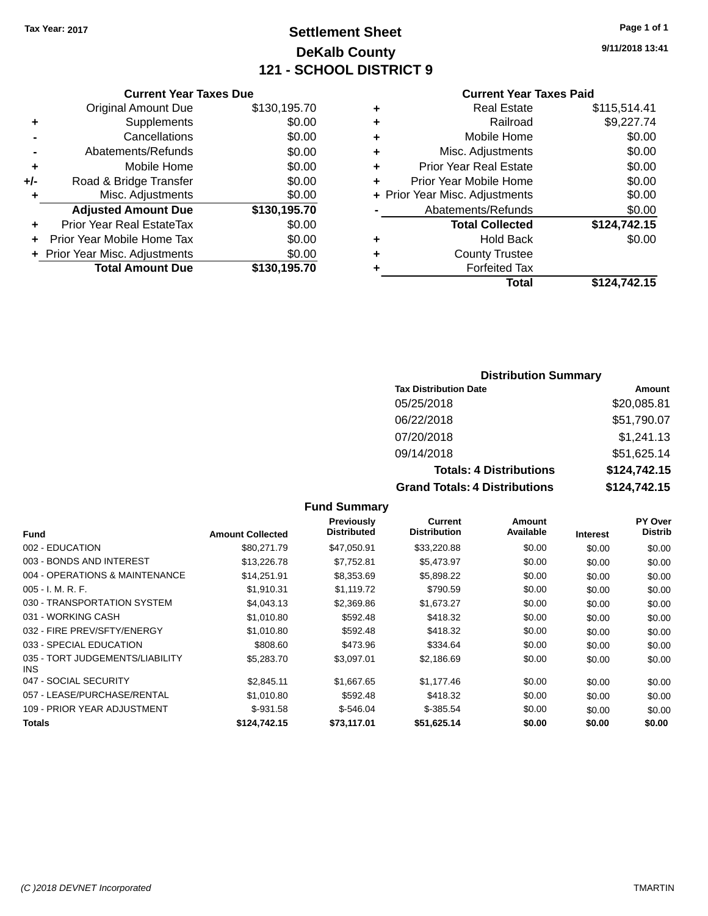# **Settlement Sheet Tax Year: 2017 Page 1 of 1 DeKalb County 121 - SCHOOL DISTRICT 9**

**9/11/2018 13:41**

#### **Current Year Taxes Paid**

|     | <b>Current Year Taxes Due</b>  |              |  |
|-----|--------------------------------|--------------|--|
|     | <b>Original Amount Due</b>     | \$130,195.70 |  |
| ٠   | Supplements                    | \$0.00       |  |
|     | Cancellations                  | \$0.00       |  |
|     | Abatements/Refunds             | \$0.00       |  |
| ٠   | Mobile Home                    | \$0.00       |  |
| +/- | Road & Bridge Transfer         | \$0.00       |  |
| ٠   | Misc. Adjustments              | \$0.00       |  |
|     | <b>Adjusted Amount Due</b>     | \$130,195.70 |  |
| ÷   | Prior Year Real EstateTax      | \$0.00       |  |
| ٠   | Prior Year Mobile Home Tax     | \$0.00       |  |
|     | + Prior Year Misc. Adjustments | \$0.00       |  |
|     | <b>Total Amount Due</b>        | \$130,195.70 |  |
|     |                                |              |  |

| ٠ | <b>Real Estate</b>             | \$115,514.41 |
|---|--------------------------------|--------------|
| ٠ | Railroad                       | \$9,227.74   |
| ٠ | Mobile Home                    | \$0.00       |
| ٠ | Misc. Adjustments              | \$0.00       |
| ٠ | <b>Prior Year Real Estate</b>  | \$0.00       |
| ٠ | Prior Year Mobile Home         | \$0.00       |
|   | + Prior Year Misc. Adjustments | \$0.00       |
|   | Abatements/Refunds             | \$0.00       |
|   | <b>Total Collected</b>         | \$124,742.15 |
| ٠ | <b>Hold Back</b>               | \$0.00       |
| ٠ | <b>County Trustee</b>          |              |
|   | <b>Forfeited Tax</b>           |              |
|   | Total                          | \$124,742.15 |
|   |                                |              |

### **Distribution Summary**

| <b>Tax Distribution Date</b>         | Amount       |
|--------------------------------------|--------------|
| 05/25/2018                           | \$20,085.81  |
| 06/22/2018                           | \$51,790.07  |
| 07/20/2018                           | \$1,241.13   |
| 09/14/2018                           | \$51,625.14  |
| <b>Totals: 4 Distributions</b>       | \$124,742.15 |
| <b>Grand Totals: 4 Distributions</b> | \$124,742.15 |

#### **Fund Interest Amount Collected Distributed PY Over Distrib Amount Available Current Distribution Previously** 002 - EDUCATION \$80,271.79 \$47,050.91 \$33,220.88 \$0.00 \$0.00 \$0.00 003 - BONDS AND INTEREST 60.00 \$13,226.78 \$13,226.78 \$147,752.81 \$5,473.97 \$0.00 \$0.00 \$0.00 \$0.00 004 - OPERATIONS & MAINTENANCE \$14,251.91 \$8,353.69 \$5,898.22 \$0.00 \$0.00 \$0.00 005 - I. M. R. F. \$1,910.31 \$1,119.72 \$790.59 \$0.00 \$0.00 \$0.00 030 - TRANSPORTATION SYSTEM \$4,043.13 \$2,369.86 \$1,673.27 \$0.00 \$0.00 \$0.00 \$0.00 031 - WORKING CASH \$1,010.80 \$592.48 \$418.32 \$0.00 \$0.00 \$0.00 \$0.00 032 - FIRE PREV/SFTY/ENERGY \$1,010.80 \$592.48 \$418.32 \$0.00 \$0.00 \$0.00 \$0.00 033 - SPECIAL EDUCATION \$808.60 \$473.96 \$334.64 \$0.00 \$0.00 \$0.00 035 - TORT JUDGEMENTS/LIABILITY INS \$5,283.70 \$3,097.01 \$2,186.69 \$0.00 \$0.00 \$0.00 047 - SOCIAL SECURITY \$2,845.11 \$1,667.65 \$1,177.46 \$0.00 \$0.00 \$0.00 057 - LEASE/PURCHASE/RENTAL \$1,010.80 \$592.48 \$418.32 \$0.00 \$0.00 \$0.00 \$0.00 109 - PRIOR YEAR ADJUSTMENT \$-931.58 \$-546.04 \$-385.54 \$0.00 \$0.00 \$0.00 **Totals \$124,742.15 \$73,117.01 \$51,625.14 \$0.00 \$0.00 \$0.00**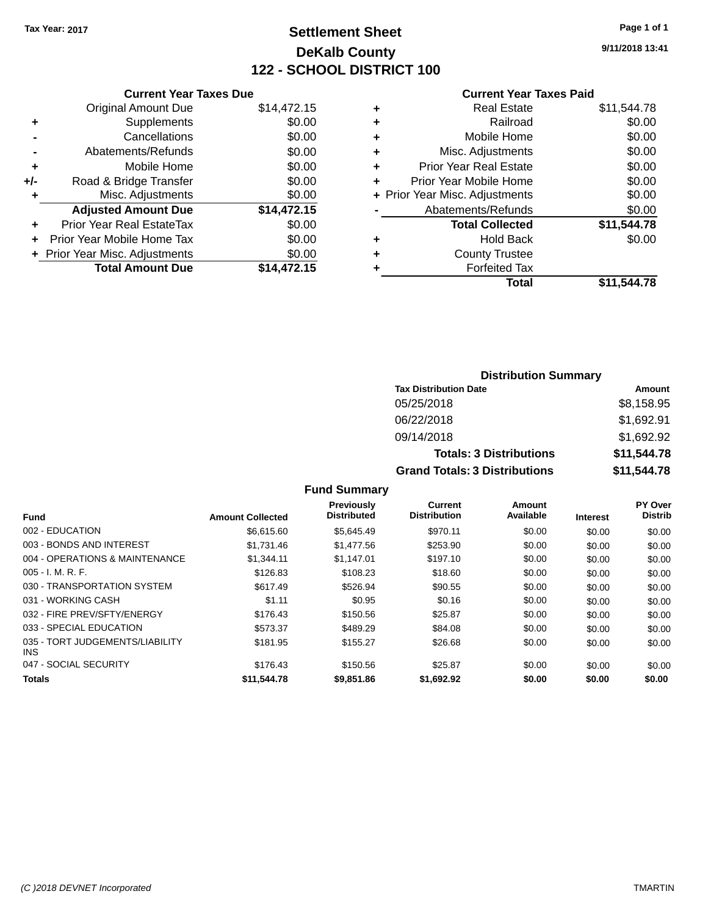# **Settlement Sheet Tax Year: 2017 Page 1 of 1 DeKalb County 122 - SCHOOL DISTRICT 100**

**9/11/2018 13:41**

#### **Current Year Taxes Paid**

|     | <b>Current Year Taxes Due</b>  |             |  |  |  |
|-----|--------------------------------|-------------|--|--|--|
|     | <b>Original Amount Due</b>     | \$14,472.15 |  |  |  |
| ٠   | Supplements                    | \$0.00      |  |  |  |
|     | Cancellations                  | \$0.00      |  |  |  |
|     | Abatements/Refunds             | \$0.00      |  |  |  |
| ٠   | Mobile Home                    | \$0.00      |  |  |  |
| +/- | Road & Bridge Transfer         | \$0.00      |  |  |  |
| ٠   | Misc. Adjustments              | \$0.00      |  |  |  |
|     | <b>Adjusted Amount Due</b>     | \$14,472.15 |  |  |  |
| ٠   | Prior Year Real EstateTax      | \$0.00      |  |  |  |
| ٠   | Prior Year Mobile Home Tax     | \$0.00      |  |  |  |
|     | + Prior Year Misc. Adjustments | \$0.00      |  |  |  |
|     | <b>Total Amount Due</b>        | \$14,472.15 |  |  |  |
|     |                                |             |  |  |  |

|   | <b>Real Estate</b>             | \$11,544.78 |
|---|--------------------------------|-------------|
| ٠ | Railroad                       | \$0.00      |
| ٠ | Mobile Home                    | \$0.00      |
| ٠ | Misc. Adjustments              | \$0.00      |
| ٠ | <b>Prior Year Real Estate</b>  | \$0.00      |
| ٠ | Prior Year Mobile Home         | \$0.00      |
|   | + Prior Year Misc. Adjustments | \$0.00      |
|   | Abatements/Refunds             | \$0.00      |
|   | <b>Total Collected</b>         | \$11,544.78 |
| ٠ | <b>Hold Back</b>               | \$0.00      |
| ٠ | <b>County Trustee</b>          |             |
| ٠ | <b>Forfeited Tax</b>           |             |
|   | Total                          | \$11,544.78 |
|   |                                |             |

| <b>Distribution Summary</b>          |             |  |  |
|--------------------------------------|-------------|--|--|
| <b>Tax Distribution Date</b>         | Amount      |  |  |
| 05/25/2018                           | \$8,158.95  |  |  |
| 06/22/2018                           | \$1,692.91  |  |  |
| 09/14/2018                           | \$1,692.92  |  |  |
| <b>Totals: 3 Distributions</b>       | \$11,544.78 |  |  |
| <b>Grand Totals: 3 Distributions</b> | \$11,544.78 |  |  |

|                                               |                         | <b>Previously</b>  | Current             | Amount    |                 | PY Over        |
|-----------------------------------------------|-------------------------|--------------------|---------------------|-----------|-----------------|----------------|
| <b>Fund</b>                                   | <b>Amount Collected</b> | <b>Distributed</b> | <b>Distribution</b> | Available | <b>Interest</b> | <b>Distrib</b> |
| 002 - EDUCATION                               | \$6.615.60              | \$5.645.49         | \$970.11            | \$0.00    | \$0.00          | \$0.00         |
| 003 - BONDS AND INTEREST                      | \$1.731.46              | \$1,477.56         | \$253.90            | \$0.00    | \$0.00          | \$0.00         |
| 004 - OPERATIONS & MAINTENANCE                | \$1.344.11              | \$1.147.01         | \$197.10            | \$0.00    | \$0.00          | \$0.00         |
| $005 - I. M. R. F.$                           | \$126.83                | \$108.23           | \$18.60             | \$0.00    | \$0.00          | \$0.00         |
| 030 - TRANSPORTATION SYSTEM                   | \$617.49                | \$526.94           | \$90.55             | \$0.00    | \$0.00          | \$0.00         |
| 031 - WORKING CASH                            | \$1.11                  | \$0.95             | \$0.16              | \$0.00    | \$0.00          | \$0.00         |
| 032 - FIRE PREV/SFTY/ENERGY                   | \$176.43                | \$150.56           | \$25.87             | \$0.00    | \$0.00          | \$0.00         |
| 033 - SPECIAL EDUCATION                       | \$573.37                | \$489.29           | \$84.08             | \$0.00    | \$0.00          | \$0.00         |
| 035 - TORT JUDGEMENTS/LIABILITY<br><b>INS</b> | \$181.95                | \$155.27           | \$26.68             | \$0.00    | \$0.00          | \$0.00         |
| 047 - SOCIAL SECURITY                         | \$176.43                | \$150.56           | \$25.87             | \$0.00    | \$0.00          | \$0.00         |
| <b>Totals</b>                                 | \$11,544.78             | \$9,851.86         | \$1,692.92          | \$0.00    | \$0.00          | \$0.00         |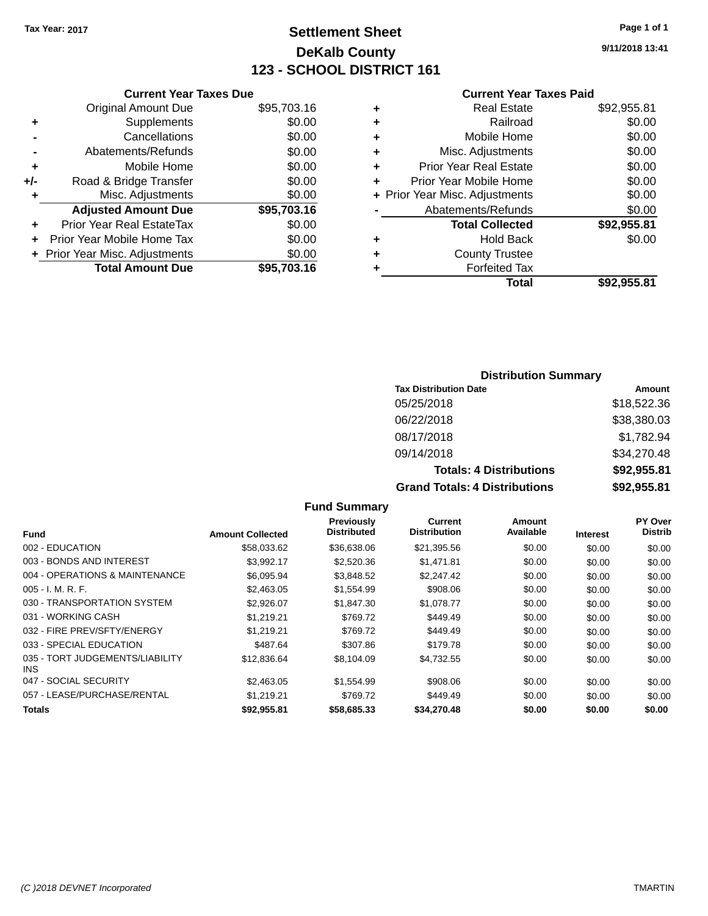# **Settlement Sheet Tax Year: 2017 Page 1 of 1 DeKalb County 123 - SCHOOL DISTRICT 161**

**9/11/2018 13:41**

#### **Current Year Taxes Paid**

|       | <b>Current Year Taxes Due</b>  |             |
|-------|--------------------------------|-------------|
|       | <b>Original Amount Due</b>     | \$95,703.16 |
| ٠     | Supplements                    | \$0.00      |
|       | Cancellations                  | \$0.00      |
|       | Abatements/Refunds             | \$0.00      |
| ٠     | Mobile Home                    | \$0.00      |
| $+/-$ | Road & Bridge Transfer         | \$0.00      |
| ٠     | Misc. Adjustments              | \$0.00      |
|       | <b>Adjusted Amount Due</b>     | \$95,703.16 |
|       | Prior Year Real EstateTax      | \$0.00      |
|       | Prior Year Mobile Home Tax     | \$0.00      |
|       | + Prior Year Misc. Adjustments | \$0.00      |
|       | <b>Total Amount Due</b>        | \$95,703,16 |
|       |                                |             |

|   | <b>Real Estate</b>             | \$92,955.81 |
|---|--------------------------------|-------------|
| ٠ | Railroad                       | \$0.00      |
| ٠ | Mobile Home                    | \$0.00      |
| ٠ | Misc. Adjustments              | \$0.00      |
| ٠ | <b>Prior Year Real Estate</b>  | \$0.00      |
| ٠ | Prior Year Mobile Home         | \$0.00      |
|   | + Prior Year Misc. Adjustments | \$0.00      |
|   | Abatements/Refunds             | \$0.00      |
|   | <b>Total Collected</b>         | \$92,955.81 |
| ٠ | <b>Hold Back</b>               | \$0.00      |
| ٠ | <b>County Trustee</b>          |             |
| ٠ | <b>Forfeited Tax</b>           |             |
|   | Total                          | \$92.955.81 |
|   |                                |             |

### **Distribution Summary**

| <b>Tax Distribution Date</b>         | Amount      |
|--------------------------------------|-------------|
| 05/25/2018                           | \$18,522.36 |
| 06/22/2018                           | \$38,380.03 |
| 08/17/2018                           | \$1,782.94  |
| 09/14/2018                           | \$34,270.48 |
| <b>Totals: 4 Distributions</b>       | \$92,955.81 |
| <b>Grand Totals: 4 Distributions</b> | \$92,955.81 |

|                                               |                         | Previously         | Current             | Amount    |                 | PY Over        |
|-----------------------------------------------|-------------------------|--------------------|---------------------|-----------|-----------------|----------------|
| Fund                                          | <b>Amount Collected</b> | <b>Distributed</b> | <b>Distribution</b> | Available | <b>Interest</b> | <b>Distrib</b> |
| 002 - EDUCATION                               | \$58,033.62             | \$36,638.06        | \$21,395.56         | \$0.00    | \$0.00          | \$0.00         |
| 003 - BONDS AND INTEREST                      | \$3,992.17              | \$2,520.36         | \$1.471.81          | \$0.00    | \$0.00          | \$0.00         |
| 004 - OPERATIONS & MAINTENANCE                | \$6,095.94              | \$3,848.52         | \$2,247.42          | \$0.00    | \$0.00          | \$0.00         |
| $005 - I. M. R. F.$                           | \$2,463.05              | \$1,554.99         | \$908.06            | \$0.00    | \$0.00          | \$0.00         |
| 030 - TRANSPORTATION SYSTEM                   | \$2.926.07              | \$1,847.30         | \$1,078.77          | \$0.00    | \$0.00          | \$0.00         |
| 031 - WORKING CASH                            | \$1.219.21              | \$769.72           | \$449.49            | \$0.00    | \$0.00          | \$0.00         |
| 032 - FIRE PREV/SFTY/ENERGY                   | \$1,219.21              | \$769.72           | \$449.49            | \$0.00    | \$0.00          | \$0.00         |
| 033 - SPECIAL EDUCATION                       | \$487.64                | \$307.86           | \$179.78            | \$0.00    | \$0.00          | \$0.00         |
| 035 - TORT JUDGEMENTS/LIABILITY<br><b>INS</b> | \$12,836.64             | \$8,104.09         | \$4,732.55          | \$0.00    | \$0.00          | \$0.00         |
| 047 - SOCIAL SECURITY                         | \$2,463.05              | \$1,554.99         | \$908.06            | \$0.00    | \$0.00          | \$0.00         |
| 057 - LEASE/PURCHASE/RENTAL                   | \$1.219.21              | \$769.72           | \$449.49            | \$0.00    | \$0.00          | \$0.00         |
| Totals                                        | \$92,955.81             | \$58,685.33        | \$34,270.48         | \$0.00    | \$0.00          | \$0.00         |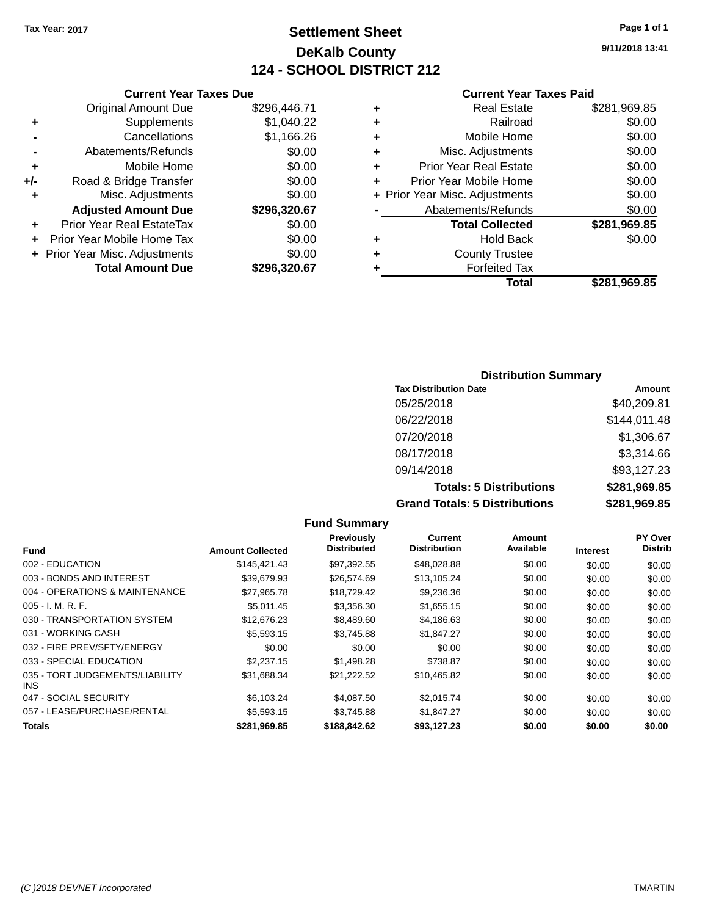# **Settlement Sheet Tax Year: 2017 Page 1 of 1 DeKalb County 124 - SCHOOL DISTRICT 212**

**9/11/2018 13:41**

#### **Current Year Taxes Paid**

|     | <b>Current Year Taxes Due</b>  |              |  |  |  |
|-----|--------------------------------|--------------|--|--|--|
|     | <b>Original Amount Due</b>     | \$296,446.71 |  |  |  |
| ٠   | Supplements                    | \$1,040.22   |  |  |  |
|     | Cancellations                  | \$1,166.26   |  |  |  |
|     | Abatements/Refunds             | \$0.00       |  |  |  |
| ٠   | Mobile Home                    | \$0.00       |  |  |  |
| +/- | Road & Bridge Transfer         | \$0.00       |  |  |  |
| ٠   | Misc. Adjustments              | \$0.00       |  |  |  |
|     | <b>Adjusted Amount Due</b>     | \$296,320.67 |  |  |  |
| ٠   | Prior Year Real EstateTax      | \$0.00       |  |  |  |
|     | Prior Year Mobile Home Tax     | \$0.00       |  |  |  |
|     | + Prior Year Misc. Adjustments | \$0.00       |  |  |  |
|     | <b>Total Amount Due</b>        | \$296.320.67 |  |  |  |

|   | <b>Real Estate</b>             | \$281,969.85 |
|---|--------------------------------|--------------|
| ٠ | Railroad                       | \$0.00       |
| ٠ | Mobile Home                    | \$0.00       |
| ٠ | Misc. Adjustments              | \$0.00       |
| ٠ | <b>Prior Year Real Estate</b>  | \$0.00       |
| ٠ | Prior Year Mobile Home         | \$0.00       |
|   | + Prior Year Misc. Adjustments | \$0.00       |
|   | Abatements/Refunds             | \$0.00       |
|   | <b>Total Collected</b>         | \$281,969.85 |
| ٠ | Hold Back                      | \$0.00       |
| ٠ | <b>County Trustee</b>          |              |
| ٠ | <b>Forfeited Tax</b>           |              |
|   | Total                          | \$281,969.85 |
|   |                                |              |

### **Distribution Summary Tax Distribution Date Amount** 05/25/2018 \$40,209.81 06/22/2018 \$144,011.48 07/20/2018 \$1,306.67 08/17/2018 \$3,314.66 09/14/2018 \$93,127.23 **Totals: 5 Distributions \$281,969.85 Grand Totals: 5 Distributions \$281,969.85**

|                                         |                         | <b>Fund Summary</b>              |                                |                     |                 |                           |
|-----------------------------------------|-------------------------|----------------------------------|--------------------------------|---------------------|-----------------|---------------------------|
| <b>Fund</b>                             | <b>Amount Collected</b> | Previously<br><b>Distributed</b> | Current<br><b>Distribution</b> | Amount<br>Available | <b>Interest</b> | PY Over<br><b>Distrib</b> |
| 002 - EDUCATION                         | \$145,421.43            | \$97,392.55                      | \$48,028.88                    | \$0.00              | \$0.00          | \$0.00                    |
| 003 - BONDS AND INTEREST                | \$39,679.93             | \$26,574.69                      | \$13,105.24                    | \$0.00              | \$0.00          | \$0.00                    |
| 004 - OPERATIONS & MAINTENANCE          | \$27,965.78             | \$18,729.42                      | \$9,236.36                     | \$0.00              | \$0.00          | \$0.00                    |
| $005 - I. M. R. F.$                     | \$5.011.45              | \$3,356.30                       | \$1,655.15                     | \$0.00              | \$0.00          | \$0.00                    |
| 030 - TRANSPORTATION SYSTEM             | \$12,676.23             | \$8,489.60                       | \$4,186.63                     | \$0.00              | \$0.00          | \$0.00                    |
| 031 - WORKING CASH                      | \$5,593.15              | \$3.745.88                       | \$1,847.27                     | \$0.00              | \$0.00          | \$0.00                    |
| 032 - FIRE PREV/SFTY/ENERGY             | \$0.00                  | \$0.00                           | \$0.00                         | \$0.00              | \$0.00          | \$0.00                    |
| 033 - SPECIAL EDUCATION                 | \$2,237.15              | \$1,498.28                       | \$738.87                       | \$0.00              | \$0.00          | \$0.00                    |
| 035 - TORT JUDGEMENTS/LIABILITY<br>INS. | \$31,688.34             | \$21,222.52                      | \$10,465.82                    | \$0.00              | \$0.00          | \$0.00                    |
| 047 - SOCIAL SECURITY                   | \$6,103.24              | \$4,087.50                       | \$2,015.74                     | \$0.00              | \$0.00          | \$0.00                    |
| 057 - LEASE/PURCHASE/RENTAL             | \$5,593.15              | \$3.745.88                       | \$1,847.27                     | \$0.00              | \$0.00          | \$0.00                    |
| Totals                                  | \$281,969.85            | \$188,842.62                     | \$93,127.23                    | \$0.00              | \$0.00          | \$0.00                    |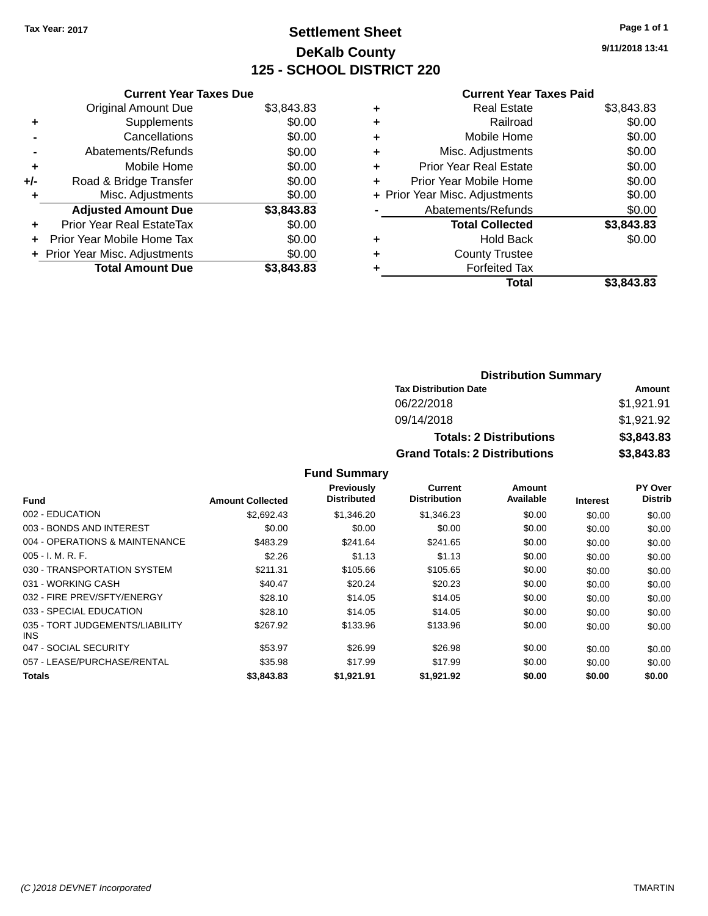# **Settlement Sheet Tax Year: 2017 Page 1 of 1 DeKalb County 125 - SCHOOL DISTRICT 220**

**9/11/2018 13:41**

#### **Current Year Taxes Paid**

|     | <b>Current Year Taxes Due</b>  |            |  |  |  |
|-----|--------------------------------|------------|--|--|--|
|     | <b>Original Amount Due</b>     | \$3,843.83 |  |  |  |
| ٠   | Supplements                    | \$0.00     |  |  |  |
|     | Cancellations                  | \$0.00     |  |  |  |
|     | Abatements/Refunds             | \$0.00     |  |  |  |
| ٠   | Mobile Home                    | \$0.00     |  |  |  |
| +/- | Road & Bridge Transfer         | \$0.00     |  |  |  |
| ٠   | Misc. Adjustments              | \$0.00     |  |  |  |
|     | <b>Adjusted Amount Due</b>     | \$3,843.83 |  |  |  |
| ÷   | Prior Year Real EstateTax      | \$0.00     |  |  |  |
| ÷   | Prior Year Mobile Home Tax     | \$0.00     |  |  |  |
|     | + Prior Year Misc. Adjustments | \$0.00     |  |  |  |
|     | <b>Total Amount Due</b>        | \$3.843.83 |  |  |  |

| Real Estate                    | \$3,843.83 |
|--------------------------------|------------|
| Railroad                       | \$0.00     |
| Mobile Home                    | \$0.00     |
| Misc. Adjustments              | \$0.00     |
| <b>Prior Year Real Estate</b>  | \$0.00     |
| Prior Year Mobile Home         | \$0.00     |
| + Prior Year Misc. Adjustments | \$0.00     |
| Abatements/Refunds             | \$0.00     |
| <b>Total Collected</b>         | \$3,843.83 |
| Hold Back                      | \$0.00     |
| <b>County Trustee</b>          |            |
| <b>Forfeited Tax</b>           |            |
| Total                          | \$3,843.83 |
|                                |            |

### **Distribution Summary Tax Distribution Date Amount** 06/22/2018 \$1,921.91 09/14/2018 \$1,921.92 **Totals: 2 Distributions \$3,843.83 Grand Totals: 2 Distributions \$3,843.83**

| <b>Fund</b>                             | <b>Amount Collected</b> | Previously<br><b>Distributed</b> | <b>Current</b><br><b>Distribution</b> | Amount<br>Available | <b>Interest</b> | <b>PY Over</b><br><b>Distrib</b> |
|-----------------------------------------|-------------------------|----------------------------------|---------------------------------------|---------------------|-----------------|----------------------------------|
|                                         |                         |                                  |                                       |                     |                 |                                  |
| 002 - EDUCATION                         | \$2,692.43              | \$1,346,20                       | \$1,346.23                            | \$0.00              | \$0.00          | \$0.00                           |
| 003 - BONDS AND INTEREST                | \$0.00                  | \$0.00                           | \$0.00                                | \$0.00              | \$0.00          | \$0.00                           |
| 004 - OPERATIONS & MAINTENANCE          | \$483.29                | \$241.64                         | \$241.65                              | \$0.00              | \$0.00          | \$0.00                           |
| $005 - I. M. R. F.$                     | \$2.26                  | \$1.13                           | \$1.13                                | \$0.00              | \$0.00          | \$0.00                           |
| 030 - TRANSPORTATION SYSTEM             | \$211.31                | \$105.66                         | \$105.65                              | \$0.00              | \$0.00          | \$0.00                           |
| 031 - WORKING CASH                      | \$40.47                 | \$20.24                          | \$20.23                               | \$0.00              | \$0.00          | \$0.00                           |
| 032 - FIRE PREV/SFTY/ENERGY             | \$28.10                 | \$14.05                          | \$14.05                               | \$0.00              | \$0.00          | \$0.00                           |
| 033 - SPECIAL EDUCATION                 | \$28.10                 | \$14.05                          | \$14.05                               | \$0.00              | \$0.00          | \$0.00                           |
| 035 - TORT JUDGEMENTS/LIABILITY<br>INS. | \$267.92                | \$133.96                         | \$133.96                              | \$0.00              | \$0.00          | \$0.00                           |
| 047 - SOCIAL SECURITY                   | \$53.97                 | \$26.99                          | \$26.98                               | \$0.00              | \$0.00          | \$0.00                           |
| 057 - LEASE/PURCHASE/RENTAL             | \$35.98                 | \$17.99                          | \$17.99                               | \$0.00              | \$0.00          | \$0.00                           |
| Totals                                  | \$3,843.83              | \$1.921.91                       | \$1.921.92                            | \$0.00              | \$0.00          | \$0.00                           |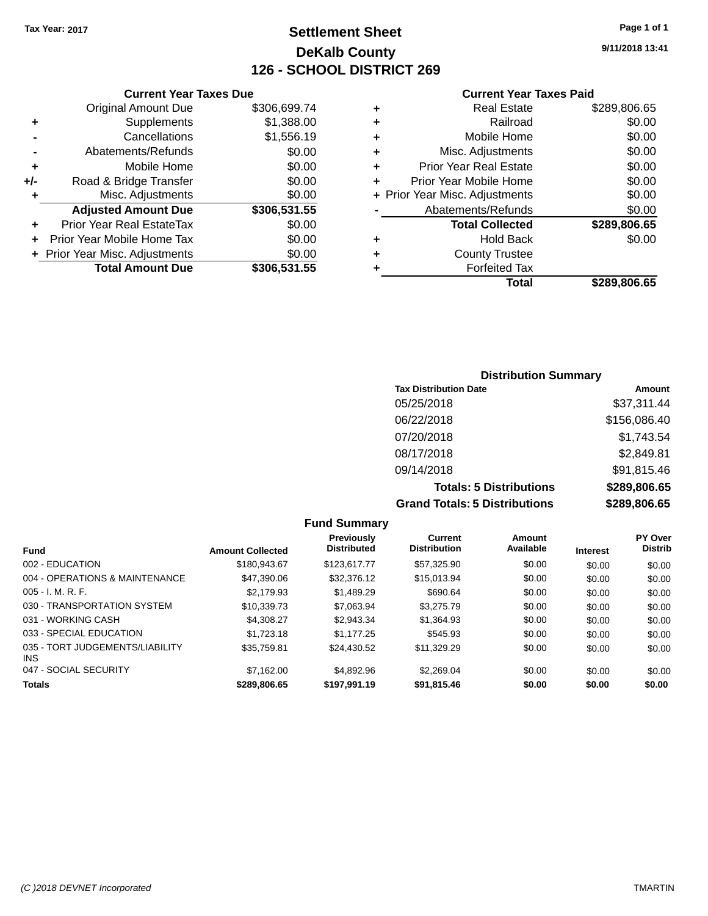**Current Year Taxes Due** Original Amount Due \$306,699.74

**Adjusted Amount Due \$306,531.55**

**Total Amount Due \$306,531.55**

**+** Supplements \$1,388.00 **-** Cancellations \$1,556.19 **-** Abatements/Refunds **\$0.00 +** Mobile Home \$0.00 **+/-** Road & Bridge Transfer \$0.00 **+** Misc. Adjustments \$0.00

**+** Prior Year Real EstateTax \$0.00 **+** Prior Year Mobile Home Tax \$0.00 **+ Prior Year Misc. Adjustments**  $$0.00$ 

# **Settlement Sheet Tax Year: 2017 Page 1 of 1 DeKalb County 126 - SCHOOL DISTRICT 269**

**9/11/2018 13:41**

#### **Current Year Taxes Paid**

|   | Total                          | \$289,806.65 |
|---|--------------------------------|--------------|
| ٠ | <b>Forfeited Tax</b>           |              |
| ٠ | <b>County Trustee</b>          |              |
| ٠ | <b>Hold Back</b>               | \$0.00       |
|   | <b>Total Collected</b>         | \$289,806.65 |
|   | Abatements/Refunds             | \$0.00       |
|   | + Prior Year Misc. Adjustments | \$0.00       |
| ٠ | Prior Year Mobile Home         | \$0.00       |
| ٠ | <b>Prior Year Real Estate</b>  | \$0.00       |
| ٠ | Misc. Adjustments              | \$0.00       |
| ٠ | Mobile Home                    | \$0.00       |
| ٠ | Railroad                       | \$0.00       |
| ٠ | <b>Real Estate</b>             | \$289,806.65 |
|   |                                |              |

### **Distribution Summary Tax Distribution Date Amount** 05/25/2018 \$37,311.44 06/22/2018 \$156,086.40 07/20/2018 \$1,743.54 08/17/2018 \$2,849.81 09/14/2018 \$91,815.46 **Totals: 5 Distributions \$289,806.65 Grand Totals: 5 Distributions \$289,806.65**

**Fund Summary Fund Interest Amount Collected Distributed PY Over Distrib Amount Available Current Distribution Previously** 002 - EDUCATION \$180,943.67 \$123,617.77 \$57,325.90 \$0.00 \$0.00 \$0.00 004 - OPERATIONS & MAINTENANCE  $$47,390.06$   $$32,376.12$   $$15,013.94$   $$0.00$   $$0.00$   $$0.00$ 005 - I. M. R. F. \$2,179.93 \$1,489.29 \$690.64 \$0.00 \$0.00 \$0.00 030 - TRANSPORTATION SYSTEM \$10,339.73 \$7,063.94 \$3,275.79 \$0.00 \$0.00 \$0.00 \$0.00 031 - WORKING CASH \$4,308.27 \$2,943.34 \$1,364.93 \$0.00 \$0.00 \$0.00 033 - SPECIAL EDUCATION \$1,723.18 \$1,723.18 \$1,177.25 \$545.93 \$0.00 \$0.00 \$0.00 035 - TORT JUDGEMENTS/LIABILITY INS \$35,759.81 \$24,430.52 \$11,329.29 \$0.00 \$0.00 \$0.00 047 - SOCIAL SECURITY 67,162.00 \$4,892.96 \$2,269.04 \$0.00 \$0.00 \$0.00 \$0.00 **Totals \$289,806.65 \$197,991.19 \$91,815.46 \$0.00 \$0.00 \$0.00**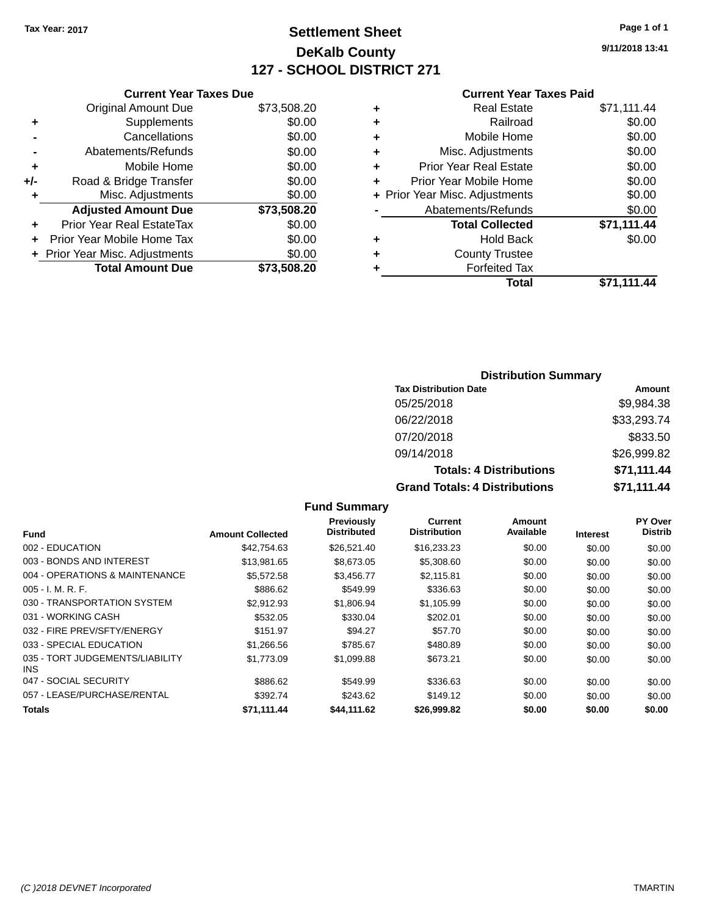# **Settlement Sheet Tax Year: 2017 Page 1 of 1 DeKalb County 127 - SCHOOL DISTRICT 271**

**9/11/2018 13:41**

#### **Current Year Taxes Paid**

|     | <b>Current Year Taxes Due</b>  |             |  |
|-----|--------------------------------|-------------|--|
|     | <b>Original Amount Due</b>     | \$73,508.20 |  |
| ٠   | Supplements                    | \$0.00      |  |
|     | Cancellations                  | \$0.00      |  |
|     | Abatements/Refunds             | \$0.00      |  |
| ٠   | Mobile Home                    | \$0.00      |  |
| +/- | Road & Bridge Transfer         | \$0.00      |  |
|     | Misc. Adjustments              | \$0.00      |  |
|     | <b>Adjusted Amount Due</b>     | \$73,508.20 |  |
| ٠   | Prior Year Real EstateTax      | \$0.00      |  |
|     | Prior Year Mobile Home Tax     | \$0.00      |  |
|     | + Prior Year Misc. Adjustments | \$0.00      |  |
|     | <b>Total Amount Due</b>        | \$73,508,20 |  |
|     |                                |             |  |

|   | <b>Real Estate</b>             | \$71,111.44 |
|---|--------------------------------|-------------|
| ÷ | Railroad                       | \$0.00      |
| ٠ | Mobile Home                    | \$0.00      |
| ٠ | Misc. Adjustments              | \$0.00      |
| ٠ | <b>Prior Year Real Estate</b>  | \$0.00      |
| ÷ | Prior Year Mobile Home         | \$0.00      |
|   | + Prior Year Misc. Adjustments | \$0.00      |
|   | Abatements/Refunds             | \$0.00      |
|   | <b>Total Collected</b>         | \$71,111.44 |
| ٠ | <b>Hold Back</b>               | \$0.00      |
| ٠ | <b>County Trustee</b>          |             |
| ٠ | <b>Forfeited Tax</b>           |             |
|   | Total                          | \$71,111.44 |
|   |                                |             |

### **Distribution Summary Tax Distribution Date Amount** 05/25/2018 \$9,984.38 06/22/2018 \$33,293.74 07/20/2018 \$833.50 09/14/2018 \$26,999.82 **Totals: 4 Distributions \$71,111.44 Grand Totals: 4 Distributions \$71,111.44**

| Fund                                    | <b>Amount Collected</b> | <b>Previously</b><br><b>Distributed</b> | Current<br><b>Distribution</b> | Amount<br>Available | <b>Interest</b> | <b>PY Over</b><br><b>Distrib</b> |
|-----------------------------------------|-------------------------|-----------------------------------------|--------------------------------|---------------------|-----------------|----------------------------------|
| 002 - EDUCATION                         | \$42,754.63             | \$26,521.40                             | \$16,233.23                    | \$0.00              | \$0.00          | \$0.00                           |
| 003 - BONDS AND INTEREST                | \$13,981.65             | \$8,673.05                              | \$5,308.60                     | \$0.00              | \$0.00          | \$0.00                           |
| 004 - OPERATIONS & MAINTENANCE          | \$5,572.58              | \$3,456.77                              | \$2,115.81                     | \$0.00              | \$0.00          | \$0.00                           |
| $005 - I. M. R. F.$                     | \$886.62                | \$549.99                                | \$336.63                       | \$0.00              | \$0.00          | \$0.00                           |
| 030 - TRANSPORTATION SYSTEM             | \$2,912.93              | \$1,806.94                              | \$1,105.99                     | \$0.00              | \$0.00          | \$0.00                           |
| 031 - WORKING CASH                      | \$532.05                | \$330.04                                | \$202.01                       | \$0.00              | \$0.00          | \$0.00                           |
| 032 - FIRE PREV/SFTY/ENERGY             | \$151.97                | \$94.27                                 | \$57.70                        | \$0.00              | \$0.00          | \$0.00                           |
| 033 - SPECIAL EDUCATION                 | \$1,266.56              | \$785.67                                | \$480.89                       | \$0.00              | \$0.00          | \$0.00                           |
| 035 - TORT JUDGEMENTS/LIABILITY<br>INS. | \$1,773.09              | \$1,099.88                              | \$673.21                       | \$0.00              | \$0.00          | \$0.00                           |
| 047 - SOCIAL SECURITY                   | \$886.62                | \$549.99                                | \$336.63                       | \$0.00              | \$0.00          | \$0.00                           |
| 057 - LEASE/PURCHASE/RENTAL             | \$392.74                | \$243.62                                | \$149.12                       | \$0.00              | \$0.00          | \$0.00                           |
| <b>Totals</b>                           | \$71,111.44             | \$44,111.62                             | \$26,999.82                    | \$0.00              | \$0.00          | \$0.00                           |
|                                         |                         |                                         |                                |                     |                 |                                  |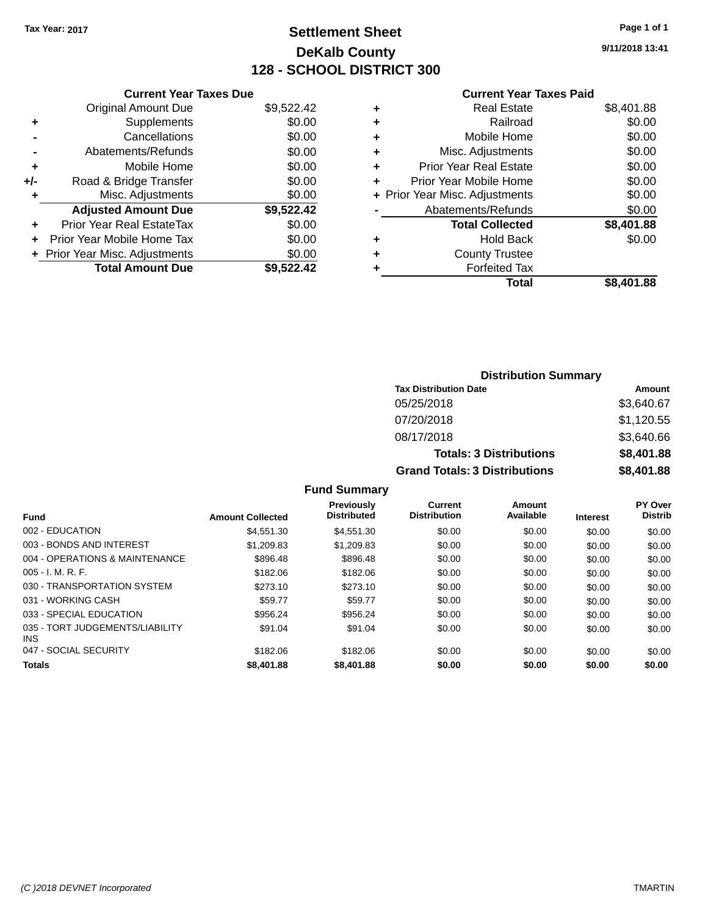# **Settlement Sheet Tax Year: 2017 Page 1 of 1 DeKalb County 128 - SCHOOL DISTRICT 300**

**9/11/2018 13:41**

#### **Current Year Taxes Paid**

|       | <b>Current Year Taxes Due</b>  |            |
|-------|--------------------------------|------------|
|       | <b>Original Amount Due</b>     | \$9,522.42 |
| ٠     | Supplements                    | \$0.00     |
|       | Cancellations                  | \$0.00     |
|       | Abatements/Refunds             | \$0.00     |
| ÷     | Mobile Home                    | \$0.00     |
| $+/-$ | Road & Bridge Transfer         | \$0.00     |
|       | Misc. Adjustments              | \$0.00     |
|       | <b>Adjusted Amount Due</b>     | \$9,522.42 |
| ÷     | Prior Year Real EstateTax      | \$0.00     |
|       | Prior Year Mobile Home Tax     | \$0.00     |
|       | + Prior Year Misc. Adjustments | \$0.00     |
|       | <b>Total Amount Due</b>        | \$9,522.42 |
|       |                                |            |

| ٠ | <b>Real Estate</b>             | \$8,401.88 |
|---|--------------------------------|------------|
| ٠ | Railroad                       | \$0.00     |
| ٠ | Mobile Home                    | \$0.00     |
| ٠ | Misc. Adjustments              | \$0.00     |
| ٠ | <b>Prior Year Real Estate</b>  | \$0.00     |
| ٠ | Prior Year Mobile Home         | \$0.00     |
|   | + Prior Year Misc. Adjustments | \$0.00     |
|   | Abatements/Refunds             | \$0.00     |
|   | <b>Total Collected</b>         | \$8,401.88 |
| ٠ | <b>Hold Back</b>               | \$0.00     |
| ٠ | <b>County Trustee</b>          |            |
| ٠ | <b>Forfeited Tax</b>           |            |
|   | Total                          | \$8,401.88 |
|   |                                |            |

| <b>Distribution Summary</b>          |            |  |  |  |  |  |
|--------------------------------------|------------|--|--|--|--|--|
| <b>Tax Distribution Date</b>         | Amount     |  |  |  |  |  |
| 05/25/2018                           | \$3,640.67 |  |  |  |  |  |
| 07/20/2018                           | \$1,120.55 |  |  |  |  |  |
| 08/17/2018                           | \$3,640.66 |  |  |  |  |  |
| <b>Totals: 3 Distributions</b>       | \$8,401.88 |  |  |  |  |  |
| <b>Grand Totals: 3 Distributions</b> | \$8,401.88 |  |  |  |  |  |

| Fund                                    | <b>Amount Collected</b> | Previously<br><b>Distributed</b> | Current<br><b>Distribution</b> | Amount<br>Available | <b>Interest</b> | <b>PY Over</b><br><b>Distrib</b> |
|-----------------------------------------|-------------------------|----------------------------------|--------------------------------|---------------------|-----------------|----------------------------------|
| 002 - EDUCATION                         | \$4.551.30              | \$4,551,30                       | \$0.00                         | \$0.00              | \$0.00          | \$0.00                           |
| 003 - BONDS AND INTEREST                | \$1,209.83              | \$1,209.83                       | \$0.00                         | \$0.00              | \$0.00          | \$0.00                           |
| 004 - OPERATIONS & MAINTENANCE          | \$896.48                | \$896.48                         | \$0.00                         | \$0.00              | \$0.00          | \$0.00                           |
| $005 - I. M. R. F.$                     | \$182.06                | \$182.06                         | \$0.00                         | \$0.00              | \$0.00          | \$0.00                           |
| 030 - TRANSPORTATION SYSTEM             | \$273.10                | \$273.10                         | \$0.00                         | \$0.00              | \$0.00          | \$0.00                           |
| 031 - WORKING CASH                      | \$59.77                 | \$59.77                          | \$0.00                         | \$0.00              | \$0.00          | \$0.00                           |
| 033 - SPECIAL EDUCATION                 | \$956.24                | \$956.24                         | \$0.00                         | \$0.00              | \$0.00          | \$0.00                           |
| 035 - TORT JUDGEMENTS/LIABILITY<br>INS. | \$91.04                 | \$91.04                          | \$0.00                         | \$0.00              | \$0.00          | \$0.00                           |
| 047 - SOCIAL SECURITY                   | \$182.06                | \$182.06                         | \$0.00                         | \$0.00              | \$0.00          | \$0.00                           |
| <b>Totals</b>                           | \$8,401.88              | \$8,401.88                       | \$0.00                         | \$0.00              | \$0.00          | \$0.00                           |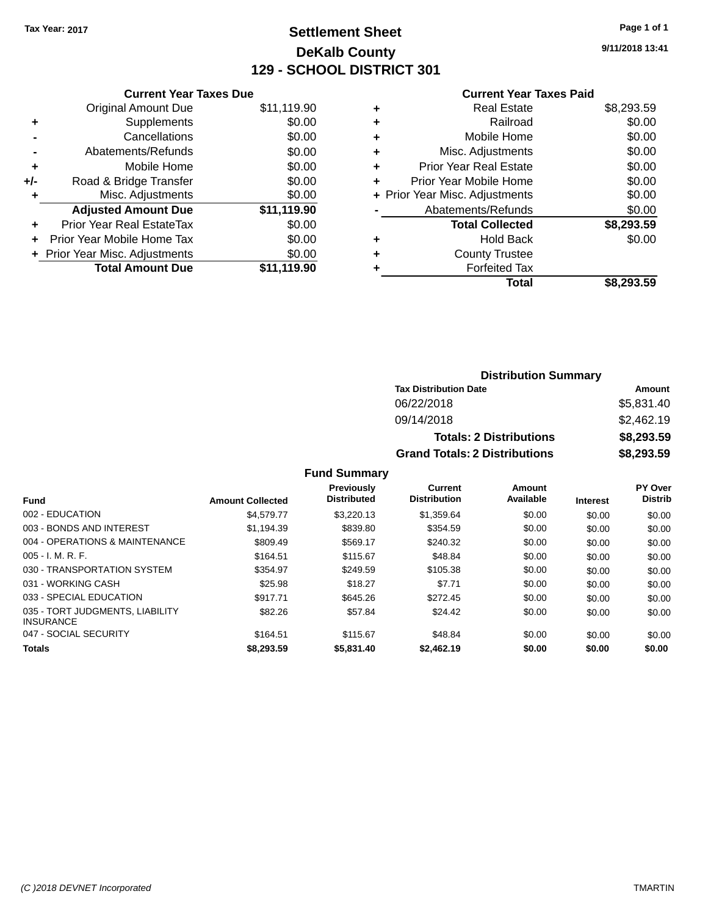# **Settlement Sheet Tax Year: 2017 Page 1 of 1 DeKalb County 129 - SCHOOL DISTRICT 301**

**9/11/2018 13:41**

|     | <b>Current Year Taxes Due</b>  |             |
|-----|--------------------------------|-------------|
|     | <b>Original Amount Due</b>     | \$11,119.90 |
| ٠   | Supplements                    | \$0.00      |
|     | Cancellations                  | \$0.00      |
|     | Abatements/Refunds             | \$0.00      |
| ٠   | Mobile Home                    | \$0.00      |
| +/- | Road & Bridge Transfer         | \$0.00      |
| ٠   | Misc. Adjustments              | \$0.00      |
|     | <b>Adjusted Amount Due</b>     | \$11,119.90 |
| ÷   | Prior Year Real EstateTax      | \$0.00      |
| ÷   | Prior Year Mobile Home Tax     | \$0.00      |
|     | + Prior Year Misc. Adjustments | \$0.00      |
|     | <b>Total Amount Due</b>        | \$11.119.90 |

#### **Current Year Taxes Paid**

| ٠ | <b>Real Estate</b>             | \$8,293.59 |
|---|--------------------------------|------------|
| ٠ | Railroad                       | \$0.00     |
| ٠ | Mobile Home                    | \$0.00     |
| ٠ | Misc. Adjustments              | \$0.00     |
| ٠ | <b>Prior Year Real Estate</b>  | \$0.00     |
| ٠ | Prior Year Mobile Home         | \$0.00     |
|   | + Prior Year Misc. Adjustments | \$0.00     |
|   | Abatements/Refunds             | \$0.00     |
|   | <b>Total Collected</b>         | \$8,293.59 |
| ٠ | <b>Hold Back</b>               | \$0.00     |
| ٠ | <b>County Trustee</b>          |            |
| ٠ | <b>Forfeited Tax</b>           |            |
|   | Total                          | \$8,293.59 |
|   |                                |            |

### **Distribution Summary Tax Distribution Date Amount** 06/22/2018 \$5,831.40 09/14/2018 \$2,462.19 **Totals: 2 Distributions \$8,293.59 Grand Totals: 2 Distributions \$8,293.59**

|                                                     |                         | Previously         | <b>Current</b>      | Amount    |                 | PY Over        |
|-----------------------------------------------------|-------------------------|--------------------|---------------------|-----------|-----------------|----------------|
| <b>Fund</b>                                         | <b>Amount Collected</b> | <b>Distributed</b> | <b>Distribution</b> | Available | <b>Interest</b> | <b>Distrib</b> |
| 002 - EDUCATION                                     | \$4.579.77              | \$3,220.13         | \$1,359.64          | \$0.00    | \$0.00          | \$0.00         |
| 003 - BONDS AND INTEREST                            | \$1,194.39              | \$839.80           | \$354.59            | \$0.00    | \$0.00          | \$0.00         |
| 004 - OPERATIONS & MAINTENANCE                      | \$809.49                | \$569.17           | \$240.32            | \$0.00    | \$0.00          | \$0.00         |
| $005 - I. M. R. F.$                                 | \$164.51                | \$115.67           | \$48.84             | \$0.00    | \$0.00          | \$0.00         |
| 030 - TRANSPORTATION SYSTEM                         | \$354.97                | \$249.59           | \$105.38            | \$0.00    | \$0.00          | \$0.00         |
| 031 - WORKING CASH                                  | \$25.98                 | \$18.27            | \$7.71              | \$0.00    | \$0.00          | \$0.00         |
| 033 - SPECIAL EDUCATION                             | \$917.71                | \$645.26           | \$272.45            | \$0.00    | \$0.00          | \$0.00         |
| 035 - TORT JUDGMENTS, LIABILITY<br><b>INSURANCE</b> | \$82.26                 | \$57.84            | \$24.42             | \$0.00    | \$0.00          | \$0.00         |
| 047 - SOCIAL SECURITY                               | \$164.51                | \$115.67           | \$48.84             | \$0.00    | \$0.00          | \$0.00         |
| <b>Totals</b>                                       | \$8,293.59              | \$5,831.40         | \$2,462.19          | \$0.00    | \$0.00          | \$0.00         |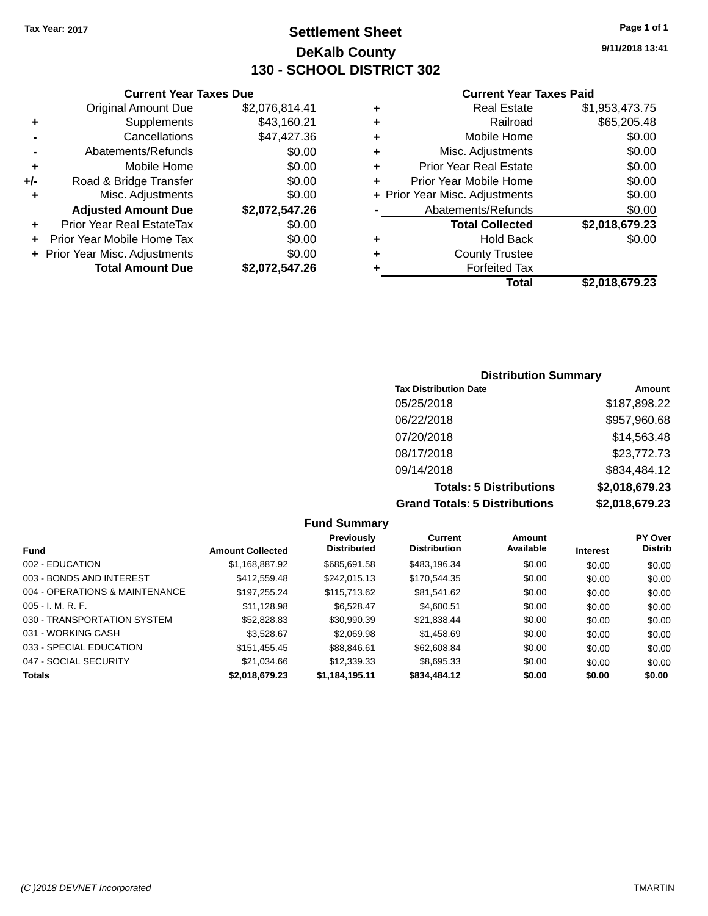# **Settlement Sheet Tax Year: 2017 Page 1 of 1 DeKalb County 130 - SCHOOL DISTRICT 302**

**9/11/2018 13:41**

#### **Current Year Taxes Paid**

|     | <b>Total Amount Due</b>          | \$2,072,547.26 |
|-----|----------------------------------|----------------|
|     | + Prior Year Misc. Adjustments   | \$0.00         |
| ÷   | Prior Year Mobile Home Tax       | \$0.00         |
| ٠   | <b>Prior Year Real EstateTax</b> | \$0.00         |
|     | <b>Adjusted Amount Due</b>       | \$2,072,547.26 |
| ٠   | Misc. Adjustments                | \$0.00         |
| +/- | Road & Bridge Transfer           | \$0.00         |
| ٠   | Mobile Home                      | \$0.00         |
|     | Abatements/Refunds               | \$0.00         |
|     | Cancellations                    | \$47,427.36    |
| ٠   | Supplements                      | \$43,160.21    |
|     | <b>Original Amount Due</b>       | \$2,076,814.41 |
|     |                                  |                |

**Current Year Taxes Due**

| ٠ | <b>Real Estate</b>             | \$1,953,473.75 |
|---|--------------------------------|----------------|
| ٠ | Railroad                       | \$65,205.48    |
| ٠ | Mobile Home                    | \$0.00         |
| ٠ | Misc. Adjustments              | \$0.00         |
| ٠ | <b>Prior Year Real Estate</b>  | \$0.00         |
| ٠ | Prior Year Mobile Home         | \$0.00         |
|   | + Prior Year Misc. Adjustments | \$0.00         |
|   | Abatements/Refunds             | \$0.00         |
|   | <b>Total Collected</b>         | \$2,018,679.23 |
| ٠ | <b>Hold Back</b>               | \$0.00         |
| ٠ | <b>County Trustee</b>          |                |
| ٠ | <b>Forfeited Tax</b>           |                |
|   | Total                          | \$2,018,679.23 |

### **Distribution Summary Tax Distribution Date Amount** 05/25/2018 \$187,898.22 06/22/2018 \$957,960.68 07/20/2018 \$14,563.48 08/17/2018 \$23,772.73 09/14/2018 \$834,484.12 **Totals: 5 Distributions \$2,018,679.23 Grand Totals: 5 Distributions \$2,018,679.23**

| <b>Fund</b>                    | <b>Amount Collected</b> | Previously<br><b>Distributed</b> | <b>Current</b><br><b>Distribution</b> | <b>Amount</b><br>Available | <b>Interest</b> | <b>PY Over</b><br><b>Distrib</b> |
|--------------------------------|-------------------------|----------------------------------|---------------------------------------|----------------------------|-----------------|----------------------------------|
| 002 - EDUCATION                | \$1,168,887.92          | \$685.691.58                     | \$483.196.34                          | \$0.00                     | \$0.00          | \$0.00                           |
| 003 - BONDS AND INTEREST       | \$412,559.48            | \$242,015.13                     | \$170,544.35                          | \$0.00                     | \$0.00          | \$0.00                           |
| 004 - OPERATIONS & MAINTENANCE | \$197.255.24            | \$115,713,62                     | \$81,541.62                           | \$0.00                     | \$0.00          | \$0.00                           |
| $005 - I. M. R. F.$            | \$11.128.98             | \$6.528.47                       | \$4,600.51                            | \$0.00                     | \$0.00          | \$0.00                           |
| 030 - TRANSPORTATION SYSTEM    | \$52,828.83             | \$30.990.39                      | \$21.838.44                           | \$0.00                     | \$0.00          | \$0.00                           |
| 031 - WORKING CASH             | \$3.528.67              | \$2,069.98                       | \$1,458.69                            | \$0.00                     | \$0.00          | \$0.00                           |
| 033 - SPECIAL EDUCATION        | \$151.455.45            | \$88,846.61                      | \$62,608.84                           | \$0.00                     | \$0.00          | \$0.00                           |
| 047 - SOCIAL SECURITY          | \$21.034.66             | \$12,339,33                      | \$8,695.33                            | \$0.00                     | \$0.00          | \$0.00                           |
| <b>Totals</b>                  | \$2.018.679.23          | \$1,184,195.11                   | \$834,484,12                          | \$0.00                     | \$0.00          | \$0.00                           |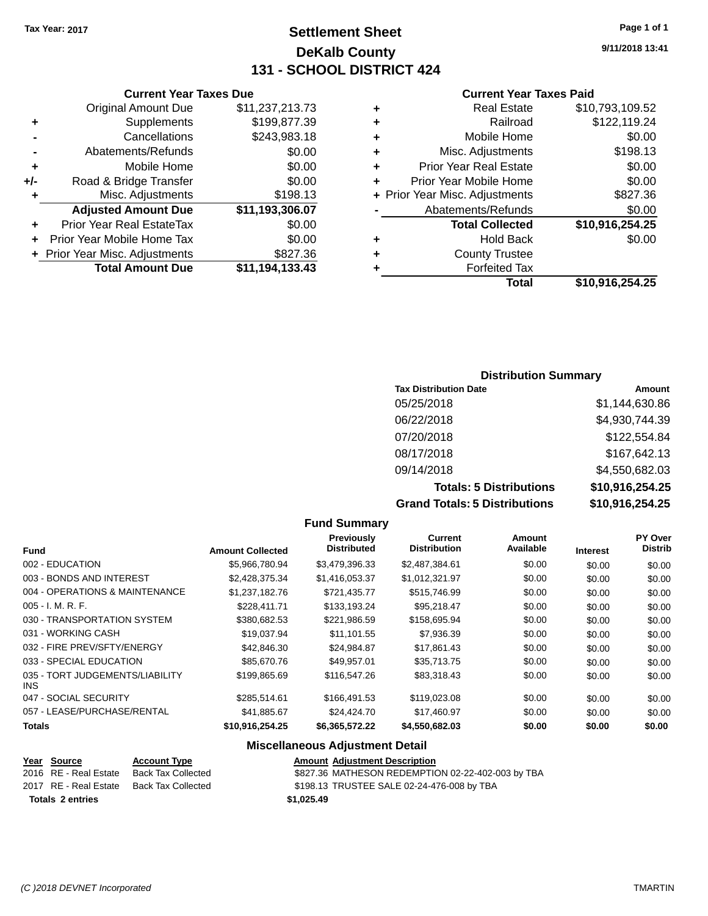# **Settlement Sheet Tax Year: 2017 Page 1 of 1 DeKalb County 131 - SCHOOL DISTRICT 424**

**9/11/2018 13:41**

#### **Current Year Taxes Paid**

| ٠ | <b>Real Estate</b>             | \$10,793,109.52 |
|---|--------------------------------|-----------------|
|   | Railroad                       | \$122,119.24    |
| ٠ | Mobile Home                    | \$0.00          |
| ٠ | Misc. Adjustments              | \$198.13        |
| ٠ | <b>Prior Year Real Estate</b>  | \$0.00          |
| ٠ | Prior Year Mobile Home         | \$0.00          |
|   | + Prior Year Misc. Adjustments | \$827.36        |
|   | Abatements/Refunds             | \$0.00          |
|   | <b>Total Collected</b>         | \$10,916,254.25 |
| ٠ | <b>Hold Back</b>               | \$0.00          |
| ٠ | <b>County Trustee</b>          |                 |
|   | <b>Forfeited Tax</b>           |                 |
|   | Total                          | \$10.916.254.25 |

### **Current Year Taxes Due** Original Amount Due \$11,237,213.73 **+** Supplements \$199,877.39 **-** Cancellations \$243,983.18 **-** Abatements/Refunds \$0.00 **+** Mobile Home \$0.00 **+/-** Road & Bridge Transfer \$0.00 **+** Misc. Adjustments \$198.13 **Adjusted Amount Due \$11,193,306.07 +** Prior Year Real EstateTax \$0.00 **+** Prior Year Mobile Home Tax \$0.00 **+** Prior Year Misc. Adjustments \$827.36 **Total Amount Due \$11,194,133.43**

### **Distribution Summary**

| <b>Tax Distribution Date</b>         | Amount          |
|--------------------------------------|-----------------|
| 05/25/2018                           | \$1.144.630.86  |
| 06/22/2018                           | \$4,930,744.39  |
| 07/20/2018                           | \$122,554.84    |
| 08/17/2018                           | \$167,642.13    |
| 09/14/2018                           | \$4,550,682.03  |
| <b>Totals: 5 Distributions</b>       | \$10,916,254.25 |
| <b>Grand Totals: 5 Distributions</b> | \$10,916,254.25 |

|                                               |                         | <b>Fund Summary</b>                     |                                |                     |                 |                                  |
|-----------------------------------------------|-------------------------|-----------------------------------------|--------------------------------|---------------------|-----------------|----------------------------------|
| <b>Fund</b>                                   | <b>Amount Collected</b> | <b>Previously</b><br><b>Distributed</b> | Current<br><b>Distribution</b> | Amount<br>Available | <b>Interest</b> | <b>PY Over</b><br><b>Distrib</b> |
| 002 - EDUCATION                               | \$5,966,780.94          | \$3,479,396.33                          | \$2,487,384.61                 | \$0.00              | \$0.00          | \$0.00                           |
| 003 - BONDS AND INTEREST                      | \$2,428,375.34          | \$1,416,053.37                          | \$1,012,321.97                 | \$0.00              | \$0.00          | \$0.00                           |
| 004 - OPERATIONS & MAINTENANCE                | \$1,237,182.76          | \$721,435.77                            | \$515,746.99                   | \$0.00              | \$0.00          | \$0.00                           |
| $005 - I. M. R. F.$                           | \$228.411.71            | \$133,193.24                            | \$95,218.47                    | \$0.00              | \$0.00          | \$0.00                           |
| 030 - TRANSPORTATION SYSTEM                   | \$380,682.53            | \$221,986.59                            | \$158,695.94                   | \$0.00              | \$0.00          | \$0.00                           |
| 031 - WORKING CASH                            | \$19,037.94             | \$11,101.55                             | \$7,936.39                     | \$0.00              | \$0.00          | \$0.00                           |
| 032 - FIRE PREV/SFTY/ENERGY                   | \$42,846.30             | \$24,984.87                             | \$17,861.43                    | \$0.00              | \$0.00          | \$0.00                           |
| 033 - SPECIAL EDUCATION                       | \$85,670.76             | \$49,957.01                             | \$35,713.75                    | \$0.00              | \$0.00          | \$0.00                           |
| 035 - TORT JUDGEMENTS/LIABILITY<br><b>INS</b> | \$199,865.69            | \$116,547.26                            | \$83,318.43                    | \$0.00              | \$0.00          | \$0.00                           |
| 047 - SOCIAL SECURITY                         | \$285,514.61            | \$166,491.53                            | \$119,023.08                   | \$0.00              | \$0.00          | \$0.00                           |
| 057 - LEASE/PURCHASE/RENTAL                   | \$41,885.67             | \$24,424.70                             | \$17,460.97                    | \$0.00              | \$0.00          | \$0.00                           |
| <b>Totals</b>                                 | \$10,916,254.25         | \$6,365,572.22                          | \$4,550,682.03                 | \$0.00              | \$0.00          | \$0.00                           |
|                                               |                         | <b>Miscellaneous Adjustment Detail</b>  |                                |                     |                 |                                  |

### **Year Source Account Type Amount Adjustment Description**

| <b>Totals 2 entries</b> |                                          | \$1.025.49                                        |
|-------------------------|------------------------------------------|---------------------------------------------------|
|                         |                                          |                                                   |
|                         | 2017 RE - Real Estate Back Tax Collected | \$198.13 TRUSTEE SALE 02-24-476-008 by TBA        |
| 2016 RE - Real Estate   | Back Tax Collected                       | \$827.36 MATHESON REDEMPTION 02-22-402-003 by TBA |
|                         |                                          |                                                   |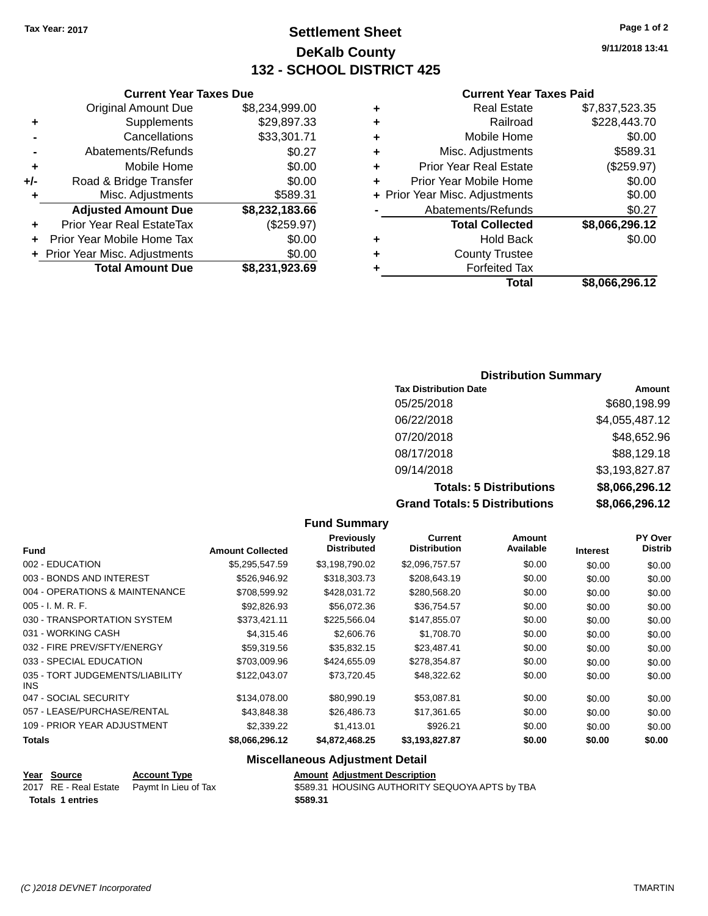# **Settlement Sheet Tax Year: 2017 Page 1 of 2 DeKalb County 132 - SCHOOL DISTRICT 425**

**9/11/2018 13:41**

#### **Current Year Taxes Paid**

| ٠ | Real Estate                    | \$7,837,523.35 |
|---|--------------------------------|----------------|
|   |                                |                |
| ٠ | Railroad                       | \$228,443.70   |
| ٠ | Mobile Home                    | \$0.00         |
| ٠ | Misc. Adjustments              | \$589.31       |
| ٠ | <b>Prior Year Real Estate</b>  | (\$259.97)     |
| ٠ | Prior Year Mobile Home         | \$0.00         |
|   | + Prior Year Misc. Adjustments | \$0.00         |
|   | Abatements/Refunds             | \$0.27         |
|   | <b>Total Collected</b>         | \$8,066,296.12 |
| ٠ | Hold Back                      | \$0.00         |
| ٠ | <b>County Trustee</b>          |                |
| ٠ | <b>Forfeited Tax</b>           |                |
|   | Total                          | \$8,066,296.12 |

|     | <b>Current Year Taxes Due</b>    |                |
|-----|----------------------------------|----------------|
|     | <b>Original Amount Due</b>       | \$8,234,999.00 |
| ٠   | Supplements                      | \$29,897.33    |
|     | Cancellations                    | \$33,301.71    |
|     | Abatements/Refunds               | \$0.27         |
| ٠   | Mobile Home                      | \$0.00         |
| +/- | Road & Bridge Transfer           | \$0.00         |
| ٠   | Misc. Adjustments                | \$589.31       |
|     | <b>Adjusted Amount Due</b>       | \$8,232,183.66 |
|     | <b>Prior Year Real EstateTax</b> | (\$259.97)     |
|     | Prior Year Mobile Home Tax       | \$0.00         |
|     | + Prior Year Misc. Adjustments   | \$0.00         |
|     | <b>Total Amount Due</b>          | \$8,231,923.69 |

### **Distribution Summary**

| <b>Tax Distribution Date</b>         | Amount         |
|--------------------------------------|----------------|
| 05/25/2018                           | \$680,198.99   |
| 06/22/2018                           | \$4,055,487.12 |
| 07/20/2018                           | \$48,652.96    |
| 08/17/2018                           | \$88,129.18    |
| 09/14/2018                           | \$3,193,827.87 |
| <b>Totals: 5 Distributions</b>       | \$8,066,296.12 |
| <b>Grand Totals: 5 Distributions</b> | \$8,066,296.12 |

|                                               |                         | <b>Fund Summary</b>                     |                                |                            |                 |                                  |
|-----------------------------------------------|-------------------------|-----------------------------------------|--------------------------------|----------------------------|-----------------|----------------------------------|
| <b>Fund</b>                                   | <b>Amount Collected</b> | <b>Previously</b><br><b>Distributed</b> | Current<br><b>Distribution</b> | <b>Amount</b><br>Available | <b>Interest</b> | <b>PY Over</b><br><b>Distrib</b> |
| 002 - EDUCATION                               | \$5,295,547.59          | \$3,198,790.02                          | \$2,096,757.57                 | \$0.00                     | \$0.00          | \$0.00                           |
| 003 - BONDS AND INTEREST                      | \$526,946.92            | \$318,303.73                            | \$208,643.19                   | \$0.00                     | \$0.00          | \$0.00                           |
| 004 - OPERATIONS & MAINTENANCE                | \$708,599.92            | \$428,031.72                            | \$280,568.20                   | \$0.00                     | \$0.00          | \$0.00                           |
| $005 - I. M. R. F.$                           | \$92,826.93             | \$56,072.36                             | \$36,754.57                    | \$0.00                     | \$0.00          | \$0.00                           |
| 030 - TRANSPORTATION SYSTEM                   | \$373,421.11            | \$225,566.04                            | \$147,855.07                   | \$0.00                     | \$0.00          | \$0.00                           |
| 031 - WORKING CASH                            | \$4,315.46              | \$2,606.76                              | \$1,708.70                     | \$0.00                     | \$0.00          | \$0.00                           |
| 032 - FIRE PREV/SFTY/ENERGY                   | \$59,319.56             | \$35,832.15                             | \$23,487.41                    | \$0.00                     | \$0.00          | \$0.00                           |
| 033 - SPECIAL EDUCATION                       | \$703,009.96            | \$424,655.09                            | \$278,354.87                   | \$0.00                     | \$0.00          | \$0.00                           |
| 035 - TORT JUDGEMENTS/LIABILITY<br><b>INS</b> | \$122,043.07            | \$73,720.45                             | \$48,322.62                    | \$0.00                     | \$0.00          | \$0.00                           |
| 047 - SOCIAL SECURITY                         | \$134,078.00            | \$80,990.19                             | \$53,087.81                    | \$0.00                     | \$0.00          | \$0.00                           |
| 057 - LEASE/PURCHASE/RENTAL                   | \$43,848.38             | \$26,486.73                             | \$17,361.65                    | \$0.00                     | \$0.00          | \$0.00                           |
| 109 - PRIOR YEAR ADJUSTMENT                   | \$2,339.22              | \$1,413.01                              | \$926.21                       | \$0.00                     | \$0.00          | \$0.00                           |
| Totals                                        | \$8,066,296.12          | \$4,872,468.25                          | \$3,193,827.87                 | \$0.00                     | \$0.00          | \$0.00                           |
|                                               |                         |                                         |                                |                            |                 |                                  |

### **Miscellaneous Adjustment Detail**

| Year Source             | <b>Account Type</b>                        |          | <b>Amount Adjustment Description</b>           |
|-------------------------|--------------------------------------------|----------|------------------------------------------------|
|                         | 2017 RE - Real Estate Paymt In Lieu of Tax |          | \$589.31 HOUSING AUTHORITY SEQUOYA APTS by TBA |
| <b>Totals 1 entries</b> |                                            | \$589.31 |                                                |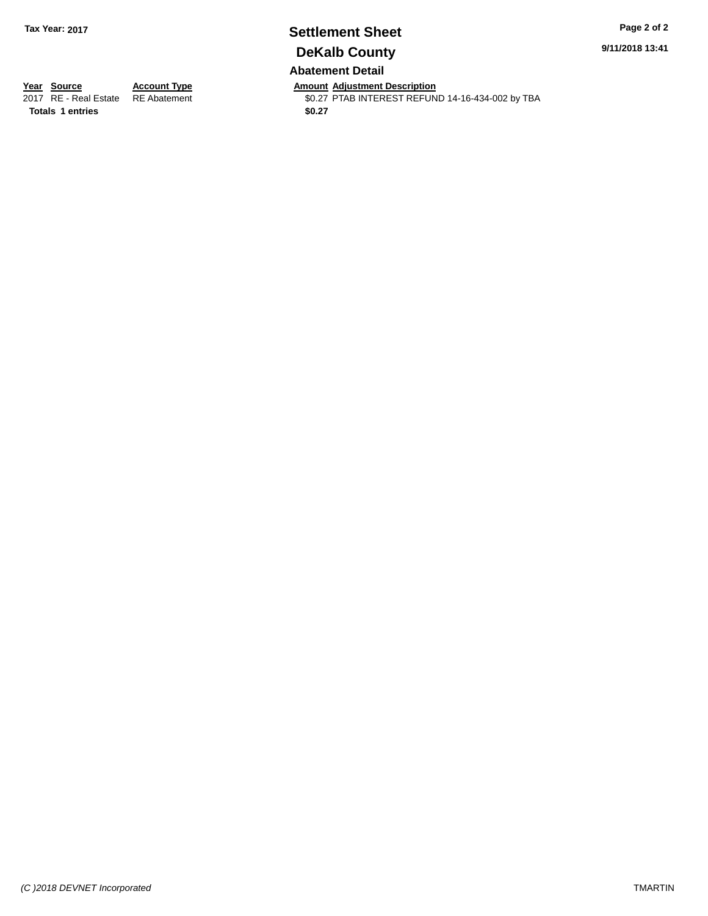# **Settlement Sheet Tax Year: 2017 Page 2 of 2 DeKalb County**

**9/11/2018 13:41**

### **Abatement Detail**

**Totals 1 entries** \$0.27

**Year Source Account Type Anneurs Amount Adjustment Description**<br>2017 RE - Real Estate RE Abatement **Adjustment** \$0.27 PTAB INTEREST REFUN \$0.27 PTAB INTEREST REFUND 14-16-434-002 by TBA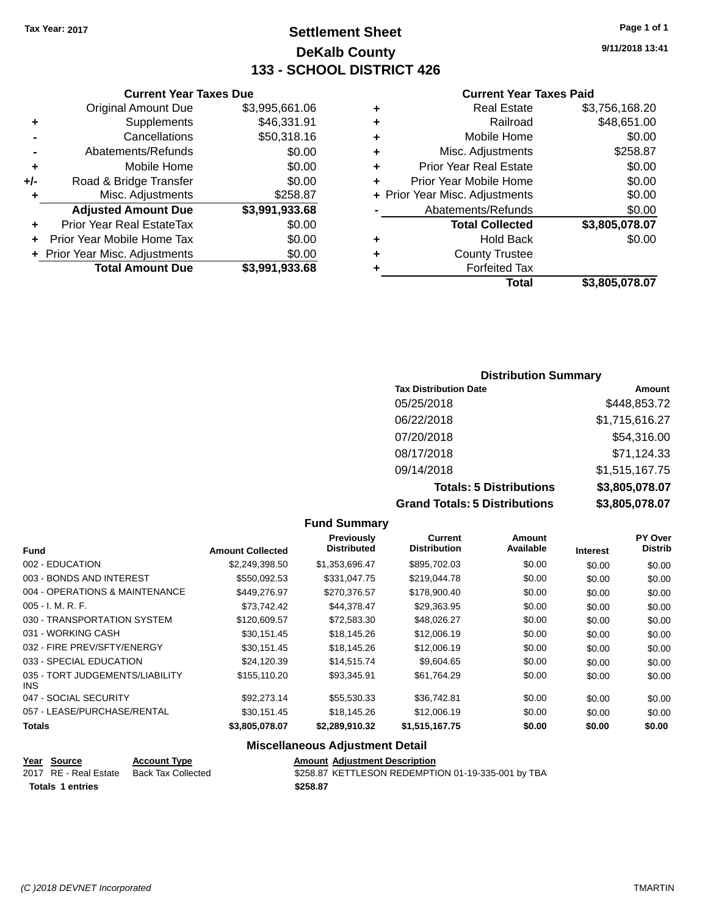# **Settlement Sheet Tax Year: 2017 Page 1 of 1 DeKalb County 133 - SCHOOL DISTRICT 426**

**9/11/2018 13:41**

#### **Current Year Taxes Paid**

|   | Total                          | \$3,805,078.07 |
|---|--------------------------------|----------------|
|   | <b>Forfeited Tax</b>           |                |
| ٠ | <b>County Trustee</b>          |                |
| ٠ | <b>Hold Back</b>               | \$0.00         |
|   | <b>Total Collected</b>         | \$3,805,078.07 |
|   | Abatements/Refunds             | \$0.00         |
|   | + Prior Year Misc. Adjustments | \$0.00         |
|   | Prior Year Mobile Home         | \$0.00         |
| ٠ | <b>Prior Year Real Estate</b>  | \$0.00         |
| ٠ | Misc. Adjustments              | \$258.87       |
| ٠ | Mobile Home                    | \$0.00         |
| ٠ | Railroad                       | \$48,651.00    |
| ٠ | <b>Real Estate</b>             | \$3,756,168.20 |
|   |                                |                |

| <b>Current Year Taxes Due</b>  |                |
|--------------------------------|----------------|
| <b>Original Amount Due</b>     | \$3,995,661.06 |
| Supplements                    | \$46,331.91    |
| Cancellations                  | \$50,318.16    |
| Abatements/Refunds             | \$0.00         |
| Mobile Home                    | \$0.00         |
| Road & Bridge Transfer         | \$0.00         |
| Misc. Adjustments              | \$258.87       |
| <b>Adjusted Amount Due</b>     | \$3,991,933.68 |
| Prior Year Real EstateTax      | \$0.00         |
| Prior Year Mobile Home Tax     | \$0.00         |
| + Prior Year Misc. Adjustments | \$0.00         |
| <b>Total Amount Due</b>        | \$3,991,933.68 |
|                                |                |

### **Distribution Summary**

| <b>Tax Distribution Date</b>         | Amount         |
|--------------------------------------|----------------|
| 05/25/2018                           | \$448,853.72   |
| 06/22/2018                           | \$1,715,616.27 |
| 07/20/2018                           | \$54,316.00    |
| 08/17/2018                           | \$71,124.33    |
| 09/14/2018                           | \$1,515,167.75 |
| <b>Totals: 5 Distributions</b>       | \$3,805,078.07 |
| <b>Grand Totals: 5 Distributions</b> | \$3,805,078.07 |

|                                               |                         | <b>Fund Summary</b>                     |                                       |                            |                 |                                  |
|-----------------------------------------------|-------------------------|-----------------------------------------|---------------------------------------|----------------------------|-----------------|----------------------------------|
| <b>Fund</b>                                   | <b>Amount Collected</b> | <b>Previously</b><br><b>Distributed</b> | <b>Current</b><br><b>Distribution</b> | <b>Amount</b><br>Available | <b>Interest</b> | <b>PY Over</b><br><b>Distrib</b> |
| 002 - EDUCATION                               | \$2,249,398.50          | \$1,353,696.47                          | \$895,702.03                          | \$0.00                     | \$0.00          | \$0.00                           |
| 003 - BONDS AND INTEREST                      | \$550,092.53            | \$331,047.75                            | \$219,044.78                          | \$0.00                     | \$0.00          | \$0.00                           |
| 004 - OPERATIONS & MAINTENANCE                | \$449,276.97            | \$270,376.57                            | \$178,900.40                          | \$0.00                     | \$0.00          | \$0.00                           |
| $005 - I. M. R. F.$                           | \$73,742.42             | \$44,378.47                             | \$29,363.95                           | \$0.00                     | \$0.00          | \$0.00                           |
| 030 - TRANSPORTATION SYSTEM                   | \$120,609.57            | \$72,583.30                             | \$48,026.27                           | \$0.00                     | \$0.00          | \$0.00                           |
| 031 - WORKING CASH                            | \$30,151.45             | \$18,145.26                             | \$12,006.19                           | \$0.00                     | \$0.00          | \$0.00                           |
| 032 - FIRE PREV/SFTY/ENERGY                   | \$30,151.45             | \$18,145.26                             | \$12,006.19                           | \$0.00                     | \$0.00          | \$0.00                           |
| 033 - SPECIAL EDUCATION                       | \$24,120.39             | \$14,515.74                             | \$9,604.65                            | \$0.00                     | \$0.00          | \$0.00                           |
| 035 - TORT JUDGEMENTS/LIABILITY<br><b>INS</b> | \$155,110.20            | \$93.345.91                             | \$61,764.29                           | \$0.00                     | \$0.00          | \$0.00                           |
| 047 - SOCIAL SECURITY                         | \$92,273.14             | \$55,530.33                             | \$36,742.81                           | \$0.00                     | \$0.00          | \$0.00                           |
| 057 - LEASE/PURCHASE/RENTAL                   | \$30,151.45             | \$18,145.26                             | \$12,006.19                           | \$0.00                     | \$0.00          | \$0.00                           |
| <b>Totals</b>                                 | \$3,805,078.07          | \$2,289,910.32                          | \$1,515,167.75                        | \$0.00                     | \$0.00          | \$0.00                           |
| <b>Miscellaneous Adjustment Detail</b>        |                         |                                         |                                       |                            |                 |                                  |

**Year** Source **Account Type Account Adjustment Description** 2017 RE - Real Estate Back Tax Collected \$258.87 KETTLESON REDEMPTION 01-19-335-001 by TBA **Totals \$258.87 1 entries**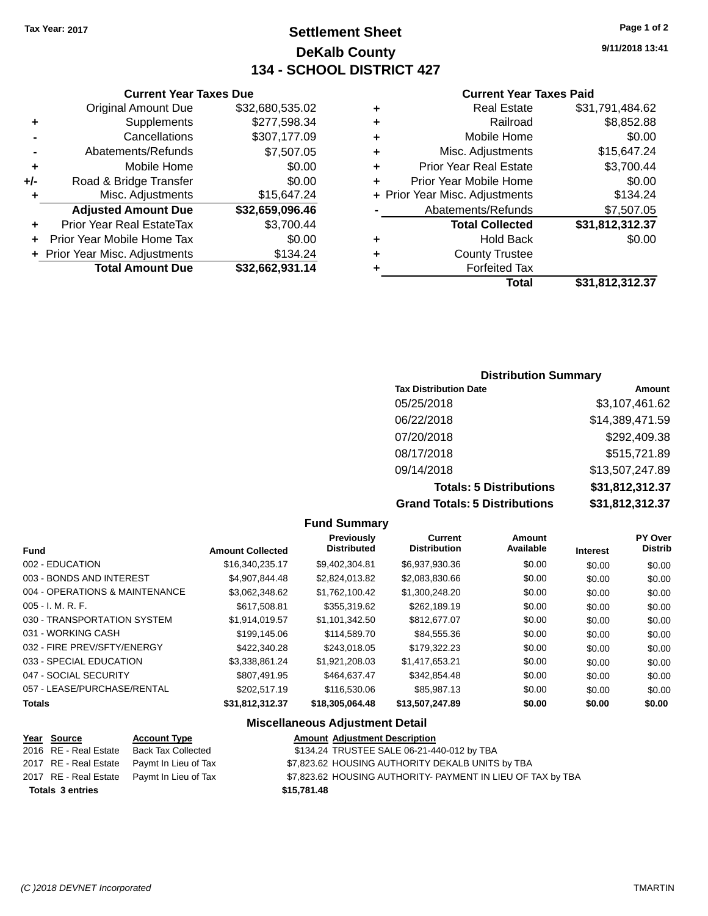**+/-** Road & Bridge T

# **Settlement Sheet Tax Year: 2017 Page 1 of 2 DeKalb County 134 - SCHOOL DISTRICT 427**

**9/11/2018 13:41**

### **Current Year Taxes Paid**

| <b>Current Y</b>            |   |                 | <b>Current Year Taxes Due</b>    |                |
|-----------------------------|---|-----------------|----------------------------------|----------------|
| Real Est                    | ÷ | \$32,680,535.02 | <b>Original Amount Due</b>       |                |
| Railr                       | ٠ | \$277,598.34    | Supplements                      | ÷              |
| Mobile Ho                   | ÷ | \$307,177.09    | Cancellations                    | $\blacksquare$ |
| Misc. Adjustme              | ÷ | \$7,507.05      | Abatements/Refunds               |                |
| Prior Year Real Est         | ÷ | \$0.00          | Mobile Home                      | ÷              |
| Prior Year Mobile Ho        | ٠ | \$0.00          | Road & Bridge Transfer           | I-             |
| + Prior Year Misc. Adjustme |   | \$15,647.24     | Misc. Adjustments                | ÷              |
| Abatements/Refu             |   | \$32,659,096.46 | <b>Adjusted Amount Due</b>       |                |
| <b>Total Collec</b>         |   | \$3,700.44      | <b>Prior Year Real EstateTax</b> | ÷              |
| Hold B                      | ٠ | \$0.00          | + Prior Year Mobile Home Tax     |                |
| <b>County Trus</b>          | ÷ | \$134.24        | + Prior Year Misc. Adjustments   |                |
| Forfeited                   |   | \$32,662,931.14 | <b>Total Amount Due</b>          |                |
| т.                          |   |                 |                                  |                |

|   | Total                          | \$31,812,312.37 |
|---|--------------------------------|-----------------|
| ÷ | <b>Forfeited Tax</b>           |                 |
| ÷ | <b>County Trustee</b>          |                 |
| ÷ | Hold Back                      | \$0.00          |
|   | <b>Total Collected</b>         | \$31,812,312.37 |
|   | Abatements/Refunds             | \$7,507.05      |
|   | + Prior Year Misc. Adjustments | \$134.24        |
| ÷ | Prior Year Mobile Home         | \$0.00          |
| ÷ | <b>Prior Year Real Estate</b>  | \$3,700.44      |
| ÷ | Misc. Adjustments              | \$15,647.24     |
| ÷ | Mobile Home                    | \$0.00          |
| ÷ | Railroad                       | \$8,852.88      |
| ÷ | <b>Real Estate</b>             | \$31,791,484.62 |

### **Distribution Summary**

| <b>Tax Distribution Date</b>         | Amount          |
|--------------------------------------|-----------------|
| 05/25/2018                           | \$3,107,461.62  |
| 06/22/2018                           | \$14,389,471.59 |
| 07/20/2018                           | \$292,409.38    |
| 08/17/2018                           | \$515,721.89    |
| 09/14/2018                           | \$13,507,247.89 |
| <b>Totals: 5 Distributions</b>       | \$31,812,312.37 |
| <b>Grand Totals: 5 Distributions</b> | \$31,812,312.37 |

#### **Fund Summary Fund Interest Amount Collected Distributed PY Over Distrib Amount Available Current Distribution Previously** 002 - EDUCATION \$16,340,235.17 \$9,402,304.81 \$6,937,930.36 \$0.00 \$0.00 \$0.00 003 - BONDS AND INTEREST  $$4,907,844.48$   $$2,824,013.82$   $$2,083,830.66$   $$0.00$   $$0.00$   $$0.00$ 004 - OPERATIONS & MAINTENANCE  $$3,062,348.62$   $$1,762,100.42$   $$1,300,248.20$   $$0.00$   $$0.00$   $$0.00$ 005 - I. M. R. F. \$617,508.81 \$355,319.62 \$262,189.19 \$0.00 \$0.00 \$0.00 030 - TRANSPORTATION SYSTEM \$1,914,019.57 \$1,101,342.50 \$812,677.07 \$0.00 \$0.00 \$0.00 \$0.00 031 - WORKING CASH \$199,145.06 \$114,589.70 \$84,555.36 \$0.00 \$0.00 \$0.00 032 - FIRE PREV/SFTY/ENERGY \$422,340.28 \$243,018.05 \$179,322.23 \$0.00 \$0.00 \$0.00 033 - SPECIAL EDUCATION \$3,338,861.24 \$1,921,208.03 \$1,417,653.21 \$0.00 \$0.00 \$0.00 047 - SOCIAL SECURITY 66000 \$807,491.95 \$464,637.47 \$342,854.48 \$0.00 \$0.00 \$0.00 057 - LEASE/PURCHASE/RENTAL \$202,517.19 \$116,530.06 \$85,987.13 \$0.00 \$0.00 \$0.00 **Totals \$31,812,312.37 \$18,305,064.48 \$13,507,247.89 \$0.00 \$0.00 \$0.00 Miscellaneous Adjustment Detail**

| <u>Year Source</u>      | <b>Account Type</b>                        | <b>Amount Adjustment Description</b>                        |  |
|-------------------------|--------------------------------------------|-------------------------------------------------------------|--|
| 2016 RE - Real Estate   | Back Tax Collected                         | \$134.24 TRUSTEE SALE 06-21-440-012 by TBA                  |  |
| 2017 RE - Real Estate   | Pavmt In Lieu of Tax                       | \$7,823.62 HOUSING AUTHORITY DEKALB UNITS by TBA            |  |
|                         | 2017 RE - Real Estate Paymt In Lieu of Tax | \$7,823.62 HOUSING AUTHORITY- PAYMENT IN LIEU OF TAX by TBA |  |
| <b>Totals 3 entries</b> |                                            | \$15,781.48                                                 |  |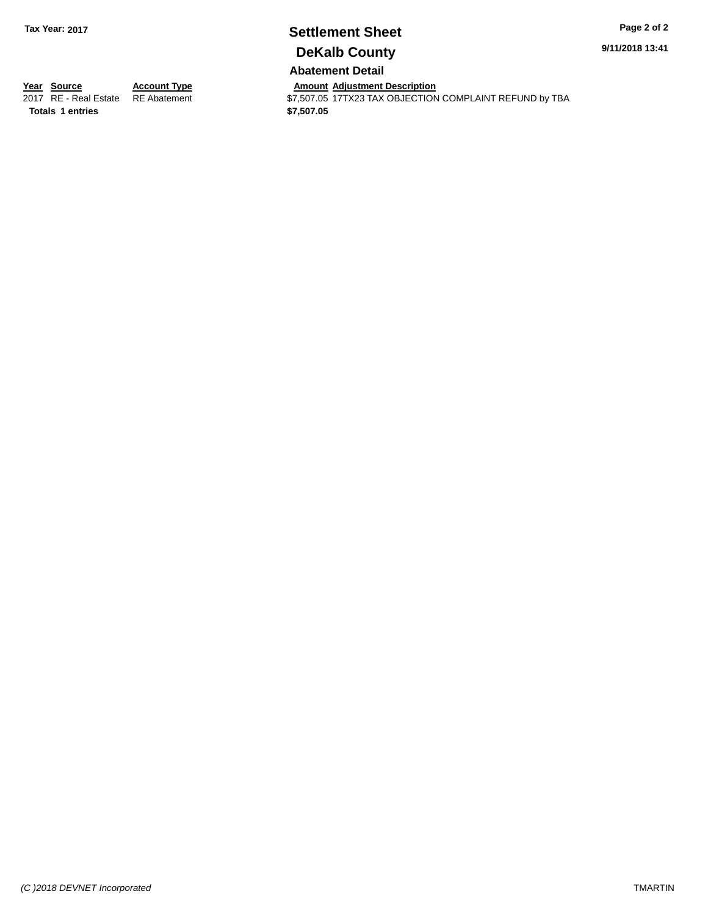# **Settlement Sheet Tax Year: 2017 Page 2 of 2 DeKalb County**

**9/11/2018 13:41**

**Abatement Detail**

**Totals \$7,507.05 1 entries**

**Year Source Account Type Account Type Amount Adjustment Description**<br>2017 RE - Real Estate RE Abatement **Account 1997 ACCOUNT ACCOUNT ACCOUNT ACCOUNT** S7,507.05 17TX23 TAX OBJECTION  $$7,507.05$   $17T$ X23 TAX OBJECTION COMPLAINT REFUND by TBA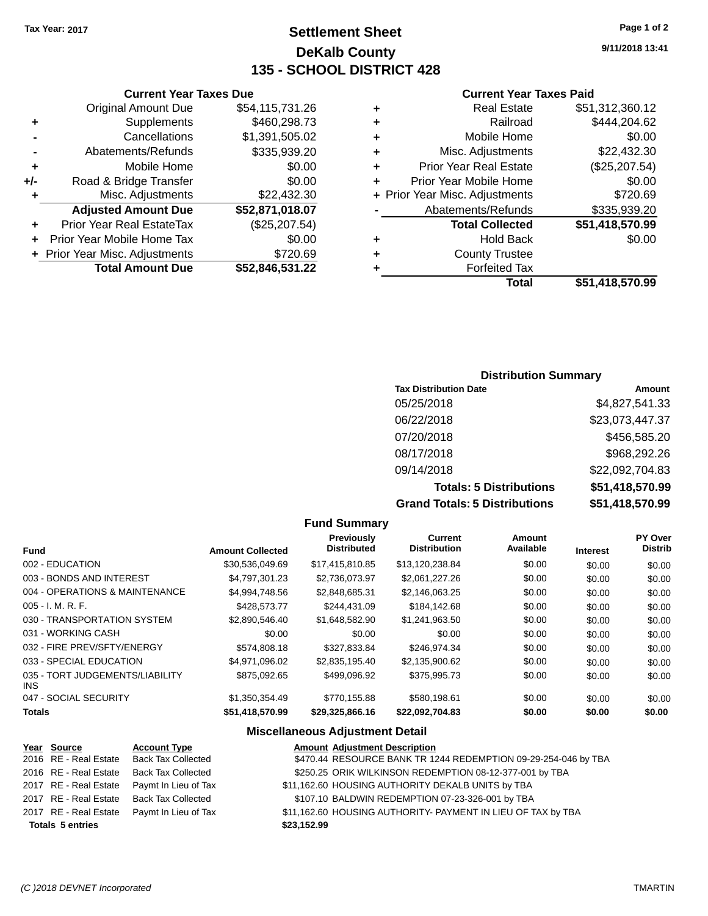# **Settlement Sheet Tax Year: 2017 Page 1 of 2 DeKalb County 135 - SCHOOL DISTRICT 428**

**9/11/2018 13:41**

### **Current Year Taxes Paid**

| <b>Real Estate</b>                 | \$51,312,360.12          |
|------------------------------------|--------------------------|
| Railroad<br>٠                      | \$444,204.62             |
| Mobile Home<br>٠                   | \$0.00                   |
| Misc. Adjustments<br>٠             | \$22,432.30              |
| <b>Prior Year Real Estate</b><br>٠ | (\$25,207.54)            |
| Prior Year Mobile Home             | \$0.00                   |
| + Prior Year Misc. Adjustments     | \$720.69                 |
| Abatements/Refunds                 | \$335,939.20             |
| <b>Total Collected</b>             | \$51,418,570.99          |
| <b>Hold Back</b><br>٠              | \$0.00                   |
| <b>County Trustee</b>              |                          |
| <b>Forfeited Tax</b>               |                          |
|                                    | Total<br>\$51,418,570.99 |

|     | <b>Current Year Taxes Due</b>  |                 |
|-----|--------------------------------|-----------------|
|     | <b>Original Amount Due</b>     | \$54,115,731.26 |
| ٠   | Supplements                    | \$460,298.73    |
|     | Cancellations                  | \$1,391,505.02  |
|     | Abatements/Refunds             | \$335,939.20    |
| ٠   | Mobile Home                    | \$0.00          |
| +/- | Road & Bridge Transfer         | \$0.00          |
| ٠   | Misc. Adjustments              | \$22,432.30     |
|     | <b>Adjusted Amount Due</b>     | \$52,871,018.07 |
| ٠   | Prior Year Real EstateTax      | (\$25,207.54)   |
| ÷   | Prior Year Mobile Home Tax     | \$0.00          |
|     | + Prior Year Misc. Adjustments | \$720.69        |
|     | <b>Total Amount Due</b>        | \$52,846,531.22 |

### **Distribution Summary**

| <b>Tax Distribution Date</b>         | Amount          |
|--------------------------------------|-----------------|
| 05/25/2018                           | \$4,827,541.33  |
| 06/22/2018                           | \$23,073,447.37 |
| 07/20/2018                           | \$456,585.20    |
| 08/17/2018                           | \$968,292.26    |
| 09/14/2018                           | \$22,092,704.83 |
| <b>Totals: 5 Distributions</b>       | \$51,418,570.99 |
| <b>Grand Totals: 5 Distributions</b> | \$51,418,570.99 |

|                                               |                         | <b>Fund Summary</b>              |                                       |                     |                 |                                  |
|-----------------------------------------------|-------------------------|----------------------------------|---------------------------------------|---------------------|-----------------|----------------------------------|
| <b>Fund</b>                                   | <b>Amount Collected</b> | Previously<br><b>Distributed</b> | <b>Current</b><br><b>Distribution</b> | Amount<br>Available | <b>Interest</b> | <b>PY Over</b><br><b>Distrib</b> |
| 002 - EDUCATION                               | \$30.536.049.69         | \$17,415,810.85                  | \$13,120,238.84                       | \$0.00              | \$0.00          | \$0.00                           |
| 003 - BONDS AND INTEREST                      | \$4,797,301.23          | \$2,736,073.97                   | \$2,061,227.26                        | \$0.00              | \$0.00          | \$0.00                           |
| 004 - OPERATIONS & MAINTENANCE                | \$4,994,748.56          | \$2,848,685.31                   | \$2,146,063.25                        | \$0.00              | \$0.00          | \$0.00                           |
| $005 - I. M. R. F.$                           | \$428,573.77            | \$244,431.09                     | \$184,142.68                          | \$0.00              | \$0.00          | \$0.00                           |
| 030 - TRANSPORTATION SYSTEM                   | \$2,890,546.40          | \$1,648,582.90                   | \$1,241,963.50                        | \$0.00              | \$0.00          | \$0.00                           |
| 031 - WORKING CASH                            | \$0.00                  | \$0.00                           | \$0.00                                | \$0.00              | \$0.00          | \$0.00                           |
| 032 - FIRE PREV/SFTY/ENERGY                   | \$574,808.18            | \$327,833.84                     | \$246.974.34                          | \$0.00              | \$0.00          | \$0.00                           |
| 033 - SPECIAL EDUCATION                       | \$4,971,096.02          | \$2,835,195.40                   | \$2,135,900.62                        | \$0.00              | \$0.00          | \$0.00                           |
| 035 - TORT JUDGEMENTS/LIABILITY<br><b>INS</b> | \$875,092.65            | \$499,096.92                     | \$375,995.73                          | \$0.00              | \$0.00          | \$0.00                           |
| 047 - SOCIAL SECURITY                         | \$1,350,354.49          | \$770,155.88                     | \$580,198.61                          | \$0.00              | \$0.00          | \$0.00                           |
| <b>Totals</b>                                 | \$51,418,570.99         | \$29,325,866.16                  | \$22,092,704.83                       | \$0.00              | \$0.00          | \$0.00                           |

### **Miscellaneous Adjustment Detail**

| Year Source             | <b>Account Type</b>                        |             | <b>Amount Adjustment Description</b>                           |
|-------------------------|--------------------------------------------|-------------|----------------------------------------------------------------|
|                         | 2016 RE - Real Estate Back Tax Collected   |             | \$470.44 RESOURCE BANK TR 1244 REDEMPTION 09-29-254-046 by TBA |
|                         | 2016 RE - Real Estate Back Tax Collected   |             | \$250.25 ORIK WILKINSON REDEMPTION 08-12-377-001 by TBA        |
|                         | 2017 RE - Real Estate Paymt In Lieu of Tax |             | \$11,162.60 HOUSING AUTHORITY DEKALB UNITS by TBA              |
|                         | 2017 RE - Real Estate Back Tax Collected   |             | \$107.10 BALDWIN REDEMPTION 07-23-326-001 by TBA               |
|                         | 2017 RE - Real Estate Paymt In Lieu of Tax |             | \$11,162.60 HOUSING AUTHORITY- PAYMENT IN LIEU OF TAX by TBA   |
| <b>Totals 5 entries</b> |                                            | \$23,152.99 |                                                                |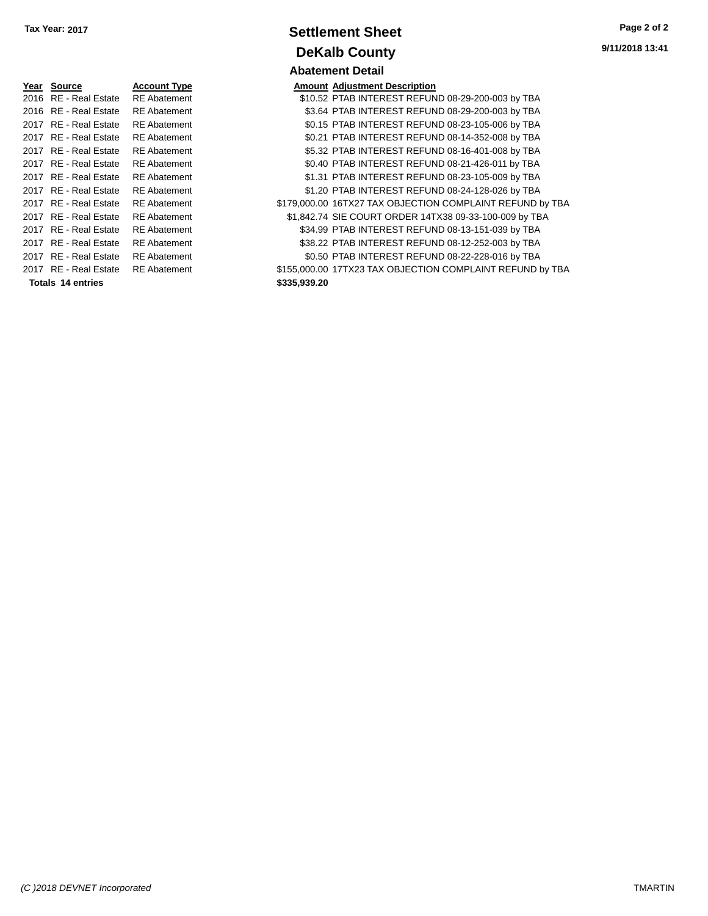| Year | Source                | <b>Account Type</b> |              | <b>Amount Adjustment Description</b> |
|------|-----------------------|---------------------|--------------|--------------------------------------|
|      | 2016 RE - Real Estate | <b>RE</b> Abatement |              | \$10.52 PTAB INTEREST REFUN          |
|      | 2016 RE - Real Estate | <b>RE</b> Abatement |              | \$3.64 PTAB INTEREST REFUN           |
|      | 2017 RE - Real Estate | <b>RE</b> Abatement |              | \$0.15 PTAB INTEREST REFUN           |
|      | 2017 RE - Real Estate | <b>RE</b> Abatement |              | \$0.21 PTAB INTEREST REFUN           |
|      | 2017 RE - Real Estate | <b>RE</b> Abatement |              | \$5.32 PTAB INTEREST REFUN           |
|      | 2017 RE - Real Estate | <b>RE</b> Abatement |              | \$0.40 PTAB INTEREST REFUN           |
|      | 2017 RE - Real Estate | <b>RE</b> Abatement |              | \$1.31 PTAB INTEREST REFUN           |
|      | 2017 RE - Real Estate | <b>RE</b> Abatement |              | \$1.20 PTAB INTEREST REFUN           |
|      | 2017 RE - Real Estate | <b>RE</b> Abatement |              | \$179,000.00 16TX27 TAX OBJECTION    |
|      | 2017 RE - Real Estate | <b>RE</b> Abatement |              | \$1,842.74 SIE COURT ORDER 14T       |
|      | 2017 RE - Real Estate | <b>RE</b> Abatement |              | \$34.99 PTAB INTEREST REFUN          |
|      | 2017 RE - Real Estate | <b>RE</b> Abatement |              | \$38.22 PTAB INTEREST REFUN          |
|      | 2017 RE - Real Estate | <b>RE</b> Abatement |              | \$0.50 PTAB INTEREST REFUN           |
|      | 2017 RE - Real Estate | <b>RE</b> Abatement |              | \$155,000.00 17TX23 TAX OBJECTION    |
|      | Totals 14 entries     |                     | \$335,939.20 |                                      |

# **Settlement Sheet Tax Year: 2017 Page 2 of 2 DeKalb County Abatement Detail**

| Year Source              | <b>Account Type</b> |              | <b>Amount Adjustment Description</b>                      |
|--------------------------|---------------------|--------------|-----------------------------------------------------------|
| 2016 RE - Real Estate    | <b>RE</b> Abatement |              | \$10.52 PTAB INTEREST REFUND 08-29-200-003 by TBA         |
| 2016 RE - Real Estate    | <b>RE</b> Abatement |              | \$3.64 PTAB INTEREST REFUND 08-29-200-003 by TBA          |
| 2017 RE - Real Estate    | <b>RE</b> Abatement |              | \$0.15 PTAB INTEREST REFUND 08-23-105-006 by TBA          |
| 2017 RE - Real Estate    | <b>RE</b> Abatement |              | \$0.21 PTAB INTEREST REFUND 08-14-352-008 by TBA          |
| 2017 RE - Real Estate    | <b>RE</b> Abatement |              | \$5.32 PTAB INTEREST REFUND 08-16-401-008 by TBA          |
| 2017 RE - Real Estate    | <b>RE</b> Abatement |              | \$0.40 PTAB INTEREST REFUND 08-21-426-011 by TBA          |
| 2017 RE - Real Estate    | <b>RE</b> Abatement |              | \$1.31 PTAB INTEREST REFUND 08-23-105-009 by TBA          |
| 2017 RE - Real Estate    | <b>RE</b> Abatement |              | \$1.20 PTAB INTEREST REFUND 08-24-128-026 by TBA          |
| 2017 RE - Real Estate    | <b>RE</b> Abatement |              | \$179,000.00 16TX27 TAX OBJECTION COMPLAINT REFUND by TBA |
| 2017 RE - Real Estate    | <b>RE</b> Abatement |              | \$1,842.74 SIE COURT ORDER 14TX38 09-33-100-009 by TBA    |
| 2017 RE - Real Estate    | <b>RE</b> Abatement |              | \$34.99 PTAB INTEREST REFUND 08-13-151-039 by TBA         |
| 2017 RE - Real Estate    | <b>RE</b> Abatement |              | \$38.22 PTAB INTEREST REFUND 08-12-252-003 by TBA         |
| 2017 RE - Real Estate    | <b>RE</b> Abatement |              | \$0.50 PTAB INTEREST REFUND 08-22-228-016 by TBA          |
| 2017 RE - Real Estate    | <b>RE</b> Abatement |              | \$155,000.00 17TX23 TAX OBJECTION COMPLAINT REFUND by TBA |
| <b>Totals 14 entries</b> |                     | \$335,939.20 |                                                           |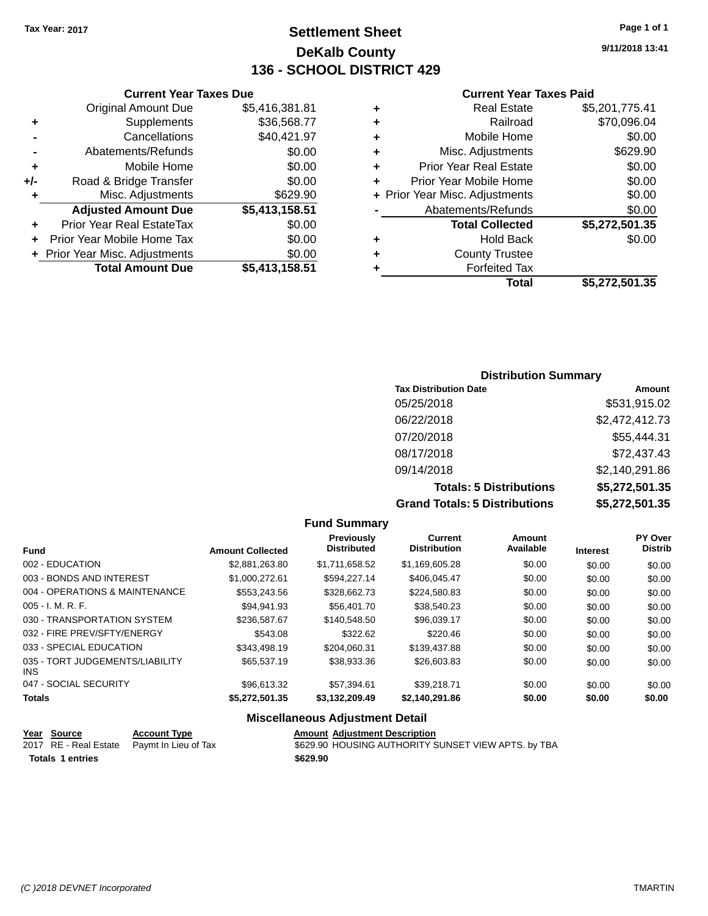# **Settlement Sheet Tax Year: 2017 Page 1 of 1 DeKalb County 136 - SCHOOL DISTRICT 429**

**9/11/2018 13:41**

#### **Current Year Taxes Paid**

| <b>Curren</b>             |   |                | <b>Current Year Taxes Due</b>    |       |
|---------------------------|---|----------------|----------------------------------|-------|
| Real                      | ٠ | \$5,416,381.81 | Original Amount Due              |       |
| R                         | ٠ | \$36,568.77    | Supplements                      | ٠     |
| Mobile                    | ٠ | \$40,421.97    | Cancellations                    |       |
| Misc. Adjust              | ÷ | \$0.00         | Abatements/Refunds               |       |
| Prior Year Real           | ÷ | \$0.00         | Mobile Home                      | ٠     |
| <b>Prior Year Mobile</b>  | ٠ | \$0.00         | Road & Bridge Transfer           | $+/-$ |
| + Prior Year Misc. Adjust |   | \$629.90       | Misc. Adjustments                | ٠     |
| Abatements/R              |   | \$5,413,158.51 | <b>Adjusted Amount Due</b>       |       |
| <b>Total Col</b>          |   | \$0.00         | <b>Prior Year Real EstateTax</b> |       |
| Hok                       | ٠ | \$0.00         | Prior Year Mobile Home Tax       |       |
| County T                  | ÷ | \$0.00         | + Prior Year Misc. Adjustments   |       |
| Forfeit                   |   | \$5,413,158.51 | <b>Total Amount Due</b>          |       |
|                           |   |                |                                  |       |

|   | Real Estate                    | \$5,201,775.41 |
|---|--------------------------------|----------------|
| ٠ | Railroad                       | \$70,096.04    |
| ٠ | Mobile Home                    | \$0.00         |
| ٠ | Misc. Adjustments              | \$629.90       |
| ٠ | <b>Prior Year Real Estate</b>  | \$0.00         |
| ٠ | Prior Year Mobile Home         | \$0.00         |
|   | + Prior Year Misc. Adjustments | \$0.00         |
|   | Abatements/Refunds             | \$0.00         |
|   | <b>Total Collected</b>         | \$5,272,501.35 |
| ٠ | <b>Hold Back</b>               | \$0.00         |
| ٠ | <b>County Trustee</b>          |                |
|   | <b>Forfeited Tax</b>           |                |
|   | Total                          | \$5,272,501.35 |
|   |                                |                |

### **Distribution Summary Tax Distribution Date Amount** 05/25/2018 \$531,915.02 06/22/2018 \$2,472,412.73 07/20/2018 \$55,444.31 08/17/2018 \$72,437.43 09/14/2018 \$2,140,291.86 **Totals: 5 Distributions \$5,272,501.35 Grand Totals: 5 Distributions \$5,272,501.35**

|                                         |                         | <b>Fund Summary</b>                     |                                       |                     |                 |                                  |
|-----------------------------------------|-------------------------|-----------------------------------------|---------------------------------------|---------------------|-----------------|----------------------------------|
| <b>Fund</b>                             | <b>Amount Collected</b> | <b>Previously</b><br><b>Distributed</b> | <b>Current</b><br><b>Distribution</b> | Amount<br>Available | <b>Interest</b> | <b>PY Over</b><br><b>Distrib</b> |
| 002 - EDUCATION                         | \$2,881,263.80          | \$1,711,658.52                          | \$1,169,605.28                        | \$0.00              | \$0.00          | \$0.00                           |
| 003 - BONDS AND INTEREST                | \$1.000.272.61          | \$594.227.14                            | \$406.045.47                          | \$0.00              | \$0.00          | \$0.00                           |
| 004 - OPERATIONS & MAINTENANCE          | \$553,243.56            | \$328,662.73                            | \$224,580.83                          | \$0.00              | \$0.00          | \$0.00                           |
| $005 - I. M. R. F.$                     | \$94.941.93             | \$56,401.70                             | \$38,540.23                           | \$0.00              | \$0.00          | \$0.00                           |
| 030 - TRANSPORTATION SYSTEM             | \$236,587.67            | \$140,548.50                            | \$96,039.17                           | \$0.00              | \$0.00          | \$0.00                           |
| 032 - FIRE PREV/SFTY/ENERGY             | \$543.08                | \$322.62                                | \$220.46                              | \$0.00              | \$0.00          | \$0.00                           |
| 033 - SPECIAL EDUCATION                 | \$343.498.19            | \$204.060.31                            | \$139,437.88                          | \$0.00              | \$0.00          | \$0.00                           |
| 035 - TORT JUDGEMENTS/LIABILITY<br>INS. | \$65,537.19             | \$38,933.36                             | \$26,603.83                           | \$0.00              | \$0.00          | \$0.00                           |
| 047 - SOCIAL SECURITY                   | \$96,613.32             | \$57,394.61                             | \$39,218.71                           | \$0.00              | \$0.00          | \$0.00                           |
| <b>Totals</b>                           | \$5,272,501.35          | \$3,132,209.49                          | \$2,140,291.86                        | \$0.00              | \$0.00          | \$0.00                           |
|                                         | --- --                  |                                         |                                       |                     |                 |                                  |

#### **Miscellaneous Adjustment Detail**

| <u>Year Source</u>      | <b>Account Type</b>                        | <b>Amount Adiustment Description</b>                |
|-------------------------|--------------------------------------------|-----------------------------------------------------|
|                         | 2017 RE - Real Estate Paymt In Lieu of Tax | \$629.90 HOUSING AUTHORITY SUNSET VIEW APTS. by TBA |
| <b>Totals 1 entries</b> |                                            | \$629.90                                            |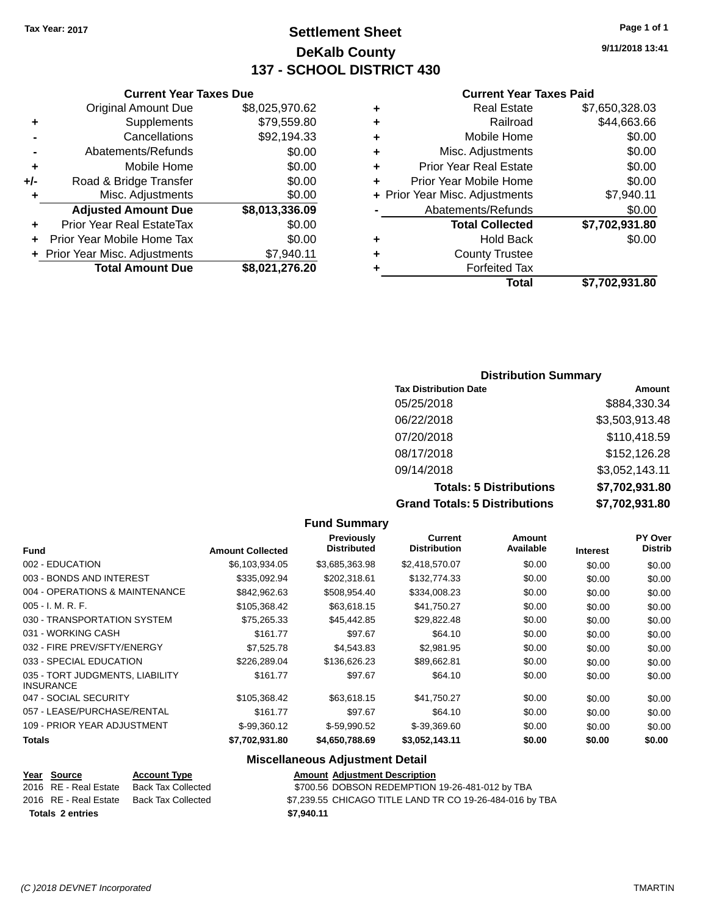**Original Amount Due** 

**Adjusted Amount Due** 

**Total Amount Due** 

**+** Supplements **-** Cancellations **-** Abatements/Refunds **+** Mobile Home **+/-** Road & Bridge Transfer **+** Misc. Adjustments

**+** Prior Year Real EstateTax \$0.00 **+** Prior Year Mobile Home Tax **+ Prior Year Misc. Adjustments** 

# **Settlement Sheet Tax Year: 2017 Page 1 of 1 DeKalb County 137 - SCHOOL DISTRICT 430**

**9/11/2018 13:41**

#### **Current Year Taxes Paid**

| <b>Current Year Taxes Due</b> |                |   | <b>Current Year Tax</b>        |
|-------------------------------|----------------|---|--------------------------------|
| ่<br>เl Amount Due            | \$8,025,970.62 | ٠ | <b>Real Estate</b>             |
| Supplements                   | \$79,559.80    | ٠ | Railroad                       |
| Cancellations                 | \$92,194.33    | ٠ | Mobile Home                    |
| าents/Refunds                 | \$0.00         | ٠ | Misc. Adjustments              |
| Mobile Home                   | \$0.00         | ٠ | <b>Prior Year Real Estate</b>  |
| ridge Transfer                | \$0.00         | ÷ | Prior Year Mobile Home         |
| . Adjustments                 | \$0.00         |   | + Prior Year Misc. Adjustments |
| <b>Amount Due</b>             | \$8,013,336.09 |   | Abatements/Refunds             |
| leal EstateTax≀               | \$0.00         |   | <b>Total Collected</b>         |
| bile Home Tax                 | \$0.00         | ٠ | <b>Hold Back</b>               |
| . Adjustments                 | \$7,940.11     | ٠ | <b>County Trustee</b>          |
| <b>Amount Due</b>             | \$8,021,276.20 | ٠ | <b>Forfeited Tax</b>           |
|                               |                |   | Total                          |

|   | Total                          | \$7,702,931.80 |
|---|--------------------------------|----------------|
| ٠ | <b>Forfeited Tax</b>           |                |
| ÷ | <b>County Trustee</b>          |                |
| ٠ | Hold Back                      | \$0.00         |
|   | <b>Total Collected</b>         | \$7,702,931.80 |
|   | Abatements/Refunds             | \$0.00         |
|   | + Prior Year Misc. Adjustments | \$7,940.11     |
| ٠ | Prior Year Mobile Home         | \$0.00         |
| ÷ | <b>Prior Year Real Estate</b>  | \$0.00         |
| ٠ | Misc. Adjustments              | \$0.00         |
| ÷ | Mobile Home                    | \$0.00         |
| ÷ | Railroad                       | \$44,663.66    |
| ٠ | <b>Real Estate</b>             | \$7,650,328.03 |

### **Distribution Summary Tax Distribution Date Amount** 05/25/2018 \$884,330.34 06/22/2018 \$3,503,913.48 07/20/2018 \$110,418.59 08/17/2018 \$152,126.28 09/14/2018 \$3,052,143.11 **Totals: 5 Distributions \$7,702,931.80 Grand Totals: 5 Distributions \$7,702,931.80**

|                                                     |                         | Fullu Julillial y                       |                                |                            |                 |                                  |
|-----------------------------------------------------|-------------------------|-----------------------------------------|--------------------------------|----------------------------|-----------------|----------------------------------|
| <b>Fund</b>                                         | <b>Amount Collected</b> | <b>Previously</b><br><b>Distributed</b> | Current<br><b>Distribution</b> | <b>Amount</b><br>Available | <b>Interest</b> | <b>PY Over</b><br><b>Distrib</b> |
| 002 - EDUCATION                                     | \$6,103,934.05          | \$3,685,363.98                          | \$2,418,570.07                 | \$0.00                     | \$0.00          | \$0.00                           |
| 003 - BONDS AND INTEREST                            | \$335,092.94            | \$202,318.61                            | \$132,774.33                   | \$0.00                     | \$0.00          | \$0.00                           |
| 004 - OPERATIONS & MAINTENANCE                      | \$842,962.63            | \$508,954.40                            | \$334,008.23                   | \$0.00                     | \$0.00          | \$0.00                           |
| $005 - I. M. R. F.$                                 | \$105,368.42            | \$63,618.15                             | \$41,750.27                    | \$0.00                     | \$0.00          | \$0.00                           |
| 030 - TRANSPORTATION SYSTEM                         | \$75,265.33             | \$45,442.85                             | \$29,822.48                    | \$0.00                     | \$0.00          | \$0.00                           |
| 031 - WORKING CASH                                  | \$161.77                | \$97.67                                 | \$64.10                        | \$0.00                     | \$0.00          | \$0.00                           |
| 032 - FIRE PREV/SFTY/ENERGY                         | \$7,525.78              | \$4,543.83                              | \$2,981.95                     | \$0.00                     | \$0.00          | \$0.00                           |
| 033 - SPECIAL EDUCATION                             | \$226,289.04            | \$136,626,23                            | \$89,662.81                    | \$0.00                     | \$0.00          | \$0.00                           |
| 035 - TORT JUDGMENTS, LIABILITY<br><b>INSURANCE</b> | \$161.77                | \$97.67                                 | \$64.10                        | \$0.00                     | \$0.00          | \$0.00                           |
| 047 - SOCIAL SECURITY                               | \$105,368.42            | \$63,618.15                             | \$41,750.27                    | \$0.00                     | \$0.00          | \$0.00                           |
| 057 - LEASE/PURCHASE/RENTAL                         | \$161.77                | \$97.67                                 | \$64.10                        | \$0.00                     | \$0.00          | \$0.00                           |
| 109 - PRIOR YEAR ADJUSTMENT                         | \$-99,360.12            | $$-59,990.52$                           | \$-39,369.60                   | \$0.00                     | \$0.00          | \$0.00                           |
| <b>Totals</b>                                       | \$7,702,931.80          | \$4,650,788.69                          | \$3,052,143.11                 | \$0.00                     | \$0.00          | \$0.00                           |
|                                                     |                         |                                         |                                |                            |                 |                                  |

**Fund Summary**

#### **Miscellaneous Adjustment Detail Year Source Account Type Amount Adjustment Description**

| Totals 2 entries |                       |                     | \$7.940.11                                               |
|------------------|-----------------------|---------------------|----------------------------------------------------------|
|                  | 2016 RE - Real Estate | Back Tax Collected  | \$7,239.55 CHICAGO TITLE LAND TR CO 19-26-484-016 by TBA |
|                  | 2016 RE - Real Estate | Back Tax Collected  | \$700.56 DOBSON REDEMPTION 19-26-481-012 by TBA          |
|                  | <u>rear Source</u>    | <b>ACCOUNT TYPE</b> | Amount Adjustment Description                            |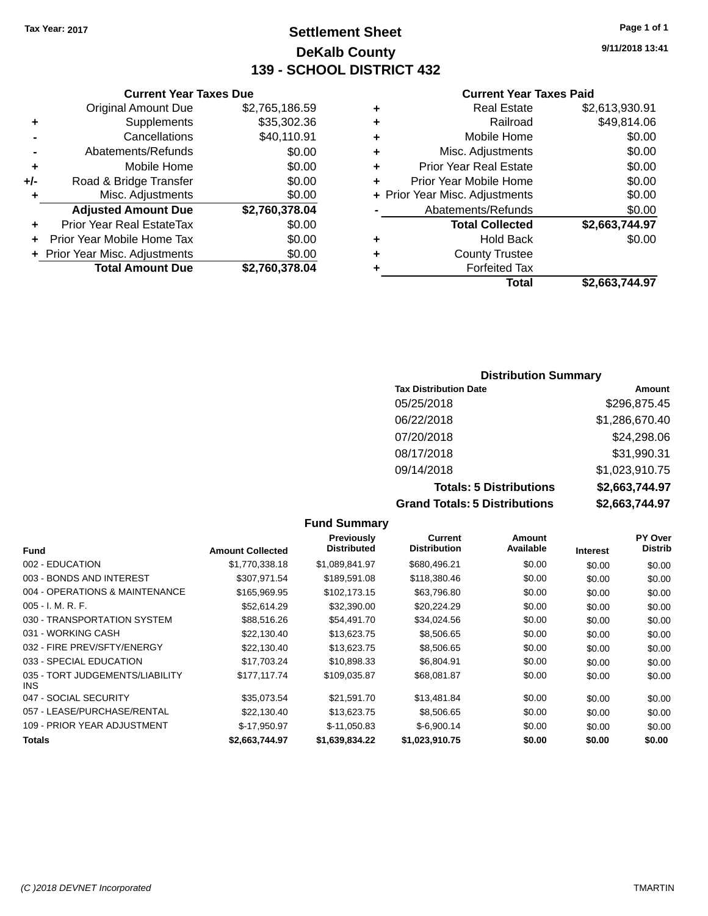# **Settlement Sheet Tax Year: 2017 Page 1 of 1 DeKalb County 139 - SCHOOL DISTRICT 432**

**9/11/2018 13:41**

#### **Current Year Taxes Paid**

|     | <b>Total Amount Due</b>          | \$2,760,378.04 |
|-----|----------------------------------|----------------|
|     | + Prior Year Misc. Adjustments   | \$0.00         |
| ٠   | Prior Year Mobile Home Tax       | \$0.00         |
|     | <b>Prior Year Real EstateTax</b> | \$0.00         |
|     | <b>Adjusted Amount Due</b>       | \$2,760,378.04 |
| ٠   | Misc. Adjustments                | \$0.00         |
| +/- | Road & Bridge Transfer           | \$0.00         |
| ÷   | Mobile Home                      | \$0.00         |
|     | Abatements/Refunds               | \$0.00         |
|     | Cancellations                    | \$40,110.91    |
| ٠   | Supplements                      | \$35,302.36    |
|     | <b>Original Amount Due</b>       | \$2,765,186.59 |
|     |                                  |                |

**Current Year Taxes Due**

|   | <b>Real Estate</b>             | \$2,613,930.91 |
|---|--------------------------------|----------------|
| ٠ | Railroad                       | \$49,814.06    |
| ٠ | Mobile Home                    | \$0.00         |
| ٠ | Misc. Adjustments              | \$0.00         |
| ٠ | <b>Prior Year Real Estate</b>  | \$0.00         |
| ٠ | Prior Year Mobile Home         | \$0.00         |
|   | + Prior Year Misc. Adjustments | \$0.00         |
|   | Abatements/Refunds             | \$0.00         |
|   | <b>Total Collected</b>         | \$2,663,744.97 |
| ٠ | <b>Hold Back</b>               | \$0.00         |
|   | <b>County Trustee</b>          |                |
| ٠ | <b>Forfeited Tax</b>           |                |
|   | Total                          | \$2,663,744.97 |
|   |                                |                |

### **Distribution Summary Tax Distribution Date Amount** 05/25/2018 \$296,875.45 06/22/2018 \$1,286,670.40 07/20/2018 \$24,298.06 08/17/2018 \$31,990.31 09/14/2018 \$1,023,910.75 **Totals: 5 Distributions \$2,663,744.97 Grand Totals: 5 Distributions \$2,663,744.97**

|                                         |                         | <b>Fund Summary</b>              |                                       |                     |                 |                           |
|-----------------------------------------|-------------------------|----------------------------------|---------------------------------------|---------------------|-----------------|---------------------------|
| <b>Fund</b>                             | <b>Amount Collected</b> | Previously<br><b>Distributed</b> | <b>Current</b><br><b>Distribution</b> | Amount<br>Available | <b>Interest</b> | PY Over<br><b>Distrib</b> |
| 002 - EDUCATION                         | \$1,770,338.18          | \$1,089,841.97                   | \$680,496.21                          | \$0.00              | \$0.00          | \$0.00                    |
| 003 - BONDS AND INTEREST                | \$307,971.54            | \$189,591.08                     | \$118,380.46                          | \$0.00              | \$0.00          | \$0.00                    |
| 004 - OPERATIONS & MAINTENANCE          | \$165,969.95            | \$102.173.15                     | \$63,796.80                           | \$0.00              | \$0.00          | \$0.00                    |
| $005 - I. M. R. F.$                     | \$52.614.29             | \$32,390.00                      | \$20,224.29                           | \$0.00              | \$0.00          | \$0.00                    |
| 030 - TRANSPORTATION SYSTEM             | \$88,516.26             | \$54,491.70                      | \$34,024.56                           | \$0.00              | \$0.00          | \$0.00                    |
| 031 - WORKING CASH                      | \$22,130.40             | \$13,623.75                      | \$8,506.65                            | \$0.00              | \$0.00          | \$0.00                    |
| 032 - FIRE PREV/SFTY/ENERGY             | \$22,130.40             | \$13,623.75                      | \$8,506.65                            | \$0.00              | \$0.00          | \$0.00                    |
| 033 - SPECIAL EDUCATION                 | \$17,703.24             | \$10,898.33                      | \$6,804.91                            | \$0.00              | \$0.00          | \$0.00                    |
| 035 - TORT JUDGEMENTS/LIABILITY<br>INS. | \$177.117.74            | \$109,035.87                     | \$68,081.87                           | \$0.00              | \$0.00          | \$0.00                    |
| 047 - SOCIAL SECURITY                   | \$35,073.54             | \$21,591.70                      | \$13,481.84                           | \$0.00              | \$0.00          | \$0.00                    |
| 057 - LEASE/PURCHASE/RENTAL             | \$22,130.40             | \$13,623.75                      | \$8,506.65                            | \$0.00              | \$0.00          | \$0.00                    |
| 109 - PRIOR YEAR ADJUSTMENT             | \$-17,950.97            | $$-11,050.83$                    | $$-6,900.14$                          | \$0.00              | \$0.00          | \$0.00                    |
| <b>Totals</b>                           | \$2,663,744.97          | \$1,639,834.22                   | \$1,023,910.75                        | \$0.00              | \$0.00          | \$0.00                    |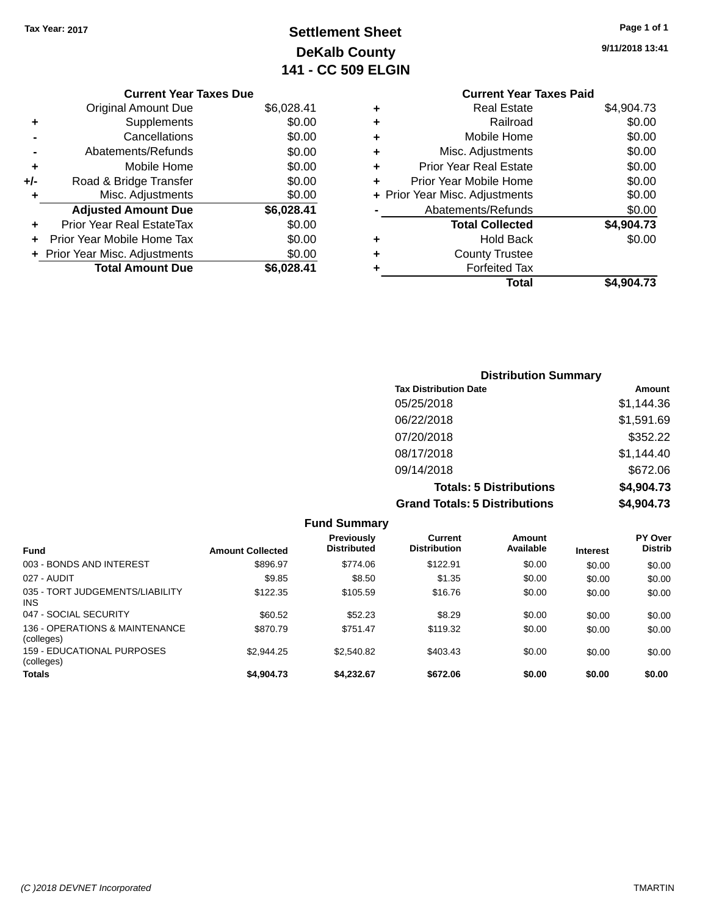# **Settlement Sheet Tax Year: 2017 Page 1 of 1 DeKalb County 141 - CC 509 ELGIN**

| 9/11/2018 13:41 |
|-----------------|
|-----------------|

### **Current Year Taxes Due**

|     | <b>Original Amount Due</b>       | \$6,028.41 |
|-----|----------------------------------|------------|
| ٠   | Supplements                      | \$0.00     |
|     | Cancellations                    | \$0.00     |
|     | Abatements/Refunds               | \$0.00     |
| ٠   | Mobile Home                      | \$0.00     |
| +/- | Road & Bridge Transfer           | \$0.00     |
| ٠   | Misc. Adjustments                | \$0.00     |
|     | <b>Adjusted Amount Due</b>       | \$6,028.41 |
|     | <b>Prior Year Real EstateTax</b> | \$0.00     |
|     | Prior Year Mobile Home Tax       | \$0.00     |
|     | + Prior Year Misc. Adjustments   | \$0.00     |
|     | <b>Total Amount Due</b>          | \$6.028.41 |

|   | <b>Current Year Taxes Paid</b> |            |
|---|--------------------------------|------------|
| ٠ | Real Estate                    | \$4,904.73 |
| ٠ | Railroad                       | \$0.00     |
|   | Mobile Home                    | \$0.00     |
| ٠ | Misc. Adjustments              | \$0.00     |
| ٠ | <b>Prior Year Real Estate</b>  | \$0.00     |
| ÷ | Prior Year Mobile Home         | \$0.00     |
|   | + Prior Year Misc. Adjustments | \$0.00     |
|   | Abatements/Refunds             | \$0.00     |
|   | <b>Total Collected</b>         | \$4,904.73 |
| ٠ | <b>Hold Back</b>               | \$0.00     |
| ٠ | <b>County Trustee</b>          |            |
|   | <b>Forfeited Tax</b>           |            |
|   | Total                          | \$4,904.73 |
|   |                                |            |

| <b>Distribution Summary</b>          |            |
|--------------------------------------|------------|
| <b>Tax Distribution Date</b>         | Amount     |
| 05/25/2018                           | \$1,144.36 |
| 06/22/2018                           | \$1,591.69 |
| 07/20/2018                           | \$352.22   |
| 08/17/2018                           | \$1,144.40 |
| 09/14/2018                           | \$672.06   |
| <b>Totals: 5 Distributions</b>       | \$4,904.73 |
| <b>Grand Totals: 5 Distributions</b> | \$4,904.73 |

|                                                 |                         | <b>Fund Summary</b>                     |                                |                     |                 |                                  |
|-------------------------------------------------|-------------------------|-----------------------------------------|--------------------------------|---------------------|-----------------|----------------------------------|
| Fund                                            | <b>Amount Collected</b> | <b>Previously</b><br><b>Distributed</b> | Current<br><b>Distribution</b> | Amount<br>Available | <b>Interest</b> | <b>PY Over</b><br><b>Distrib</b> |
| 003 - BONDS AND INTEREST                        | \$896.97                | \$774.06                                | \$122.91                       | \$0.00              | \$0.00          | \$0.00                           |
| 027 - AUDIT                                     | \$9.85                  | \$8.50                                  | \$1.35                         | \$0.00              | \$0.00          | \$0.00                           |
| 035 - TORT JUDGEMENTS/LIABILITY<br><b>INS</b>   | \$122.35                | \$105.59                                | \$16.76                        | \$0.00              | \$0.00          | \$0.00                           |
| 047 - SOCIAL SECURITY                           | \$60.52                 | \$52.23                                 | \$8.29                         | \$0.00              | \$0.00          | \$0.00                           |
| 136 - OPERATIONS & MAINTENANCE<br>(colleges)    | \$870.79                | \$751.47                                | \$119.32                       | \$0.00              | \$0.00          | \$0.00                           |
| <b>159 - EDUCATIONAL PURPOSES</b><br>(colleges) | \$2.944.25              | \$2,540.82                              | \$403.43                       | \$0.00              | \$0.00          | \$0.00                           |
| <b>Totals</b>                                   | \$4,904.73              | \$4.232.67                              | \$672.06                       | \$0.00              | \$0.00          | \$0.00                           |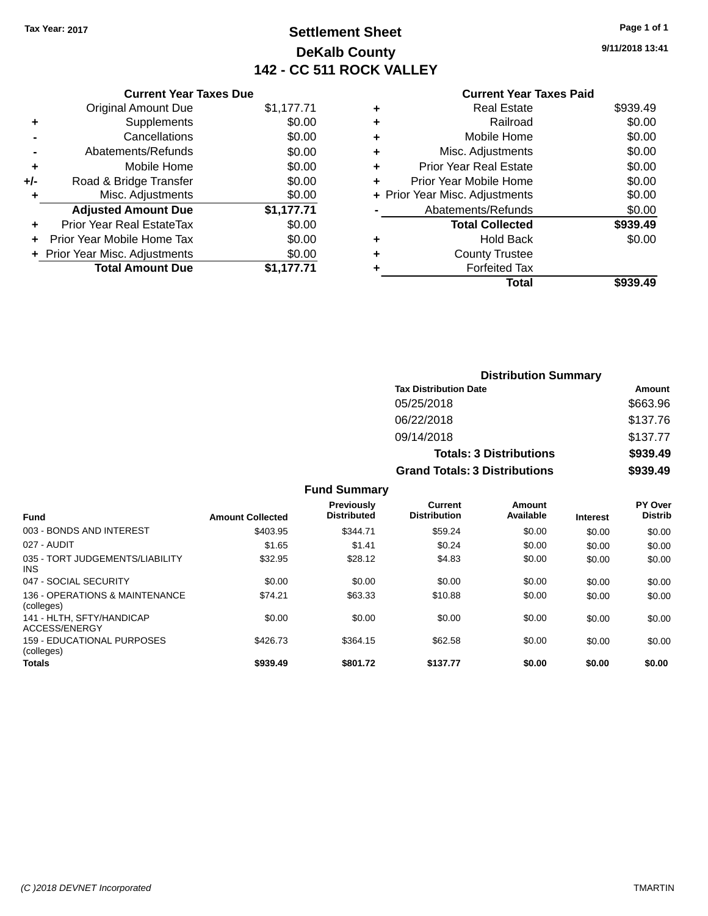# **Settlement Sheet Tax Year: 2017 Page 1 of 1 DeKalb County 142 - CC 511 ROCK VALLEY**

**9/11/2018 13:41**

#### **Current Year Taxes Paid**

| <b>Current Year Taxes Due</b>  |            |
|--------------------------------|------------|
| <b>Original Amount Due</b>     | \$1,177.71 |
| Supplements                    | \$0.00     |
| Cancellations                  | \$0.00     |
| Abatements/Refunds             | \$0.00     |
| Mobile Home                    | \$0.00     |
| Road & Bridge Transfer         | \$0.00     |
| Misc. Adjustments              | \$0.00     |
| <b>Adjusted Amount Due</b>     | \$1,177.71 |
| Prior Year Real EstateTax      | \$0.00     |
| Prior Year Mobile Home Tax     | \$0.00     |
| + Prior Year Misc. Adjustments | \$0.00     |
| <b>Total Amount Due</b>        | \$1.177.71 |
|                                |            |

| ٠ | Real Estate                    | \$939.49 |
|---|--------------------------------|----------|
| ٠ | Railroad                       | \$0.00   |
| ٠ | Mobile Home                    | \$0.00   |
| ٠ | Misc. Adjustments              | \$0.00   |
| ٠ | Prior Year Real Estate         | \$0.00   |
|   | Prior Year Mobile Home         | \$0.00   |
|   | + Prior Year Misc. Adjustments | \$0.00   |
|   | Abatements/Refunds             | \$0.00   |
|   | <b>Total Collected</b>         | \$939.49 |
| ٠ | Hold Back                      | \$0.00   |
|   | <b>County Trustee</b>          |          |
| ٠ | <b>Forfeited Tax</b>           |          |
|   | Total                          | \$939.49 |
|   |                                |          |

| <b>Distribution Summary</b>          |          |
|--------------------------------------|----------|
| <b>Tax Distribution Date</b>         | Amount   |
| 05/25/2018                           | \$663.96 |
| 06/22/2018                           | \$137.76 |
| 09/14/2018                           | \$137.77 |
| <b>Totals: 3 Distributions</b>       | \$939.49 |
| <b>Grand Totals: 3 Distributions</b> | \$939.49 |

|  | <b>Fund Summary</b> |
|--|---------------------|
|--|---------------------|

|                                               |                         | <b>Previously</b>  | Current             | Amount    |                 | <b>PY Over</b> |
|-----------------------------------------------|-------------------------|--------------------|---------------------|-----------|-----------------|----------------|
| <b>Fund</b>                                   | <b>Amount Collected</b> | <b>Distributed</b> | <b>Distribution</b> | Available | <b>Interest</b> | <b>Distrib</b> |
| 003 - BONDS AND INTEREST                      | \$403.95                | \$344.71           | \$59.24             | \$0.00    | \$0.00          | \$0.00         |
| 027 - AUDIT                                   | \$1.65                  | \$1.41             | \$0.24              | \$0.00    | \$0.00          | \$0.00         |
| 035 - TORT JUDGEMENTS/LIABILITY<br><b>INS</b> | \$32.95                 | \$28.12            | \$4.83              | \$0.00    | \$0.00          | \$0.00         |
| 047 - SOCIAL SECURITY                         | \$0.00                  | \$0.00             | \$0.00              | \$0.00    | \$0.00          | \$0.00         |
| 136 - OPERATIONS & MAINTENANCE<br>(colleges)  | \$74.21                 | \$63.33            | \$10.88             | \$0.00    | \$0.00          | \$0.00         |
| 141 - HLTH, SFTY/HANDICAP<br>ACCESS/ENERGY    | \$0.00                  | \$0.00             | \$0.00              | \$0.00    | \$0.00          | \$0.00         |
| 159 - EDUCATIONAL PURPOSES<br>(colleges)      | \$426.73                | \$364.15           | \$62.58             | \$0.00    | \$0.00          | \$0.00         |
| <b>Totals</b>                                 | \$939.49                | \$801.72           | \$137.77            | \$0.00    | \$0.00          | \$0.00         |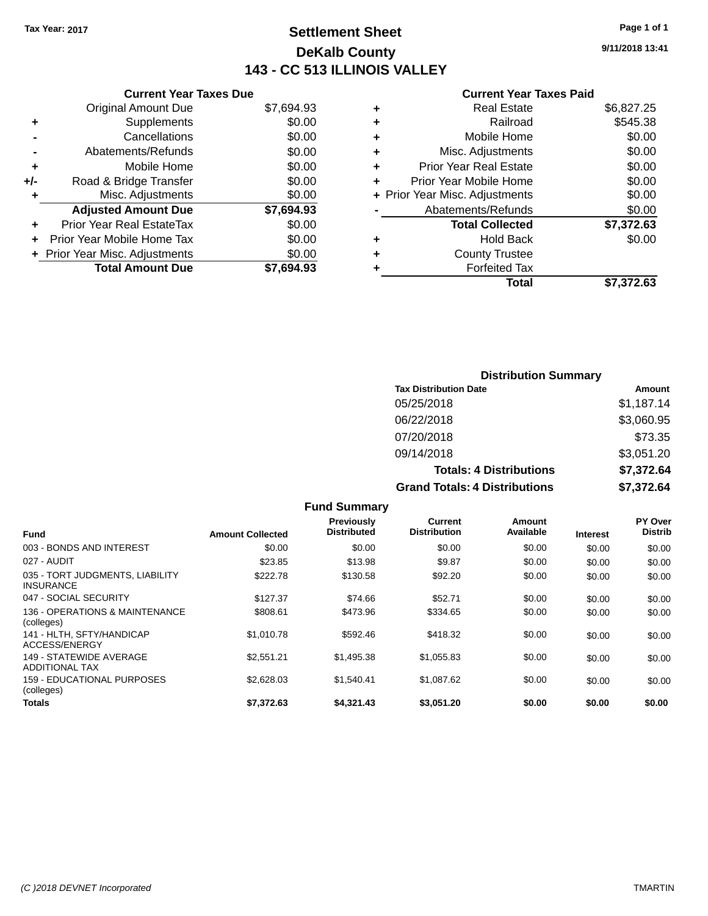# **Settlement Sheet Tax Year: 2017 Page 1 of 1 DeKalb County 143 - CC 513 ILLINOIS VALLEY**

**9/11/2018 13:41**

#### **Current Year Taxes Paid**

|     | <b>Current Year Taxes Due</b>  |            |
|-----|--------------------------------|------------|
|     | <b>Original Amount Due</b>     | \$7,694.93 |
| ٠   | Supplements                    | \$0.00     |
|     | Cancellations                  | \$0.00     |
|     | Abatements/Refunds             | \$0.00     |
| ٠   | Mobile Home                    | \$0.00     |
| +/- | Road & Bridge Transfer         | \$0.00     |
|     | Misc. Adjustments              | \$0.00     |
|     | <b>Adjusted Amount Due</b>     | \$7,694.93 |
| ٠   | Prior Year Real EstateTax      | \$0.00     |
|     | Prior Year Mobile Home Tax     | \$0.00     |
|     | + Prior Year Misc. Adjustments | \$0.00     |
|     | <b>Total Amount Due</b>        | \$7,694.93 |
|     |                                |            |

|   | <b>Real Estate</b>             | \$6,827.25 |
|---|--------------------------------|------------|
| ٠ | Railroad                       | \$545.38   |
| ٠ | Mobile Home                    | \$0.00     |
| ٠ | Misc. Adjustments              | \$0.00     |
| ٠ | <b>Prior Year Real Estate</b>  | \$0.00     |
|   | Prior Year Mobile Home         | \$0.00     |
|   | + Prior Year Misc. Adjustments | \$0.00     |
|   | Abatements/Refunds             | \$0.00     |
|   | <b>Total Collected</b>         | \$7,372.63 |
| ٠ | <b>Hold Back</b>               | \$0.00     |
| ٠ | <b>County Trustee</b>          |            |
| ٠ | <b>Forfeited Tax</b>           |            |
|   | Total                          | \$7,372.63 |
|   |                                |            |

| <b>Distribution Summary</b>          |            |  |  |  |
|--------------------------------------|------------|--|--|--|
| <b>Tax Distribution Date</b>         | Amount     |  |  |  |
| 05/25/2018                           | \$1,187.14 |  |  |  |
| 06/22/2018                           | \$3,060.95 |  |  |  |
| 07/20/2018                           | \$73.35    |  |  |  |
| 09/14/2018                           | \$3,051.20 |  |  |  |
| <b>Totals: 4 Distributions</b>       | \$7,372.64 |  |  |  |
| <b>Grand Totals: 4 Distributions</b> | \$7,372.64 |  |  |  |

|                                                     |                         | <b>Fund Summary</b>                     |                                |                     |                 |                           |
|-----------------------------------------------------|-------------------------|-----------------------------------------|--------------------------------|---------------------|-----------------|---------------------------|
| <b>Fund</b>                                         | <b>Amount Collected</b> | <b>Previously</b><br><b>Distributed</b> | Current<br><b>Distribution</b> | Amount<br>Available | <b>Interest</b> | PY Over<br><b>Distrib</b> |
| 003 - BONDS AND INTEREST                            | \$0.00                  | \$0.00                                  | \$0.00                         | \$0.00              | \$0.00          | \$0.00                    |
| 027 - AUDIT                                         | \$23.85                 | \$13.98                                 | \$9.87                         | \$0.00              | \$0.00          | \$0.00                    |
| 035 - TORT JUDGMENTS, LIABILITY<br><b>INSURANCE</b> | \$222.78                | \$130.58                                | \$92.20                        | \$0.00              | \$0.00          | \$0.00                    |
| 047 - SOCIAL SECURITY                               | \$127.37                | \$74.66                                 | \$52.71                        | \$0.00              | \$0.00          | \$0.00                    |
| 136 - OPERATIONS & MAINTENANCE<br>(colleges)        | \$808.61                | \$473.96                                | \$334.65                       | \$0.00              | \$0.00          | \$0.00                    |
| 141 - HLTH. SFTY/HANDICAP<br>ACCESS/ENERGY          | \$1,010.78              | \$592.46                                | \$418.32                       | \$0.00              | \$0.00          | \$0.00                    |
| 149 - STATEWIDE AVERAGE<br><b>ADDITIONAL TAX</b>    | \$2,551.21              | \$1,495.38                              | \$1.055.83                     | \$0.00              | \$0.00          | \$0.00                    |
| <b>159 - EDUCATIONAL PURPOSES</b><br>(colleges)     | \$2,628.03              | \$1,540.41                              | \$1,087.62                     | \$0.00              | \$0.00          | \$0.00                    |
| Totals                                              | \$7,372.63              | \$4,321.43                              | \$3,051,20                     | \$0.00              | \$0.00          | \$0.00                    |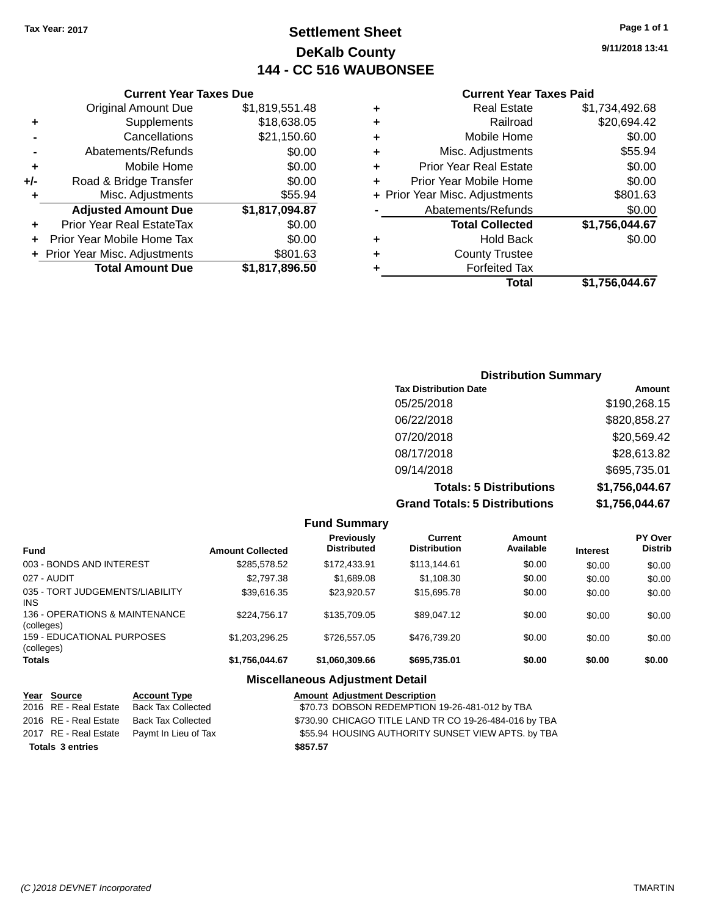# **Settlement Sheet Tax Year: 2017 Page 1 of 1 DeKalb County 144 - CC 516 WAUBONSEE**

**9/11/2018 13:41**

|     | <b>Current Year Taxes Due</b>  |                |  |  |  |
|-----|--------------------------------|----------------|--|--|--|
|     | <b>Original Amount Due</b>     | \$1,819,551.48 |  |  |  |
| ٠   | Supplements                    | \$18,638.05    |  |  |  |
|     | Cancellations                  | \$21,150.60    |  |  |  |
|     | Abatements/Refunds             | \$0.00         |  |  |  |
| ٠   | Mobile Home                    | \$0.00         |  |  |  |
| +/- | Road & Bridge Transfer         | \$0.00         |  |  |  |
| ٠   | Misc. Adjustments              | \$55.94        |  |  |  |
|     | <b>Adjusted Amount Due</b>     | \$1,817,094.87 |  |  |  |
|     | Prior Year Real EstateTax      | \$0.00         |  |  |  |
|     | Prior Year Mobile Home Tax     | \$0.00         |  |  |  |
|     | + Prior Year Misc. Adjustments | \$801.63       |  |  |  |
|     | <b>Total Amount Due</b>        | \$1,817,896.50 |  |  |  |
|     |                                |                |  |  |  |

#### **Current Year Taxes Paid**

| ٠ | <b>Real Estate</b>             | \$1,734,492.68 |
|---|--------------------------------|----------------|
| ٠ | Railroad                       | \$20,694.42    |
| ÷ | Mobile Home                    | \$0.00         |
| ٠ | Misc. Adjustments              | \$55.94        |
| ٠ | <b>Prior Year Real Estate</b>  | \$0.00         |
| ٠ | Prior Year Mobile Home         | \$0.00         |
|   | + Prior Year Misc. Adjustments | \$801.63       |
|   | Abatements/Refunds             | \$0.00         |
|   | <b>Total Collected</b>         | \$1,756,044.67 |
| ٠ | Hold Back                      | \$0.00         |
| ٠ | <b>County Trustee</b>          |                |
| ٠ | <b>Forfeited Tax</b>           |                |
|   | Total                          | \$1,756,044.67 |
|   |                                |                |

### **Distribution Summary Tax Distribution Date Amount** 05/25/2018 \$190,268.15 06/22/2018 \$820,858.27 07/20/2018 \$20,569.42 08/17/2018 \$28,613.82 09/14/2018 \$695,735.01 **Totals: 5 Distributions \$1,756,044.67 Grand Totals: 5 Distributions \$1,756,044.67**

|                                              |                         | <b>Fund Summary</b>              |                                       |                     |                 |                                  |
|----------------------------------------------|-------------------------|----------------------------------|---------------------------------------|---------------------|-----------------|----------------------------------|
| Fund                                         | <b>Amount Collected</b> | Previously<br><b>Distributed</b> | <b>Current</b><br><b>Distribution</b> | Amount<br>Available | <b>Interest</b> | <b>PY Over</b><br><b>Distrib</b> |
| 003 - BONDS AND INTEREST                     | \$285,578.52            | \$172,433.91                     | \$113,144.61                          | \$0.00              | \$0.00          | \$0.00                           |
| 027 - AUDIT                                  | \$2,797.38              | \$1,689.08                       | \$1,108.30                            | \$0.00              | \$0.00          | \$0.00                           |
| 035 - TORT JUDGEMENTS/LIABILITY<br>INS.      | \$39,616.35             | \$23,920.57                      | \$15,695.78                           | \$0.00              | \$0.00          | \$0.00                           |
| 136 - OPERATIONS & MAINTENANCE<br>(colleges) | \$224.756.17            | \$135,709.05                     | \$89,047.12                           | \$0.00              | \$0.00          | \$0.00                           |
| 159 - EDUCATIONAL PURPOSES<br>(colleges)     | \$1,203,296.25          | \$726,557.05                     | \$476,739.20                          | \$0.00              | \$0.00          | \$0.00                           |
| <b>Totals</b>                                | \$1,756,044.67          | \$1,060,309.66                   | \$695,735.01                          | \$0.00              | \$0.00          | \$0.00                           |

#### **Miscellaneous Adjustment Detail**

| Year Source             | <b>Account Type</b>                        |          | <b>Amount Adjustment Description</b>                   |
|-------------------------|--------------------------------------------|----------|--------------------------------------------------------|
| 2016 RE - Real Estate   | Back Tax Collected                         |          | \$70.73 DOBSON REDEMPTION 19-26-481-012 by TBA         |
| 2016 RE - Real Estate   | Back Tax Collected                         |          | \$730.90 CHICAGO TITLE LAND TR CO 19-26-484-016 by TBA |
|                         | 2017 RE - Real Estate Paymt In Lieu of Tax |          | \$55.94 HOUSING AUTHORITY SUNSET VIEW APTS. by TBA     |
| <b>Totals 3 entries</b> |                                            | \$857.57 |                                                        |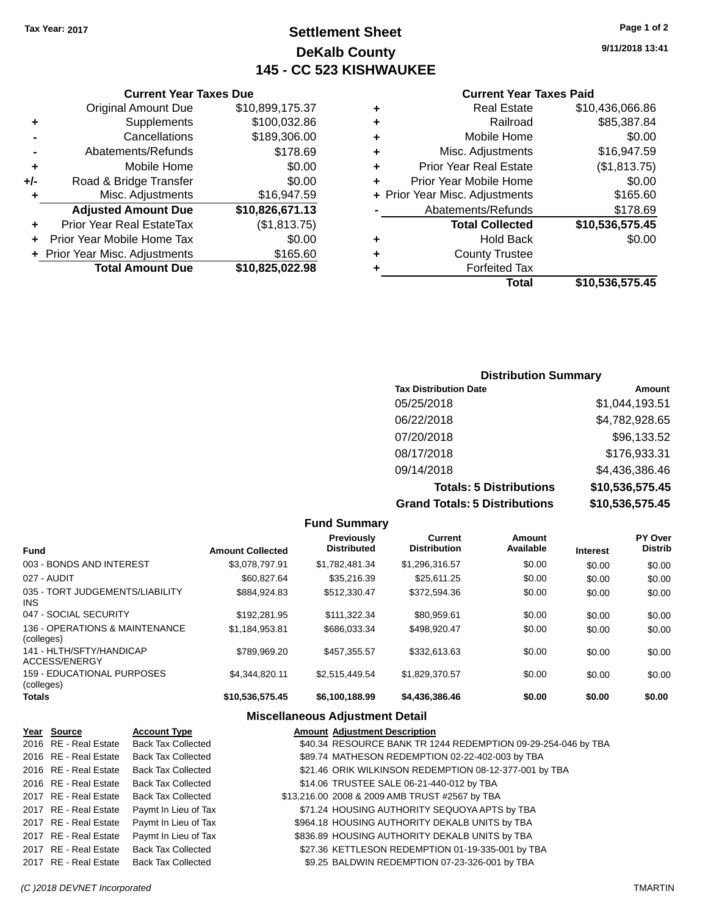# **Settlement Sheet Tax Year: 2017 Page 1 of 2 DeKalb County 145 - CC 523 KISHWAUKEE**

**9/11/2018 13:41**

### **Current Year Taxes Paid**

| ٠ | <b>Real Estate</b>             | \$10,436,066.86 |
|---|--------------------------------|-----------------|
| ٠ | Railroad                       | \$85,387.84     |
| ٠ | Mobile Home                    | \$0.00          |
| ٠ | Misc. Adjustments              | \$16,947.59     |
| ٠ | <b>Prior Year Real Estate</b>  | (\$1,813.75)    |
|   | Prior Year Mobile Home         | \$0.00          |
|   | + Prior Year Misc. Adjustments | \$165.60        |
|   | Abatements/Refunds             | \$178.69        |
|   | <b>Total Collected</b>         | \$10,536,575.45 |
| ٠ | <b>Hold Back</b>               | \$0.00          |
| ٠ | <b>County Trustee</b>          |                 |
|   | <b>Forfeited Tax</b>           |                 |
|   | Total                          | \$10,536,575.45 |
|   |                                |                 |

|     | <b>Current Year Taxes Due</b>  |                 |
|-----|--------------------------------|-----------------|
|     | <b>Original Amount Due</b>     | \$10,899,175.37 |
| ٠   | Supplements                    | \$100,032.86    |
|     | Cancellations                  | \$189,306.00    |
|     | Abatements/Refunds             | \$178.69        |
| ٠   | Mobile Home                    | \$0.00          |
| +/- | Road & Bridge Transfer         | \$0.00          |
| ٠   | Misc. Adjustments              | \$16,947.59     |
|     | <b>Adjusted Amount Due</b>     | \$10,826,671.13 |
|     | Prior Year Real EstateTax      | (\$1,813.75)    |
|     | Prior Year Mobile Home Tax     | \$0.00          |
|     | + Prior Year Misc. Adjustments | \$165.60        |
|     | <b>Total Amount Due</b>        | \$10,825,022.98 |

### **Distribution Summary**

| <b>Tax Distribution Date</b>         | Amount          |
|--------------------------------------|-----------------|
| 05/25/2018                           | \$1,044,193.51  |
| 06/22/2018                           | \$4,782,928.65  |
| 07/20/2018                           | \$96,133.52     |
| 08/17/2018                           | \$176,933.31    |
| 09/14/2018                           | \$4,436,386.46  |
| <b>Totals: 5 Distributions</b>       | \$10,536,575.45 |
| <b>Grand Totals: 5 Distributions</b> | \$10,536,575.45 |

|                                                 |                         | <b>Fund Summary</b>              |                                       |                     |                 |                           |
|-------------------------------------------------|-------------------------|----------------------------------|---------------------------------------|---------------------|-----------------|---------------------------|
| <b>Fund</b>                                     | <b>Amount Collected</b> | Previously<br><b>Distributed</b> | <b>Current</b><br><b>Distribution</b> | Amount<br>Available | <b>Interest</b> | PY Over<br><b>Distrib</b> |
| 003 - BONDS AND INTEREST                        | \$3.078.797.91          | \$1.782.481.34                   | \$1,296,316.57                        | \$0.00              | \$0.00          | \$0.00                    |
| 027 - AUDIT                                     | \$60,827,64             | \$35,216.39                      | \$25.611.25                           | \$0.00              | \$0.00          | \$0.00                    |
| 035 - TORT JUDGEMENTS/LIABILITY<br>INS.         | \$884.924.83            | \$512,330.47                     | \$372.594.36                          | \$0.00              | \$0.00          | \$0.00                    |
| 047 - SOCIAL SECURITY                           | \$192.281.95            | \$111.322.34                     | \$80,959.61                           | \$0.00              | \$0.00          | \$0.00                    |
| 136 - OPERATIONS & MAINTENANCE<br>(colleges)    | \$1,184,953.81          | \$686,033,34                     | \$498.920.47                          | \$0.00              | \$0.00          | \$0.00                    |
| 141 - HLTH/SFTY/HANDICAP<br>ACCESS/ENERGY       | \$789,969.20            | \$457.355.57                     | \$332,613,63                          | \$0.00              | \$0.00          | \$0.00                    |
| <b>159 - EDUCATIONAL PURPOSES</b><br>(colleges) | \$4.344.820.11          | \$2.515.449.54                   | \$1,829,370.57                        | \$0.00              | \$0.00          | \$0.00                    |
| Totals                                          | \$10,536,575.45         | \$6,100,188.99                   | \$4,436,386.46                        | \$0.00              | \$0.00          | \$0.00                    |

#### **Miscellaneous Adjustment Detail**

| Year Source           | <b>Account Type</b>                      | <b>Amount Adjustment Description</b>                          |
|-----------------------|------------------------------------------|---------------------------------------------------------------|
| 2016 RE - Real Estate | <b>Back Tax Collected</b>                | \$40.34 RESOURCE BANK TR 1244 REDEMPTION 09-29-254-046 by TBA |
| 2016 RE - Real Estate | <b>Back Tax Collected</b>                | \$89.74 MATHESON REDEMPTION 02-22-402-003 by TBA              |
| 2016 RE - Real Estate | <b>Back Tax Collected</b>                | \$21.46 ORIK WILKINSON REDEMPTION 08-12-377-001 by TBA        |
| 2016 RE - Real Estate | <b>Back Tax Collected</b>                | \$14.06 TRUSTEE SALE 06-21-440-012 by TBA                     |
| 2017 RE - Real Estate | Back Tax Collected                       | \$13,216.00 2008 & 2009 AMB TRUST #2567 by TBA                |
| 2017 RE - Real Estate | Paymt In Lieu of Tax                     | \$71.24 HOUSING AUTHORITY SEQUOYA APTS by TBA                 |
| 2017 RE - Real Estate | Paymt In Lieu of Tax                     | \$964.18 HOUSING AUTHORITY DEKALB UNITS by TBA                |
| 2017 RE - Real Estate | Paymt In Lieu of Tax                     | \$836.89 HOUSING AUTHORITY DEKALB UNITS by TBA                |
| 2017 RE - Real Estate | <b>Back Tax Collected</b>                | \$27.36 KETTLESON REDEMPTION 01-19-335-001 by TBA             |
|                       | 2017 RE - Real Estate Back Tax Collected | \$9.25 BALDWIN REDEMPTION 07-23-326-001 by TBA                |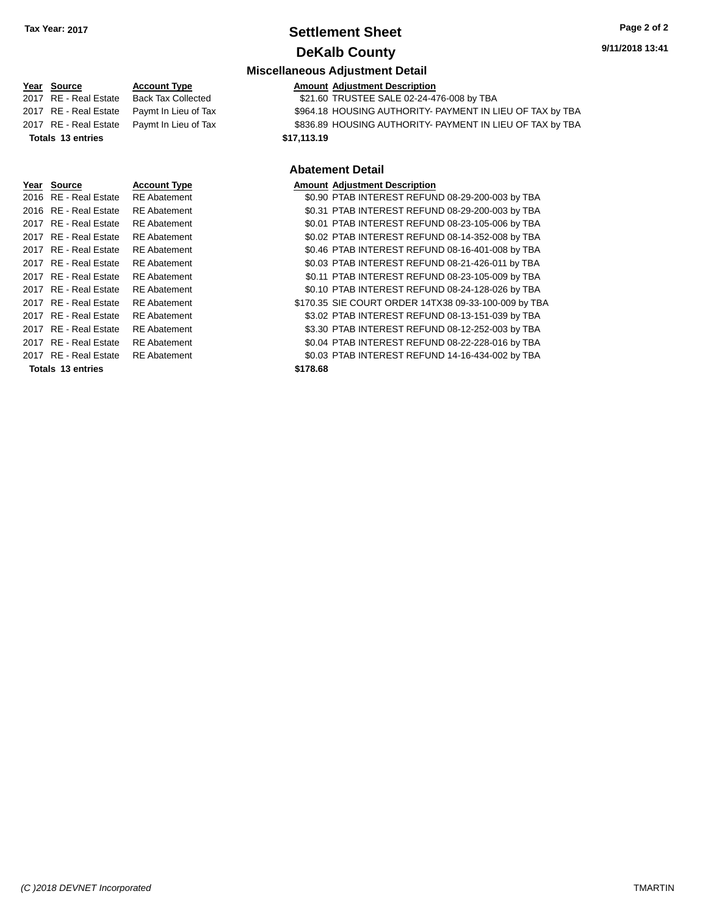### **Settlement Sheet Tax Year: 2017 Page 2 of 2 DeKalb County**

**Miscellaneous Adjustment Detail**

# **Year** Source **Account Type Account Adjustment Description** 2017 RE - Real Estate Back Tax Collected \$21.60 TRUSTEE SALE 02-24-476-008 by TBA 2017 RE - Real Estate \$964.18 HOUSING AUTHORITY- PAYMENT IN LIEU OF TAX by TBA Paymt In Lieu of Tax 2017 RE - Real Estate Paymt In Lieu of Tax **\$836.89 HOUSING AUTHORITY- PAYMENT IN LIEU OF TAX by TBA Totals \$17,113.19 13 entries Year Source Account Type** 2016 RE - Real Estate RE Abatement 2016 RE - Real Estate RE Abatement 2017 RE - Real Estate RE Abatement 2017 RE - Real Estate RE Abatement 2017 RE - Real Estate RE Abatement

|      |                       |                     | <b>Abatement Detail</b>                              |
|------|-----------------------|---------------------|------------------------------------------------------|
| Year | <b>Source</b>         | <b>Account Type</b> | <b>Amount Adjustment Description</b>                 |
|      | 2016 RE - Real Estate | <b>RE</b> Abatement | \$0.90 PTAB INTEREST REFUND 08-29-200-003 by TBA     |
|      | 2016 RE - Real Estate | <b>RE</b> Abatement | \$0.31 PTAB INTEREST REFUND 08-29-200-003 by TBA     |
|      | 2017 RE - Real Estate | <b>RE</b> Abatement | \$0.01 PTAB INTEREST REFUND 08-23-105-006 by TBA     |
|      | 2017 RE - Real Estate | <b>RE</b> Abatement | \$0.02 PTAB INTEREST REFUND 08-14-352-008 by TBA     |
|      | 2017 RE - Real Estate | <b>RE</b> Abatement | \$0.46 PTAB INTEREST REFUND 08-16-401-008 by TBA     |
|      | 2017 RE - Real Estate | <b>RE</b> Abatement | \$0.03 PTAB INTEREST REFUND 08-21-426-011 by TBA     |
|      | 2017 RE - Real Estate | <b>RE</b> Abatement | \$0.11 PTAB INTEREST REFUND 08-23-105-009 by TBA     |
|      | 2017 RE - Real Estate | <b>RE</b> Abatement | \$0.10 PTAB INTEREST REFUND 08-24-128-026 by TBA     |
|      | 2017 RE - Real Estate | <b>RE</b> Abatement | \$170.35 SIE COURT ORDER 14TX38 09-33-100-009 by TBA |
|      | 2017 RE - Real Estate | <b>RE</b> Abatement | \$3.02 PTAB INTEREST REFUND 08-13-151-039 by TBA     |
|      | 2017 RE - Real Estate | <b>RE</b> Abatement | \$3.30 PTAB INTEREST REFUND 08-12-252-003 by TBA     |
|      | 2017 RE - Real Estate | <b>RE</b> Abatement | \$0.04 PTAB INTEREST REFUND 08-22-228-016 by TBA     |
|      | 2017 RE - Real Estate | <b>RE</b> Abatement | \$0.03 PTAB INTEREST REFUND 14-16-434-002 by TBA     |
|      |                       |                     |                                                      |

**Totals \$178.68 13 entries**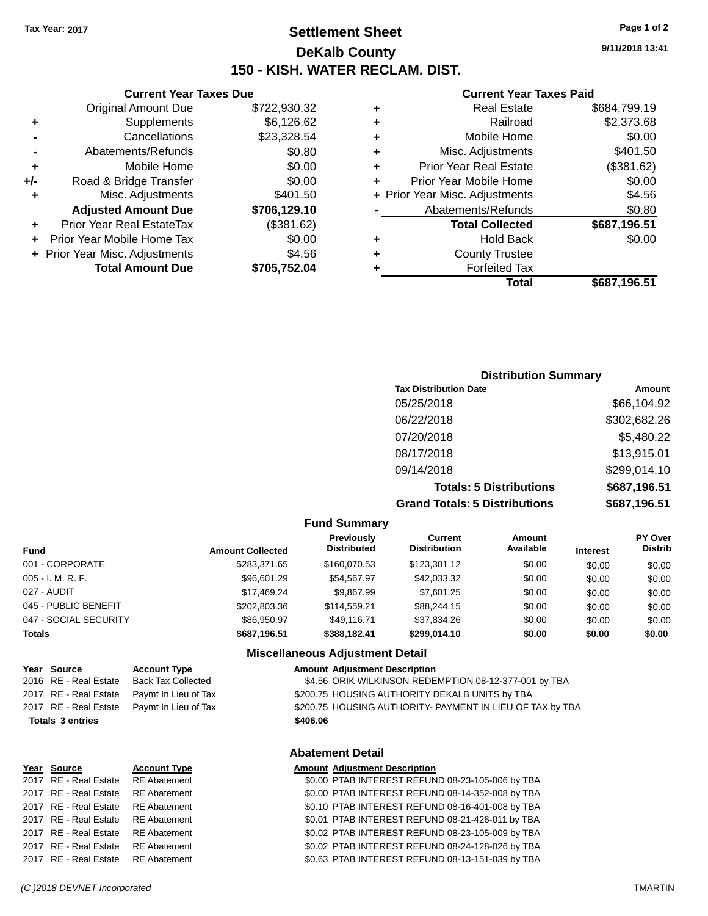**Current Year Taxes Due** Original Amount Due \$722,930.32

**Adjusted Amount Due \$706,129.10**

**Total Amount Due \$705,752.04**

**+** Supplements \$6,126.62 **-** Cancellations \$23,328.54 **-** Abatements/Refunds **\$0.80 +** Mobile Home \$0.00 **+/-** Road & Bridge Transfer \$0.00 **+** Misc. Adjustments \$401.50

**+** Prior Year Real EstateTax (\$381.62) **+** Prior Year Mobile Home Tax \$0.00 **+** Prior Year Misc. Adjustments \$4.56

# **Settlement Sheet Tax Year: 2017 Page 1 of 2 DeKalb County 150 - KISH. WATER RECLAM. DIST.**

**9/11/2018 13:41**

#### **Current Year Taxes Paid**

| ٠ | <b>Real Estate</b>             | \$684,799.19 |
|---|--------------------------------|--------------|
| ٠ | Railroad                       | \$2,373.68   |
| ٠ | Mobile Home                    | \$0.00       |
| ٠ | Misc. Adjustments              | \$401.50     |
| ٠ | <b>Prior Year Real Estate</b>  | (\$381.62)   |
| ٠ | Prior Year Mobile Home         | \$0.00       |
|   | + Prior Year Misc. Adjustments | \$4.56       |
|   | Abatements/Refunds             | \$0.80       |
|   | <b>Total Collected</b>         | \$687,196.51 |
| ٠ | <b>Hold Back</b>               | \$0.00       |
| ٠ | <b>County Trustee</b>          |              |
|   | <b>Forfeited Tax</b>           |              |
|   | Total                          | \$687,196.51 |
|   |                                |              |

# **Distribution Summary Tax Distribution Date Amount** 05/25/2018 \$66,104.92 06/22/2018 \$302,682.26 07/20/2018 \$5,480.22 08/17/2018 \$13,915.01

**Totals: 5 Distributions \$687,196.51 Grand Totals: 5 Distributions \$687,196.51**

09/14/2018 \$299,014.10

|                       |                         | <b>Fully Sullillialy</b>         |                                |                     |                 |                           |
|-----------------------|-------------------------|----------------------------------|--------------------------------|---------------------|-----------------|---------------------------|
| <b>Fund</b>           | <b>Amount Collected</b> | Previously<br><b>Distributed</b> | Current<br><b>Distribution</b> | Amount<br>Available | <b>Interest</b> | PY Over<br><b>Distrib</b> |
| 001 - CORPORATE       | \$283,371.65            | \$160,070.53                     | \$123,301.12                   | \$0.00              | \$0.00          | \$0.00                    |
| 005 - I. M. R. F.     | \$96,601.29             | \$54.567.97                      | \$42,033.32                    | \$0.00              | \$0.00          | \$0.00                    |
| 027 - AUDIT           | \$17.469.24             | \$9.867.99                       | \$7,601.25                     | \$0.00              | \$0.00          | \$0.00                    |
| 045 - PUBLIC BENEFIT  | \$202,803,36            | \$114.559.21                     | \$88,244.15                    | \$0.00              | \$0.00          | \$0.00                    |
| 047 - SOCIAL SECURITY | \$86,950.97             | \$49.116.71                      | \$37,834.26                    | \$0.00              | \$0.00          | \$0.00                    |
| <b>Totals</b>         | \$687,196.51            | \$388.182.41                     | \$299.014.10                   | \$0.00              | \$0.00          | \$0.00                    |
|                       |                         | Micrallangous Adiustmant Datail  |                                |                     |                 |                           |

**Fund Summary**

#### **Miscellaneous Adjustment Detail**

|          | <b>Amount Adjustment Description</b>                      |
|----------|-----------------------------------------------------------|
|          | \$4.56 ORIK WILKINSON REDEMPTION 08-12-377-001 by TBA     |
|          | \$200.75 HOUSING AUTHORITY DEKALB UNITS by TBA            |
|          | \$200.75 HOUSING AUTHORITY- PAYMENT IN LIEU OF TAX by TBA |
| \$406.06 |                                                           |

**Year Source Account Type** 2016 RE - Real Estate Back Tax Collected 2017 RE - Real Estate Paymt In Lieu of Tax 2017 RE - Real Estate Paymt In Lieu of Tax

**Totals 3 entries** 

#### **Abatement Detail**

### **Year Source Account Type Amount Adjustment Description**

2017 RE - Real Estate RE Abatement \$0.00 PTAB INTEREST REFUND 08-23-105-006 by TBA 2017 RE - Real Estate RE Abatement \$0.00 PTAB INTEREST REFUND 08-14-352-008 by TBA 2017 RE - Real Estate RE Abatement \$0.10 PTAB INTEREST REFUND 08-16-401-008 by TBA 2017 RE - Real Estate RE Abatement \$0.01 PTAB INTEREST REFUND 08-21-426-011 by TBA 2017 RE - Real Estate RE Abatement \$0.02 PTAB INTEREST REFUND 08-23-105-009 by TBA 2017 RE - Real Estate RE Abatement \$0.02 PTAB INTEREST REFUND 08-24-128-026 by TBA 2017 RE - Real Estate RE Abatement \$0.63 PTAB INTEREST REFUND 08-13-151-039 by TBA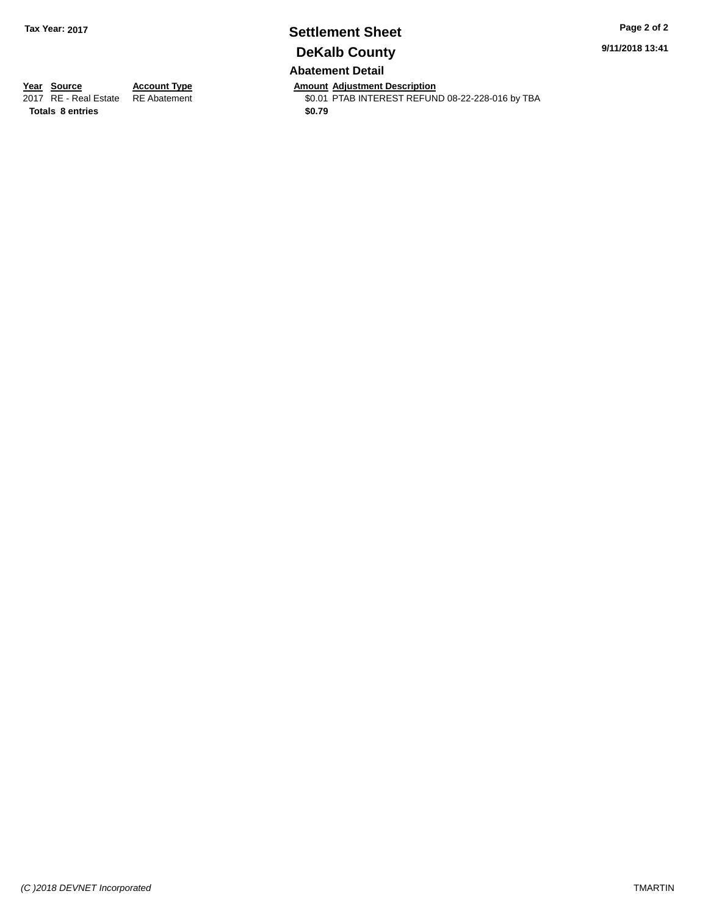### **Settlement Sheet Tax Year: 2017 Page 2 of 2 DeKalb County Abatement Detail**

**9/11/2018 13:41**

*(C )2018 DEVNET Incorporated* TMARTIN

**Totals 8 entries** \$0.79

**Year Source Account Type Anneunt Adjustment Description**<br>
2017 RE - Real Estate RE Abatement **Amount Adjustment Description** \$0.01 PTAB INTEREST REFUND 08-22-228-016 by TBA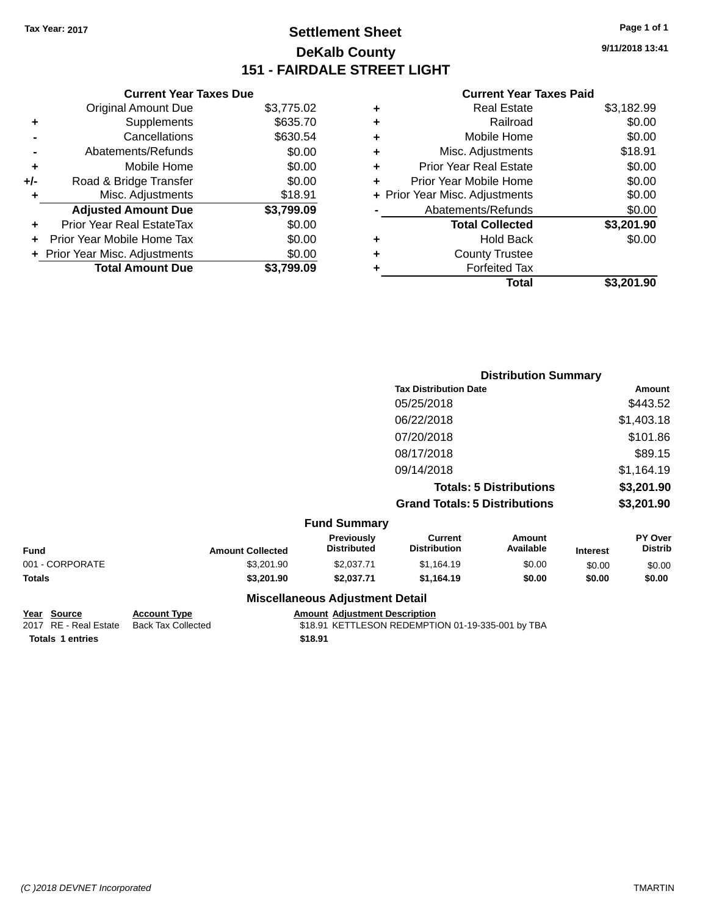# **Settlement Sheet Tax Year: 2017 Page 1 of 1 DeKalb County 151 - FAIRDALE STREET LIGHT**

**9/11/2018 13:41**

#### **Current Year Taxes Paid**

|     | <b>Current Year Taxes Due</b>  |            |
|-----|--------------------------------|------------|
|     | <b>Original Amount Due</b>     | \$3,775.02 |
| ٠   | Supplements                    | \$635.70   |
|     | Cancellations                  | \$630.54   |
|     | Abatements/Refunds             | \$0.00     |
| ٠   | Mobile Home                    | \$0.00     |
| +/- | Road & Bridge Transfer         | \$0.00     |
|     | Misc. Adjustments              | \$18.91    |
|     | <b>Adjusted Amount Due</b>     | \$3,799.09 |
| ÷   | Prior Year Real EstateTax      | \$0.00     |
| ٠   | Prior Year Mobile Home Tax     | \$0.00     |
|     | + Prior Year Misc. Adjustments | \$0.00     |
|     | <b>Total Amount Due</b>        | \$3.799.09 |

|   | <b>Real Estate</b>             | \$3,182.99 |
|---|--------------------------------|------------|
| ٠ | Railroad                       | \$0.00     |
| ٠ | Mobile Home                    | \$0.00     |
| ٠ | Misc. Adjustments              | \$18.91    |
| ٠ | <b>Prior Year Real Estate</b>  | \$0.00     |
| ٠ | Prior Year Mobile Home         | \$0.00     |
|   | + Prior Year Misc. Adjustments | \$0.00     |
|   | Abatements/Refunds             | \$0.00     |
|   | <b>Total Collected</b>         | \$3,201.90 |
| ٠ | <b>Hold Back</b>               | \$0.00     |
| ٠ | <b>County Trustee</b>          |            |
| ٠ | <b>Forfeited Tax</b>           |            |
|   | Total                          | \$3,201.90 |
|   |                                |            |

|                     | <b>Distribution Summary</b>          |                                |                |
|---------------------|--------------------------------------|--------------------------------|----------------|
|                     | <b>Tax Distribution Date</b>         |                                | Amount         |
|                     | 05/25/2018                           |                                | \$443.52       |
|                     | 06/22/2018                           |                                | \$1,403.18     |
|                     | 07/20/2018                           |                                | \$101.86       |
|                     | 08/17/2018                           |                                | \$89.15        |
|                     | 09/14/2018                           |                                | \$1,164.19     |
|                     |                                      | <b>Totals: 5 Distributions</b> | \$3,201.90     |
|                     | <b>Grand Totals: 5 Distributions</b> |                                | \$3,201.90     |
| <b>Fund Summary</b> |                                      |                                |                |
| Previously          | <b>Current</b><br>.                  | <b>Amount</b><br>.             | PY Over<br>--- |

|                 |                         | Miccellanceus Adjustment Detail         |                                |                     |                 |                                  |
|-----------------|-------------------------|-----------------------------------------|--------------------------------|---------------------|-----------------|----------------------------------|
| Totals          | \$3,201.90              | \$2.037.71                              | \$1.164.19                     | \$0.00              | \$0.00          | \$0.00                           |
| 001 - CORPORATE | \$3.201.90              | \$2,037.71                              | \$1.164.19                     | \$0.00              | \$0.00          | \$0.00                           |
| Fund            | <b>Amount Collected</b> | <b>Previously</b><br><b>Distributed</b> | Current<br><b>Distribution</b> | Amount<br>Available | <b>Interest</b> | <b>PY Over</b><br><b>Distrib</b> |

**Year Source Account Type Amount Adjustment Description Totals \$18.91 1 entries**

**Miscellaneous Adjustment Detail**

\$18.91 KETTLESON REDEMPTION 01-19-335-001 by TBA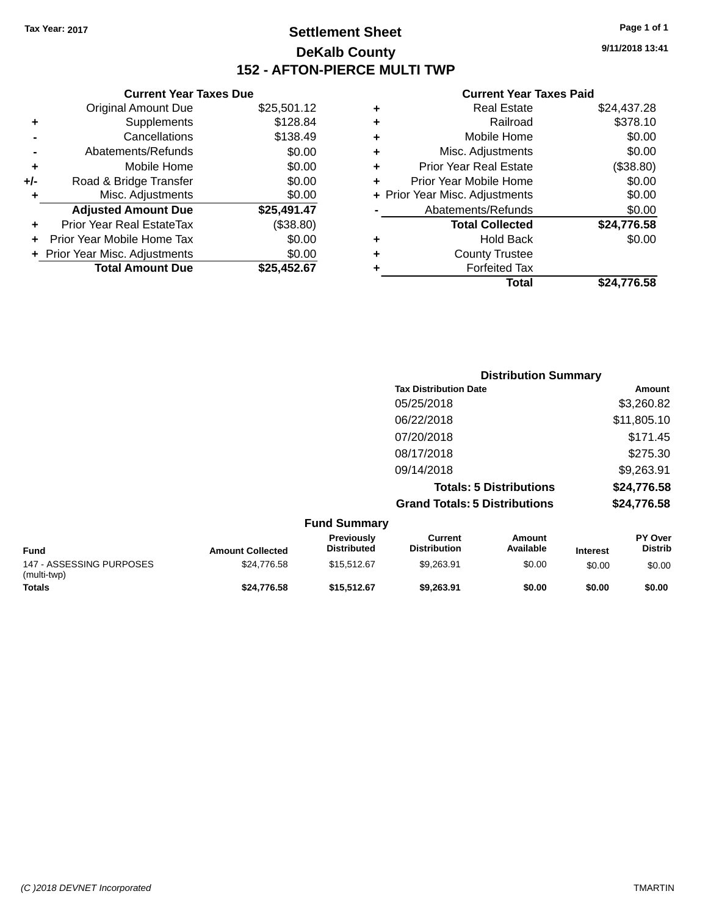# **Settlement Sheet Tax Year: 2017 Page 1 of 1 DeKalb County 152 - AFTON-PIERCE MULTI TWP**

**9/11/2018 13:41**

### **Current Year Taxes Paid**

|     | <b>Current Year Taxes Due</b>  |             |
|-----|--------------------------------|-------------|
|     | Original Amount Due            | \$25,501.12 |
| ٠   | Supplements                    | \$128.84    |
|     | Cancellations                  | \$138.49    |
|     | Abatements/Refunds             | \$0.00      |
| ٠   | Mobile Home                    | \$0.00      |
| +/- | Road & Bridge Transfer         | \$0.00      |
| ٠   | Misc. Adjustments              | \$0.00      |
|     | <b>Adjusted Amount Due</b>     | \$25,491.47 |
|     | Prior Year Real EstateTax      | (\$38.80)   |
|     | Prior Year Mobile Home Tax     | \$0.00      |
|     | + Prior Year Misc. Adjustments | \$0.00      |
|     | <b>Total Amount Due</b>        | \$25.452.67 |
|     |                                |             |

| ٠ | <b>Real Estate</b>             | \$24,437.28 |
|---|--------------------------------|-------------|
| ٠ | Railroad                       | \$378.10    |
| ٠ | Mobile Home                    | \$0.00      |
| ٠ | Misc. Adjustments              | \$0.00      |
| ٠ | <b>Prior Year Real Estate</b>  | (\$38.80)   |
| ÷ | Prior Year Mobile Home         | \$0.00      |
|   | + Prior Year Misc. Adjustments | \$0.00      |
|   | Abatements/Refunds             | \$0.00      |
|   | <b>Total Collected</b>         | \$24,776.58 |
| ٠ | <b>Hold Back</b>               | \$0.00      |
| ٠ | <b>County Trustee</b>          |             |
| ٠ | <b>Forfeited Tax</b>           |             |
|   | Total                          | \$24,776.58 |
|   |                                |             |

| <b>Distribution Summary</b>          |             |
|--------------------------------------|-------------|
| <b>Tax Distribution Date</b>         | Amount      |
| 05/25/2018                           | \$3,260.82  |
| 06/22/2018                           | \$11,805.10 |
| 07/20/2018                           | \$171.45    |
| 08/17/2018                           | \$275.30    |
| 09/14/2018                           | \$9,263.91  |
| <b>Totals: 5 Distributions</b>       | \$24,776.58 |
| <b>Grand Totals: 5 Distributions</b> | \$24,776.58 |

|                                         |                         | <b>Fund Summary</b>              |                                |                     |                 |                                  |
|-----------------------------------------|-------------------------|----------------------------------|--------------------------------|---------------------|-----------------|----------------------------------|
| <b>Fund</b>                             | <b>Amount Collected</b> | Previously<br><b>Distributed</b> | Current<br><b>Distribution</b> | Amount<br>Available | <b>Interest</b> | <b>PY Over</b><br><b>Distrib</b> |
| 147 - ASSESSING PURPOSES<br>(multi-twp) | \$24.776.58             | \$15,512.67                      | \$9.263.91                     | \$0.00              | \$0.00          | \$0.00                           |
| <b>Totals</b>                           | \$24,776.58             | \$15,512.67                      | \$9.263.91                     | \$0.00              | \$0.00          | \$0.00                           |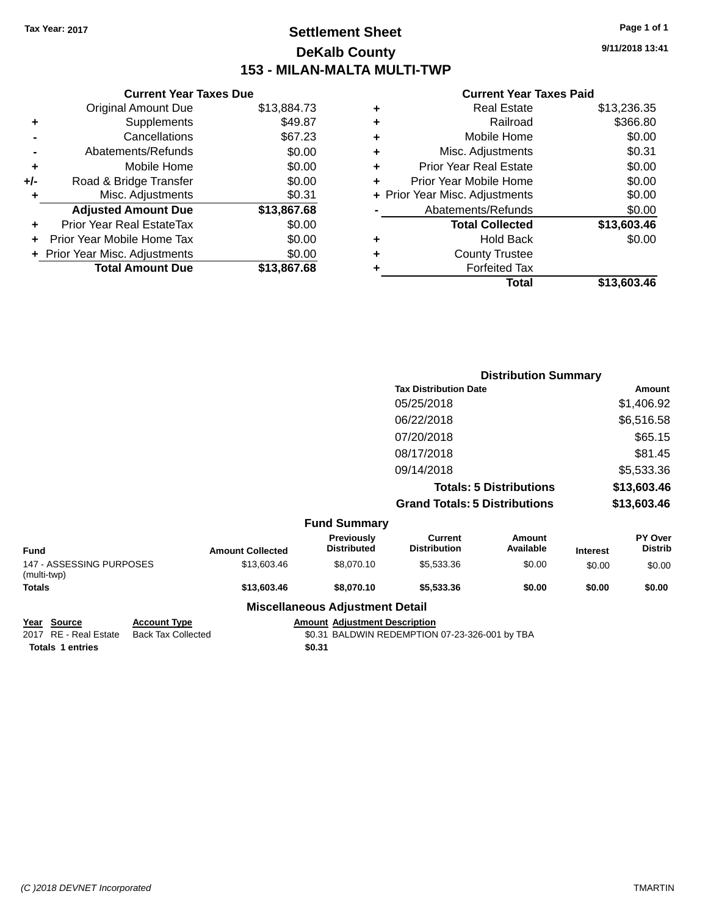# **Settlement Sheet Tax Year: 2017 Page 1 of 1 DeKalb County 153 - MILAN-MALTA MULTI-TWP**

**9/11/2018 13:41**

#### **Current Year Taxes Paid**

|     | <b>Current Year Taxes Due</b>    |             |
|-----|----------------------------------|-------------|
|     | <b>Original Amount Due</b>       | \$13,884.73 |
| ٠   | Supplements                      | \$49.87     |
|     | Cancellations                    | \$67.23     |
|     | Abatements/Refunds               | \$0.00      |
| ٠   | Mobile Home                      | \$0.00      |
| +/- | Road & Bridge Transfer           | \$0.00      |
| ٠   | Misc. Adjustments                | \$0.31      |
|     | <b>Adjusted Amount Due</b>       | \$13,867.68 |
| ٠   | <b>Prior Year Real EstateTax</b> | \$0.00      |
|     | Prior Year Mobile Home Tax       | \$0.00      |
|     | + Prior Year Misc. Adjustments   | \$0.00      |
|     | <b>Total Amount Due</b>          | \$13,867,68 |
|     |                                  |             |

| ٠ | <b>Real Estate</b>             | \$13,236.35 |
|---|--------------------------------|-------------|
| ٠ | Railroad                       | \$366.80    |
| ٠ | Mobile Home                    | \$0.00      |
| ٠ | Misc. Adjustments              | \$0.31      |
| ٠ | <b>Prior Year Real Estate</b>  | \$0.00      |
| ÷ | Prior Year Mobile Home         | \$0.00      |
|   | + Prior Year Misc. Adjustments | \$0.00      |
|   | Abatements/Refunds             | \$0.00      |
|   | <b>Total Collected</b>         | \$13,603.46 |
| ٠ | <b>Hold Back</b>               | \$0.00      |
| ٠ | <b>County Trustee</b>          |             |
| ٠ | <b>Forfeited Tax</b>           |             |
|   | Total                          | \$13,603.46 |
|   |                                |             |

|                     | <b>Distribution Summary</b>          |                                |                |
|---------------------|--------------------------------------|--------------------------------|----------------|
|                     | <b>Tax Distribution Date</b>         |                                | Amount         |
|                     | 05/25/2018                           |                                | \$1,406.92     |
|                     | 06/22/2018                           |                                | \$6,516.58     |
|                     | 07/20/2018                           |                                | \$65.15        |
|                     | 08/17/2018                           |                                | \$81.45        |
|                     | 09/14/2018                           |                                | \$5,533.36     |
|                     |                                      | <b>Totals: 5 Distributions</b> | \$13,603.46    |
|                     | <b>Grand Totals: 5 Distributions</b> |                                | \$13,603.46    |
| <b>Fund Summary</b> |                                      |                                |                |
| Previously          | <b>Current</b>                       | Amount                         | <b>PY Over</b> |

| <b>Fund</b>                             | <b>Amount Collected</b> | <b>Previously</b><br><b>Distributed</b> | Current<br><b>Distribution</b> | Amount<br>Available | <b>Interest</b> | <b>PY Over</b><br><b>Distrib</b> |
|-----------------------------------------|-------------------------|-----------------------------------------|--------------------------------|---------------------|-----------------|----------------------------------|
| 147 - ASSESSING PURPOSES<br>(multi-twp) | \$13,603,46             | \$8,070.10                              | \$5,533,36                     | \$0.00              | \$0.00          | \$0.00                           |
| <b>Totals</b>                           | \$13,603.46             | \$8,070.10                              | \$5,533,36                     | \$0.00              | \$0.00          | \$0.00                           |
|                                         | ---                     |                                         |                                |                     |                 |                                  |

# **Miscellaneous Adjustment Detail**

**Totals \$0.31 1 entries**

**Year Source Account Type Account Type Amount Adjustment Description**<br>2017 RE - Real Estate Back Tax Collected \$0.31 BALDWIN REDEMPTION \$0.31 BALDWIN REDEMPTION 07-23-326-001 by TBA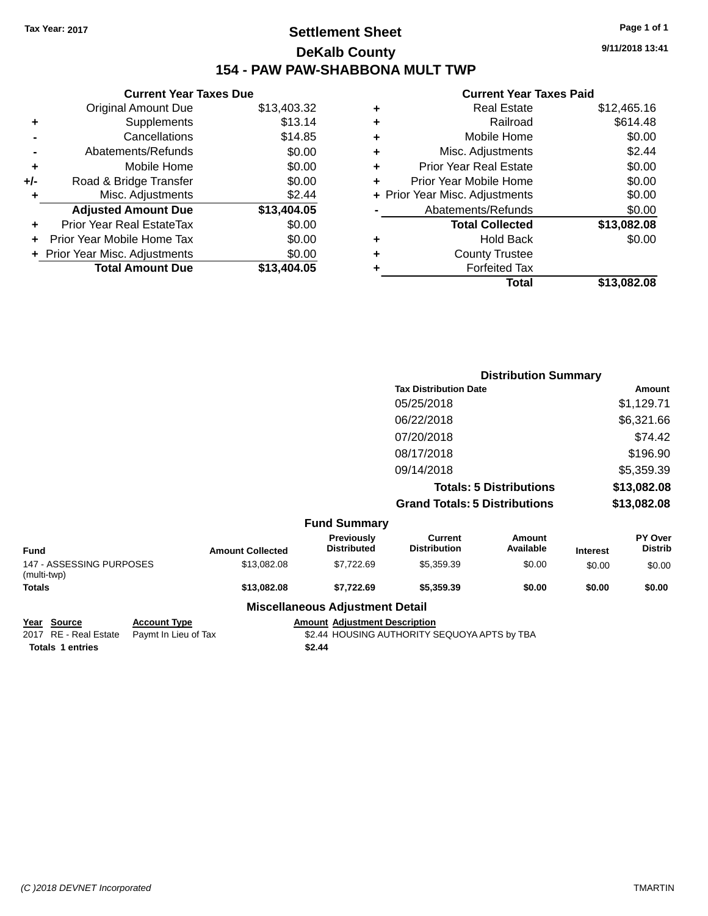# **Settlement Sheet Tax Year: 2017 Page 1 of 1 DeKalb County 154 - PAW PAW-SHABBONA MULT TWP**

### **Current Year Taxes Due** Original Amount Due \$13,403.32 **+** Supplements \$13.14 **-** Cancellations **\$14.85 -** Abatements/Refunds \$0.00 **+** Mobile Home \$0.00 **+/-** Road & Bridge Transfer \$0.00 **+** Misc. Adjustments \$2.44 **Adjusted Amount Due \$13,404.05 +** Prior Year Real EstateTax \$0.00 **+** Prior Year Mobile Home Tax \$0.00 **+ Prior Year Misc. Adjustments**  $$0.00$ **Total Amount Due \$13,404.05**

### **Current Year Taxes Paid +** Real Estate \$12,465.16 **+** Railroad \$614.48 **+** Mobile Home \$0.00 **+** Misc. Adjustments \$2.44 **+** Prior Year Real Estate \$0.00 **+** Prior Year Mobile Home \$0.00 **+** Prior Year Misc. Adjustments  $$0.00$ Abatements/Refunds \$0.00 **Total Collected \$13,082.08 +** Hold Back \$0.00 **+** County Trustee **+** Forfeited Tax **Total \$13,082.08**

**Distribution Summary**

|                                         |                         |                                  |                                       | <b>PISUIMUUTI VUIIIIIIUI V</b> |                 |                           |
|-----------------------------------------|-------------------------|----------------------------------|---------------------------------------|--------------------------------|-----------------|---------------------------|
|                                         |                         |                                  | <b>Tax Distribution Date</b>          |                                |                 | <b>Amount</b>             |
|                                         |                         |                                  | 05/25/2018                            |                                |                 | \$1,129.71                |
|                                         |                         |                                  | 06/22/2018                            |                                |                 | \$6,321.66                |
|                                         |                         |                                  | 07/20/2018                            |                                |                 | \$74.42                   |
|                                         |                         |                                  | 08/17/2018                            |                                |                 | \$196.90                  |
|                                         |                         |                                  | 09/14/2018                            |                                |                 | \$5,359.39                |
|                                         |                         |                                  |                                       | <b>Totals: 5 Distributions</b> |                 | \$13,082.08               |
|                                         |                         |                                  | <b>Grand Totals: 5 Distributions</b>  |                                |                 | \$13,082.08               |
|                                         |                         | <b>Fund Summary</b>              |                                       |                                |                 |                           |
| <b>Fund</b>                             | <b>Amount Collected</b> | Previously<br><b>Distributed</b> | <b>Current</b><br><b>Distribution</b> | Amount<br>Available            | <b>Interest</b> | PY Over<br><b>Distrib</b> |
| 147 - ASSESSING PURPOSES<br>(multi-twp) | \$13,082.08             | \$7,722.69                       | \$5,359.39                            | \$0.00                         | \$0.00          | \$0.00                    |
| <b>Totals</b>                           | \$13,082.08             | \$7,722.69                       | \$5,359.39                            | \$0.00                         | \$0.00          | \$0.00                    |

#### **Miscellaneous Adjustment Detail**

**Year Source Account Type Amount Adjustment Description**

**Totals \$2.44 1 entries**

2017 RE - Real Estate Paymt In Lieu of Tax  $$2.44$  HOUSING AUTHORITY SEQUOYA APTS by TBA

**9/11/2018 13:41**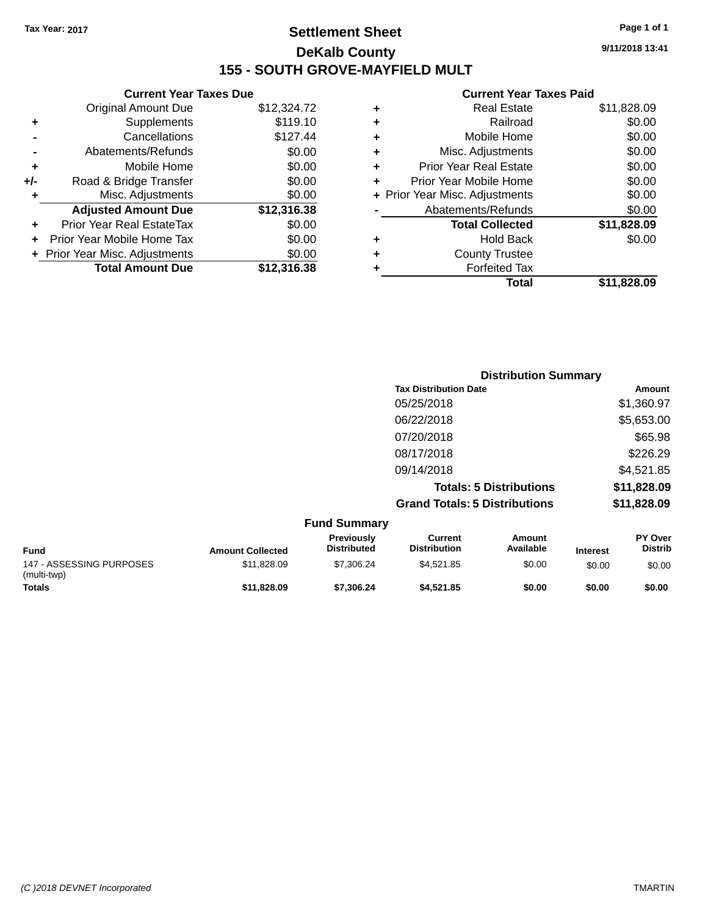# **Settlement Sheet Tax Year: 2017 Page 1 of 1 DeKalb County 155 - SOUTH GROVE-MAYFIELD MULT**

**9/11/2018 13:41**

#### **Current Year Taxes Paid**

|     | <b>Current Year Taxes Due</b>  |             |
|-----|--------------------------------|-------------|
|     | <b>Original Amount Due</b>     | \$12,324.72 |
| ٠   | Supplements                    | \$119.10    |
|     | Cancellations                  | \$127.44    |
|     | Abatements/Refunds             | \$0.00      |
| ٠   | Mobile Home                    | \$0.00      |
| +/- | Road & Bridge Transfer         | \$0.00      |
| ٠   | Misc. Adjustments              | \$0.00      |
|     | <b>Adjusted Amount Due</b>     | \$12,316.38 |
| ٠   | Prior Year Real EstateTax      | \$0.00      |
|     | Prior Year Mobile Home Tax     | \$0.00      |
|     | + Prior Year Misc. Adjustments | \$0.00      |
|     | <b>Total Amount Due</b>        | \$12,316.38 |
|     |                                |             |

| ٠ | <b>Real Estate</b>             | \$11,828.09 |
|---|--------------------------------|-------------|
| ٠ | Railroad                       | \$0.00      |
| ٠ | Mobile Home                    | \$0.00      |
| ٠ | Misc. Adjustments              | \$0.00      |
| ٠ | <b>Prior Year Real Estate</b>  | \$0.00      |
|   | Prior Year Mobile Home         | \$0.00      |
|   | + Prior Year Misc. Adjustments | \$0.00      |
|   | Abatements/Refunds             | \$0.00      |
|   | <b>Total Collected</b>         | \$11,828.09 |
| ٠ | <b>Hold Back</b>               | \$0.00      |
|   | <b>County Trustee</b>          |             |
| ٠ | <b>Forfeited Tax</b>           |             |
|   | Total                          | \$11,828.09 |
|   |                                |             |

| <b>Distribution Summary</b>          |             |
|--------------------------------------|-------------|
| <b>Tax Distribution Date</b>         | Amount      |
| 05/25/2018                           | \$1,360.97  |
| 06/22/2018                           | \$5,653.00  |
| 07/20/2018                           | \$65.98     |
| 08/17/2018                           | \$226.29    |
| 09/14/2018                           | \$4,521.85  |
| <b>Totals: 5 Distributions</b>       | \$11,828.09 |
| <b>Grand Totals: 5 Distributions</b> | \$11,828.09 |

|                                         |                         | <b>Fund Summary</b>                     |                                |                     |                 |                                  |
|-----------------------------------------|-------------------------|-----------------------------------------|--------------------------------|---------------------|-----------------|----------------------------------|
| <b>Fund</b>                             | <b>Amount Collected</b> | <b>Previously</b><br><b>Distributed</b> | Current<br><b>Distribution</b> | Amount<br>Available | <b>Interest</b> | <b>PY Over</b><br><b>Distrib</b> |
| 147 - ASSESSING PURPOSES<br>(multi-twp) | \$11.828.09             | \$7,306.24                              | \$4.521.85                     | \$0.00              | \$0.00          | \$0.00                           |
| <b>Totals</b>                           | \$11,828.09             | \$7.306.24                              | \$4.521.85                     | \$0.00              | \$0.00          | \$0.00                           |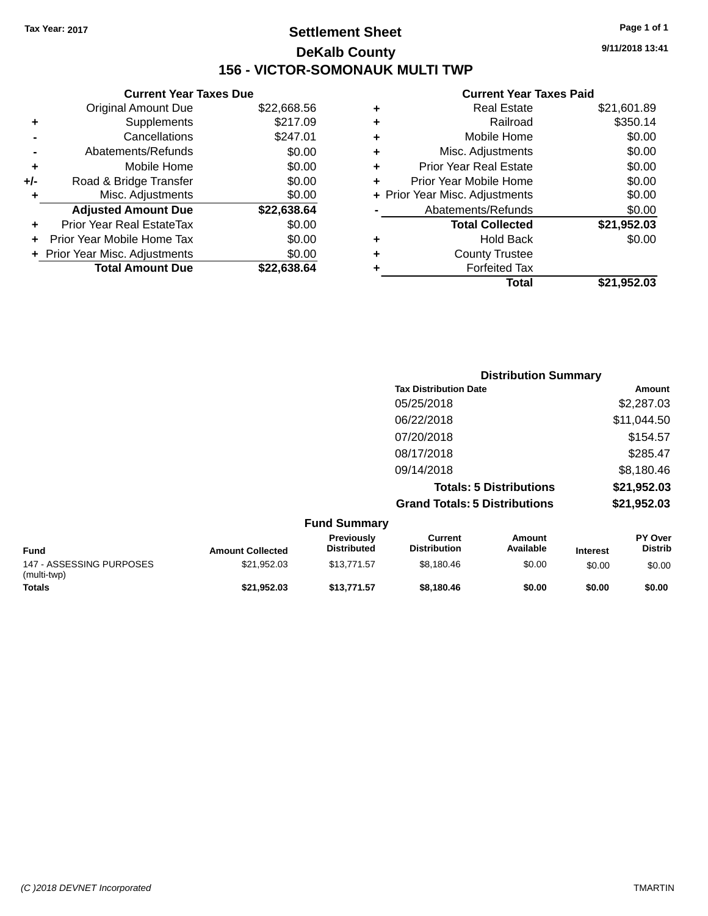# **Settlement Sheet Tax Year: 2017 Page 1 of 1 DeKalb County 156 - VICTOR-SOMONAUK MULTI TWP**

**9/11/2018 13:41**

#### **Current Year Taxes Paid**

|       | <b>Current Year Taxes Due</b>  |             |
|-------|--------------------------------|-------------|
|       | <b>Original Amount Due</b>     | \$22,668.56 |
| ٠     | Supplements                    | \$217.09    |
|       | Cancellations                  | \$247.01    |
|       | Abatements/Refunds             | \$0.00      |
| ÷     | Mobile Home                    | \$0.00      |
| $+/-$ | Road & Bridge Transfer         | \$0.00      |
|       | Misc. Adjustments              | \$0.00      |
|       | <b>Adjusted Amount Due</b>     | \$22,638.64 |
| ٠     | Prior Year Real EstateTax      | \$0.00      |
|       | Prior Year Mobile Home Tax     | \$0.00      |
|       | + Prior Year Misc. Adjustments | \$0.00      |
|       | <b>Total Amount Due</b>        | \$22,638,64 |
|       |                                |             |

| ٠ | <b>Real Estate</b>             | \$21,601.89 |
|---|--------------------------------|-------------|
| ٠ | Railroad                       | \$350.14    |
| ٠ | Mobile Home                    | \$0.00      |
| ٠ | Misc. Adjustments              | \$0.00      |
| ٠ | <b>Prior Year Real Estate</b>  | \$0.00      |
| ÷ | Prior Year Mobile Home         | \$0.00      |
|   | + Prior Year Misc. Adjustments | \$0.00      |
|   | Abatements/Refunds             | \$0.00      |
|   | <b>Total Collected</b>         | \$21,952.03 |
| ٠ | <b>Hold Back</b>               | \$0.00      |
| ٠ | <b>County Trustee</b>          |             |
| ÷ | <b>Forfeited Tax</b>           |             |
|   | Total                          | \$21,952.03 |
|   |                                |             |

| <b>Distribution Summary</b>          |             |
|--------------------------------------|-------------|
| <b>Tax Distribution Date</b>         | Amount      |
| 05/25/2018                           | \$2,287.03  |
| 06/22/2018                           | \$11,044.50 |
| 07/20/2018                           | \$154.57    |
| 08/17/2018                           | \$285.47    |
| 09/14/2018                           | \$8,180.46  |
| <b>Totals: 5 Distributions</b>       | \$21,952.03 |
| <b>Grand Totals: 5 Distributions</b> | \$21,952.03 |

|                                         |                         | <b>Fund Summary</b>              |                                |                     |                 |                                  |
|-----------------------------------------|-------------------------|----------------------------------|--------------------------------|---------------------|-----------------|----------------------------------|
| <b>Fund</b>                             | <b>Amount Collected</b> | Previously<br><b>Distributed</b> | Current<br><b>Distribution</b> | Amount<br>Available | <b>Interest</b> | <b>PY Over</b><br><b>Distrib</b> |
| 147 - ASSESSING PURPOSES<br>(multi-twp) | \$21,952.03             | \$13,771.57                      | \$8,180.46                     | \$0.00              | \$0.00          | \$0.00                           |
| Totals                                  | \$21.952.03             | \$13,771.57                      | \$8.180.46                     | \$0.00              | \$0.00          | \$0.00                           |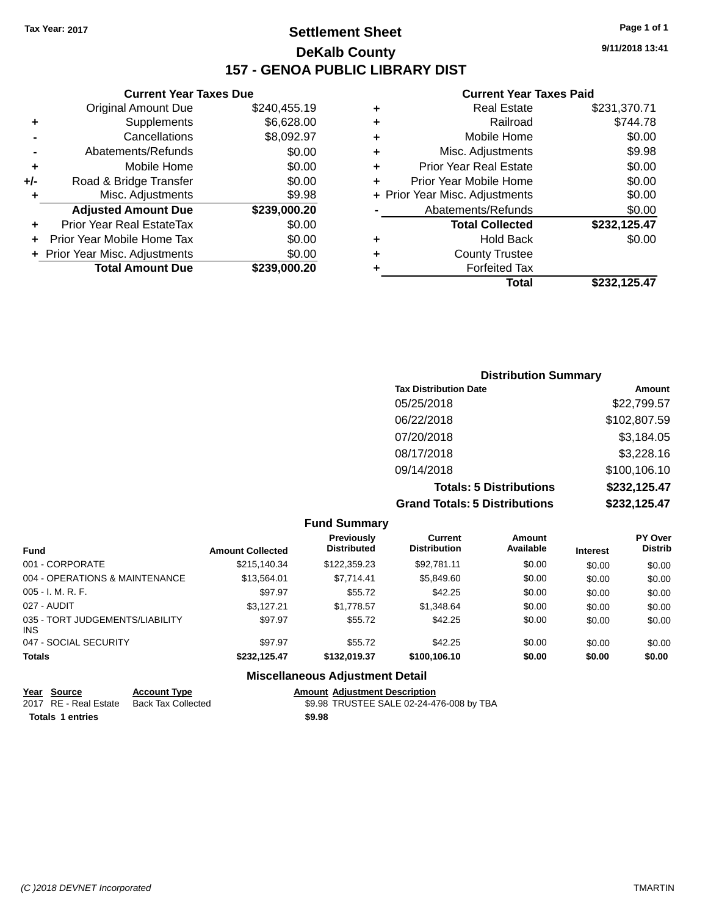## **Settlement Sheet Tax Year: 2017 Page 1 of 1 DeKalb County 157 - GENOA PUBLIC LIBRARY DIST**

**9/11/2018 13:41**

#### **Current Year Taxes Paid**

|     | <b>Current Year Taxes Due</b>  |              |
|-----|--------------------------------|--------------|
|     | <b>Original Amount Due</b>     | \$240,455.19 |
| ٠   | Supplements                    | \$6,628.00   |
|     | Cancellations                  | \$8,092.97   |
|     | Abatements/Refunds             | \$0.00       |
| ٠   | Mobile Home                    | \$0.00       |
| +/- | Road & Bridge Transfer         | \$0.00       |
|     | Misc. Adjustments              | \$9.98       |
|     | <b>Adjusted Amount Due</b>     | \$239,000.20 |
|     | Prior Year Real EstateTax      | \$0.00       |
|     | Prior Year Mobile Home Tax     | \$0.00       |
|     | + Prior Year Misc. Adjustments | \$0.00       |
|     | <b>Total Amount Due</b>        | \$239,000.20 |
|     |                                |              |

|   | Total                          | \$232,125.47 |
|---|--------------------------------|--------------|
| ٠ | <b>Forfeited Tax</b>           |              |
| ٠ | <b>County Trustee</b>          |              |
| ٠ | <b>Hold Back</b>               | \$0.00       |
|   | <b>Total Collected</b>         | \$232,125.47 |
|   | Abatements/Refunds             | \$0.00       |
|   | + Prior Year Misc. Adjustments | \$0.00       |
| ٠ | Prior Year Mobile Home         | \$0.00       |
| ٠ | <b>Prior Year Real Estate</b>  | \$0.00       |
| ٠ | Misc. Adjustments              | \$9.98       |
| ٠ | Mobile Home                    | \$0.00       |
| ٠ | Railroad                       | \$744.78     |
| ٠ | <b>Real Estate</b>             | \$231,370.71 |
|   |                                |              |

| <b>Distribution Summary</b>          |              |
|--------------------------------------|--------------|
| <b>Tax Distribution Date</b>         | Amount       |
| 05/25/2018                           | \$22,799.57  |
| 06/22/2018                           | \$102,807.59 |
| 07/20/2018                           | \$3,184.05   |
| 08/17/2018                           | \$3,228.16   |
| 09/14/2018                           | \$100,106.10 |
| <b>Totals: 5 Distributions</b>       | \$232,125.47 |
| <b>Grand Totals: 5 Distributions</b> | \$232,125.47 |

|                                         |                         | <b>Fund Summary</b>                     |                                |                     |                 |                                  |
|-----------------------------------------|-------------------------|-----------------------------------------|--------------------------------|---------------------|-----------------|----------------------------------|
| <b>Fund</b>                             | <b>Amount Collected</b> | <b>Previously</b><br><b>Distributed</b> | Current<br><b>Distribution</b> | Amount<br>Available | <b>Interest</b> | <b>PY Over</b><br><b>Distrib</b> |
| 001 - CORPORATE                         | \$215,140.34            | \$122,359.23                            | \$92,781.11                    | \$0.00              | \$0.00          | \$0.00                           |
| 004 - OPERATIONS & MAINTENANCE          | \$13.564.01             | \$7.714.41                              | \$5,849,60                     | \$0.00              | \$0.00          | \$0.00                           |
| $005 - I. M. R. F.$                     | \$97.97                 | \$55.72                                 | \$42.25                        | \$0.00              | \$0.00          | \$0.00                           |
| 027 - AUDIT                             | \$3.127.21              | \$1.778.57                              | \$1,348,64                     | \$0.00              | \$0.00          | \$0.00                           |
| 035 - TORT JUDGEMENTS/LIABILITY<br>INS. | \$97.97                 | \$55.72                                 | \$42.25                        | \$0.00              | \$0.00          | \$0.00                           |
| 047 - SOCIAL SECURITY                   | \$97.97                 | \$55.72                                 | \$42.25                        | \$0.00              | \$0.00          | \$0.00                           |
| <b>Totals</b>                           | \$232,125.47            | \$132,019.37                            | \$100,106.10                   | \$0.00              | \$0.00          | \$0.00                           |
|                                         | ---<br>.                |                                         |                                |                     |                 |                                  |

#### **Miscellaneous Adjustment Detail**

| Year Source           | <b>Account Type</b>       |        | <b>Amount Adjustment Description</b>     |
|-----------------------|---------------------------|--------|------------------------------------------|
| 2017 RE - Real Estate | <b>Back Tax Collected</b> |        | \$9.98 TRUSTEE SALE 02-24-476-008 by TBA |
| Totals 1 entries      |                           | \$9.98 |                                          |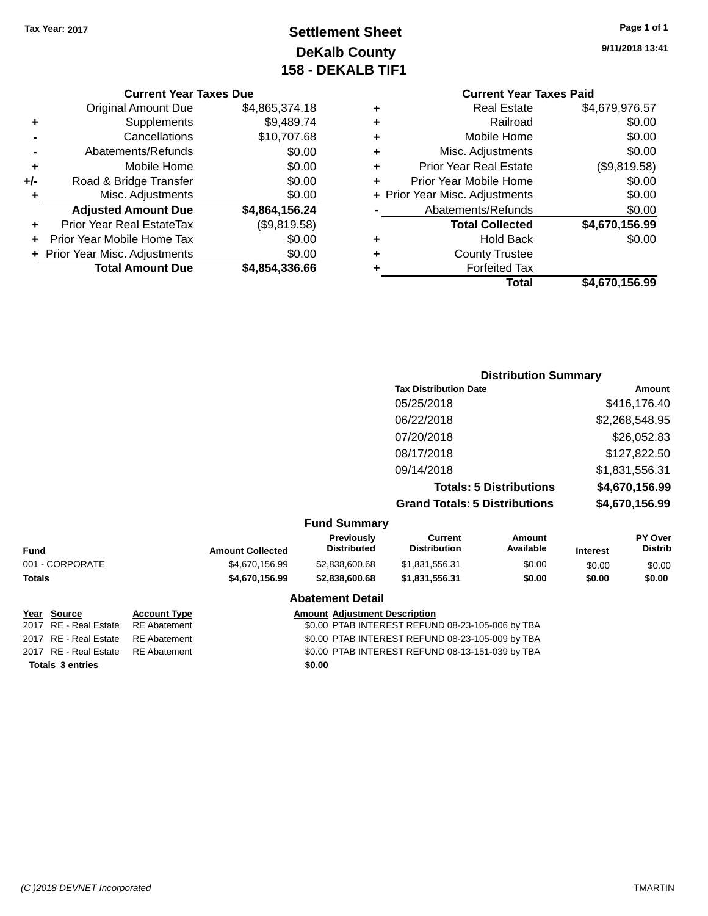# **Settlement Sheet Tax Year: 2017 Page 1 of 1 DeKalb County 158 - DEKALB TIF1**

**9/11/2018 13:41**

#### **Current Year Taxes Due**

|     | <b>Original Amount Due</b>     | \$4,865,374.18 |
|-----|--------------------------------|----------------|
| ٠   | Supplements                    | \$9,489.74     |
|     | Cancellations                  | \$10,707.68    |
|     | Abatements/Refunds             | \$0.00         |
| ٠   | Mobile Home                    | \$0.00         |
| +/- | Road & Bridge Transfer         | \$0.00         |
| ۰   | Misc. Adjustments              | \$0.00         |
|     | <b>Adjusted Amount Due</b>     | \$4,864,156.24 |
| ÷   | Prior Year Real EstateTax      | (\$9,819.58)   |
|     | Prior Year Mobile Home Tax     | \$0.00         |
|     | + Prior Year Misc. Adjustments | \$0.00         |
|     | <b>Total Amount Due</b>        | \$4,854,336.66 |
|     |                                |                |

|   | <b>Current Year Taxes Paid</b> |                |
|---|--------------------------------|----------------|
| ٠ | <b>Real Estate</b>             | \$4,679,976.57 |
| ٠ | Railroad                       | \$0.00         |
| ٠ | Mobile Home                    | \$0.00         |
| ٠ | Misc. Adjustments              | \$0.00         |
| ٠ | <b>Prior Year Real Estate</b>  | (\$9,819.58)   |
| ٠ | Prior Year Mobile Home         | \$0.00         |
|   | + Prior Year Misc. Adjustments | \$0.00         |
|   | Abatements/Refunds             | \$0.00         |
|   | <b>Total Collected</b>         | \$4,670,156.99 |
| ٠ | Hold Back                      | \$0.00         |
|   | <b>County Trustee</b>          |                |
|   | <b>Forfeited Tax</b>           |                |
|   | Total                          | \$4,670,156.99 |
|   |                                |                |

#### **Distribution Summary Tax Distribution Date Amount** 05/25/2018 \$416,176.40 06/22/2018 \$2,268,548.95 07/20/2018 \$26,052.83 08/17/2018 \$127,822.50 09/14/2018 \$1,831,556.31 **Totals: 5 Distributions \$4,670,156.99 Grand Totals: 5 Distributions \$4,670,156.99**

|  |  | <b>Fund Summary</b> |
|--|--|---------------------|
|--|--|---------------------|

| Fund            | <b>Amount Collected</b> | <b>Previously</b><br><b>Distributed</b> | Current<br><b>Distribution</b> | Amount<br>Available | <b>Interest</b> | <b>PY Over</b><br><b>Distrib</b> |
|-----------------|-------------------------|-----------------------------------------|--------------------------------|---------------------|-----------------|----------------------------------|
| 001 - CORPORATE | \$4,670,156,99          | \$2,838,600.68                          | \$1.831.556.31                 | \$0.00              | \$0.00          | \$0.00                           |
| Totals          | \$4,670,156,99          | \$2,838,600,68                          | \$1.831.556.31                 | \$0.00              | \$0.00          | \$0.00                           |
|                 |                         | Ahatamant Datail                        |                                |                     |                 |                                  |

#### **Abatement Detail**

**Year Source Account Type Amount Adjustment Description** 2017 RE - Real Estate RE Abatement \$0.00 PTAB INTEREST REFUND 08-23-105-006 by TBA 2017 RE - Real Estate RE Abatement \$0.00 PTAB INTEREST REFUND 08-23-105-009 by TBA 2017 RE - Real Estate RE Abatement \$0.00 PTAB INTEREST REFUND 08-13-151-039 by TBA

**Totals \$0.00 3 entries**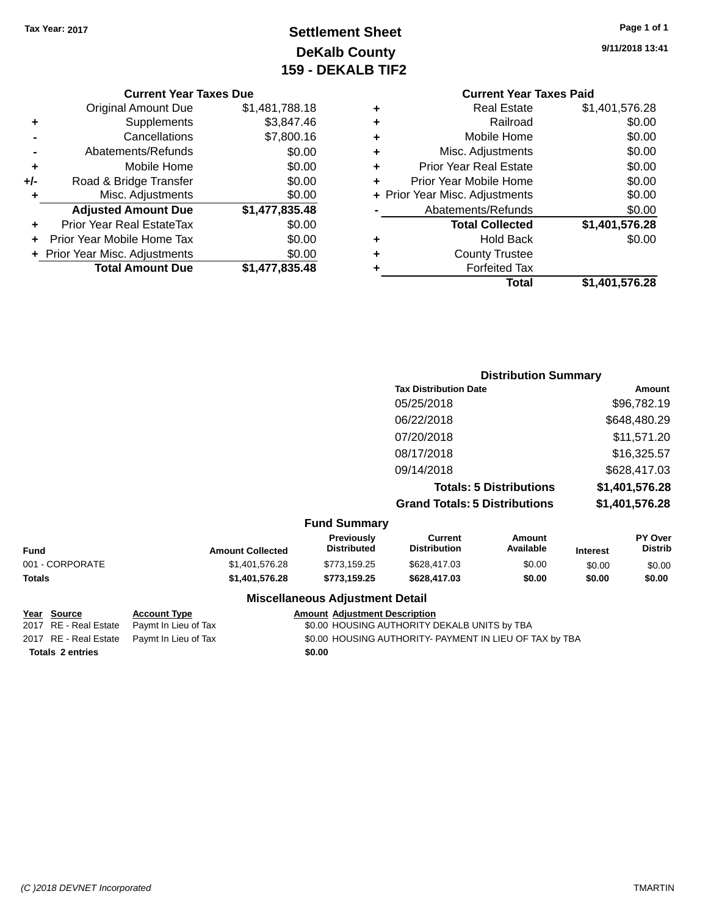# **Settlement Sheet Tax Year: 2017 Page 1 of 1 DeKalb County 159 - DEKALB TIF2**

**9/11/2018 13:41**

#### **Current Year Taxes Due**

|       | <b>Total Amount Due</b>        | \$1,477,835.48 |
|-------|--------------------------------|----------------|
|       | + Prior Year Misc. Adjustments | \$0.00         |
|       | Prior Year Mobile Home Tax     | \$0.00         |
| ÷     | Prior Year Real EstateTax      | \$0.00         |
|       | <b>Adjusted Amount Due</b>     | \$1,477,835.48 |
| ٠     | Misc. Adjustments              | \$0.00         |
| $+/-$ | Road & Bridge Transfer         | \$0.00         |
| ÷     | Mobile Home                    | \$0.00         |
|       | Abatements/Refunds             | \$0.00         |
|       | Cancellations                  | \$7,800.16     |
| ٠     | Supplements                    | \$3,847.46     |
|       | <b>Original Amount Due</b>     | \$1,481,788.18 |
|       |                                |                |

|   | <b>Current Year Taxes Paid</b> |                |
|---|--------------------------------|----------------|
| ٠ | <b>Real Estate</b>             | \$1,401,576.28 |
| ٠ | Railroad                       | \$0.00         |
| ٠ | Mobile Home                    | \$0.00         |
|   | Misc. Adjustments              | \$0.00         |
| ٠ | <b>Prior Year Real Estate</b>  | \$0.00         |
| ٠ | Prior Year Mobile Home         | \$0.00         |
|   | + Prior Year Misc. Adjustments | \$0.00         |
|   | Abatements/Refunds             | \$0.00         |
|   | <b>Total Collected</b>         | \$1,401,576.28 |
| ٠ | <b>Hold Back</b>               | \$0.00         |
|   | <b>County Trustee</b>          |                |
|   | <b>Forfeited Tax</b>           |                |
|   | Total                          | \$1,401,576.28 |
|   |                                |                |

| <b>Distribution Summary</b>          |                |
|--------------------------------------|----------------|
| <b>Tax Distribution Date</b>         | Amount         |
| 05/25/2018                           | \$96,782.19    |
| 06/22/2018                           | \$648,480.29   |
| 07/20/2018                           | \$11,571.20    |
| 08/17/2018                           | \$16,325.57    |
| 09/14/2018                           | \$628,417.03   |
| <b>Totals: 5 Distributions</b>       | \$1,401,576.28 |
| <b>Grand Totals: 5 Distributions</b> | \$1,401,576.28 |

|  | <b>Fund Summary</b> |
|--|---------------------|
|--|---------------------|

| Fund            | <b>Amount Collected</b> | <b>Previously</b><br><b>Distributed</b> | Current<br><b>Distribution</b> | Amount<br>Available | <b>Interest</b> | <b>PY Over</b><br><b>Distrib</b> |
|-----------------|-------------------------|-----------------------------------------|--------------------------------|---------------------|-----------------|----------------------------------|
| 001 - CORPORATE | \$1,401,576,28          | \$773.159.25                            | \$628,417.03                   | \$0.00              | \$0.00          | \$0.00                           |
| Totals          | \$1,401,576.28          | \$773.159.25                            | \$628,417.03                   | \$0.00              | \$0.00          | \$0.00                           |
|                 |                         |                                         |                                |                     |                 |                                  |

#### **Miscellaneous Adjustment Detail**

| Year Source             | <b>Account Type</b>                        | <b>Amount Adjustment Description</b>                    |
|-------------------------|--------------------------------------------|---------------------------------------------------------|
| 2017 RE - Real Estate   | Paymt In Lieu of Tax                       | \$0.00 HOUSING AUTHORITY DEKALB UNITS by TBA            |
|                         | 2017 RE - Real Estate Paymt In Lieu of Tax | \$0.00 HOUSING AUTHORITY- PAYMENT IN LIEU OF TAX by TBA |
| <b>Totals 2 entries</b> |                                            | \$0.00                                                  |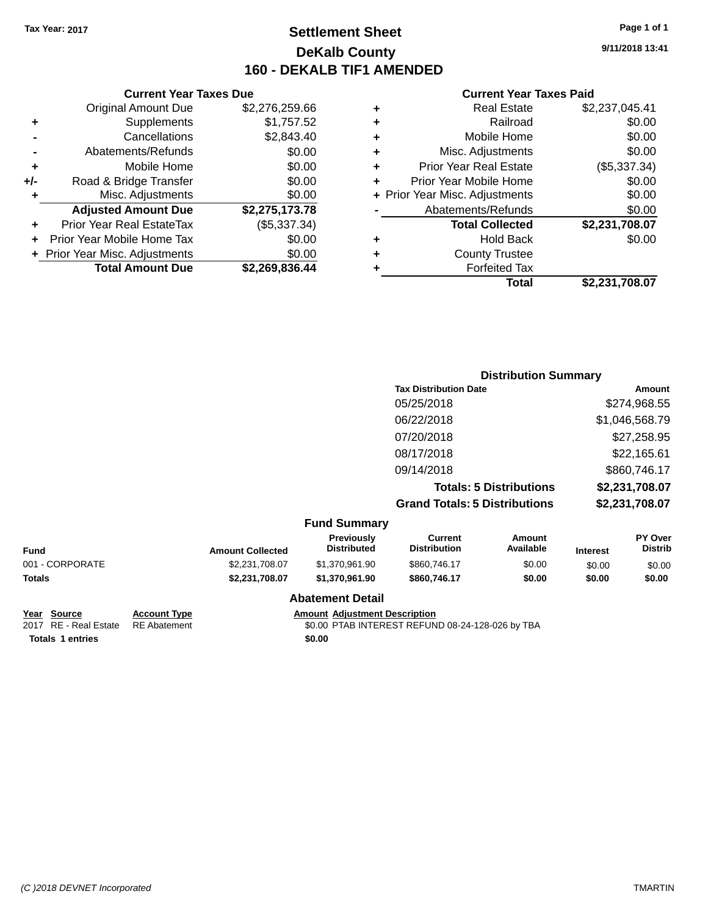## **Settlement Sheet Tax Year: 2017 Page 1 of 1 DeKalb County 160 - DEKALB TIF1 AMENDED**

**9/11/2018 13:41**

#### **Current Year Taxes Paid**

|     | <b>Current Year Taxes Due</b>  |                |      |
|-----|--------------------------------|----------------|------|
|     | <b>Original Amount Due</b>     | \$2,276,259.66 | ٠    |
|     | Supplements                    | \$1,757.52     | ٠    |
|     | Cancellations                  | \$2,843.40     | ٠    |
|     | Abatements/Refunds             | \$0.00         | ٠    |
|     | Mobile Home                    | \$0.00         | ٠    |
| +/- | Road & Bridge Transfer         | \$0.00         | ٠    |
|     | Misc. Adjustments              | \$0.00         | Pric |
|     | <b>Adjusted Amount Due</b>     | \$2,275,173.78 |      |
| ٠   | Prior Year Real EstateTax      | (\$5,337.34)   |      |
|     | Prior Year Mobile Home Tax     | \$0.00         | ٠    |
|     | + Prior Year Misc. Adjustments | \$0.00         |      |
|     | <b>Total Amount Due</b>        | \$2,269,836.44 |      |
|     |                                |                |      |

| ٠ | <b>Real Estate</b>             | \$2,237,045.41 |
|---|--------------------------------|----------------|
| ٠ | Railroad                       | \$0.00         |
| ٠ | Mobile Home                    | \$0.00         |
| ٠ | Misc. Adjustments              | \$0.00         |
| ٠ | <b>Prior Year Real Estate</b>  | (\$5,337.34)   |
| ÷ | Prior Year Mobile Home         | \$0.00         |
|   | + Prior Year Misc. Adjustments | \$0.00         |
|   | Abatements/Refunds             | \$0.00         |
|   | <b>Total Collected</b>         | \$2,231,708.07 |
| ٠ | <b>Hold Back</b>               | \$0.00         |
| ٠ | <b>County Trustee</b>          |                |
| ٠ | <b>Forfeited Tax</b>           |                |
|   | Total                          | \$2,231,708.07 |
|   |                                |                |

|                    |                           |                                      | <b>Distribution Summary</b>    |                 |                           |
|--------------------|---------------------------|--------------------------------------|--------------------------------|-----------------|---------------------------|
|                    |                           | <b>Tax Distribution Date</b>         |                                |                 | Amount                    |
|                    |                           | 05/25/2018                           |                                |                 | \$274,968.55              |
|                    |                           | 06/22/2018                           |                                |                 | \$1,046,568.79            |
|                    |                           | 07/20/2018                           |                                |                 | \$27,258.95               |
|                    |                           | 08/17/2018                           |                                |                 | \$22,165.61               |
|                    |                           | 09/14/2018                           |                                |                 | \$860,746.17              |
|                    |                           |                                      | <b>Totals: 5 Distributions</b> |                 | \$2,231,708.07            |
|                    |                           | <b>Grand Totals: 5 Distributions</b> |                                |                 | \$2,231,708.07            |
|                    | <b>Fund Summary</b>       |                                      |                                |                 |                           |
| Americal Callacted | Previously<br>Distributed | <b>Current</b><br>Distribution       | Amount<br>Availahle            | <b>Interest</b> | PY Over<br><b>Distrib</b> |

| <b>Fund</b>           |                     | <b>Amount Collected</b> | Previously<br><b>Distributed</b>     | Current<br><b>Distribution</b> | Amount<br>Available | <b>Interest</b> | PY Over<br><b>Distrib</b> |
|-----------------------|---------------------|-------------------------|--------------------------------------|--------------------------------|---------------------|-----------------|---------------------------|
| 001 - CORPORATE       |                     | \$2,231,708.07          | \$1,370,961.90                       | \$860,746.17                   | \$0.00              | \$0.00          | \$0.00                    |
| <b>Totals</b>         |                     | \$2.231.708.07          | \$1,370,961.90                       | \$860,746.17                   | \$0.00              | \$0.00          | \$0.00                    |
|                       |                     |                         | <b>Abatement Detail</b>              |                                |                     |                 |                           |
| <u>Year</u><br>Source | <b>Account Type</b> |                         | <b>Amount Adjustment Description</b> |                                |                     |                 |                           |

**Totals 1 entries** \$0.00

#### 2017 RE - Real Estate RE Abatement \$0.00 PTAB INTEREST REFUND 08-24-128-026 by TBA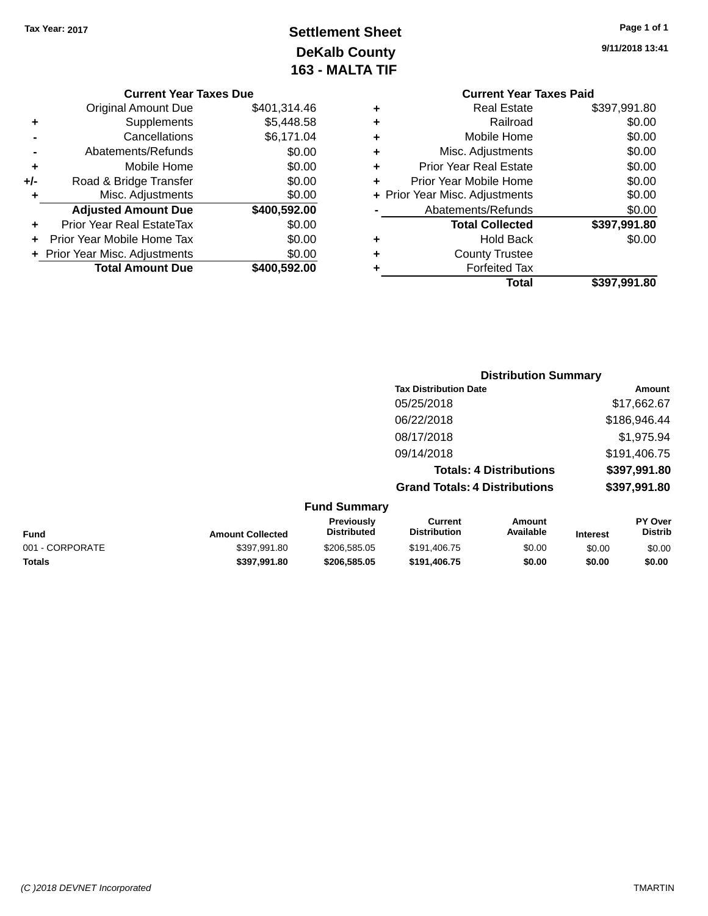# **Settlement Sheet Tax Year: 2017 Page 1 of 1 DeKalb County 163 - MALTA TIF**

**Current Year Taxes Due** Original Amount Due \$401,314.46 **+** Supplements \$5,448.58 **-** Cancellations \$6,171.04 **-** Abatements/Refunds \$0.00 **+** Mobile Home \$0.00 **+/-** Road & Bridge Transfer \$0.00<br> **+** Misc. Adjustments \$0.00 **+** Misc. Adjustments **Adjusted Amount Due \$400,592.00 +** Prior Year Real EstateTax \$0.00 **+** Prior Year Mobile Home Tax \$0.00 **+ Prior Year Misc. Adjustments**  $$0.00$ **Total Amount Due \$400,592.00**  **9/11/2018 13:41**

|   | <b>Current Year Taxes Paid</b> |              |
|---|--------------------------------|--------------|
| ٠ | Real Estate                    | \$397,991.80 |
|   | Railroad                       | \$0.00       |
| ٠ | Mobile Home                    | \$0.00       |
|   | Misc. Adjustments              | \$0.00       |
| ٠ | <b>Prior Year Real Estate</b>  | \$0.00       |
| ٠ | Prior Year Mobile Home         | \$0.00       |
|   | + Prior Year Misc. Adjustments | \$0.00       |
|   | Abatements/Refunds             | \$0.00       |
|   | <b>Total Collected</b>         | \$397,991.80 |
|   | Hold Back                      | \$0.00       |
|   | <b>County Trustee</b>          |              |
|   | <b>Forfeited Tax</b>           |              |
|   | Total                          | \$397,991.80 |
|   |                                |              |

|                         |                                         | <b>Distribution Summary</b>           |                                |                 |                                               |
|-------------------------|-----------------------------------------|---------------------------------------|--------------------------------|-----------------|-----------------------------------------------|
|                         |                                         | <b>Tax Distribution Date</b>          |                                |                 | <b>Amount</b>                                 |
|                         |                                         | 05/25/2018                            |                                |                 | \$17,662.67                                   |
|                         |                                         | 06/22/2018                            |                                |                 | \$186,946.44                                  |
|                         |                                         | 08/17/2018                            |                                |                 | \$1,975.94                                    |
|                         |                                         | 09/14/2018                            |                                |                 | \$191,406.75                                  |
|                         |                                         |                                       | <b>Totals: 4 Distributions</b> |                 | \$397,991.80                                  |
|                         |                                         | <b>Grand Totals: 4 Distributions</b>  |                                |                 | \$397,991.80                                  |
|                         | <b>Fund Summary</b>                     |                                       |                                |                 |                                               |
| <b>Amount Collected</b> | <b>Previously</b><br><b>Distributed</b> | <b>Current</b><br><b>Distribution</b> | Amount<br>Available            | <b>Interest</b> | PY Over<br><b>Distrib</b>                     |
| 0.0270100               |                                         | $0.101$ $100 = T$                     | $\sim$ $\sim$                  | $\sim$ $\sim$   | $\mathbf{A} \mathbf{A} \mathbf{A} \mathbf{A}$ |

| <b>Fund</b>     | <b>Amount Collected</b> | <b>FICVIUUSIV</b><br><b>Distributed</b> | uurent<br><b>Distribution</b> | anvunt<br>Available | Interest | г і мег<br>Distrib |
|-----------------|-------------------------|-----------------------------------------|-------------------------------|---------------------|----------|--------------------|
| 001 - CORPORATE | \$397.991.80            | \$206,585,05                            | \$191.406.75                  | \$0.00              | \$0.00   | \$0.00             |
| <b>Totals</b>   | \$397.991.80            | \$206.585.05                            | \$191.406.75                  | \$0.00              | \$0.00   | \$0.00             |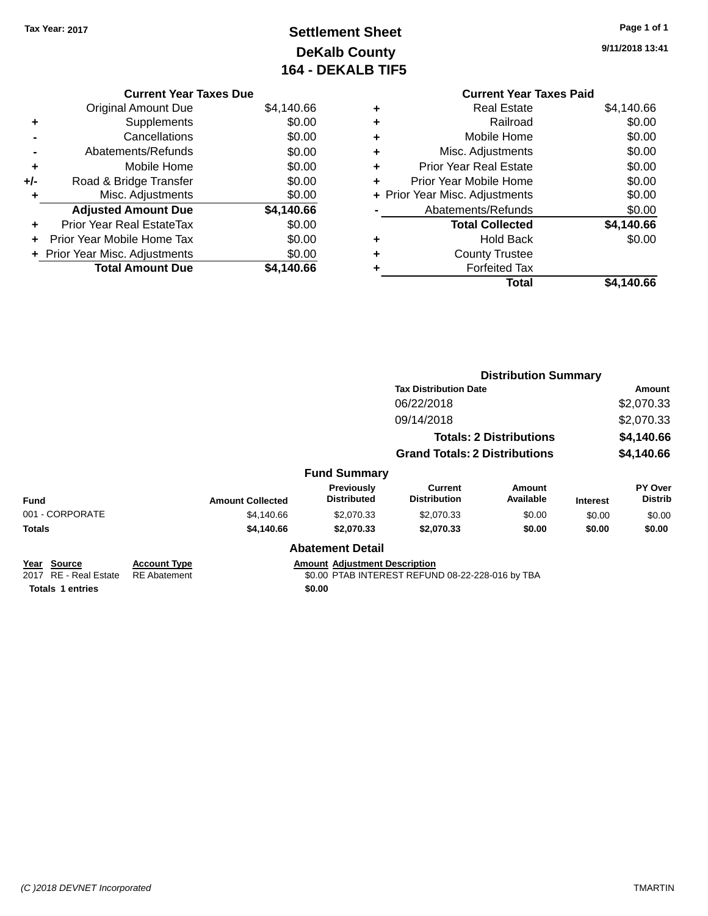# **Settlement Sheet Tax Year: 2017 Page 1 of 1 DeKalb County 164 - DEKALB TIF5**

**9/11/2018 13:41**

| <b>Current Year Taxes Paid</b> |
|--------------------------------|
| \$4,140.66                     |
| \$0.00                         |
| \$0.00                         |
| \$0.00                         |
| \$0.00                         |
| \$0.00                         |
| \$0.00                         |
| \$0.00                         |
| \$4,140.66                     |
| \$0.00                         |
|                                |
|                                |
| \$4,140.66                     |
|                                |

|     | <b>Current Year Taxes Due</b>    |            |
|-----|----------------------------------|------------|
|     | Original Amount Due              | \$4,140.66 |
| ٠   | Supplements                      | \$0.00     |
|     | Cancellations                    | \$0.00     |
|     | Abatements/Refunds               | \$0.00     |
| ٠   | Mobile Home                      | \$0.00     |
| +/- | Road & Bridge Transfer           | \$0.00     |
| ٠   | Misc. Adjustments                | \$0.00     |
|     | <b>Adjusted Amount Due</b>       | \$4,140.66 |
| ٠   | <b>Prior Year Real EstateTax</b> | \$0.00     |
|     | Prior Year Mobile Home Tax       | \$0.00     |
|     | + Prior Year Misc. Adjustments   | \$0.00     |
|     | <b>Total Amount Due</b>          | \$4.140.66 |

|                                                                                     |                                            |                         |                                                |                                                  | <b>Distribution Summary</b> |                 |                                  |  |
|-------------------------------------------------------------------------------------|--------------------------------------------|-------------------------|------------------------------------------------|--------------------------------------------------|-----------------------------|-----------------|----------------------------------|--|
|                                                                                     |                                            |                         |                                                | <b>Tax Distribution Date</b>                     |                             |                 | <b>Amount</b>                    |  |
|                                                                                     |                                            |                         |                                                | 06/22/2018                                       |                             |                 | \$2,070.33                       |  |
|                                                                                     |                                            |                         |                                                | 09/14/2018                                       |                             |                 | \$2,070.33                       |  |
|                                                                                     |                                            |                         |                                                | <b>Totals: 2 Distributions</b>                   |                             |                 | \$4,140.66                       |  |
|                                                                                     |                                            |                         |                                                | <b>Grand Totals: 2 Distributions</b>             |                             |                 | \$4,140.66                       |  |
|                                                                                     |                                            |                         | <b>Fund Summary</b>                            |                                                  |                             |                 |                                  |  |
| <b>Fund</b>                                                                         |                                            | <b>Amount Collected</b> | <b>Previously</b><br><b>Distributed</b>        | <b>Current</b><br><b>Distribution</b>            | Amount<br>Available         | <b>Interest</b> | <b>PY Over</b><br><b>Distrib</b> |  |
| 001 - CORPORATE                                                                     |                                            | \$4,140.66              | \$2,070.33                                     | \$2,070.33                                       | \$0.00                      | \$0.00          | \$0.00                           |  |
| <b>Totals</b>                                                                       |                                            | \$4,140.66              | \$2,070.33                                     | \$2,070.33                                       | \$0.00                      | \$0.00          | \$0.00                           |  |
|                                                                                     |                                            |                         | <b>Abatement Detail</b>                        |                                                  |                             |                 |                                  |  |
| <b>Source</b><br>Year<br><b>RE</b> - Real Estate<br>2017<br><b>Totals 1 entries</b> | <b>Account Type</b><br><b>RE</b> Abatement |                         | <b>Amount Adjustment Description</b><br>\$0.00 | \$0.00 PTAB INTEREST REFUND 08-22-228-016 by TBA |                             |                 |                                  |  |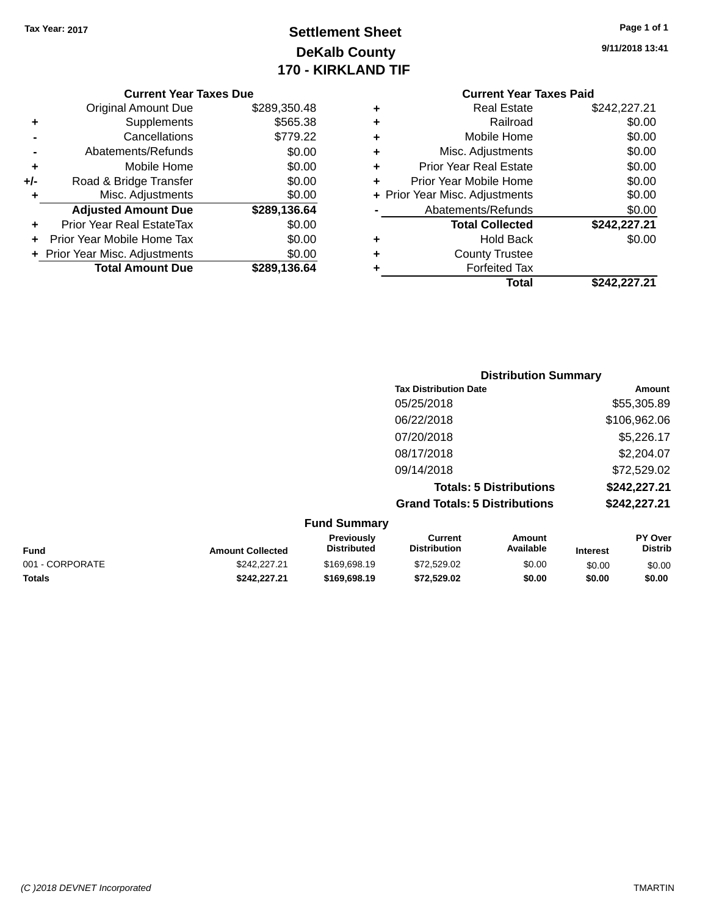# **Settlement Sheet Tax Year: 2017 Page 1 of 1 DeKalb County 170 - KIRKLAND TIF**

| Page 1 of 1 |  |
|-------------|--|
|-------------|--|

**9/11/2018 13:41**

|     | <b>Original Amount Due</b>     | \$289,350.48 |
|-----|--------------------------------|--------------|
| ٠   | Supplements                    | \$565.38     |
|     | Cancellations                  | \$779.22     |
|     | Abatements/Refunds             | \$0.00       |
| ٠   | Mobile Home                    | \$0.00       |
| +/- | Road & Bridge Transfer         | \$0.00       |
| ۰   | Misc. Adjustments              | \$0.00       |
|     | <b>Adjusted Amount Due</b>     | \$289,136.64 |
|     | Prior Year Real EstateTax      | \$0.00       |
|     | Prior Year Mobile Home Tax     | \$0.00       |
|     | + Prior Year Misc. Adjustments | \$0.00       |
|     | <b>Total Amount Due</b>        | \$289,136.64 |

|   | Total                          | \$242,227.21 |
|---|--------------------------------|--------------|
| ٠ | <b>Forfeited Tax</b>           |              |
| ٠ | <b>County Trustee</b>          |              |
| ٠ | <b>Hold Back</b>               | \$0.00       |
|   | <b>Total Collected</b>         | \$242,227.21 |
|   | Abatements/Refunds             | \$0.00       |
|   | + Prior Year Misc. Adjustments | \$0.00       |
| ٠ | Prior Year Mobile Home         | \$0.00       |
| ٠ | <b>Prior Year Real Estate</b>  | \$0.00       |
| ٠ | Misc. Adjustments              | \$0.00       |
| ٠ | Mobile Home                    | \$0.00       |
| ٠ | Railroad                       | \$0.00       |
|   | Real Estate                    | \$242,227.21 |

| <b>Distribution Summary</b>          |              |
|--------------------------------------|--------------|
| <b>Tax Distribution Date</b>         | Amount       |
| 05/25/2018                           | \$55,305.89  |
| 06/22/2018                           | \$106,962.06 |
| 07/20/2018                           | \$5,226.17   |
| 08/17/2018                           | \$2,204.07   |
| 09/14/2018                           | \$72,529.02  |
| <b>Totals: 5 Distributions</b>       | \$242,227.21 |
| <b>Grand Totals: 5 Distributions</b> | \$242,227.21 |

| <b>Fund Summary</b> |                         |                                         |                                |                     |                 |                                  |
|---------------------|-------------------------|-----------------------------------------|--------------------------------|---------------------|-----------------|----------------------------------|
| Fund                | <b>Amount Collected</b> | <b>Previously</b><br><b>Distributed</b> | Current<br><b>Distribution</b> | Amount<br>Available | <b>Interest</b> | <b>PY Over</b><br><b>Distrib</b> |
| 001 - CORPORATE     | \$242,227,21            | \$169,698.19                            | \$72.529.02                    | \$0.00              | \$0.00          | \$0.00                           |
| <b>Totals</b>       | \$242.227.21            | \$169,698.19                            | \$72.529.02                    | \$0.00              | \$0.00          | \$0.00                           |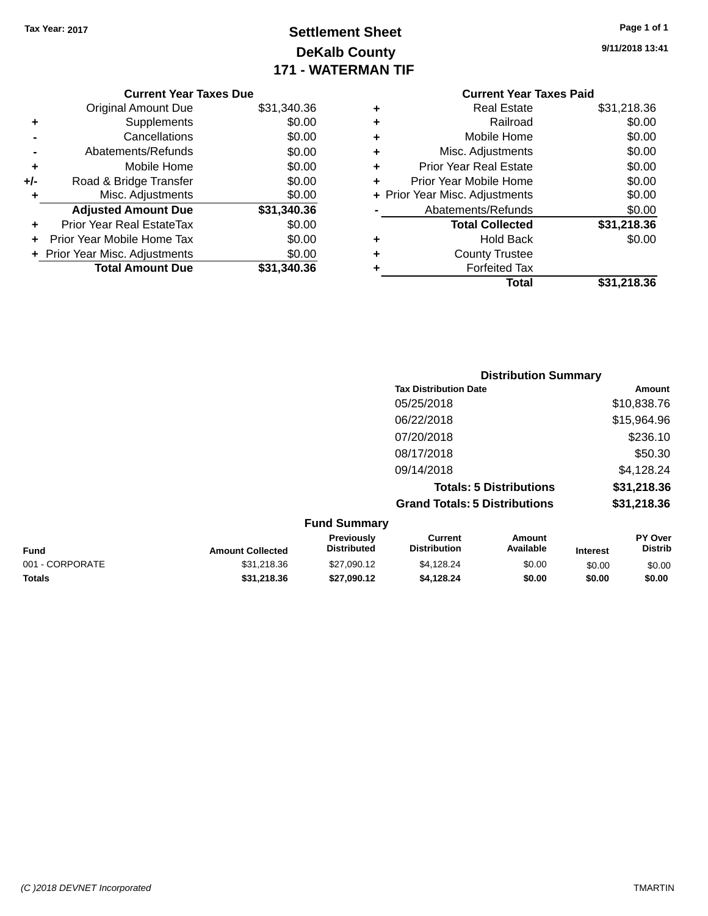# **Settlement Sheet Tax Year: 2017 Page 1 of 1 DeKalb County 171 - WATERMAN TIF**

| Page 1 of 1 |  |  |  |
|-------------|--|--|--|
|-------------|--|--|--|

**9/11/2018 13:41**

|   | <b>Current Year Taxes Paid</b> |             |
|---|--------------------------------|-------------|
| ÷ | <b>Real Estate</b>             | \$31,218.36 |
|   | Railroad                       | \$0.00      |
| ٠ | Mobile Home                    | \$0.00      |
| ٠ | Misc. Adjustments              | \$0.00      |
|   | <b>Prior Year Real Estate</b>  | \$0.00      |
|   | Prior Year Mobile Home         | \$0.00      |
|   | + Prior Year Misc. Adjustments | \$0.00      |
|   | Abatements/Refunds             | \$0.00      |
|   | <b>Total Collected</b>         | \$31,218.36 |
|   | <b>Hold Back</b>               | \$0.00      |
|   | <b>County Trustee</b>          |             |
|   | <b>Forfeited Tax</b>           |             |
|   | Total                          | \$31,218.36 |

|     | <b>Current Year Taxes Due</b>  |             |
|-----|--------------------------------|-------------|
|     | Original Amount Due            | \$31,340.36 |
| ٠   | Supplements                    | \$0.00      |
|     | Cancellations                  | \$0.00      |
|     | Abatements/Refunds             | \$0.00      |
| ٠   | Mobile Home                    | \$0.00      |
| +/- | Road & Bridge Transfer         | \$0.00      |
| ٠   | Misc. Adjustments              | \$0.00      |
|     | <b>Adjusted Amount Due</b>     | \$31,340.36 |
|     | Prior Year Real EstateTax      | \$0.00      |
|     | Prior Year Mobile Home Tax     | \$0.00      |
|     | + Prior Year Misc. Adjustments | \$0.00      |
|     | <b>Total Amount Due</b>        | \$31,340.36 |
|     |                                |             |

| <b>Distribution Summary</b>          |             |
|--------------------------------------|-------------|
| <b>Tax Distribution Date</b>         | Amount      |
| 05/25/2018                           | \$10,838.76 |
| 06/22/2018                           | \$15,964.96 |
| 07/20/2018                           | \$236.10    |
| 08/17/2018                           | \$50.30     |
| 09/14/2018                           | \$4,128.24  |
| <b>Totals: 5 Distributions</b>       | \$31,218.36 |
| <b>Grand Totals: 5 Distributions</b> | \$31,218.36 |

| <b>Fund Summary</b> |                         |                                         |                                |                     |                 |                    |
|---------------------|-------------------------|-----------------------------------------|--------------------------------|---------------------|-----------------|--------------------|
| <b>Fund</b>         | <b>Amount Collected</b> | <b>Previously</b><br><b>Distributed</b> | Current<br><b>Distribution</b> | Amount<br>Available | <b>Interest</b> | PY Over<br>Distrib |
| 001 - CORPORATE     | \$31,218.36             | \$27,090.12                             | \$4,128.24                     | \$0.00              | \$0.00          | \$0.00             |
| <b>Totals</b>       | \$31,218.36             | \$27,090.12                             | \$4.128.24                     | \$0.00              | \$0.00          | \$0.00             |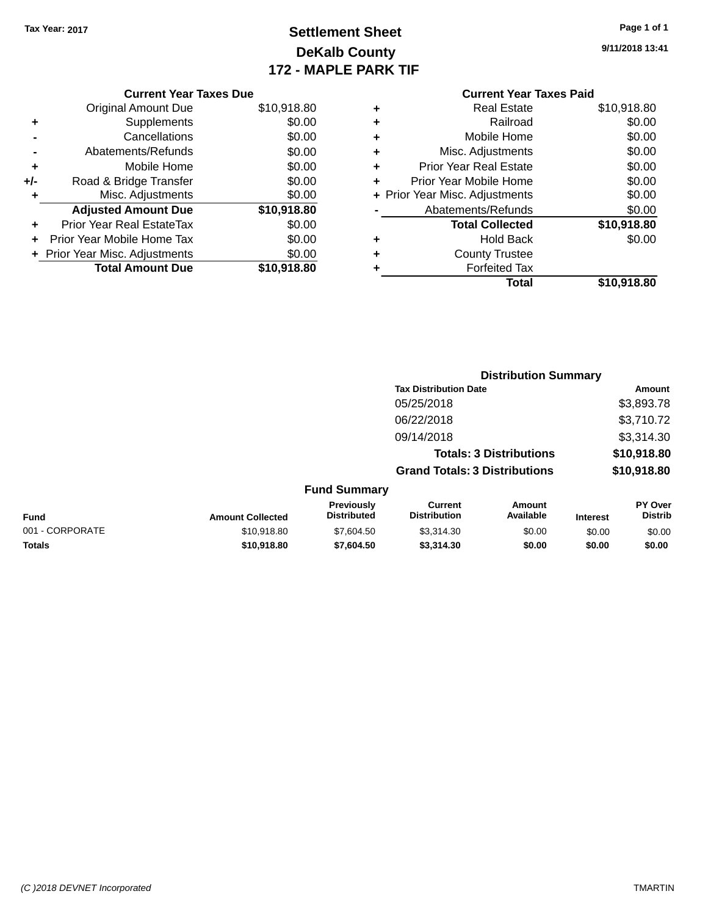# **Settlement Sheet Tax Year: 2017 Page 1 of 1 DeKalb County 172 - MAPLE PARK TIF**

**9/11/2018 13:41**

|     | <b>Current Year Taxes Due</b>  |             |
|-----|--------------------------------|-------------|
|     | <b>Original Amount Due</b>     | \$10,918.80 |
| ٠   | Supplements                    | \$0.00      |
|     | Cancellations                  | \$0.00      |
|     | Abatements/Refunds             | \$0.00      |
| ÷   | Mobile Home                    | \$0.00      |
| +/- | Road & Bridge Transfer         | \$0.00      |
| ٠   | Misc. Adjustments              | \$0.00      |
|     | <b>Adjusted Amount Due</b>     | \$10,918.80 |
| ÷   | Prior Year Real EstateTax      | \$0.00      |
|     | Prior Year Mobile Home Tax     | \$0.00      |
|     | + Prior Year Misc. Adjustments | \$0.00      |
|     | <b>Total Amount Due</b>        | \$10,918.80 |
|     |                                |             |

# **Current Year Taxes Paid +** Real Estate \$10,918.80

|   | Total                          | \$10,918.80 |
|---|--------------------------------|-------------|
|   | <b>Forfeited Tax</b>           |             |
| ٠ | <b>County Trustee</b>          |             |
| ٠ | <b>Hold Back</b>               | \$0.00      |
|   | <b>Total Collected</b>         | \$10,918.80 |
|   | Abatements/Refunds             | \$0.00      |
|   | + Prior Year Misc. Adjustments | \$0.00      |
| ٠ | Prior Year Mobile Home         | \$0.00      |
| ٠ | <b>Prior Year Real Estate</b>  | \$0.00      |
| ٠ | Misc. Adjustments              | \$0.00      |
| ٠ | Mobile Home                    | \$0.00      |
|   | Railroad                       | \$0.00      |

|                         |                                  |                                      | <b>Distribution Summary</b>    |                 |                                  |
|-------------------------|----------------------------------|--------------------------------------|--------------------------------|-----------------|----------------------------------|
|                         |                                  | <b>Tax Distribution Date</b>         |                                |                 | Amount                           |
|                         |                                  | 05/25/2018                           |                                |                 | \$3,893.78                       |
|                         |                                  | 06/22/2018                           |                                |                 | \$3,710.72                       |
|                         |                                  | 09/14/2018                           |                                |                 | \$3,314.30                       |
|                         |                                  |                                      | <b>Totals: 3 Distributions</b> |                 | \$10,918.80                      |
|                         |                                  | <b>Grand Totals: 3 Distributions</b> |                                |                 | \$10,918.80                      |
|                         | <b>Fund Summary</b>              |                                      |                                |                 |                                  |
| <b>Amount Collected</b> | Previously<br><b>Distributed</b> | Current<br><b>Distribution</b>       | Amount<br>Available            | <b>Interest</b> | <b>PY Over</b><br><b>Distrib</b> |

| Fund            | <b>Amount Collected</b> | <b>Previously</b><br><b>Distributed</b> | Current<br>Distribution | Amount<br>Available | <b>Interest</b> | <b>PY Over</b><br><b>Distrib</b> |
|-----------------|-------------------------|-----------------------------------------|-------------------------|---------------------|-----------------|----------------------------------|
| 001 - CORPORATE | \$10.918.80             | \$7,604.50                              | \$3.314.30              | \$0.00              | \$0.00          | \$0.00                           |
| Totals          | \$10,918.80             | \$7,604.50                              | \$3,314,30              | \$0.00              | \$0.00          | \$0.00                           |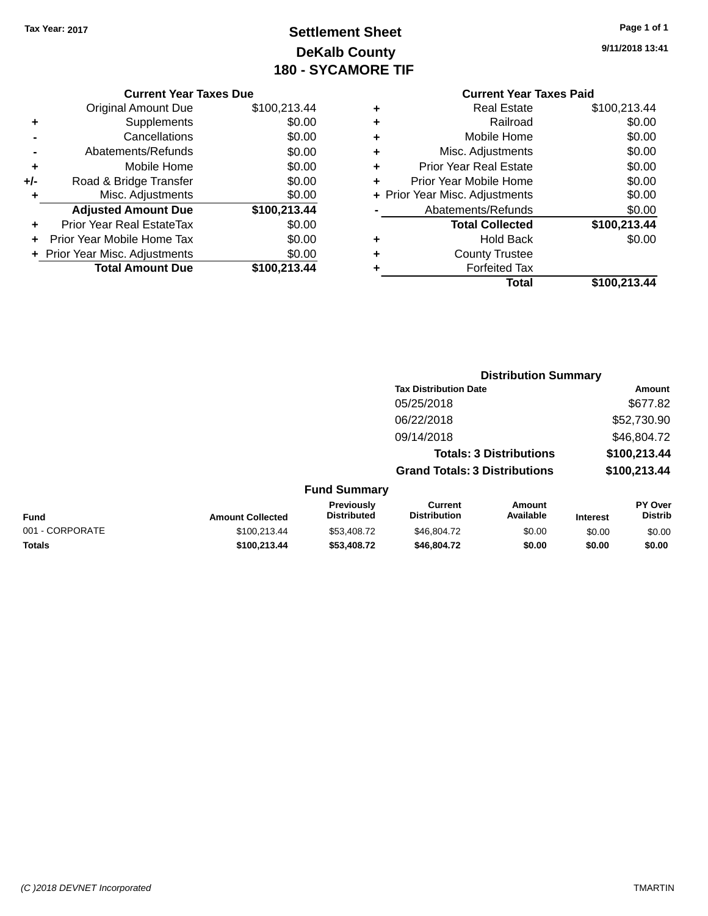# **Settlement Sheet Tax Year: 2017 Page 1 of 1 DeKalb County 180 - SYCAMORE TIF**

**9/11/2018 13:41**

| <b>Current Year Taxes Due</b> |  |  |  |
|-------------------------------|--|--|--|
|-------------------------------|--|--|--|

| \$100,213.44 |
|--------------|
| \$0.00       |
| \$0.00       |
| \$0.00       |
| \$0.00       |
| \$0.00       |
| \$0.00       |
| \$100,213.44 |
| \$0.00       |
| \$0.00       |
| \$0.00       |
| \$100,213.44 |
|              |

#### **Current Year Taxes Paid**

| ٠ | <b>Real Estate</b>             | \$100,213.44 |
|---|--------------------------------|--------------|
| ٠ | Railroad                       | \$0.00       |
| ٠ | Mobile Home                    | \$0.00       |
| ٠ | Misc. Adjustments              | \$0.00       |
| ٠ | <b>Prior Year Real Estate</b>  | \$0.00       |
| ٠ | Prior Year Mobile Home         | \$0.00       |
|   | + Prior Year Misc. Adjustments | \$0.00       |
|   | Abatements/Refunds             | \$0.00       |
|   | <b>Total Collected</b>         | \$100,213.44 |
| ٠ | <b>Hold Back</b>               | \$0.00       |
| ٠ | <b>County Trustee</b>          |              |
| ٠ | <b>Forfeited Tax</b>           |              |
|   | Total                          | \$100,213.44 |
|   |                                |              |

|     |                                         |                                      | <b>Distribution Summary</b>    |                 |                                  |
|-----|-----------------------------------------|--------------------------------------|--------------------------------|-----------------|----------------------------------|
|     |                                         | <b>Tax Distribution Date</b>         |                                |                 | Amount                           |
|     |                                         | 05/25/2018                           |                                |                 | \$677.82                         |
|     |                                         | 06/22/2018                           |                                |                 | \$52,730.90                      |
|     |                                         | 09/14/2018                           |                                |                 | \$46,804.72                      |
|     |                                         |                                      | <b>Totals: 3 Distributions</b> |                 | \$100,213.44                     |
|     |                                         | <b>Grand Totals: 3 Distributions</b> |                                |                 | \$100,213.44                     |
|     | <b>Fund Summary</b>                     |                                      |                                |                 |                                  |
| ted | <b>Previously</b><br><b>Distributed</b> | Current<br><b>Distribution</b>       | Amount<br>Available            | <b>Interest</b> | <b>PY Over</b><br><b>Distrib</b> |

| UITU VUITIITUI Y |                         |                                  |                                |                            |                 |                           |  |
|------------------|-------------------------|----------------------------------|--------------------------------|----------------------------|-----------------|---------------------------|--|
| Fund             | <b>Amount Collected</b> | Previously<br><b>Distributed</b> | Current<br><b>Distribution</b> | Amount<br><b>Available</b> | <b>Interest</b> | <b>PY Over</b><br>Distrib |  |
|                  |                         |                                  |                                |                            |                 |                           |  |
| 001 - CORPORATE  | \$100.213.44            | \$53,408.72                      | \$46.804.72                    | \$0.00                     | \$0.00          | \$0.00                    |  |

**Totals \$100,213.44 \$53,408.72 \$46,804.72 \$0.00 \$0.00 \$0.00**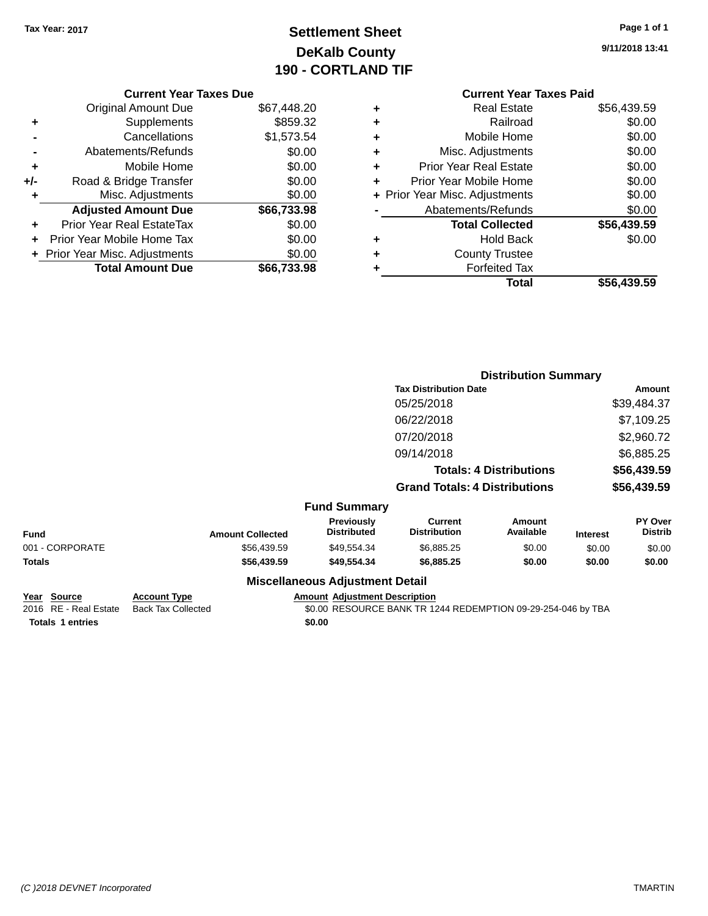# **Settlement Sheet Tax Year: 2017 Page 1 of 1 DeKalb County 190 - CORTLAND TIF**

**9/11/2018 13:41**

#### **Current Year Taxes Paid +** Real Estate \$56,439.59 **+** Railroad \$0.00 **+** Mobile Home \$0.00 **+** Misc. Adjustments \$0.00 **+** Prior Year Real Estate \$0.00 **+** Prior Year Mobile Home \$0.00 **+ Prior Year Misc. Adjustments**  $$0.00$ **-** Abatements/Refunds \$0.00 **Total Collected \$56,439.59 +** Hold Back \$0.00 **+** County Trustee **+** Forfeited Tax **Total \$56,439.59**

|     | <b>Current Year Taxes Due</b>  |             |
|-----|--------------------------------|-------------|
|     | Original Amount Due            | \$67,448.20 |
| ٠   | Supplements                    | \$859.32    |
|     | Cancellations                  | \$1,573.54  |
|     | Abatements/Refunds             | \$0.00      |
| ٠   | Mobile Home                    | \$0.00      |
| +/- | Road & Bridge Transfer         | \$0.00      |
| ٠   | Misc. Adjustments              | \$0.00      |
|     | <b>Adjusted Amount Due</b>     | \$66,733.98 |
| ٠   | Prior Year Real EstateTax      | \$0.00      |
|     | Prior Year Mobile Home Tax     | \$0.00      |
|     | + Prior Year Misc. Adjustments | \$0.00      |
|     | <b>Total Amount Due</b>        | \$66,733.98 |
|     |                                |             |

| Amount<br>\$39,484.37     |
|---------------------------|
|                           |
|                           |
| \$7,109.25                |
| \$2,960.72                |
| \$6,885.25                |
| \$56,439.59               |
| \$56,439.59               |
|                           |
| PY Over<br><b>Distrib</b> |
| \$0.00                    |
| \$0.00                    |
|                           |
|                           |

| Year Source             | <b>Account Type</b>                      | <b>Amount Adiustment Description</b>                         |  |
|-------------------------|------------------------------------------|--------------------------------------------------------------|--|
|                         | 2016 RE - Real Estate Back Tax Collected | \$0.00 RESOURCE BANK TR 1244 REDEMPTION 09-29-254-046 by TBA |  |
| <b>Totals 1 entries</b> |                                          | \$0.00                                                       |  |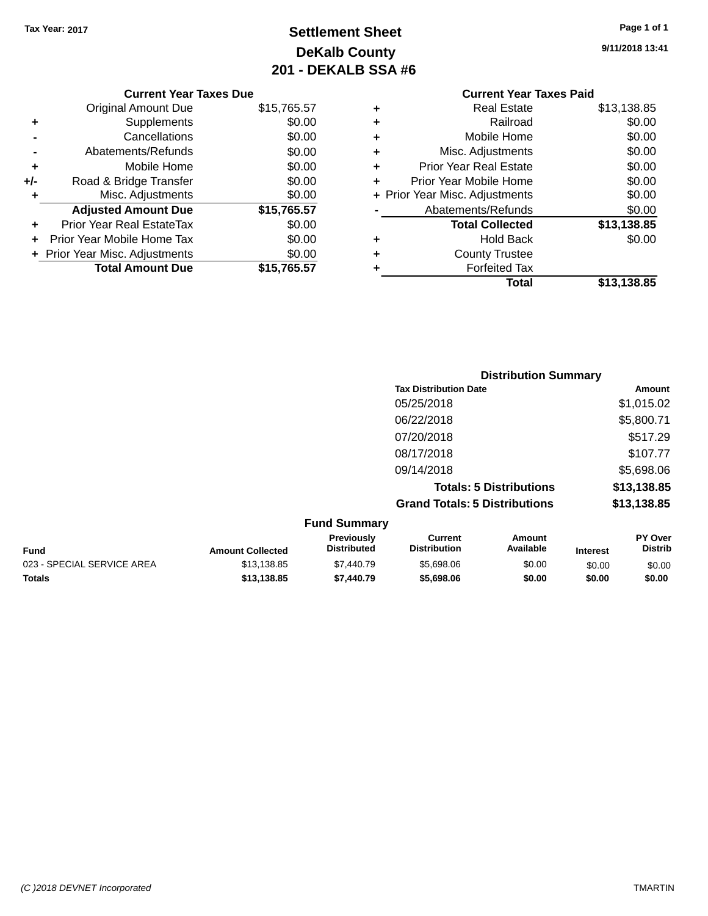# **Settlement Sheet Tax Year: 2017 Page 1 of 1 DeKalb County 201 - DEKALB SSA #6**

| <b>Original Amount Due</b>       | \$15,765.57                   |  |
|----------------------------------|-------------------------------|--|
| Supplements                      | \$0.00                        |  |
| Cancellations                    | \$0.00                        |  |
| Abatements/Refunds               | \$0.00                        |  |
| Mobile Home                      | \$0.00                        |  |
| Road & Bridge Transfer           | \$0.00                        |  |
| \$0.00<br>Misc. Adjustments<br>۰ |                               |  |
| <b>Adjusted Amount Due</b>       | \$15,765.57                   |  |
| Prior Year Real EstateTax        | \$0.00                        |  |
| Prior Year Mobile Home Tax       | \$0.00                        |  |
| + Prior Year Misc. Adjustments   | \$0.00                        |  |
| <b>Total Amount Due</b>          | \$15,765.57                   |  |
|                                  | <b>Current Year Taxes Due</b> |  |

**9/11/2018 13:41**

|   | <b>Current Year Taxes Paid</b> |             |
|---|--------------------------------|-------------|
| ٠ | <b>Real Estate</b>             | \$13,138.85 |
| ٠ | Railroad                       | \$0.00      |
| ٠ | Mobile Home                    | \$0.00      |
| ٠ | Misc. Adjustments              | \$0.00      |
| ٠ | <b>Prior Year Real Estate</b>  | \$0.00      |
|   | Prior Year Mobile Home         | \$0.00      |
|   | + Prior Year Misc. Adjustments | \$0.00      |
|   | Abatements/Refunds             | \$0.00      |
|   | <b>Total Collected</b>         | \$13,138.85 |
| ٠ | Hold Back                      | \$0.00      |
| ٠ | <b>County Trustee</b>          |             |
| ٠ | <b>Forfeited Tax</b>           |             |
|   | Total                          | \$13,138.85 |
|   |                                |             |

|        | <b>Distribution Summary</b>          |             |
|--------|--------------------------------------|-------------|
|        | <b>Tax Distribution Date</b>         | Amount      |
|        | 05/25/2018                           | \$1,015.02  |
|        | 06/22/2018                           | \$5,800.71  |
|        | 07/20/2018                           | \$517.29    |
|        | 08/17/2018                           | \$107.77    |
|        | 09/14/2018                           | \$5,698.06  |
|        | <b>Totals: 5 Distributions</b>       | \$13,138.85 |
|        | <b>Grand Totals: 5 Distributions</b> | \$13,138.85 |
| — IA — |                                      |             |

| <b>Fund Summary</b>        |                         |                                         |                                |                     |                 |                                  |
|----------------------------|-------------------------|-----------------------------------------|--------------------------------|---------------------|-----------------|----------------------------------|
| <b>Fund</b>                | <b>Amount Collected</b> | <b>Previously</b><br><b>Distributed</b> | Current<br><b>Distribution</b> | Amount<br>Available | <b>Interest</b> | <b>PY Over</b><br><b>Distrib</b> |
| 023 - SPECIAL SERVICE AREA | \$13,138.85             | \$7,440.79                              | \$5,698,06                     | \$0.00              | \$0.00          | \$0.00                           |
| <b>Totals</b>              | \$13,138.85             | \$7,440.79                              | \$5,698,06                     | \$0.00              | \$0.00          | \$0.00                           |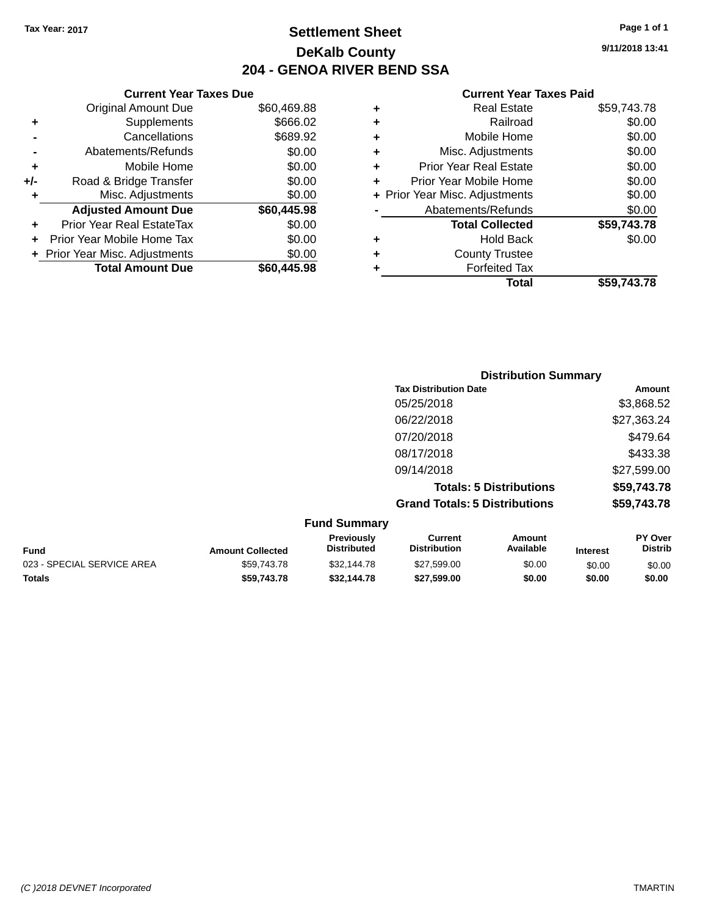## **Settlement Sheet Tax Year: 2017 Page 1 of 1 DeKalb County 204 - GENOA RIVER BEND SSA**

**9/11/2018 13:41**

|     | <b>Current Year Taxes Due</b>  |             |       |
|-----|--------------------------------|-------------|-------|
|     | <b>Original Amount Due</b>     | \$60,469.88 | ÷     |
|     | Supplements                    | \$666.02    | ٠     |
|     | Cancellations                  | \$689.92    | ٠     |
|     | Abatements/Refunds             | \$0.00      | ٠     |
|     | Mobile Home                    | \$0.00      | ٠     |
| +/- | Road & Bridge Transfer         | \$0.00      |       |
|     | Misc. Adjustments              | \$0.00      | Prior |
|     | <b>Adjusted Amount Due</b>     | \$60,445.98 |       |
|     | Prior Year Real EstateTax      | \$0.00      |       |
|     | Prior Year Mobile Home Tax     | \$0.00      | ٠     |
|     | + Prior Year Misc. Adjustments | \$0.00      |       |
|     | <b>Total Amount Due</b>        | \$60,445.98 |       |
|     |                                |             |       |

|   | <b>Real Estate</b>             | \$59,743.78 |
|---|--------------------------------|-------------|
| ٠ | Railroad                       | \$0.00      |
| ٠ | Mobile Home                    | \$0.00      |
| ٠ | Misc. Adjustments              | \$0.00      |
| ٠ | <b>Prior Year Real Estate</b>  | \$0.00      |
| ÷ | Prior Year Mobile Home         | \$0.00      |
|   | + Prior Year Misc. Adjustments | \$0.00      |
|   | Abatements/Refunds             | \$0.00      |
|   | <b>Total Collected</b>         | \$59,743.78 |
| ٠ | <b>Hold Back</b>               | \$0.00      |
| ٠ | <b>County Trustee</b>          |             |
| ٠ | <b>Forfeited Tax</b>           |             |
|   | Total                          | \$59,743.78 |
|   |                                |             |

|                    | <b>Distribution Summary</b>          |             |
|--------------------|--------------------------------------|-------------|
|                    | <b>Tax Distribution Date</b>         | Amount      |
|                    | 05/25/2018                           | \$3,868.52  |
|                    | 06/22/2018                           | \$27,363.24 |
|                    | 07/20/2018                           | \$479.64    |
|                    | 08/17/2018                           | \$433.38    |
|                    | 09/14/2018                           | \$27,599.00 |
|                    | <b>Totals: 5 Distributions</b>       | \$59,743.78 |
|                    | <b>Grand Totals: 5 Distributions</b> | \$59,743.78 |
| $E$ und $R$ ummorv |                                      |             |

| <b>Fund Summary</b>     |                                         |                                |                     |                 |                           |  |
|-------------------------|-----------------------------------------|--------------------------------|---------------------|-----------------|---------------------------|--|
| <b>Amount Collected</b> | <b>Previously</b><br><b>Distributed</b> | Current<br><b>Distribution</b> | Amount<br>Available | <b>Interest</b> | <b>PY Over</b><br>Distrib |  |
| \$59.743.78             | \$32,144.78                             | \$27,599.00                    | \$0.00              | \$0.00          | \$0.00                    |  |
| \$59,743,78             | \$32,144,78                             | \$27,599,00                    | \$0.00              | \$0.00          | \$0.00                    |  |
|                         |                                         |                                |                     |                 |                           |  |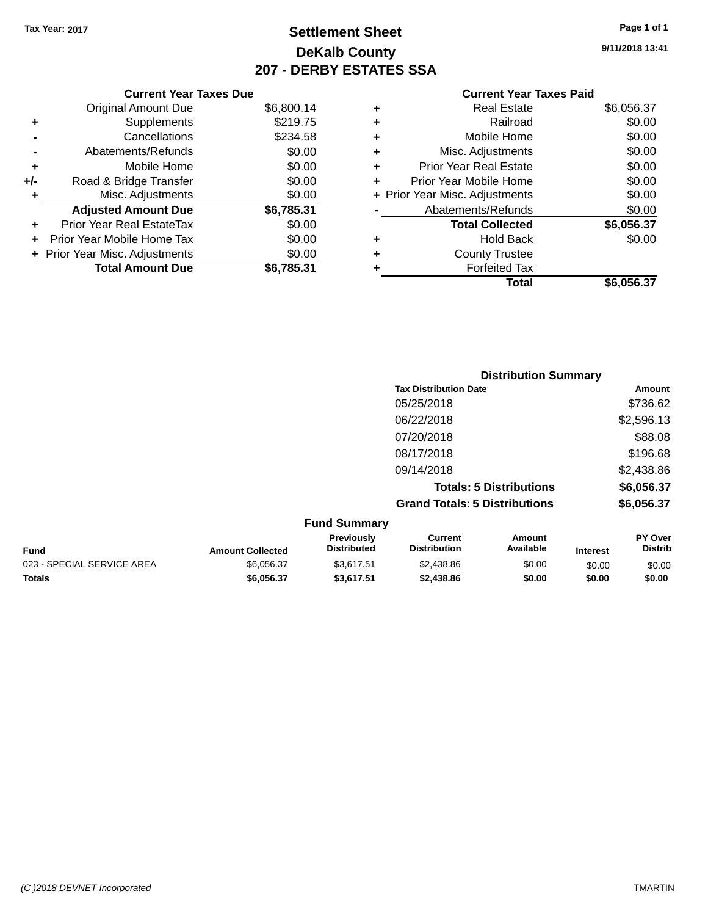# **Settlement Sheet Tax Year: 2017 Page 1 of 1 DeKalb County 207 - DERBY ESTATES SSA**

**9/11/2018 13:41**

|     | <b>Current Year Taxes Due</b>  |            |  |  |  |
|-----|--------------------------------|------------|--|--|--|
|     | <b>Original Amount Due</b>     | \$6,800.14 |  |  |  |
| ٠   | Supplements                    | \$219.75   |  |  |  |
|     | \$234.58<br>Cancellations      |            |  |  |  |
|     | Abatements/Refunds             | \$0.00     |  |  |  |
| ٠   | Mobile Home                    | \$0.00     |  |  |  |
| +/- | Road & Bridge Transfer         | \$0.00     |  |  |  |
| ٠   | \$0.00<br>Misc. Adjustments    |            |  |  |  |
|     | <b>Adjusted Amount Due</b>     | \$6,785.31 |  |  |  |
| ٠   | Prior Year Real EstateTax      | \$0.00     |  |  |  |
| ÷   | Prior Year Mobile Home Tax     | \$0.00     |  |  |  |
|     | + Prior Year Misc. Adjustments | \$0.00     |  |  |  |
|     | <b>Total Amount Due</b>        | \$6,785.31 |  |  |  |

| ٠ | Real Estate                    | \$6,056.37 |
|---|--------------------------------|------------|
| ٠ | Railroad                       | \$0.00     |
| ٠ | Mobile Home                    | \$0.00     |
| ٠ | Misc. Adjustments              | \$0.00     |
| ٠ | <b>Prior Year Real Estate</b>  | \$0.00     |
| ÷ | Prior Year Mobile Home         | \$0.00     |
|   | + Prior Year Misc. Adjustments | \$0.00     |
|   | Abatements/Refunds             | \$0.00     |
|   | <b>Total Collected</b>         | \$6,056.37 |
| ٠ | <b>Hold Back</b>               | \$0.00     |
| ٠ | <b>County Trustee</b>          |            |
| ٠ | <b>Forfeited Tax</b>           |            |
|   | Total                          | \$6,056.37 |
|   |                                |            |

| <b>Distribution Summary</b>          |            |
|--------------------------------------|------------|
| <b>Tax Distribution Date</b>         | Amount     |
| 05/25/2018                           | \$736.62   |
| 06/22/2018                           | \$2,596.13 |
| 07/20/2018                           | \$88.08    |
| 08/17/2018                           | \$196.68   |
| 09/14/2018                           | \$2,438.86 |
| <b>Totals: 5 Distributions</b>       | \$6,056.37 |
| <b>Grand Totals: 5 Distributions</b> | \$6,056.37 |
| <b>Fund Summary</b>                  |            |

| <b>Fund</b>                | <b>Amount Collected</b> | <b>Previously</b><br><b>Distributed</b> | Current<br><b>Distribution</b> | Amount<br>Available | <b>Interest</b> | <b>PY Over</b><br><b>Distrib</b> |
|----------------------------|-------------------------|-----------------------------------------|--------------------------------|---------------------|-----------------|----------------------------------|
| 023 - SPECIAL SERVICE AREA | \$6.056.37              | \$3.617.51                              | \$2,438.86                     | \$0.00              | \$0.00          | \$0.00                           |
| <b>Totals</b>              | \$6,056,37              | \$3.617.51                              | \$2,438.86                     | \$0.00              | \$0.00          | \$0.00                           |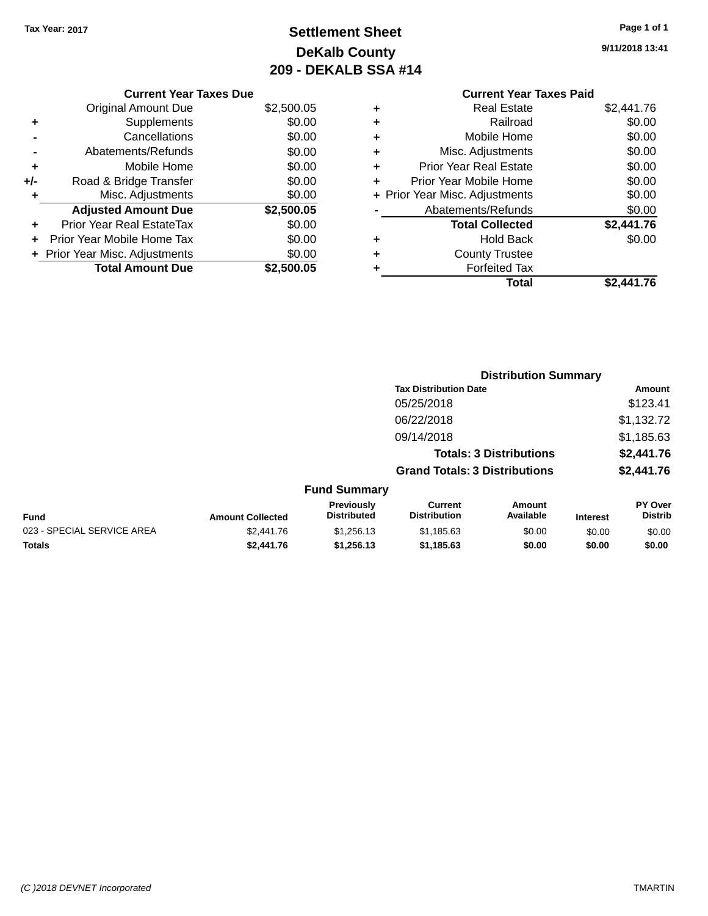# **Settlement Sheet Tax Year: 2017 Page 1 of 1 DeKalb County 209 - DEKALB SSA #14**

**9/11/2018 13:41**

|       | <b>Current Year Taxes Due</b>  |            |  |  |  |  |
|-------|--------------------------------|------------|--|--|--|--|
|       | <b>Original Amount Due</b>     | \$2,500.05 |  |  |  |  |
| ٠     | Supplements                    | \$0.00     |  |  |  |  |
|       | Cancellations                  | \$0.00     |  |  |  |  |
|       | Abatements/Refunds             | \$0.00     |  |  |  |  |
| ٠     | Mobile Home                    | \$0.00     |  |  |  |  |
| $+/-$ | Road & Bridge Transfer         | \$0.00     |  |  |  |  |
| ٠     | Misc. Adjustments              | \$0.00     |  |  |  |  |
|       | <b>Adjusted Amount Due</b>     | \$2,500.05 |  |  |  |  |
| ÷     | Prior Year Real EstateTax      | \$0.00     |  |  |  |  |
|       | Prior Year Mobile Home Tax     | \$0.00     |  |  |  |  |
|       | + Prior Year Misc. Adjustments | \$0.00     |  |  |  |  |
|       | <b>Total Amount Due</b>        | \$2,500.05 |  |  |  |  |
|       |                                |            |  |  |  |  |

|   | <b>Real Estate</b>             | \$2,441.76 |
|---|--------------------------------|------------|
| ٠ | Railroad                       | \$0.00     |
| ٠ | Mobile Home                    | \$0.00     |
| ٠ | Misc. Adjustments              | \$0.00     |
| ٠ | <b>Prior Year Real Estate</b>  | \$0.00     |
| ÷ | Prior Year Mobile Home         | \$0.00     |
|   | + Prior Year Misc. Adjustments | \$0.00     |
|   | Abatements/Refunds             | \$0.00     |
|   | <b>Total Collected</b>         | \$2,441.76 |
| ٠ | Hold Back                      | \$0.00     |
| ٠ | <b>County Trustee</b>          |            |
| ٠ | <b>Forfeited Tax</b>           |            |
|   | Total                          | \$2,441.76 |
|   |                                |            |

|                            |                         |                                         |                                       | <b>Distribution Summary</b>    |                 |                           |
|----------------------------|-------------------------|-----------------------------------------|---------------------------------------|--------------------------------|-----------------|---------------------------|
|                            |                         |                                         | <b>Tax Distribution Date</b>          |                                |                 | <b>Amount</b>             |
|                            |                         |                                         | 05/25/2018                            |                                |                 | \$123.41                  |
|                            |                         |                                         | 06/22/2018                            |                                |                 | \$1,132.72                |
|                            |                         |                                         | 09/14/2018                            |                                |                 | \$1,185.63                |
|                            |                         |                                         |                                       | <b>Totals: 3 Distributions</b> |                 | \$2,441.76                |
|                            |                         |                                         | <b>Grand Totals: 3 Distributions</b>  |                                |                 | \$2,441.76                |
|                            |                         | <b>Fund Summary</b>                     |                                       |                                |                 |                           |
| <b>Fund</b>                | <b>Amount Collected</b> | <b>Previously</b><br><b>Distributed</b> | <b>Current</b><br><b>Distribution</b> | <b>Amount</b><br>Available     | <b>Interest</b> | PY Over<br><b>Distrib</b> |
| 023 - SPECIAL SERVICE AREA | \$2,441.76              | \$1,256.13                              | \$1,185.63                            | \$0.00                         | \$0.00          | \$0.00                    |
| <b>Totals</b>              | \$2,441.76              | \$1,256.13                              | \$1,185.63                            | \$0.00                         | \$0.00          | \$0.00                    |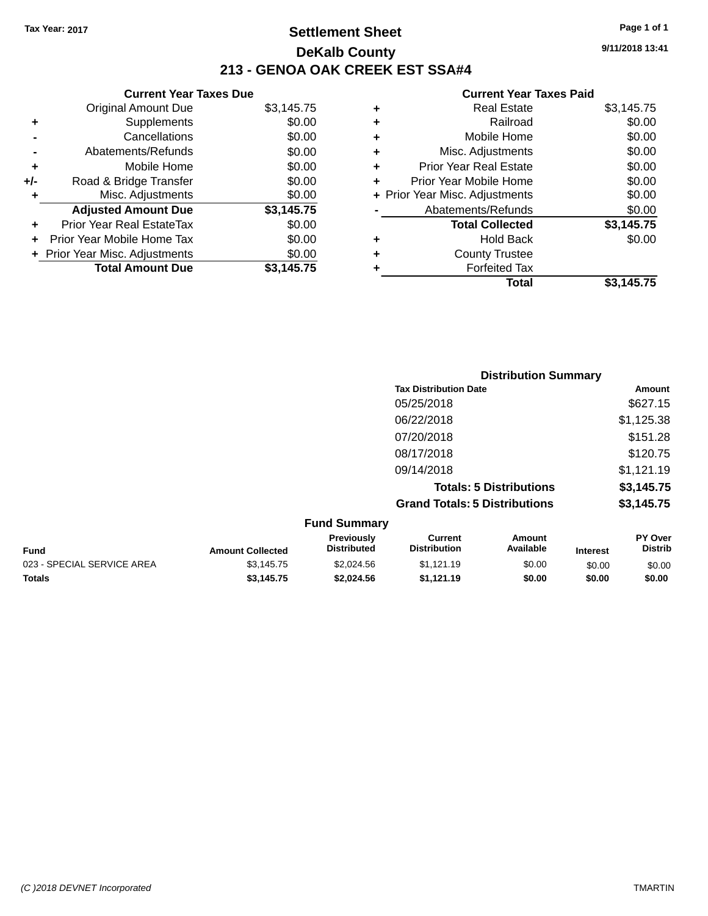## **Settlement Sheet Tax Year: 2017 Page 1 of 1 DeKalb County 213 - GENOA OAK CREEK EST SSA#4**

**9/11/2018 13:41**

|       | <b>Current Year Taxes Due</b>  |            |  |  |  |  |
|-------|--------------------------------|------------|--|--|--|--|
|       | <b>Original Amount Due</b>     | \$3,145.75 |  |  |  |  |
| ٠     | Supplements                    | \$0.00     |  |  |  |  |
|       | Cancellations                  | \$0.00     |  |  |  |  |
|       | Abatements/Refunds             | \$0.00     |  |  |  |  |
| ÷     | Mobile Home                    | \$0.00     |  |  |  |  |
| $+/-$ | Road & Bridge Transfer         | \$0.00     |  |  |  |  |
|       | Misc. Adjustments              | \$0.00     |  |  |  |  |
|       | <b>Adjusted Amount Due</b>     | \$3,145.75 |  |  |  |  |
| ٠     | Prior Year Real EstateTax      | \$0.00     |  |  |  |  |
|       | Prior Year Mobile Home Tax     | \$0.00     |  |  |  |  |
|       | + Prior Year Misc. Adjustments | \$0.00     |  |  |  |  |
|       | <b>Total Amount Due</b>        | \$3,145.75 |  |  |  |  |
|       |                                |            |  |  |  |  |

| ٠ | <b>Real Estate</b>             | \$3,145.75 |
|---|--------------------------------|------------|
| ٠ | Railroad                       | \$0.00     |
| ٠ | Mobile Home                    | \$0.00     |
| ٠ | Misc. Adjustments              | \$0.00     |
| ÷ | <b>Prior Year Real Estate</b>  | \$0.00     |
| ÷ | Prior Year Mobile Home         | \$0.00     |
|   | + Prior Year Misc. Adjustments | \$0.00     |
|   | Abatements/Refunds             | \$0.00     |
|   | <b>Total Collected</b>         | \$3,145.75 |
| ٠ | <b>Hold Back</b>               | \$0.00     |
| ٠ | <b>County Trustee</b>          |            |
| ٠ | <b>Forfeited Tax</b>           |            |
|   | Total                          | \$3,145.75 |
|   |                                |            |

|                                      | <b>Distribution Summary</b> |
|--------------------------------------|-----------------------------|
| <b>Tax Distribution Date</b>         | Amount                      |
| 05/25/2018                           | \$627.15                    |
| 06/22/2018                           | \$1,125.38                  |
| 07/20/2018                           | \$151.28                    |
| 08/17/2018                           | \$120.75                    |
| 09/14/2018                           | \$1,121.19                  |
| <b>Totals: 5 Distributions</b>       | \$3,145.75                  |
| <b>Grand Totals: 5 Distributions</b> | \$3,145.75                  |
| <b>Fund Summary</b>                  |                             |

|                         | .                                       |                                |                     |                 |                                  |
|-------------------------|-----------------------------------------|--------------------------------|---------------------|-----------------|----------------------------------|
| <b>Amount Collected</b> | <b>Previously</b><br><b>Distributed</b> | Current<br><b>Distribution</b> | Amount<br>Available | <b>Interest</b> | <b>PY Over</b><br><b>Distrib</b> |
| \$3.145.75              | \$2.024.56                              | \$1.121.19                     | \$0.00              | \$0.00          | \$0.00                           |
| \$3,145,75              | \$2.024.56                              | \$1.121.19                     | \$0.00              | \$0.00          | \$0.00                           |
|                         |                                         |                                |                     |                 |                                  |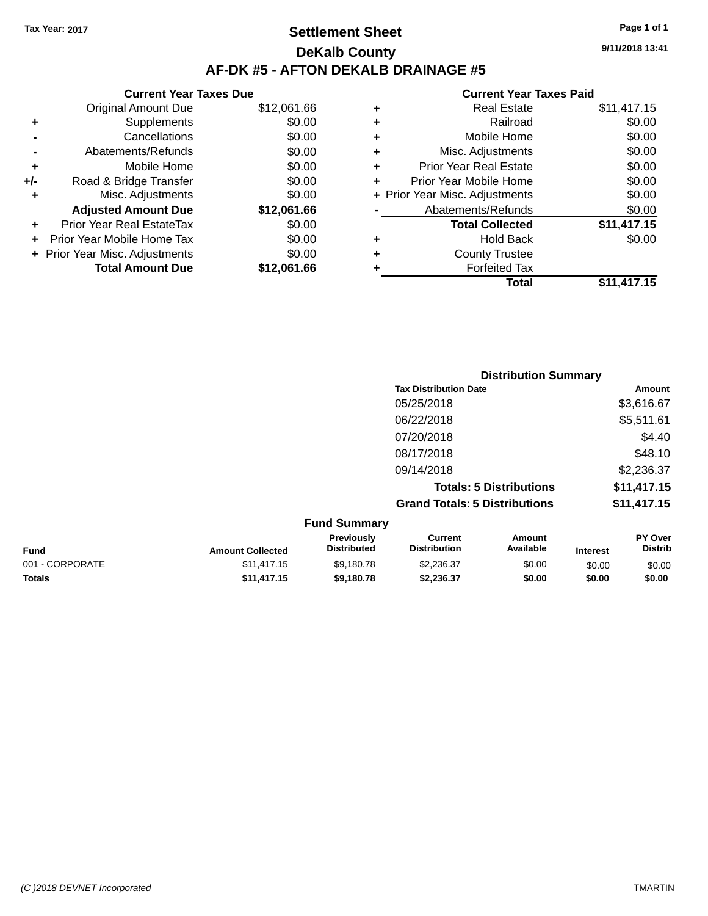## **Settlement Sheet Tax Year: 2017 Page 1 of 1 DeKalb County AF-DK #5 - AFTON DEKALB DRAINAGE #5**

|       | <b>Current Year Taxes Due</b>  |             |  |  |  |  |
|-------|--------------------------------|-------------|--|--|--|--|
|       | <b>Original Amount Due</b>     | \$12,061.66 |  |  |  |  |
| ٠     | Supplements                    | \$0.00      |  |  |  |  |
|       | Cancellations                  | \$0.00      |  |  |  |  |
|       | Abatements/Refunds             | \$0.00      |  |  |  |  |
| ٠     | Mobile Home                    | \$0.00      |  |  |  |  |
| $+/-$ | Road & Bridge Transfer         | \$0.00      |  |  |  |  |
| ٠     | Misc. Adjustments              | \$0.00      |  |  |  |  |
|       | <b>Adjusted Amount Due</b>     | \$12,061.66 |  |  |  |  |
| ÷     | Prior Year Real EstateTax      | \$0.00      |  |  |  |  |
|       | Prior Year Mobile Home Tax     | \$0.00      |  |  |  |  |
|       | + Prior Year Misc. Adjustments | \$0.00      |  |  |  |  |
|       | <b>Total Amount Due</b>        | \$12.061.66 |  |  |  |  |
|       |                                |             |  |  |  |  |

#### **Current Year Taxes Paid +** Real Estate \$11,417.15 **+** Railroad \$0.00 **+** Mobile Home \$0.00 **+** Misc. Adjustments \$0.00 **+** Prior Year Real Estate \$0.00 **+** Prior Year Mobile Home \$0.00<br> **+** Prior Year Misc. Adjustments \$0.00 **+ Prior Year Misc. Adjustments -** Abatements/Refunds \$0.00 **Total Collected \$11,417.15 +** Hold Back \$0.00 **+** County Trustee **+** Forfeited Tax **Total \$11,417.15**

|                                           | <b>Distribution Summary</b> |                                      |                                   |                                  |
|-------------------------------------------|-----------------------------|--------------------------------------|-----------------------------------|----------------------------------|
|                                           |                             | <b>Tax Distribution Date</b>         |                                   | Amount                           |
|                                           |                             | 05/25/2018                           |                                   | \$3,616.67                       |
|                                           |                             | 06/22/2018                           |                                   | \$5,511.61                       |
|                                           |                             | 07/20/2018                           |                                   | \$4.40                           |
|                                           |                             | 08/17/2018                           |                                   | \$48.10                          |
|                                           |                             | 09/14/2018                           |                                   | \$2,236.37                       |
|                                           |                             |                                      | <b>Totals: 5 Distributions</b>    | \$11,417.15                      |
|                                           |                             | <b>Grand Totals: 5 Distributions</b> |                                   | \$11,417.15                      |
|                                           | <b>Fund Summary</b>         |                                      |                                   |                                  |
| $\sim$ $\sim$ $\sim$ $\sim$ $\sim$ $\sim$ | Previously<br>Diotributed   | <b>Current</b><br>Diotribution       | <b>Amount</b><br><b>Available</b> | <b>PY Over</b><br><b>Diatrib</b> |

| <b>Fund</b>     | <b>Amount Collected</b> | <b>Previously</b><br><b>Distributed</b> | Current<br><b>Distribution</b> | Amount<br>Available | <b>Interest</b> | <b>PY Over</b><br>Distrib |
|-----------------|-------------------------|-----------------------------------------|--------------------------------|---------------------|-----------------|---------------------------|
| 001 - CORPORATE | \$11,417.15             | \$9.180.78                              | \$2,236,37                     | \$0.00              | \$0.00          | \$0.00                    |
| <b>Totals</b>   | \$11.417.15             | \$9.180.78                              | \$2.236.37                     | \$0.00              | \$0.00          | \$0.00                    |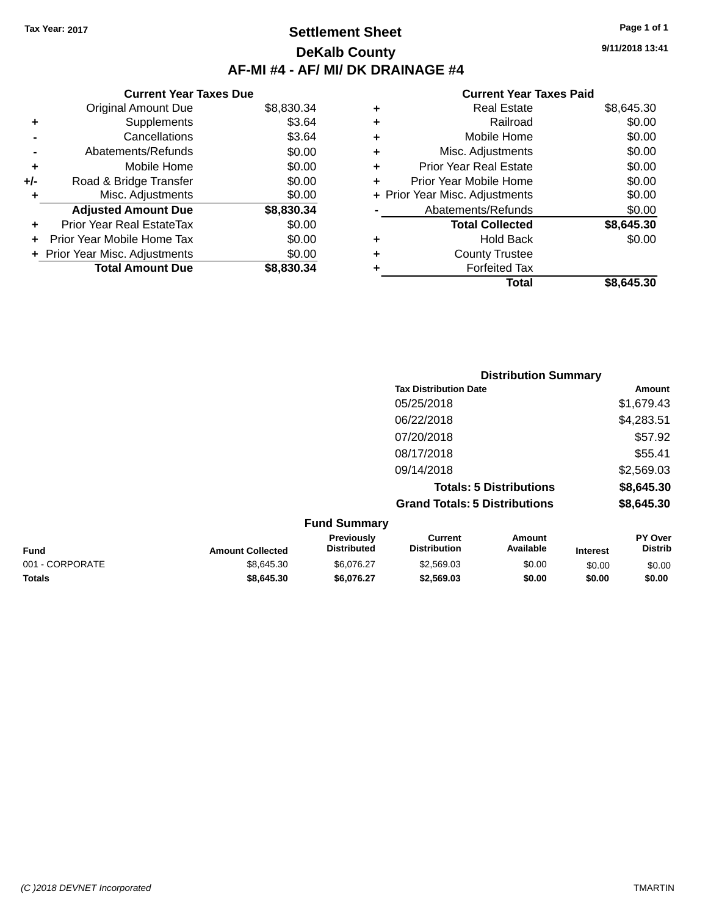## **Settlement Sheet Tax Year: 2017 Page 1 of 1 DeKalb County AF-MI #4 - AF/ MI/ DK DRAINAGE #4**

**9/11/2018 13:41**

|     | <b>Current Year Taxes Due</b>    |            |  |  |  |  |
|-----|----------------------------------|------------|--|--|--|--|
|     | <b>Original Amount Due</b>       | \$8,830.34 |  |  |  |  |
| ٠   | Supplements                      | \$3.64     |  |  |  |  |
|     | Cancellations                    | \$3.64     |  |  |  |  |
|     | Abatements/Refunds               | \$0.00     |  |  |  |  |
| ٠   | Mobile Home                      | \$0.00     |  |  |  |  |
| +/- | Road & Bridge Transfer           | \$0.00     |  |  |  |  |
| ٠   | Misc. Adjustments                | \$0.00     |  |  |  |  |
|     | <b>Adjusted Amount Due</b>       | \$8,830.34 |  |  |  |  |
| ٠   | <b>Prior Year Real EstateTax</b> | \$0.00     |  |  |  |  |
|     | Prior Year Mobile Home Tax       | \$0.00     |  |  |  |  |
|     | + Prior Year Misc. Adjustments   | \$0.00     |  |  |  |  |
|     | <b>Total Amount Due</b>          | \$8.830.34 |  |  |  |  |

| ٠ | <b>Real Estate</b>             | \$8,645.30 |
|---|--------------------------------|------------|
| ٠ | Railroad                       | \$0.00     |
| ٠ | Mobile Home                    | \$0.00     |
| ٠ | Misc. Adjustments              | \$0.00     |
| ٠ | <b>Prior Year Real Estate</b>  | \$0.00     |
| ÷ | Prior Year Mobile Home         | \$0.00     |
|   | + Prior Year Misc. Adjustments | \$0.00     |
|   | Abatements/Refunds             | \$0.00     |
|   | <b>Total Collected</b>         | \$8,645.30 |
| ٠ | <b>Hold Back</b>               | \$0.00     |
| ٠ | <b>County Trustee</b>          |            |
| ٠ | <b>Forfeited Tax</b>           |            |
|   | Total                          | \$8,645.30 |
|   |                                |            |

|                     |                                      | <b>Distribution Summary</b>    |                |
|---------------------|--------------------------------------|--------------------------------|----------------|
|                     | <b>Tax Distribution Date</b>         |                                | <b>Amount</b>  |
|                     | 05/25/2018                           |                                | \$1,679.43     |
|                     | 06/22/2018                           |                                | \$4,283.51     |
|                     | 07/20/2018                           |                                | \$57.92        |
|                     | 08/17/2018                           |                                | \$55.41        |
|                     | 09/14/2018                           |                                | \$2,569.03     |
|                     |                                      | <b>Totals: 5 Distributions</b> | \$8,645.30     |
|                     | <b>Grand Totals: 5 Distributions</b> |                                | \$8,645.30     |
| <b>Fund Summary</b> |                                      |                                |                |
| <b>Droviously</b>   | $C$ urront                           | Amairf                         | <b>DV Over</b> |

| <b>Fund</b>     | <b>Amount Collected</b> | <b>Previously</b><br><b>Distributed</b> | Current<br><b>Distribution</b> | Amount<br>Available | <b>Interest</b> | <b>PY Over</b><br><b>Distrib</b> |
|-----------------|-------------------------|-----------------------------------------|--------------------------------|---------------------|-----------------|----------------------------------|
| 001 - CORPORATE | \$8.645.30              | \$6.076.27                              | \$2,569.03                     | \$0.00              | \$0.00          | \$0.00                           |
| <b>Totals</b>   | \$8,645,30              | \$6.076.27                              | \$2,569.03                     | \$0.00              | \$0.00          | \$0.00                           |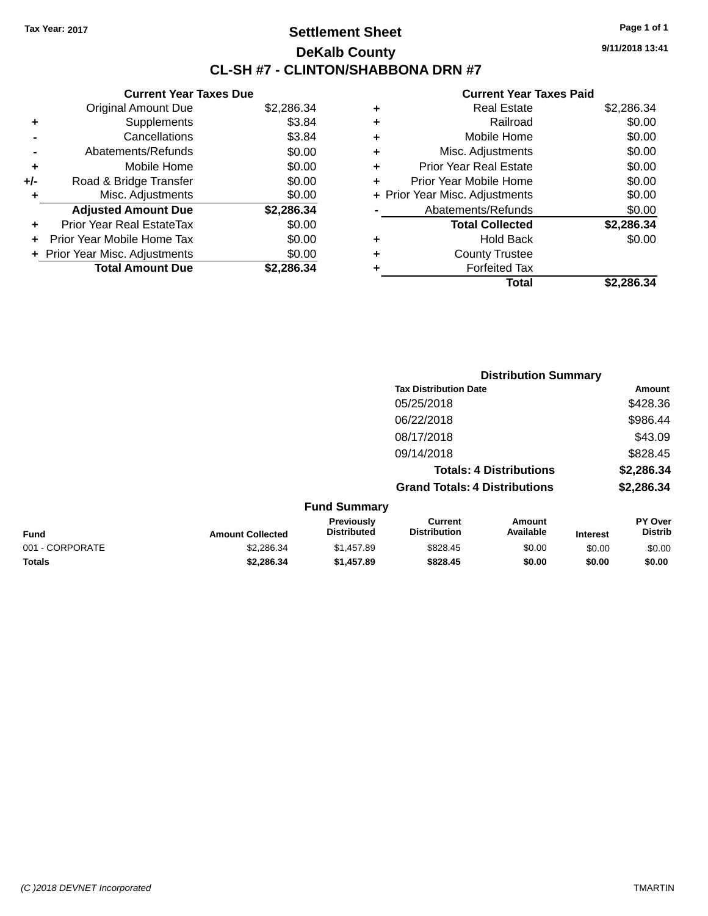## **Settlement Sheet Tax Year: 2017 Page 1 of 1 DeKalb County CL-SH #7 - CLINTON/SHABBONA DRN #7**

**9/11/2018 13:41**

|     | <b>Current Year Taxes Due</b>  |            |
|-----|--------------------------------|------------|
|     | <b>Original Amount Due</b>     | \$2,286.34 |
| ٠   | Supplements                    | \$3.84     |
|     | Cancellations                  | \$3.84     |
|     | Abatements/Refunds             | \$0.00     |
| ٠   | Mobile Home                    | \$0.00     |
| +/- | Road & Bridge Transfer         | \$0.00     |
| ٠   | Misc. Adjustments              | \$0.00     |
|     | <b>Adjusted Amount Due</b>     | \$2,286.34 |
| ÷   | Prior Year Real EstateTax      | \$0.00     |
|     | Prior Year Mobile Home Tax     | \$0.00     |
|     | + Prior Year Misc. Adjustments | \$0.00     |
|     | <b>Total Amount Due</b>        | \$2.286.34 |
|     |                                |            |

| ٠ | <b>Real Estate</b>             | \$2,286.34 |
|---|--------------------------------|------------|
| ٠ | Railroad                       | \$0.00     |
| ٠ | Mobile Home                    | \$0.00     |
| ٠ | Misc. Adjustments              | \$0.00     |
| ٠ | <b>Prior Year Real Estate</b>  | \$0.00     |
| ÷ | Prior Year Mobile Home         | \$0.00     |
|   | + Prior Year Misc. Adjustments | \$0.00     |
|   | Abatements/Refunds             | \$0.00     |
|   | <b>Total Collected</b>         | \$2,286.34 |
| ٠ | <b>Hold Back</b>               | \$0.00     |
| ٠ | <b>County Trustee</b>          |            |
| ٠ | <b>Forfeited Tax</b>           |            |
|   | Total                          | \$2,286.34 |
|   |                                |            |

|                 |                         |                                  |                                       | <b>Distribution Summary</b>    |                 |                           |
|-----------------|-------------------------|----------------------------------|---------------------------------------|--------------------------------|-----------------|---------------------------|
|                 |                         |                                  | <b>Tax Distribution Date</b>          |                                |                 | Amount                    |
|                 |                         |                                  | 05/25/2018                            |                                |                 | \$428.36                  |
|                 |                         |                                  | 06/22/2018                            |                                |                 | \$986.44                  |
|                 |                         |                                  | 08/17/2018                            |                                |                 | \$43.09                   |
|                 |                         |                                  | 09/14/2018                            |                                |                 | \$828.45                  |
|                 |                         |                                  |                                       | <b>Totals: 4 Distributions</b> |                 | \$2,286.34                |
|                 |                         |                                  | <b>Grand Totals: 4 Distributions</b>  |                                |                 | \$2,286.34                |
|                 |                         | <b>Fund Summary</b>              |                                       |                                |                 |                           |
| <b>Fund</b>     | <b>Amount Collected</b> | Previously<br><b>Distributed</b> | <b>Current</b><br><b>Distribution</b> | Amount<br>Available            | <b>Interest</b> | PY Over<br><b>Distrib</b> |
| 001 - CORPORATE | \$2,286.34              | \$1,457.89                       | \$828.45                              | \$0.00                         | \$0.00          | \$0.00                    |
| <b>Totals</b>   | \$2.286.34              | \$1,457.89                       | \$828.45                              | \$0.00                         | \$0.00          | \$0.00                    |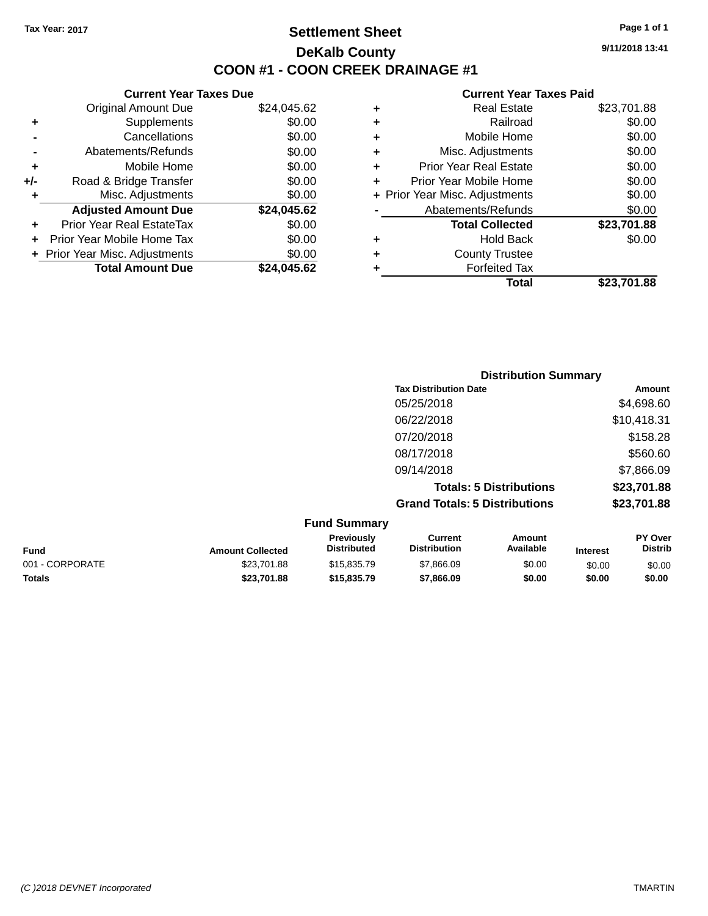## **Settlement Sheet Tax Year: 2017 Page 1 of 1 DeKalb County COON #1 - COON CREEK DRAINAGE #1**

**9/11/2018 13:41**

| <b>Current Year Taxes Due</b>  |             |  |  |  |  |
|--------------------------------|-------------|--|--|--|--|
| <b>Original Amount Due</b>     | \$24,045.62 |  |  |  |  |
| Supplements                    | \$0.00      |  |  |  |  |
| Cancellations                  | \$0.00      |  |  |  |  |
| Abatements/Refunds             | \$0.00      |  |  |  |  |
| Mobile Home                    | \$0.00      |  |  |  |  |
| Road & Bridge Transfer         | \$0.00      |  |  |  |  |
| Misc. Adjustments              | \$0.00      |  |  |  |  |
| <b>Adjusted Amount Due</b>     | \$24,045.62 |  |  |  |  |
| Prior Year Real EstateTax      | \$0.00      |  |  |  |  |
| Prior Year Mobile Home Tax     | \$0.00      |  |  |  |  |
| + Prior Year Misc. Adjustments | \$0.00      |  |  |  |  |
| <b>Total Amount Due</b>        | \$24,045.62 |  |  |  |  |
|                                |             |  |  |  |  |

| ٠ | <b>Real Estate</b>             | \$23,701.88 |
|---|--------------------------------|-------------|
| ٠ | Railroad                       | \$0.00      |
| ٠ | Mobile Home                    | \$0.00      |
| ٠ | Misc. Adjustments              | \$0.00      |
| ٠ | <b>Prior Year Real Estate</b>  | \$0.00      |
| ÷ | Prior Year Mobile Home         | \$0.00      |
|   | + Prior Year Misc. Adjustments | \$0.00      |
|   | Abatements/Refunds             | \$0.00      |
|   | <b>Total Collected</b>         | \$23,701.88 |
| ٠ | <b>Hold Back</b>               | \$0.00      |
| ٠ | <b>County Trustee</b>          |             |
| ٠ | <b>Forfeited Tax</b>           |             |
|   | Total                          | \$23.701.88 |
|   |                                |             |

| <b>Distribution Summary</b>          |             |
|--------------------------------------|-------------|
| <b>Tax Distribution Date</b>         | Amount      |
| 05/25/2018                           | \$4,698.60  |
| 06/22/2018                           | \$10,418.31 |
| 07/20/2018                           | \$158.28    |
| 08/17/2018                           | \$560.60    |
| 09/14/2018                           | \$7,866.09  |
| <b>Totals: 5 Distributions</b>       | \$23,701.88 |
| <b>Grand Totals: 5 Distributions</b> | \$23,701.88 |

| <b>Fund Summary</b> |                         |                                  |                                |                     |                 |                           |
|---------------------|-------------------------|----------------------------------|--------------------------------|---------------------|-----------------|---------------------------|
| <b>Fund</b>         | <b>Amount Collected</b> | <b>Previously</b><br>Distributed | Current<br><b>Distribution</b> | Amount<br>Available | <b>Interest</b> | PY Over<br><b>Distrib</b> |
| 001 - CORPORATE     | \$23,701.88             | \$15,835,79                      | \$7,866,09                     | \$0.00              | \$0.00          | \$0.00                    |
| <b>Totals</b>       | \$23,701.88             | \$15,835.79                      | \$7,866.09                     | \$0.00              | \$0.00          | \$0.00                    |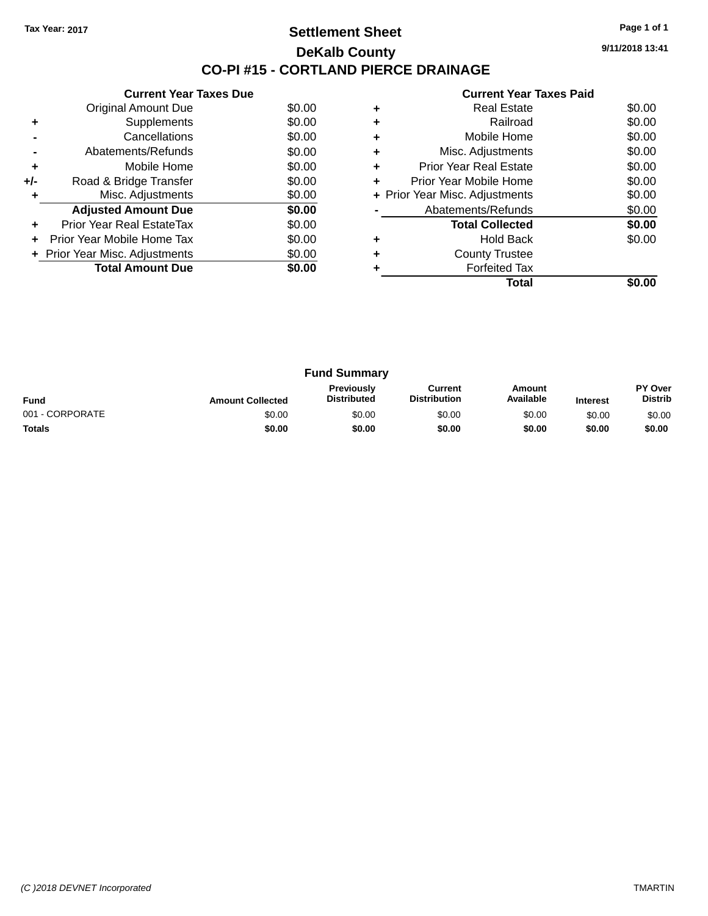## **Settlement Sheet Tax Year: 2017 Page 1 of 1 DeKalb County CO-PI #15 - CORTLAND PIERCE DRAINAGE**

**9/11/2018 13:41**

|     | <b>Current Year Taxes Due</b>  |        |
|-----|--------------------------------|--------|
|     | Original Amount Due            | \$0.00 |
|     | Supplements                    | \$0.00 |
|     | Cancellations                  | \$0.00 |
|     | Abatements/Refunds             | \$0.00 |
| ٠   | Mobile Home                    | \$0.00 |
| +/- | Road & Bridge Transfer         | \$0.00 |
|     | Misc. Adjustments              | \$0.00 |
|     | <b>Adjusted Amount Due</b>     | \$0.00 |
|     | Prior Year Real EstateTax      | \$0.00 |
| ÷   | Prior Year Mobile Home Tax     | \$0.00 |
|     | + Prior Year Misc. Adjustments | \$0.00 |
|     | <b>Total Amount Due</b>        | \$0.00 |
|     |                                |        |

|   | <b>Real Estate</b>             | \$0.00 |
|---|--------------------------------|--------|
| ٠ | Railroad                       | \$0.00 |
| ٠ | Mobile Home                    | \$0.00 |
| ٠ | Misc. Adjustments              | \$0.00 |
| ٠ | <b>Prior Year Real Estate</b>  | \$0.00 |
| ٠ | Prior Year Mobile Home         | \$0.00 |
|   | + Prior Year Misc. Adjustments | \$0.00 |
|   | Abatements/Refunds             | \$0.00 |
|   | <b>Total Collected</b>         | \$0.00 |
|   | <b>Hold Back</b>               | \$0.00 |
| ٠ | <b>County Trustee</b>          |        |
|   | <b>Forfeited Tax</b>           |        |
|   | Total                          |        |

| <b>Fund Summary</b> |                         |                                         |                                |                     |                 |                           |
|---------------------|-------------------------|-----------------------------------------|--------------------------------|---------------------|-----------------|---------------------------|
| <b>Fund</b>         | <b>Amount Collected</b> | <b>Previously</b><br><b>Distributed</b> | Current<br><b>Distribution</b> | Amount<br>Available | <b>Interest</b> | PY Over<br><b>Distrib</b> |
| 001 - CORPORATE     | \$0.00                  | \$0.00                                  | \$0.00                         | \$0.00              | \$0.00          | \$0.00                    |
| <b>Totals</b>       | \$0.00                  | \$0.00                                  | \$0.00                         | \$0.00              | \$0.00          | \$0.00                    |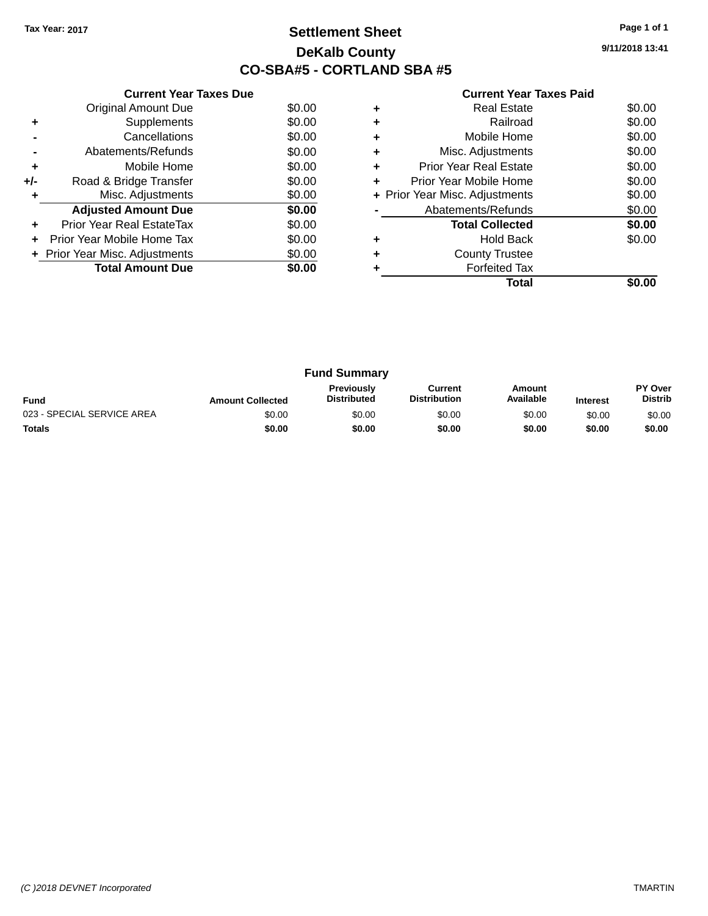## **Settlement Sheet Tax Year: 2017 Page 1 of 1 DeKalb County CO-SBA#5 - CORTLAND SBA #5**

**9/11/2018 13:41**

|     | <b>Current Year Taxes Due</b>  |        |
|-----|--------------------------------|--------|
|     | <b>Original Amount Due</b>     | \$0.00 |
| ٠   | Supplements                    | \$0.00 |
|     | Cancellations                  | \$0.00 |
|     | Abatements/Refunds             | \$0.00 |
| ٠   | Mobile Home                    | \$0.00 |
| +/- | Road & Bridge Transfer         | \$0.00 |
| ٠   | Misc. Adjustments              | \$0.00 |
|     | <b>Adjusted Amount Due</b>     | \$0.00 |
| ٠   | Prior Year Real EstateTax      | \$0.00 |
|     | Prior Year Mobile Home Tax     | \$0.00 |
|     | + Prior Year Misc. Adjustments | \$0.00 |
|     | <b>Total Amount Due</b>        | \$0.00 |
|     |                                |        |

|   | <b>Real Estate</b>             | \$0.00 |
|---|--------------------------------|--------|
| ÷ | Railroad                       | \$0.00 |
| ٠ | Mobile Home                    | \$0.00 |
| ٠ | Misc. Adjustments              | \$0.00 |
| ٠ | <b>Prior Year Real Estate</b>  | \$0.00 |
| ÷ | Prior Year Mobile Home         | \$0.00 |
|   | + Prior Year Misc. Adjustments | \$0.00 |
|   | Abatements/Refunds             | \$0.00 |
|   | <b>Total Collected</b>         | \$0.00 |
| ٠ | <b>Hold Back</b>               | \$0.00 |
| ٠ | <b>County Trustee</b>          |        |
|   | <b>Forfeited Tax</b>           |        |
|   | Total                          |        |

| <b>Fund Summary</b>        |                         |                                         |                                |                     |                 |                           |
|----------------------------|-------------------------|-----------------------------------------|--------------------------------|---------------------|-----------------|---------------------------|
| <b>Fund</b>                | <b>Amount Collected</b> | <b>Previously</b><br><b>Distributed</b> | Current<br><b>Distribution</b> | Amount<br>Available | <b>Interest</b> | PY Over<br><b>Distrib</b> |
| 023 - SPECIAL SERVICE AREA | \$0.00                  | \$0.00                                  | \$0.00                         | \$0.00              | \$0.00          | \$0.00                    |
| <b>Totals</b>              | \$0.00                  | \$0.00                                  | \$0.00                         | \$0.00              | \$0.00          | \$0.00                    |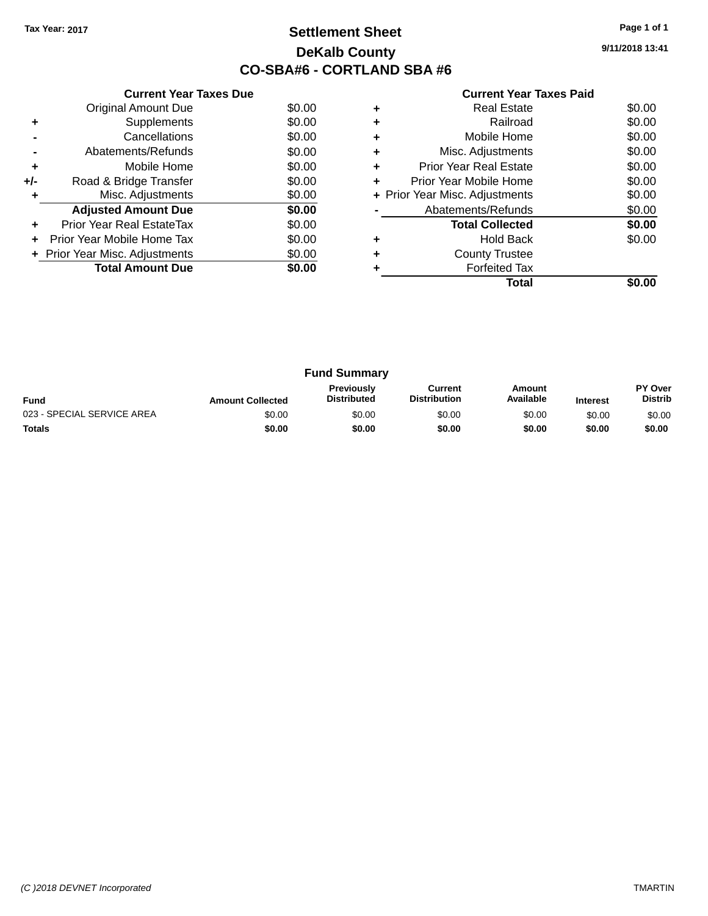## **Settlement Sheet Tax Year: 2017 Page 1 of 1 DeKalb County CO-SBA#6 - CORTLAND SBA #6**

**9/11/2018 13:41**

|     | <b>Current Year Taxes Due</b>  |        |
|-----|--------------------------------|--------|
|     | <b>Original Amount Due</b>     | \$0.00 |
| ٠   | Supplements                    | \$0.00 |
|     | Cancellations                  | \$0.00 |
|     | Abatements/Refunds             | \$0.00 |
| ٠   | Mobile Home                    | \$0.00 |
| +/- | Road & Bridge Transfer         | \$0.00 |
| ٠   | Misc. Adjustments              | \$0.00 |
|     | <b>Adjusted Amount Due</b>     | \$0.00 |
| ٠   | Prior Year Real EstateTax      | \$0.00 |
| ÷   | Prior Year Mobile Home Tax     | \$0.00 |
|     | + Prior Year Misc. Adjustments | \$0.00 |
|     | <b>Total Amount Due</b>        | \$0.00 |
|     |                                |        |

|   | <b>Real Estate</b>             | \$0.00 |
|---|--------------------------------|--------|
|   | Railroad                       | \$0.00 |
| ٠ | Mobile Home                    | \$0.00 |
| ٠ | Misc. Adjustments              | \$0.00 |
| ٠ | Prior Year Real Estate         | \$0.00 |
| ٠ | Prior Year Mobile Home         | \$0.00 |
|   | + Prior Year Misc. Adjustments | \$0.00 |
|   | Abatements/Refunds             | \$0.00 |
|   | <b>Total Collected</b>         | \$0.00 |
|   | Hold Back                      | \$0.00 |
|   | <b>County Trustee</b>          |        |
|   | <b>Forfeited Tax</b>           |        |
|   | Total                          |        |

| <b>Fund Summary</b>        |                         |                                         |                                |                     |                 |                           |
|----------------------------|-------------------------|-----------------------------------------|--------------------------------|---------------------|-----------------|---------------------------|
| <b>Fund</b>                | <b>Amount Collected</b> | <b>Previously</b><br><b>Distributed</b> | Current<br><b>Distribution</b> | Amount<br>Available | <b>Interest</b> | PY Over<br><b>Distrib</b> |
| 023 - SPECIAL SERVICE AREA | \$0.00                  | \$0.00                                  | \$0.00                         | \$0.00              | \$0.00          | \$0.00                    |
| <b>Totals</b>              | \$0.00                  | \$0.00                                  | \$0.00                         | \$0.00              | \$0.00          | \$0.00                    |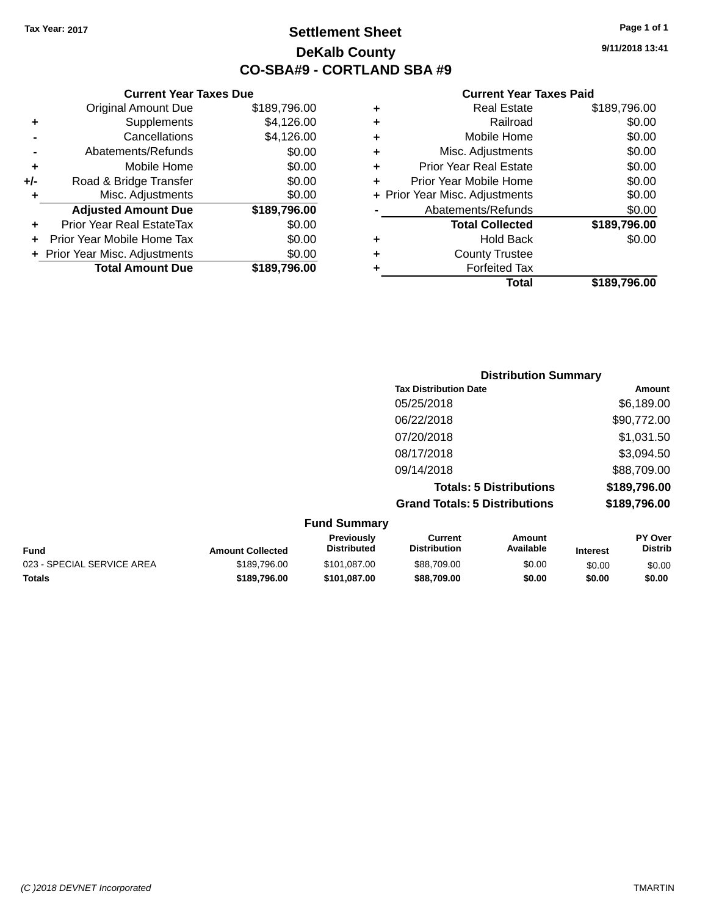## **Settlement Sheet Tax Year: 2017 Page 1 of 1 DeKalb County CO-SBA#9 - CORTLAND SBA #9**

**9/11/2018 13:41**

#### **Current Year Taxes Paid**

|     | <b>Current Year Taxes Due</b>  |              |  |
|-----|--------------------------------|--------------|--|
|     | <b>Original Amount Due</b>     | \$189,796.00 |  |
| ٠   | Supplements                    | \$4,126.00   |  |
|     | Cancellations                  | \$4,126.00   |  |
|     | Abatements/Refunds             | \$0.00       |  |
|     | Mobile Home                    | \$0.00       |  |
| +/- | Road & Bridge Transfer         | \$0.00       |  |
| ٠   | Misc. Adjustments              | \$0.00       |  |
|     | <b>Adjusted Amount Due</b>     | \$189,796.00 |  |
| ٠   | Prior Year Real EstateTax      | \$0.00       |  |
|     | Prior Year Mobile Home Tax     | \$0.00       |  |
|     | + Prior Year Misc. Adjustments | \$0.00       |  |
|     | <b>Total Amount Due</b>        | \$189,796.00 |  |
|     |                                |              |  |

|   | <b>Real Estate</b>             | \$189,796.00 |
|---|--------------------------------|--------------|
| ٠ | Railroad                       | \$0.00       |
| ٠ | Mobile Home                    | \$0.00       |
| ٠ | Misc. Adjustments              | \$0.00       |
| ٠ | <b>Prior Year Real Estate</b>  | \$0.00       |
| ٠ | Prior Year Mobile Home         | \$0.00       |
|   | + Prior Year Misc. Adjustments | \$0.00       |
|   | Abatements/Refunds             | \$0.00       |
|   | <b>Total Collected</b>         | \$189,796.00 |
| ٠ | <b>Hold Back</b>               | \$0.00       |
| ٠ | <b>County Trustee</b>          |              |
| ٠ | <b>Forfeited Tax</b>           |              |
|   | Total                          | \$189,796.00 |
|   |                                |              |

| <b>Distribution Summary</b>          |              |
|--------------------------------------|--------------|
| <b>Tax Distribution Date</b>         | Amount       |
| 05/25/2018                           | \$6,189.00   |
| 06/22/2018                           | \$90,772.00  |
| 07/20/2018                           | \$1,031.50   |
| 08/17/2018                           | \$3,094.50   |
| 09/14/2018                           | \$88,709.00  |
| <b>Totals: 5 Distributions</b>       | \$189,796.00 |
| <b>Grand Totals: 5 Distributions</b> | \$189,796.00 |

#### **Fund Summary Fund Interest Amount Collected Distributed PY Over Distrib Amount Available Current Distribution Previously** 023 - SPECIAL SERVICE AREA  $$189,796.00$   $$101,087.00$   $$88,709.00$  \$0.00 \$0.00 \$0.00 **Totals \$189,796.00 \$101,087.00 \$88,709.00 \$0.00 \$0.00 \$0.00**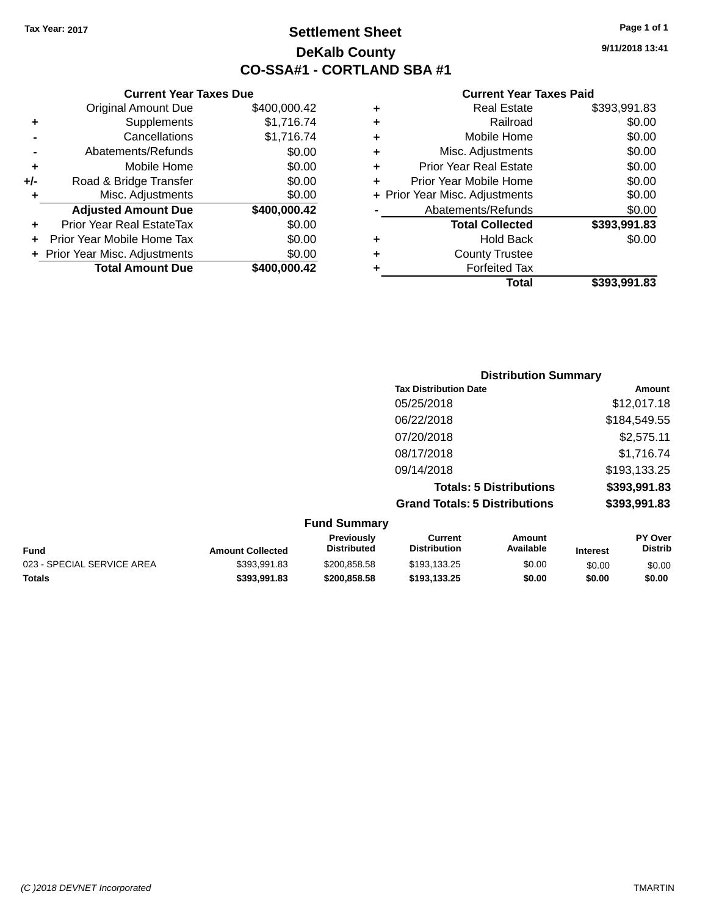**Current Year Taxes Due** Original Amount Due \$400,000.42

**Adjusted Amount Due \$400,000.42**

**Total Amount Due \$400,000.42**

**+** Supplements \$1,716.74 **-** Cancellations \$1,716.74 **-** Abatements/Refunds \$0.00 **+** Mobile Home \$0.00 **+/-** Road & Bridge Transfer \$0.00<br> **+** Misc. Adjustments \$0.00

**+** Prior Year Real EstateTax \$0.00 **+** Prior Year Mobile Home Tax \$0.00 **+ Prior Year Misc. Adjustments**  $$0.00$ 

**+** Misc. Adjustments

## **Settlement Sheet Tax Year: 2017 Page 1 of 1 DeKalb County CO-SSA#1 - CORTLAND SBA #1**

**9/11/2018 13:41**

|                                | \$393.991.83 |
|--------------------------------|--------------|
| <b>Forfeited Tax</b>           |              |
| <b>County Trustee</b>          |              |
| <b>Hold Back</b>               | \$0.00       |
| <b>Total Collected</b>         | \$393,991.83 |
| Abatements/Refunds             | \$0.00       |
| + Prior Year Misc. Adjustments | \$0.00       |
| Prior Year Mobile Home         | \$0.00       |
| <b>Prior Year Real Estate</b>  | \$0.00       |
| Misc. Adjustments              | \$0.00       |
| Mobile Home                    | \$0.00       |
| Railroad                       | \$0.00       |
| <b>Real Estate</b>             | \$393,991.83 |
|                                | Total        |

|                     | <b>Distribution Summary</b>          |                                |              |  |
|---------------------|--------------------------------------|--------------------------------|--------------|--|
|                     | <b>Tax Distribution Date</b>         |                                | Amount       |  |
|                     | 05/25/2018                           |                                | \$12,017.18  |  |
|                     | 06/22/2018                           |                                | \$184,549.55 |  |
|                     | 07/20/2018                           |                                | \$2,575.11   |  |
|                     | 08/17/2018                           |                                | \$1,716.74   |  |
|                     | 09/14/2018                           |                                | \$193,133.25 |  |
|                     |                                      | <b>Totals: 5 Distributions</b> | \$393,991.83 |  |
|                     | <b>Grand Totals: 5 Distributions</b> |                                | \$393,991.83 |  |
| <b>Fund Summary</b> |                                      |                                |              |  |
| <b>Previously</b>   | Current                              | Amount                         | PY Over      |  |

| <b>Amount Collected</b> | Previously<br><b>Distributed</b> | Current<br><b>Distribution</b> | Amount<br>Available | <b>Interest</b> | PY Over<br><b>Distrib</b> |
|-------------------------|----------------------------------|--------------------------------|---------------------|-----------------|---------------------------|
| \$393.991.83            | \$200.858.58                     | \$193.133.25                   | \$0.00              | \$0.00          | \$0.00                    |
| \$393.991.83            | \$200,858,58                     | \$193.133.25                   | \$0.00              | \$0.00          | \$0.00                    |
|                         |                                  |                                |                     |                 |                           |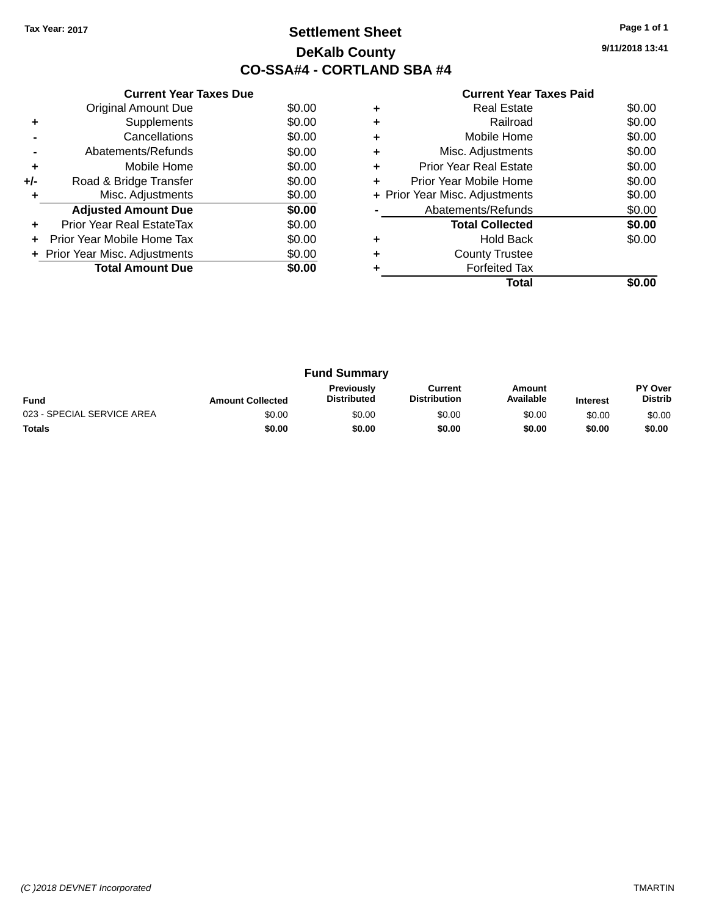## **Settlement Sheet Tax Year: 2017 Page 1 of 1 DeKalb County CO-SSA#4 - CORTLAND SBA #4**

**9/11/2018 13:41**

|     | <b>Current Year Taxes Due</b>  |        |
|-----|--------------------------------|--------|
|     | <b>Original Amount Due</b>     | \$0.00 |
| ٠   | Supplements                    | \$0.00 |
|     | Cancellations                  | \$0.00 |
|     | Abatements/Refunds             | \$0.00 |
| ٠   | Mobile Home                    | \$0.00 |
| +/- | Road & Bridge Transfer         | \$0.00 |
| ٠   | Misc. Adjustments              | \$0.00 |
|     | <b>Adjusted Amount Due</b>     | \$0.00 |
| ٠   | Prior Year Real EstateTax      | \$0.00 |
| ÷   | Prior Year Mobile Home Tax     | \$0.00 |
|     | + Prior Year Misc. Adjustments | \$0.00 |
|     | <b>Total Amount Due</b>        | \$0.00 |
|     |                                |        |

|   | <b>Real Estate</b>             | \$0.00 |
|---|--------------------------------|--------|
| ٠ | Railroad                       | \$0.00 |
| ٠ | Mobile Home                    | \$0.00 |
| ٠ | Misc. Adjustments              | \$0.00 |
| ٠ | <b>Prior Year Real Estate</b>  | \$0.00 |
| ٠ | Prior Year Mobile Home         | \$0.00 |
|   | + Prior Year Misc. Adjustments | \$0.00 |
|   | Abatements/Refunds             | \$0.00 |
|   | <b>Total Collected</b>         | \$0.00 |
|   | <b>Hold Back</b>               | \$0.00 |
| ٠ | <b>County Trustee</b>          |        |
|   | <b>Forfeited Tax</b>           |        |
|   | Total                          |        |

| <b>Fund Summary</b>        |                         |                                         |                                |                     |                 |                           |
|----------------------------|-------------------------|-----------------------------------------|--------------------------------|---------------------|-----------------|---------------------------|
| <b>Fund</b>                | <b>Amount Collected</b> | <b>Previously</b><br><b>Distributed</b> | Current<br><b>Distribution</b> | Amount<br>Available | <b>Interest</b> | PY Over<br><b>Distrib</b> |
| 023 - SPECIAL SERVICE AREA | \$0.00                  | \$0.00                                  | \$0.00                         | \$0.00              | \$0.00          | \$0.00                    |
| <b>Totals</b>              | \$0.00                  | \$0.00                                  | \$0.00                         | \$0.00              | \$0.00          | \$0.00                    |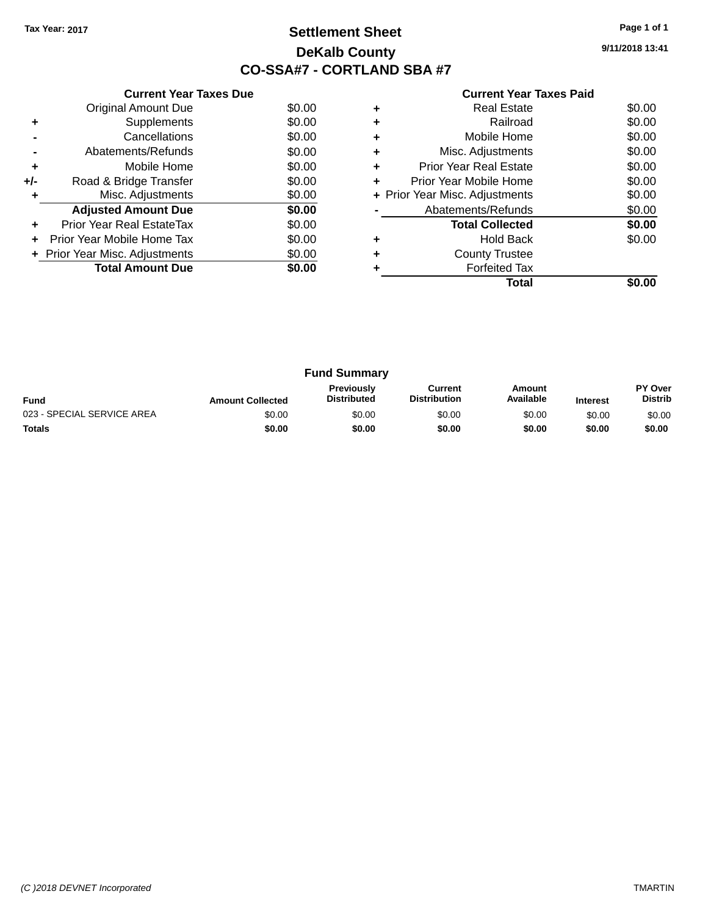## **Settlement Sheet Tax Year: 2017 Page 1 of 1 DeKalb County CO-SSA#7 - CORTLAND SBA #7**

**9/11/2018 13:41**

|     | <b>Current Year Taxes Due</b>  |        |
|-----|--------------------------------|--------|
|     | <b>Original Amount Due</b>     | \$0.00 |
| ٠   | Supplements                    | \$0.00 |
|     | Cancellations                  | \$0.00 |
|     | Abatements/Refunds             | \$0.00 |
| ٠   | Mobile Home                    | \$0.00 |
| +/- | Road & Bridge Transfer         | \$0.00 |
| ٠   | Misc. Adjustments              | \$0.00 |
|     | <b>Adjusted Amount Due</b>     | \$0.00 |
| ÷   | Prior Year Real EstateTax      | \$0.00 |
| ٠   | Prior Year Mobile Home Tax     | \$0.00 |
|     | + Prior Year Misc. Adjustments | \$0.00 |
|     | <b>Total Amount Due</b>        | \$0.00 |
|     |                                |        |

|   | Total                          |        |
|---|--------------------------------|--------|
|   | <b>Forfeited Tax</b>           |        |
|   | <b>County Trustee</b>          |        |
|   | <b>Hold Back</b>               | \$0.00 |
|   | <b>Total Collected</b>         | \$0.00 |
|   | Abatements/Refunds             | \$0.00 |
|   | + Prior Year Misc. Adjustments | \$0.00 |
| ٠ | Prior Year Mobile Home         | \$0.00 |
| ٠ | <b>Prior Year Real Estate</b>  | \$0.00 |
| ٠ | Misc. Adjustments              | \$0.00 |
|   | Mobile Home                    | \$0.00 |
|   | Railroad                       | \$0.00 |
|   | <b>Real Estate</b>             | \$0.00 |

| <b>Fund Summary</b>        |                         |                                         |                                |                     |                 |                           |
|----------------------------|-------------------------|-----------------------------------------|--------------------------------|---------------------|-----------------|---------------------------|
| <b>Fund</b>                | <b>Amount Collected</b> | <b>Previously</b><br><b>Distributed</b> | Current<br><b>Distribution</b> | Amount<br>Available | <b>Interest</b> | PY Over<br><b>Distrib</b> |
| 023 - SPECIAL SERVICE AREA | \$0.00                  | \$0.00                                  | \$0.00                         | \$0.00              | \$0.00          | \$0.00                    |
| <b>Totals</b>              | \$0.00                  | \$0.00                                  | \$0.00                         | \$0.00              | \$0.00          | \$0.00                    |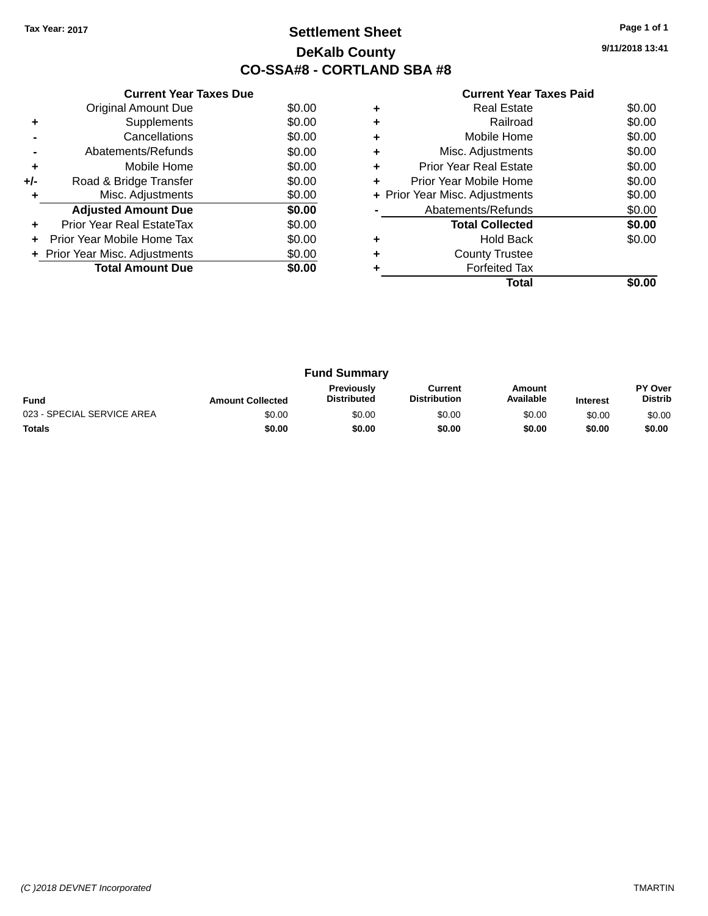## **Settlement Sheet Tax Year: 2017 Page 1 of 1 DeKalb County CO-SSA#8 - CORTLAND SBA #8**

**9/11/2018 13:41**

|     | <b>Current Year Taxes Due</b>  |        |  |  |  |  |
|-----|--------------------------------|--------|--|--|--|--|
|     | <b>Original Amount Due</b>     | \$0.00 |  |  |  |  |
| ÷   | Supplements                    | \$0.00 |  |  |  |  |
|     | Cancellations                  | \$0.00 |  |  |  |  |
|     | Abatements/Refunds             | \$0.00 |  |  |  |  |
| ٠   | Mobile Home                    | \$0.00 |  |  |  |  |
| +/- | Road & Bridge Transfer         | \$0.00 |  |  |  |  |
|     | Misc. Adjustments              | \$0.00 |  |  |  |  |
|     | <b>Adjusted Amount Due</b>     | \$0.00 |  |  |  |  |
|     | Prior Year Real EstateTax      | \$0.00 |  |  |  |  |
|     | Prior Year Mobile Home Tax     | \$0.00 |  |  |  |  |
|     | + Prior Year Misc. Adjustments | \$0.00 |  |  |  |  |
|     | <b>Total Amount Due</b>        | \$0.00 |  |  |  |  |
|     |                                |        |  |  |  |  |

| Real Estate                   | \$0.00                         |
|-------------------------------|--------------------------------|
| Railroad                      | \$0.00                         |
| Mobile Home                   | \$0.00                         |
| Misc. Adjustments             | \$0.00                         |
| <b>Prior Year Real Estate</b> | \$0.00                         |
| Prior Year Mobile Home        | \$0.00                         |
|                               | \$0.00                         |
| Abatements/Refunds            | \$0.00                         |
| <b>Total Collected</b>        | \$0.00                         |
| <b>Hold Back</b>              | \$0.00                         |
| <b>County Trustee</b>         |                                |
| <b>Forfeited Tax</b>          |                                |
| Total                         |                                |
|                               | + Prior Year Misc. Adjustments |

| <b>Fund Summary</b>        |                         |                                         |                                |                     |                 |                           |  |
|----------------------------|-------------------------|-----------------------------------------|--------------------------------|---------------------|-----------------|---------------------------|--|
| <b>Fund</b>                | <b>Amount Collected</b> | <b>Previously</b><br><b>Distributed</b> | Current<br><b>Distribution</b> | Amount<br>Available | <b>Interest</b> | PY Over<br><b>Distrib</b> |  |
| 023 - SPECIAL SERVICE AREA | \$0.00                  | \$0.00                                  | \$0.00                         | \$0.00              | \$0.00          | \$0.00                    |  |
| <b>Totals</b>              | \$0.00                  | \$0.00                                  | \$0.00                         | \$0.00              | \$0.00          | \$0.00                    |  |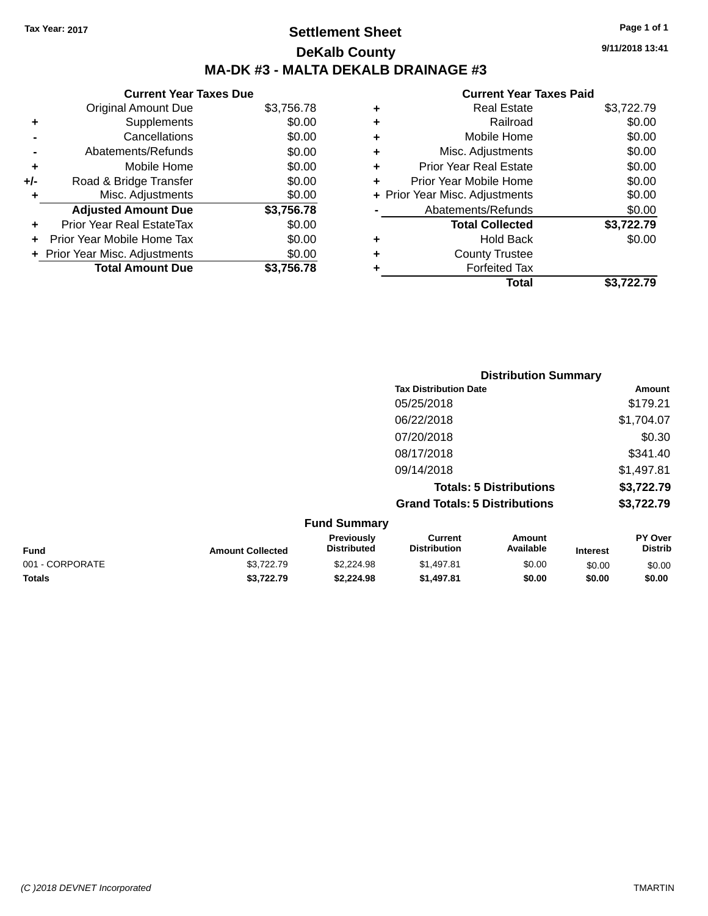# **Settlement Sheet Tax Year: 2017 Page 1 of 1 DeKalb County MA-DK #3 - MALTA DEKALB DRAINAGE #3**

#### **Current Year Taxes Due** Original Amount Due \$3,756.78 **+** Supplements \$0.00 **-** Cancellations \$0.00 **-** Abatements/Refunds \$0.00 **+** Mobile Home \$0.00 **+/-** Road & Bridge Transfer \$0.00<br> **+** Misc. Adjustments \$0.00 **+** Misc. Adjustments **Adjusted Amount Due \$3,756.78 +** Prior Year Real EstateTax \$0.00 **+** Prior Year Mobile Home Tax \$0.00 **+ Prior Year Misc. Adjustments**  $$0.00$ **Total Amount Due \$3,756.78**

#### **Current Year Taxes Paid**

|   | <b>Real Estate</b>             | \$3,722.79 |
|---|--------------------------------|------------|
| ٠ | Railroad                       | \$0.00     |
| ٠ | Mobile Home                    | \$0.00     |
| ٠ | Misc. Adjustments              | \$0.00     |
| ٠ | <b>Prior Year Real Estate</b>  | \$0.00     |
| ٠ | Prior Year Mobile Home         | \$0.00     |
|   | + Prior Year Misc. Adjustments | \$0.00     |
|   | Abatements/Refunds             | \$0.00     |
|   | <b>Total Collected</b>         | \$3,722.79 |
| ٠ | <b>Hold Back</b>               | \$0.00     |
| ٠ | <b>County Trustee</b>          |            |
| ٠ | <b>Forfeited Tax</b>           |            |
|   | <b>Total</b>                   | \$3.722.79 |
|   |                                |            |

|                     | <b>Distribution Summary</b>          |                                |                |  |
|---------------------|--------------------------------------|--------------------------------|----------------|--|
|                     | <b>Tax Distribution Date</b>         |                                | Amount         |  |
|                     | 05/25/2018                           |                                | \$179.21       |  |
|                     | 06/22/2018                           |                                | \$1,704.07     |  |
|                     | 07/20/2018                           |                                | \$0.30         |  |
|                     | 08/17/2018                           |                                | \$341.40       |  |
|                     | 09/14/2018                           |                                | \$1,497.81     |  |
|                     |                                      | <b>Totals: 5 Distributions</b> | \$3,722.79     |  |
|                     | <b>Grand Totals: 5 Distributions</b> |                                | \$3,722.79     |  |
| <b>Fund Summary</b> |                                      |                                |                |  |
| <b>Previously</b>   | Current                              | <b>Amount</b>                  | <b>PY Over</b> |  |

| <b>Fund</b>     | <b>Amount Collected</b> | Previously<br>Distributed | Current<br><b>Distribution</b> | Amount<br>Available | <b>Interest</b> | <b>PY Over</b><br>Distrib |
|-----------------|-------------------------|---------------------------|--------------------------------|---------------------|-----------------|---------------------------|
| 001 - CORPORATE | \$3.722.79              | \$2,224.98                | \$1.497.81                     | \$0.00              | \$0.00          | \$0.00                    |
| <b>Totals</b>   | \$3,722,79              | \$2.224.98                | \$1,497.81                     | \$0.00              | \$0.00          | \$0.00                    |

**9/11/2018 13:41**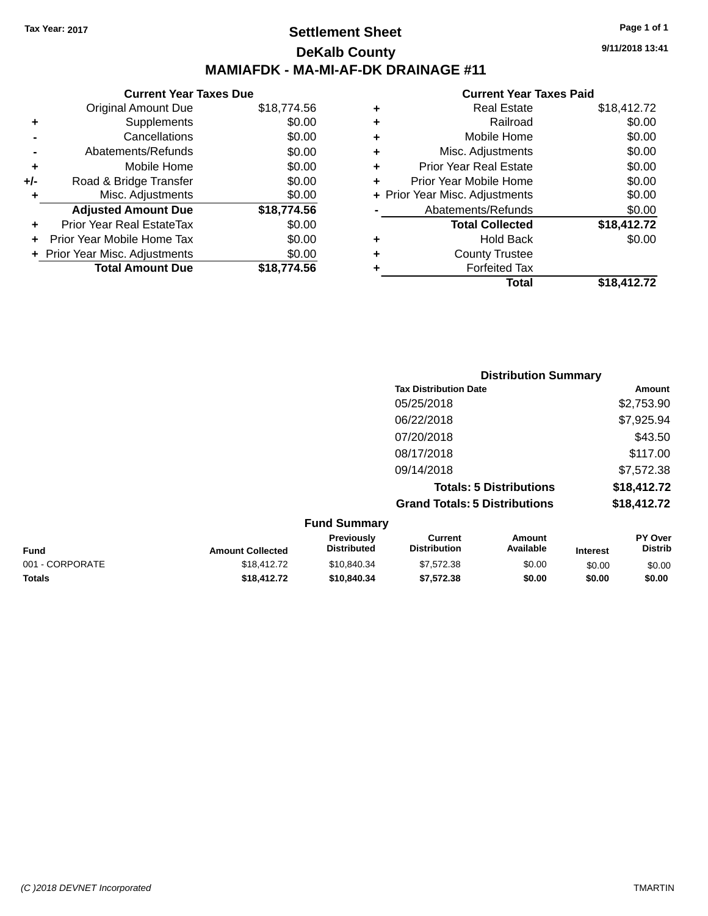## **Settlement Sheet Tax Year: 2017 Page 1 of 1 DeKalb County MAMIAFDK - MA-MI-AF-DK DRAINAGE #11**

**Current Year Taxes Due** Original Amount Due \$18,774.56 **+** Supplements \$0.00 **-** Cancellations \$0.00 **-** Abatements/Refunds \$0.00 **+** Mobile Home \$0.00 **+/-** Road & Bridge Transfer \$0.00 **+** Misc. Adjustments \$0.00 **Adjusted Amount Due \$18,774.56 +** Prior Year Real EstateTax \$0.00 **+** Prior Year Mobile Home Tax \$0.00 **+ Prior Year Misc. Adjustments**  $$0.00$ **Total Amount Due \$18,774.56**

#### **Current Year Taxes Paid +** Real Estate \$18,412.72 **+** Railroad \$0.00 **+** Mobile Home \$0.00 **+** Misc. Adjustments \$0.00 **+** Prior Year Real Estate \$0.00 **+** Prior Year Mobile Home \$0.00 **+** Prior Year Misc. Adjustments  $$0.00$ Abatements/Refunds \$0.00 **Total Collected \$18,412.72 +** Hold Back \$0.00 **+** County Trustee **+** Forfeited Tax **Total \$18,412.72**

|                         | <b>Distribution Summary</b>      |                                       |                                |                 |                                  |
|-------------------------|----------------------------------|---------------------------------------|--------------------------------|-----------------|----------------------------------|
|                         |                                  | <b>Tax Distribution Date</b>          |                                |                 | <b>Amount</b>                    |
|                         |                                  | 05/25/2018                            |                                |                 | \$2,753.90                       |
|                         |                                  | 06/22/2018                            |                                |                 | \$7,925.94                       |
|                         |                                  | 07/20/2018                            |                                |                 | \$43.50                          |
|                         |                                  | 08/17/2018                            |                                |                 | \$117.00                         |
|                         |                                  | 09/14/2018                            |                                |                 | \$7,572.38                       |
|                         |                                  |                                       | <b>Totals: 5 Distributions</b> |                 | \$18,412.72                      |
|                         |                                  | <b>Grand Totals: 5 Distributions</b>  |                                |                 | \$18,412.72                      |
|                         | <b>Fund Summary</b>              |                                       |                                |                 |                                  |
| <b>Amount Collected</b> | Previously<br><b>Distributed</b> | <b>Current</b><br><b>Distribution</b> | Amount<br>Available            | <b>Interest</b> | <b>PY Over</b><br><b>Distrib</b> |

| <b>Fund</b>     | <b>Amount Collected</b> | Previously<br><b>Distributed</b> | Current<br><b>Distribution</b> | Amount<br>Available | Interest | PY Over<br>Distrib |
|-----------------|-------------------------|----------------------------------|--------------------------------|---------------------|----------|--------------------|
| 001 - CORPORATE | \$18,412.72             | \$10.840.34                      | \$7,572.38                     | \$0.00              | \$0.00   | \$0.00             |
| <b>Totals</b>   | \$18.412.72             | \$10,840,34                      | \$7.572.38                     | \$0.00              | \$0.00   | \$0.00             |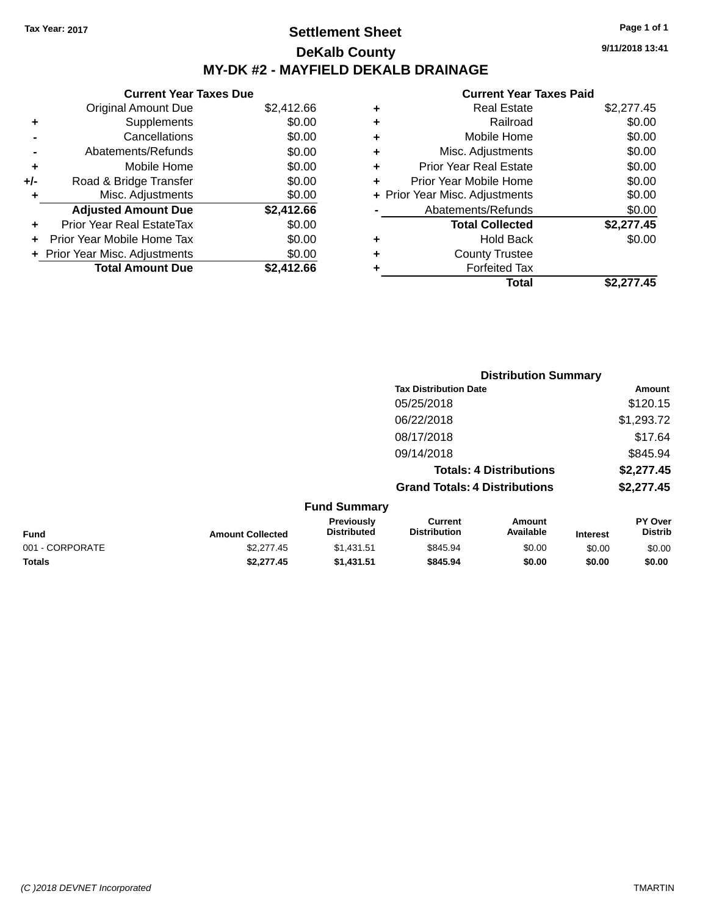## **Settlement Sheet Tax Year: 2017 Page 1 of 1 DeKalb County MY-DK #2 - MAYFIELD DEKALB DRAINAGE**

**Current Year Taxes Due** Original Amount Due \$2,412.66 **+** Supplements \$0.00 **-** Cancellations \$0.00 **-** Abatements/Refunds \$0.00 **+** Mobile Home \$0.00 **+/-** Road & Bridge Transfer \$0.00 **+** Misc. Adjustments \$0.00 **Adjusted Amount Due \$2,412.66 +** Prior Year Real EstateTax \$0.00 **+** Prior Year Mobile Home Tax \$0.00 **+ Prior Year Misc. Adjustments**  $$0.00$ **Total Amount Due \$2,412.66**

#### **Current Year Taxes Paid**

| ٠ | <b>Real Estate</b>             | \$2,277.45 |
|---|--------------------------------|------------|
| ٠ | Railroad                       | \$0.00     |
| ٠ | Mobile Home                    | \$0.00     |
| ٠ | Misc. Adjustments              | \$0.00     |
| ٠ | <b>Prior Year Real Estate</b>  | \$0.00     |
| ÷ | Prior Year Mobile Home         | \$0.00     |
|   | + Prior Year Misc. Adjustments | \$0.00     |
|   | Abatements/Refunds             | \$0.00     |
|   | <b>Total Collected</b>         | \$2,277.45 |
| ٠ | Hold Back                      | \$0.00     |
| ٠ | <b>County Trustee</b>          |            |
| ٠ | <b>Forfeited Tax</b>           |            |
|   | Total                          | \$2.277.45 |
|   |                                |            |

**Distribution Summary**

|                 |                         |                                  |                                       | <b>PISUINUUVII VUIIIIIIAI Y</b> |                 |                           |
|-----------------|-------------------------|----------------------------------|---------------------------------------|---------------------------------|-----------------|---------------------------|
|                 |                         |                                  | <b>Tax Distribution Date</b>          |                                 |                 | Amount                    |
|                 |                         |                                  | 05/25/2018                            |                                 |                 | \$120.15                  |
|                 |                         |                                  | 06/22/2018                            |                                 |                 | \$1,293.72                |
|                 |                         |                                  | 08/17/2018                            |                                 |                 | \$17.64                   |
|                 |                         |                                  | 09/14/2018                            |                                 |                 | \$845.94                  |
|                 |                         |                                  |                                       | <b>Totals: 4 Distributions</b>  |                 | \$2,277.45                |
|                 |                         |                                  | <b>Grand Totals: 4 Distributions</b>  |                                 |                 | \$2,277.45                |
|                 |                         | <b>Fund Summary</b>              |                                       |                                 |                 |                           |
| <b>Fund</b>     | <b>Amount Collected</b> | Previously<br><b>Distributed</b> | <b>Current</b><br><b>Distribution</b> | Amount<br>Available             | <b>Interest</b> | PY Over<br><b>Distrib</b> |
| 001 - CORPORATE | \$2,277.45              | \$1,431.51                       | \$845.94                              | \$0.00                          | \$0.00          | \$0.00                    |
| <b>Totals</b>   | \$2,277.45              | \$1,431.51                       | \$845.94                              | \$0.00                          | \$0.00          | \$0.00                    |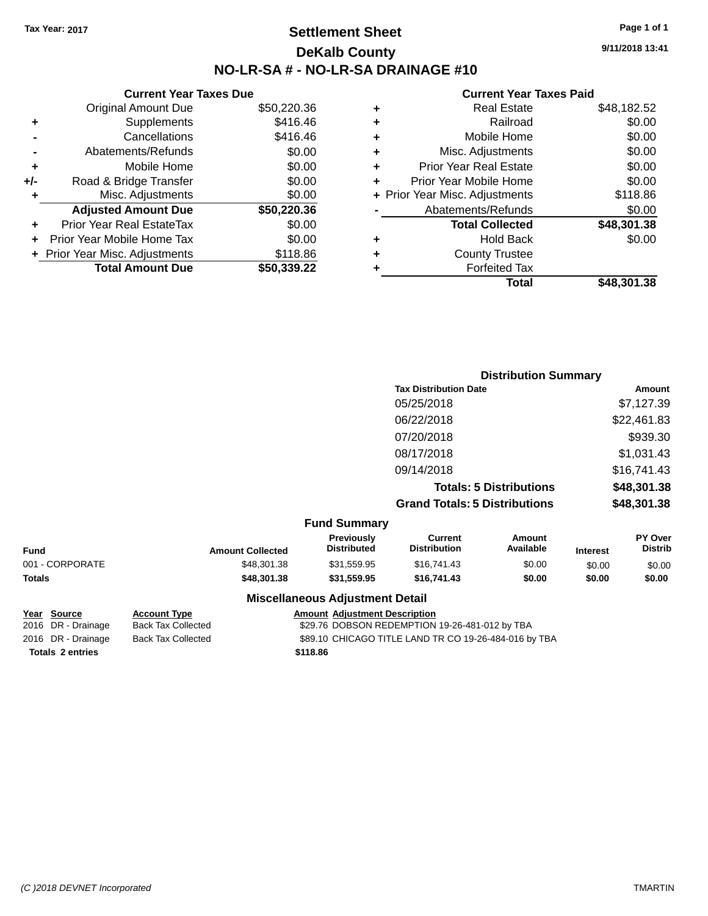## **Settlement Sheet Tax Year: 2017 Page 1 of 1 DeKalb County NO-LR-SA # - NO-LR-SA DRAINAGE #10**

**9/11/2018 13:41**

#### **Current Year Taxes Paid**

|     | <b>Current Year Taxes Due</b>  |             |
|-----|--------------------------------|-------------|
|     | <b>Original Amount Due</b>     | \$50,220.36 |
| ٠   | Supplements                    | \$416.46    |
|     | Cancellations                  | \$416.46    |
|     | Abatements/Refunds             | \$0.00      |
| ٠   | Mobile Home                    | \$0.00      |
| +/- | Road & Bridge Transfer         | \$0.00      |
| ٠   | Misc. Adjustments              | \$0.00      |
|     | <b>Adjusted Amount Due</b>     | \$50,220.36 |
| ٠   | Prior Year Real EstateTax      | \$0.00      |
| ÷   | Prior Year Mobile Home Tax     | \$0.00      |
|     | + Prior Year Misc. Adjustments | \$118.86    |
|     | <b>Total Amount Due</b>        | \$50,339.22 |

| ٠ | <b>Real Estate</b>             | \$48,182.52 |
|---|--------------------------------|-------------|
| ٠ | Railroad                       | \$0.00      |
| ٠ | Mobile Home                    | \$0.00      |
| ٠ | Misc. Adjustments              | \$0.00      |
| ٠ | <b>Prior Year Real Estate</b>  | \$0.00      |
| ٠ | Prior Year Mobile Home         | \$0.00      |
|   | + Prior Year Misc. Adjustments | \$118.86    |
|   | Abatements/Refunds             | \$0.00      |
|   | <b>Total Collected</b>         | \$48,301.38 |
| ٠ | <b>Hold Back</b>               | \$0.00      |
| ٠ | <b>County Trustee</b>          |             |
|   | <b>Forfeited Tax</b>           |             |
|   | Total                          | \$48,301.38 |
|   |                                |             |

|                     | <b>Distribution Summary</b>          |             |
|---------------------|--------------------------------------|-------------|
|                     | <b>Tax Distribution Date</b>         | Amount      |
|                     | 05/25/2018                           | \$7,127.39  |
|                     | 06/22/2018                           | \$22,461.83 |
|                     | 07/20/2018                           | \$939.30    |
|                     | 08/17/2018                           | \$1,031.43  |
|                     | 09/14/2018                           | \$16,741.43 |
|                     | <b>Totals: 5 Distributions</b>       | \$48,301.38 |
|                     | <b>Grand Totals: 5 Distributions</b> | \$48,301.38 |
| <b>Fund Summary</b> |                                      |             |

| Fund            | <b>Amount Collected</b> | <b>Previously</b><br><b>Distributed</b> | Current<br><b>Distribution</b> | <b>Amount</b><br>Available | <b>Interest</b> | <b>PY Over</b><br><b>Distrib</b> |
|-----------------|-------------------------|-----------------------------------------|--------------------------------|----------------------------|-----------------|----------------------------------|
| 001 - CORPORATE | \$48,301.38             | \$31,559.95                             | \$16,741.43                    | \$0.00                     | \$0.00          | \$0.00                           |
| Totals          | \$48,301,38             | \$31,559.95                             | \$16,741.43                    | \$0.00                     | \$0.00          | \$0.00                           |
|                 |                         | <b>Miscellaneous Adjustment Detail</b>  |                                |                            |                 |                                  |

# **Totals \$118.86 2 entries**

**Year Source Account Type Amount Adjustment Description**

2016 DR - Drainage Back Tax Collected \$29.76 DOBSON REDEMPTION 19-26-481-012 by TBA 2016 DR - Drainage Back Tax Collected \$89.10 CHICAGO TITLE LAND TR CO 19-26-484-016 by TBA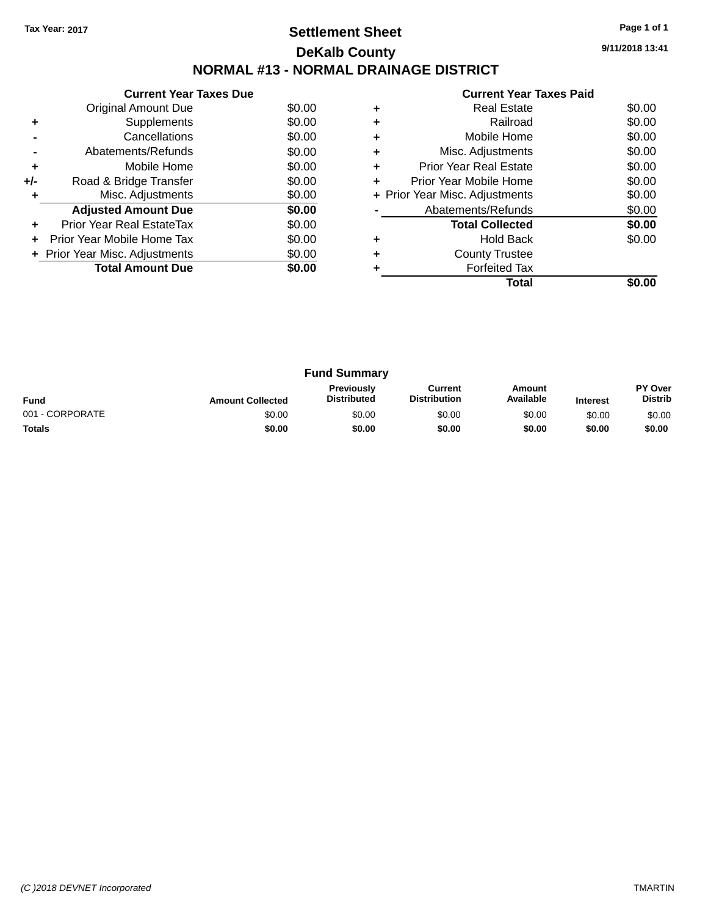# **Settlement Sheet Tax Year: 2017 Page 1 of 1 DeKalb County NORMAL #13 - NORMAL DRAINAGE DISTRICT**

**9/11/2018 13:41**

|       | <b>Current Year Taxes Due</b>  |        |
|-------|--------------------------------|--------|
|       | Original Amount Due            | \$0.00 |
| ٠     | Supplements                    | \$0.00 |
|       | Cancellations                  | \$0.00 |
|       | Abatements/Refunds             | \$0.00 |
| ٠     | Mobile Home                    | \$0.00 |
| $+/-$ | Road & Bridge Transfer         | \$0.00 |
| ٠     | Misc. Adjustments              | \$0.00 |
|       | <b>Adjusted Amount Due</b>     | \$0.00 |
|       | Prior Year Real EstateTax      | \$0.00 |
|       | Prior Year Mobile Home Tax     | \$0.00 |
|       | + Prior Year Misc. Adjustments | \$0.00 |
|       | <b>Total Amount Due</b>        | \$0.00 |
|       |                                |        |

|   | <b>Real Estate</b>             | \$0.00 |
|---|--------------------------------|--------|
|   | Railroad                       | \$0.00 |
|   | Mobile Home                    | \$0.00 |
| ٠ | Misc. Adjustments              | \$0.00 |
| ٠ | <b>Prior Year Real Estate</b>  | \$0.00 |
| ٠ | Prior Year Mobile Home         | \$0.00 |
|   | + Prior Year Misc. Adjustments | \$0.00 |
|   | Abatements/Refunds             | \$0.00 |
|   | <b>Total Collected</b>         | \$0.00 |
| ٠ | <b>Hold Back</b>               | \$0.00 |
|   | <b>County Trustee</b>          |        |
|   | <b>Forfeited Tax</b>           |        |
|   | Total                          |        |

| <b>Fund Summary</b> |                         |                                  |                                |                     |                 |                                  |
|---------------------|-------------------------|----------------------------------|--------------------------------|---------------------|-----------------|----------------------------------|
| <b>Fund</b>         | <b>Amount Collected</b> | Previously<br><b>Distributed</b> | Current<br><b>Distribution</b> | Amount<br>Available | <b>Interest</b> | <b>PY Over</b><br><b>Distrib</b> |
| 001 - CORPORATE     | \$0.00                  | \$0.00                           | \$0.00                         | \$0.00              | \$0.00          | \$0.00                           |
| <b>Totals</b>       | \$0.00                  | \$0.00                           | \$0.00                         | \$0.00              | \$0.00          | \$0.00                           |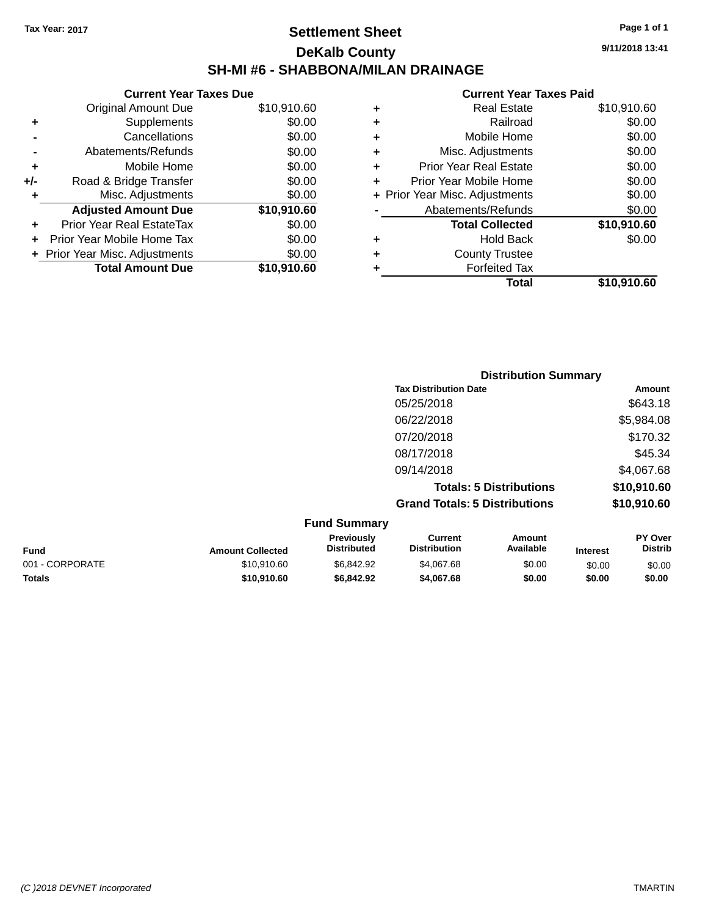## **Settlement Sheet Tax Year: 2017 Page 1 of 1 DeKalb County SH-MI #6 - SHABBONA/MILAN DRAINAGE**

**9/11/2018 13:41**

|       | <b>Current Year Taxes Due</b>  |             |
|-------|--------------------------------|-------------|
|       | Original Amount Due            | \$10,910.60 |
|       | Supplements                    | \$0.00      |
|       | Cancellations                  | \$0.00      |
|       | Abatements/Refunds             | \$0.00      |
| ٠     | Mobile Home                    | \$0.00      |
| $+/-$ | Road & Bridge Transfer         | \$0.00      |
| ۰     | Misc. Adjustments              | \$0.00      |
|       | <b>Adjusted Amount Due</b>     | \$10,910.60 |
|       | Prior Year Real EstateTax      | \$0.00      |
|       | Prior Year Mobile Home Tax     | \$0.00      |
|       | + Prior Year Misc. Adjustments | \$0.00      |
|       | <b>Total Amount Due</b>        | \$10,910.60 |
|       |                                |             |

| ٠ | <b>Real Estate</b>             | \$10,910.60 |
|---|--------------------------------|-------------|
| ٠ | Railroad                       | \$0.00      |
| ٠ | Mobile Home                    | \$0.00      |
| ٠ | Misc. Adjustments              | \$0.00      |
| ٠ | <b>Prior Year Real Estate</b>  | \$0.00      |
| ÷ | Prior Year Mobile Home         | \$0.00      |
|   | + Prior Year Misc. Adjustments | \$0.00      |
|   | Abatements/Refunds             | \$0.00      |
|   | <b>Total Collected</b>         | \$10,910.60 |
| ٠ | <b>Hold Back</b>               | \$0.00      |
| ٠ | <b>County Trustee</b>          |             |
| ٠ | <b>Forfeited Tax</b>           |             |
|   | Total                          | \$10,910.60 |
|   |                                |             |

| <b>Distribution Summary</b>          |             |
|--------------------------------------|-------------|
| <b>Tax Distribution Date</b>         | Amount      |
| 05/25/2018                           | \$643.18    |
| 06/22/2018                           | \$5,984.08  |
| 07/20/2018                           | \$170.32    |
| 08/17/2018                           | \$45.34     |
| 09/14/2018                           | \$4,067.68  |
| <b>Totals: 5 Distributions</b>       | \$10,910.60 |
| <b>Grand Totals: 5 Distributions</b> | \$10,910.60 |

| <b>Fund Summary</b>     |                                  |                                |                     |                 |                                  |
|-------------------------|----------------------------------|--------------------------------|---------------------|-----------------|----------------------------------|
| <b>Amount Collected</b> | Previously<br><b>Distributed</b> | Current<br><b>Distribution</b> | Amount<br>Available | <b>Interest</b> | <b>PY Over</b><br><b>Distrib</b> |
| \$10,910.60             | \$6.842.92                       | \$4.067.68                     | \$0.00              | \$0.00          | \$0.00                           |
| \$10,910.60             | \$6,842.92                       | \$4,067.68                     | \$0.00              | \$0.00          | \$0.00                           |
|                         |                                  |                                |                     |                 |                                  |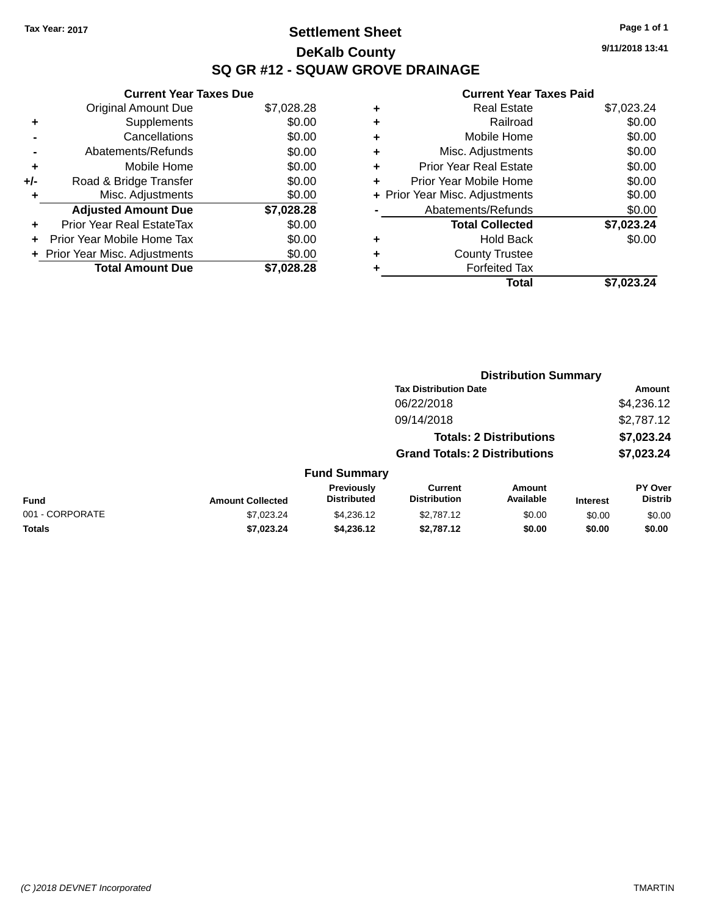# **Settlement Sheet Tax Year: 2017 Page 1 of 1 DeKalb County SQ GR #12 - SQUAW GROVE DRAINAGE**

**9/11/2018 13:41**

| \$7,028.28<br>\$0.00<br>\$0.00<br>\$0.00<br>\$7,028.28 |
|--------------------------------------------------------|

| ٠ | Real Estate                    | \$7,023.24 |
|---|--------------------------------|------------|
| ٠ | Railroad                       | \$0.00     |
| ٠ | Mobile Home                    | \$0.00     |
| ٠ | Misc. Adjustments              | \$0.00     |
| ٠ | <b>Prior Year Real Estate</b>  | \$0.00     |
|   | Prior Year Mobile Home         | \$0.00     |
|   | + Prior Year Misc. Adjustments | \$0.00     |
|   | Abatements/Refunds             | \$0.00     |
|   | <b>Total Collected</b>         | \$7,023.24 |
| ٠ | Hold Back                      | \$0.00     |
| ٠ | <b>County Trustee</b>          |            |
| ٠ | <b>Forfeited Tax</b>           |            |
|   | Total                          | \$7.023.24 |
|   |                                |            |

|                                            |                         |                                  | <b>Distribution Summary</b>           |                            |                 |                           |
|--------------------------------------------|-------------------------|----------------------------------|---------------------------------------|----------------------------|-----------------|---------------------------|
| <b>Tax Distribution Date</b><br>06/22/2018 |                         |                                  |                                       |                            | Amount          |                           |
|                                            |                         |                                  |                                       |                            | \$4,236.12      |                           |
|                                            |                         |                                  | 09/14/2018                            |                            |                 | \$2,787.12                |
| <b>Totals: 2 Distributions</b>             |                         |                                  |                                       |                            | \$7,023.24      |                           |
|                                            |                         |                                  | <b>Grand Totals: 2 Distributions</b>  |                            |                 | \$7,023.24                |
|                                            |                         | <b>Fund Summary</b>              |                                       |                            |                 |                           |
| <b>Fund</b>                                | <b>Amount Collected</b> | Previously<br><b>Distributed</b> | <b>Current</b><br><b>Distribution</b> | <b>Amount</b><br>Available | <b>Interest</b> | PY Over<br><b>Distrib</b> |
| 001 - CORPORATE                            | \$7.023.24              | \$4,236.12                       | \$2,787.12                            | \$0.00                     | \$0.00          | \$0.00                    |
| <b>Totals</b>                              | \$7,023.24              | \$4,236.12                       | \$2,787.12                            | \$0.00                     | \$0.00          | \$0.00                    |
|                                            |                         |                                  |                                       |                            |                 |                           |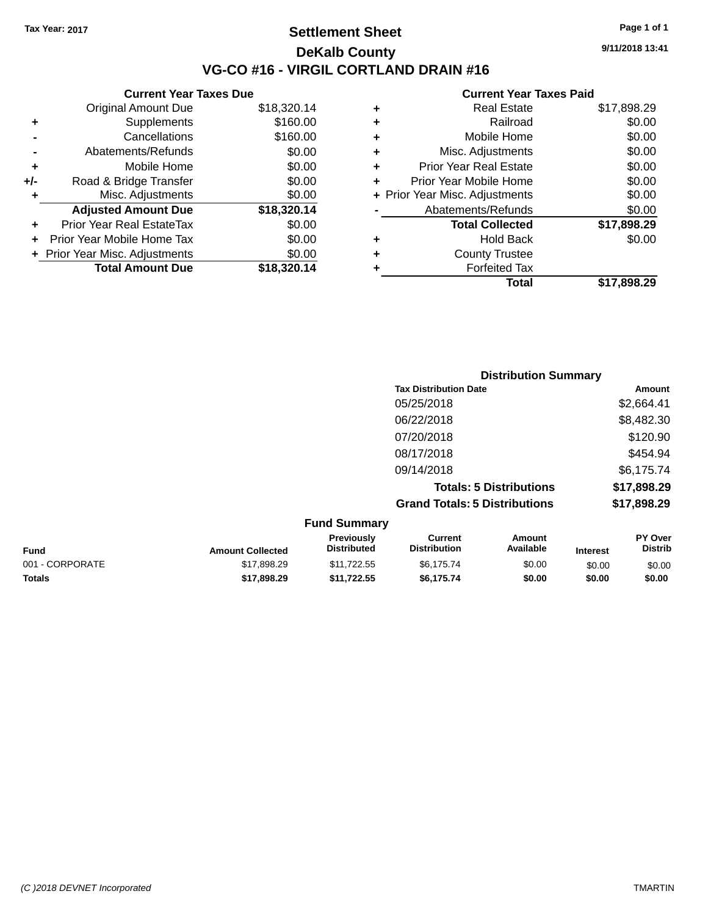## **Settlement Sheet Tax Year: 2017 Page 1 of 1 DeKalb County VG-CO #16 - VIRGIL CORTLAND DRAIN #16**

**9/11/2018 13:41**

| <b>Original Amount Due</b>     | \$18,320.14                   |
|--------------------------------|-------------------------------|
| Supplements                    | \$160.00                      |
| Cancellations                  | \$160.00                      |
| Abatements/Refunds             | \$0.00                        |
| Mobile Home                    | \$0.00                        |
| Road & Bridge Transfer         | \$0.00                        |
| Misc. Adjustments              | \$0.00                        |
| <b>Adjusted Amount Due</b>     | \$18,320.14                   |
| Prior Year Real EstateTax      | \$0.00                        |
| Prior Year Mobile Home Tax     | \$0.00                        |
| + Prior Year Misc. Adjustments | \$0.00                        |
| <b>Total Amount Due</b>        | \$18,320.14                   |
|                                | <b>Current Year Taxes Due</b> |

|   | Total                          | \$17,898.29 |
|---|--------------------------------|-------------|
|   | <b>Forfeited Tax</b>           |             |
| ٠ | <b>County Trustee</b>          |             |
| ٠ | Hold Back                      | \$0.00      |
|   | <b>Total Collected</b>         | \$17,898.29 |
|   | Abatements/Refunds             | \$0.00      |
|   | + Prior Year Misc. Adjustments | \$0.00      |
| ٠ | Prior Year Mobile Home         | \$0.00      |
| ÷ | <b>Prior Year Real Estate</b>  | \$0.00      |
| ٠ | Misc. Adjustments              | \$0.00      |
| ÷ | Mobile Home                    | \$0.00      |
| ٠ | Railroad                       | \$0.00      |
| ٠ | <b>Real Estate</b>             | \$17,898.29 |
|   |                                |             |

|                                      | <b>Distribution Summary</b> |
|--------------------------------------|-----------------------------|
| <b>Tax Distribution Date</b>         | <b>Amount</b>               |
| 05/25/2018                           | \$2,664.41                  |
| 06/22/2018                           | \$8,482.30                  |
| 07/20/2018                           | \$120.90                    |
| 08/17/2018                           | \$454.94                    |
| 09/14/2018                           | \$6,175.74                  |
| <b>Totals: 5 Distributions</b>       | \$17,898.29                 |
| <b>Grand Totals: 5 Distributions</b> | \$17,898.29                 |
| $E_{t}$ and $C_{t}$ in $B_{t}$       |                             |

| <b>Fund Summary</b> |                         |                                         |                                |                     |                 |                           |
|---------------------|-------------------------|-----------------------------------------|--------------------------------|---------------------|-----------------|---------------------------|
| <b>Fund</b>         | <b>Amount Collected</b> | <b>Previously</b><br><b>Distributed</b> | Current<br><b>Distribution</b> | Amount<br>Available | <b>Interest</b> | PY Over<br><b>Distrib</b> |
| 001 - CORPORATE     | \$17.898.29             | \$11.722.55                             | \$6.175.74                     | \$0.00              | \$0.00          | \$0.00                    |
| <b>Totals</b>       | \$17,898,29             | \$11.722.55                             | \$6.175.74                     | \$0.00              | \$0.00          | \$0.00                    |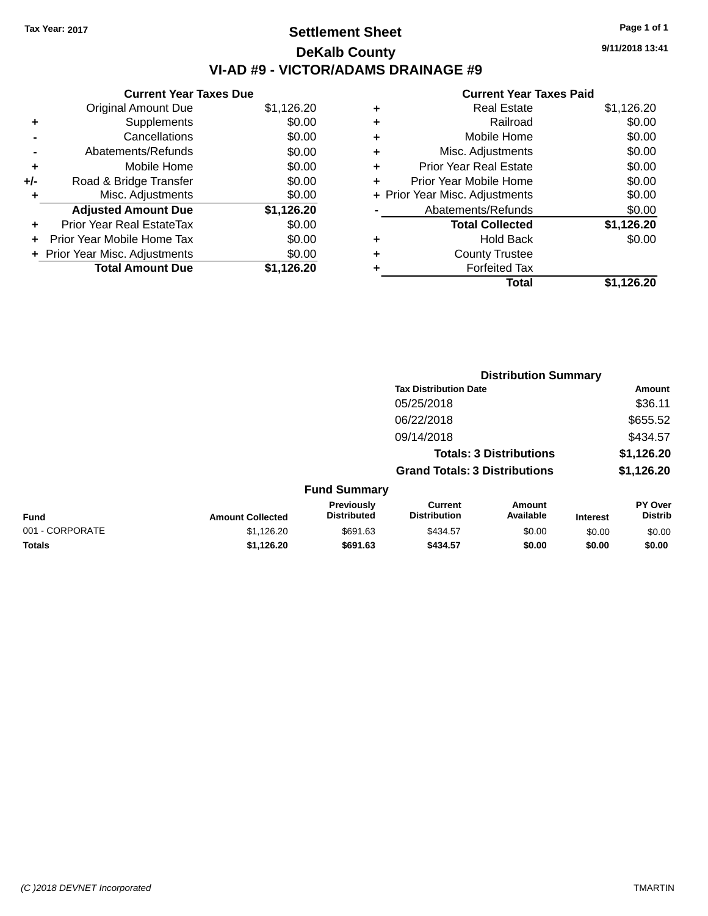# **Settlement Sheet Tax Year: 2017 Page 1 of 1 DeKalb County VI-AD #9 - VICTOR/ADAMS DRAINAGE #9**

**Current Year Taxes Due** Original Amount Due \$1,126.20 **+** Supplements \$0.00 **-** Cancellations \$0.00 **-** Abatements/Refunds \$0.00 **+** Mobile Home \$0.00 **+/-** Road & Bridge Transfer \$0.00 **+** Misc. Adjustments \$0.00 **Adjusted Amount Due \$1,126.20 +** Prior Year Real EstateTax \$0.00 **+** Prior Year Mobile Home Tax \$0.00 **+ Prior Year Misc. Adjustments**  $$0.00$ **Total Amount Due \$1,126.20**

### **Current Year Taxes Paid**

| <b>Real Estate</b>            | \$1,126.20                     |
|-------------------------------|--------------------------------|
| Railroad                      | \$0.00                         |
| Mobile Home                   | \$0.00                         |
| Misc. Adjustments             | \$0.00                         |
| <b>Prior Year Real Estate</b> | \$0.00                         |
| Prior Year Mobile Home        | \$0.00                         |
|                               | \$0.00                         |
| Abatements/Refunds            | \$0.00                         |
| <b>Total Collected</b>        | \$1,126.20                     |
| <b>Hold Back</b>              | \$0.00                         |
| <b>County Trustee</b>         |                                |
| <b>Forfeited Tax</b>          |                                |
| Total                         | \$1,126.20                     |
|                               | + Prior Year Misc. Adjustments |

|                 |                         | <b>Distribution Summary</b>      |                                       |                                |                 |                           |
|-----------------|-------------------------|----------------------------------|---------------------------------------|--------------------------------|-----------------|---------------------------|
|                 |                         |                                  | <b>Tax Distribution Date</b>          |                                |                 | <b>Amount</b>             |
|                 |                         |                                  | 05/25/2018                            |                                |                 | \$36.11                   |
|                 |                         |                                  | 06/22/2018                            |                                |                 | \$655.52                  |
|                 |                         |                                  | 09/14/2018                            |                                |                 | \$434.57                  |
|                 |                         |                                  |                                       | <b>Totals: 3 Distributions</b> |                 | \$1,126.20                |
|                 |                         |                                  | <b>Grand Totals: 3 Distributions</b>  |                                |                 | \$1,126.20                |
|                 |                         | <b>Fund Summary</b>              |                                       |                                |                 |                           |
| <b>Fund</b>     | <b>Amount Collected</b> | Previously<br><b>Distributed</b> | <b>Current</b><br><b>Distribution</b> | Amount<br>Available            | <b>Interest</b> | PY Over<br><b>Distrib</b> |
| 001 - CORPORATE | \$1,126.20              | \$691.63                         | \$434.57                              | \$0.00                         | \$0.00          | \$0.00                    |
| <b>Totals</b>   | \$1,126.20              | \$691.63                         | \$434.57                              | \$0.00                         | \$0.00          | \$0.00                    |

**9/11/2018 13:41**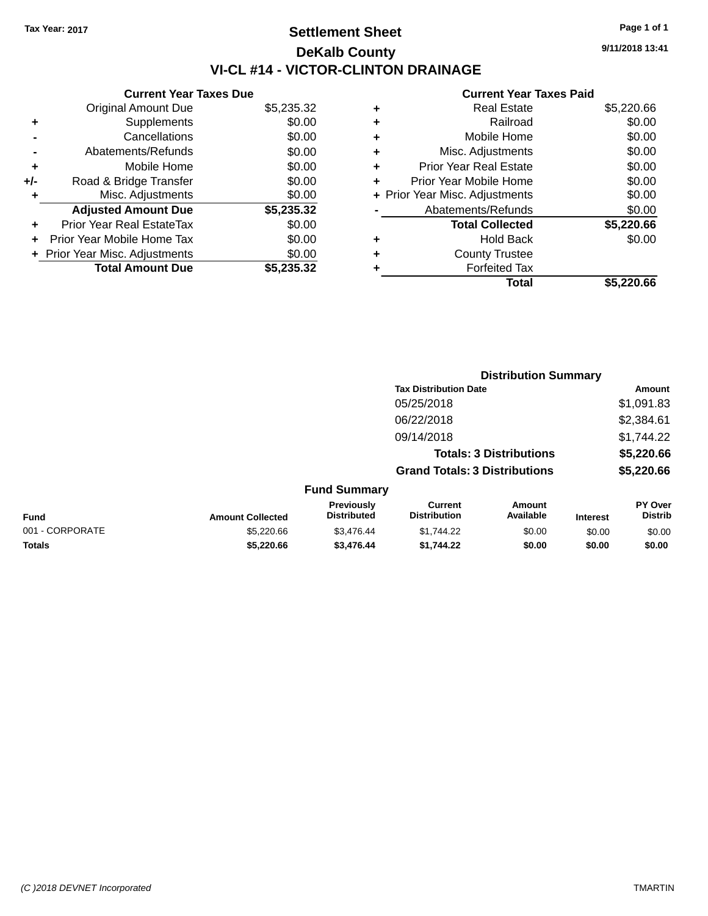# **Settlement Sheet Tax Year: 2017 Page 1 of 1 DeKalb County VI-CL #14 - VICTOR-CLINTON DRAINAGE**

**9/11/2018 13:41**

### **Current Year Taxes Paid**

|     | <b>Current Year Taxes Due</b>     |            |  |  |  |
|-----|-----------------------------------|------------|--|--|--|
|     | <b>Original Amount Due</b>        | \$5,235.32 |  |  |  |
| ٠   | Supplements                       | \$0.00     |  |  |  |
|     | Cancellations                     | \$0.00     |  |  |  |
|     | Abatements/Refunds                | \$0.00     |  |  |  |
| ٠   | Mobile Home                       | \$0.00     |  |  |  |
| +/- | Road & Bridge Transfer            | \$0.00     |  |  |  |
|     | Misc. Adjustments                 | \$0.00     |  |  |  |
|     | <b>Adjusted Amount Due</b>        | \$5,235.32 |  |  |  |
| ÷   | Prior Year Real EstateTax         | \$0.00     |  |  |  |
|     | <b>Prior Year Mobile Home Tax</b> | \$0.00     |  |  |  |
|     | + Prior Year Misc. Adjustments    | \$0.00     |  |  |  |
|     | <b>Total Amount Due</b>           | \$5.235.32 |  |  |  |

| \$5,220.66 |
|------------|
| \$0.00     |
| \$0.00     |
| \$0.00     |
| \$0.00     |
| \$0.00     |
| \$0.00     |
| \$0.00     |
| \$5,220.66 |
| \$0.00     |
|            |
|            |
| \$5,220.66 |
|            |

|                 |                         | <b>Distribution Summary</b>             |                                       |                                |                 |                           |  |
|-----------------|-------------------------|-----------------------------------------|---------------------------------------|--------------------------------|-----------------|---------------------------|--|
|                 |                         |                                         | <b>Tax Distribution Date</b>          |                                |                 | <b>Amount</b>             |  |
|                 |                         |                                         | 05/25/2018                            |                                |                 | \$1,091.83                |  |
|                 |                         |                                         | 06/22/2018                            |                                |                 | \$2,384.61                |  |
|                 |                         |                                         | 09/14/2018                            |                                |                 | \$1,744.22                |  |
|                 |                         |                                         |                                       | <b>Totals: 3 Distributions</b> |                 | \$5,220.66                |  |
|                 |                         |                                         | <b>Grand Totals: 3 Distributions</b>  |                                |                 | \$5,220.66                |  |
|                 |                         | <b>Fund Summary</b>                     |                                       |                                |                 |                           |  |
| <b>Fund</b>     | <b>Amount Collected</b> | <b>Previously</b><br><b>Distributed</b> | <b>Current</b><br><b>Distribution</b> | Amount<br>Available            | <b>Interest</b> | PY Over<br><b>Distrib</b> |  |
| 001 - CORPORATE | \$5,220.66              | \$3,476.44                              | \$1,744.22                            | \$0.00                         | \$0.00          | \$0.00                    |  |
| Totals          | \$5,220.66              | \$3,476.44                              | \$1,744.22                            | \$0.00                         | \$0.00          | \$0.00                    |  |